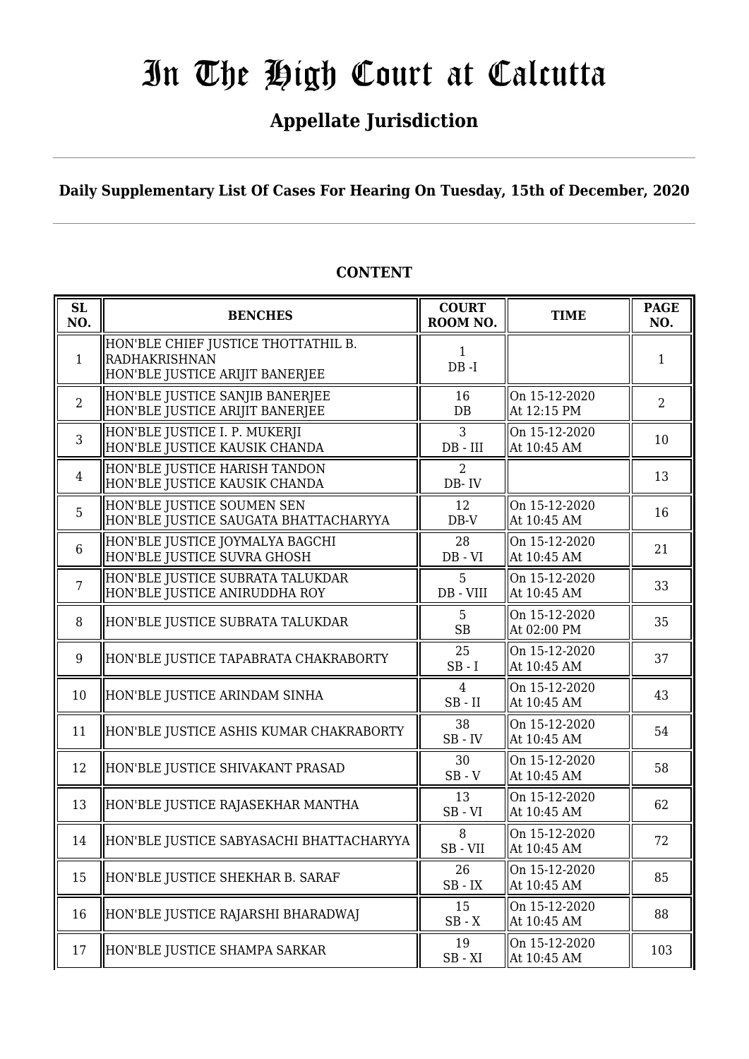## **Appellate Jurisdiction**

**Daily Supplementary List Of Cases For Hearing On Tuesday, 15th of December, 2020**

| <b>SL</b><br>NO. | <b>BENCHES</b>                                                                                 | <b>COURT</b><br>ROOM NO. | <b>TIME</b>                  | <b>PAGE</b><br>NO. |
|------------------|------------------------------------------------------------------------------------------------|--------------------------|------------------------------|--------------------|
| $\mathbf{1}$     | HON'BLE CHIEF JUSTICE THOTTATHIL B.<br><b>RADHAKRISHNAN</b><br>HON'BLE JUSTICE ARIJIT BANERJEE | $\mathbf{1}$<br>$DB - I$ |                              | 1                  |
| 2                | HON'BLE JUSTICE SANJIB BANERJEE<br>HON'BLE JUSTICE ARIJIT BANERJEE                             | 16<br>DB                 | On 15-12-2020<br>At 12:15 PM | $\overline{2}$     |
| 3                | HON'BLE JUSTICE I. P. MUKERJI<br>HON'BLE JUSTICE KAUSIK CHANDA                                 | 3<br>$DB$ - $III$        | On 15-12-2020<br>At 10:45 AM | 10                 |
| $\overline{4}$   | HON'BLE JUSTICE HARISH TANDON<br>HON'BLE JUSTICE KAUSIK CHANDA                                 | $\overline{2}$<br>DB-IV  |                              | 13                 |
| 5                | HON'BLE JUSTICE SOUMEN SEN<br>HON'BLE JUSTICE SAUGATA BHATTACHARYYA                            | 12<br>$DB-V$             | On 15-12-2020<br>At 10:45 AM | 16                 |
| 6                | HON'BLE JUSTICE JOYMALYA BAGCHI<br>HON'BLE JUSTICE SUVRA GHOSH                                 | 28<br>$DB - VI$          | On 15-12-2020<br>At 10:45 AM | 21                 |
| $\overline{7}$   | HON'BLE JUSTICE SUBRATA TALUKDAR<br>HON'BLE JUSTICE ANIRUDDHA ROY                              | 5<br>DB - VIII           | On 15-12-2020<br>At 10:45 AM | 33                 |
| 8                | HON'BLE JUSTICE SUBRATA TALUKDAR                                                               | 5<br><b>SB</b>           | On 15-12-2020<br>At 02:00 PM | 35                 |
| 9                | HON'BLE JUSTICE TAPABRATA CHAKRABORTY                                                          | 25<br>$SB - I$           | On 15-12-2020<br>At 10:45 AM | 37                 |
| 10               | HON'BLE JUSTICE ARINDAM SINHA                                                                  | 4<br>$SB$ - $II$         | On 15-12-2020<br>At 10:45 AM | 43                 |
| 11               | HON'BLE JUSTICE ASHIS KUMAR CHAKRABORTY                                                        | 38<br>$SB$ - $IV$        | On 15-12-2020<br>At 10:45 AM | 54                 |
| 12               | HON'BLE JUSTICE SHIVAKANT PRASAD                                                               | 30<br>$SB - V$           | On 15-12-2020<br>At 10:45 AM | 58                 |
| 13               | HON'BLE JUSTICE RAJASEKHAR MANTHA                                                              | 13<br>$SB - VI$          | On 15-12-2020<br>At 10:45 AM | 62                 |
| 14               | HON'BLE JUSTICE SABYASACHI BHATTACHARYYA                                                       | 8<br>SB-VII              | On 15-12-2020<br>At 10:45 AM | 72                 |
| 15               | HON'BLE JUSTICE SHEKHAR B. SARAF                                                               | 26<br>$SB$ - $IX$        | On 15-12-2020<br>At 10:45 AM | 85                 |
| 16               | HON'BLE JUSTICE RAJARSHI BHARADWAJ                                                             | 15<br>$SB - X$           | On 15-12-2020<br>At 10:45 AM | 88                 |
| 17               | HON'BLE JUSTICE SHAMPA SARKAR                                                                  | 19<br>$SB - XI$          | On 15-12-2020<br>At 10:45 AM | 103                |

## **CONTENT**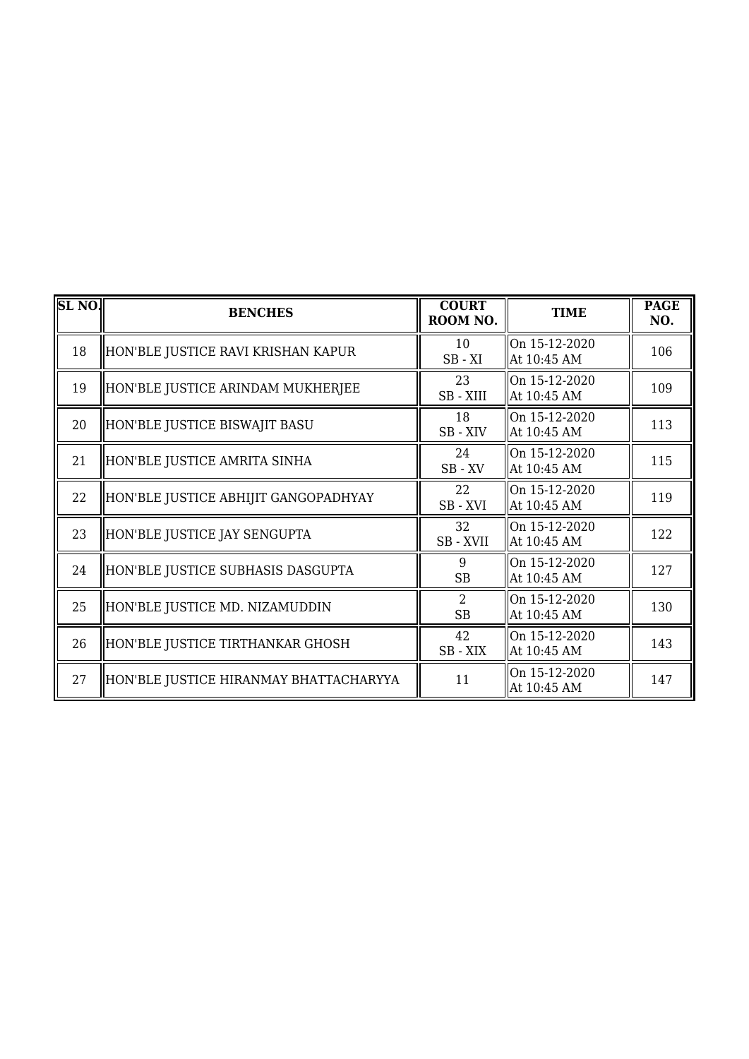| SL <sub>NO</sub> . | <b>BENCHES</b>                         | <b>COURT</b><br>ROOM NO.    | <b>TIME</b>                  | <b>PAGE</b><br>NO. |
|--------------------|----------------------------------------|-----------------------------|------------------------------|--------------------|
| 18                 | HON'BLE JUSTICE RAVI KRISHAN KAPUR     | 10<br>$SB - XI$             | On 15-12-2020<br>At 10:45 AM | 106                |
| 19                 | HON'BLE JUSTICE ARINDAM MUKHERJEE      | 23<br>SB-XIII               | On 15-12-2020<br>At 10:45 AM | 109                |
| 20                 | HON'BLE JUSTICE BISWAJIT BASU          | 18<br>SB-XIV                | On 15-12-2020<br>At 10:45 AM | 113                |
| 21                 | HON'BLE JUSTICE AMRITA SINHA           | 24<br>$SB$ - $XV$           | On 15-12-2020<br>At 10:45 AM | 115                |
| 22                 | HON'BLE JUSTICE ABHIJIT GANGOPADHYAY   | 22<br>SB-XVI                | On 15-12-2020<br>At 10:45 AM | 119                |
| 23                 | HON'BLE JUSTICE JAY SENGUPTA           | 32<br>SB-XVII               | On 15-12-2020<br>At 10:45 AM | 122                |
| 24                 | HON'BLE JUSTICE SUBHASIS DASGUPTA      | 9<br><b>SB</b>              | On 15-12-2020<br>At 10:45 AM | 127                |
| 25                 | HON'BLE JUSTICE MD. NIZAMUDDIN         | $\overline{2}$<br><b>SB</b> | On 15-12-2020<br>At 10:45 AM | 130                |
| 26                 | HON'BLE JUSTICE TIRTHANKAR GHOSH       | 42<br>SB-XIX                | On 15-12-2020<br>At 10:45 AM | 143                |
| 27                 | HON'BLE JUSTICE HIRANMAY BHATTACHARYYA | 11                          | On 15-12-2020<br>At 10:45 AM | 147                |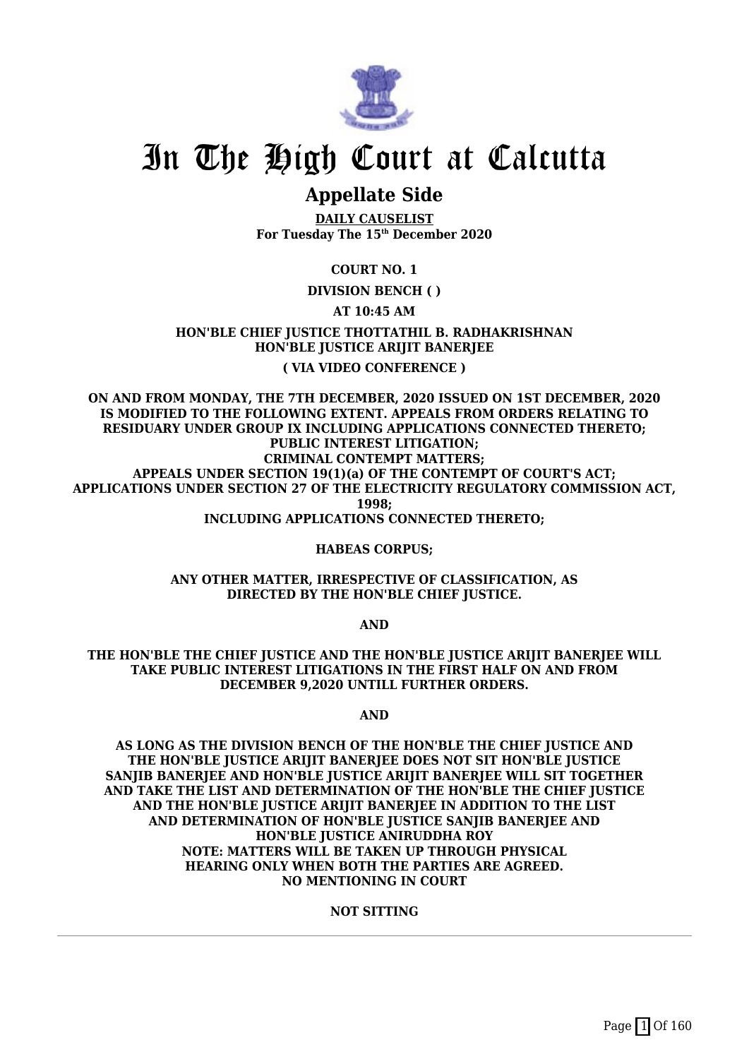

## **Appellate Side**

**DAILY CAUSELIST For Tuesday The 15th December 2020**

## **COURT NO. 1**

**DIVISION BENCH ( )**

## **AT 10:45 AM**

**HON'BLE CHIEF JUSTICE THOTTATHIL B. RADHAKRISHNAN HON'BLE JUSTICE ARIJIT BANERJEE ( VIA VIDEO CONFERENCE )**

**ON AND FROM MONDAY, THE 7TH DECEMBER, 2020 ISSUED ON 1ST DECEMBER, 2020 IS MODIFIED TO THE FOLLOWING EXTENT. APPEALS FROM ORDERS RELATING TO RESIDUARY UNDER GROUP IX INCLUDING APPLICATIONS CONNECTED THERETO; PUBLIC INTEREST LITIGATION; CRIMINAL CONTEMPT MATTERS; APPEALS UNDER SECTION 19(1)(a) OF THE CONTEMPT OF COURT'S ACT; APPLICATIONS UNDER SECTION 27 OF THE ELECTRICITY REGULATORY COMMISSION ACT, 1998;**

**INCLUDING APPLICATIONS CONNECTED THERETO;**

#### **HABEAS CORPUS;**

**ANY OTHER MATTER, IRRESPECTIVE OF CLASSIFICATION, AS DIRECTED BY THE HON'BLE CHIEF JUSTICE.**

**AND**

**THE HON'BLE THE CHIEF JUSTICE AND THE HON'BLE JUSTICE ARIJIT BANERJEE WILL TAKE PUBLIC INTEREST LITIGATIONS IN THE FIRST HALF ON AND FROM DECEMBER 9,2020 UNTILL FURTHER ORDERS.**

**AND**

**AS LONG AS THE DIVISION BENCH OF THE HON'BLE THE CHIEF JUSTICE AND THE HON'BLE JUSTICE ARIJIT BANERJEE DOES NOT SIT HON'BLE JUSTICE SANJIB BANERJEE AND HON'BLE JUSTICE ARIJIT BANERJEE WILL SIT TOGETHER AND TAKE THE LIST AND DETERMINATION OF THE HON'BLE THE CHIEF JUSTICE AND THE HON'BLE JUSTICE ARIJIT BANERJEE IN ADDITION TO THE LIST AND DETERMINATION OF HON'BLE JUSTICE SANJIB BANERJEE AND HON'BLE JUSTICE ANIRUDDHA ROY NOTE: MATTERS WILL BE TAKEN UP THROUGH PHYSICAL HEARING ONLY WHEN BOTH THE PARTIES ARE AGREED. NO MENTIONING IN COURT**

### **NOT SITTING**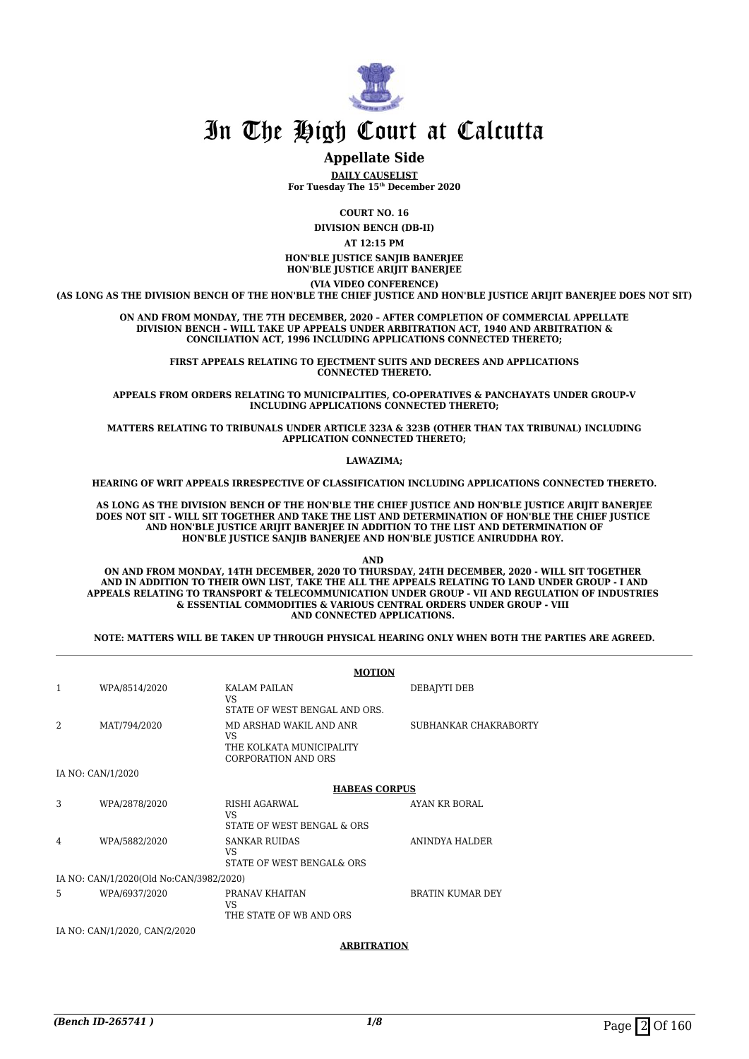

## **Appellate Side**

**DAILY CAUSELIST For Tuesday The 15th December 2020**

**COURT NO. 16**

**DIVISION BENCH (DB-II)**

**AT 12:15 PM**

**HON'BLE JUSTICE SANJIB BANERJEE HON'BLE JUSTICE ARIJIT BANERJEE**

**(VIA VIDEO CONFERENCE)**

**(AS LONG AS THE DIVISION BENCH OF THE HON'BLE THE CHIEF JUSTICE AND HON'BLE JUSTICE ARIJIT BANERJEE DOES NOT SIT)**

**ON AND FROM MONDAY, THE 7TH DECEMBER, 2020 – AFTER COMPLETION OF COMMERCIAL APPELLATE DIVISION BENCH – WILL TAKE UP APPEALS UNDER ARBITRATION ACT, 1940 AND ARBITRATION & CONCILIATION ACT, 1996 INCLUDING APPLICATIONS CONNECTED THERETO;**

> FIRST APPEALS RELATING TO EIECTMENT SUITS AND DECREES AND APPLICATIONS **CONNECTED THERETO.**

**APPEALS FROM ORDERS RELATING TO MUNICIPALITIES, CO-OPERATIVES & PANCHAYATS UNDER GROUP-V INCLUDING APPLICATIONS CONNECTED THERETO;**

**MATTERS RELATING TO TRIBUNALS UNDER ARTICLE 323A & 323B (OTHER THAN TAX TRIBUNAL) INCLUDING APPLICATION CONNECTED THERETO;**

#### **LAWAZIMA;**

**HEARING OF WRIT APPEALS IRRESPECTIVE OF CLASSIFICATION INCLUDING APPLICATIONS CONNECTED THERETO.**

**AS LONG AS THE DIVISION BENCH OF THE HON'BLE THE CHIEF JUSTICE AND HON'BLE JUSTICE ARIJIT BANERJEE DOES NOT SIT - WILL SIT TOGETHER AND TAKE THE LIST AND DETERMINATION OF HON'BLE THE CHIEF JUSTICE AND HON'BLE JUSTICE ARIJIT BANERJEE IN ADDITION TO THE LIST AND DETERMINATION OF HON'BLE JUSTICE SANJIB BANERJEE AND HON'BLE JUSTICE ANIRUDDHA ROY.** 

**AND** 

**ON AND FROM MONDAY, 14TH DECEMBER, 2020 TO THURSDAY, 24TH DECEMBER, 2020 - WILL SIT TOGETHER AND IN ADDITION TO THEIR OWN LIST, TAKE THE ALL THE APPEALS RELATING TO LAND UNDER GROUP - I AND APPEALS RELATING TO TRANSPORT & TELECOMMUNICATION UNDER GROUP - VII AND REGULATION OF INDUSTRIES & ESSENTIAL COMMODITIES & VARIOUS CENTRAL ORDERS UNDER GROUP - VIII AND CONNECTED APPLICATIONS.** 

**NOTE: MATTERS WILL BE TAKEN UP THROUGH PHYSICAL HEARING ONLY WHEN BOTH THE PARTIES ARE AGREED.**

|   |                                         | <b>MOTION</b>                                                                           |                         |
|---|-----------------------------------------|-----------------------------------------------------------------------------------------|-------------------------|
| 1 | WPA/8514/2020                           | <b>KALAM PAILAN</b><br>VS.<br>STATE OF WEST BENGAL AND ORS.                             | DEBAIYTI DEB            |
| 2 | MAT/794/2020                            | MD ARSHAD WAKIL AND ANR<br><b>VS</b><br>THE KOLKATA MUNICIPALITY<br>CORPORATION AND ORS | SUBHANKAR CHAKRABORTY   |
|   | IA NO: CAN/1/2020                       |                                                                                         |                         |
|   |                                         | <b>HABEAS CORPUS</b>                                                                    |                         |
| 3 | WPA/2878/2020                           | RISHI AGARWAL<br>VS.<br>STATE OF WEST BENGAL & ORS                                      | AYAN KR BORAL           |
| 4 | WPA/5882/2020                           | <b>SANKAR RUIDAS</b><br>VS.<br>STATE OF WEST BENGAL& ORS                                | ANINDYA HALDER          |
|   | IA NO: CAN/1/2020(Old No:CAN/3982/2020) |                                                                                         |                         |
| 5 | WPA/6937/2020                           | PRANAV KHAITAN<br>VS.<br>THE STATE OF WB AND ORS                                        | <b>BRATIN KUMAR DEY</b> |
|   | IA NO: CAN/1/2020, CAN/2/2020           |                                                                                         |                         |

**ARBITRATION**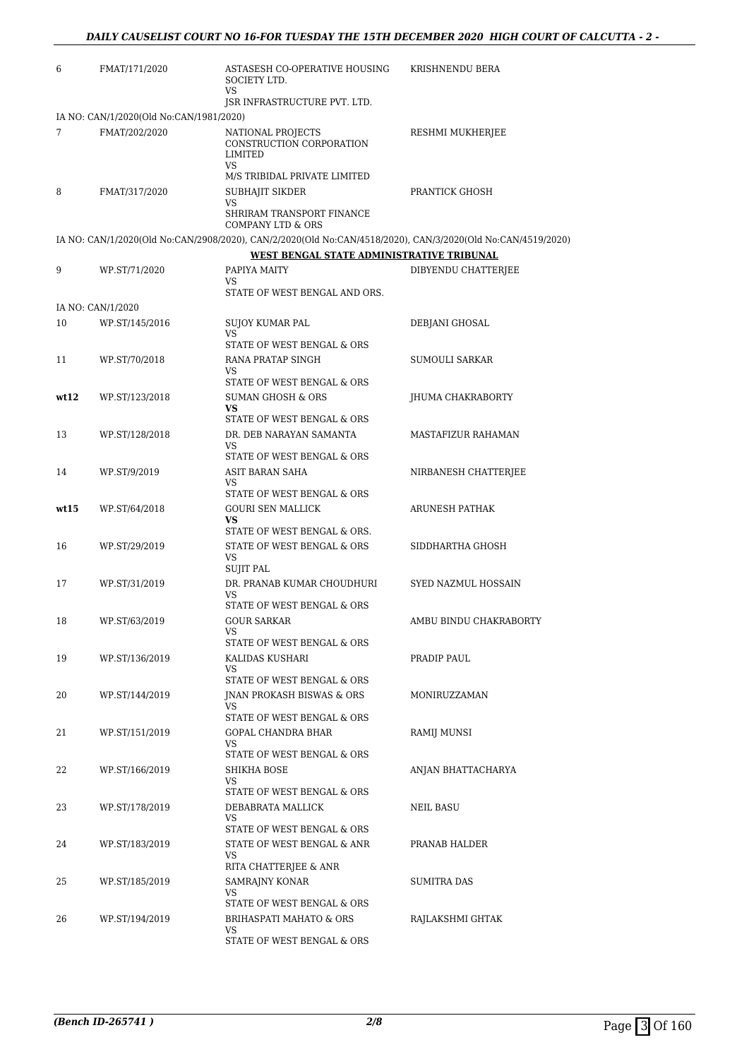| 6    | FMAT/171/2020                           | ASTASESH CO-OPERATIVE HOUSING<br>SOCIETY LTD.<br>VS                                                         | KRISHNENDU BERA        |
|------|-----------------------------------------|-------------------------------------------------------------------------------------------------------------|------------------------|
|      |                                         | JSR INFRASTRUCTURE PVT. LTD.                                                                                |                        |
|      | IA NO: CAN/1/2020(Old No:CAN/1981/2020) |                                                                                                             |                        |
| 7    | FMAT/202/2020                           | NATIONAL PROJECTS<br>CONSTRUCTION CORPORATION<br>LIMITED<br>VS                                              | RESHMI MUKHERJEE       |
|      |                                         | M/S TRIBIDAL PRIVATE LIMITED                                                                                |                        |
| 8    | FMAT/317/2020                           | SUBHAJIT SIKDER<br>VS                                                                                       | PRANTICK GHOSH         |
|      |                                         | SHRIRAM TRANSPORT FINANCE<br><b>COMPANY LTD &amp; ORS</b>                                                   |                        |
|      |                                         | IA NO: CAN/1/2020(Old No:CAN/2908/2020), CAN/2/2020(Old No:CAN/4518/2020), CAN/3/2020(Old No:CAN/4519/2020) |                        |
|      |                                         | WEST BENGAL STATE ADMINISTRATIVE TRIBUNAL                                                                   |                        |
| 9    | WP.ST/71/2020                           | PAPIYA MAITY<br>VS                                                                                          | DIBYENDU CHATTERJEE    |
|      |                                         | STATE OF WEST BENGAL AND ORS.                                                                               |                        |
|      | IA NO: CAN/1/2020                       |                                                                                                             |                        |
| 10   | WP.ST/145/2016                          | <b>SUJOY KUMAR PAL</b>                                                                                      | DEBJANI GHOSAL         |
|      |                                         | VS                                                                                                          |                        |
|      |                                         | STATE OF WEST BENGAL & ORS                                                                                  |                        |
| 11   | WP.ST/70/2018                           | RANA PRATAP SINGH<br>VS                                                                                     | SUMOULI SARKAR         |
|      |                                         | STATE OF WEST BENGAL & ORS                                                                                  |                        |
| wt12 | WP.ST/123/2018                          | <b>SUMAN GHOSH &amp; ORS</b>                                                                                | JHUMA CHAKRABORTY      |
|      |                                         | VS<br>STATE OF WEST BENGAL & ORS                                                                            |                        |
| 13   | WP.ST/128/2018                          | DR. DEB NARAYAN SAMANTA                                                                                     | MASTAFIZUR RAHAMAN     |
|      |                                         | VS                                                                                                          |                        |
|      |                                         | STATE OF WEST BENGAL & ORS                                                                                  |                        |
| 14   | WP.ST/9/2019                            | ASIT BARAN SAHA<br>VS                                                                                       | NIRBANESH CHATTERJEE   |
|      |                                         | STATE OF WEST BENGAL & ORS                                                                                  |                        |
| wt15 | WP.ST/64/2018                           | <b>GOURI SEN MALLICK</b>                                                                                    | ARUNESH PATHAK         |
|      |                                         | <b>VS</b>                                                                                                   |                        |
| 16   | WP.ST/29/2019                           | STATE OF WEST BENGAL & ORS.<br>STATE OF WEST BENGAL & ORS                                                   | SIDDHARTHA GHOSH       |
|      |                                         | VS                                                                                                          |                        |
|      |                                         | <b>SUJIT PAL</b>                                                                                            |                        |
| 17   | WP.ST/31/2019                           | DR. PRANAB KUMAR CHOUDHURI<br>VS                                                                            | SYED NAZMUL HOSSAIN    |
|      |                                         | STATE OF WEST BENGAL & ORS                                                                                  |                        |
| 18   | WP.ST/63/2019                           | <b>GOUR SARKAR</b>                                                                                          | AMBU BINDU CHAKRABORTY |
|      |                                         | VS<br>STATE OF WEST BENGAL & ORS                                                                            |                        |
| 19   | WP.ST/136/2019                          | KALIDAS KUSHARI                                                                                             | PRADIP PAUL            |
|      |                                         | VS                                                                                                          |                        |
|      |                                         | STATE OF WEST BENGAL & ORS                                                                                  |                        |
| 20   | WP.ST/144/2019                          | JNAN PROKASH BISWAS & ORS                                                                                   | MONIRUZZAMAN           |
|      |                                         | VS<br>STATE OF WEST BENGAL & ORS                                                                            |                        |
| 21   | WP.ST/151/2019                          | GOPAL CHANDRA BHAR                                                                                          | RAMIJ MUNSI            |
|      |                                         | VS.                                                                                                         |                        |
|      |                                         | STATE OF WEST BENGAL & ORS                                                                                  |                        |
| 22   | WP.ST/166/2019                          | <b>SHIKHA BOSE</b><br>VS                                                                                    | ANJAN BHATTACHARYA     |
|      |                                         | STATE OF WEST BENGAL & ORS                                                                                  |                        |
| 23   | WP.ST/178/2019                          | DEBABRATA MALLICK                                                                                           | NEIL BASU              |
|      |                                         | VS<br>STATE OF WEST BENGAL & ORS                                                                            |                        |
| 24   | WP.ST/183/2019                          | STATE OF WEST BENGAL & ANR                                                                                  | PRANAB HALDER          |
|      |                                         | VS                                                                                                          |                        |
|      |                                         | RITA CHATTERJEE & ANR                                                                                       |                        |
| 25   | WP.ST/185/2019                          | SAMRAJNY KONAR<br>VS                                                                                        | <b>SUMITRA DAS</b>     |
|      |                                         | STATE OF WEST BENGAL & ORS                                                                                  |                        |
| 26   | WP.ST/194/2019                          | BRIHASPATI MAHATO & ORS                                                                                     | RAJLAKSHMI GHTAK       |
|      |                                         | VS<br>STATE OF WEST BENGAL & ORS                                                                            |                        |
|      |                                         |                                                                                                             |                        |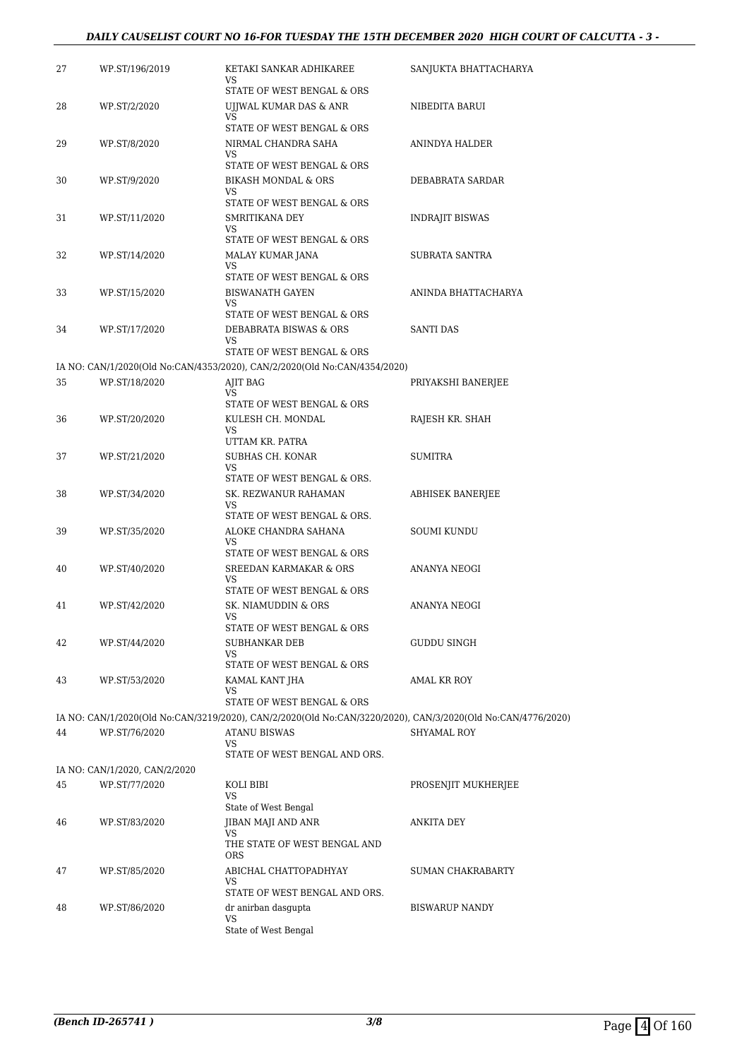## *DAILY CAUSELIST COURT NO 16-FOR TUESDAY THE 15TH DECEMBER 2020 HIGH COURT OF CALCUTTA - 3 -*

| 27 | WP.ST/196/2019                | KETAKI SANKAR ADHIKAREE<br>VS.                                                                                                     | SANJUKTA BHATTACHARYA |
|----|-------------------------------|------------------------------------------------------------------------------------------------------------------------------------|-----------------------|
| 28 | WP.ST/2/2020                  | STATE OF WEST BENGAL & ORS<br>UJJWAL KUMAR DAS & ANR<br>VS                                                                         | NIBEDITA BARUI        |
| 29 | WP.ST/8/2020                  | STATE OF WEST BENGAL & ORS<br>NIRMAL CHANDRA SAHA                                                                                  | ANINDYA HALDER        |
| 30 | WP.ST/9/2020                  | VS<br>STATE OF WEST BENGAL & ORS<br><b>BIKASH MONDAL &amp; ORS</b>                                                                 | DEBABRATA SARDAR      |
|    |                               | VS<br>STATE OF WEST BENGAL & ORS                                                                                                   |                       |
| 31 | WP.ST/11/2020                 | SMRITIKANA DEY<br>VS.<br>STATE OF WEST BENGAL & ORS                                                                                | INDRAJIT BISWAS       |
| 32 | WP.ST/14/2020                 | MALAY KUMAR JANA<br>VS.                                                                                                            | SUBRATA SANTRA        |
| 33 | WP.ST/15/2020                 | STATE OF WEST BENGAL & ORS<br><b>BISWANATH GAYEN</b><br>VS.                                                                        | ANINDA BHATTACHARYA   |
| 34 | WP.ST/17/2020                 | STATE OF WEST BENGAL & ORS<br>DEBABRATA BISWAS & ORS<br>VS                                                                         | <b>SANTI DAS</b>      |
|    |                               | STATE OF WEST BENGAL & ORS                                                                                                         |                       |
|    |                               | IA NO: CAN/1/2020(Old No:CAN/4353/2020), CAN/2/2020(Old No:CAN/4354/2020)                                                          |                       |
| 35 | WP.ST/18/2020                 | AJIT BAG<br>VS.<br>STATE OF WEST BENGAL & ORS                                                                                      | PRIYAKSHI BANERJEE    |
| 36 | WP.ST/20/2020                 | KULESH CH. MONDAL<br>VS<br>UTTAM KR. PATRA                                                                                         | RAJESH KR. SHAH       |
| 37 | WP.ST/21/2020                 | SUBHAS CH. KONAR<br>VS                                                                                                             | <b>SUMITRA</b>        |
| 38 | WP.ST/34/2020                 | STATE OF WEST BENGAL & ORS.<br>SK. REZWANUR RAHAMAN<br>VS.<br>STATE OF WEST BENGAL & ORS.                                          | ABHISEK BANERJEE      |
| 39 | WP.ST/35/2020                 | ALOKE CHANDRA SAHANA<br><b>VS</b>                                                                                                  | SOUMI KUNDU           |
| 40 | WP.ST/40/2020                 | STATE OF WEST BENGAL & ORS<br><b>SREEDAN KARMAKAR &amp; ORS</b><br>VS<br>STATE OF WEST BENGAL & ORS                                | ANANYA NEOGI          |
| 41 | WP.ST/42/2020                 | SK. NIAMUDDIN & ORS<br>VS                                                                                                          | ANANYA NEOGI          |
| 42 | WP.ST/44/2020                 | STATE OF WEST BENGAL & ORS<br><b>SUBHANKAR DEB</b><br>VS                                                                           | GUDDU SINGH           |
| 43 | WP.ST/53/2020                 | STATE OF WEST BENGAL & ORS<br>KAMAL KANT JHA<br>VS                                                                                 | AMAL KR ROY           |
|    |                               | STATE OF WEST BENGAL & ORS                                                                                                         |                       |
|    |                               | IA NO: CAN/1/2020(Old No:CAN/3219/2020), CAN/2/2020(Old No:CAN/3220/2020), CAN/3/2020(Old No:CAN/4776/2020)<br><b>ATANU BISWAS</b> | SHYAMAL ROY           |
| 44 | WP.ST/76/2020                 | VS<br>STATE OF WEST BENGAL AND ORS.                                                                                                |                       |
|    | IA NO: CAN/1/2020, CAN/2/2020 |                                                                                                                                    |                       |
| 45 | WP.ST/77/2020                 | KOLI BIBI<br><b>VS</b><br>State of West Bengal                                                                                     | PROSENJIT MUKHERJEE   |
| 46 | WP.ST/83/2020                 | JIBAN MAJI AND ANR<br>VS<br>THE STATE OF WEST BENGAL AND                                                                           | ANKITA DEY            |
| 47 | WP.ST/85/2020                 | <b>ORS</b><br>ABICHAL CHATTOPADHYAY                                                                                                | SUMAN CHAKRABARTY     |
|    |                               | VS<br>STATE OF WEST BENGAL AND ORS.                                                                                                |                       |
| 48 | WP.ST/86/2020                 | dr anirban dasgupta<br>VS<br>State of West Bengal                                                                                  | <b>BISWARUP NANDY</b> |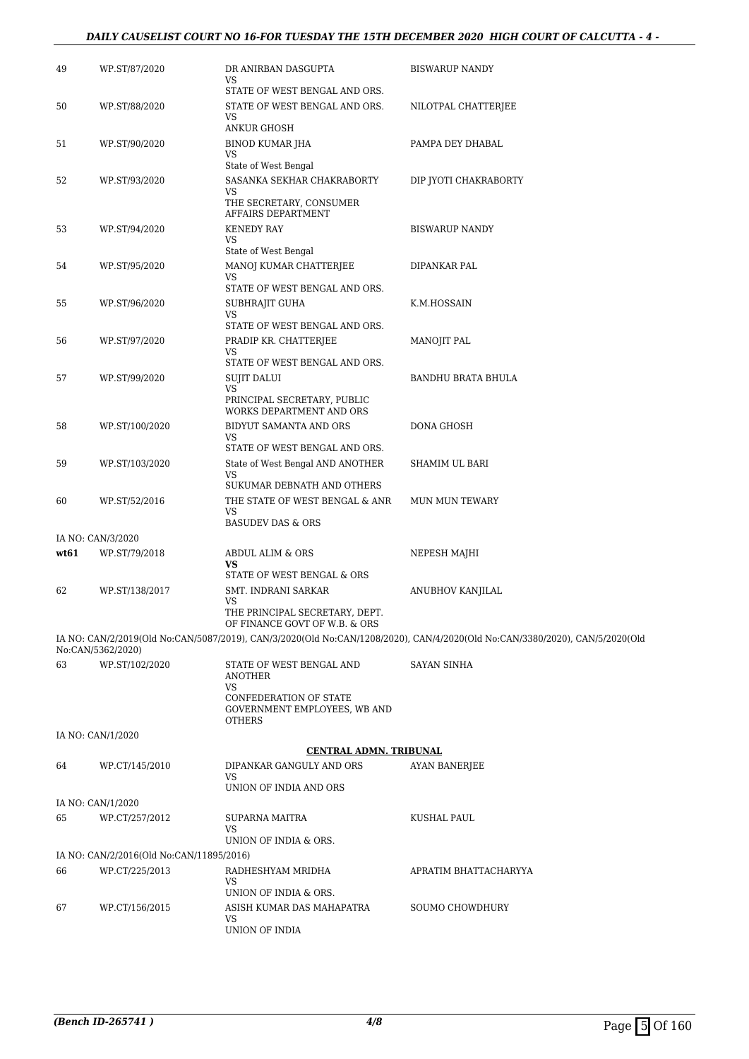## *DAILY CAUSELIST COURT NO 16-FOR TUESDAY THE 15TH DECEMBER 2020 HIGH COURT OF CALCUTTA - 4 -*

| 49   | WP.ST/87/2020                            | DR ANIRBAN DASGUPTA<br>VS                                               | <b>BISWARUP NANDY</b>                                                                                                       |
|------|------------------------------------------|-------------------------------------------------------------------------|-----------------------------------------------------------------------------------------------------------------------------|
|      |                                          | STATE OF WEST BENGAL AND ORS.                                           |                                                                                                                             |
| 50   | WP.ST/88/2020                            | STATE OF WEST BENGAL AND ORS.<br>VS                                     | NILOTPAL CHATTERJEE                                                                                                         |
|      |                                          | <b>ANKUR GHOSH</b>                                                      |                                                                                                                             |
| 51   | WP.ST/90/2020                            | <b>BINOD KUMAR JHA</b><br>VS<br>State of West Bengal                    | PAMPA DEY DHABAL                                                                                                            |
| 52   | WP.ST/93/2020                            | SASANKA SEKHAR CHAKRABORTY                                              | DIP JYOTI CHAKRABORTY                                                                                                       |
|      |                                          | VS<br>THE SECRETARY, CONSUMER<br>AFFAIRS DEPARTMENT                     |                                                                                                                             |
| 53   | WP.ST/94/2020                            | <b>KENEDY RAY</b>                                                       | <b>BISWARUP NANDY</b>                                                                                                       |
|      |                                          | VS                                                                      |                                                                                                                             |
| 54   |                                          | State of West Bengal<br>MANOJ KUMAR CHATTERJEE                          |                                                                                                                             |
|      | WP.ST/95/2020                            | VS                                                                      | DIPANKAR PAL                                                                                                                |
|      |                                          | STATE OF WEST BENGAL AND ORS.                                           |                                                                                                                             |
| 55   | WP.ST/96/2020                            | SUBHRAJIT GUHA<br>VS                                                    | K.M.HOSSAIN                                                                                                                 |
|      |                                          | STATE OF WEST BENGAL AND ORS.                                           |                                                                                                                             |
| 56   | WP.ST/97/2020                            | PRADIP KR. CHATTERJEE                                                   | <b>MANOJIT PAL</b>                                                                                                          |
|      |                                          | VS                                                                      |                                                                                                                             |
|      |                                          | STATE OF WEST BENGAL AND ORS.                                           |                                                                                                                             |
| 57   | WP.ST/99/2020                            | <b>SUJIT DALUI</b><br>VS                                                | <b>BANDHU BRATA BHULA</b>                                                                                                   |
|      |                                          | PRINCIPAL SECRETARY, PUBLIC<br>WORKS DEPARTMENT AND ORS                 |                                                                                                                             |
| 58   | WP.ST/100/2020                           | BIDYUT SAMANTA AND ORS                                                  | DONA GHOSH                                                                                                                  |
|      |                                          | <b>VS</b><br>STATE OF WEST BENGAL AND ORS.                              |                                                                                                                             |
| 59   | WP.ST/103/2020                           | State of West Bengal AND ANOTHER                                        | SHAMIM UL BARI                                                                                                              |
|      |                                          | VS                                                                      |                                                                                                                             |
|      |                                          | SUKUMAR DEBNATH AND OTHERS                                              |                                                                                                                             |
| 60   | WP.ST/52/2016                            | THE STATE OF WEST BENGAL & ANR<br><b>VS</b>                             | MUN MUN TEWARY                                                                                                              |
|      |                                          | <b>BASUDEV DAS &amp; ORS</b>                                            |                                                                                                                             |
|      | IA NO: CAN/3/2020                        |                                                                         |                                                                                                                             |
| wt61 | WP.ST/79/2018                            | ABDUL ALIM & ORS<br>VS                                                  | NEPESH MAJHI                                                                                                                |
|      |                                          | STATE OF WEST BENGAL & ORS                                              |                                                                                                                             |
| 62   | WP.ST/138/2017                           | SMT. INDRANI SARKAR                                                     | ANUBHOV KANJILAL                                                                                                            |
|      |                                          | VS<br>THE PRINCIPAL SECRETARY, DEPT.<br>OF FINANCE GOVT OF W.B. & ORS   |                                                                                                                             |
|      |                                          |                                                                         | IA NO: CAN/2/2019(Old No:CAN/5087/2019), CAN/3/2020(Old No:CAN/1208/2020), CAN/4/2020(Old No:CAN/3380/2020), CAN/5/2020(Old |
|      | No:CAN/5362/2020)                        |                                                                         |                                                                                                                             |
| 63   | WP.ST/102/2020                           | STATE OF WEST BENGAL AND<br>ANOTHER<br><b>VS</b>                        | <b>SAYAN SINHA</b>                                                                                                          |
|      |                                          | CONFEDERATION OF STATE<br>GOVERNMENT EMPLOYEES, WB AND<br><b>OTHERS</b> |                                                                                                                             |
|      | IA NO: CAN/1/2020                        |                                                                         |                                                                                                                             |
|      |                                          | <b>CENTRAL ADMN. TRIBUNAL</b>                                           |                                                                                                                             |
| 64   | WP.CT/145/2010                           | DIPANKAR GANGULY AND ORS<br>VS                                          | <b>AYAN BANERJEE</b>                                                                                                        |
|      |                                          | UNION OF INDIA AND ORS                                                  |                                                                                                                             |
|      | IA NO: CAN/1/2020                        |                                                                         |                                                                                                                             |
| 65   | WP.CT/257/2012                           | SUPARNA MAITRA<br>VS                                                    | KUSHAL PAUL                                                                                                                 |
|      |                                          | UNION OF INDIA & ORS.                                                   |                                                                                                                             |
|      | IA NO: CAN/2/2016(Old No:CAN/11895/2016) |                                                                         |                                                                                                                             |
| 66   | WP.CT/225/2013                           | RADHESHYAM MRIDHA<br>VS                                                 | APRATIM BHATTACHARYYA                                                                                                       |
|      |                                          | UNION OF INDIA & ORS.                                                   |                                                                                                                             |
| 67   | WP.CT/156/2015                           | ASISH KUMAR DAS MAHAPATRA                                               | SOUMO CHOWDHURY                                                                                                             |
|      |                                          | VS<br>UNION OF INDIA                                                    |                                                                                                                             |
|      |                                          |                                                                         |                                                                                                                             |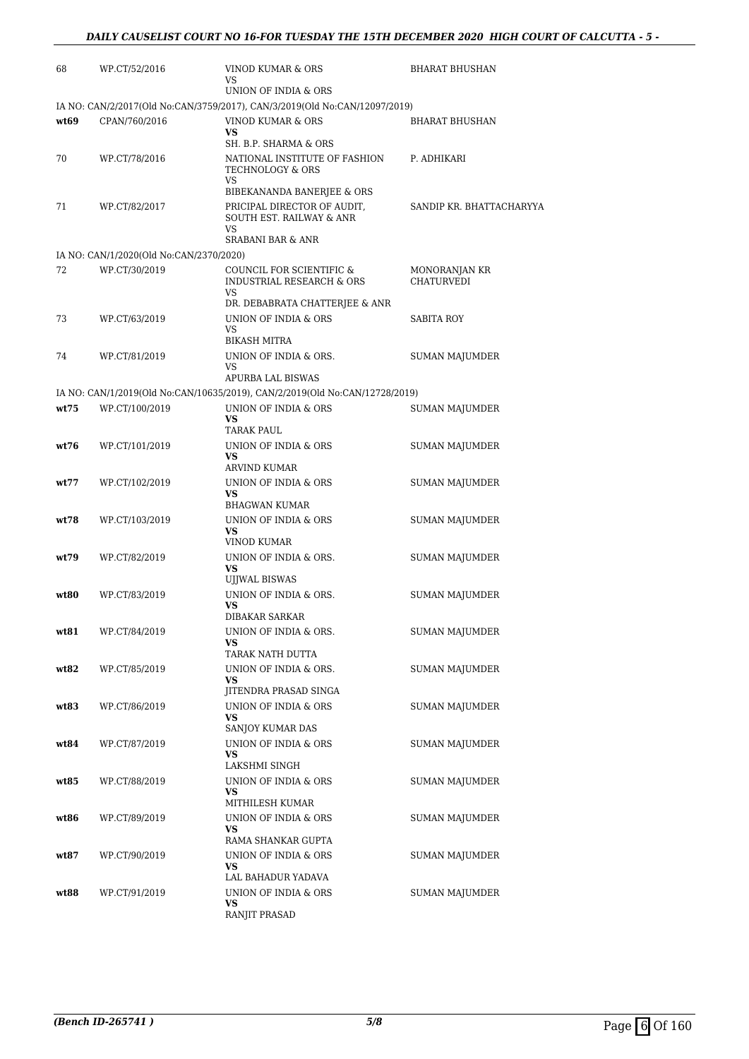| 68    | WP.CT/52/2016                           | VINOD KUMAR & ORS<br>VS                                                     | <b>BHARAT BHUSHAN</b>    |
|-------|-----------------------------------------|-----------------------------------------------------------------------------|--------------------------|
|       |                                         | UNION OF INDIA & ORS                                                        |                          |
|       |                                         | IA NO: CAN/2/2017(Old No:CAN/3759/2017), CAN/3/2019(Old No:CAN/12097/2019)  |                          |
| wt69  | CPAN/760/2016                           | VINOD KUMAR & ORS                                                           | <b>BHARAT BHUSHAN</b>    |
|       |                                         | <b>VS</b><br>SH. B.P. SHARMA & ORS                                          |                          |
| 70    | WP.CT/78/2016                           | NATIONAL INSTITUTE OF FASHION                                               | P. ADHIKARI              |
|       |                                         | TECHNOLOGY & ORS                                                            |                          |
|       |                                         | VS<br>BIBEKANANDA BANERJEE & ORS                                            |                          |
| 71    | WP.CT/82/2017                           | PRICIPAL DIRECTOR OF AUDIT,                                                 | SANDIP KR. BHATTACHARYYA |
|       |                                         | SOUTH EST. RAILWAY & ANR                                                    |                          |
|       |                                         | <b>VS</b><br><b>SRABANI BAR &amp; ANR</b>                                   |                          |
|       | IA NO: CAN/1/2020(Old No:CAN/2370/2020) |                                                                             |                          |
| 72    | WP.CT/30/2019                           | COUNCIL FOR SCIENTIFIC &                                                    | MONORANJAN KR            |
|       |                                         | INDUSTRIAL RESEARCH & ORS<br>VS                                             | <b>CHATURVEDI</b>        |
|       |                                         | DR. DEBABRATA CHATTERJEE & ANR                                              |                          |
| 73    | WP.CT/63/2019                           | UNION OF INDIA & ORS                                                        | SABITA ROY               |
|       |                                         | VS<br><b>BIKASH MITRA</b>                                                   |                          |
| 74    | WP.CT/81/2019                           | UNION OF INDIA & ORS.                                                       | <b>SUMAN MAJUMDER</b>    |
|       |                                         | VS<br>APURBA LAL BISWAS                                                     |                          |
|       |                                         | IA NO: CAN/1/2019(Old No:CAN/10635/2019), CAN/2/2019(Old No:CAN/12728/2019) |                          |
| wt.75 | WP.CT/100/2019                          | UNION OF INDIA & ORS                                                        | <b>SUMAN MAJUMDER</b>    |
|       |                                         | <b>VS</b>                                                                   |                          |
| wt76  |                                         | TARAK PAUL<br>UNION OF INDIA & ORS                                          |                          |
|       | WP.CT/101/2019                          | <b>VS</b>                                                                   | SUMAN MAJUMDER           |
|       |                                         | ARVIND KUMAR                                                                |                          |
| wt77  | WP.CT/102/2019                          | UNION OF INDIA & ORS<br><b>VS</b>                                           | <b>SUMAN MAJUMDER</b>    |
|       |                                         | BHAGWAN KUMAR                                                               |                          |
| wt78  | WP.CT/103/2019                          | UNION OF INDIA & ORS                                                        | SUMAN MAJUMDER           |
|       |                                         | <b>VS</b><br>VINOD KUMAR                                                    |                          |
| wt79  | WP.CT/82/2019                           | UNION OF INDIA & ORS.                                                       | <b>SUMAN MAJUMDER</b>    |
|       |                                         | <b>VS</b><br><b>UJJWAL BISWAS</b>                                           |                          |
| wt80  | WP.CT/83/2019                           | UNION OF INDIA & ORS.                                                       | <b>SUMAN MAJUMDER</b>    |
|       |                                         | <b>VS</b>                                                                   |                          |
|       |                                         | <b>DIBAKAR SARKAR</b>                                                       |                          |
| wt81  | WP.CT/84/2019                           | UNION OF INDIA & ORS.<br><b>VS</b>                                          | <b>SUMAN MAJUMDER</b>    |
|       |                                         | TARAK NATH DUTTA                                                            |                          |
| wt82  | WP.CT/85/2019                           | UNION OF INDIA & ORS.                                                       | <b>SUMAN MAJUMDER</b>    |
|       |                                         | VS.<br>JITENDRA PRASAD SINGA                                                |                          |
| wt83  | WP.CT/86/2019                           | UNION OF INDIA & ORS                                                        | SUMAN MAJUMDER           |
|       |                                         | <b>VS</b><br>SANJOY KUMAR DAS                                               |                          |
| wt84  | WP.CT/87/2019                           | UNION OF INDIA & ORS                                                        | <b>SUMAN MAJUMDER</b>    |
|       |                                         | VS.                                                                         |                          |
|       |                                         | LAKSHMI SINGH                                                               |                          |
| wt85  | WP.CT/88/2019                           | UNION OF INDIA & ORS<br>VS                                                  | SUMAN MAJUMDER           |
|       |                                         | MITHILESH KUMAR                                                             |                          |
| wt86  | WP.CT/89/2019                           | UNION OF INDIA & ORS                                                        | SUMAN MAJUMDER           |
|       |                                         | VS<br>RAMA SHANKAR GUPTA                                                    |                          |
| wt87  | WP.CT/90/2019                           | UNION OF INDIA & ORS                                                        | SUMAN MAJUMDER           |
|       |                                         | VS<br>LAL BAHADUR YADAVA                                                    |                          |
| wt88  | WP.CT/91/2019                           | UNION OF INDIA & ORS                                                        | SUMAN MAJUMDER           |
|       |                                         | VS                                                                          |                          |
|       |                                         | RANJIT PRASAD                                                               |                          |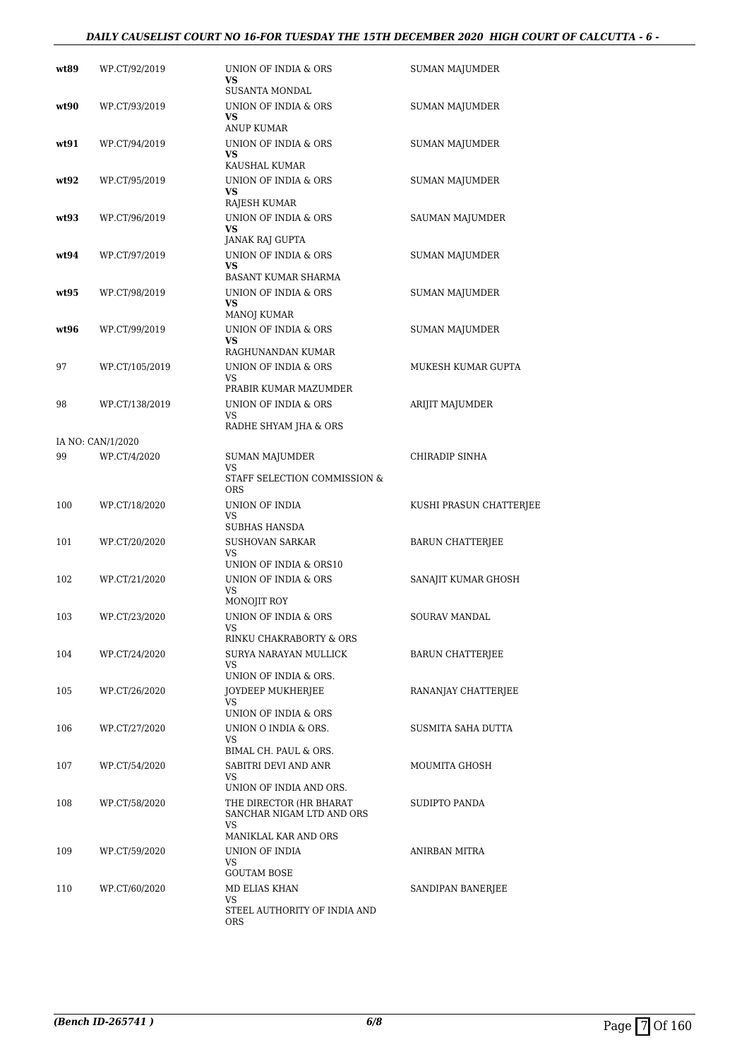## *DAILY CAUSELIST COURT NO 16-FOR TUESDAY THE 15TH DECEMBER 2020 HIGH COURT OF CALCUTTA - 6 -*

| wt89 | WP.CT/92/2019     | UNION OF INDIA & ORS<br>VS                                                                   | <b>SUMAN MAJUMDER</b>   |
|------|-------------------|----------------------------------------------------------------------------------------------|-------------------------|
| wt90 | WP.CT/93/2019     | SUSANTA MONDAL<br>UNION OF INDIA & ORS<br><b>VS</b>                                          | <b>SUMAN MAJUMDER</b>   |
| wt91 | WP.CT/94/2019     | ANUP KUMAR<br>UNION OF INDIA & ORS<br><b>VS</b>                                              | <b>SUMAN MAJUMDER</b>   |
| wt92 | WP.CT/95/2019     | KAUSHAL KUMAR<br>UNION OF INDIA & ORS<br><b>VS</b>                                           | <b>SUMAN MAJUMDER</b>   |
| wt93 | WP.CT/96/2019     | <b>RAJESH KUMAR</b><br>UNION OF INDIA & ORS<br><b>VS</b>                                     | SAUMAN MAJUMDER         |
| wt94 | WP.CT/97/2019     | JANAK RAJ GUPTA<br>UNION OF INDIA & ORS<br><b>VS</b><br>BASANT KUMAR SHARMA                  | <b>SUMAN MAJUMDER</b>   |
| wt95 | WP.CT/98/2019     | UNION OF INDIA & ORS<br>VS                                                                   | <b>SUMAN MAJUMDER</b>   |
| wt96 | WP.CT/99/2019     | <b>MANOJ KUMAR</b><br>UNION OF INDIA & ORS<br>VS                                             | <b>SUMAN MAJUMDER</b>   |
| 97   | WP.CT/105/2019    | RAGHUNANDAN KUMAR<br>UNION OF INDIA & ORS<br>VS                                              | MUKESH KUMAR GUPTA      |
| 98   | WP.CT/138/2019    | PRABIR KUMAR MAZUMDER<br>UNION OF INDIA & ORS<br>VS<br>RADHE SHYAM JHA & ORS                 | ARIJIT MAJUMDER         |
|      | IA NO: CAN/1/2020 |                                                                                              |                         |
| 99   | WP.CT/4/2020      | <b>SUMAN MAJUMDER</b><br>VS<br>STAFF SELECTION COMMISSION &                                  | CHIRADIP SINHA          |
|      |                   | ORS                                                                                          |                         |
| 100  | WP.CT/18/2020     | UNION OF INDIA<br><b>VS</b><br>SUBHAS HANSDA                                                 | KUSHI PRASUN CHATTERJEE |
| 101  | WP.CT/20/2020     | <b>SUSHOVAN SARKAR</b><br>VS<br>UNION OF INDIA & ORS10                                       | <b>BARUN CHATTERJEE</b> |
| 102  | WP.CT/21/2020     | UNION OF INDIA & ORS<br><b>VS</b><br>MONOJIT ROY                                             | SANAJIT KUMAR GHOSH     |
| 103  | WP.CT/23/2020     | UNION OF INDIA & ORS<br>VS<br>RINKU CHAKRABORTY & ORS                                        | SOURAV MANDAL           |
| 104  | WP.CT/24/2020     | SURYA NARAYAN MULLICK<br>VS                                                                  | <b>BARUN CHATTERIEE</b> |
| 105  | WP.CT/26/2020     | UNION OF INDIA & ORS.<br>JOYDEEP MUKHERJEE<br>VS.                                            | RANANJAY CHATTERJEE     |
| 106  | WP.CT/27/2020     | UNION OF INDIA & ORS<br>UNION O INDIA & ORS.<br>VS.                                          | SUSMITA SAHA DUTTA      |
| 107  | WP.CT/54/2020     | BIMAL CH. PAUL & ORS.<br>SABITRI DEVI AND ANR<br>VS                                          | MOUMITA GHOSH           |
| 108  | WP.CT/58/2020     | UNION OF INDIA AND ORS.<br>THE DIRECTOR (HR BHARAT<br>SANCHAR NIGAM LTD AND ORS<br><b>VS</b> | SUDIPTO PANDA           |
| 109  | WP.CT/59/2020     | MANIKLAL KAR AND ORS<br>UNION OF INDIA<br>VS.                                                | ANIRBAN MITRA           |
| 110  | WP.CT/60/2020     | <b>GOUTAM BOSE</b><br>MD ELIAS KHAN<br>VS<br>STEEL AUTHORITY OF INDIA AND<br>ORS             | SANDIPAN BANERJEE       |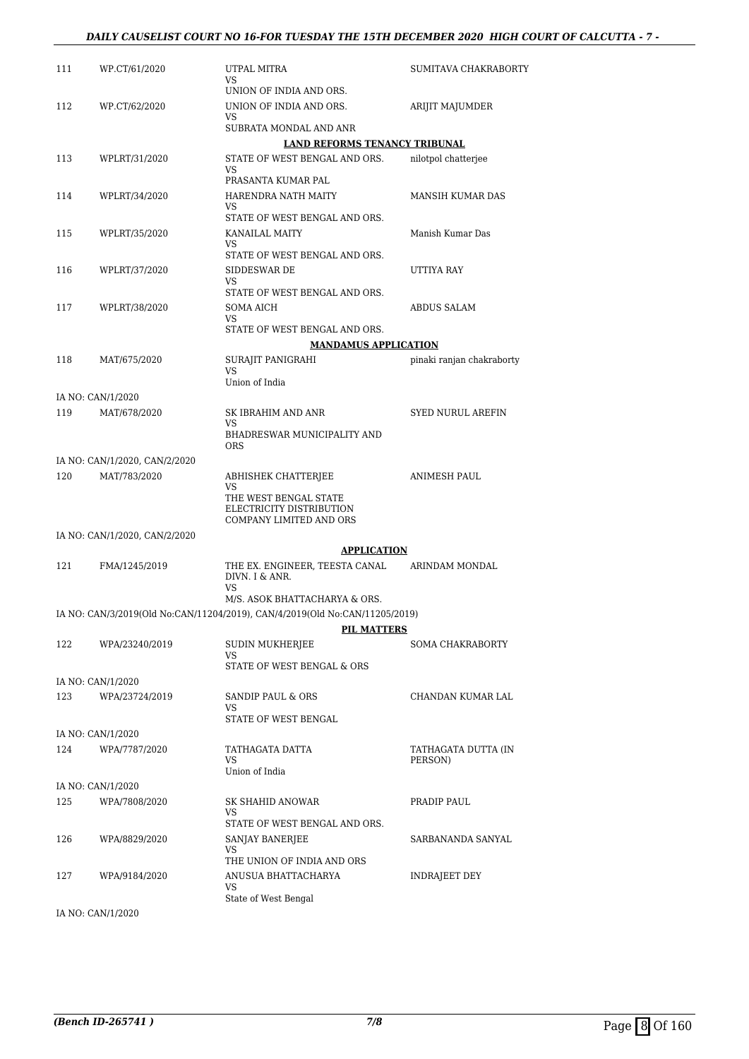| 111 | WP.CT/61/2020                 | UTPAL MITRA<br>VS.                                                          | SUMITAVA CHAKRABORTY           |
|-----|-------------------------------|-----------------------------------------------------------------------------|--------------------------------|
| 112 | WP.CT/62/2020                 | UNION OF INDIA AND ORS.<br>UNION OF INDIA AND ORS.<br>VS.                   | ARIJIT MAJUMDER                |
|     |                               | SUBRATA MONDAL AND ANR                                                      |                                |
|     |                               | <b>LAND REFORMS TENANCY TRIBUNAL</b>                                        |                                |
| 113 | WPLRT/31/2020                 | STATE OF WEST BENGAL AND ORS.<br>VS.<br>PRASANTA KUMAR PAL                  | nilotpol chatterjee            |
| 114 | WPLRT/34/2020                 | HARENDRA NATH MAITY<br>VS                                                   | MANSIH KUMAR DAS               |
| 115 | WPLRT/35/2020                 | STATE OF WEST BENGAL AND ORS.<br>KANAILAL MAITY<br>VS                       | Manish Kumar Das               |
| 116 | WPLRT/37/2020                 | STATE OF WEST BENGAL AND ORS.<br>SIDDESWAR DE<br>VS.                        | UTTIYA RAY                     |
| 117 | WPLRT/38/2020                 | STATE OF WEST BENGAL AND ORS.<br>SOMA AICH<br>VS                            | ABDUS SALAM                    |
|     |                               | STATE OF WEST BENGAL AND ORS.                                               |                                |
|     |                               | <b>MANDAMUS APPLICATION</b>                                                 |                                |
| 118 | MAT/675/2020                  | SURAJIT PANIGRAHI<br>VS<br>Union of India                                   | pinaki ranjan chakraborty      |
|     | IA NO: CAN/1/2020             |                                                                             |                                |
| 119 | MAT/678/2020                  | SK IBRAHIM AND ANR<br>VS                                                    | <b>SYED NURUL AREFIN</b>       |
|     |                               | BHADRESWAR MUNICIPALITY AND<br><b>ORS</b>                                   |                                |
|     | IA NO: CAN/1/2020, CAN/2/2020 |                                                                             |                                |
| 120 | MAT/783/2020                  | ABHISHEK CHATTERJEE<br><b>VS</b><br>THE WEST BENGAL STATE                   | ANIMESH PAUL                   |
|     |                               | ELECTRICITY DISTRIBUTION<br>COMPANY LIMITED AND ORS                         |                                |
|     | IA NO: CAN/1/2020, CAN/2/2020 |                                                                             |                                |
| 121 | FMA/1245/2019                 | <b>APPLICATION</b><br>THE EX. ENGINEER, TEESTA CANAL<br>DIVN. I & ANR.      | ARINDAM MONDAL                 |
|     |                               | VS<br>M/S. ASOK BHATTACHARYA & ORS.                                         |                                |
|     |                               | IA NO: CAN/3/2019(Old No:CAN/11204/2019), CAN/4/2019(Old No:CAN/11205/2019) |                                |
|     |                               | <b>PIL MATTERS</b>                                                          |                                |
| 122 | WPA/23240/2019                | SUDIN MUKHERJEE<br>VS                                                       | <b>SOMA CHAKRABORTY</b>        |
|     | IA NO: CAN/1/2020             | STATE OF WEST BENGAL & ORS                                                  |                                |
| 123 | WPA/23724/2019                | SANDIP PAUL & ORS<br>VS.                                                    | CHANDAN KUMAR LAL              |
|     |                               | STATE OF WEST BENGAL                                                        |                                |
|     | IA NO: CAN/1/2020             |                                                                             |                                |
| 124 | WPA/7787/2020                 | TATHAGATA DATTA<br>VS.<br>Union of India                                    | TATHAGATA DUTTA (IN<br>PERSON) |
|     | IA NO: CAN/1/2020             |                                                                             |                                |
| 125 | WPA/7808/2020                 | SK SHAHID ANOWAR<br>VS.                                                     | PRADIP PAUL                    |
| 126 | WPA/8829/2020                 | STATE OF WEST BENGAL AND ORS.<br>SANJAY BANERJEE<br>VS                      | SARBANANDA SANYAL              |
| 127 | WPA/9184/2020                 | THE UNION OF INDIA AND ORS<br>ANUSUA BHATTACHARYA<br>VS                     | INDRAJEET DEY                  |
|     |                               | State of West Bengal                                                        |                                |

IA NO: CAN/1/2020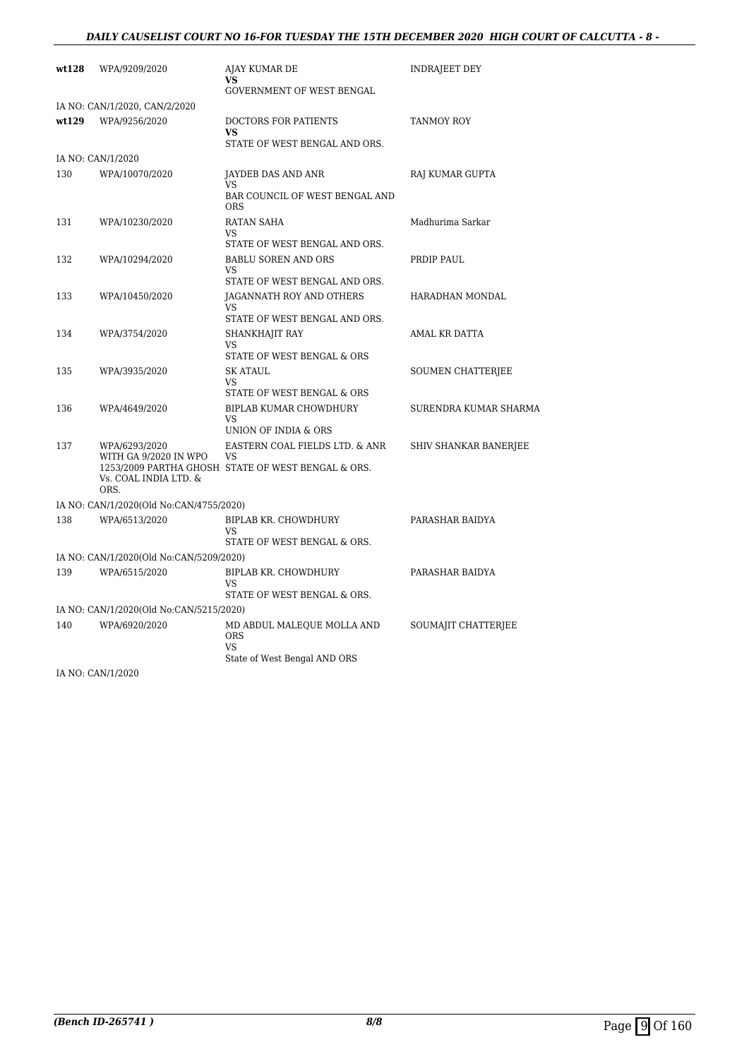## *DAILY CAUSELIST COURT NO 16-FOR TUESDAY THE 15TH DECEMBER 2020 HIGH COURT OF CALCUTTA - 8 -*

| wt128 | WPA/9209/2020                                                           | AJAY KUMAR DE<br>VS<br><b>GOVERNMENT OF WEST BENGAL</b>                                           | INDRAJEET DEY         |
|-------|-------------------------------------------------------------------------|---------------------------------------------------------------------------------------------------|-----------------------|
|       | IA NO: CAN/1/2020, CAN/2/2020                                           |                                                                                                   |                       |
| wt129 | WPA/9256/2020                                                           | DOCTORS FOR PATIENTS<br>VS.<br>STATE OF WEST BENGAL AND ORS.                                      | TANMOY ROY            |
|       | IA NO: CAN/1/2020                                                       |                                                                                                   |                       |
| 130   | WPA/10070/2020                                                          | JAYDEB DAS AND ANR<br>VS<br>BAR COUNCIL OF WEST BENGAL AND<br><b>ORS</b>                          | RAJ KUMAR GUPTA       |
| 131   | WPA/10230/2020                                                          | RATAN SAHA<br>VS                                                                                  | Madhurima Sarkar      |
| 132   | WPA/10294/2020                                                          | STATE OF WEST BENGAL AND ORS.<br><b>BABLU SOREN AND ORS</b><br><b>VS</b>                          | PRDIP PAUL            |
| 133   | WPA/10450/2020                                                          | STATE OF WEST BENGAL AND ORS.<br>JAGANNATH ROY AND OTHERS<br>VS                                   | HARADHAN MONDAL       |
| 134   | WPA/3754/2020                                                           | STATE OF WEST BENGAL AND ORS.<br>SHANKHAJIT RAY<br><b>VS</b>                                      | AMAL KR DATTA         |
| 135   | WPA/3935/2020                                                           | STATE OF WEST BENGAL & ORS<br><b>SK ATAUL</b><br>VS                                               | SOUMEN CHATTERJEE     |
| 136   | WPA/4649/2020                                                           | STATE OF WEST BENGAL & ORS<br>BIPLAB KUMAR CHOWDHURY<br><b>VS</b><br>UNION OF INDIA & ORS         | SURENDRA KUMAR SHARMA |
| 137   | WPA/6293/2020<br>WITH GA 9/2020 IN WPO<br>Vs. COAL INDIA LTD. &<br>ORS. | EASTERN COAL FIELDS LTD. & ANR<br><b>VS</b><br>1253/2009 PARTHA GHOSH STATE OF WEST BENGAL & ORS. | SHIV SHANKAR BANERJEE |
|       | IA NO: CAN/1/2020(Old No:CAN/4755/2020)                                 |                                                                                                   |                       |
| 138   | WPA/6513/2020                                                           | BIPLAB KR. CHOWDHURY<br><b>VS</b><br>STATE OF WEST BENGAL & ORS.                                  | PARASHAR BAIDYA       |
|       | IA NO: CAN/1/2020(Old No:CAN/5209/2020)                                 |                                                                                                   |                       |
| 139   | WPA/6515/2020                                                           | BIPLAB KR. CHOWDHURY<br>VS<br>STATE OF WEST BENGAL & ORS.                                         | PARASHAR BAIDYA       |
|       | IA NO: CAN/1/2020(Old No:CAN/5215/2020)                                 |                                                                                                   |                       |
| 140   | WPA/6920/2020                                                           | MD ABDUL MALEQUE MOLLA AND<br><b>ORS</b><br><b>VS</b><br>State of West Bengal AND ORS             | SOUMAJIT CHATTERJEE   |

IA NO: CAN/1/2020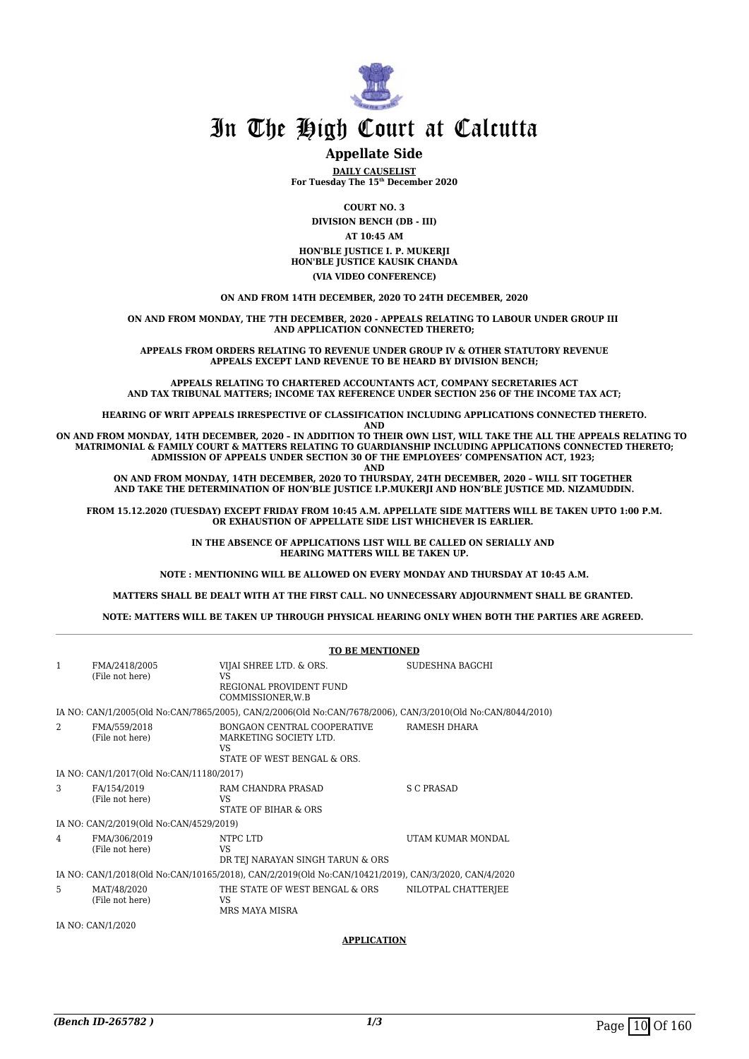

## **Appellate Side**

**DAILY CAUSELIST For Tuesday The 15th December 2020**

**COURT NO. 3**

**DIVISION BENCH (DB - III) AT 10:45 AM HON'BLE JUSTICE I. P. MUKERJI**

**HON'BLE JUSTICE KAUSIK CHANDA (VIA VIDEO CONFERENCE)**

**ON AND FROM 14TH DECEMBER, 2020 TO 24TH DECEMBER, 2020**

**ON AND FROM MONDAY, THE 7TH DECEMBER, 2020 - APPEALS RELATING TO LABOUR UNDER GROUP III AND APPLICATION CONNECTED THERETO;**

**APPEALS FROM ORDERS RELATING TO REVENUE UNDER GROUP IV & OTHER STATUTORY REVENUE APPEALS EXCEPT LAND REVENUE TO BE HEARD BY DIVISION BENCH;**

**APPEALS RELATING TO CHARTERED ACCOUNTANTS ACT, COMPANY SECRETARIES ACT AND TAX TRIBUNAL MATTERS; INCOME TAX REFERENCE UNDER SECTION 256 OF THE INCOME TAX ACT;**

**HEARING OF WRIT APPEALS IRRESPECTIVE OF CLASSIFICATION INCLUDING APPLICATIONS CONNECTED THERETO.**

**AND**

**ON AND FROM MONDAY, 14TH DECEMBER, 2020 – IN ADDITION TO THEIR OWN LIST, WILL TAKE THE ALL THE APPEALS RELATING TO MATRIMONIAL & FAMILY COURT & MATTERS RELATING TO GUARDIANSHIP INCLUDING APPLICATIONS CONNECTED THERETO; ADMISSION OF APPEALS UNDER SECTION 30 OF THE EMPLOYEES' COMPENSATION ACT, 1923; AND**

**ON AND FROM MONDAY, 14TH DECEMBER, 2020 TO THURSDAY, 24TH DECEMBER, 2020 – WILL SIT TOGETHER AND TAKE THE DETERMINATION OF HON'BLE JUSTICE I.P.MUKERJI AND HON'BLE JUSTICE MD. NIZAMUDDIN.**

**FROM 15.12.2020 (TUESDAY) EXCEPT FRIDAY FROM 10:45 A.M. APPELLATE SIDE MATTERS WILL BE TAKEN UPTO 1:00 P.M. OR EXHAUSTION OF APPELLATE SIDE LIST WHICHEVER IS EARLIER.** 

> **IN THE ABSENCE OF APPLICATIONS LIST WILL BE CALLED ON SERIALLY AND HEARING MATTERS WILL BE TAKEN UP.**

**NOTE : MENTIONING WILL BE ALLOWED ON EVERY MONDAY AND THURSDAY AT 10:45 A.M.**

**MATTERS SHALL BE DEALT WITH AT THE FIRST CALL. NO UNNECESSARY ADJOURNMENT SHALL BE GRANTED.** 

**NOTE: MATTERS WILL BE TAKEN UP THROUGH PHYSICAL HEARING ONLY WHEN BOTH THE PARTIES ARE AGREED.** 

|                |                                          | <b>TO BE MENTIONED</b>                                                                                      |                          |  |  |
|----------------|------------------------------------------|-------------------------------------------------------------------------------------------------------------|--------------------------|--|--|
| 1              | FMA/2418/2005<br>(File not here)         | VIJAI SHREE LTD. & ORS.<br>VS<br>REGIONAL PROVIDENT FUND<br>COMMISSIONER.W.B                                | SUDESHNA BAGCHI          |  |  |
|                |                                          | IA NO: CAN/1/2005(Old No:CAN/7865/2005), CAN/2/2006(Old No:CAN/7678/2006), CAN/3/2010(Old No:CAN/8044/2010) |                          |  |  |
| $\mathfrak{D}$ | FMA/559/2018<br>(File not here)          | BONGAON CENTRAL COOPERATIVE<br>MARKETING SOCIETY LTD.<br><b>VS</b><br>STATE OF WEST BENGAL & ORS.           | RAMESH DHARA             |  |  |
|                | IA NO: CAN/1/2017(Old No:CAN/11180/2017) |                                                                                                             |                          |  |  |
| 3              | FA/154/2019<br>(File not here)           | RAM CHANDRA PRASAD<br>VS.<br>STATE OF BIHAR & ORS                                                           | S C PRASAD               |  |  |
|                | IA NO: CAN/2/2019(Old No:CAN/4529/2019)  |                                                                                                             |                          |  |  |
| 4              | FMA/306/2019<br>(File not here)          | NTPC LTD<br><b>VS</b><br>DR TEJ NARAYAN SINGH TARUN & ORS                                                   | <b>UTAM KUMAR MONDAL</b> |  |  |
|                |                                          | IA NO: CAN/1/2018(Old No:CAN/10165/2018), CAN/2/2019(Old No:CAN/10421/2019), CAN/3/2020, CAN/4/2020         |                          |  |  |
| 5              | MAT/48/2020<br>(File not here)           | THE STATE OF WEST BENGAL & ORS<br><b>VS</b><br>MRS MAYA MISRA                                               | NILOTPAL CHATTERJEE      |  |  |
|                | IA NO: CAN/1/2020                        |                                                                                                             |                          |  |  |
|                |                                          | <b>APPLICATION</b>                                                                                          |                          |  |  |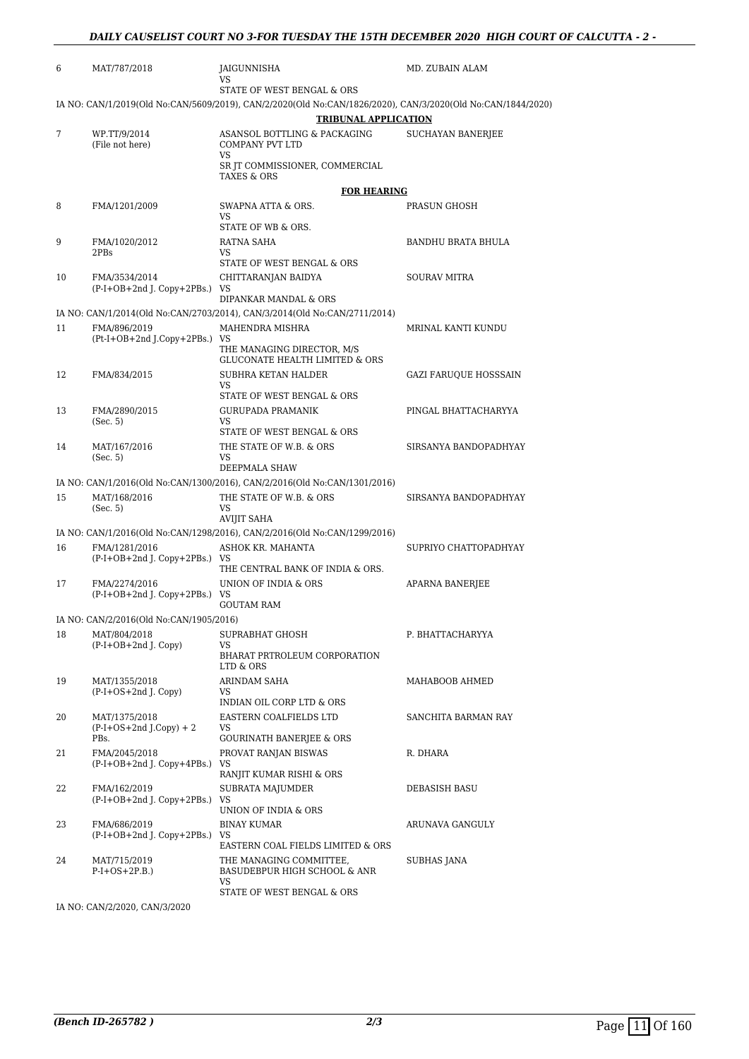| 6  | MAT/787/2018                                   | JAIGUNNISHA<br>VS                                                                                                                          | MD. ZUBAIN ALAM              |
|----|------------------------------------------------|--------------------------------------------------------------------------------------------------------------------------------------------|------------------------------|
|    |                                                | STATE OF WEST BENGAL & ORS                                                                                                                 |                              |
|    |                                                | IA NO: CAN/1/2019(Old No:CAN/5609/2019), CAN/2/2020(Old No:CAN/1826/2020), CAN/3/2020(Old No:CAN/1844/2020)<br><b>TRIBUNAL APPLICATION</b> |                              |
| 7  | WP.TT/9/2014<br>(File not here)                | ASANSOL BOTTLING & PACKAGING<br><b>COMPANY PVT LTD</b><br>VS                                                                               | <b>SUCHAYAN BANERJEE</b>     |
|    |                                                | SR JT COMMISSIONER, COMMERCIAL<br><b>TAXES &amp; ORS</b>                                                                                   |                              |
|    |                                                | <b>FOR HEARING</b>                                                                                                                         |                              |
| 8  | FMA/1201/2009                                  | SWAPNA ATTA & ORS.<br>VS                                                                                                                   | PRASUN GHOSH                 |
|    |                                                | STATE OF WB & ORS.                                                                                                                         |                              |
| 9  | FMA/1020/2012<br>2PBs                          | RATNA SAHA<br>VS.<br>STATE OF WEST BENGAL & ORS                                                                                            | BANDHU BRATA BHULA           |
| 10 | FMA/3534/2014<br>(P-I+OB+2nd J. Copy+2PBs.) VS | CHITTARANJAN BAIDYA                                                                                                                        | <b>SOURAV MITRA</b>          |
|    |                                                | DIPANKAR MANDAL & ORS                                                                                                                      |                              |
|    |                                                | IA NO: CAN/1/2014(Old No:CAN/2703/2014), CAN/3/2014(Old No:CAN/2711/2014)                                                                  |                              |
| 11 | FMA/896/2019<br>(Pt-I+OB+2nd J.Copy+2PBs.) VS  | MAHENDRA MISHRA                                                                                                                            | MRINAL KANTI KUNDU           |
|    |                                                | THE MANAGING DIRECTOR, M/S<br><b>GLUCONATE HEALTH LIMITED &amp; ORS</b>                                                                    |                              |
| 12 | FMA/834/2015                                   | SUBHRA KETAN HALDER                                                                                                                        | <b>GAZI FARUQUE HOSSSAIN</b> |
|    |                                                | VS<br>STATE OF WEST BENGAL & ORS                                                                                                           |                              |
| 13 | FMA/2890/2015                                  | GURUPADA PRAMANIK                                                                                                                          | PINGAL BHATTACHARYYA         |
|    | (Sec. 5)                                       | VS                                                                                                                                         |                              |
|    |                                                | STATE OF WEST BENGAL & ORS<br>THE STATE OF W.B. & ORS                                                                                      |                              |
| 14 | MAT/167/2016<br>(Sec. 5)                       | VS                                                                                                                                         | SIRSANYA BANDOPADHYAY        |
|    |                                                | DEEPMALA SHAW                                                                                                                              |                              |
|    |                                                | IA NO: CAN/1/2016(Old No:CAN/1300/2016), CAN/2/2016(Old No:CAN/1301/2016)                                                                  |                              |
| 15 | MAT/168/2016<br>(Sec. 5)                       | THE STATE OF W.B. & ORS<br>VS<br><b>AVIJIT SAHA</b>                                                                                        | SIRSANYA BANDOPADHYAY        |
|    |                                                | IA NO: CAN/1/2016(Old No:CAN/1298/2016), CAN/2/2016(Old No:CAN/1299/2016)                                                                  |                              |
| 16 | FMA/1281/2016                                  | ASHOK KR. MAHANTA                                                                                                                          | SUPRIYO CHATTOPADHYAY        |
|    | (P-I+OB+2nd J. Copy+2PBs.) VS                  |                                                                                                                                            |                              |
| 17 | FMA/2274/2016                                  | THE CENTRAL BANK OF INDIA & ORS.<br>UNION OF INDIA & ORS                                                                                   |                              |
|    | (P-I+OB+2nd J. Copy+2PBs.) VS                  |                                                                                                                                            | APARNA BANERJEE              |
|    |                                                | <b>GOUTAM RAM</b>                                                                                                                          |                              |
|    | IA NO: CAN/2/2016(Old No:CAN/1905/2016)        |                                                                                                                                            |                              |
| 18 | MAT/804/2018<br>(P-I+OB+2nd J. Copy)           | SUPRABHAT GHOSH<br>VS                                                                                                                      | P. BHATTACHARYYA             |
|    |                                                | BHARAT PRTROLEUM CORPORATION<br>LTD & ORS                                                                                                  |                              |
| 19 | MAT/1355/2018                                  | ARINDAM SAHA                                                                                                                               | MAHABOOB AHMED               |
|    | $(P-I+OS+2nd J. Copy)$                         | VS<br>INDIAN OIL CORP LTD & ORS                                                                                                            |                              |
| 20 | MAT/1375/2018                                  | EASTERN COALFIELDS LTD                                                                                                                     | SANCHITA BARMAN RAY          |
|    | $(P-I+OS+2nd J.Copy) + 2$<br>PBs.              | VS<br><b>GOURINATH BANERIEE &amp; ORS</b>                                                                                                  |                              |
| 21 | FMA/2045/2018                                  | PROVAT RANJAN BISWAS                                                                                                                       | R. DHARA                     |
|    | (P-I+OB+2nd J. Copy+4PBs.) VS                  | RANJIT KUMAR RISHI & ORS                                                                                                                   |                              |
| 22 | FMA/162/2019                                   | SUBRATA MAJUMDER                                                                                                                           | DEBASISH BASU                |
|    | $(P-I+OB+2nd J. Copy+2PBs.)$                   | VS                                                                                                                                         |                              |
|    |                                                | UNION OF INDIA & ORS                                                                                                                       |                              |
| 23 | FMA/686/2019<br>(P-I+OB+2nd J. Copy+2PBs.) VS  | <b>BINAY KUMAR</b>                                                                                                                         | ARUNAVA GANGULY              |
|    |                                                | EASTERN COAL FIELDS LIMITED & ORS                                                                                                          |                              |
| 24 | MAT/715/2019<br>$P-I+OS+2P.B.)$                | THE MANAGING COMMITTEE,<br>BASUDEBPUR HIGH SCHOOL & ANR                                                                                    | SUBHAS JANA                  |
|    |                                                | VS<br>STATE OF WEST BENGAL & ORS                                                                                                           |                              |

IA NO: CAN/2/2020, CAN/3/2020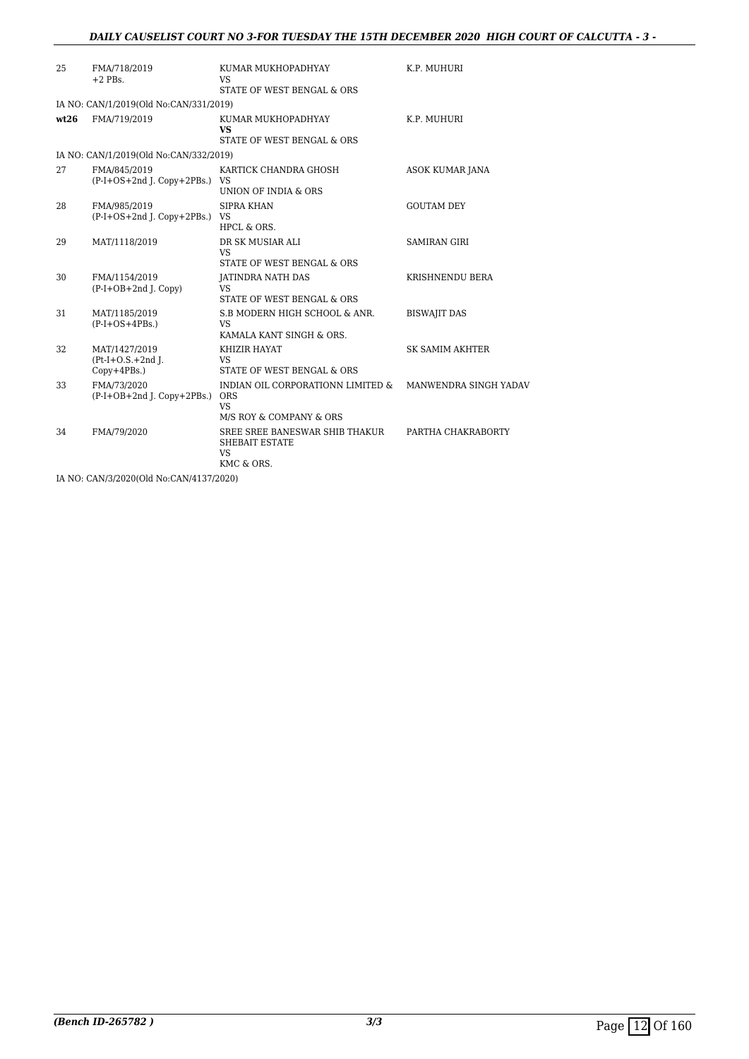## *DAILY CAUSELIST COURT NO 3-FOR TUESDAY THE 15TH DECEMBER 2020 HIGH COURT OF CALCUTTA - 3 -*

| 25   | FMA/718/2019<br>$+2$ PBs.                          | KUMAR MUKHOPADHYAY<br>VS                                                                | K.P. MUHURI            |
|------|----------------------------------------------------|-----------------------------------------------------------------------------------------|------------------------|
|      |                                                    | STATE OF WEST BENGAL & ORS                                                              |                        |
|      | IA NO: CAN/1/2019(Old No:CAN/331/2019)             |                                                                                         |                        |
| wt26 | FMA/719/2019                                       | KUMAR MUKHOPADHYAY<br>VS                                                                | K.P. MUHURI            |
|      |                                                    | STATE OF WEST BENGAL & ORS                                                              |                        |
|      | IA NO: CAN/1/2019(Old No:CAN/332/2019)             |                                                                                         |                        |
| 27   | FMA/845/2019<br>(P-I+OS+2nd J. Copy+2PBs.) VS      | KARTICK CHANDRA GHOSH<br>UNION OF INDIA & ORS                                           | ASOK KUMAR JANA        |
| 28   | FMA/985/2019<br>(P-I+OS+2nd J. Copy+2PBs.) VS      | SIPRA KHAN<br>HPCL & ORS.                                                               | <b>GOUTAM DEY</b>      |
| 29   | MAT/1118/2019                                      | DR SK MUSIAR ALI<br>VS<br>STATE OF WEST BENGAL & ORS                                    | <b>SAMIRAN GIRI</b>    |
| 30   | FMA/1154/2019<br>$(P-I+OB+2nd J. Copy)$            | <b>JATINDRA NATH DAS</b><br><b>VS</b><br>STATE OF WEST BENGAL & ORS                     | KRISHNENDU BERA        |
| 31   | MAT/1185/2019<br>$(P-I+OS+4PBs.)$                  | S.B MODERN HIGH SCHOOL & ANR.<br><b>VS</b><br>KAMALA KANT SINGH & ORS.                  | <b>BISWAJIT DAS</b>    |
| 32   | MAT/1427/2019<br>$Pt-I+O.S.+2nd I.$<br>Copy+4PBs.) | KHIZIR HAYAT<br><b>VS</b><br>STATE OF WEST BENGAL & ORS                                 | <b>SK SAMIM AKHTER</b> |
| 33   | FMA/73/2020<br>$(P-I+OB+2nd I. Copy+2PBs.)$        | INDIAN OIL CORPORATIONN LIMITED &<br><b>ORS</b><br><b>VS</b><br>M/S ROY & COMPANY & ORS | MANWENDRA SINGH YADAV  |
| 34   | FMA/79/2020                                        | SREE SREE BANESWAR SHIB THAKUR<br><b>SHEBAIT ESTATE</b><br>VS<br>KMC & ORS.             | PARTHA CHAKRABORTY     |

IA NO: CAN/3/2020(Old No:CAN/4137/2020)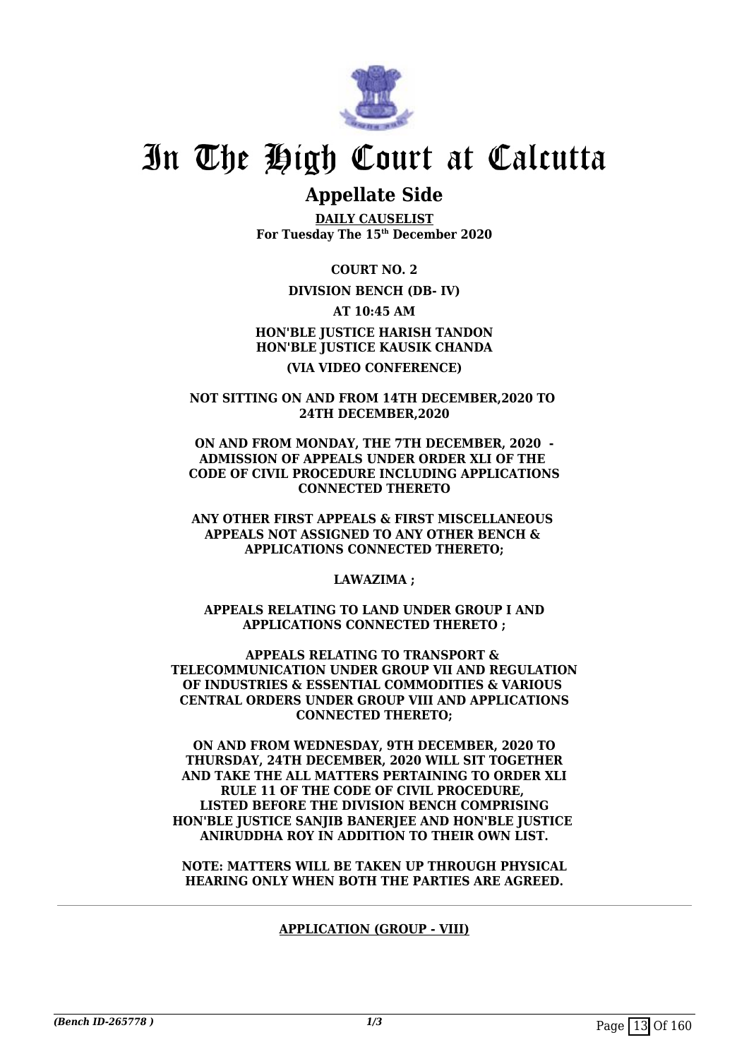

## **Appellate Side**

**DAILY CAUSELIST For Tuesday The 15th December 2020**

**COURT NO. 2**

## **DIVISION BENCH (DB- IV)**

**AT 10:45 AM**

**HON'BLE JUSTICE HARISH TANDON HON'BLE JUSTICE KAUSIK CHANDA (VIA VIDEO CONFERENCE)**

**NOT SITTING ON AND FROM 14TH DECEMBER,2020 TO 24TH DECEMBER,2020**

**ON AND FROM MONDAY, THE 7TH DECEMBER, 2020 - ADMISSION OF APPEALS UNDER ORDER XLI OF THE CODE OF CIVIL PROCEDURE INCLUDING APPLICATIONS CONNECTED THERETO**

**ANY OTHER FIRST APPEALS & FIRST MISCELLANEOUS APPEALS NOT ASSIGNED TO ANY OTHER BENCH & APPLICATIONS CONNECTED THERETO;**

**LAWAZIMA ;**

**APPEALS RELATING TO LAND UNDER GROUP I AND APPLICATIONS CONNECTED THERETO ;**

**APPEALS RELATING TO TRANSPORT & TELECOMMUNICATION UNDER GROUP VII AND REGULATION OF INDUSTRIES & ESSENTIAL COMMODITIES & VARIOUS CENTRAL ORDERS UNDER GROUP VIII AND APPLICATIONS CONNECTED THERETO;**

**ON AND FROM WEDNESDAY, 9TH DECEMBER, 2020 TO THURSDAY, 24TH DECEMBER, 2020 WILL SIT TOGETHER AND TAKE THE ALL MATTERS PERTAINING TO ORDER XLI RULE 11 OF THE CODE OF CIVIL PROCEDURE, LISTED BEFORE THE DIVISION BENCH COMPRISING HON'BLE JUSTICE SANJIB BANERJEE AND HON'BLE JUSTICE ANIRUDDHA ROY IN ADDITION TO THEIR OWN LIST.**

**NOTE: MATTERS WILL BE TAKEN UP THROUGH PHYSICAL HEARING ONLY WHEN BOTH THE PARTIES ARE AGREED.**

## **APPLICATION (GROUP - VIII)**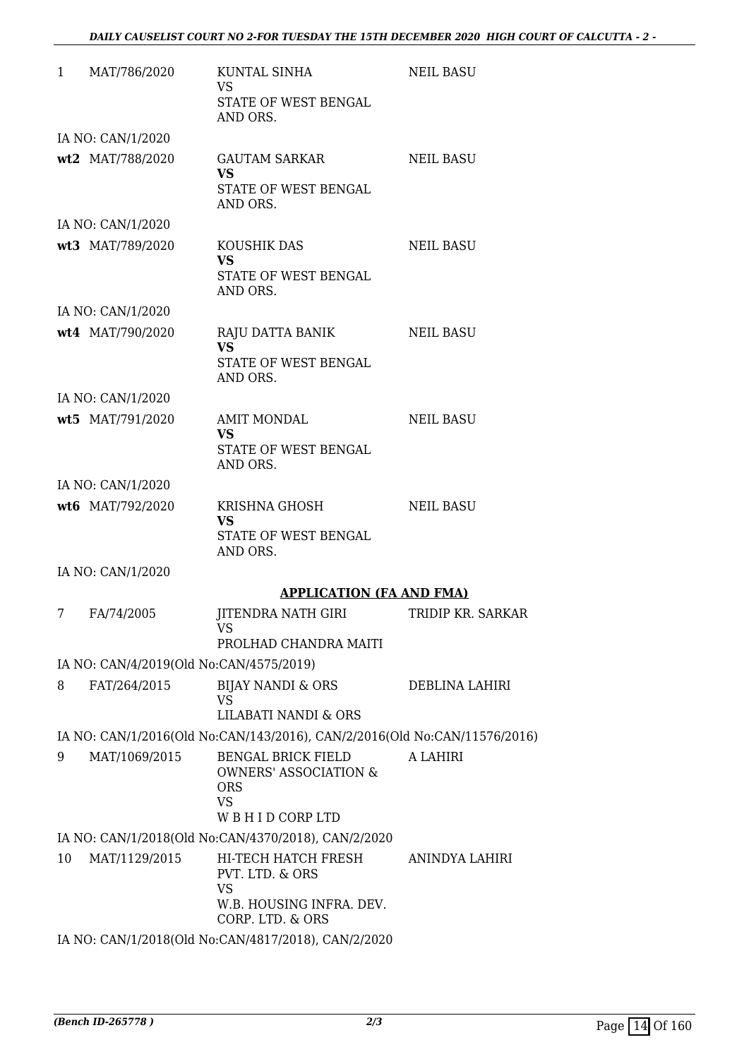|    | 1 MAT/786/2020                          | KUNTAL SINHA<br><b>VS</b><br>STATE OF WEST BENGAL<br>AND ORS.                                            | <b>NEIL BASU</b>      |
|----|-----------------------------------------|----------------------------------------------------------------------------------------------------------|-----------------------|
|    | IA NO: CAN/1/2020                       |                                                                                                          |                       |
|    | wt2 MAT/788/2020                        | <b>GAUTAM SARKAR</b><br><b>VS</b><br>STATE OF WEST BENGAL<br>AND ORS.                                    | <b>NEIL BASU</b>      |
|    | IA NO: CAN/1/2020                       |                                                                                                          |                       |
|    | wt3 MAT/789/2020                        | KOUSHIK DAS<br><b>VS</b><br>STATE OF WEST BENGAL                                                         | <b>NEIL BASU</b>      |
|    |                                         | AND ORS.                                                                                                 |                       |
|    | IA NO: CAN/1/2020<br>wt4 MAT/790/2020   | RAJU DATTA BANIK<br><b>VS</b><br>STATE OF WEST BENGAL<br>AND ORS.                                        | NEIL BASU             |
|    | IA NO: CAN/1/2020                       |                                                                                                          |                       |
|    | wt5 MAT/791/2020                        | <b>AMIT MONDAL</b><br><b>VS</b><br>STATE OF WEST BENGAL<br>AND ORS.                                      | <b>NEIL BASU</b>      |
|    | IA NO: CAN/1/2020                       |                                                                                                          |                       |
|    | wt6 MAT/792/2020                        | KRISHNA GHOSH<br><b>VS</b><br>STATE OF WEST BENGAL                                                       | <b>NEIL BASU</b>      |
|    | IA NO: CAN/1/2020                       | AND ORS.                                                                                                 |                       |
|    |                                         | <b>APPLICATION (FA AND FMA)</b>                                                                          |                       |
| 7  | FA/74/2005                              | <b>JITENDRA NATH GIRI</b><br><b>VS</b><br>PROLHAD CHANDRA MAITI                                          | TRIDIP KR. SARKAR     |
|    | IA NO: CAN/4/2019(Old No:CAN/4575/2019) |                                                                                                          |                       |
| 8  | FAT/264/2015                            | <b>BIJAY NANDI &amp; ORS</b><br><b>VS</b><br>LILABATI NANDI & ORS                                        | <b>DEBLINA LAHIRI</b> |
|    |                                         | IA NO: CAN/1/2016(Old No:CAN/143/2016), CAN/2/2016(Old No:CAN/11576/2016)                                |                       |
| 9  | MAT/1069/2015                           | <b>BENGAL BRICK FIELD</b><br><b>OWNERS' ASSOCIATION &amp;</b><br><b>ORS</b><br><b>VS</b><br>WBHIDCORPLTD | A LAHIRI              |
|    |                                         | IA NO: CAN/1/2018(Old No:CAN/4370/2018), CAN/2/2020                                                      |                       |
| 10 | MAT/1129/2015                           | HI-TECH HATCH FRESH<br>PVT. LTD. & ORS<br><b>VS</b><br>W.B. HOUSING INFRA. DEV.<br>CORP. LTD. & ORS      | ANINDYA LAHIRI        |
|    |                                         | IA NO: CAN/1/2018(Old No:CAN/4817/2018), CAN/2/2020                                                      |                       |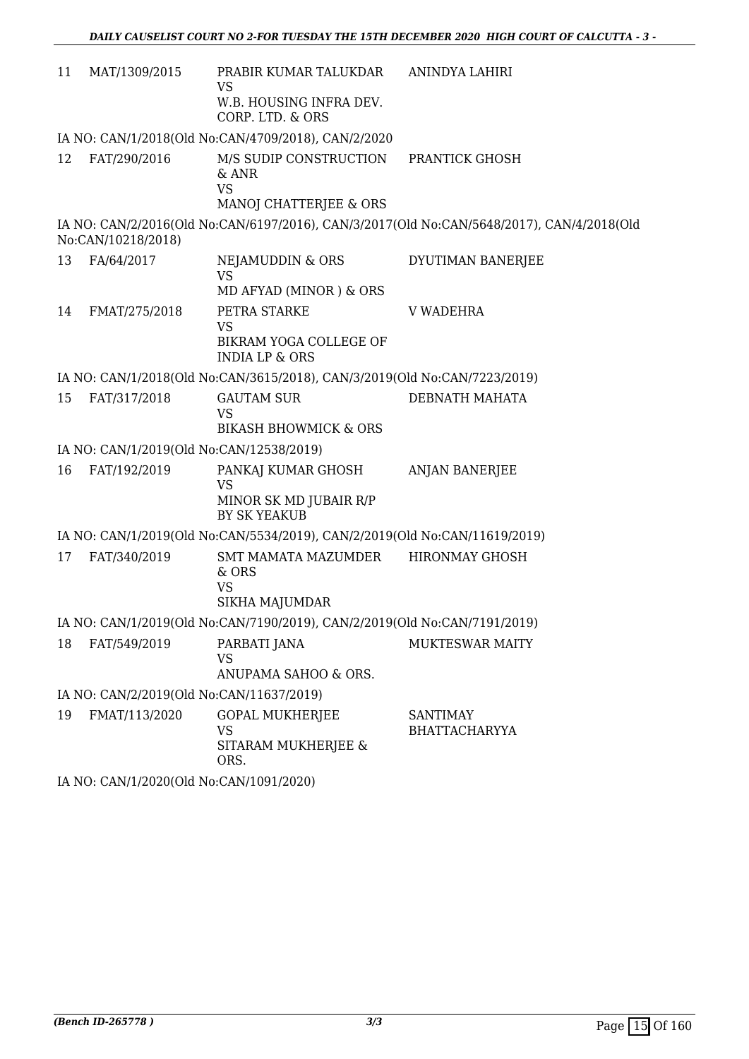| 11 | MAT/1309/2015                            | PRABIR KUMAR TALUKDAR ANINDYA LAHIRI<br>VS                                       |                                                                                           |  |  |
|----|------------------------------------------|----------------------------------------------------------------------------------|-------------------------------------------------------------------------------------------|--|--|
|    |                                          | W.B. HOUSING INFRA DEV.<br>CORP. LTD. & ORS                                      |                                                                                           |  |  |
|    |                                          | IA NO: CAN/1/2018(Old No:CAN/4709/2018), CAN/2/2020                              |                                                                                           |  |  |
| 12 | FAT/290/2016                             | M/S SUDIP CONSTRUCTION<br>& ANR<br><b>VS</b><br>MANOJ CHATTERJEE & ORS           | PRANTICK GHOSH                                                                            |  |  |
|    | No:CAN/10218/2018)                       |                                                                                  | IA NO: CAN/2/2016(Old No:CAN/6197/2016), CAN/3/2017(Old No:CAN/5648/2017), CAN/4/2018(Old |  |  |
| 13 | FA/64/2017                               | NEJAMUDDIN & ORS<br><b>VS</b><br>MD AFYAD (MINOR) & ORS                          | DYUTIMAN BANERJEE                                                                         |  |  |
| 14 | FMAT/275/2018                            | PETRA STARKE<br><b>VS</b><br>BIKRAM YOGA COLLEGE OF<br><b>INDIA LP &amp; ORS</b> | <b>V WADEHRA</b>                                                                          |  |  |
|    |                                          | IA NO: CAN/1/2018(Old No:CAN/3615/2018), CAN/3/2019(Old No:CAN/7223/2019)        |                                                                                           |  |  |
| 15 | FAT/317/2018                             | <b>GAUTAM SUR</b><br><b>VS</b><br><b>BIKASH BHOWMICK &amp; ORS</b>               | DEBNATH MAHATA                                                                            |  |  |
|    | IA NO: CAN/1/2019(Old No:CAN/12538/2019) |                                                                                  |                                                                                           |  |  |
| 16 | FAT/192/2019                             | PANKAJ KUMAR GHOSH<br><b>VS</b><br>MINOR SK MD JUBAIR R/P<br>BY SK YEAKUB        | ANJAN BANERJEE                                                                            |  |  |
|    |                                          | IA NO: CAN/1/2019(Old No:CAN/5534/2019), CAN/2/2019(Old No:CAN/11619/2019)       |                                                                                           |  |  |
| 17 | FAT/340/2019                             | SMT MAMATA MAZUMDER<br>& ORS<br><b>VS</b><br><b>SIKHA MAJUMDAR</b>               | <b>HIRONMAY GHOSH</b>                                                                     |  |  |
|    |                                          | IA NO: CAN/1/2019(Old No:CAN/7190/2019), CAN/2/2019(Old No:CAN/7191/2019)        |                                                                                           |  |  |
| 18 | FAT/549/2019                             | PARBATI JANA<br><b>VS</b><br>ANUPAMA SAHOO & ORS.                                | <b>MUKTESWAR MAITY</b>                                                                    |  |  |
|    | IA NO: CAN/2/2019(Old No:CAN/11637/2019) |                                                                                  |                                                                                           |  |  |
| 19 | FMAT/113/2020                            | <b>GOPAL MUKHERJEE</b><br><b>VS</b><br>SITARAM MUKHERJEE &<br>ORS.               | <b>SANTIMAY</b><br><b>BHATTACHARYYA</b>                                                   |  |  |
|    | IA NO: CAN/1/2020(Old No:CAN/1091/2020)  |                                                                                  |                                                                                           |  |  |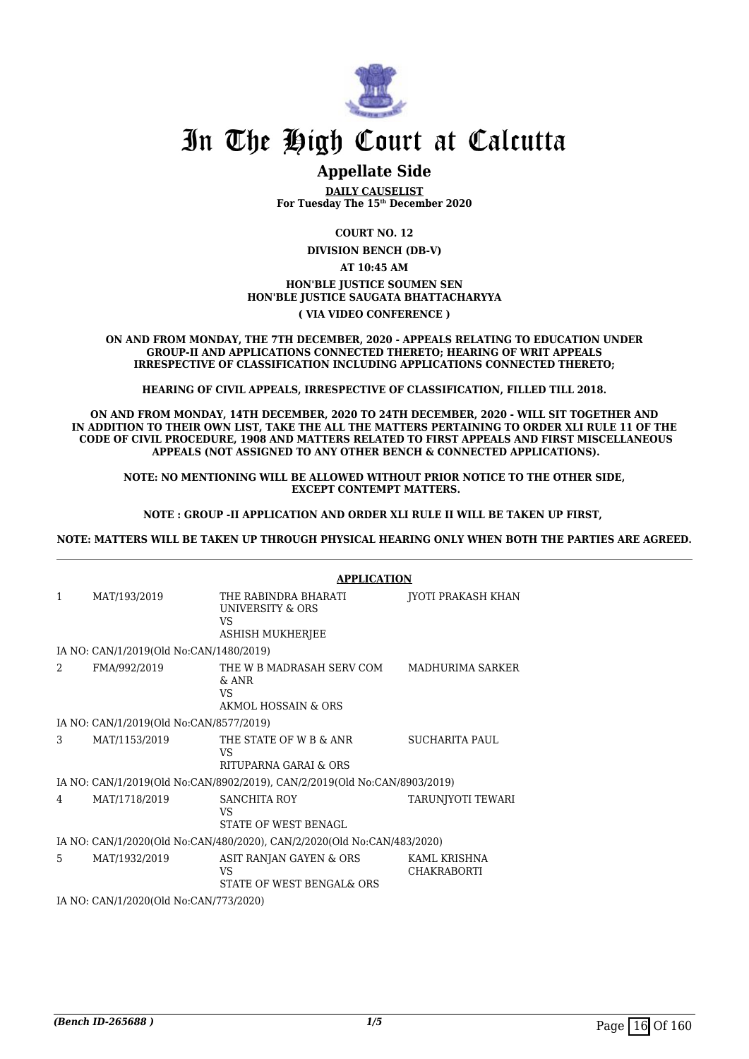

## **Appellate Side**

**DAILY CAUSELIST For Tuesday The 15th December 2020**

**COURT NO. 12**

**DIVISION BENCH (DB-V)**

**AT 10:45 AM**

## **HON'BLE JUSTICE SOUMEN SEN HON'BLE JUSTICE SAUGATA BHATTACHARYYA**

**( VIA VIDEO CONFERENCE )**

**ON AND FROM MONDAY, THE 7TH DECEMBER, 2020 - APPEALS RELATING TO EDUCATION UNDER GROUP-II AND APPLICATIONS CONNECTED THERETO; HEARING OF WRIT APPEALS IRRESPECTIVE OF CLASSIFICATION INCLUDING APPLICATIONS CONNECTED THERETO;**

**HEARING OF CIVIL APPEALS, IRRESPECTIVE OF CLASSIFICATION, FILLED TILL 2018.**

**ON AND FROM MONDAY, 14TH DECEMBER, 2020 TO 24TH DECEMBER, 2020 - WILL SIT TOGETHER AND IN ADDITION TO THEIR OWN LIST, TAKE THE ALL THE MATTERS PERTAINING TO ORDER XLI RULE 11 OF THE CODE OF CIVIL PROCEDURE, 1908 AND MATTERS RELATED TO FIRST APPEALS AND FIRST MISCELLANEOUS APPEALS (NOT ASSIGNED TO ANY OTHER BENCH & CONNECTED APPLICATIONS).**

**NOTE: NO MENTIONING WILL BE ALLOWED WITHOUT PRIOR NOTICE TO THE OTHER SIDE, EXCEPT CONTEMPT MATTERS.**

**NOTE : GROUP -II APPLICATION AND ORDER XLI RULE II WILL BE TAKEN UP FIRST,** 

**NOTE: MATTERS WILL BE TAKEN UP THROUGH PHYSICAL HEARING ONLY WHEN BOTH THE PARTIES ARE AGREED.**

|                                        |                                         | <b>APPLICATION</b>                                                               |                                    |  |
|----------------------------------------|-----------------------------------------|----------------------------------------------------------------------------------|------------------------------------|--|
| 1                                      | MAT/193/2019                            | THE RABINDRA BHARATI<br>UNIVERSITY & ORS<br><b>VS</b><br><b>ASHISH MUKHERJEE</b> | JYOTI PRAKASH KHAN                 |  |
|                                        | IA NO: CAN/1/2019(Old No:CAN/1480/2019) |                                                                                  |                                    |  |
| 2                                      | FMA/992/2019                            | THE W B MADRASAH SERV COM<br>$\&$ ANR<br><b>VS</b><br>AKMOL HOSSAIN & ORS        | MADHURIMA SARKER                   |  |
|                                        | IA NO: CAN/1/2019(Old No:CAN/8577/2019) |                                                                                  |                                    |  |
| 3                                      | MAT/1153/2019                           | THE STATE OF W B & ANR<br>VS<br>RITUPARNA GARAI & ORS                            | SUCHARITA PAUL                     |  |
|                                        |                                         | IA NO: CAN/1/2019(Old No:CAN/8902/2019), CAN/2/2019(Old No:CAN/8903/2019)        |                                    |  |
| 4                                      | MAT/1718/2019                           | SANCHITA ROY<br>VS<br>STATE OF WEST BENAGL                                       | TARUNJYOTI TEWARI                  |  |
|                                        |                                         | IA NO: CAN/1/2020(Old No:CAN/480/2020), CAN/2/2020(Old No:CAN/483/2020)          |                                    |  |
| 5.                                     | MAT/1932/2019                           | ASIT RANJAN GAYEN & ORS<br><b>VS</b><br>STATE OF WEST BENGAL& ORS                | KAML KRISHNA<br><b>CHAKRABORTI</b> |  |
| IA NO: CAN/1/2020(Old No:CAN/773/2020) |                                         |                                                                                  |                                    |  |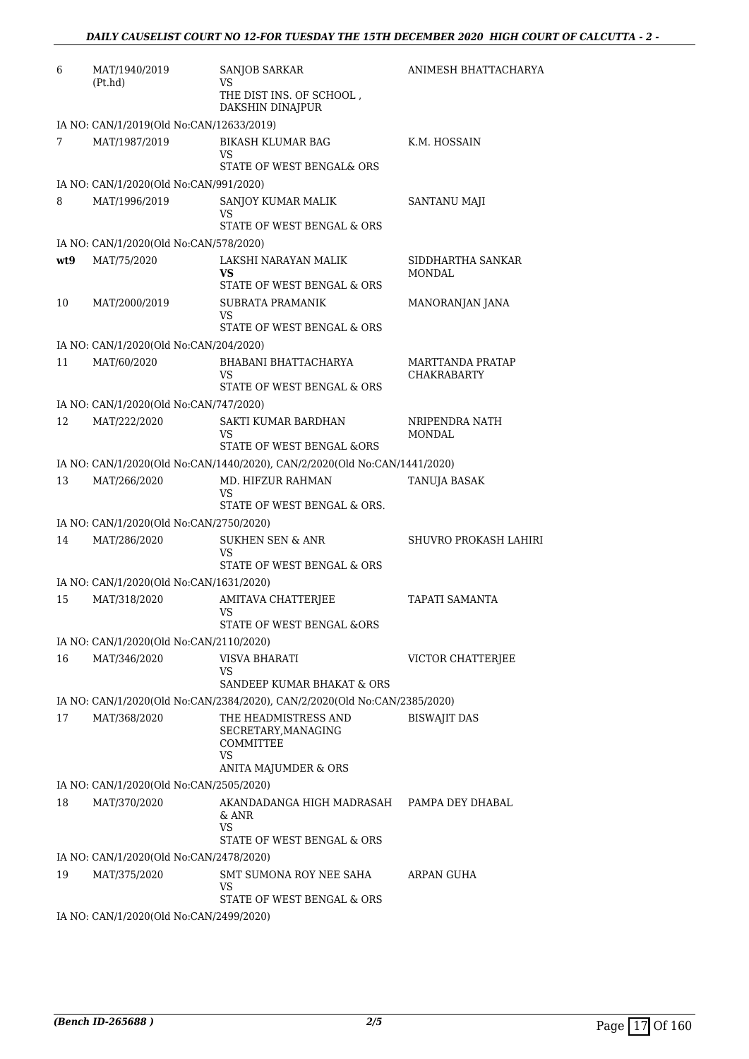| 6   | MAT/1940/2019<br>(Pt.hd)                 | <b>SANJOB SARKAR</b><br>VS                                                                    | ANIMESH BHATTACHARYA                   |
|-----|------------------------------------------|-----------------------------------------------------------------------------------------------|----------------------------------------|
|     |                                          | THE DIST INS. OF SCHOOL,<br>DAKSHIN DINAJPUR                                                  |                                        |
|     | IA NO: CAN/1/2019(Old No:CAN/12633/2019) |                                                                                               |                                        |
| 7   | MAT/1987/2019                            | <b>BIKASH KLUMAR BAG</b><br>VS<br>STATE OF WEST BENGAL& ORS                                   | K.M. HOSSAIN                           |
|     | IA NO: CAN/1/2020(Old No:CAN/991/2020)   |                                                                                               |                                        |
| 8   | MAT/1996/2019                            | SANJOY KUMAR MALIK<br>VS<br>STATE OF WEST BENGAL & ORS                                        | <b>SANTANU MAJI</b>                    |
|     | IA NO: CAN/1/2020(Old No:CAN/578/2020)   |                                                                                               |                                        |
| wt9 | MAT/75/2020                              | LAKSHI NARAYAN MALIK                                                                          | SIDDHARTHA SANKAR                      |
|     |                                          | <b>VS</b><br>STATE OF WEST BENGAL & ORS                                                       | <b>MONDAL</b>                          |
| 10  | MAT/2000/2019                            | SUBRATA PRAMANIK<br>VS<br>STATE OF WEST BENGAL & ORS                                          | MANORANJAN JANA                        |
|     | IA NO: CAN/1/2020(Old No:CAN/204/2020)   |                                                                                               |                                        |
| 11  | MAT/60/2020                              | BHABANI BHATTACHARYA<br>VS<br>STATE OF WEST BENGAL & ORS                                      | MARTTANDA PRATAP<br><b>CHAKRABARTY</b> |
|     | IA NO: CAN/1/2020(Old No:CAN/747/2020)   |                                                                                               |                                        |
| 12  | MAT/222/2020                             | SAKTI KUMAR BARDHAN<br>VS                                                                     | NRIPENDRA NATH<br>MONDAL               |
|     |                                          | STATE OF WEST BENGAL &ORS                                                                     |                                        |
|     |                                          | IA NO: CAN/1/2020(Old No:CAN/1440/2020), CAN/2/2020(Old No:CAN/1441/2020)                     |                                        |
| 13  | MAT/266/2020                             | MD. HIFZUR RAHMAN<br>VS<br>STATE OF WEST BENGAL & ORS.                                        | TANUJA BASAK                           |
|     | IA NO: CAN/1/2020(Old No:CAN/2750/2020)  |                                                                                               |                                        |
| 14  | MAT/286/2020                             | <b>SUKHEN SEN &amp; ANR</b><br>VS<br>STATE OF WEST BENGAL & ORS                               | SHUVRO PROKASH LAHIRI                  |
|     | IA NO: CAN/1/2020(Old No:CAN/1631/2020)  |                                                                                               |                                        |
| 15  | MAT/318/2020                             | AMITAVA CHATTERJEE<br><b>VS</b>                                                               | TAPATI SAMANTA                         |
|     |                                          | STATE OF WEST BENGAL &ORS                                                                     |                                        |
|     | IA NO: CAN/1/2020(Old No:CAN/2110/2020)  |                                                                                               |                                        |
| 16  | MAT/346/2020                             | VISVA BHARATI<br>VS                                                                           | VICTOR CHATTERJEE                      |
|     |                                          | SANDEEP KUMAR BHAKAT & ORS                                                                    |                                        |
|     |                                          | IA NO: CAN/1/2020(Old No:CAN/2384/2020), CAN/2/2020(Old No:CAN/2385/2020)                     |                                        |
| 17  | MAT/368/2020                             | THE HEADMISTRESS AND<br>SECRETARY, MANAGING<br><b>COMMITTEE</b><br>VS<br>ANITA MAJUMDER & ORS | <b>BISWAJIT DAS</b>                    |
|     | IA NO: CAN/1/2020(Old No:CAN/2505/2020)  |                                                                                               |                                        |
| 18  | MAT/370/2020                             | AKANDADANGA HIGH MADRASAH                                                                     | PAMPA DEY DHABAL                       |
|     |                                          | & ANR<br>VS.<br>STATE OF WEST BENGAL & ORS                                                    |                                        |
|     | IA NO: CAN/1/2020(Old No:CAN/2478/2020)  |                                                                                               |                                        |
| 19  | MAT/375/2020                             | SMT SUMONA ROY NEE SAHA<br>VS                                                                 | ARPAN GUHA                             |
|     |                                          | STATE OF WEST BENGAL & ORS                                                                    |                                        |
|     | IA NO: CAN/1/2020(Old No:CAN/2499/2020)  |                                                                                               |                                        |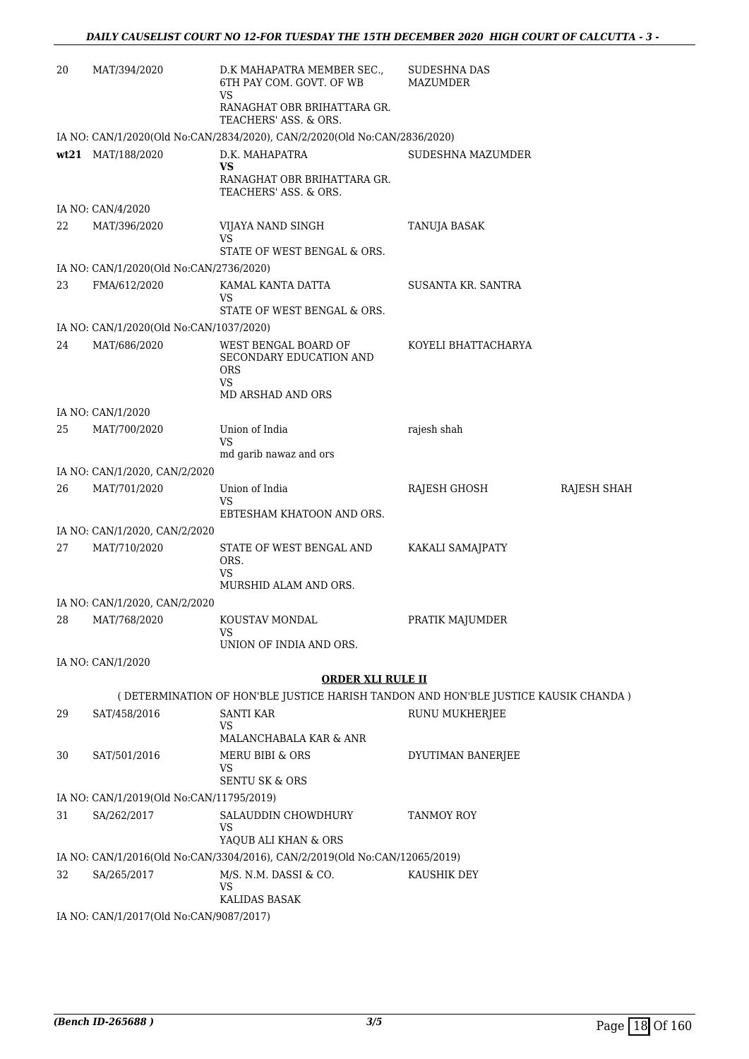| 20 | MAT/394/2020                             | D.K MAHAPATRA MEMBER SEC.,<br>6TH PAY COM. GOVT. OF WB<br>VS               | <b>SUDESHNA DAS</b><br><b>MAZUMDER</b>                                               |
|----|------------------------------------------|----------------------------------------------------------------------------|--------------------------------------------------------------------------------------|
|    |                                          | RANAGHAT OBR BRIHATTARA GR.<br>TEACHERS' ASS. & ORS.                       |                                                                                      |
|    |                                          | IA NO: CAN/1/2020(Old No:CAN/2834/2020), CAN/2/2020(Old No:CAN/2836/2020)  |                                                                                      |
|    | wt21 MAT/188/2020                        | D.K. MAHAPATRA<br>VS                                                       | SUDESHNA MAZUMDER                                                                    |
|    |                                          | RANAGHAT OBR BRIHATTARA GR.<br>TEACHERS' ASS. & ORS.                       |                                                                                      |
|    | IA NO: CAN/4/2020                        |                                                                            |                                                                                      |
| 22 | MAT/396/2020                             | VIJAYA NAND SINGH<br>VS                                                    | TANUJA BASAK                                                                         |
|    |                                          | STATE OF WEST BENGAL & ORS.                                                |                                                                                      |
|    | IA NO: CAN/1/2020(Old No:CAN/2736/2020)  |                                                                            |                                                                                      |
| 23 | FMA/612/2020                             | KAMAL KANTA DATTA<br>VS                                                    | SUSANTA KR. SANTRA                                                                   |
|    |                                          | STATE OF WEST BENGAL & ORS.                                                |                                                                                      |
|    | IA NO: CAN/1/2020(Old No:CAN/1037/2020)  |                                                                            |                                                                                      |
| 24 | MAT/686/2020                             | WEST BENGAL BOARD OF<br>SECONDARY EDUCATION AND<br><b>ORS</b><br>VS        | KOYELI BHATTACHARYA                                                                  |
|    |                                          | MD ARSHAD AND ORS                                                          |                                                                                      |
|    | IA NO: CAN/1/2020                        |                                                                            |                                                                                      |
| 25 | MAT/700/2020                             | Union of India<br><b>VS</b>                                                | rajesh shah                                                                          |
|    |                                          | md garib nawaz and ors                                                     |                                                                                      |
|    | IA NO: CAN/1/2020, CAN/2/2020            |                                                                            |                                                                                      |
| 26 | MAT/701/2020                             | Union of India<br>VS<br>EBTESHAM KHATOON AND ORS.                          | RAJESH GHOSH<br>RAJESH SHAH                                                          |
|    | IA NO: CAN/1/2020, CAN/2/2020            |                                                                            |                                                                                      |
| 27 | MAT/710/2020                             | STATE OF WEST BENGAL AND                                                   | KAKALI SAMAJPATY                                                                     |
|    |                                          | ORS.<br>VS                                                                 |                                                                                      |
|    |                                          | MURSHID ALAM AND ORS.                                                      |                                                                                      |
|    | IA NO: CAN/1/2020, CAN/2/2020            |                                                                            |                                                                                      |
| 28 | MAT/768/2020                             | KOUSTAV MONDAL<br><b>VS</b><br>UNION OF INDIA AND ORS.                     | PRATIK MAJUMDER                                                                      |
|    | IA NO: CAN/1/2020                        |                                                                            |                                                                                      |
|    |                                          | <b>ORDER XLI RULE II</b>                                                   |                                                                                      |
|    |                                          |                                                                            | ( DETERMINATION OF HON'BLE JUSTICE HARISH TANDON AND HON'BLE JUSTICE KAUSIK CHANDA ) |
| 29 | SAT/458/2016                             | <b>SANTI KAR</b><br>VS                                                     | RUNU MUKHERJEE                                                                       |
|    |                                          | MALANCHABALA KAR & ANR                                                     |                                                                                      |
| 30 | SAT/501/2016                             | MERU BIBI & ORS<br>VS                                                      | DYUTIMAN BANERJEE                                                                    |
|    |                                          | <b>SENTU SK &amp; ORS</b>                                                  |                                                                                      |
|    | IA NO: CAN/1/2019(Old No:CAN/11795/2019) |                                                                            |                                                                                      |
| 31 | SA/262/2017                              | SALAUDDIN CHOWDHURY<br>VS                                                  | TANMOY ROY                                                                           |
|    |                                          | YAQUB ALI KHAN & ORS                                                       |                                                                                      |
|    |                                          | IA NO: CAN/1/2016(Old No:CAN/3304/2016), CAN/2/2019(Old No:CAN/12065/2019) |                                                                                      |
| 32 | SA/265/2017                              | M/S. N.M. DASSI & CO.<br>VS<br>KALIDAS BASAK                               | KAUSHIK DEY                                                                          |
|    | IA NO: CAN/1/2017(Old No:CAN/9087/2017)  |                                                                            |                                                                                      |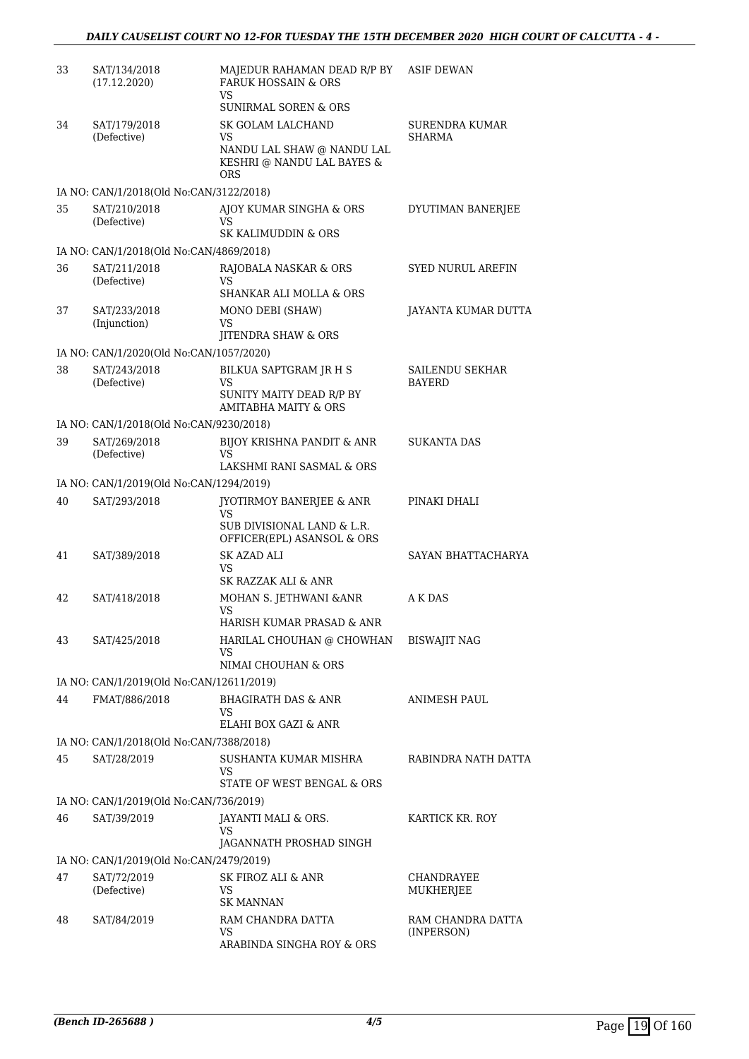| 33 | SAT/134/2018<br>(17.12.2020)                              | MAJEDUR RAHAMAN DEAD R/P BY ASIF DEWAN<br><b>FARUK HOSSAIN &amp; ORS</b><br>VS.<br><b>SUNIRMAL SOREN &amp; ORS</b> |                                  |
|----|-----------------------------------------------------------|--------------------------------------------------------------------------------------------------------------------|----------------------------------|
| 34 |                                                           | SK GOLAM LALCHAND                                                                                                  |                                  |
|    | SAT/179/2018<br>(Defective)                               | VS<br>NANDU LAL SHAW @ NANDU LAL<br>KESHRI @ NANDU LAL BAYES &<br><b>ORS</b>                                       | SURENDRA KUMAR<br>SHARMA         |
|    | IA NO: CAN/1/2018(Old No:CAN/3122/2018)                   |                                                                                                                    |                                  |
| 35 | SAT/210/2018<br>(Defective)                               | AJOY KUMAR SINGHA & ORS<br>VS<br>SK KALIMUDDIN & ORS                                                               | DYUTIMAN BANERJEE                |
|    | IA NO: CAN/1/2018(Old No:CAN/4869/2018)                   |                                                                                                                    |                                  |
| 36 | SAT/211/2018<br>(Defective)                               | RAJOBALA NASKAR & ORS<br>VS.<br><b>SHANKAR ALI MOLLA &amp; ORS</b>                                                 | SYED NURUL AREFIN                |
| 37 | SAT/233/2018<br>(Injunction)                              | MONO DEBI (SHAW)<br><b>VS</b>                                                                                      | JAYANTA KUMAR DUTTA              |
|    |                                                           | JITENDRA SHAW & ORS                                                                                                |                                  |
|    | IA NO: CAN/1/2020(Old No:CAN/1057/2020)                   |                                                                                                                    |                                  |
| 38 | SAT/243/2018<br>(Defective)                               | BILKUA SAPTGRAM JR H S<br>VS<br>SUNITY MAITY DEAD R/P BY<br><b>AMITABHA MAITY &amp; ORS</b>                        | SAILENDU SEKHAR<br><b>BAYERD</b> |
|    | IA NO: CAN/1/2018(Old No:CAN/9230/2018)                   |                                                                                                                    |                                  |
| 39 | SAT/269/2018                                              | BIJOY KRISHNA PANDIT & ANR                                                                                         | <b>SUKANTA DAS</b>               |
|    | (Defective)                                               | VS.<br>LAKSHMI RANI SASMAL & ORS                                                                                   |                                  |
|    | IA NO: CAN/1/2019(Old No:CAN/1294/2019)                   |                                                                                                                    |                                  |
| 40 | SAT/293/2018                                              | JYOTIRMOY BANERJEE & ANR<br>VS.<br>SUB DIVISIONAL LAND & L.R.<br>OFFICER(EPL) ASANSOL & ORS                        | PINAKI DHALI                     |
| 41 | SAT/389/2018                                              | SK AZAD ALI<br>VS.<br>SK RAZZAK ALI & ANR                                                                          | SAYAN BHATTACHARYA               |
| 42 | SAT/418/2018                                              | MOHAN S. JETHWANI & ANR<br><b>VS</b><br>HARISH KUMAR PRASAD & ANR                                                  | A K DAS                          |
| 43 | SAT/425/2018                                              | HARILAL CHOUHAN @ CHOWHAN<br>VS                                                                                    | <b>BISWAJIT NAG</b>              |
|    |                                                           | NIMAI CHOUHAN & ORS                                                                                                |                                  |
| 44 | IA NO: CAN/1/2019(Old No:CAN/12611/2019)<br>FMAT/886/2018 | <b>BHAGIRATH DAS &amp; ANR</b>                                                                                     |                                  |
|    |                                                           | VS<br>ELAHI BOX GAZI & ANR                                                                                         | ANIMESH PAUL                     |
|    | IA NO: CAN/1/2018(Old No:CAN/7388/2018)                   |                                                                                                                    |                                  |
| 45 | SAT/28/2019                                               | SUSHANTA KUMAR MISHRA<br>VS.                                                                                       | RABINDRA NATH DATTA              |
|    |                                                           | STATE OF WEST BENGAL & ORS                                                                                         |                                  |
| 46 | IA NO: CAN/1/2019(Old No:CAN/736/2019)<br>SAT/39/2019     |                                                                                                                    | KARTICK KR. ROY                  |
|    |                                                           | JAYANTI MALI & ORS.<br>VS<br>JAGANNATH PROSHAD SINGH                                                               |                                  |
|    | IA NO: CAN/1/2019(Old No:CAN/2479/2019)                   |                                                                                                                    |                                  |
| 47 | SAT/72/2019<br>(Defective)                                | SK FIROZ ALI & ANR<br>VS<br><b>SK MANNAN</b>                                                                       | CHANDRAYEE<br>MUKHERJEE          |
| 48 | SAT/84/2019                                               | RAM CHANDRA DATTA<br>VS                                                                                            | RAM CHANDRA DATTA<br>(INPERSON)  |
|    |                                                           | ARABINDA SINGHA ROY & ORS                                                                                          |                                  |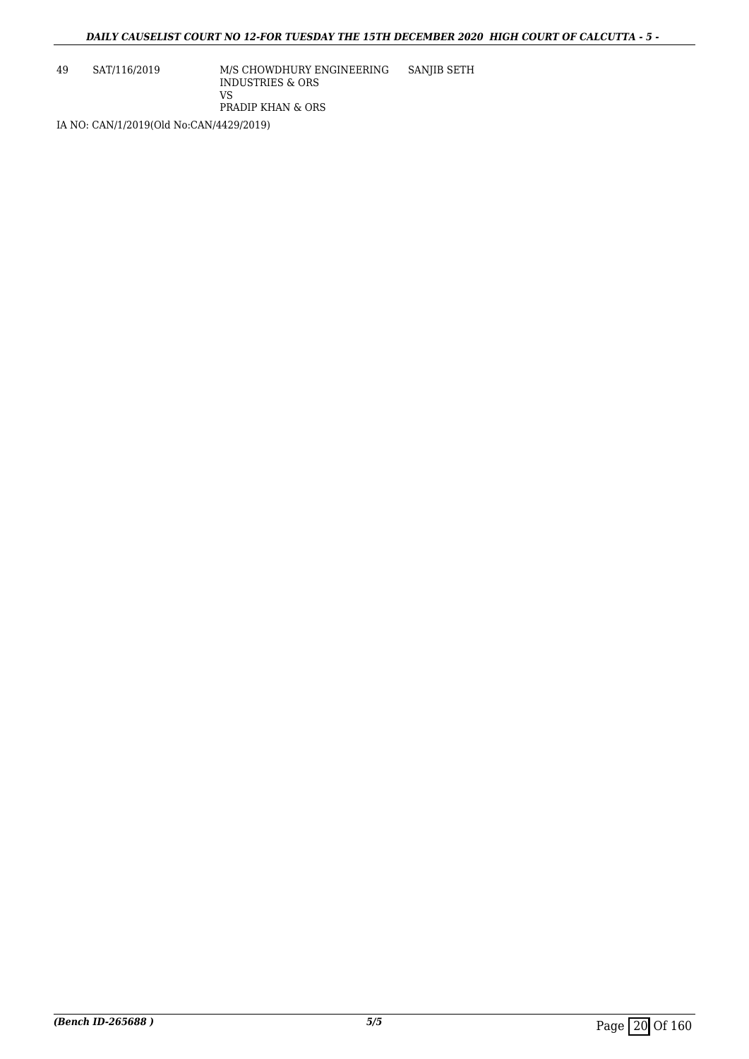49 SAT/116/2019 M/S CHOWDHURY ENGINEERING INDUSTRIES & ORS VS PRADIP KHAN & ORS SANJIB SETH

IA NO: CAN/1/2019(Old No:CAN/4429/2019)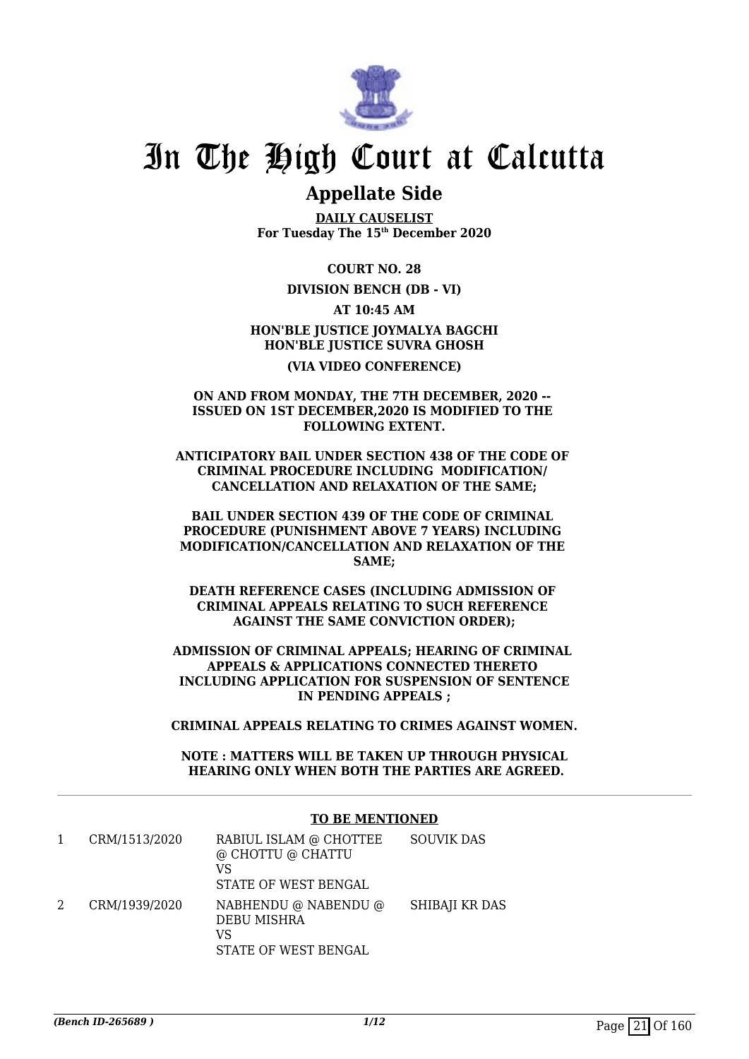

## **Appellate Side**

**DAILY CAUSELIST For Tuesday The 15th December 2020**

**COURT NO. 28**

**DIVISION BENCH (DB - VI)**

**AT 10:45 AM**

## **HON'BLE JUSTICE JOYMALYA BAGCHI HON'BLE JUSTICE SUVRA GHOSH (VIA VIDEO CONFERENCE)**

#### **ON AND FROM MONDAY, THE 7TH DECEMBER, 2020 -- ISSUED ON 1ST DECEMBER,2020 IS MODIFIED TO THE FOLLOWING EXTENT.**

**ANTICIPATORY BAIL UNDER SECTION 438 OF THE CODE OF CRIMINAL PROCEDURE INCLUDING MODIFICATION/ CANCELLATION AND RELAXATION OF THE SAME;**

**BAIL UNDER SECTION 439 OF THE CODE OF CRIMINAL PROCEDURE (PUNISHMENT ABOVE 7 YEARS) INCLUDING MODIFICATION/CANCELLATION AND RELAXATION OF THE SAME;**

**DEATH REFERENCE CASES (INCLUDING ADMISSION OF CRIMINAL APPEALS RELATING TO SUCH REFERENCE AGAINST THE SAME CONVICTION ORDER);**

**ADMISSION OF CRIMINAL APPEALS; HEARING OF CRIMINAL APPEALS & APPLICATIONS CONNECTED THERETO INCLUDING APPLICATION FOR SUSPENSION OF SENTENCE IN PENDING APPEALS ;**

**CRIMINAL APPEALS RELATING TO CRIMES AGAINST WOMEN.**

**NOTE : MATTERS WILL BE TAKEN UP THROUGH PHYSICAL HEARING ONLY WHEN BOTH THE PARTIES ARE AGREED.**

### **TO BE MENTIONED**

|   | CRM/1513/2020 | RABIUL ISLAM @ CHOTTEE<br>@ CHOTTU @ CHATTU<br>VS<br>STATE OF WEST BENGAL | <b>SOUVIK DAS</b> |
|---|---------------|---------------------------------------------------------------------------|-------------------|
| 2 | CRM/1939/2020 | NABHENDU @ NABENDU @<br>DEBU MISHRA<br>VS<br>STATE OF WEST BENGAL         | SHIBAJI KR DAS    |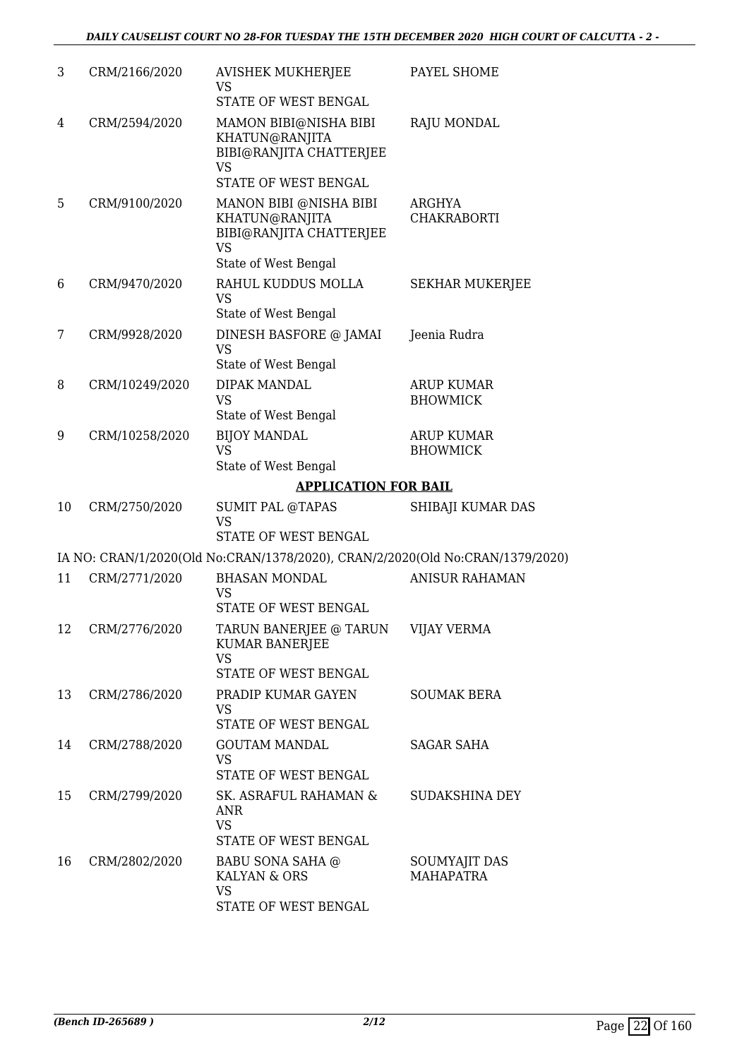| 3  | CRM/2166/2020  | <b>AVISHEK MUKHERJEE</b><br>VS<br>STATE OF WEST BENGAL                                                   | PAYEL SHOME                          |
|----|----------------|----------------------------------------------------------------------------------------------------------|--------------------------------------|
| 4  | CRM/2594/2020  | MAMON BIBI@NISHA BIBI<br>KHATUN@RANJITA<br>BIBI@RANJITA CHATTERJEE<br><b>VS</b><br>STATE OF WEST BENGAL  | <b>RAJU MONDAL</b>                   |
| 5  | CRM/9100/2020  | MANON BIBI @NISHA BIBI<br>KHATUN@RANJITA<br>BIBI@RANJITA CHATTERJEE<br><b>VS</b><br>State of West Bengal | ARGHYA<br><b>CHAKRABORTI</b>         |
| 6  | CRM/9470/2020  | RAHUL KUDDUS MOLLA<br><b>VS</b><br>State of West Bengal                                                  | <b>SEKHAR MUKERJEE</b>               |
| 7  | CRM/9928/2020  | DINESH BASFORE @ JAMAI<br><b>VS</b><br>State of West Bengal                                              | Jeenia Rudra                         |
| 8  | CRM/10249/2020 | <b>DIPAK MANDAL</b><br><b>VS</b><br>State of West Bengal                                                 | <b>ARUP KUMAR</b><br><b>BHOWMICK</b> |
| 9  | CRM/10258/2020 | <b>BIJOY MANDAL</b><br><b>VS</b><br>State of West Bengal                                                 | <b>ARUP KUMAR</b><br><b>BHOWMICK</b> |
|    |                | <b>APPLICATION FOR BAIL</b>                                                                              |                                      |
| 10 | CRM/2750/2020  | <b>SUMIT PAL @TAPAS</b><br><b>VS</b><br>STATE OF WEST BENGAL                                             | SHIBAJI KUMAR DAS                    |
|    |                | IA NO: CRAN/1/2020(Old No:CRAN/1378/2020), CRAN/2/2020(Old No:CRAN/1379/2020)                            |                                      |
| 11 | CRM/2771/2020  | <b>BHASAN MONDAL</b>                                                                                     | <b>ANISUR RAHAMAN</b>                |
|    |                | VS<br><b>STATE OF WEST BENGAL</b>                                                                        |                                      |
| 12 | CRM/2776/2020  | TARUN BANERJEE @ TARUN<br><b>KUMAR BANERJEE</b><br><b>VS</b><br>STATE OF WEST BENGAL                     | <b>VIJAY VERMA</b>                   |
| 13 | CRM/2786/2020  | PRADIP KUMAR GAYEN<br><b>VS</b><br>STATE OF WEST BENGAL                                                  | <b>SOUMAK BERA</b>                   |
| 14 | CRM/2788/2020  | <b>GOUTAM MANDAL</b><br><b>VS</b><br>STATE OF WEST BENGAL                                                | SAGAR SAHA                           |
| 15 | CRM/2799/2020  | SK. ASRAFUL RAHAMAN &<br><b>ANR</b><br><b>VS</b><br>STATE OF WEST BENGAL                                 | SUDAKSHINA DEY                       |
| 16 | CRM/2802/2020  | BABU SONA SAHA @<br>KALYAN & ORS<br><b>VS</b><br>STATE OF WEST BENGAL                                    | SOUMYAJIT DAS<br><b>MAHAPATRA</b>    |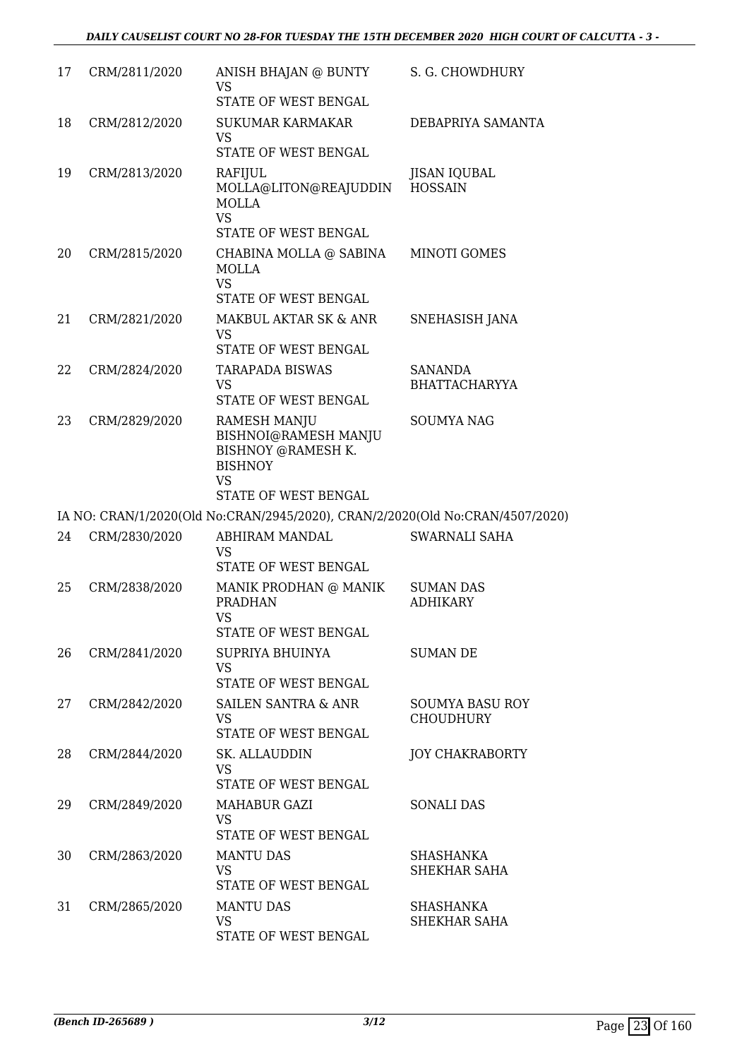| 17 | CRM/2811/2020 | ANISH BHAJAN @ BUNTY<br><b>VS</b><br>STATE OF WEST BENGAL                                                                       | S. G. CHOWDHURY                            |
|----|---------------|---------------------------------------------------------------------------------------------------------------------------------|--------------------------------------------|
| 18 | CRM/2812/2020 | <b>SUKUMAR KARMAKAR</b><br><b>VS</b><br>STATE OF WEST BENGAL                                                                    | DEBAPRIYA SAMANTA                          |
| 19 | CRM/2813/2020 | RAFIJUL<br>MOLLA@LITON@REAJUDDIN<br>MOLLA<br>VS.                                                                                | <b>JISAN IQUBAL</b><br><b>HOSSAIN</b>      |
| 20 | CRM/2815/2020 | STATE OF WEST BENGAL<br>CHABINA MOLLA @ SABINA<br>MOLLA<br><b>VS</b><br>STATE OF WEST BENGAL                                    | <b>MINOTI GOMES</b>                        |
| 21 | CRM/2821/2020 | MAKBUL AKTAR SK & ANR<br><b>VS</b><br>STATE OF WEST BENGAL                                                                      | SNEHASISH JANA                             |
| 22 | CRM/2824/2020 | TARAPADA BISWAS<br><b>VS</b><br>STATE OF WEST BENGAL                                                                            | SANANDA<br><b>BHATTACHARYYA</b>            |
| 23 | CRM/2829/2020 | <b>RAMESH MANJU</b><br>BISHNOI@RAMESH MANJU<br><b>BISHNOY @RAMESH K.</b><br><b>BISHNOY</b><br><b>VS</b><br>STATE OF WEST BENGAL | <b>SOUMYA NAG</b>                          |
|    |               | IA NO: CRAN/1/2020(Old No:CRAN/2945/2020), CRAN/2/2020(Old No:CRAN/4507/2020)                                                   |                                            |
| 24 | CRM/2830/2020 | ABHIRAM MANDAL<br><b>VS</b><br>STATE OF WEST BENGAL                                                                             | <b>SWARNALI SAHA</b>                       |
| 25 | CRM/2838/2020 | MANIK PRODHAN @ MANIK<br><b>PRADHAN</b><br>VS<br>STATE OF WEST BENGAL                                                           | <b>SUMAN DAS</b><br><b>ADHIKARY</b>        |
| 26 | CRM/2841/2020 | SUPRIYA BHUINYA<br><b>VS</b><br>STATE OF WEST BENGAL                                                                            | <b>SUMAN DE</b>                            |
| 27 | CRM/2842/2020 | <b>SAILEN SANTRA &amp; ANR</b><br><b>VS</b><br>STATE OF WEST BENGAL                                                             | <b>SOUMYA BASU ROY</b><br><b>CHOUDHURY</b> |
| 28 | CRM/2844/2020 | <b>SK. ALLAUDDIN</b><br>VS<br>STATE OF WEST BENGAL                                                                              | <b>JOY CHAKRABORTY</b>                     |
| 29 | CRM/2849/2020 | MAHABUR GAZI<br><b>VS</b><br>STATE OF WEST BENGAL                                                                               | <b>SONALI DAS</b>                          |
| 30 | CRM/2863/2020 | <b>MANTU DAS</b><br><b>VS</b><br>STATE OF WEST BENGAL                                                                           | SHASHANKA<br>SHEKHAR SAHA                  |
| 31 | CRM/2865/2020 | <b>MANTU DAS</b><br><b>VS</b>                                                                                                   | SHASHANKA<br>SHEKHAR SAHA                  |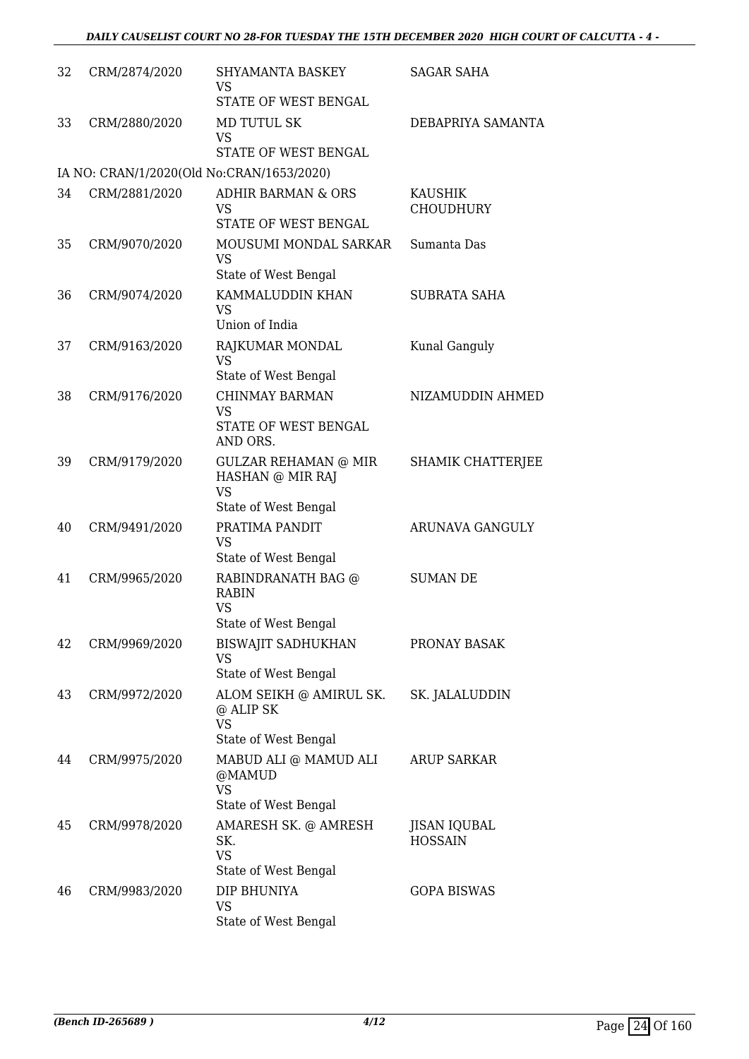| 32 | CRM/2874/2020 | <b>SHYAMANTA BASKEY</b><br><b>VS</b><br>STATE OF WEST BENGAL                         | <b>SAGAR SAHA</b>                  |
|----|---------------|--------------------------------------------------------------------------------------|------------------------------------|
| 33 | CRM/2880/2020 | <b>MD TUTUL SK</b><br><b>VS</b><br>STATE OF WEST BENGAL                              | DEBAPRIYA SAMANTA                  |
|    |               | IA NO: CRAN/1/2020(Old No:CRAN/1653/2020)                                            |                                    |
| 34 | CRM/2881/2020 | <b>ADHIR BARMAN &amp; ORS</b><br><b>VS</b><br>STATE OF WEST BENGAL                   | <b>KAUSHIK</b><br><b>CHOUDHURY</b> |
| 35 | CRM/9070/2020 | MOUSUMI MONDAL SARKAR<br><b>VS</b><br>State of West Bengal                           | Sumanta Das                        |
| 36 | CRM/9074/2020 | KAMMALUDDIN KHAN<br><b>VS</b><br>Union of India                                      | <b>SUBRATA SAHA</b>                |
| 37 | CRM/9163/2020 | RAJKUMAR MONDAL<br><b>VS</b><br>State of West Bengal                                 | Kunal Ganguly                      |
| 38 | CRM/9176/2020 | <b>CHINMAY BARMAN</b><br><b>VS</b><br>STATE OF WEST BENGAL<br>AND ORS.               | NIZAMUDDIN AHMED                   |
| 39 | CRM/9179/2020 | <b>GULZAR REHAMAN @ MIR</b><br>HASHAN @ MIR RAJ<br><b>VS</b><br>State of West Bengal | SHAMIK CHATTERJEE                  |
| 40 | CRM/9491/2020 | PRATIMA PANDIT<br><b>VS</b><br>State of West Bengal                                  | <b>ARUNAVA GANGULY</b>             |
| 41 | CRM/9965/2020 | RABINDRANATH BAG @<br>RABIN<br><b>VS</b><br>State of West Bengal                     | <b>SUMAN DE</b>                    |
| 42 | CRM/9969/2020 | <b>BISWAJIT SADHUKHAN</b><br><b>VS</b><br>State of West Bengal                       | PRONAY BASAK                       |
| 43 | CRM/9972/2020 | ALOM SEIKH @ AMIRUL SK.<br>@ ALIP SK<br><b>VS</b><br>State of West Bengal            | SK. JALALUDDIN                     |
| 44 | CRM/9975/2020 | MABUD ALI @ MAMUD ALI<br>@MAMUD<br><b>VS</b><br>State of West Bengal                 | <b>ARUP SARKAR</b>                 |
| 45 | CRM/9978/2020 | AMARESH SK. @ AMRESH<br>SK.<br><b>VS</b>                                             | JISAN IQUBAL<br><b>HOSSAIN</b>     |
| 46 | CRM/9983/2020 | State of West Bengal<br>DIP BHUNIYA<br>VS<br>State of West Bengal                    | <b>GOPA BISWAS</b>                 |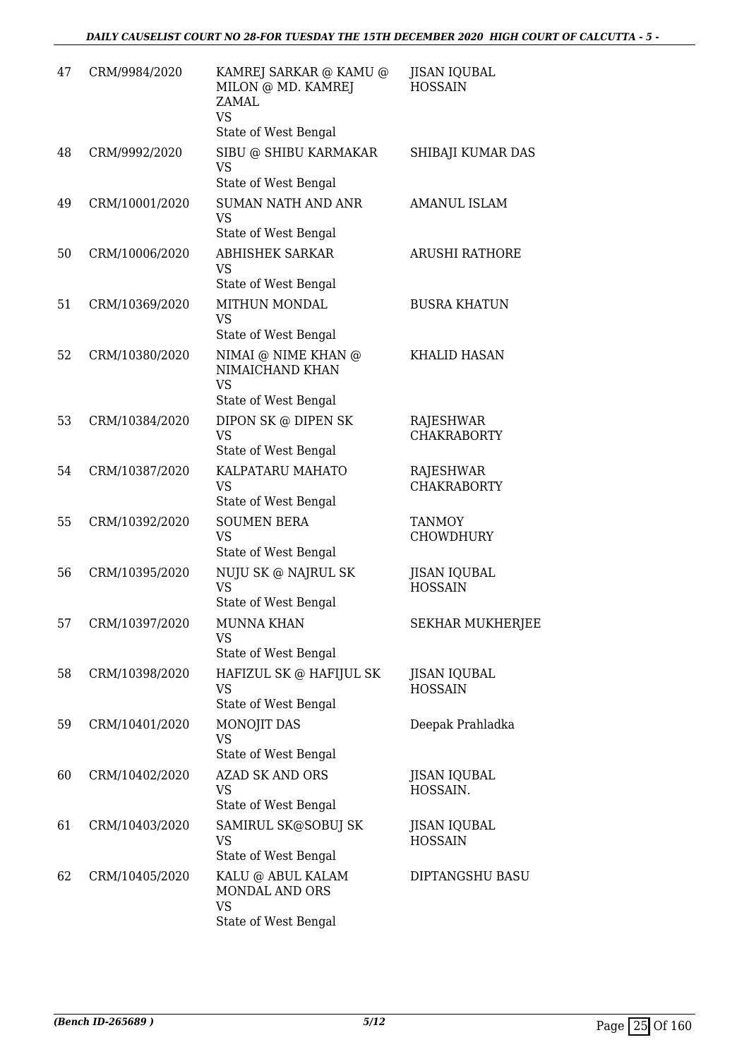| 47 | CRM/9984/2020  | KAMREJ SARKAR @ KAMU @<br>MILON @ MD. KAMREJ<br>ZAMAL<br><b>VS</b>          | <b>JISAN IQUBAL</b><br><b>HOSSAIN</b>  |
|----|----------------|-----------------------------------------------------------------------------|----------------------------------------|
| 48 | CRM/9992/2020  | State of West Bengal<br>SIBU @ SHIBU KARMAKAR<br><b>VS</b>                  | SHIBAJI KUMAR DAS                      |
|    |                | State of West Bengal                                                        |                                        |
| 49 | CRM/10001/2020 | <b>SUMAN NATH AND ANR</b><br><b>VS</b><br>State of West Bengal              | AMANUL ISLAM                           |
| 50 | CRM/10006/2020 | <b>ABHISHEK SARKAR</b><br><b>VS</b><br>State of West Bengal                 | <b>ARUSHI RATHORE</b>                  |
| 51 | CRM/10369/2020 | MITHUN MONDAL<br><b>VS</b><br>State of West Bengal                          | <b>BUSRA KHATUN</b>                    |
| 52 | CRM/10380/2020 | NIMAI @ NIME KHAN @<br>NIMAICHAND KHAN<br><b>VS</b><br>State of West Bengal | <b>KHALID HASAN</b>                    |
| 53 | CRM/10384/2020 | DIPON SK @ DIPEN SK<br><b>VS</b><br>State of West Bengal                    | <b>RAJESHWAR</b><br><b>CHAKRABORTY</b> |
| 54 | CRM/10387/2020 | KALPATARU MAHATO<br><b>VS</b><br>State of West Bengal                       | RAJESHWAR<br><b>CHAKRABORTY</b>        |
| 55 | CRM/10392/2020 | <b>SOUMEN BERA</b><br><b>VS</b><br>State of West Bengal                     | <b>TANMOY</b><br><b>CHOWDHURY</b>      |
| 56 | CRM/10395/2020 | NUJU SK @ NAJRUL SK<br><b>VS</b><br>State of West Bengal                    | <b>JISAN IQUBAL</b><br><b>HOSSAIN</b>  |
| 57 | CRM/10397/2020 | MUNNA KHAN<br>VS<br>State of West Bengal                                    | <b>SEKHAR MUKHERJEE</b>                |
| 58 | CRM/10398/2020 | HAFIZUL SK @ HAFIJUL SK<br><b>VS</b><br>State of West Bengal                | <b>JISAN IQUBAL</b><br><b>HOSSAIN</b>  |
| 59 | CRM/10401/2020 | MONOJIT DAS<br><b>VS</b><br>State of West Bengal                            | Deepak Prahladka                       |
| 60 | CRM/10402/2020 | <b>AZAD SK AND ORS</b><br><b>VS</b><br>State of West Bengal                 | <b>JISAN IQUBAL</b><br>HOSSAIN.        |
| 61 | CRM/10403/2020 | SAMIRUL SK@SOBUJ SK<br><b>VS</b><br>State of West Bengal                    | <b>JISAN IQUBAL</b><br><b>HOSSAIN</b>  |
| 62 | CRM/10405/2020 | KALU @ ABUL KALAM<br>MONDAL AND ORS<br><b>VS</b><br>State of West Bengal    | DIPTANGSHU BASU                        |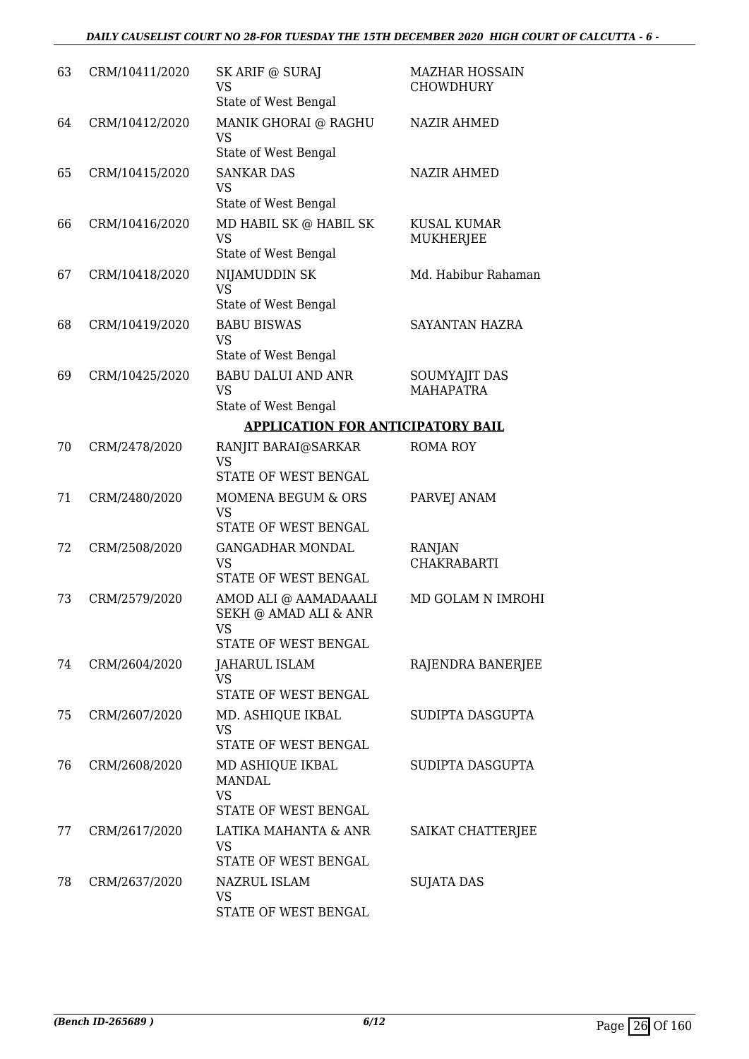## *DAILY CAUSELIST COURT NO 28-FOR TUESDAY THE 15TH DECEMBER 2020 HIGH COURT OF CALCUTTA - 6 -*

| 63 | CRM/10411/2020 | SK ARIF @ SURAJ<br><b>VS</b><br>State of West Bengal                         | <b>MAZHAR HOSSAIN</b><br><b>CHOWDHURY</b> |
|----|----------------|------------------------------------------------------------------------------|-------------------------------------------|
| 64 | CRM/10412/2020 | MANIK GHORAI @ RAGHU<br><b>VS</b><br>State of West Bengal                    | <b>NAZIR AHMED</b>                        |
| 65 | CRM/10415/2020 | <b>SANKAR DAS</b><br><b>VS</b><br>State of West Bengal                       | <b>NAZIR AHMED</b>                        |
| 66 | CRM/10416/2020 | MD HABIL SK @ HABIL SK<br><b>VS</b><br>State of West Bengal                  | <b>KUSAL KUMAR</b><br>MUKHERJEE           |
| 67 | CRM/10418/2020 | NIJAMUDDIN SK<br><b>VS</b><br>State of West Bengal                           | Md. Habibur Rahaman                       |
| 68 | CRM/10419/2020 | <b>BABU BISWAS</b><br><b>VS</b><br>State of West Bengal                      | SAYANTAN HAZRA                            |
| 69 | CRM/10425/2020 | <b>BABU DALUI AND ANR</b><br><b>VS</b><br>State of West Bengal               | <b>SOUMYAJIT DAS</b><br><b>MAHAPATRA</b>  |
|    |                | <b>APPLICATION FOR ANTICIPATORY BAIL</b>                                     |                                           |
| 70 | CRM/2478/2020  | RANJIT BARAI@SARKAR<br><b>VS</b><br>STATE OF WEST BENGAL                     | <b>ROMA ROY</b>                           |
| 71 | CRM/2480/2020  | MOMENA BEGUM & ORS<br><b>VS</b><br>STATE OF WEST BENGAL                      | PARVEJ ANAM                               |
| 72 | CRM/2508/2020  | <b>GANGADHAR MONDAL</b><br><b>VS</b><br>STATE OF WEST BENGAL                 | RANJAN<br><b>CHAKRABARTI</b>              |
| 73 | CRM/2579/2020  | AMOD ALI @ AAMADAAALI<br>SEKH @ AMAD ALI & ANR<br>VS<br>STATE OF WEST BENGAL | MD GOLAM N IMROHI                         |
| 74 | CRM/2604/2020  | <b>JAHARUL ISLAM</b><br><b>VS</b><br>STATE OF WEST BENGAL                    | RAJENDRA BANERJEE                         |
| 75 | CRM/2607/2020  | MD. ASHIQUE IKBAL<br><b>VS</b><br>STATE OF WEST BENGAL                       | SUDIPTA DASGUPTA                          |
| 76 | CRM/2608/2020  | MD ASHIQUE IKBAL<br><b>MANDAL</b><br><b>VS</b><br>STATE OF WEST BENGAL       | SUDIPTA DASGUPTA                          |
| 77 | CRM/2617/2020  | LATIKA MAHANTA & ANR<br><b>VS</b><br>STATE OF WEST BENGAL                    | SAIKAT CHATTERJEE                         |
| 78 | CRM/2637/2020  | NAZRUL ISLAM<br><b>VS</b><br>STATE OF WEST BENGAL                            | <b>SUJATA DAS</b>                         |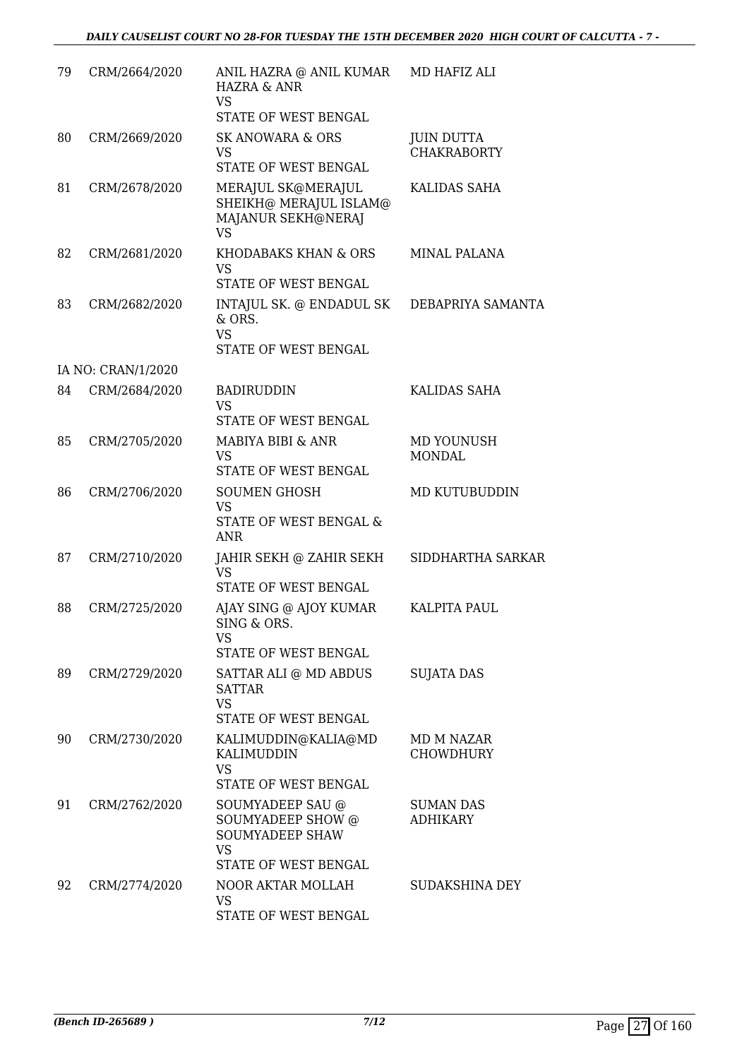| 79 | CRM/2664/2020      | ANIL HAZRA @ ANIL KUMAR<br><b>HAZRA &amp; ANR</b><br><b>VS</b><br>STATE OF WEST BENGAL               | MD HAFIZ ALI                            |
|----|--------------------|------------------------------------------------------------------------------------------------------|-----------------------------------------|
| 80 | CRM/2669/2020      | <b>SK ANOWARA &amp; ORS</b><br>VS<br>STATE OF WEST BENGAL                                            | <b>JUIN DUTTA</b><br><b>CHAKRABORTY</b> |
| 81 | CRM/2678/2020      | MERAJUL SK@MERAJUL<br>SHEIKH@ MERAJUL ISLAM@<br>MAJANUR SEKH@NERAJ<br><b>VS</b>                      | KALIDAS SAHA                            |
| 82 | CRM/2681/2020      | KHODABAKS KHAN & ORS<br><b>VS</b><br>STATE OF WEST BENGAL                                            | MINAL PALANA                            |
| 83 | CRM/2682/2020      | INTAJUL SK. @ ENDADUL SK<br>& ORS.<br><b>VS</b><br>STATE OF WEST BENGAL                              | DEBAPRIYA SAMANTA                       |
|    | IA NO: CRAN/1/2020 |                                                                                                      |                                         |
| 84 | CRM/2684/2020      | <b>BADIRUDDIN</b><br><b>VS</b><br>STATE OF WEST BENGAL                                               | KALIDAS SAHA                            |
| 85 | CRM/2705/2020      | MABIYA BIBI & ANR<br><b>VS</b><br>STATE OF WEST BENGAL                                               | MD YOUNUSH<br><b>MONDAL</b>             |
| 86 | CRM/2706/2020      | <b>SOUMEN GHOSH</b><br><b>VS</b><br>STATE OF WEST BENGAL &<br>ANR                                    | MD KUTUBUDDIN                           |
| 87 | CRM/2710/2020      | JAHIR SEKH @ ZAHIR SEKH<br><b>VS</b><br>STATE OF WEST BENGAL                                         | SIDDHARTHA SARKAR                       |
| 88 | CRM/2725/2020      | AJAY SING @ AJOY KUMAR<br>SING & ORS.<br><b>VS</b><br>STATE OF WEST BENGAL                           | <b>KALPITA PAUL</b>                     |
| 89 | CRM/2729/2020      | SATTAR ALI @ MD ABDUS<br><b>SATTAR</b><br><b>VS</b><br><b>STATE OF WEST BENGAL</b>                   | <b>SUJATA DAS</b>                       |
| 90 | CRM/2730/2020      | KALIMUDDIN@KALIA@MD<br>KALIMUDDIN<br><b>VS</b><br>STATE OF WEST BENGAL                               | MD M NAZAR<br>CHOWDHURY                 |
| 91 | CRM/2762/2020      | SOUMYADEEP SAU @<br>SOUMYADEEP SHOW @<br><b>SOUMYADEEP SHAW</b><br><b>VS</b><br>STATE OF WEST BENGAL | <b>SUMAN DAS</b><br><b>ADHIKARY</b>     |
| 92 | CRM/2774/2020      | NOOR AKTAR MOLLAH<br><b>VS</b><br>STATE OF WEST BENGAL                                               | SUDAKSHINA DEY                          |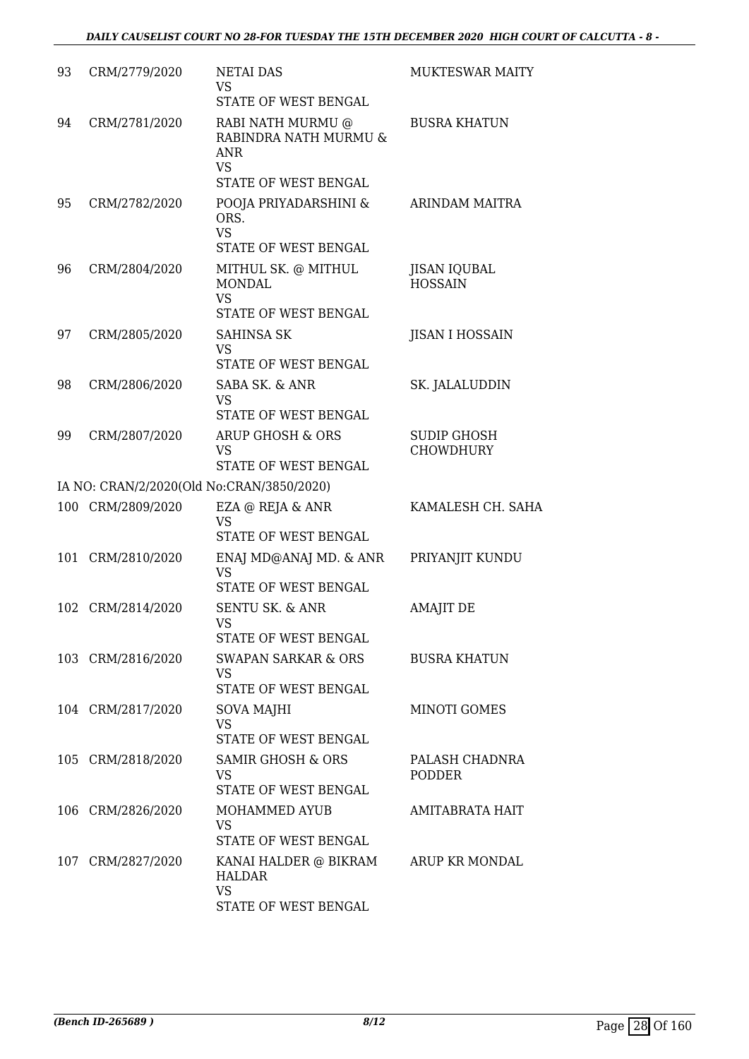| 93  | CRM/2779/2020     | <b>NETAI DAS</b><br><b>VS</b><br>STATE OF WEST BENGAL                                         | MUKTESWAR MAITY                        |
|-----|-------------------|-----------------------------------------------------------------------------------------------|----------------------------------------|
| 94  | CRM/2781/2020     | RABI NATH MURMU @<br>RABINDRA NATH MURMU &<br><b>ANR</b><br><b>VS</b><br>STATE OF WEST BENGAL | <b>BUSRA KHATUN</b>                    |
| 95  | CRM/2782/2020     | POOJA PRIYADARSHINI &<br>ORS.<br><b>VS</b><br>STATE OF WEST BENGAL                            | <b>ARINDAM MAITRA</b>                  |
| 96  | CRM/2804/2020     | MITHUL SK. @ MITHUL<br>MONDAL<br><b>VS</b><br>STATE OF WEST BENGAL                            | <b>JISAN IQUBAL</b><br><b>HOSSAIN</b>  |
| 97  | CRM/2805/2020     | <b>SAHINSA SK</b><br><b>VS</b><br>STATE OF WEST BENGAL                                        | <b>JISAN I HOSSAIN</b>                 |
| 98  | CRM/2806/2020     | SABA SK. & ANR<br><b>VS</b><br>STATE OF WEST BENGAL                                           | SK. JALALUDDIN                         |
| 99  | CRM/2807/2020     | <b>ARUP GHOSH &amp; ORS</b><br><b>VS</b><br>STATE OF WEST BENGAL                              | <b>SUDIP GHOSH</b><br><b>CHOWDHURY</b> |
|     |                   | IA NO: CRAN/2/2020(Old No:CRAN/3850/2020)                                                     |                                        |
|     | 100 CRM/2809/2020 | EZA @ REJA & ANR<br>VS<br>STATE OF WEST BENGAL                                                | KAMALESH CH. SAHA                      |
| 101 | CRM/2810/2020     | ENAJ MD@ANAJ MD. & ANR<br><b>VS</b><br>STATE OF WEST BENGAL                                   | PRIYANJIT KUNDU                        |
|     | 102 CRM/2814/2020 | <b>SENTU SK. &amp; ANR</b><br>VS.<br>STATE OF WEST BENGAL                                     | <b>AMAJIT DE</b>                       |
|     | 103 CRM/2816/2020 | SWAPAN SARKAR & ORS<br>VS<br><b>STATE OF WEST BENGAL</b>                                      | <b>BUSRA KHATUN</b>                    |
|     | 104 CRM/2817/2020 | SOVA MAJHI<br><b>VS</b><br>STATE OF WEST BENGAL                                               | MINOTI GOMES                           |
|     | 105 CRM/2818/2020 | <b>SAMIR GHOSH &amp; ORS</b><br>VS.<br>STATE OF WEST BENGAL                                   | PALASH CHADNRA<br><b>PODDER</b>        |
|     | 106 CRM/2826/2020 | MOHAMMED AYUB<br><b>VS</b><br>STATE OF WEST BENGAL                                            | <b>AMITABRATA HAIT</b>                 |
|     | 107 CRM/2827/2020 | KANAI HALDER @ BIKRAM<br>HALDAR<br><b>VS</b><br>STATE OF WEST BENGAL                          | ARUP KR MONDAL                         |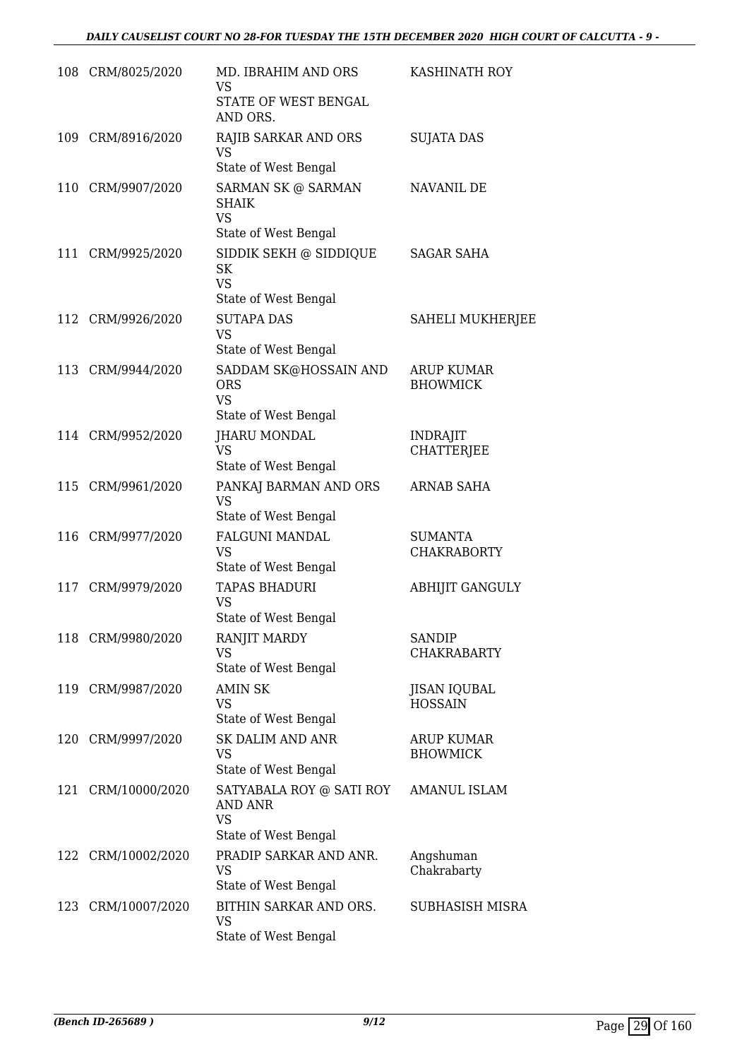|     | 108 CRM/8025/2020  | MD. IBRAHIM AND ORS<br><b>VS</b><br>STATE OF WEST BENGAL<br>AND ORS.     | KASHINATH ROY                         |
|-----|--------------------|--------------------------------------------------------------------------|---------------------------------------|
| 109 | CRM/8916/2020      | RAJIB SARKAR AND ORS<br><b>VS</b><br>State of West Bengal                | <b>SUJATA DAS</b>                     |
|     | 110 CRM/9907/2020  | SARMAN SK @ SARMAN<br><b>SHAIK</b><br><b>VS</b><br>State of West Bengal  | NAVANIL DE                            |
|     | 111 CRM/9925/2020  | SIDDIK SEKH @ SIDDIQUE<br>SK<br><b>VS</b><br>State of West Bengal        | <b>SAGAR SAHA</b>                     |
|     | 112 CRM/9926/2020  | <b>SUTAPA DAS</b><br><b>VS</b><br>State of West Bengal                   | SAHELI MUKHERJEE                      |
|     | 113 CRM/9944/2020  | SADDAM SK@HOSSAIN AND<br><b>ORS</b><br><b>VS</b><br>State of West Bengal | <b>ARUP KUMAR</b><br><b>BHOWMICK</b>  |
|     | 114 CRM/9952/2020  | <b>JHARU MONDAL</b><br>VS<br>State of West Bengal                        | <b>INDRAJIT</b><br><b>CHATTERJEE</b>  |
|     | 115 CRM/9961/2020  | PANKAJ BARMAN AND ORS<br><b>VS</b><br>State of West Bengal               | <b>ARNAB SAHA</b>                     |
| 116 | CRM/9977/2020      | <b>FALGUNI MANDAL</b><br><b>VS</b><br>State of West Bengal               | <b>SUMANTA</b><br><b>CHAKRABORTY</b>  |
|     | 117 CRM/9979/2020  | <b>TAPAS BHADURI</b><br><b>VS</b><br>State of West Bengal                | <b>ABHIJIT GANGULY</b>                |
|     | 118 CRM/9980/2020  | RANJIT MARDY<br><b>VS</b><br>State of West Bengal                        | <b>SANDIP</b><br><b>CHAKRABARTY</b>   |
| 119 | CRM/9987/2020      | <b>AMIN SK</b><br><b>VS</b><br>State of West Bengal                      | <b>JISAN IQUBAL</b><br><b>HOSSAIN</b> |
| 120 | CRM/9997/2020      | <b>SK DALIM AND ANR</b><br><b>VS</b><br>State of West Bengal             | <b>ARUP KUMAR</b><br><b>BHOWMICK</b>  |
|     | 121 CRM/10000/2020 | SATYABALA ROY @ SATI ROY<br>AND ANR<br><b>VS</b><br>State of West Bengal | <b>AMANUL ISLAM</b>                   |
|     | 122 CRM/10002/2020 | PRADIP SARKAR AND ANR.<br><b>VS</b><br>State of West Bengal              | Angshuman<br>Chakrabarty              |
| 123 | CRM/10007/2020     | BITHIN SARKAR AND ORS.<br><b>VS</b><br>State of West Bengal              | SUBHASISH MISRA                       |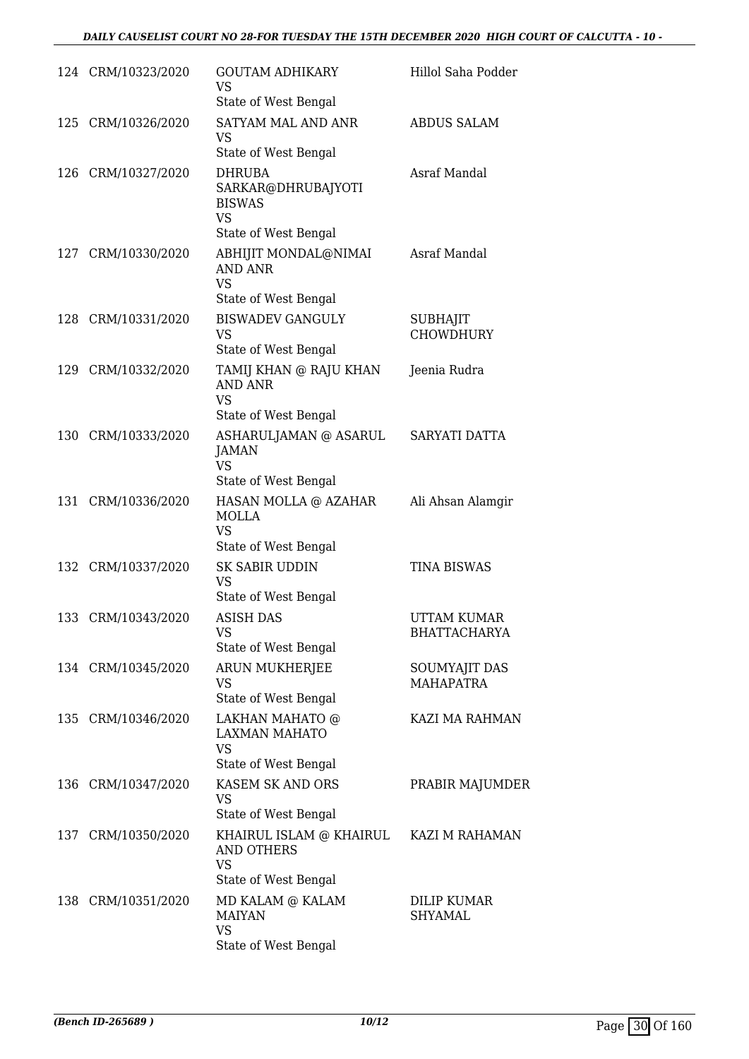|     | 124 CRM/10323/2020 | <b>GOUTAM ADHIKARY</b><br>VS<br>State of West Bengal                               | Hillol Saha Podder                   |
|-----|--------------------|------------------------------------------------------------------------------------|--------------------------------------|
|     | 125 CRM/10326/2020 | SATYAM MAL AND ANR<br>VS<br>State of West Bengal                                   | <b>ABDUS SALAM</b>                   |
| 126 | CRM/10327/2020     | DHRUBA<br>SARKAR@DHRUBAJYOTI<br><b>BISWAS</b><br><b>VS</b><br>State of West Bengal | Asraf Mandal                         |
|     | 127 CRM/10330/2020 | ABHIJIT MONDAL@NIMAI<br><b>AND ANR</b><br><b>VS</b><br>State of West Bengal        | Asraf Mandal                         |
| 128 | CRM/10331/2020     | <b>BISWADEV GANGULY</b><br><b>VS</b><br>State of West Bengal                       | <b>SUBHAJIT</b><br><b>CHOWDHURY</b>  |
| 129 | CRM/10332/2020     | TAMIJ KHAN @ RAJU KHAN<br><b>AND ANR</b><br><b>VS</b><br>State of West Bengal      | Jeenia Rudra                         |
|     | 130 CRM/10333/2020 | ASHARULJAMAN @ ASARUL<br><b>JAMAN</b><br><b>VS</b><br>State of West Bengal         | SARYATI DATTA                        |
| 131 | CRM/10336/2020     | HASAN MOLLA @ AZAHAR<br><b>MOLLA</b><br><b>VS</b><br>State of West Bengal          | Ali Ahsan Alamgir                    |
|     | 132 CRM/10337/2020 | <b>SK SABIR UDDIN</b><br>VS<br>State of West Bengal                                | <b>TINA BISWAS</b>                   |
| 133 | CRM/10343/2020     | <b>ASISH DAS</b><br><b>VS</b><br>State of West Bengal                              | UTTAM KUMAR<br><b>BHATTACHARYA</b>   |
|     | 134 CRM/10345/2020 | ARUN MUKHERJEE<br>VS<br>State of West Bengal                                       | SOUMYAJIT DAS<br>MAHAPATRA           |
|     | 135 CRM/10346/2020 | LAKHAN MAHATO @<br><b>LAXMAN MAHATO</b><br><b>VS</b><br>State of West Bengal       | KAZI MA RAHMAN                       |
| 136 | CRM/10347/2020     | KASEM SK AND ORS<br><b>VS</b><br>State of West Bengal                              | PRABIR MAJUMDER                      |
|     | 137 CRM/10350/2020 | KHAIRUL ISLAM @ KHAIRUL<br><b>AND OTHERS</b><br><b>VS</b><br>State of West Bengal  | KAZI M RAHAMAN                       |
|     | 138 CRM/10351/2020 | MD KALAM @ KALAM<br><b>MAIYAN</b><br><b>VS</b><br>State of West Bengal             | <b>DILIP KUMAR</b><br><b>SHYAMAL</b> |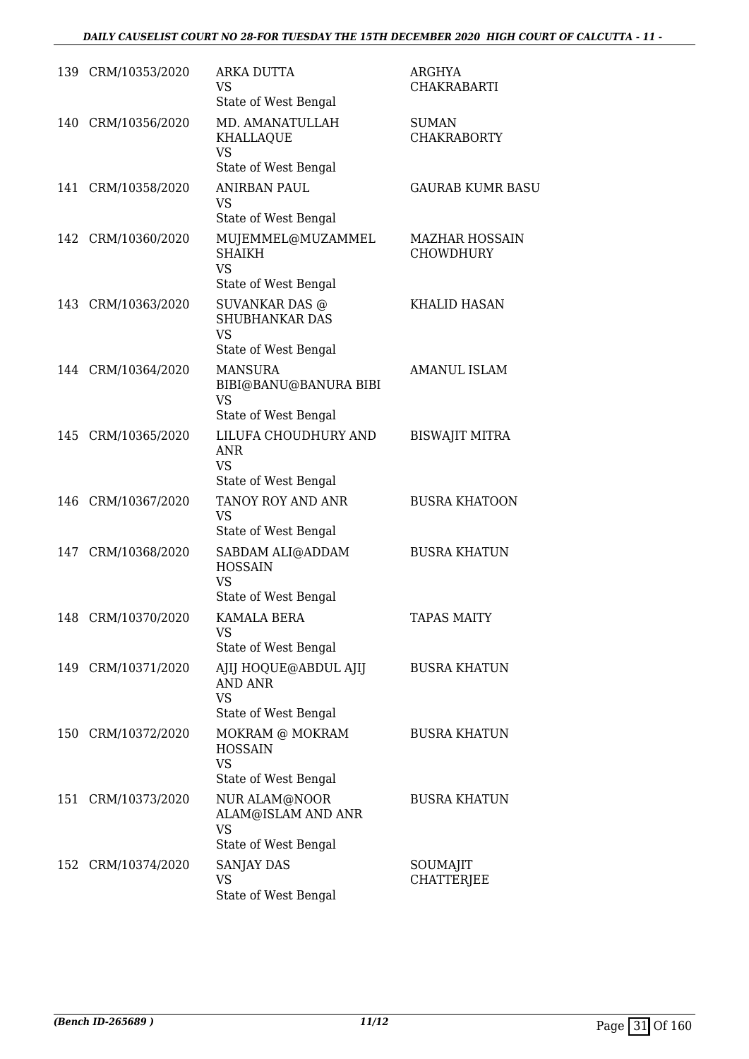|     | 139 CRM/10353/2020 | <b>ARKA DUTTA</b><br><b>VS</b><br>State of West Bengal                              | ARGHYA<br><b>CHAKRABARTI</b>              |
|-----|--------------------|-------------------------------------------------------------------------------------|-------------------------------------------|
| 140 | CRM/10356/2020     | MD. AMANATULLAH<br>KHALLAQUE<br><b>VS</b><br>State of West Bengal                   | <b>SUMAN</b><br><b>CHAKRABORTY</b>        |
| 141 | CRM/10358/2020     | <b>ANIRBAN PAUL</b><br><b>VS</b><br>State of West Bengal                            | <b>GAURAB KUMR BASU</b>                   |
|     | 142 CRM/10360/2020 | MUJEMMEL@MUZAMMEL<br><b>SHAIKH</b><br><b>VS</b><br>State of West Bengal             | <b>MAZHAR HOSSAIN</b><br><b>CHOWDHURY</b> |
| 143 | CRM/10363/2020     | <b>SUVANKAR DAS @</b><br><b>SHUBHANKAR DAS</b><br><b>VS</b><br>State of West Bengal | <b>KHALID HASAN</b>                       |
|     | 144 CRM/10364/2020 | <b>MANSURA</b><br>BIBI@BANU@BANURA BIBI<br><b>VS</b><br>State of West Bengal        | <b>AMANUL ISLAM</b>                       |
|     | 145 CRM/10365/2020 | LILUFA CHOUDHURY AND<br>ANR<br><b>VS</b><br>State of West Bengal                    | <b>BISWAJIT MITRA</b>                     |
| 146 | CRM/10367/2020     | TANOY ROY AND ANR<br><b>VS</b><br>State of West Bengal                              | <b>BUSRA KHATOON</b>                      |
| 147 | CRM/10368/2020     | SABDAM ALI@ADDAM<br><b>HOSSAIN</b><br><b>VS</b><br>State of West Bengal             | <b>BUSRA KHATUN</b>                       |
| 148 | CRM/10370/2020     | <b>KAMALA BERA</b><br><b>VS</b><br>State of West Bengal                             | <b>TAPAS MAITY</b>                        |
|     | 149 CRM/10371/2020 | AJIJ HOQUE@ABDUL AJIJ<br><b>AND ANR</b><br><b>VS</b><br>State of West Bengal        | <b>BUSRA KHATUN</b>                       |
| 150 | CRM/10372/2020     | MOKRAM @ MOKRAM<br><b>HOSSAIN</b><br><b>VS</b><br>State of West Bengal              | <b>BUSRA KHATUN</b>                       |
| 151 | CRM/10373/2020     | NUR ALAM@NOOR<br>ALAM@ISLAM AND ANR<br><b>VS</b><br>State of West Bengal            | <b>BUSRA KHATUN</b>                       |
|     | 152 CRM/10374/2020 | SANJAY DAS<br><b>VS</b><br>State of West Bengal                                     | SOUMAJIT<br><b>CHATTERJEE</b>             |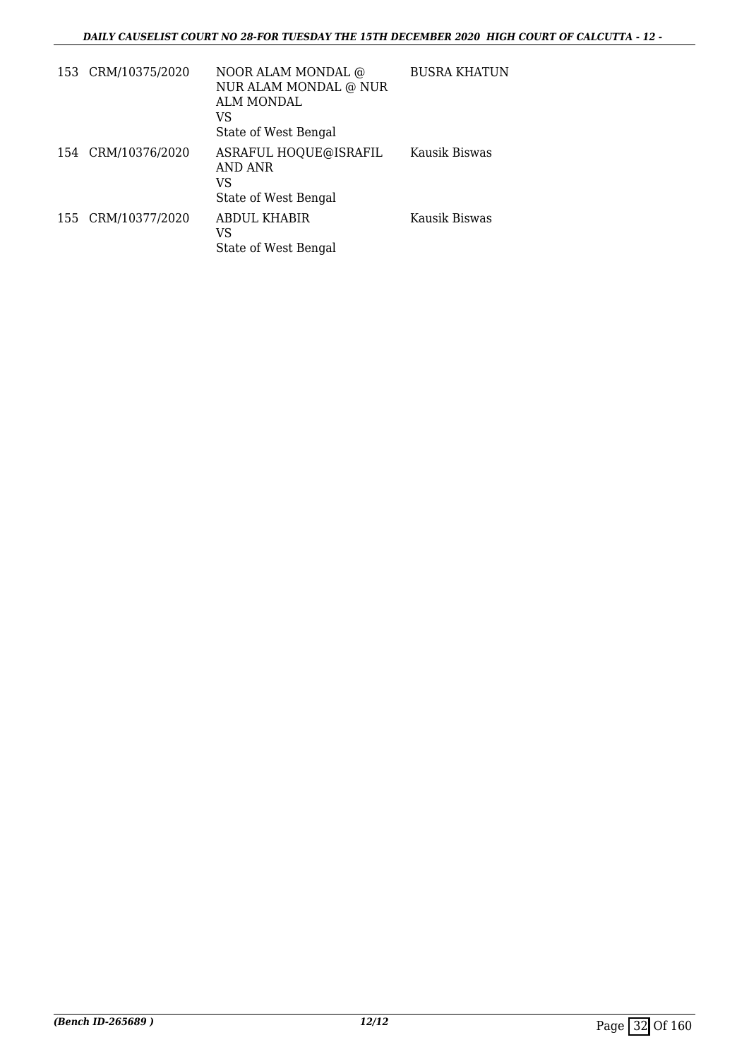| 153 CRM/10375/2020 | NOOR ALAM MONDAL @<br>NUR ALAM MONDAL @ NUR<br>ALM MONDAL<br>VS<br>State of West Bengal | <b>BUSRA KHATUN</b> |
|--------------------|-----------------------------------------------------------------------------------------|---------------------|
| 154 CRM/10376/2020 | ASRAFUL HOQUE@ISRAFIL<br>AND ANR<br>VS<br>State of West Bengal                          | Kausik Biswas       |
| 155 CRM/10377/2020 | ABDUL KHABIR<br>VS<br>State of West Bengal                                              | Kausik Biswas       |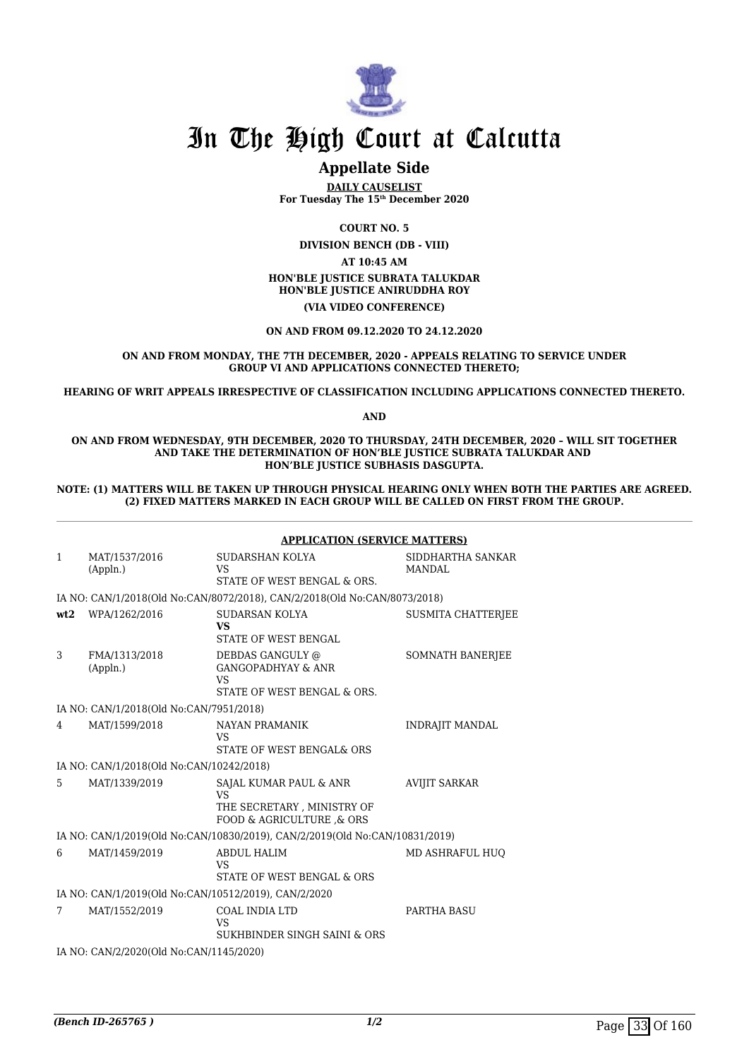

## **Appellate Side**

**DAILY CAUSELIST For Tuesday The 15th December 2020**

**COURT NO. 5**

**DIVISION BENCH (DB - VIII) AT 10:45 AM HON'BLE JUSTICE SUBRATA TALUKDAR HON'BLE JUSTICE ANIRUDDHA ROY (VIA VIDEO CONFERENCE)**

**ON AND FROM 09.12.2020 TO 24.12.2020**

#### **ON AND FROM MONDAY, THE 7TH DECEMBER, 2020 - APPEALS RELATING TO SERVICE UNDER GROUP VI AND APPLICATIONS CONNECTED THERETO;**

**HEARING OF WRIT APPEALS IRRESPECTIVE OF CLASSIFICATION INCLUDING APPLICATIONS CONNECTED THERETO.**

**AND**

**ON AND FROM WEDNESDAY, 9TH DECEMBER, 2020 TO THURSDAY, 24TH DECEMBER, 2020 – WILL SIT TOGETHER AND TAKE THE DETERMINATION OF HON'BLE JUSTICE SUBRATA TALUKDAR AND HON'BLE JUSTICE SUBHASIS DASGUPTA.**

**NOTE: (1) MATTERS WILL BE TAKEN UP THROUGH PHYSICAL HEARING ONLY WHEN BOTH THE PARTIES ARE AGREED. (2) FIXED MATTERS MARKED IN EACH GROUP WILL BE CALLED ON FIRST FROM THE GROUP.**

|                                                      |                                          | <b>APPLICATION (SERVICE MATTERS)</b>                                                          |                                    |  |
|------------------------------------------------------|------------------------------------------|-----------------------------------------------------------------------------------------------|------------------------------------|--|
| $\mathbf{1}$                                         | MAT/1537/2016<br>(Appln.)                | SUDARSHAN KOLYA<br><b>VS</b><br>STATE OF WEST BENGAL & ORS.                                   | SIDDHARTHA SANKAR<br><b>MANDAL</b> |  |
|                                                      |                                          | IA NO: CAN/1/2018(Old No:CAN/8072/2018), CAN/2/2018(Old No:CAN/8073/2018)                     |                                    |  |
| wt2                                                  | WPA/1262/2016                            | SUDARSAN KOLYA<br><b>VS</b><br>STATE OF WEST BENGAL                                           | <b>SUSMITA CHATTERJEE</b>          |  |
| 3                                                    | FMA/1313/2018<br>(Appln.)                | DEBDAS GANGULY @<br><b>GANGOPADHYAY &amp; ANR</b><br>VS<br>STATE OF WEST BENGAL & ORS.        | SOMNATH BANERJEE                   |  |
|                                                      | IA NO: CAN/1/2018(Old No:CAN/7951/2018)  |                                                                                               |                                    |  |
| 4                                                    | MAT/1599/2018                            | <b>NAYAN PRAMANIK</b><br>VS<br>STATE OF WEST BENGAL& ORS                                      | <b>INDRAJIT MANDAL</b>             |  |
|                                                      | IA NO: CAN/1/2018(Old No:CAN/10242/2018) |                                                                                               |                                    |  |
| 5                                                    | MAT/1339/2019                            | SAJAL KUMAR PAUL & ANR<br><b>VS</b><br>THE SECRETARY, MINISTRY OF<br>FOOD & AGRICULTURE & ORS | <b>AVIJIT SARKAR</b>               |  |
|                                                      |                                          | IA NO: CAN/1/2019(Old No:CAN/10830/2019), CAN/2/2019(Old No:CAN/10831/2019)                   |                                    |  |
| 6                                                    | MAT/1459/2019                            | <b>ABDUL HALIM</b><br>VS<br>STATE OF WEST BENGAL & ORS                                        | MD ASHRAFUL HUO                    |  |
| IA NO: CAN/1/2019(Old No:CAN/10512/2019), CAN/2/2020 |                                          |                                                                                               |                                    |  |
| 7                                                    | MAT/1552/2019                            | <b>COAL INDIA LTD</b><br><b>VS</b><br>SUKHBINDER SINGH SAINI & ORS                            | <b>PARTHA BASU</b>                 |  |
|                                                      | IA NO: CAN/2/2020(Old No:CAN/1145/2020)  |                                                                                               |                                    |  |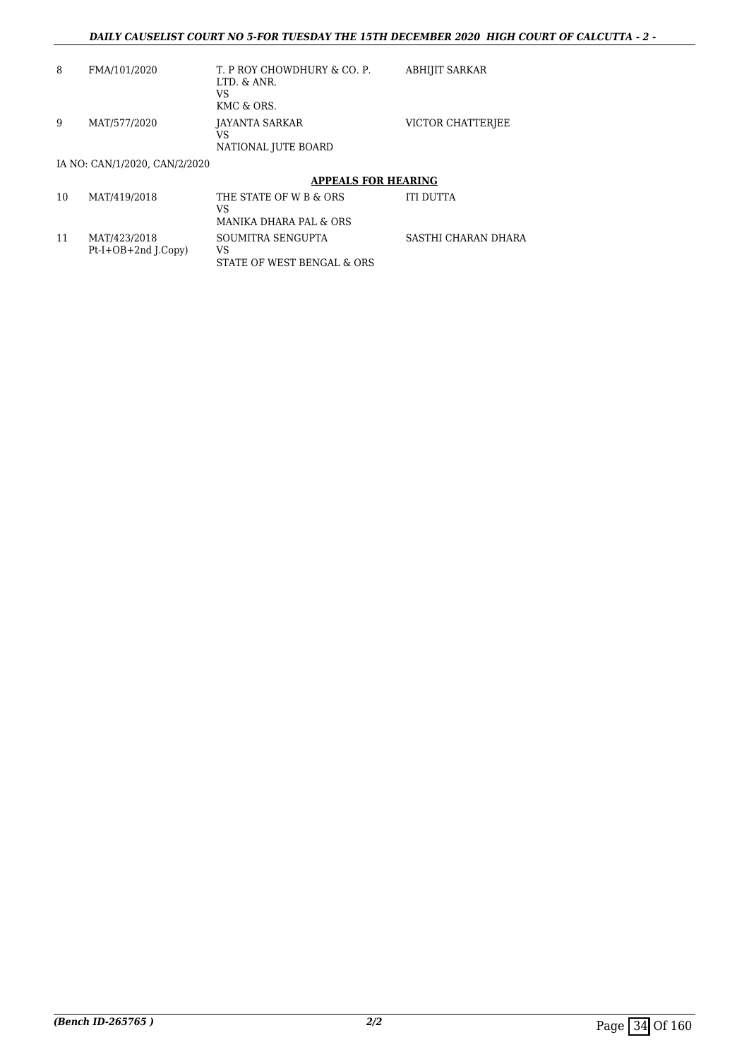| 8 | FMA/101/2020 | T. P ROY CHOWDHURY & CO. P.<br>LTD. & ANR.<br>VS<br>KMC & ORS. | ABHIJIT SARKAR    |
|---|--------------|----------------------------------------------------------------|-------------------|
| 9 | MAT/577/2020 | JAYANTA SARKAR<br>VS<br>NATIONAL JUTE BOARD                    | VICTOR CHATTERIEE |

#### IA NO: CAN/1/2020, CAN/2/2020

### **APPEALS FOR HEARING**

| 10 | MAT/419/2018                          | THE STATE OF W B & ORS<br>VS<br>MANIKA DHARA PAL & ORS | <b>ITI DUTTA</b>    |
|----|---------------------------------------|--------------------------------------------------------|---------------------|
| 11 | MAT/423/2018<br>$Pt-I+OB+2nd$ [.Copy) | SOUMITRA SENGUPTA<br>VS<br>STATE OF WEST BENGAL & ORS  | SASTHI CHARAN DHARA |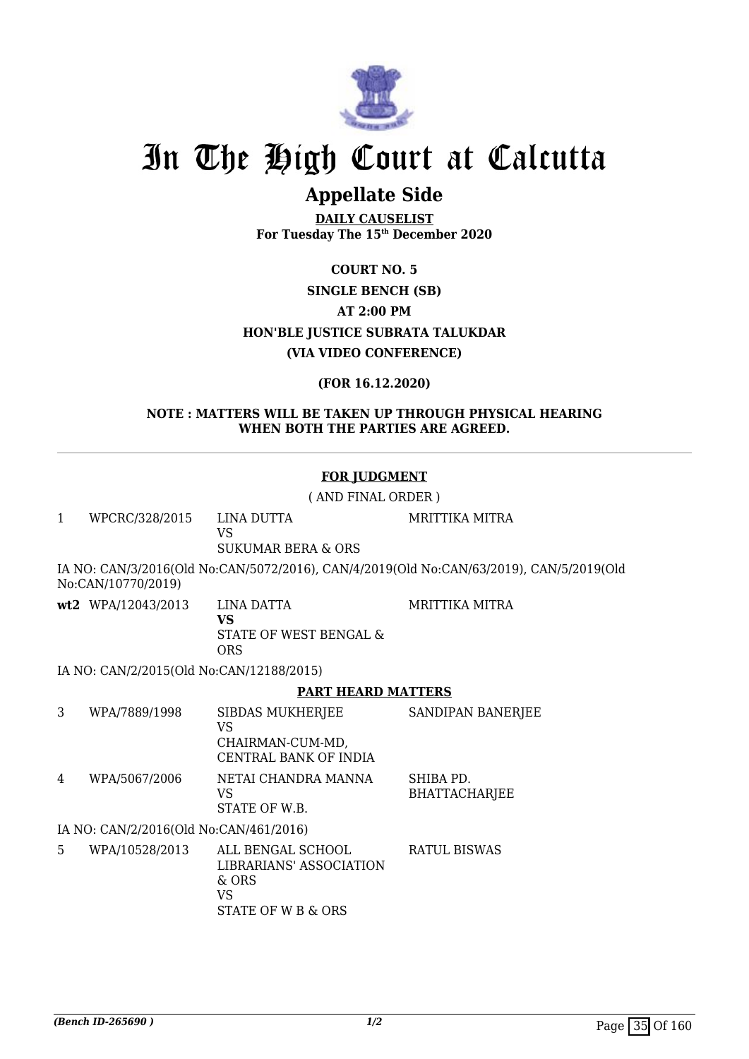

## **Appellate Side**

**DAILY CAUSELIST For Tuesday The 15th December 2020**

> **COURT NO. 5 SINGLE BENCH (SB)**

> > **AT 2:00 PM**

**HON'BLE JUSTICE SUBRATA TALUKDAR**

**(VIA VIDEO CONFERENCE)**

**(FOR 16.12.2020)**

**NOTE : MATTERS WILL BE TAKEN UP THROUGH PHYSICAL HEARING WHEN BOTH THE PARTIES ARE AGREED.**

### **FOR JUDGMENT**

( AND FINAL ORDER )

1 WPCRC/328/2015 LINA DUTTA VS SUKUMAR BERA & ORS MRITTIKA MITRA IA NO: CAN/3/2016(Old No:CAN/5072/2016), CAN/4/2019(Old No:CAN/63/2019), CAN/5/2019(Old

No:CAN/10770/2019)

**wt2** WPA/12043/2013 LINA DATTA **VS** STATE OF WEST BENGAL &

ORS

IA NO: CAN/2/2015(Old No:CAN/12188/2015)

### **PART HEARD MATTERS**

MRITTIKA MITRA

3 WPA/7889/1998 SIBDAS MUKHERJEE VS CHAIRMAN-CUM-MD, CENTRAL BANK OF INDIA SANDIPAN BANERIEE 4 WPA/5067/2006 NETAI CHANDRA MANNA VS STATE OF W.B. SHIBA PD. BHATTACHARJEE

IA NO: CAN/2/2016(Old No:CAN/461/2016)

5 WPA/10528/2013 ALL BENGAL SCHOOL LIBRARIANS' ASSOCIATION  $&$  ORS VS STATE OF W B & ORS RATUL BISWAS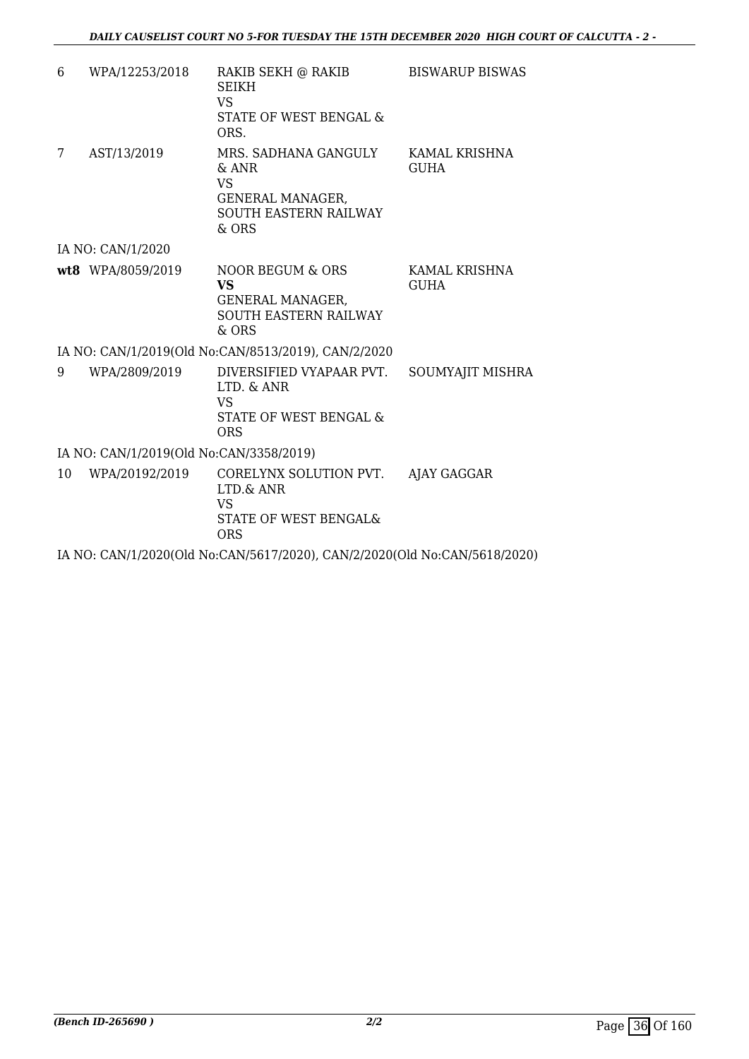| 6                                       | WPA/12253/2018    | RAKIB SEKH @ RAKIB<br><b>SEIKH</b><br>VS.<br>STATE OF WEST BENGAL &<br>ORS.                                      | <b>BISWARUP BISWAS</b>       |  |
|-----------------------------------------|-------------------|------------------------------------------------------------------------------------------------------------------|------------------------------|--|
| 7                                       | AST/13/2019       | MRS. SADHANA GANGULY<br>$&$ ANR<br><b>VS</b><br><b>GENERAL MANAGER,</b><br><b>SOUTH EASTERN RAILWAY</b><br>& ORS | KAMAL KRISHNA<br><b>GUHA</b> |  |
|                                         | IA NO: CAN/1/2020 |                                                                                                                  |                              |  |
|                                         | wt8 WPA/8059/2019 | NOOR BEGUM & ORS<br><b>VS</b><br><b>GENERAL MANAGER,</b><br><b>SOUTH EASTERN RAILWAY</b><br>$&$ ORS              | KAMAL KRISHNA<br><b>GUHA</b> |  |
|                                         |                   | IA NO: CAN/1/2019(Old No:CAN/8513/2019), CAN/2/2020                                                              |                              |  |
| 9                                       | WPA/2809/2019     | DIVERSIFIED VYAPAAR PVT.<br>LTD. & ANR<br><b>VS</b><br>STATE OF WEST BENGAL &<br><b>ORS</b>                      | SOUMYAJIT MISHRA             |  |
| IA NO: CAN/1/2019(Old No:CAN/3358/2019) |                   |                                                                                                                  |                              |  |
| 10                                      | WPA/20192/2019    | CORELYNX SOLUTION PVT.<br>LTD.& ANR<br><b>VS</b><br>STATE OF WEST BENGAL&<br><b>ORS</b>                          | AJAY GAGGAR                  |  |

IA NO: CAN/1/2020(Old No:CAN/5617/2020), CAN/2/2020(Old No:CAN/5618/2020)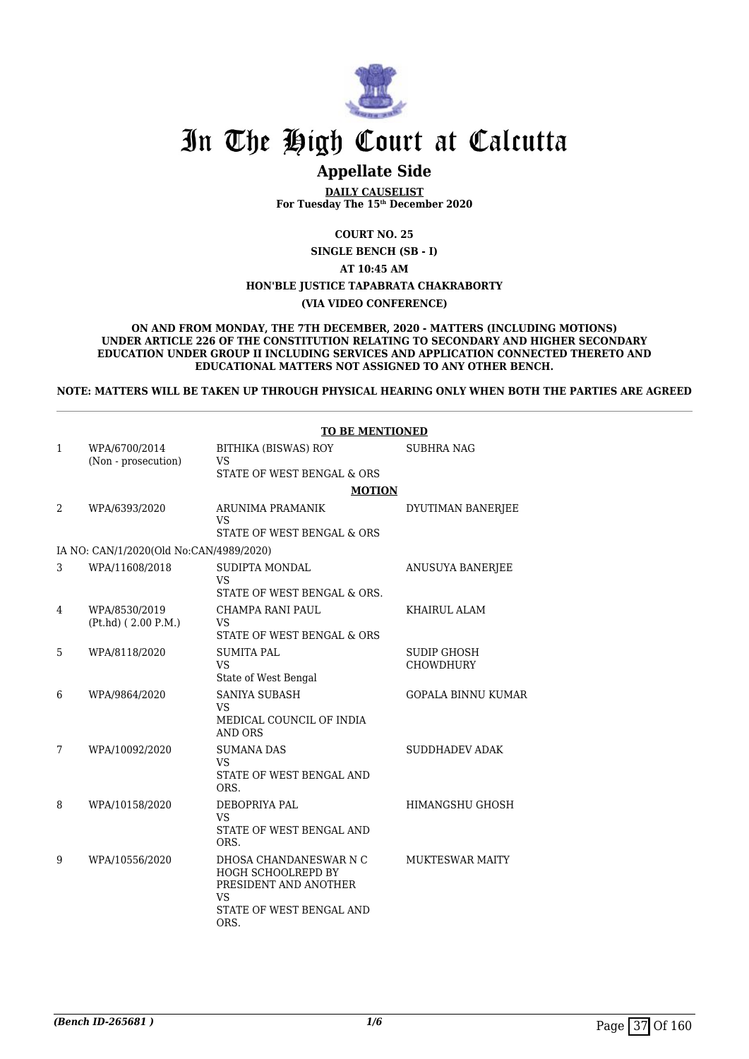

# **Appellate Side**

**DAILY CAUSELIST For Tuesday The 15th December 2020**

**COURT NO. 25**

**SINGLE BENCH (SB - I)**

**AT 10:45 AM**

#### **HON'BLE JUSTICE TAPABRATA CHAKRABORTY**

#### **(VIA VIDEO CONFERENCE)**

**ON AND FROM MONDAY, THE 7TH DECEMBER, 2020 - MATTERS (INCLUDING MOTIONS) UNDER ARTICLE 226 OF THE CONSTITUTION RELATING TO SECONDARY AND HIGHER SECONDARY EDUCATION UNDER GROUP II INCLUDING SERVICES AND APPLICATION CONNECTED THERETO AND EDUCATIONAL MATTERS NOT ASSIGNED TO ANY OTHER BENCH.**

**NOTE: MATTERS WILL BE TAKEN UP THROUGH PHYSICAL HEARING ONLY WHEN BOTH THE PARTIES ARE AGREED**

|   |                                         | <b>TO BE MENTIONED</b>                                                                                                        |                           |  |
|---|-----------------------------------------|-------------------------------------------------------------------------------------------------------------------------------|---------------------------|--|
| 1 | WPA/6700/2014<br>(Non - prosecution)    | BITHIKA (BISWAS) ROY<br><b>VS</b>                                                                                             | <b>SUBHRA NAG</b>         |  |
|   |                                         | STATE OF WEST BENGAL & ORS                                                                                                    |                           |  |
|   |                                         | <b>MOTION</b>                                                                                                                 |                           |  |
| 2 | WPA/6393/2020                           | ARUNIMA PRAMANIK<br><b>VS</b>                                                                                                 | DYUTIMAN BANERJEE         |  |
|   |                                         | STATE OF WEST BENGAL & ORS                                                                                                    |                           |  |
|   | IA NO: CAN/1/2020(Old No:CAN/4989/2020) |                                                                                                                               |                           |  |
| 3 | WPA/11608/2018                          | <b>SUDIPTA MONDAL</b><br><b>VS</b>                                                                                            | ANUSUYA BANERJEE          |  |
|   |                                         | STATE OF WEST BENGAL & ORS.                                                                                                   |                           |  |
| 4 | WPA/8530/2019<br>$(Pt.hd)$ (2.00 P.M.)  | CHAMPA RANI PAUL<br><b>VS</b><br>STATE OF WEST BENGAL & ORS                                                                   | KHAIRUL ALAM              |  |
| 5 | WPA/8118/2020                           | <b>SUMITA PAL</b>                                                                                                             | <b>SUDIP GHOSH</b>        |  |
|   | <b>VS</b>                               | State of West Bengal                                                                                                          | <b>CHOWDHURY</b>          |  |
| 6 | WPA/9864/2020                           | <b>SANIYA SUBASH</b><br><b>VS</b><br>MEDICAL COUNCIL OF INDIA<br><b>AND ORS</b>                                               | <b>GOPALA BINNU KUMAR</b> |  |
| 7 | WPA/10092/2020                          | <b>SUMANA DAS</b><br><b>VS</b><br>STATE OF WEST BENGAL AND<br>ORS.                                                            | <b>SUDDHADEV ADAK</b>     |  |
| 8 | WPA/10158/2020                          | DEBOPRIYA PAL<br>VS<br>STATE OF WEST BENGAL AND<br>ORS.                                                                       | HIMANGSHU GHOSH           |  |
| 9 | WPA/10556/2020                          | DHOSA CHANDANESWAR N C<br><b>HOGH SCHOOLREPD BY</b><br>PRESIDENT AND ANOTHER<br><b>VS</b><br>STATE OF WEST BENGAL AND<br>ORS. | <b>MUKTESWAR MAITY</b>    |  |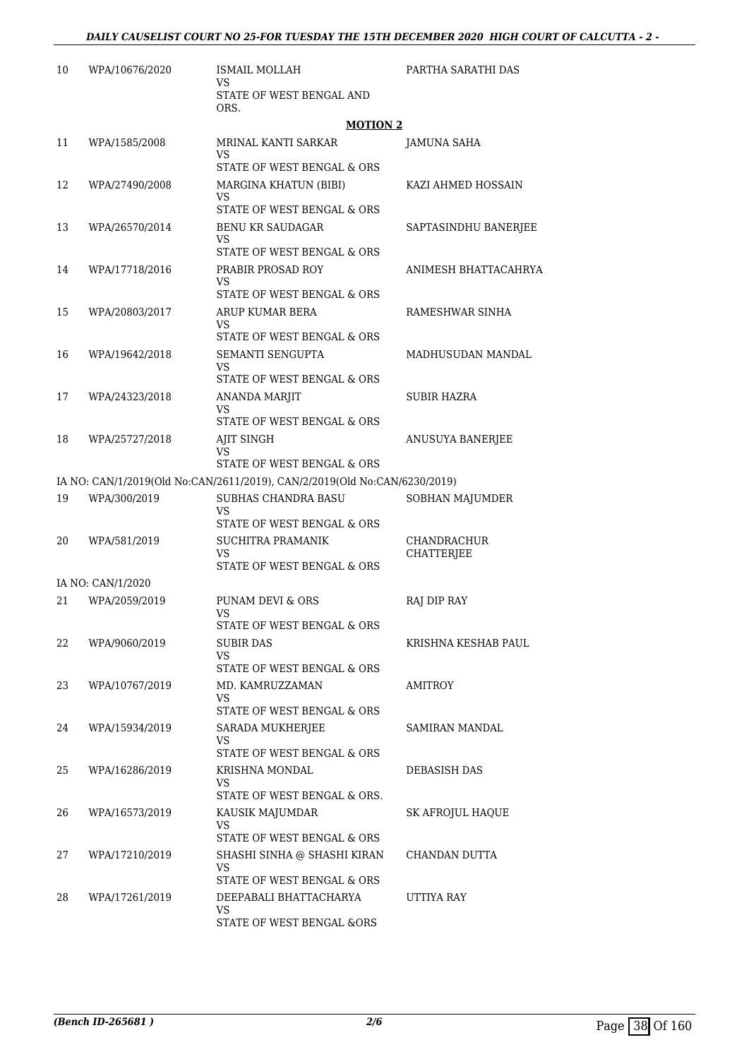| 10 | WPA/10676/2020    | <b>ISMAIL MOLLAH</b><br>VS                                                          | PARTHA SARATHI DAS                      |
|----|-------------------|-------------------------------------------------------------------------------------|-----------------------------------------|
|    |                   | STATE OF WEST BENGAL AND<br>ORS.                                                    |                                         |
|    |                   | <b>MOTION 2</b>                                                                     |                                         |
| 11 | WPA/1585/2008     | MRINAL KANTI SARKAR<br>VS.<br>STATE OF WEST BENGAL & ORS                            | <b>JAMUNA SAHA</b>                      |
| 12 | WPA/27490/2008    | MARGINA KHATUN (BIBI)<br>VS<br>STATE OF WEST BENGAL & ORS                           | KAZI AHMED HOSSAIN                      |
| 13 | WPA/26570/2014    | <b>BENU KR SAUDAGAR</b><br>VS                                                       | SAPTASINDHU BANERJEE                    |
| 14 | WPA/17718/2016    | STATE OF WEST BENGAL & ORS<br>PRABIR PROSAD ROY<br>VS<br>STATE OF WEST BENGAL & ORS | ANIMESH BHATTACAHRYA                    |
| 15 | WPA/20803/2017    | ARUP KUMAR BERA<br>VS<br>STATE OF WEST BENGAL & ORS                                 | RAMESHWAR SINHA                         |
| 16 | WPA/19642/2018    | SEMANTI SENGUPTA<br>VS<br>STATE OF WEST BENGAL & ORS                                | MADHUSUDAN MANDAL                       |
| 17 | WPA/24323/2018    | ANANDA MARJIT<br>VS<br>STATE OF WEST BENGAL & ORS                                   | <b>SUBIR HAZRA</b>                      |
| 18 | WPA/25727/2018    | AJIT SINGH<br>VS<br>STATE OF WEST BENGAL & ORS                                      | ANUSUYA BANERJEE                        |
|    |                   | IA NO: CAN/1/2019(Old No:CAN/2611/2019), CAN/2/2019(Old No:CAN/6230/2019)           |                                         |
| 19 | WPA/300/2019      | SUBHAS CHANDRA BASU<br>VS<br>STATE OF WEST BENGAL & ORS                             | SOBHAN MAJUMDER                         |
| 20 | WPA/581/2019      | SUCHITRA PRAMANIK<br>VS<br>STATE OF WEST BENGAL & ORS                               | <b>CHANDRACHUR</b><br><b>CHATTERJEE</b> |
|    | IA NO: CAN/1/2020 |                                                                                     |                                         |
| 21 | WPA/2059/2019     | <b>PUNAM DEVI &amp; ORS</b><br>VS<br>STATE OF WEST BENGAL & ORS                     | RAJ DIP RAY                             |
| 22 | WPA/9060/2019     | SUBIR DAS<br>VS<br>STATE OF WEST BENGAL & ORS                                       | KRISHNA KESHAB PAUL                     |
| 23 | WPA/10767/2019    | MD. KAMRUZZAMAN<br>VS<br>STATE OF WEST BENGAL & ORS                                 | AMITROY                                 |
| 24 | WPA/15934/2019    | SARADA MUKHERJEE<br>VS<br>STATE OF WEST BENGAL & ORS                                | SAMIRAN MANDAL                          |
| 25 | WPA/16286/2019    | KRISHNA MONDAL<br>VS<br>STATE OF WEST BENGAL & ORS.                                 | DEBASISH DAS                            |
| 26 | WPA/16573/2019    | KAUSIK MAJUMDAR<br>VS<br>STATE OF WEST BENGAL & ORS                                 | SK AFROJUL HAQUE                        |
| 27 | WPA/17210/2019    | SHASHI SINHA @ SHASHI KIRAN<br>VS<br>STATE OF WEST BENGAL & ORS                     | CHANDAN DUTTA                           |
| 28 | WPA/17261/2019    | DEEPABALI BHATTACHARYA<br>VS<br>STATE OF WEST BENGAL &ORS                           | UTTIYA RAY                              |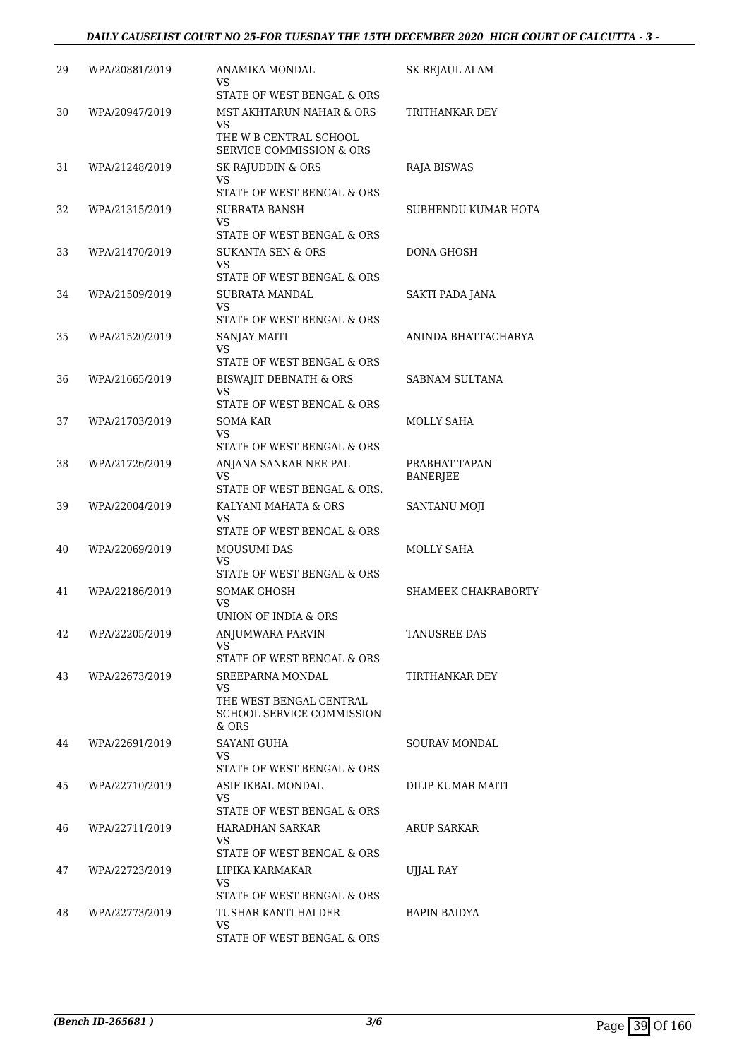| 29 | WPA/20881/2019 | ANAMIKA MONDAL<br>VS                                                                            | SK REJAUL ALAM                   |
|----|----------------|-------------------------------------------------------------------------------------------------|----------------------------------|
|    |                | STATE OF WEST BENGAL & ORS                                                                      |                                  |
| 30 | WPA/20947/2019 | MST AKHTARUN NAHAR & ORS<br>VS<br>THE W B CENTRAL SCHOOL<br><b>SERVICE COMMISSION &amp; ORS</b> | TRITHANKAR DEY                   |
| 31 | WPA/21248/2019 | SK RAJUDDIN & ORS<br>VS<br>STATE OF WEST BENGAL & ORS                                           | RAJA BISWAS                      |
| 32 | WPA/21315/2019 | SUBRATA BANSH<br>VS<br>STATE OF WEST BENGAL & ORS                                               | SUBHENDU KUMAR HOTA              |
| 33 | WPA/21470/2019 | SUKANTA SEN & ORS<br>VS<br>STATE OF WEST BENGAL & ORS                                           | DONA GHOSH                       |
| 34 | WPA/21509/2019 | SUBRATA MANDAL<br>VS                                                                            | SAKTI PADA JANA                  |
| 35 | WPA/21520/2019 | STATE OF WEST BENGAL & ORS<br>SANJAY MAITI<br><b>VS</b><br>STATE OF WEST BENGAL & ORS           | ANINDA BHATTACHARYA              |
| 36 | WPA/21665/2019 | <b>BISWAJIT DEBNATH &amp; ORS</b><br>VS                                                         | SABNAM SULTANA                   |
| 37 | WPA/21703/2019 | STATE OF WEST BENGAL & ORS<br><b>SOMA KAR</b><br>VS                                             | MOLLY SAHA                       |
| 38 | WPA/21726/2019 | STATE OF WEST BENGAL & ORS<br>ANJANA SANKAR NEE PAL<br>VS<br>STATE OF WEST BENGAL & ORS.        | PRABHAT TAPAN<br><b>BANERJEE</b> |
| 39 | WPA/22004/2019 | KALYANI MAHATA & ORS<br>VS<br>STATE OF WEST BENGAL & ORS                                        | SANTANU MOJI                     |
| 40 | WPA/22069/2019 | <b>MOUSUMI DAS</b><br>VS<br>STATE OF WEST BENGAL & ORS                                          | <b>MOLLY SAHA</b>                |
| 41 | WPA/22186/2019 | SOMAK GHOSH<br>VS<br>UNION OF INDIA & ORS                                                       | SHAMEEK CHAKRABORTY              |
| 42 | WPA/22205/2019 | ANJUMWARA PARVIN<br><b>VS</b><br>STATE OF WEST BENGAL & ORS                                     | TANUSREE DAS                     |
| 43 | WPA/22673/2019 | SREEPARNA MONDAL<br>VS<br>THE WEST BENGAL CENTRAL<br><b>SCHOOL SERVICE COMMISSION</b><br>& ORS  | TIRTHANKAR DEY                   |
| 44 | WPA/22691/2019 | SAYANI GUHA<br>VS<br>STATE OF WEST BENGAL & ORS                                                 | SOURAV MONDAL                    |
| 45 | WPA/22710/2019 | ASIF IKBAL MONDAL<br>VS<br>STATE OF WEST BENGAL & ORS                                           | DILIP KUMAR MAITI                |
| 46 | WPA/22711/2019 | HARADHAN SARKAR<br>VS<br>STATE OF WEST BENGAL & ORS                                             | <b>ARUP SARKAR</b>               |
| 47 | WPA/22723/2019 | LIPIKA KARMAKAR<br><b>VS</b><br>STATE OF WEST BENGAL & ORS                                      | UJJAL RAY                        |
| 48 | WPA/22773/2019 | TUSHAR KANTI HALDER<br>VS<br>STATE OF WEST BENGAL & ORS                                         | <b>BAPIN BAIDYA</b>              |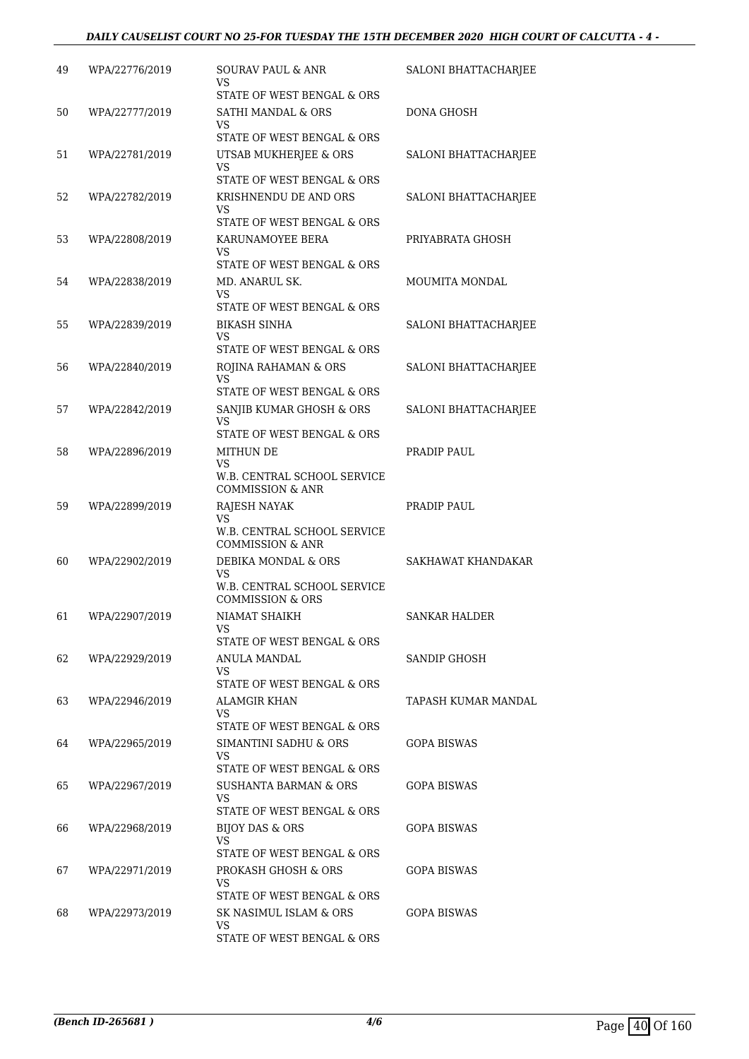#### *DAILY CAUSELIST COURT NO 25-FOR TUESDAY THE 15TH DECEMBER 2020 HIGH COURT OF CALCUTTA - 4 -*

| 49 | WPA/22776/2019 | SOURAV PAUL & ANR<br>VS<br>STATE OF WEST BENGAL & ORS                                      | SALONI BHATTACHARJEE |
|----|----------------|--------------------------------------------------------------------------------------------|----------------------|
| 50 | WPA/22777/2019 | SATHI MANDAL & ORS<br>VS.<br>STATE OF WEST BENGAL & ORS                                    | <b>DONA GHOSH</b>    |
| 51 | WPA/22781/2019 | UTSAB MUKHERJEE & ORS<br><b>VS</b>                                                         | SALONI BHATTACHARJEE |
| 52 | WPA/22782/2019 | STATE OF WEST BENGAL & ORS<br>KRISHNENDU DE AND ORS<br>VS                                  | SALONI BHATTACHARJEE |
| 53 | WPA/22808/2019 | STATE OF WEST BENGAL & ORS<br>KARUNAMOYEE BERA<br>VS                                       | PRIYABRATA GHOSH     |
| 54 | WPA/22838/2019 | STATE OF WEST BENGAL & ORS<br>MD. ANARUL SK.<br>VS                                         | MOUMITA MONDAL       |
| 55 | WPA/22839/2019 | STATE OF WEST BENGAL & ORS<br><b>BIKASH SINHA</b><br><b>VS</b>                             | SALONI BHATTACHARJEE |
| 56 | WPA/22840/2019 | STATE OF WEST BENGAL & ORS<br>ROJINA RAHAMAN & ORS<br><b>VS</b>                            | SALONI BHATTACHARJEE |
| 57 | WPA/22842/2019 | STATE OF WEST BENGAL & ORS<br>SANJIB KUMAR GHOSH & ORS<br>VS<br>STATE OF WEST BENGAL & ORS | SALONI BHATTACHARJEE |
| 58 | WPA/22896/2019 | <b>MITHUN DE</b><br>VS<br>W.B. CENTRAL SCHOOL SERVICE                                      | PRADIP PAUL          |
| 59 | WPA/22899/2019 | <b>COMMISSION &amp; ANR</b><br>RAJESH NAYAK<br>VS                                          | PRADIP PAUL          |
| 60 | WPA/22902/2019 | W.B. CENTRAL SCHOOL SERVICE<br><b>COMMISSION &amp; ANR</b><br>DEBIKA MONDAL & ORS          | SAKHAWAT KHANDAKAR   |
|    |                | <b>VS</b><br>W.B. CENTRAL SCHOOL SERVICE<br><b>COMMISSION &amp; ORS</b>                    |                      |
| 61 | WPA/22907/2019 | NIAMAT SHAIKH<br>VS<br>STATE OF WEST BENGAL & ORS                                          | SANKAR HALDER        |
| 62 | WPA/22929/2019 | ANULA MANDAL<br>VS.<br>STATE OF WEST BENGAL & ORS                                          | <b>SANDIP GHOSH</b>  |
| 63 | WPA/22946/2019 | ALAMGIR KHAN<br>VS.<br>STATE OF WEST BENGAL & ORS                                          | TAPASH KUMAR MANDAL  |
| 64 | WPA/22965/2019 | SIMANTINI SADHU & ORS<br>VS.<br>STATE OF WEST BENGAL & ORS                                 | <b>GOPA BISWAS</b>   |
| 65 | WPA/22967/2019 | SUSHANTA BARMAN & ORS<br>VS.<br>STATE OF WEST BENGAL & ORS                                 | GOPA BISWAS          |
| 66 | WPA/22968/2019 | BIJOY DAS & ORS<br>VS<br>STATE OF WEST BENGAL & ORS                                        | GOPA BISWAS          |
| 67 | WPA/22971/2019 | PROKASH GHOSH & ORS<br>VS.<br>STATE OF WEST BENGAL & ORS                                   | <b>GOPA BISWAS</b>   |
| 68 | WPA/22973/2019 | SK NASIMUL ISLAM & ORS<br>VS.<br>STATE OF WEST BENGAL & ORS                                | <b>GOPA BISWAS</b>   |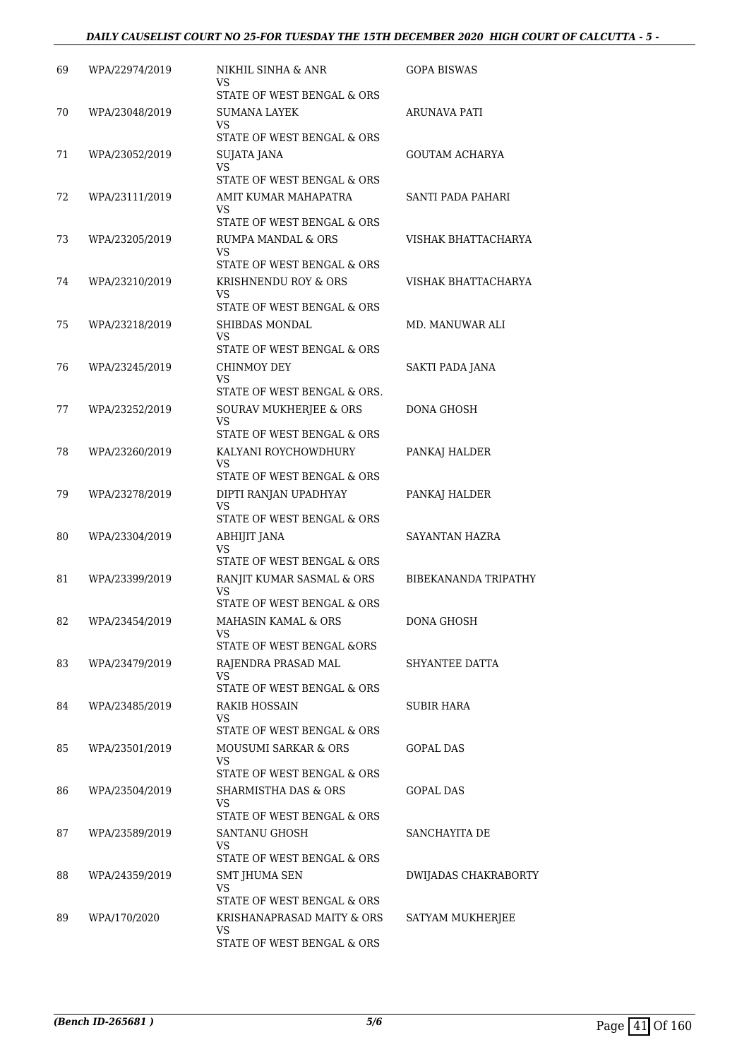#### *DAILY CAUSELIST COURT NO 25-FOR TUESDAY THE 15TH DECEMBER 2020 HIGH COURT OF CALCUTTA - 5 -*

| 69 | WPA/22974/2019 | NIKHIL SINHA & ANR<br>VS                               | <b>GOPA BISWAS</b>    |
|----|----------------|--------------------------------------------------------|-----------------------|
|    |                | STATE OF WEST BENGAL & ORS                             |                       |
| 70 | WPA/23048/2019 | SUMANA LAYEK<br>VS                                     | ARUNAVA PATI          |
|    |                | STATE OF WEST BENGAL & ORS                             |                       |
| 71 | WPA/23052/2019 | SUJATA JANA<br>VS                                      | <b>GOUTAM ACHARYA</b> |
|    |                | STATE OF WEST BENGAL & ORS                             |                       |
| 72 | WPA/23111/2019 | AMIT KUMAR MAHAPATRA                                   | SANTI PADA PAHARI     |
|    |                | VS<br>STATE OF WEST BENGAL & ORS                       |                       |
|    |                |                                                        |                       |
| 73 | WPA/23205/2019 | RUMPA MANDAL & ORS<br>VS<br>STATE OF WEST BENGAL & ORS | VISHAK BHATTACHARYA   |
|    |                |                                                        |                       |
| 74 | WPA/23210/2019 | KRISHNENDU ROY & ORS<br>VS                             | VISHAK BHATTACHARYA   |
|    |                | STATE OF WEST BENGAL & ORS                             |                       |
| 75 | WPA/23218/2019 | SHIBDAS MONDAL<br>VS                                   | MD. MANUWAR ALI       |
|    |                | STATE OF WEST BENGAL & ORS                             |                       |
| 76 | WPA/23245/2019 | CHINMOY DEY<br>VS                                      | SAKTI PADA JANA       |
|    |                | STATE OF WEST BENGAL & ORS.                            |                       |
| 77 | WPA/23252/2019 | SOURAV MUKHERJEE & ORS                                 | DONA GHOSH            |
|    |                | VS<br>STATE OF WEST BENGAL & ORS                       |                       |
| 78 | WPA/23260/2019 | KALYANI ROYCHOWDHURY                                   | PANKAJ HALDER         |
|    |                | VS<br>STATE OF WEST BENGAL & ORS                       |                       |
| 79 | WPA/23278/2019 | DIPTI RANJAN UPADHYAY                                  | PANKAJ HALDER         |
|    |                | VS<br>STATE OF WEST BENGAL & ORS                       |                       |
| 80 | WPA/23304/2019 | ABHIJIT JANA                                           | SAYANTAN HAZRA        |
|    |                | VS<br>STATE OF WEST BENGAL & ORS                       |                       |
| 81 | WPA/23399/2019 | RANJIT KUMAR SASMAL & ORS                              | BIBEKANANDA TRIPATHY  |
|    |                | VS<br>STATE OF WEST BENGAL & ORS                       |                       |
|    |                |                                                        |                       |
| 82 | WPA/23454/2019 | MAHASIN KAMAL & ORS<br>VS                              | DONA GHOSH            |
|    |                | STATE OF WEST BENGAL &ORS                              |                       |
| 83 | WPA/23479/2019 | RAJENDRA PRASAD MAL<br>VS                              | SHYANTEE DATTA        |
|    |                | STATE OF WEST BENGAL & ORS                             |                       |
| 84 | WPA/23485/2019 | RAKIB HOSSAIN<br>VS                                    | <b>SUBIR HARA</b>     |
|    |                | STATE OF WEST BENGAL & ORS                             |                       |
| 85 | WPA/23501/2019 | <b>MOUSUMI SARKAR &amp; ORS</b>                        | GOPAL DAS             |
|    |                | VS<br>STATE OF WEST BENGAL & ORS                       |                       |
| 86 | WPA/23504/2019 | SHARMISTHA DAS & ORS                                   | GOPAL DAS             |
|    |                | VS<br>STATE OF WEST BENGAL & ORS                       |                       |
|    |                |                                                        |                       |
| 87 | WPA/23589/2019 | SANTANU GHOSH<br>VS<br>STATE OF WEST BENGAL & ORS      | SANCHAYITA DE         |
|    |                |                                                        |                       |
| 88 | WPA/24359/2019 | SMT JHUMA SEN<br>VS                                    | DWIJADAS CHAKRABORTY  |
|    |                | STATE OF WEST BENGAL & ORS                             |                       |
| 89 | WPA/170/2020   | KRISHANAPRASAD MAITY & ORS<br>VS                       | SATYAM MUKHERJEE      |
|    |                | STATE OF WEST BENGAL & ORS                             |                       |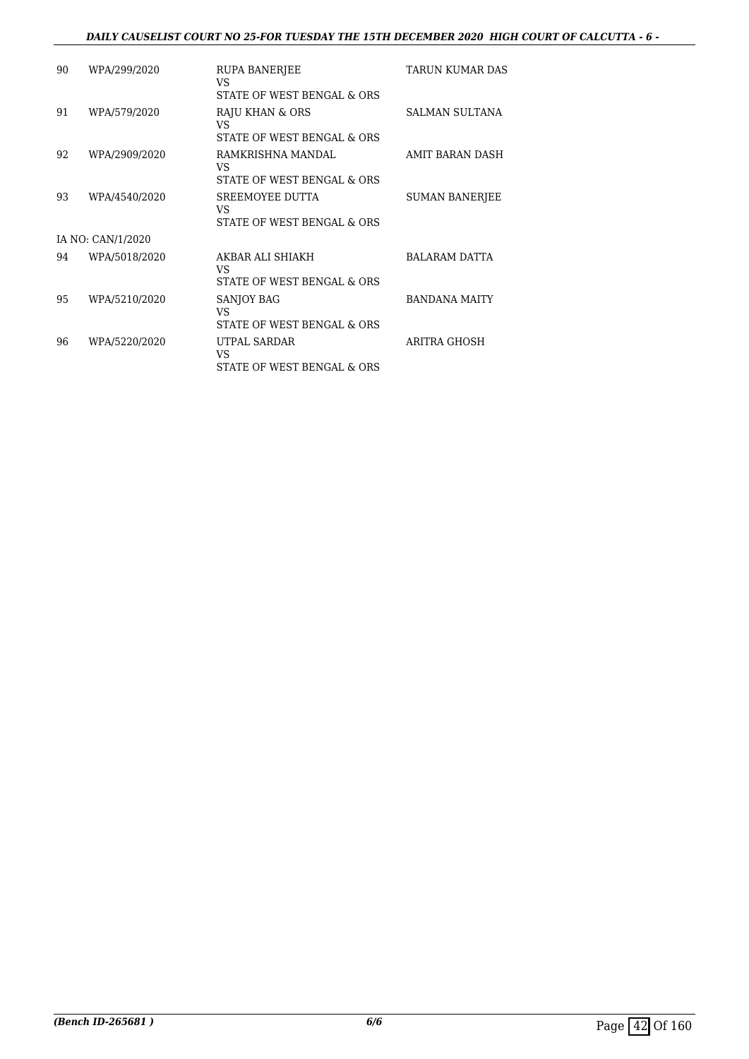#### *DAILY CAUSELIST COURT NO 25-FOR TUESDAY THE 15TH DECEMBER 2020 HIGH COURT OF CALCUTTA - 6 -*

| 90 | WPA/299/2020      | <b>RUPA BANERJEE</b><br>VS | TARUN KUMAR DAS       |
|----|-------------------|----------------------------|-----------------------|
|    |                   | STATE OF WEST BENGAL & ORS |                       |
| 91 | WPA/579/2020      | RAJU KHAN & ORS<br>VS.     | <b>SALMAN SULTANA</b> |
|    |                   | STATE OF WEST BENGAL & ORS |                       |
| 92 | WPA/2909/2020     | RAMKRISHNA MANDAL<br>VS    | AMIT BARAN DASH       |
|    |                   | STATE OF WEST BENGAL & ORS |                       |
| 93 | WPA/4540/2020     | SREEMOYEE DUTTA<br>VS.     | <b>SUMAN BANERJEE</b> |
|    |                   | STATE OF WEST BENGAL & ORS |                       |
|    | IA NO: CAN/1/2020 |                            |                       |
| 94 | WPA/5018/2020     | AKBAR ALI SHIAKH<br>VS.    | <b>BALARAM DATTA</b>  |
|    |                   | STATE OF WEST BENGAL & ORS |                       |
| 95 | WPA/5210/2020     | <b>SANJOY BAG</b><br>VS.   | <b>BANDANA MAITY</b>  |
|    |                   | STATE OF WEST BENGAL & ORS |                       |
| 96 | WPA/5220/2020     | UTPAL SARDAR<br>VS         | ARITRA GHOSH          |
|    |                   | STATE OF WEST BENGAL & ORS |                       |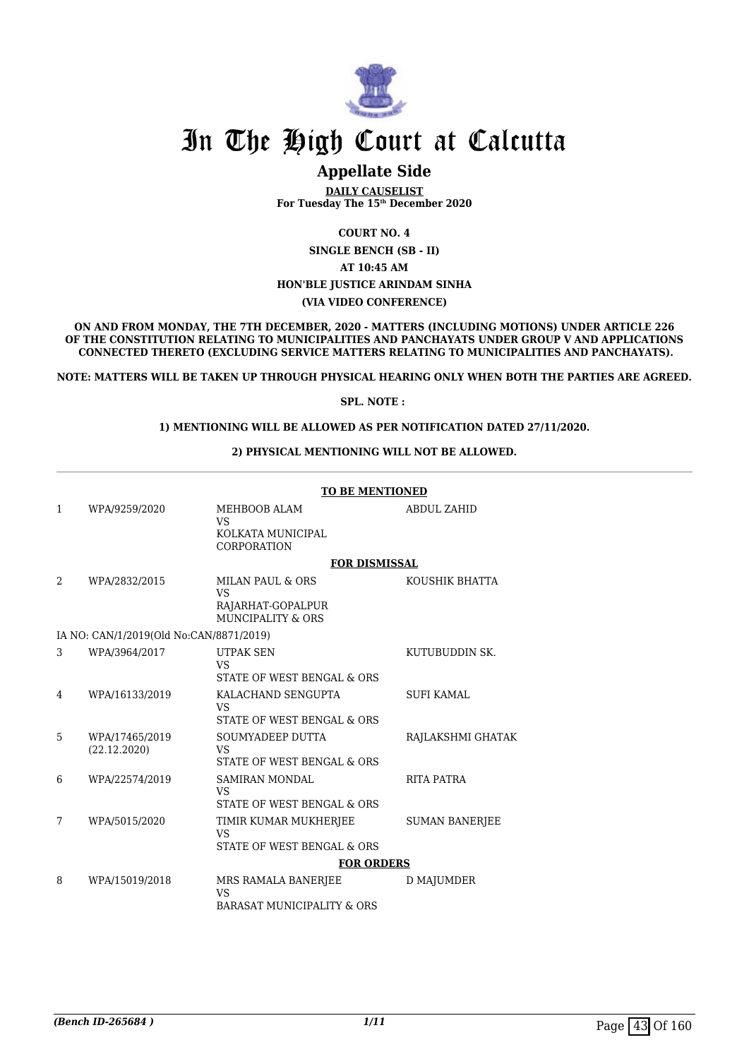

### **Appellate Side**

**DAILY CAUSELIST For Tuesday The 15th December 2020**

**COURT NO. 4**

**SINGLE BENCH (SB - II)**

**AT 10:45 AM**

#### **HON'BLE JUSTICE ARINDAM SINHA**

**(VIA VIDEO CONFERENCE)**

**ON AND FROM MONDAY, THE 7TH DECEMBER, 2020 - MATTERS (INCLUDING MOTIONS) UNDER ARTICLE 226 OF THE CONSTITUTION RELATING TO MUNICIPALITIES AND PANCHAYATS UNDER GROUP V AND APPLICATIONS CONNECTED THERETO (EXCLUDING SERVICE MATTERS RELATING TO MUNICIPALITIES AND PANCHAYATS).**

**NOTE: MATTERS WILL BE TAKEN UP THROUGH PHYSICAL HEARING ONLY WHEN BOTH THE PARTIES ARE AGREED.**

#### **SPL. NOTE :**

#### **1) MENTIONING WILL BE ALLOWED AS PER NOTIFICATION DATED 27/11/2020.**

#### **2) PHYSICAL MENTIONING WILL NOT BE ALLOWED.**

|   |                                         | <b>TO BE MENTIONED</b>                                      |                       |  |
|---|-----------------------------------------|-------------------------------------------------------------|-----------------------|--|
| 1 | WPA/9259/2020                           | MEHBOOB ALAM<br><b>VS</b><br>KOLKATA MUNICIPAL              | <b>ABDUL ZAHID</b>    |  |
|   |                                         | CORPORATION                                                 |                       |  |
|   |                                         | <b>FOR DISMISSAL</b>                                        |                       |  |
| 2 | WPA/2832/2015                           | <b>MILAN PAUL &amp; ORS</b><br><b>VS</b>                    | KOUSHIK BHATTA        |  |
|   |                                         | RAJARHAT-GOPALPUR<br>MUNCIPALITY & ORS                      |                       |  |
|   | IA NO: CAN/1/2019(Old No:CAN/8871/2019) |                                                             |                       |  |
| 3 | WPA/3964/2017                           | <b>UTPAK SEN</b><br>VS.                                     | KUTUBUDDIN SK.        |  |
|   |                                         | STATE OF WEST BENGAL & ORS                                  |                       |  |
| 4 | WPA/16133/2019                          | KALACHAND SENGUPTA<br><b>VS</b>                             | <b>SUFI KAMAL</b>     |  |
|   |                                         | STATE OF WEST BENGAL & ORS                                  |                       |  |
| 5 | WPA/17465/2019<br>(22.12.2020)          | SOUMYADEEP DUTTA<br><b>VS</b><br>STATE OF WEST BENGAL & ORS | RAJLAKSHMI GHATAK     |  |
| 6 | WPA/22574/2019                          | <b>SAMIRAN MONDAL</b><br><b>VS</b>                          | RITA PATRA            |  |
|   |                                         | STATE OF WEST BENGAL & ORS                                  |                       |  |
| 7 | WPA/5015/2020                           | TIMIR KUMAR MUKHERJEE<br><b>VS</b>                          | <b>SUMAN BANERJEE</b> |  |
|   |                                         | STATE OF WEST BENGAL & ORS                                  |                       |  |
|   |                                         | <b>FOR ORDERS</b>                                           |                       |  |
| 8 | WPA/15019/2018                          | MRS RAMALA BANERJEE<br><b>VS</b>                            | <b>D MAJUMDER</b>     |  |
|   |                                         | BARASAT MUNICIPALITY & ORS                                  |                       |  |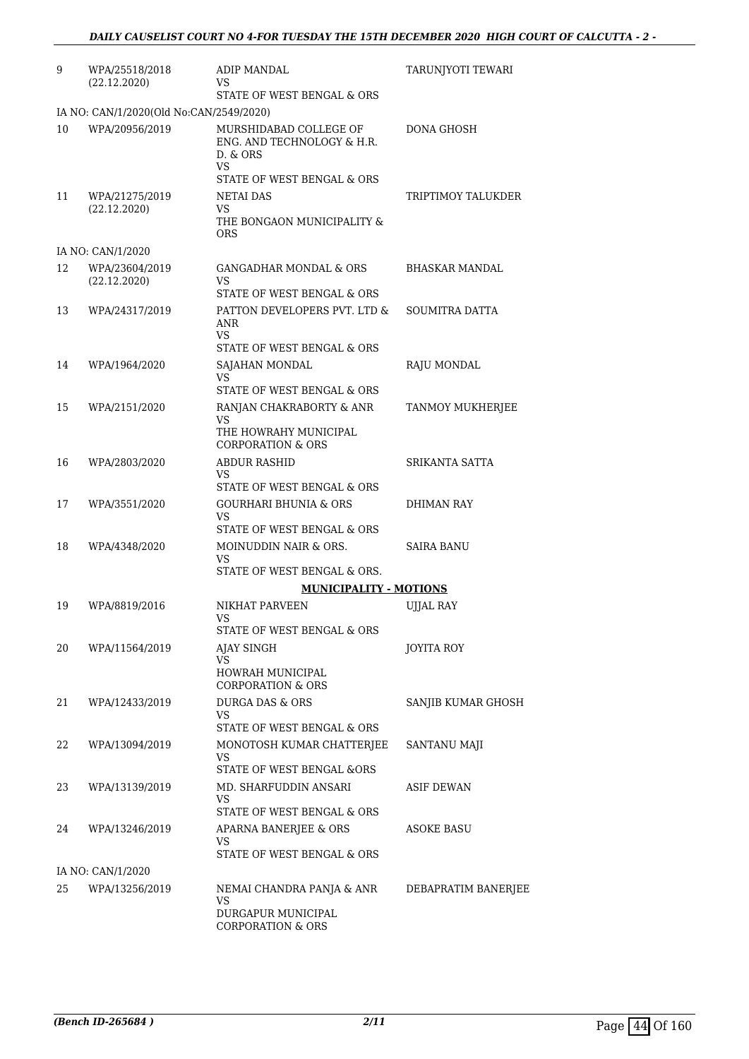| 9  | WPA/25518/2018<br>(22.12.2020)          | <b>ADIP MANDAL</b><br>VS.                                                             | TARUNJYOTI TEWARI   |
|----|-----------------------------------------|---------------------------------------------------------------------------------------|---------------------|
|    |                                         | STATE OF WEST BENGAL & ORS                                                            |                     |
|    | IA NO: CAN/1/2020(Old No:CAN/2549/2020) |                                                                                       |                     |
| 10 | WPA/20956/2019                          | MURSHIDABAD COLLEGE OF<br>ENG. AND TECHNOLOGY & H.R.<br>D. & ORS<br>VS                | DONA GHOSH          |
| 11 | WPA/21275/2019                          | STATE OF WEST BENGAL & ORS<br>NETAI DAS                                               | TRIPTIMOY TALUKDER  |
|    | (22.12.2020)                            | VS<br>THE BONGAON MUNICIPALITY &<br><b>ORS</b>                                        |                     |
|    | IA NO: CAN/1/2020                       |                                                                                       |                     |
| 12 | WPA/23604/2019<br>(22.12.2020)          | <b>GANGADHAR MONDAL &amp; ORS</b><br>VS<br>STATE OF WEST BENGAL & ORS                 | BHASKAR MANDAL      |
| 13 | WPA/24317/2019                          | PATTON DEVELOPERS PVT. LTD &                                                          | SOUMITRA DATTA      |
|    |                                         | <b>ANR</b><br>VS<br>STATE OF WEST BENGAL & ORS                                        |                     |
| 14 | WPA/1964/2020                           | SAJAHAN MONDAL                                                                        | RAJU MONDAL         |
|    |                                         | VS.                                                                                   |                     |
|    |                                         | STATE OF WEST BENGAL & ORS                                                            |                     |
| 15 | WPA/2151/2020                           | RANJAN CHAKRABORTY & ANR<br>VS.                                                       | TANMOY MUKHERJEE    |
|    |                                         | THE HOWRAHY MUNICIPAL<br><b>CORPORATION &amp; ORS</b>                                 |                     |
| 16 | WPA/2803/2020                           | <b>ABDUR RASHID</b><br>VS.                                                            | SRIKANTA SATTA      |
|    |                                         | STATE OF WEST BENGAL & ORS                                                            |                     |
| 17 | WPA/3551/2020                           | <b>GOURHARI BHUNIA &amp; ORS</b><br>VS                                                | DHIMAN RAY          |
| 18 | WPA/4348/2020                           | STATE OF WEST BENGAL & ORS<br>MOINUDDIN NAIR & ORS.                                   | <b>SAIRA BANU</b>   |
|    |                                         | <b>VS</b><br>STATE OF WEST BENGAL & ORS.                                              |                     |
|    |                                         | <b>MUNICIPALITY - MOTIONS</b>                                                         |                     |
| 19 | WPA/8819/2016                           | NIKHAT PARVEEN<br>VS                                                                  | <b>UJJAL RAY</b>    |
| 20 |                                         | STATE OF WEST BENGAL & ORS                                                            |                     |
|    | WPA/11564/2019                          | <b>AJAY SINGH</b><br>VS<br>HOWRAH MUNICIPAL                                           | JOYITA ROY          |
|    |                                         | <b>CORPORATION &amp; ORS</b>                                                          |                     |
| 21 | WPA/12433/2019                          | <b>DURGA DAS &amp; ORS</b><br>VS<br>STATE OF WEST BENGAL & ORS                        | SANJIB KUMAR GHOSH  |
| 22 | WPA/13094/2019                          | MONOTOSH KUMAR CHATTERJEE                                                             | SANTANU MAJI        |
|    |                                         | VS<br>STATE OF WEST BENGAL &ORS                                                       |                     |
| 23 | WPA/13139/2019                          | MD. SHARFUDDIN ANSARI                                                                 | ASIF DEWAN          |
|    |                                         | VS.<br>STATE OF WEST BENGAL & ORS                                                     |                     |
| 24 | WPA/13246/2019                          | APARNA BANERJEE & ORS                                                                 | ASOKE BASU          |
|    |                                         | VS.<br>STATE OF WEST BENGAL & ORS                                                     |                     |
|    | IA NO: CAN/1/2020                       |                                                                                       |                     |
| 25 | WPA/13256/2019                          | NEMAI CHANDRA PANJA & ANR<br>VS<br>DURGAPUR MUNICIPAL<br><b>CORPORATION &amp; ORS</b> | DEBAPRATIM BANERJEE |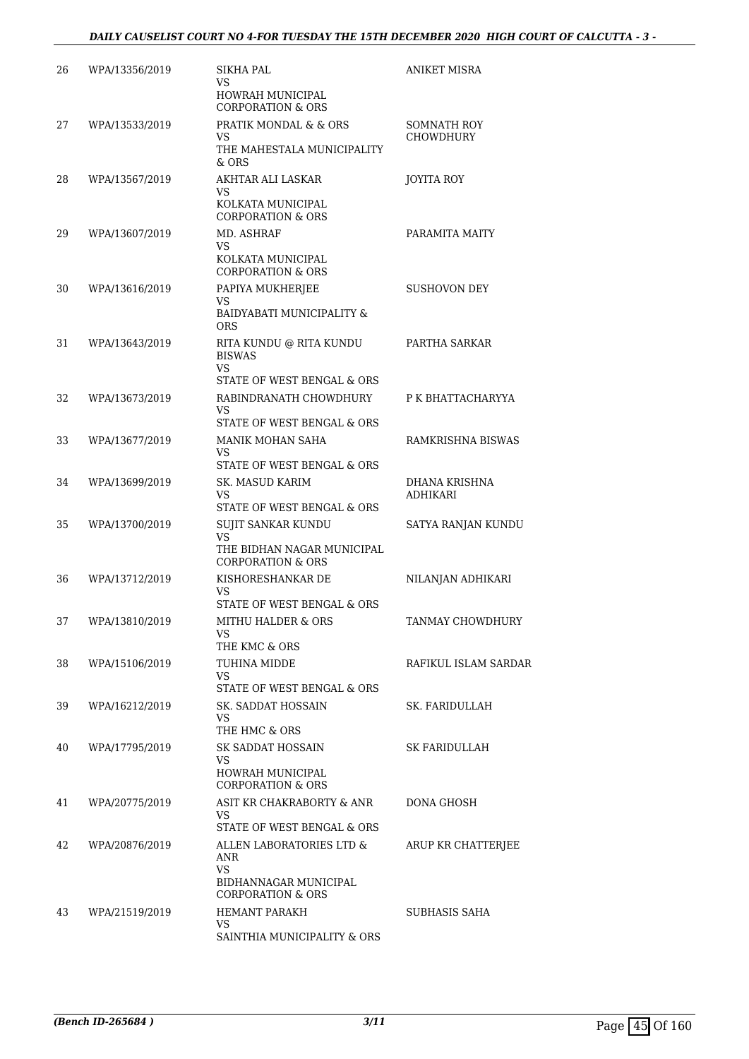| 26 | WPA/13356/2019 | <b>SIKHA PAL</b><br>VS.                                          | <b>ANIKET MISRA</b>              |
|----|----------------|------------------------------------------------------------------|----------------------------------|
|    |                | HOWRAH MUNICIPAL<br><b>CORPORATION &amp; ORS</b>                 |                                  |
| 27 | WPA/13533/2019 | PRATIK MONDAL & & ORS                                            | SOMNATH ROY                      |
|    |                | VS<br>THE MAHESTALA MUNICIPALITY<br>$&$ ORS                      | <b>CHOWDHURY</b>                 |
| 28 | WPA/13567/2019 | AKHTAR ALI LASKAR                                                | JOYITA ROY                       |
|    |                | VS<br>KOLKATA MUNICIPAL<br><b>CORPORATION &amp; ORS</b>          |                                  |
| 29 | WPA/13607/2019 | MD. ASHRAF                                                       | PARAMITA MAITY                   |
|    |                | VS<br>KOLKATA MUNICIPAL<br><b>CORPORATION &amp; ORS</b>          |                                  |
| 30 | WPA/13616/2019 | PAPIYA MUKHERJEE                                                 | <b>SUSHOVON DEY</b>              |
|    |                | VS<br>BAIDYABATI MUNICIPALITY &<br>ORS                           |                                  |
| 31 | WPA/13643/2019 | RITA KUNDU @ RITA KUNDU<br><b>BISWAS</b><br>VS.                  | PARTHA SARKAR                    |
|    |                | STATE OF WEST BENGAL & ORS                                       |                                  |
| 32 | WPA/13673/2019 | RABINDRANATH CHOWDHURY<br>VS                                     | P K BHATTACHARYYA                |
|    |                | STATE OF WEST BENGAL & ORS                                       |                                  |
| 33 | WPA/13677/2019 | MANIK MOHAN SAHA<br>VS.                                          | RAMKRISHNA BISWAS                |
|    |                | STATE OF WEST BENGAL & ORS                                       |                                  |
| 34 | WPA/13699/2019 | SK. MASUD KARIM<br>VS<br>STATE OF WEST BENGAL & ORS              | DHANA KRISHNA<br><b>ADHIKARI</b> |
| 35 | WPA/13700/2019 | SUJIT SANKAR KUNDU                                               | SATYA RANJAN KUNDU               |
|    |                | VS<br>THE BIDHAN NAGAR MUNICIPAL<br><b>CORPORATION &amp; ORS</b> |                                  |
| 36 | WPA/13712/2019 | KISHORESHANKAR DE                                                | NILANJAN ADHIKARI                |
|    |                | VS<br>STATE OF WEST BENGAL & ORS                                 |                                  |
| 37 | WPA/13810/2019 | MITHU HALDER & ORS                                               | TANMAY CHOWDHURY                 |
|    |                | VS<br>THE KMC & ORS                                              |                                  |
| 38 | WPA/15106/2019 | TUHINA MIDDE                                                     | RAFIKUL ISLAM SARDAR             |
|    |                | VS<br>STATE OF WEST BENGAL & ORS                                 |                                  |
| 39 | WPA/16212/2019 | SK. SADDAT HOSSAIN                                               | SK. FARIDULLAH                   |
|    |                | VS<br>THE HMC & ORS                                              |                                  |
| 40 | WPA/17795/2019 | SK SADDAT HOSSAIN                                                | SK FARIDULLAH                    |
|    |                | VS.<br><b>HOWRAH MUNICIPAL</b>                                   |                                  |
|    |                | <b>CORPORATION &amp; ORS</b>                                     |                                  |
| 41 | WPA/20775/2019 | ASIT KR CHAKRABORTY & ANR<br>VS.                                 | DONA GHOSH                       |
|    |                | STATE OF WEST BENGAL & ORS                                       |                                  |
| 42 | WPA/20876/2019 | ALLEN LABORATORIES LTD &<br>ANR                                  | ARUP KR CHATTERJEE               |
|    |                | VS.<br>BIDHANNAGAR MUNICIPAL<br><b>CORPORATION &amp; ORS</b>     |                                  |
| 43 | WPA/21519/2019 | <b>HEMANT PARAKH</b>                                             | SUBHASIS SAHA                    |
|    |                | VS.<br>SAINTHIA MUNICIPALITY & ORS                               |                                  |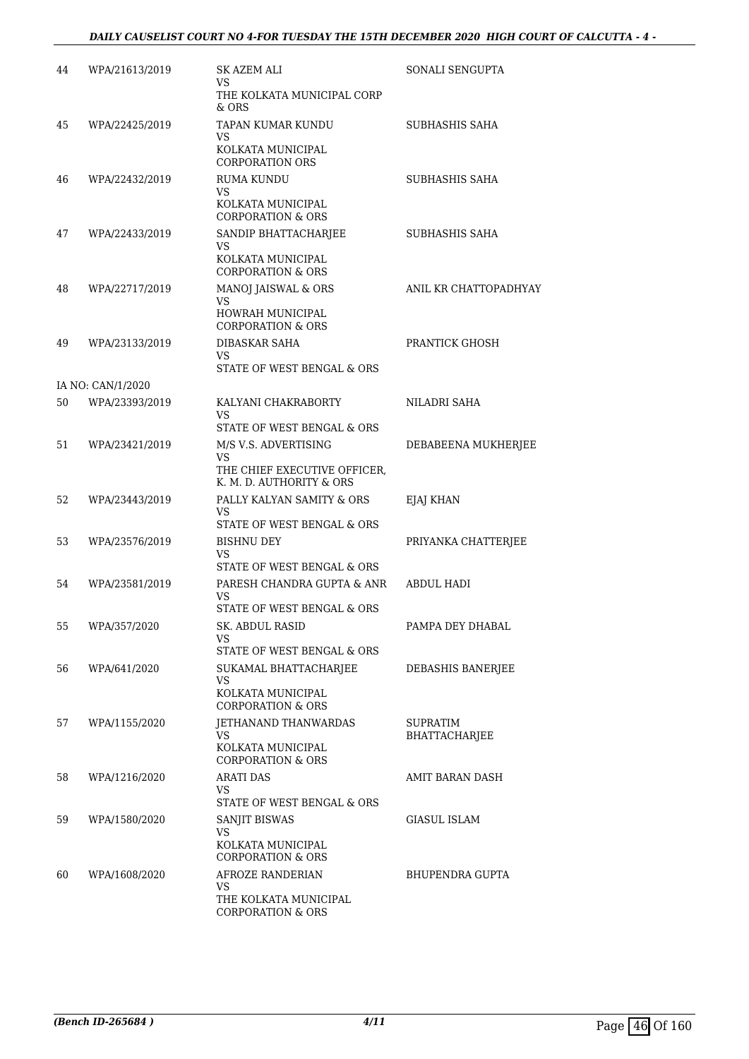#### *DAILY CAUSELIST COURT NO 4-FOR TUESDAY THE 15TH DECEMBER 2020 HIGH COURT OF CALCUTTA - 4 -*

| 44 | WPA/21613/2019    | SK AZEM ALI<br>VS                                                                      | SONALI SENGUPTA                  |
|----|-------------------|----------------------------------------------------------------------------------------|----------------------------------|
|    |                   | THE KOLKATA MUNICIPAL CORP<br>$&$ ORS                                                  |                                  |
| 45 | WPA/22425/2019    | TAPAN KUMAR KUNDU<br>VS<br>KOLKATA MUNICIPAL<br><b>CORPORATION ORS</b>                 | SUBHASHIS SAHA                   |
| 46 | WPA/22432/2019    | RUMA KUNDU<br>VS<br>KOLKATA MUNICIPAL<br><b>CORPORATION &amp; ORS</b>                  | SUBHASHIS SAHA                   |
| 47 | WPA/22433/2019    | SANDIP BHATTACHARJEE<br>VS<br>KOLKATA MUNICIPAL<br><b>CORPORATION &amp; ORS</b>        | SUBHASHIS SAHA                   |
| 48 | WPA/22717/2019    | MANOJ JAISWAL & ORS<br>VS<br>HOWRAH MUNICIPAL<br><b>CORPORATION &amp; ORS</b>          | ANIL KR CHATTOPADHYAY            |
| 49 | WPA/23133/2019    | DIBASKAR SAHA<br>VS.<br>STATE OF WEST BENGAL & ORS                                     | PRANTICK GHOSH                   |
|    | IA NO: CAN/1/2020 |                                                                                        |                                  |
| 50 | WPA/23393/2019    | KALYANI CHAKRABORTY<br>VS<br>STATE OF WEST BENGAL & ORS                                | NILADRI SAHA                     |
| 51 | WPA/23421/2019    | M/S V.S. ADVERTISING<br>VS<br>THE CHIEF EXECUTIVE OFFICER,<br>K. M. D. AUTHORITY & ORS | DEBABEENA MUKHERJEE              |
| 52 | WPA/23443/2019    | PALLY KALYAN SAMITY & ORS<br>VS<br>STATE OF WEST BENGAL & ORS                          | EJAJ KHAN                        |
| 53 | WPA/23576/2019    | BISHNU DEY<br><b>VS</b><br>STATE OF WEST BENGAL & ORS                                  | PRIYANKA CHATTERJEE              |
| 54 | WPA/23581/2019    | PARESH CHANDRA GUPTA & ANR<br>VS<br>STATE OF WEST BENGAL & ORS                         | <b>ABDUL HADI</b>                |
| 55 | WPA/357/2020      | <b>SK. ABDUL RASID</b><br>VS.<br>STATE OF WEST BENGAL & ORS                            | PAMPA DEY DHABAL                 |
| 56 | WPA/641/2020      | SUKAMAL BHATTACHARJEE<br>VS<br>KOLKATA MUNICIPAL<br><b>CORPORATION &amp; ORS</b>       | DEBASHIS BANERJEE                |
| 57 | WPA/1155/2020     | JETHANAND THANWARDAS<br>VS.<br>KOLKATA MUNICIPAL<br><b>CORPORATION &amp; ORS</b>       | SUPRATIM<br><b>BHATTACHARJEE</b> |
| 58 | WPA/1216/2020     | <b>ARATI DAS</b><br>VS<br>STATE OF WEST BENGAL & ORS                                   | AMIT BARAN DASH                  |
| 59 | WPA/1580/2020     | SANJIT BISWAS<br>VS<br>KOLKATA MUNICIPAL<br><b>CORPORATION &amp; ORS</b>               | GIASUL ISLAM                     |
| 60 | WPA/1608/2020     | AFROZE RANDERIAN<br>VS<br>THE KOLKATA MUNICIPAL<br><b>CORPORATION &amp; ORS</b>        | BHUPENDRA GUPTA                  |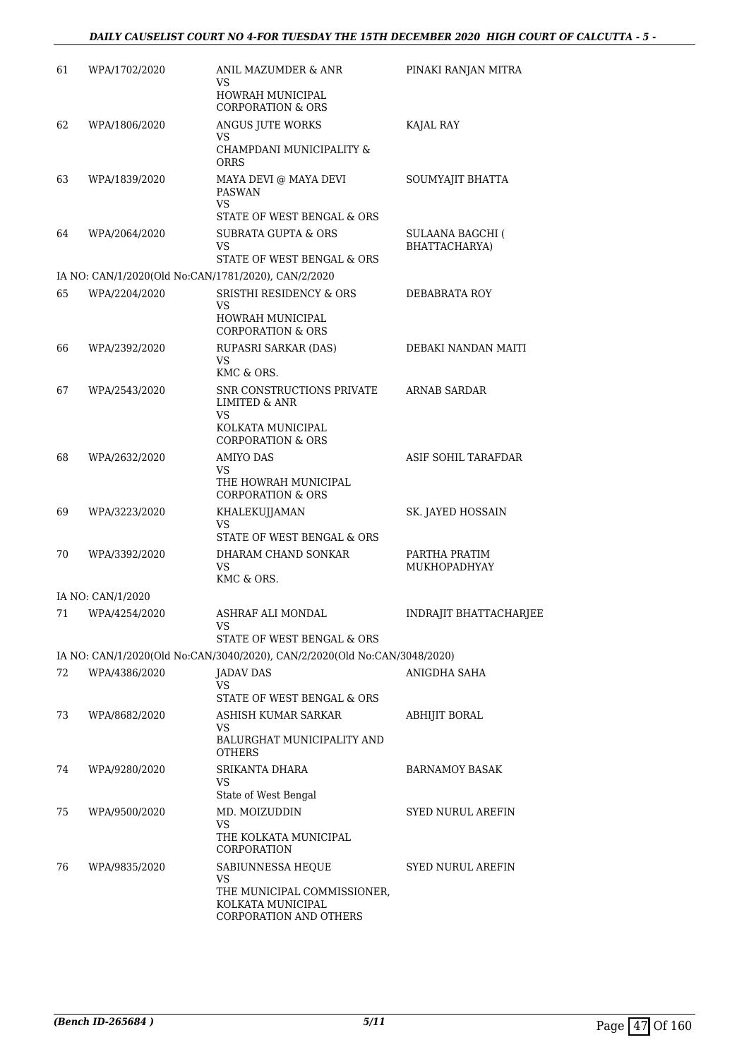| 61 | WPA/1702/2020     | ANIL MAZUMDER & ANR<br>VS<br>HOWRAH MUNICIPAL<br><b>CORPORATION &amp; ORS</b>                                        | PINAKI RANJAN MITRA               |
|----|-------------------|----------------------------------------------------------------------------------------------------------------------|-----------------------------------|
| 62 | WPA/1806/2020     | ANGUS JUTE WORKS<br>VS<br>CHAMPDANI MUNICIPALITY &                                                                   | KAJAL RAY                         |
| 63 | WPA/1839/2020     | <b>ORRS</b><br>MAYA DEVI @ MAYA DEVI<br><b>PASWAN</b><br><b>VS</b>                                                   | SOUMYAJIT BHATTA                  |
| 64 | WPA/2064/2020     | STATE OF WEST BENGAL & ORS<br><b>SUBRATA GUPTA &amp; ORS</b><br>VS<br>STATE OF WEST BENGAL & ORS                     | SULAANA BAGCHI (<br>BHATTACHARYA) |
|    |                   | IA NO: CAN/1/2020(Old No:CAN/1781/2020), CAN/2/2020                                                                  |                                   |
| 65 | WPA/2204/2020     | SRISTHI RESIDENCY & ORS<br>VS<br>HOWRAH MUNICIPAL<br><b>CORPORATION &amp; ORS</b>                                    | DEBABRATA ROY                     |
| 66 | WPA/2392/2020     | RUPASRI SARKAR (DAS)<br>VS<br>KMC & ORS.                                                                             | DEBAKI NANDAN MAITI               |
| 67 | WPA/2543/2020     | SNR CONSTRUCTIONS PRIVATE<br><b>LIMITED &amp; ANR</b><br><b>VS</b><br>KOLKATA MUNICIPAL                              | ARNAB SARDAR                      |
| 68 | WPA/2632/2020     | <b>CORPORATION &amp; ORS</b><br><b>AMIYO DAS</b><br>VS<br>THE HOWRAH MUNICIPAL                                       | ASIF SOHIL TARAFDAR               |
| 69 | WPA/3223/2020     | <b>CORPORATION &amp; ORS</b><br>KHALEKUJJAMAN<br>VS                                                                  | SK. JAYED HOSSAIN                 |
| 70 | WPA/3392/2020     | STATE OF WEST BENGAL & ORS<br>DHARAM CHAND SONKAR<br>VS<br>KMC & ORS.                                                | PARTHA PRATIM<br>MUKHOPADHYAY     |
|    | IA NO: CAN/1/2020 |                                                                                                                      |                                   |
| 71 | WPA/4254/2020     | ASHRAF ALI MONDAL<br>STATE OF WEST BENGAL & ORS                                                                      | INDRAJIT BHATTACHARJEE            |
|    |                   | IA NO: CAN/1/2020(Old No:CAN/3040/2020), CAN/2/2020(Old No:CAN/3048/2020)                                            |                                   |
| 72 | WPA/4386/2020     | JADAV DAS<br>VS.<br>STATE OF WEST BENGAL & ORS                                                                       | ANIGDHA SAHA                      |
| 73 | WPA/8682/2020     | ASHISH KUMAR SARKAR<br>VS<br>BALURGHAT MUNICIPALITY AND<br>OTHERS                                                    | ABHIJIT BORAL                     |
| 74 | WPA/9280/2020     | SRIKANTA DHARA<br>VS<br>State of West Bengal                                                                         | BARNAMOY BASAK                    |
| 75 | WPA/9500/2020     | MD. MOIZUDDIN<br>VS<br>THE KOLKATA MUNICIPAL                                                                         | SYED NURUL AREFIN                 |
| 76 | WPA/9835/2020     | CORPORATION<br>SABIUNNESSA HEQUE<br>VS<br>THE MUNICIPAL COMMISSIONER,<br>KOLKATA MUNICIPAL<br>CORPORATION AND OTHERS | <b>SYED NURUL AREFIN</b>          |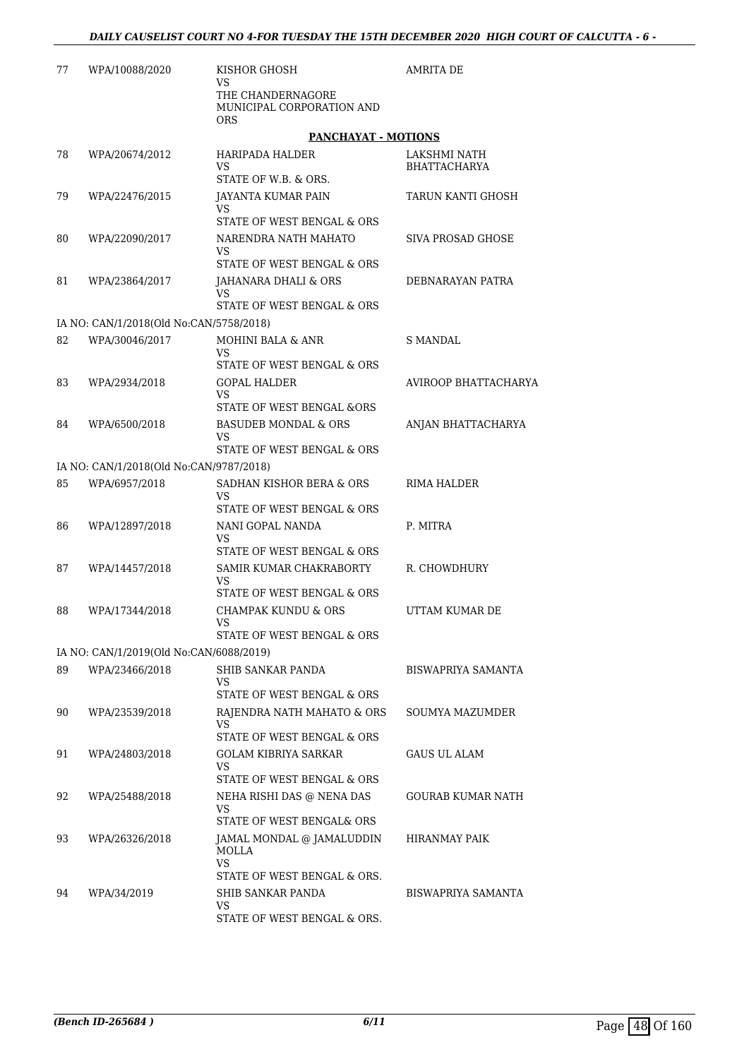| 77 | WPA/10088/2020                          | KISHOR GHOSH<br>VS<br>THE CHANDERNAGORE                      | <b>AMRITA DE</b>     |
|----|-----------------------------------------|--------------------------------------------------------------|----------------------|
|    |                                         | MUNICIPAL CORPORATION AND<br><b>ORS</b>                      |                      |
|    |                                         | PANCHAYAT - MOTIONS                                          |                      |
| 78 | WPA/20674/2012                          | HARIPADA HALDER                                              | LAKSHMI NATH         |
|    |                                         | VS<br>STATE OF W.B. & ORS.                                   | <b>BHATTACHARYA</b>  |
| 79 | WPA/22476/2015                          | <b>JAYANTA KUMAR PAIN</b>                                    | TARUN KANTI GHOSH    |
|    |                                         | VS<br>STATE OF WEST BENGAL & ORS                             |                      |
| 80 | WPA/22090/2017                          | NARENDRA NATH MAHATO                                         | SIVA PROSAD GHOSE    |
|    |                                         | VS                                                           |                      |
|    |                                         | STATE OF WEST BENGAL & ORS                                   |                      |
| 81 | WPA/23864/2017                          | JAHANARA DHALI & ORS<br>VS                                   | DEBNARAYAN PATRA     |
|    |                                         | STATE OF WEST BENGAL & ORS                                   |                      |
|    | IA NO: CAN/1/2018(Old No:CAN/5758/2018) |                                                              |                      |
| 82 | WPA/30046/2017                          | MOHINI BALA & ANR<br><b>VS</b>                               | <b>S MANDAL</b>      |
|    |                                         | STATE OF WEST BENGAL & ORS                                   |                      |
| 83 | WPA/2934/2018                           | <b>GOPAL HALDER</b><br>VS                                    | AVIROOP BHATTACHARYA |
|    |                                         | STATE OF WEST BENGAL &ORS                                    |                      |
| 84 | WPA/6500/2018                           | <b>BASUDEB MONDAL &amp; ORS</b><br>VS                        | ANJAN BHATTACHARYA   |
|    |                                         | STATE OF WEST BENGAL & ORS                                   |                      |
|    | IA NO: CAN/1/2018(Old No:CAN/9787/2018) |                                                              |                      |
| 85 | WPA/6957/2018                           | SADHAN KISHOR BERA & ORS<br>VS<br>STATE OF WEST BENGAL & ORS | RIMA HALDER          |
| 86 | WPA/12897/2018                          | NANI GOPAL NANDA                                             | P. MITRA             |
|    |                                         | VS<br>STATE OF WEST BENGAL & ORS                             |                      |
| 87 | WPA/14457/2018                          | SAMIR KUMAR CHAKRABORTY                                      | R. CHOWDHURY         |
|    |                                         | VS<br>STATE OF WEST BENGAL & ORS                             |                      |
| 88 | WPA/17344/2018                          | <b>CHAMPAK KUNDU &amp; ORS</b>                               | UTTAM KUMAR DE       |
|    |                                         | VS.<br>STATE OF WEST BENGAL & ORS                            |                      |
|    | IA NO: CAN/1/2019(Old No:CAN/6088/2019) |                                                              |                      |
| 89 | WPA/23466/2018                          | SHIB SANKAR PANDA                                            | BISWAPRIYA SAMANTA   |
|    |                                         | VS                                                           |                      |
|    |                                         | STATE OF WEST BENGAL & ORS                                   |                      |
| 90 | WPA/23539/2018                          | RAJENDRA NATH MAHATO & ORS<br>VS                             | SOUMYA MAZUMDER      |
|    |                                         | STATE OF WEST BENGAL & ORS                                   |                      |
| 91 | WPA/24803/2018                          | GOLAM KIBRIYA SARKAR<br>VS                                   | <b>GAUS UL ALAM</b>  |
|    |                                         | STATE OF WEST BENGAL & ORS                                   |                      |
| 92 | WPA/25488/2018                          | NEHA RISHI DAS @ NENA DAS<br>VS                              | GOURAB KUMAR NATH    |
| 93 | WPA/26326/2018                          | STATE OF WEST BENGAL& ORS<br>JAMAL MONDAL @ JAMALUDDIN       | HIRANMAY PAIK        |
|    |                                         | MOLLA<br>VS                                                  |                      |
|    |                                         | STATE OF WEST BENGAL & ORS.                                  |                      |
| 94 | WPA/34/2019                             | SHIB SANKAR PANDA<br>VS                                      | BISWAPRIYA SAMANTA   |
|    |                                         | STATE OF WEST BENGAL & ORS.                                  |                      |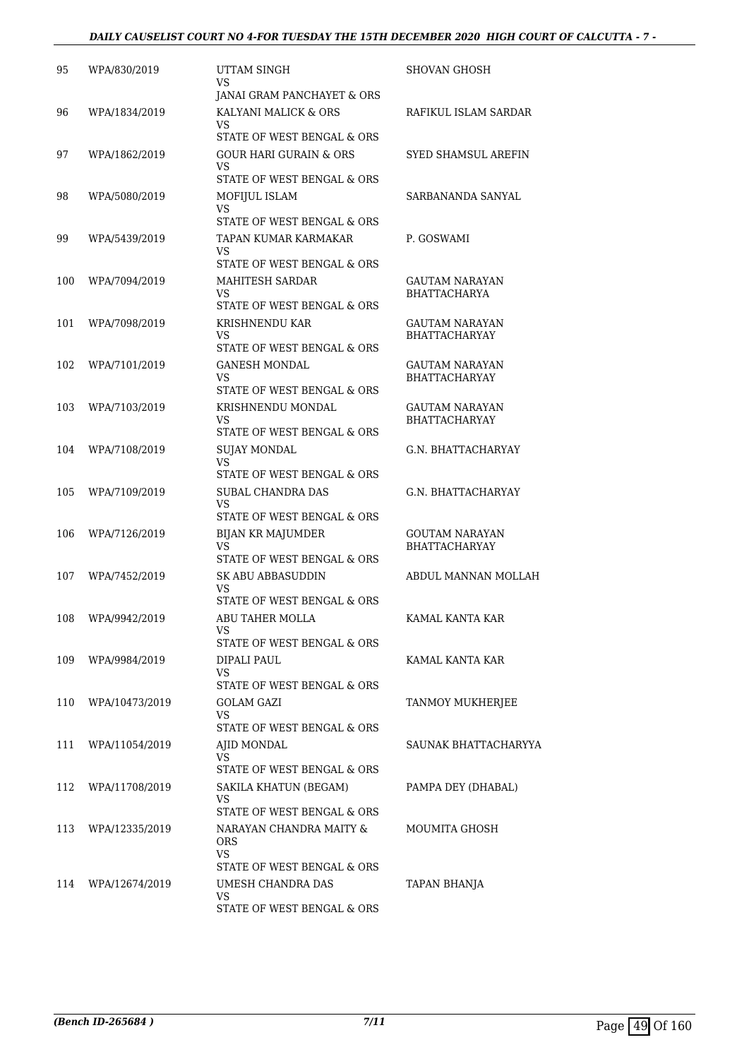#### *DAILY CAUSELIST COURT NO 4-FOR TUESDAY THE 15TH DECEMBER 2020 HIGH COURT OF CALCUTTA - 7 -*

| 95  | WPA/830/2019   | UTTAM SINGH                                        | SHOVAN GHOSH                                  |
|-----|----------------|----------------------------------------------------|-----------------------------------------------|
|     |                | VS<br>JANAI GRAM PANCHAYET & ORS                   |                                               |
| 96  | WPA/1834/2019  | KALYANI MALICK & ORS                               | RAFIKUL ISLAM SARDAR                          |
|     |                | VS<br>STATE OF WEST BENGAL & ORS                   |                                               |
| 97  | WPA/1862/2019  | GOUR HARI GURAIN & ORS                             | SYED SHAMSUL AREFIN                           |
|     |                | VS                                                 |                                               |
|     |                | STATE OF WEST BENGAL & ORS                         |                                               |
| 98  | WPA/5080/2019  | MOFIJUL ISLAM<br>VS                                | SARBANANDA SANYAL                             |
|     |                | STATE OF WEST BENGAL & ORS                         |                                               |
| 99  | WPA/5439/2019  | TAPAN KUMAR KARMAKAR<br>VS                         | P. GOSWAMI                                    |
|     |                | STATE OF WEST BENGAL & ORS                         |                                               |
| 100 | WPA/7094/2019  | MAHITESH SARDAR                                    | GAUTAM NARAYAN                                |
|     |                | VS<br>STATE OF WEST BENGAL & ORS                   | <b>BHATTACHARYA</b>                           |
| 101 | WPA/7098/2019  | KRISHNENDU KAR                                     | GAUTAM NARAYAN                                |
|     |                | VS                                                 | <b>BHATTACHARYAY</b>                          |
| 102 | WPA/7101/2019  | STATE OF WEST BENGAL & ORS<br><b>GANESH MONDAL</b> | <b>GAUTAM NARAYAN</b>                         |
|     |                | VS                                                 | <b>BHATTACHARYAY</b>                          |
|     |                | STATE OF WEST BENGAL & ORS                         |                                               |
| 103 | WPA/7103/2019  | KRISHNENDU MONDAL<br>VS                            | <b>GAUTAM NARAYAN</b><br><b>BHATTACHARYAY</b> |
|     |                | STATE OF WEST BENGAL & ORS                         |                                               |
| 104 | WPA/7108/2019  | <b>SUJAY MONDAL</b>                                | G.N. BHATTACHARYAY                            |
|     |                | VS<br>STATE OF WEST BENGAL & ORS                   |                                               |
| 105 | WPA/7109/2019  | SUBAL CHANDRA DAS                                  | G.N. BHATTACHARYAY                            |
|     |                | VS<br>STATE OF WEST BENGAL & ORS                   |                                               |
| 106 | WPA/7126/2019  | <b>BIJAN KR MAJUMDER</b>                           | <b>GOUTAM NARAYAN</b>                         |
|     |                | <b>VS</b>                                          | <b>BHATTACHARYAY</b>                          |
|     |                | STATE OF WEST BENGAL & ORS                         |                                               |
| 107 | WPA/7452/2019  | <b>SK ABU ABBASUDDIN</b><br>VS                     | ABDUL MANNAN MOLLAH                           |
|     |                | STATE OF WEST BENGAL & ORS                         |                                               |
| 108 | WPA/9942/2019  | ABU TAHER MOLLA                                    | KAMAL KANTA KAR                               |
|     |                | VS<br>STATE OF WEST BENGAL & ORS                   |                                               |
| 109 | WPA/9984/2019  | DIPALI PAUL                                        | KAMAL KANTA KAR                               |
|     |                | VS<br>STATE OF WEST BENGAL & ORS                   |                                               |
| 110 | WPA/10473/2019 | GOLAM GAZI                                         | TANMOY MUKHERJEE                              |
|     |                | VS                                                 |                                               |
|     |                | STATE OF WEST BENGAL & ORS                         |                                               |
| 111 | WPA/11054/2019 | AJID MONDAL<br>VS                                  | SAUNAK BHATTACHARYYA                          |
|     |                | STATE OF WEST BENGAL & ORS                         |                                               |
| 112 | WPA/11708/2019 | SAKILA KHATUN (BEGAM)<br>VS                        | PAMPA DEY (DHABAL)                            |
|     |                | STATE OF WEST BENGAL & ORS                         |                                               |
| 113 | WPA/12335/2019 | NARAYAN CHANDRA MAITY &                            | MOUMITA GHOSH                                 |
|     |                | <b>ORS</b><br>VS                                   |                                               |
|     |                | STATE OF WEST BENGAL & ORS                         |                                               |
| 114 | WPA/12674/2019 | UMESH CHANDRA DAS                                  | TAPAN BHANJA                                  |
|     |                | VS<br>STATE OF WEST BENGAL & ORS                   |                                               |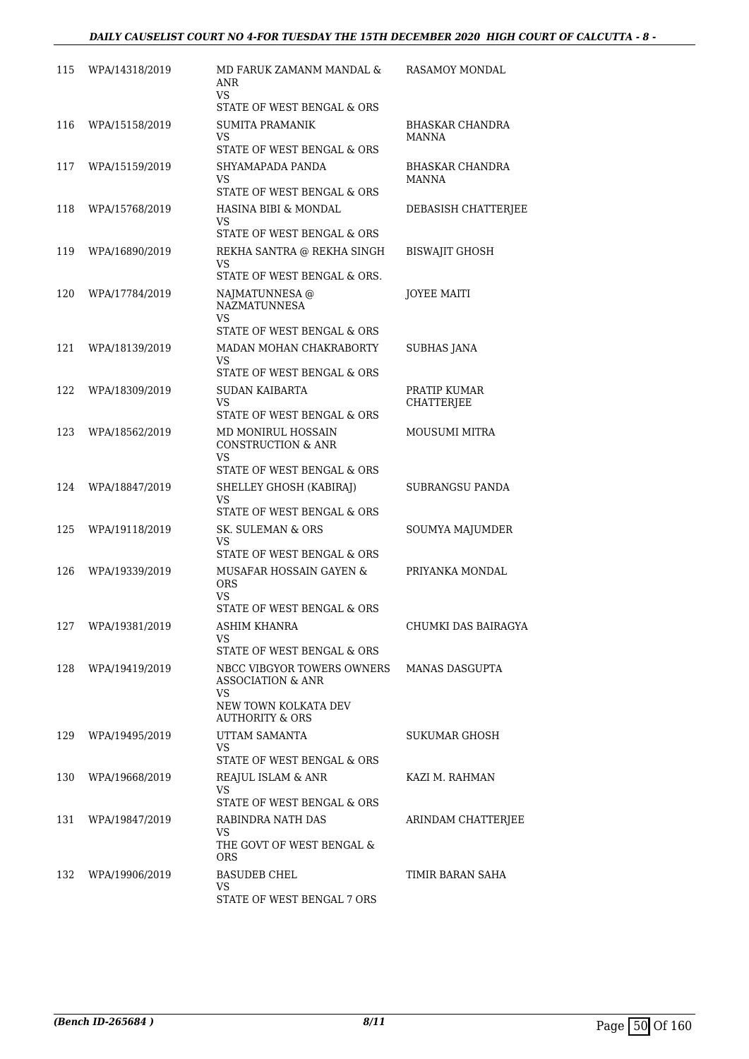| 115 | WPA/14318/2019     | MD FARUK ZAMANM MANDAL &<br>ANR<br><b>VS</b>                                            | RASAMOY MONDAL                         |
|-----|--------------------|-----------------------------------------------------------------------------------------|----------------------------------------|
|     |                    | STATE OF WEST BENGAL & ORS                                                              |                                        |
| 116 | WPA/15158/2019     | <b>SUMITA PRAMANIK</b><br>VS.                                                           | <b>BHASKAR CHANDRA</b><br><b>MANNA</b> |
|     |                    | STATE OF WEST BENGAL & ORS                                                              |                                        |
| 117 | WPA/15159/2019     | SHYAMAPADA PANDA<br>VS<br>STATE OF WEST BENGAL & ORS                                    | BHASKAR CHANDRA<br>MANNA               |
| 118 | WPA/15768/2019     | HASINA BIBI & MONDAL                                                                    | DEBASISH CHATTERJEE                    |
|     |                    | VS<br>STATE OF WEST BENGAL & ORS                                                        |                                        |
| 119 | WPA/16890/2019     | REKHA SANTRA @ REKHA SINGH<br>VS<br>STATE OF WEST BENGAL & ORS.                         | BISWAJIT GHOSH                         |
| 120 | WPA/17784/2019     | NAJMATUNNESA @<br><b>NAZMATUNNESA</b><br>VS.<br>STATE OF WEST BENGAL & ORS              | <b>JOYEE MAITI</b>                     |
| 121 | WPA/18139/2019     | MADAN MOHAN CHAKRABORTY                                                                 | <b>SUBHAS JANA</b>                     |
|     |                    | VS.<br>STATE OF WEST BENGAL & ORS                                                       |                                        |
| 122 | WPA/18309/2019     | SUDAN KAIBARTA                                                                          | PRATIP KUMAR                           |
|     |                    | VS<br>STATE OF WEST BENGAL & ORS                                                        | CHATTERJEE                             |
| 123 | WPA/18562/2019     | MD MONIRUL HOSSAIN<br><b>CONSTRUCTION &amp; ANR</b><br>VS<br>STATE OF WEST BENGAL & ORS | MOUSUMI MITRA                          |
| 124 | WPA/18847/2019     | SHELLEY GHOSH (KABIRAJ)                                                                 | SUBRANGSU PANDA                        |
|     |                    | VS<br>STATE OF WEST BENGAL & ORS                                                        |                                        |
| 125 | WPA/19118/2019     | SK. SULEMAN & ORS<br>VS.                                                                | SOUMYA MAJUMDER                        |
|     |                    | STATE OF WEST BENGAL & ORS                                                              |                                        |
| 126 | WPA/19339/2019     | MUSAFAR HOSSAIN GAYEN &<br><b>ORS</b><br>VS.<br>STATE OF WEST BENGAL & ORS              | PRIYANKA MONDAL                        |
|     | 127 WPA/19381/2019 | ASHIM KHANRA                                                                            | CHUMKI DAS BAIRAGYA                    |
|     |                    | VS.                                                                                     |                                        |
|     |                    | STATE OF WEST BENGAL & ORS                                                              |                                        |
| 128 | WPA/19419/2019     | NBCC VIBGYOR TOWERS OWNERS<br><b>ASSOCIATION &amp; ANR</b><br>VS.                       | MANAS DASGUPTA                         |
|     |                    | NEW TOWN KOLKATA DEV<br><b>AUTHORITY &amp; ORS</b>                                      |                                        |
| 129 | WPA/19495/2019     | UTTAM SAMANTA<br>VS.                                                                    | SUKUMAR GHOSH                          |
|     |                    | STATE OF WEST BENGAL & ORS                                                              |                                        |
| 130 | WPA/19668/2019     | REAJUL ISLAM & ANR<br>VS.<br>STATE OF WEST BENGAL & ORS                                 | KAZI M. RAHMAN                         |
| 131 | WPA/19847/2019     | RABINDRA NATH DAS                                                                       | ARINDAM CHATTERJEE                     |
|     |                    | VS.<br>THE GOVT OF WEST BENGAL &                                                        |                                        |
|     |                    | ORS.                                                                                    |                                        |
| 132 | WPA/19906/2019     | <b>BASUDEB CHEL</b><br>VS.                                                              | TIMIR BARAN SAHA                       |
|     |                    | STATE OF WEST BENGAL 7 ORS                                                              |                                        |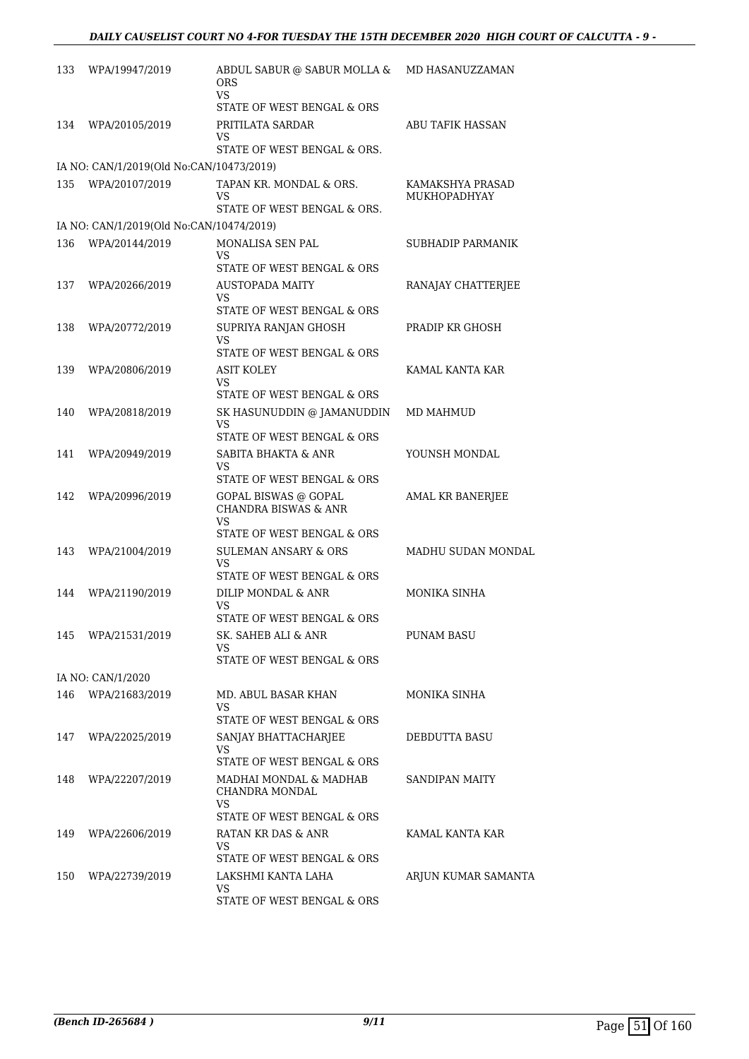| 133 | WPA/19947/2019                           | ABDUL SABUR @ SABUR MOLLA &<br>ORS<br>VS                            | MD HASANUZZAMAN                  |
|-----|------------------------------------------|---------------------------------------------------------------------|----------------------------------|
|     |                                          | STATE OF WEST BENGAL & ORS                                          |                                  |
| 134 | WPA/20105/2019                           | PRITILATA SARDAR<br>VS<br>STATE OF WEST BENGAL & ORS.               | ABU TAFIK HASSAN                 |
|     | IA NO: CAN/1/2019(Old No:CAN/10473/2019) |                                                                     |                                  |
| 135 | WPA/20107/2019                           | TAPAN KR. MONDAL & ORS.<br>VS<br>STATE OF WEST BENGAL & ORS.        | KAMAKSHYA PRASAD<br>MUKHOPADHYAY |
|     | IA NO: CAN/1/2019(Old No:CAN/10474/2019) |                                                                     |                                  |
| 136 | WPA/20144/2019                           | MONALISA SEN PAL<br>VS                                              | SUBHADIP PARMANIK                |
| 137 | WPA/20266/2019                           | STATE OF WEST BENGAL & ORS<br><b>AUSTOPADA MAITY</b><br>VS          | RANAJAY CHATTERJEE               |
| 138 | WPA/20772/2019                           | STATE OF WEST BENGAL & ORS<br>SUPRIYA RANJAN GHOSH<br>VS            | PRADIP KR GHOSH                  |
|     |                                          | STATE OF WEST BENGAL & ORS                                          |                                  |
| 139 | WPA/20806/2019                           | <b>ASIT KOLEY</b><br>VS<br>STATE OF WEST BENGAL & ORS               | KAMAL KANTA KAR                  |
| 140 | WPA/20818/2019                           | SK HASUNUDDIN @ JAMANUDDIN<br>VS                                    | MD MAHMUD                        |
| 141 | WPA/20949/2019                           | STATE OF WEST BENGAL & ORS<br><b>SABITA BHAKTA &amp; ANR</b><br>VS  | YOUNSH MONDAL                    |
|     |                                          | STATE OF WEST BENGAL & ORS                                          |                                  |
| 142 | WPA/20996/2019                           | GOPAL BISWAS @ GOPAL<br><b>CHANDRA BISWAS &amp; ANR</b><br>VS       | AMAL KR BANERJEE                 |
|     |                                          | STATE OF WEST BENGAL & ORS                                          |                                  |
| 143 | WPA/21004/2019                           | <b>SULEMAN ANSARY &amp; ORS</b><br>VS<br>STATE OF WEST BENGAL & ORS | MADHU SUDAN MONDAL               |
| 144 | WPA/21190/2019                           | DILIP MONDAL & ANR                                                  | MONIKA SINHA                     |
|     |                                          | VS<br>STATE OF WEST BENGAL & ORS                                    |                                  |
| 145 | WPA/21531/2019                           | SK. SAHEB ALI & ANR<br>VS                                           | <b>PUNAM BASU</b>                |
|     |                                          | STATE OF WEST BENGAL & ORS                                          |                                  |
|     | IA NO: CAN/1/2020                        |                                                                     |                                  |
| 146 | WPA/21683/2019                           | MD. ABUL BASAR KHAN<br>VS.<br>STATE OF WEST BENGAL & ORS            | MONIKA SINHA                     |
| 147 | WPA/22025/2019                           | SANJAY BHATTACHARJEE<br>VS.                                         | DEBDUTTA BASU                    |
| 148 | WPA/22207/2019                           | STATE OF WEST BENGAL & ORS<br>MADHAI MONDAL & MADHAB                | SANDIPAN MAITY                   |
|     |                                          | CHANDRA MONDAL<br>VS.                                               |                                  |
|     |                                          | STATE OF WEST BENGAL & ORS                                          |                                  |
| 149 | WPA/22606/2019                           | RATAN KR DAS & ANR<br>VS.<br>STATE OF WEST BENGAL & ORS             | KAMAL KANTA KAR                  |
| 150 | WPA/22739/2019                           | LAKSHMI KANTA LAHA<br>VS.<br>STATE OF WEST BENGAL & ORS             | ARJUN KUMAR SAMANTA              |
|     |                                          |                                                                     |                                  |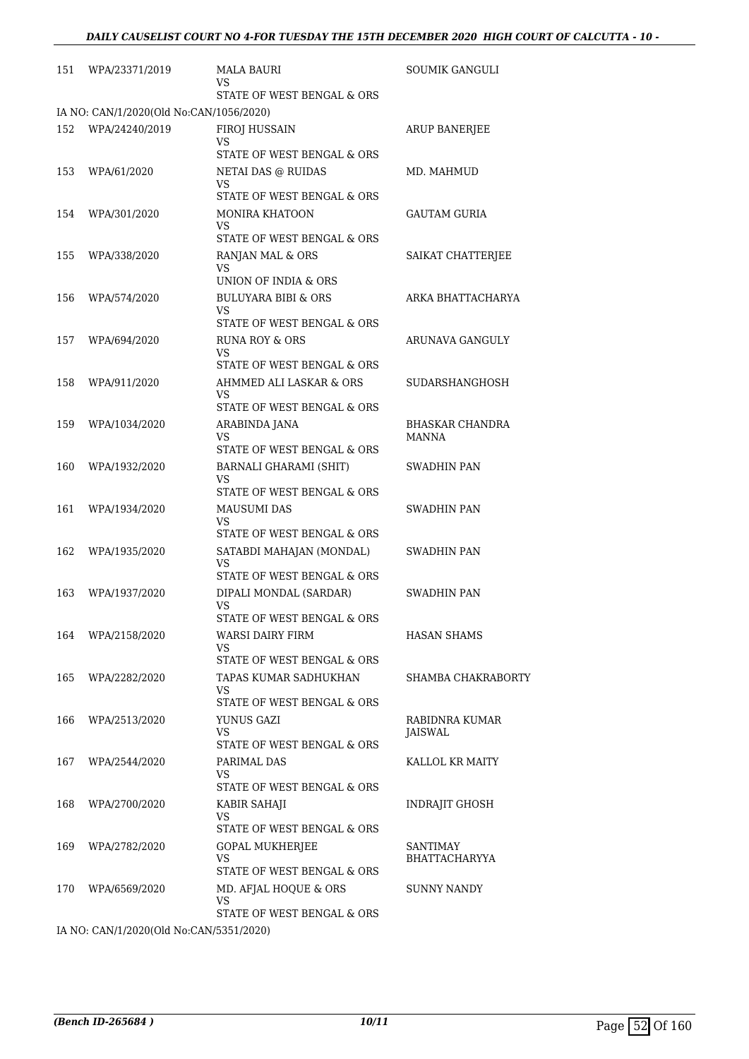| 151 | WPA/23371/2019                                            | <b>MALA BAURI</b><br>VS.                                                                | <b>SOUMIK GANGULI</b>            |
|-----|-----------------------------------------------------------|-----------------------------------------------------------------------------------------|----------------------------------|
|     |                                                           | STATE OF WEST BENGAL & ORS                                                              |                                  |
| 152 | IA NO: CAN/1/2020(Old No:CAN/1056/2020)<br>WPA/24240/2019 | FIROJ HUSSAIN<br>VS<br>STATE OF WEST BENGAL & ORS                                       | <b>ARUP BANERJEE</b>             |
| 153 | WPA/61/2020                                               | NETAI DAS @ RUIDAS<br>VS                                                                | MD. MAHMUD                       |
| 154 | WPA/301/2020                                              | STATE OF WEST BENGAL & ORS<br><b>MONIRA KHATOON</b><br>VS<br>STATE OF WEST BENGAL & ORS | GAUTAM GURIA                     |
| 155 | WPA/338/2020                                              | RANJAN MAL & ORS<br>VS<br>UNION OF INDIA & ORS                                          | SAIKAT CHATTERJEE                |
| 156 | WPA/574/2020                                              | <b>BULUYARA BIBI &amp; ORS</b><br>VS<br>STATE OF WEST BENGAL & ORS                      | ARKA BHATTACHARYA                |
| 157 | WPA/694/2020                                              | RUNA ROY & ORS<br>VS<br>STATE OF WEST BENGAL & ORS                                      | ARUNAVA GANGULY                  |
| 158 | WPA/911/2020                                              | AHMMED ALI LASKAR & ORS<br>VS<br>STATE OF WEST BENGAL & ORS                             | <b>SUDARSHANGHOSH</b>            |
| 159 | WPA/1034/2020                                             | ARABINDA JANA<br>VS<br>STATE OF WEST BENGAL & ORS                                       | <b>BHASKAR CHANDRA</b><br>MANNA  |
| 160 | WPA/1932/2020                                             | BARNALI GHARAMI (SHIT)<br>VS<br>STATE OF WEST BENGAL & ORS                              | SWADHIN PAN                      |
| 161 | WPA/1934/2020                                             | <b>MAUSUMI DAS</b><br>VS<br>STATE OF WEST BENGAL & ORS                                  | SWADHIN PAN                      |
| 162 | WPA/1935/2020                                             | SATABDI MAHAJAN (MONDAL)<br>VS<br>STATE OF WEST BENGAL & ORS                            | SWADHIN PAN                      |
| 163 | WPA/1937/2020                                             | DIPALI MONDAL (SARDAR)<br>VS<br>STATE OF WEST BENGAL & ORS                              | <b>SWADHIN PAN</b>               |
| 164 | WPA/2158/2020                                             | <b>WARSI DAIRY FIRM</b><br>VS<br>STATE OF WEST BENGAL & ORS                             | <b>HASAN SHAMS</b>               |
| 165 | WPA/2282/2020                                             | TAPAS KUMAR SADHUKHAN<br>VS<br>STATE OF WEST BENGAL & ORS                               | SHAMBA CHAKRABORTY               |
| 166 | WPA/2513/2020                                             | YUNUS GAZI<br>VS<br>STATE OF WEST BENGAL & ORS                                          | RABIDNRA KUMAR<br>JAISWAL        |
| 167 | WPA/2544/2020                                             | PARIMAL DAS<br>VS<br>STATE OF WEST BENGAL & ORS                                         | KALLOL KR MAITY                  |
| 168 | WPA/2700/2020                                             | KABIR SAHAJI<br><b>VS</b><br>STATE OF WEST BENGAL & ORS                                 | <b>INDRAJIT GHOSH</b>            |
| 169 | WPA/2782/2020                                             | GOPAL MUKHERJEE<br>VS<br>STATE OF WEST BENGAL & ORS                                     | SANTIMAY<br><b>BHATTACHARYYA</b> |
| 170 | WPA/6569/2020                                             | MD. AFJAL HOQUE & ORS<br>VS<br>STATE OF WEST BENGAL & ORS                               | SUNNY NANDY                      |
|     |                                                           |                                                                                         |                                  |

IA NO: CAN/1/2020(Old No:CAN/5351/2020)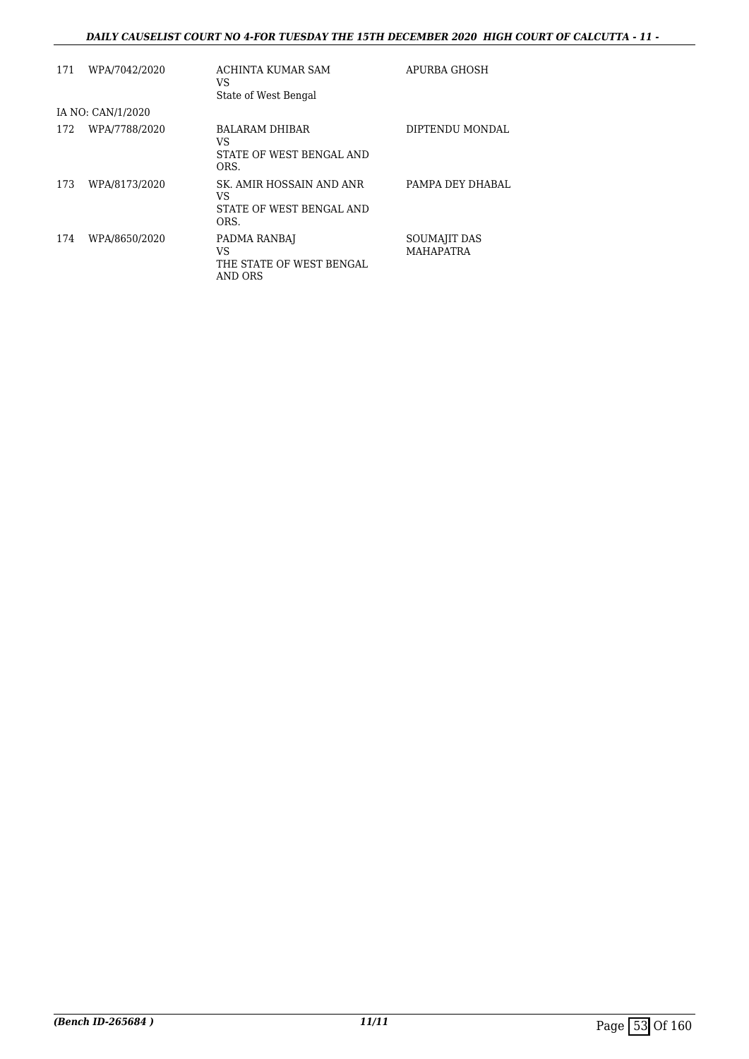#### *DAILY CAUSELIST COURT NO 4-FOR TUESDAY THE 15TH DECEMBER 2020 HIGH COURT OF CALCUTTA - 11 -*

| 171 | WPA/7042/2020     | ACHINTA KUMAR SAM<br>VS<br>State of West Bengal                    | APURBA GHOSH              |
|-----|-------------------|--------------------------------------------------------------------|---------------------------|
|     | IA NO: CAN/1/2020 |                                                                    |                           |
| 172 | WPA/7788/2020     | BALARAM DHIBAR<br>VS<br>STATE OF WEST BENGAL AND<br>ORS.           | DIPTENDU MONDAL           |
| 173 | WPA/8173/2020     | SK. AMIR HOSSAIN AND ANR<br>VS<br>STATE OF WEST BENGAL AND<br>ORS. | PAMPA DEY DHABAL          |
| 174 | WPA/8650/2020     | PADMA RANBAJ<br>VS<br>THE STATE OF WEST BENGAL<br>AND ORS          | SOUMAJIT DAS<br>MAHAPATRA |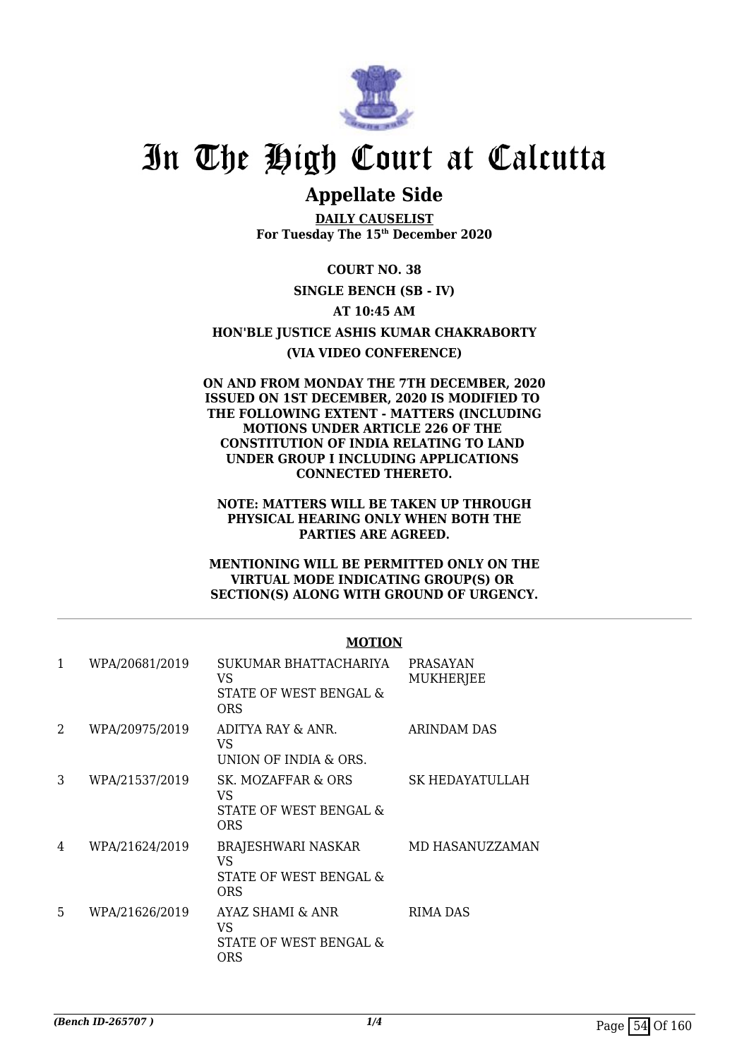

## **Appellate Side**

**DAILY CAUSELIST For Tuesday The 15th December 2020**

**COURT NO. 38 SINGLE BENCH (SB - IV) AT 10:45 AM HON'BLE JUSTICE ASHIS KUMAR CHAKRABORTY (VIA VIDEO CONFERENCE)**

#### **ON AND FROM MONDAY THE 7TH DECEMBER, 2020 ISSUED ON 1ST DECEMBER, 2020 IS MODIFIED TO THE FOLLOWING EXTENT - MATTERS (INCLUDING MOTIONS UNDER ARTICLE 226 OF THE CONSTITUTION OF INDIA RELATING TO LAND UNDER GROUP I INCLUDING APPLICATIONS CONNECTED THERETO.**

**NOTE: MATTERS WILL BE TAKEN UP THROUGH PHYSICAL HEARING ONLY WHEN BOTH THE PARTIES ARE AGREED.**

**MENTIONING WILL BE PERMITTED ONLY ON THE VIRTUAL MODE INDICATING GROUP(S) OR SECTION(S) ALONG WITH GROUND OF URGENCY.**

|   |                | <b>MOTION</b>                                                       |                                     |
|---|----------------|---------------------------------------------------------------------|-------------------------------------|
| 1 | WPA/20681/2019 | SUKUMAR BHATTACHARIYA<br>VS<br>STATE OF WEST BENGAL &<br><b>ORS</b> | <b>PRASAYAN</b><br><b>MUKHERJEE</b> |
| 2 | WPA/20975/2019 | ADITYA RAY & ANR.<br>VS<br>UNION OF INDIA & ORS.                    | ARINDAM DAS                         |
| 3 | WPA/21537/2019 | SK. MOZAFFAR & ORS<br>VS<br>STATE OF WEST BENGAL &<br>ORS           | SK HEDAYATULLAH                     |
| 4 | WPA/21624/2019 | BRAJESHWARI NASKAR<br>VS<br>STATE OF WEST BENGAL &<br><b>ORS</b>    | MD HASANUZZAMAN                     |
| 5 | WPA/21626/2019 | AYAZ SHAMI & ANR<br>VS<br>STATE OF WEST BENGAL &<br><b>ORS</b>      | RIMA DAS                            |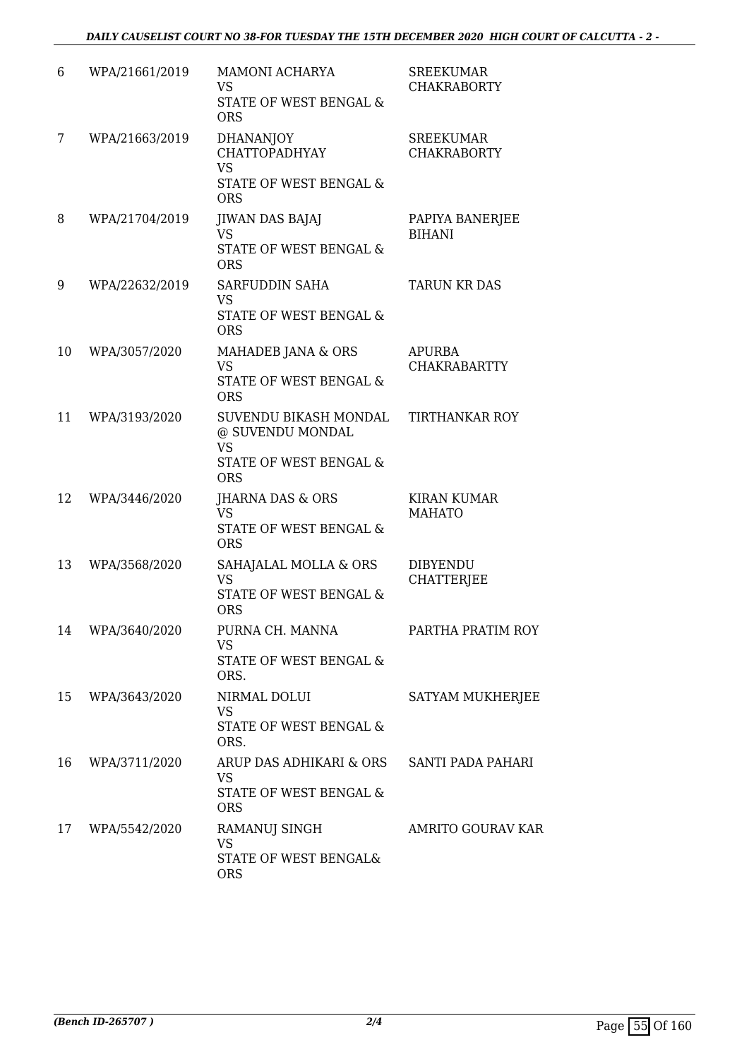| 6  | WPA/21661/2019 | MAMONI ACHARYA<br><b>VS</b><br>STATE OF WEST BENGAL &<br><b>ORS</b>                            | <b>SREEKUMAR</b><br><b>CHAKRABORTY</b> |
|----|----------------|------------------------------------------------------------------------------------------------|----------------------------------------|
| 7  | WPA/21663/2019 | <b>DHANANJOY</b><br>CHATTOPADHYAY<br><b>VS</b><br>STATE OF WEST BENGAL &<br><b>ORS</b>         | <b>SREEKUMAR</b><br><b>CHAKRABORTY</b> |
| 8  | WPA/21704/2019 | <b>JIWAN DAS BAJAJ</b><br><b>VS</b><br><b>STATE OF WEST BENGAL &amp;</b><br><b>ORS</b>         | PAPIYA BANERJEE<br><b>BIHANI</b>       |
| 9  | WPA/22632/2019 | SARFUDDIN SAHA<br><b>VS</b><br><b>STATE OF WEST BENGAL &amp;</b><br><b>ORS</b>                 | <b>TARUN KR DAS</b>                    |
| 10 | WPA/3057/2020  | MAHADEB JANA & ORS<br><b>VS</b><br><b>STATE OF WEST BENGAL &amp;</b><br><b>ORS</b>             | <b>APURBA</b><br><b>CHAKRABARTTY</b>   |
| 11 | WPA/3193/2020  | SUVENDU BIKASH MONDAL<br>@ SUVENDU MONDAL<br><b>VS</b><br>STATE OF WEST BENGAL &<br><b>ORS</b> | <b>TIRTHANKAR ROY</b>                  |
| 12 | WPA/3446/2020  | JHARNA DAS & ORS<br><b>VS</b><br>STATE OF WEST BENGAL &<br><b>ORS</b>                          | <b>KIRAN KUMAR</b><br><b>MAHATO</b>    |
| 13 | WPA/3568/2020  | SAHAJALAL MOLLA & ORS<br><b>VS</b><br>STATE OF WEST BENGAL &<br><b>ORS</b>                     | <b>DIBYENDU</b><br><b>CHATTERJEE</b>   |
| 14 | WPA/3640/2020  | PURNA CH. MANNA<br><b>VS</b><br>STATE OF WEST BENGAL &<br>ORS.                                 | PARTHA PRATIM ROY                      |
| 15 | WPA/3643/2020  | NIRMAL DOLUI<br><b>VS</b><br>STATE OF WEST BENGAL &<br>ORS.                                    | SATYAM MUKHERJEE                       |
| 16 | WPA/3711/2020  | ARUP DAS ADHIKARI & ORS<br><b>VS</b><br>STATE OF WEST BENGAL &<br><b>ORS</b>                   | SANTI PADA PAHARI                      |
| 17 | WPA/5542/2020  | RAMANUJ SINGH<br><b>VS</b><br>STATE OF WEST BENGAL&<br><b>ORS</b>                              | <b>AMRITO GOURAV KAR</b>               |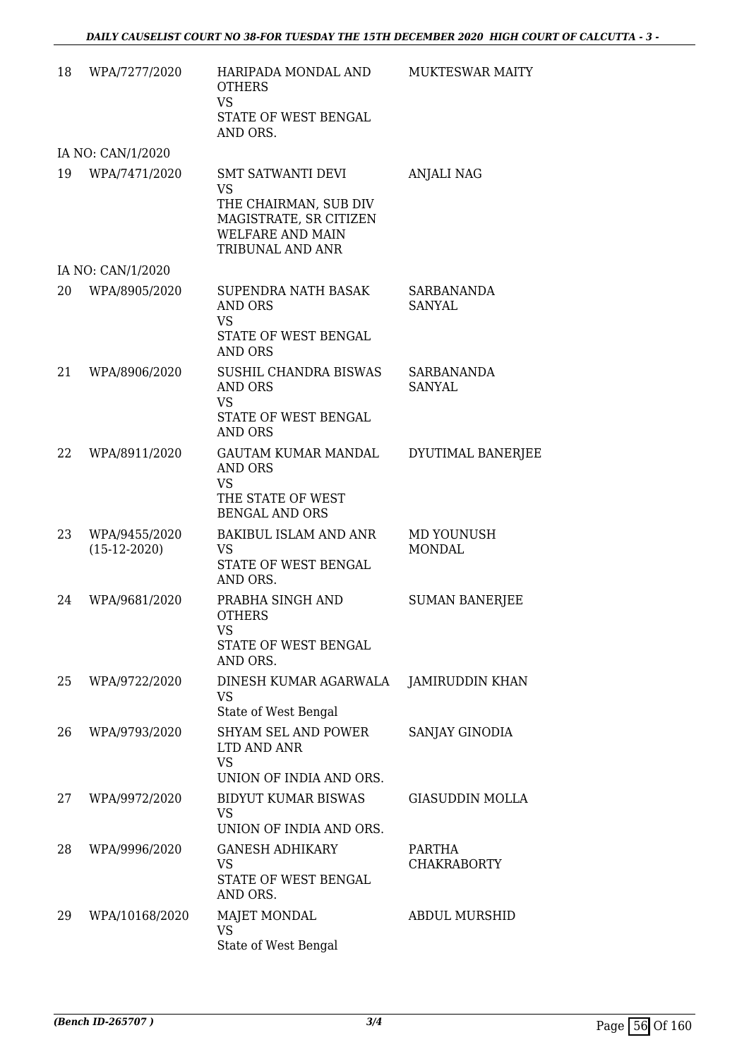| 18 | WPA/7277/2020                   | HARIPADA MONDAL AND<br><b>OTHERS</b><br><b>VS</b><br>STATE OF WEST BENGAL<br>AND ORS.                                            | <b>MUKTESWAR MAITY</b>       |
|----|---------------------------------|----------------------------------------------------------------------------------------------------------------------------------|------------------------------|
|    | IA NO: CAN/1/2020               |                                                                                                                                  |                              |
| 19 | WPA/7471/2020                   | <b>SMT SATWANTI DEVI</b><br><b>VS</b><br>THE CHAIRMAN, SUB DIV<br>MAGISTRATE, SR CITIZEN<br>WELFARE AND MAIN<br>TRIBUNAL AND ANR | <b>ANJALI NAG</b>            |
|    | IA NO: CAN/1/2020               |                                                                                                                                  |                              |
| 20 | WPA/8905/2020                   | SUPENDRA NATH BASAK<br><b>AND ORS</b><br><b>VS</b><br>STATE OF WEST BENGAL<br><b>AND ORS</b>                                     | SARBANANDA<br><b>SANYAL</b>  |
| 21 | WPA/8906/2020                   | SUSHIL CHANDRA BISWAS<br><b>AND ORS</b><br><b>VS</b><br>STATE OF WEST BENGAL<br><b>AND ORS</b>                                   | SARBANANDA<br><b>SANYAL</b>  |
| 22 | WPA/8911/2020                   | <b>GAUTAM KUMAR MANDAL</b><br><b>AND ORS</b><br><b>VS</b><br>THE STATE OF WEST<br><b>BENGAL AND ORS</b>                          | DYUTIMAL BANERJEE            |
| 23 | WPA/9455/2020<br>$(15-12-2020)$ | <b>BAKIBUL ISLAM AND ANR</b><br><b>VS</b><br>STATE OF WEST BENGAL<br>AND ORS.                                                    | MD YOUNUSH<br><b>MONDAL</b>  |
| 24 | WPA/9681/2020                   | PRABHA SINGH AND<br><b>OTHERS</b><br>VS<br>STATE OF WEST BENGAL<br>AND ORS.                                                      | <b>SUMAN BANERJEE</b>        |
| 25 | WPA/9722/2020                   | DINESH KUMAR AGARWALA<br><b>VS</b><br>State of West Bengal                                                                       | JAMIRUDDIN KHAN              |
| 26 | WPA/9793/2020                   | <b>SHYAM SEL AND POWER</b><br>LTD AND ANR<br><b>VS</b><br>UNION OF INDIA AND ORS.                                                | SANJAY GINODIA               |
| 27 | WPA/9972/2020                   | <b>BIDYUT KUMAR BISWAS</b><br><b>VS</b><br>UNION OF INDIA AND ORS.                                                               | <b>GIASUDDIN MOLLA</b>       |
| 28 | WPA/9996/2020                   | <b>GANESH ADHIKARY</b><br>VS<br>STATE OF WEST BENGAL<br>AND ORS.                                                                 | PARTHA<br><b>CHAKRABORTY</b> |
| 29 | WPA/10168/2020                  | <b>MAJET MONDAL</b><br><b>VS</b><br>State of West Bengal                                                                         | <b>ABDUL MURSHID</b>         |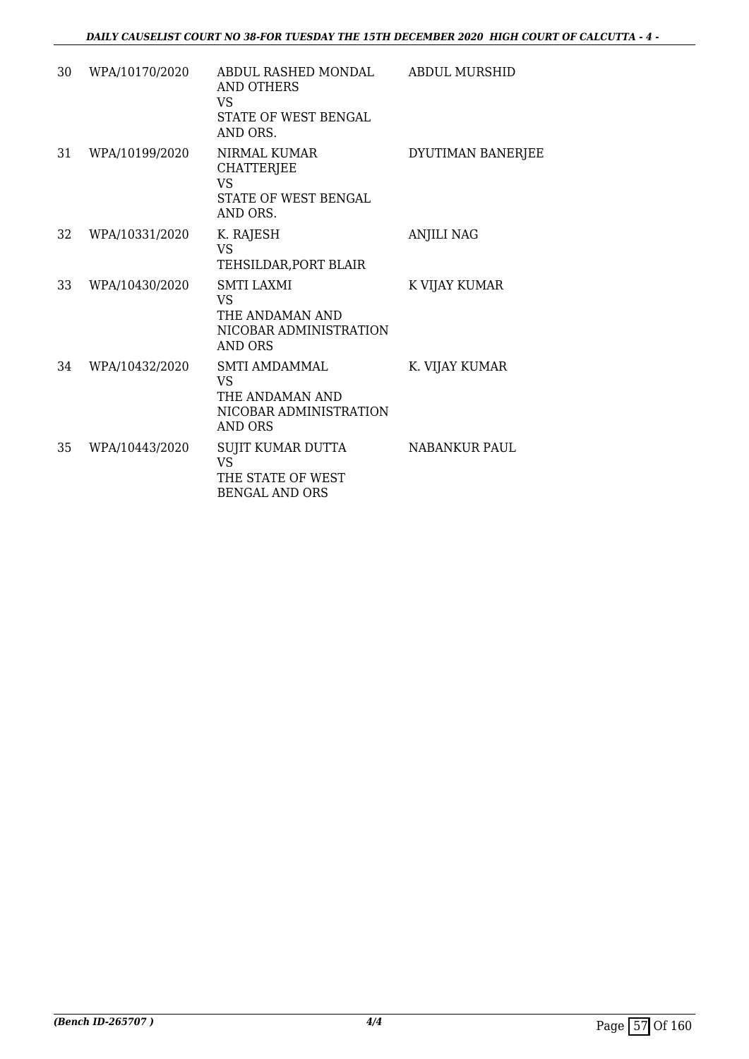| 30 | WPA/10170/2020 | ABDUL RASHED MONDAL<br>AND OTHERS<br>VS<br><b>STATE OF WEST BENGAL</b><br>AND ORS.        | <b>ABDUL MURSHID</b> |
|----|----------------|-------------------------------------------------------------------------------------------|----------------------|
| 31 | WPA/10199/2020 | NIRMAL KUMAR<br>CHATTERJEE<br><b>VS</b><br>STATE OF WEST BENGAL<br>AND ORS.               | DYUTIMAN BANERJEE    |
| 32 | WPA/10331/2020 | K. RAJESH<br><b>VS</b><br>TEHSILDAR, PORT BLAIR                                           | <b>ANJILI NAG</b>    |
| 33 | WPA/10430/2020 | <b>SMTI LAXMI</b><br>VS.<br>THE ANDAMAN AND<br>NICOBAR ADMINISTRATION<br><b>AND ORS</b>   | K VIJAY KUMAR        |
| 34 | WPA/10432/2020 | SMTI AMDAMMAL<br><b>VS</b><br>THE ANDAMAN AND<br>NICOBAR ADMINISTRATION<br><b>AND ORS</b> | K. VIJAY KUMAR       |
| 35 | WPA/10443/2020 | SUJIT KUMAR DUTTA<br><b>VS</b><br>THE STATE OF WEST<br><b>BENGAL AND ORS</b>              | <b>NABANKUR PAUL</b> |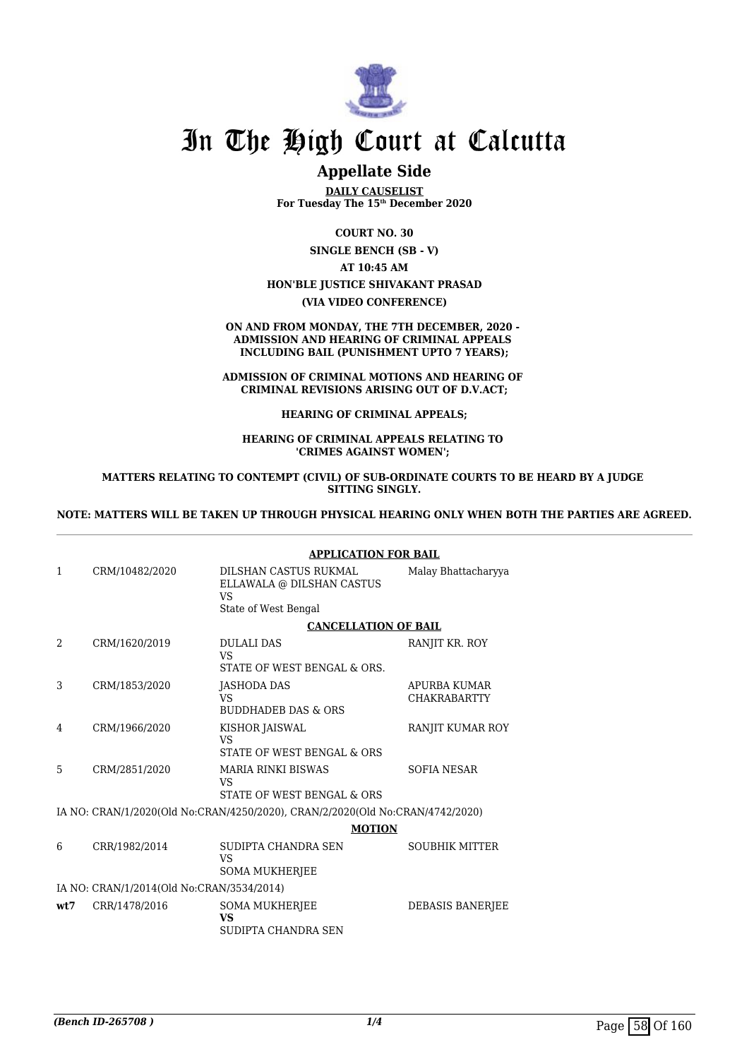

### **Appellate Side**

**DAILY CAUSELIST For Tuesday The 15th December 2020**

**COURT NO. 30**

**SINGLE BENCH (SB - V)**

**AT 10:45 AM HON'BLE JUSTICE SHIVAKANT PRASAD**

**(VIA VIDEO CONFERENCE)**

**ON AND FROM MONDAY, THE 7TH DECEMBER, 2020 - ADMISSION AND HEARING OF CRIMINAL APPEALS INCLUDING BAIL (PUNISHMENT UPTO 7 YEARS);**

**ADMISSION OF CRIMINAL MOTIONS AND HEARING OF CRIMINAL REVISIONS ARISING OUT OF D.V.ACT;**

**HEARING OF CRIMINAL APPEALS;**

**HEARING OF CRIMINAL APPEALS RELATING TO 'CRIMES AGAINST WOMEN';** 

**MATTERS RELATING TO CONTEMPT (CIVIL) OF SUB-ORDINATE COURTS TO BE HEARD BY A JUDGE SITTING SINGLY.**

#### **NOTE: MATTERS WILL BE TAKEN UP THROUGH PHYSICAL HEARING ONLY WHEN BOTH THE PARTIES ARE AGREED.**

|                |                                           | <b>APPLICATION FOR BAIL</b>                                                             |                                     |
|----------------|-------------------------------------------|-----------------------------------------------------------------------------------------|-------------------------------------|
| $\mathbf{1}$   | CRM/10482/2020                            | DILSHAN CASTUS RUKMAL<br>ELLAWALA @ DILSHAN CASTUS<br><b>VS</b><br>State of West Bengal | Malay Bhattacharyya                 |
|                |                                           | <b>CANCELLATION OF BAIL</b>                                                             |                                     |
| $\mathfrak{D}$ | CRM/1620/2019                             | <b>DULALI DAS</b><br><b>VS</b><br>STATE OF WEST BENGAL & ORS.                           | RANJIT KR. ROY                      |
| 3              | CRM/1853/2020                             | JASHODA DAS<br><b>VS</b><br><b>BUDDHADEB DAS &amp; ORS</b>                              | APURBA KUMAR<br><b>CHAKRABARTTY</b> |
| 4              | CRM/1966/2020                             | KISHOR JAISWAL<br><b>VS</b><br>STATE OF WEST BENGAL & ORS                               | RANJIT KUMAR ROY                    |
| 5              | CRM/2851/2020                             | <b>MARIA RINKI BISWAS</b><br><b>VS</b><br>STATE OF WEST BENGAL & ORS                    | SOFIA NESAR                         |
|                |                                           | IA NO: CRAN/1/2020(Old No:CRAN/4250/2020), CRAN/2/2020(Old No:CRAN/4742/2020)           |                                     |
|                |                                           | <b>MOTION</b>                                                                           |                                     |
| 6              | CRR/1982/2014                             | SUDIPTA CHANDRA SEN<br>VS<br><b>SOMA MUKHERJEE</b>                                      | <b>SOUBHIK MITTER</b>               |
|                | IA NO: CRAN/1/2014(Old No:CRAN/3534/2014) |                                                                                         |                                     |
| wt.7           | CRR/1478/2016                             | <b>SOMA MUKHERJEE</b><br><b>VS</b><br>SUDIPTA CHANDRA SEN                               | <b>DEBASIS BANERIEE</b>             |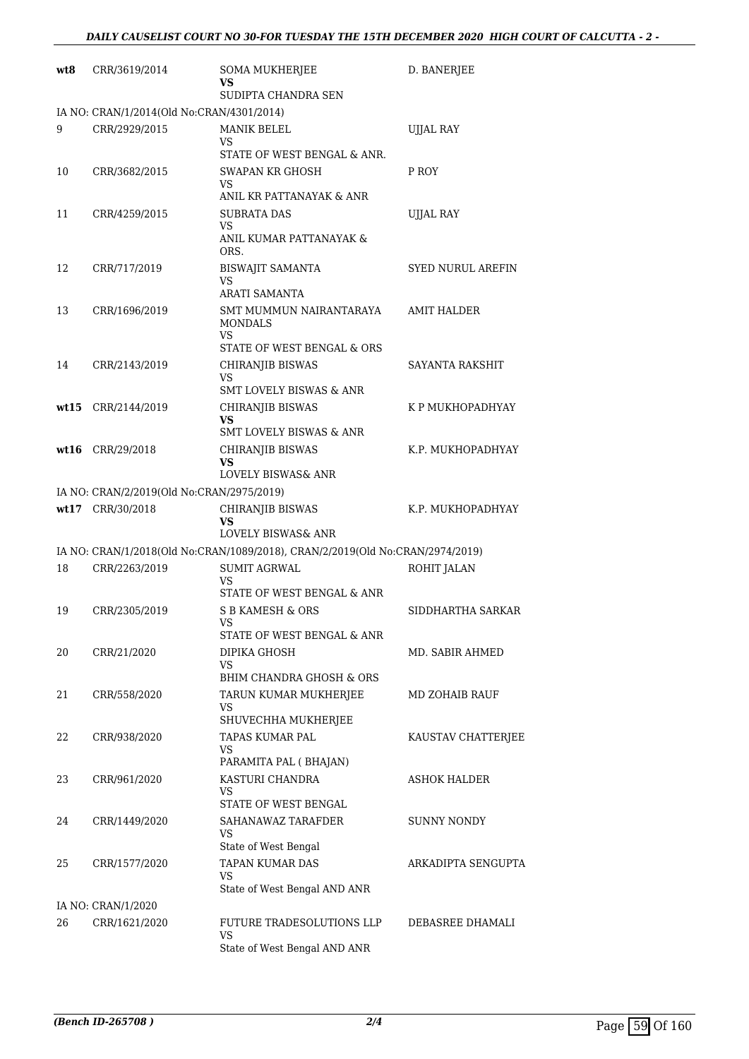| wt8   | CRR/3619/2014                             | SOMA MUKHERJEE<br>VS                                                          | D. BANERJEE              |
|-------|-------------------------------------------|-------------------------------------------------------------------------------|--------------------------|
|       | IA NO: CRAN/1/2014(Old No:CRAN/4301/2014) | SUDIPTA CHANDRA SEN                                                           |                          |
| 9     | CRR/2929/2015                             | MANIK BELEL                                                                   | UJJAL RAY                |
|       |                                           | VS<br>STATE OF WEST BENGAL & ANR.                                             |                          |
| 10    | CRR/3682/2015                             | <b>SWAPAN KR GHOSH</b><br>VS<br>ANIL KR PATTANAYAK & ANR                      | P ROY                    |
| 11    | CRR/4259/2015                             | <b>SUBRATA DAS</b>                                                            | UJJAL RAY                |
|       |                                           | VS<br>ANIL KUMAR PATTANAYAK &<br>ORS.                                         |                          |
| 12    | CRR/717/2019                              | <b>BISWAJIT SAMANTA</b><br>VS<br>ARATI SAMANTA                                | <b>SYED NURUL AREFIN</b> |
| 13    | CRR/1696/2019                             | SMT MUMMUN NAIRANTARAYA<br><b>MONDALS</b><br>VS                               | AMIT HALDER              |
|       |                                           | STATE OF WEST BENGAL & ORS                                                    |                          |
| 14    | CRR/2143/2019                             | CHIRANJIB BISWAS<br>VS.                                                       | SAYANTA RAKSHIT          |
|       |                                           | <b>SMT LOVELY BISWAS &amp; ANR</b>                                            |                          |
| wt 15 | CRR/2144/2019                             | CHIRANJIB BISWAS<br>VS<br><b>SMT LOVELY BISWAS &amp; ANR</b>                  | K P MUKHOPADHYAY         |
|       | $wt16$ CRR/29/2018                        | CHIRANJIB BISWAS<br>VS<br>LOVELY BISWAS& ANR                                  | K.P. MUKHOPADHYAY        |
|       | IA NO: CRAN/2/2019(Old No:CRAN/2975/2019) |                                                                               |                          |
|       | wt17 CRR/30/2018                          | CHIRANJIB BISWAS                                                              | K.P. MUKHOPADHYAY        |
|       |                                           | VS<br><b>LOVELY BISWAS&amp; ANR</b>                                           |                          |
|       |                                           | IA NO: CRAN/1/2018(Old No:CRAN/1089/2018), CRAN/2/2019(Old No:CRAN/2974/2019) |                          |
| 18    | CRR/2263/2019                             | <b>SUMIT AGRWAL</b>                                                           | ROHIT JALAN              |
|       |                                           | VS<br>STATE OF WEST BENGAL & ANR                                              |                          |
| 19    | CRR/2305/2019                             | <b>S B KAMESH &amp; ORS</b>                                                   | SIDDHARTHA SARKAR        |
|       |                                           | VS<br>STATE OF WEST BENGAL & ANR                                              |                          |
| 20    | CRR/21/2020                               | DIPIKA GHOSH                                                                  | MD. SABIR AHMED          |
|       |                                           | VS.<br>BHIM CHANDRA GHOSH & ORS                                               |                          |
| 21    | CRR/558/2020                              | TARUN KUMAR MUKHERJEE                                                         | MD ZOHAIB RAUF           |
|       |                                           | VS                                                                            |                          |
|       |                                           | SHUVECHHA MUKHERJEE                                                           |                          |
| 22    | CRR/938/2020                              | TAPAS KUMAR PAL<br>VS                                                         | KAUSTAV CHATTERJEE       |
| 23    | CRR/961/2020                              | PARAMITA PAL (BHAJAN)<br>KASTURI CHANDRA                                      | ASHOK HALDER             |
|       |                                           | VS<br>STATE OF WEST BENGAL                                                    |                          |
| 24    | CRR/1449/2020                             | SAHANAWAZ TARAFDER<br>VS                                                      | SUNNY NONDY              |
|       |                                           | State of West Bengal<br>TAPAN KUMAR DAS                                       |                          |
| 25    | CRR/1577/2020                             | VS.                                                                           | ARKADIPTA SENGUPTA       |
|       |                                           | State of West Bengal AND ANR                                                  |                          |
|       | IA NO: CRAN/1/2020                        |                                                                               |                          |
| 26    | CRR/1621/2020                             | FUTURE TRADESOLUTIONS LLP<br>VS.                                              | DEBASREE DHAMALI         |
|       |                                           | State of West Bengal AND ANR                                                  |                          |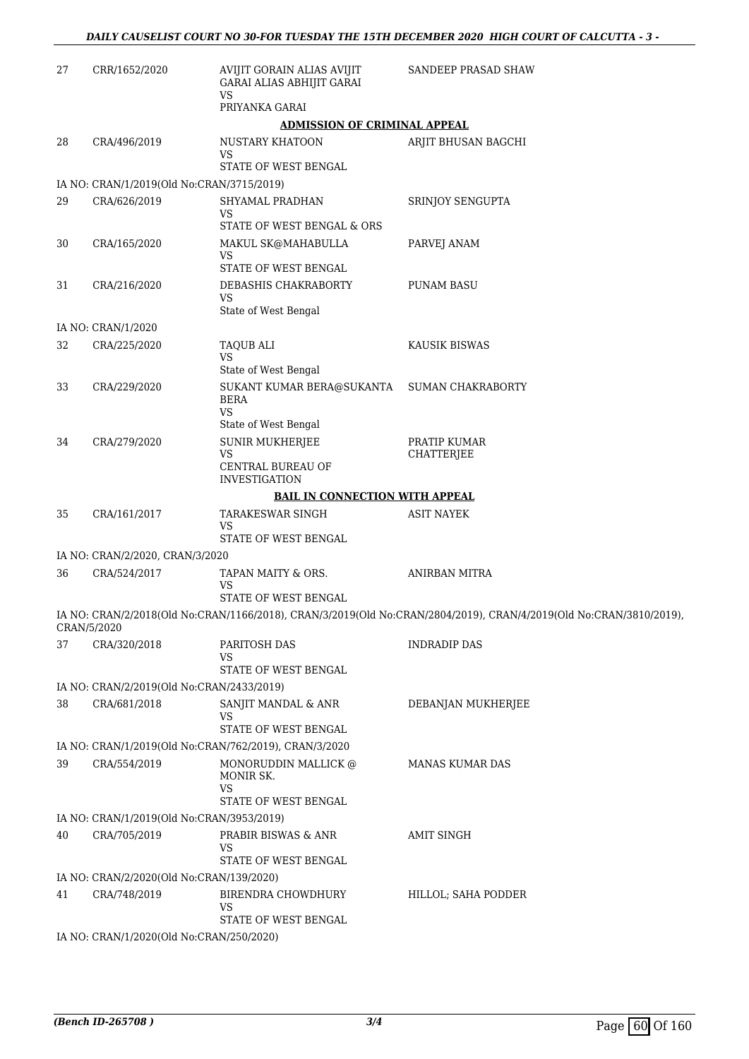| 27 | CRR/1652/2020                             | AVIJIT GORAIN ALIAS AVIJIT<br>GARAI ALIAS ABHIJIT GARAI<br><b>VS</b>          | SANDEEP PRASAD SHAW                                                                                                |
|----|-------------------------------------------|-------------------------------------------------------------------------------|--------------------------------------------------------------------------------------------------------------------|
|    |                                           | PRIYANKA GARAI                                                                |                                                                                                                    |
| 28 |                                           | <b>ADMISSION OF CRIMINAL APPEAL</b><br>NUSTARY KHATOON                        |                                                                                                                    |
|    | CRA/496/2019                              | VS<br>STATE OF WEST BENGAL                                                    | ARJIT BHUSAN BAGCHI                                                                                                |
|    | IA NO: CRAN/1/2019(Old No:CRAN/3715/2019) |                                                                               |                                                                                                                    |
| 29 | CRA/626/2019                              | SHYAMAL PRADHAN<br>VS<br>STATE OF WEST BENGAL & ORS                           | SRINJOY SENGUPTA                                                                                                   |
| 30 | CRA/165/2020                              | MAKUL SK@MAHABULLA<br>VS<br>STATE OF WEST BENGAL                              | PARVEJ ANAM                                                                                                        |
| 31 | CRA/216/2020                              | DEBASHIS CHAKRABORTY<br>VS                                                    | <b>PUNAM BASU</b>                                                                                                  |
|    |                                           | State of West Bengal                                                          |                                                                                                                    |
|    | IA NO: CRAN/1/2020                        |                                                                               |                                                                                                                    |
| 32 | CRA/225/2020                              | TAQUB ALI<br>VS<br>State of West Bengal                                       | <b>KAUSIK BISWAS</b>                                                                                               |
| 33 | CRA/229/2020                              | SUKANT KUMAR BERA@SUKANTA<br><b>BERA</b><br><b>VS</b><br>State of West Bengal | <b>SUMAN CHAKRABORTY</b>                                                                                           |
| 34 | CRA/279/2020                              | <b>SUNIR MUKHERJEE</b><br><b>VS</b><br>CENTRAL BUREAU OF                      | PRATIP KUMAR<br>CHATTERJEE                                                                                         |
|    |                                           | <b>INVESTIGATION</b><br><b>BAIL IN CONNECTION WITH APPEAL</b>                 |                                                                                                                    |
| 35 | CRA/161/2017                              | TARAKESWAR SINGH                                                              | <b>ASIT NAYEK</b>                                                                                                  |
|    |                                           | VS<br>STATE OF WEST BENGAL                                                    |                                                                                                                    |
|    | IA NO: CRAN/2/2020, CRAN/3/2020           |                                                                               |                                                                                                                    |
| 36 | CRA/524/2017                              | TAPAN MAITY & ORS.<br>VS<br>STATE OF WEST BENGAL                              | <b>ANIRBAN MITRA</b>                                                                                               |
|    | CRAN/5/2020                               |                                                                               | IA NO: CRAN/2/2018(Old No:CRAN/1166/2018), CRAN/3/2019(Old No:CRAN/2804/2019), CRAN/4/2019(Old No:CRAN/3810/2019), |
| 37 | CRA/320/2018                              | PARITOSH DAS<br>VS<br>STATE OF WEST BENGAL                                    | <b>INDRADIP DAS</b>                                                                                                |
|    | IA NO: CRAN/2/2019(Old No:CRAN/2433/2019) |                                                                               |                                                                                                                    |
| 38 | CRA/681/2018                              | SANJIT MANDAL & ANR<br>VS<br>STATE OF WEST BENGAL                             | DEBANJAN MUKHERJEE                                                                                                 |
|    |                                           |                                                                               |                                                                                                                    |
| 39 | CRA/554/2019                              | IA NO: CRAN/1/2019(Old No:CRAN/762/2019), CRAN/3/2020<br>MONORUDDIN MALLICK @ | <b>MANAS KUMAR DAS</b>                                                                                             |
|    |                                           | MONIR SK.<br>VS<br>STATE OF WEST BENGAL                                       |                                                                                                                    |
|    | IA NO: CRAN/1/2019(Old No:CRAN/3953/2019) |                                                                               |                                                                                                                    |
| 40 | CRA/705/2019                              | PRABIR BISWAS & ANR<br>VS<br>STATE OF WEST BENGAL                             | <b>AMIT SINGH</b>                                                                                                  |
|    | IA NO: CRAN/2/2020(Old No:CRAN/139/2020)  |                                                                               |                                                                                                                    |
| 41 | CRA/748/2019                              | BIRENDRA CHOWDHURY<br>VS                                                      | HILLOL; SAHA PODDER                                                                                                |
|    | IA NO: CRAN/1/2020(Old No:CRAN/250/2020)  | STATE OF WEST BENGAL                                                          |                                                                                                                    |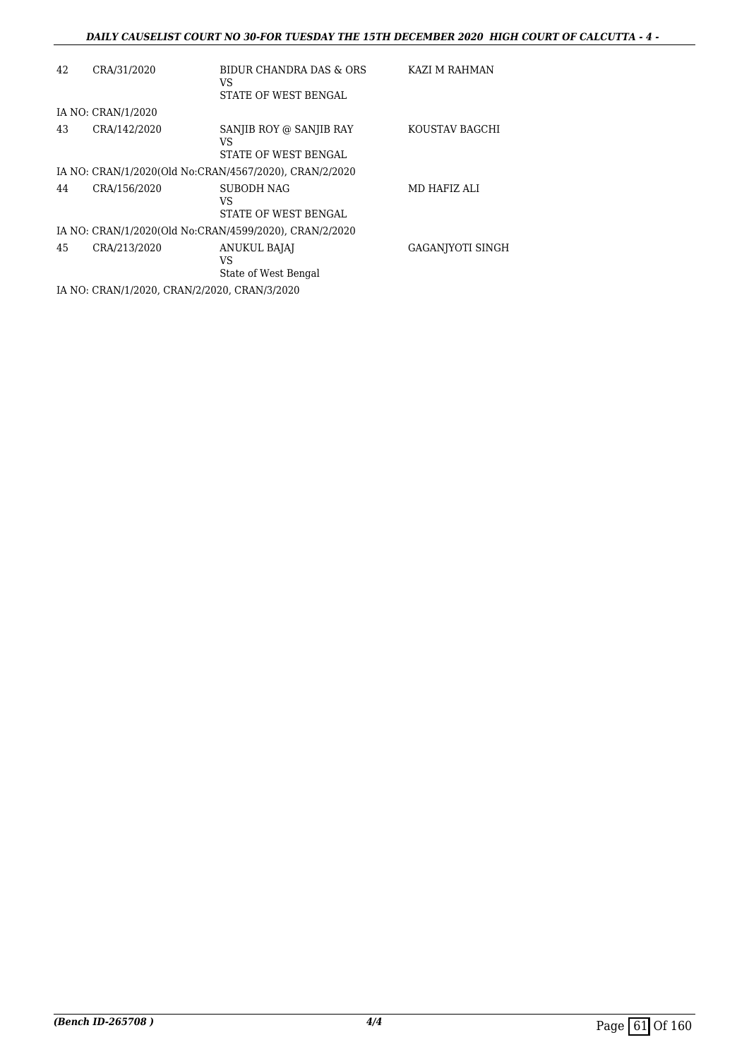| 42 | CRA/31/2020                                  | BIDUR CHANDRA DAS & ORS<br>VS<br>STATE OF WEST BENGAL  | KAZI M RAHMAN           |
|----|----------------------------------------------|--------------------------------------------------------|-------------------------|
|    | IA NO: CRAN/1/2020                           |                                                        |                         |
| 43 | CRA/142/2020                                 | SANJIB ROY @ SANJIB RAY<br>VS<br>STATE OF WEST BENGAL  | KOUSTAV BAGCHI          |
|    |                                              | IA NO: CRAN/1/2020(Old No:CRAN/4567/2020), CRAN/2/2020 |                         |
| 44 | CRA/156/2020                                 | <b>SUBODH NAG</b><br>VS<br>STATE OF WEST BENGAL        | MD HAFIZ ALI            |
|    |                                              | IA NO: CRAN/1/2020(Old No:CRAN/4599/2020), CRAN/2/2020 |                         |
| 45 | CRA/213/2020                                 | <b>ANUKUL BAJAJ</b><br>VS<br>State of West Bengal      | <b>GAGANIYOTI SINGH</b> |
|    | IA NO: CRAN/1/2020, CRAN/2/2020, CRAN/3/2020 |                                                        |                         |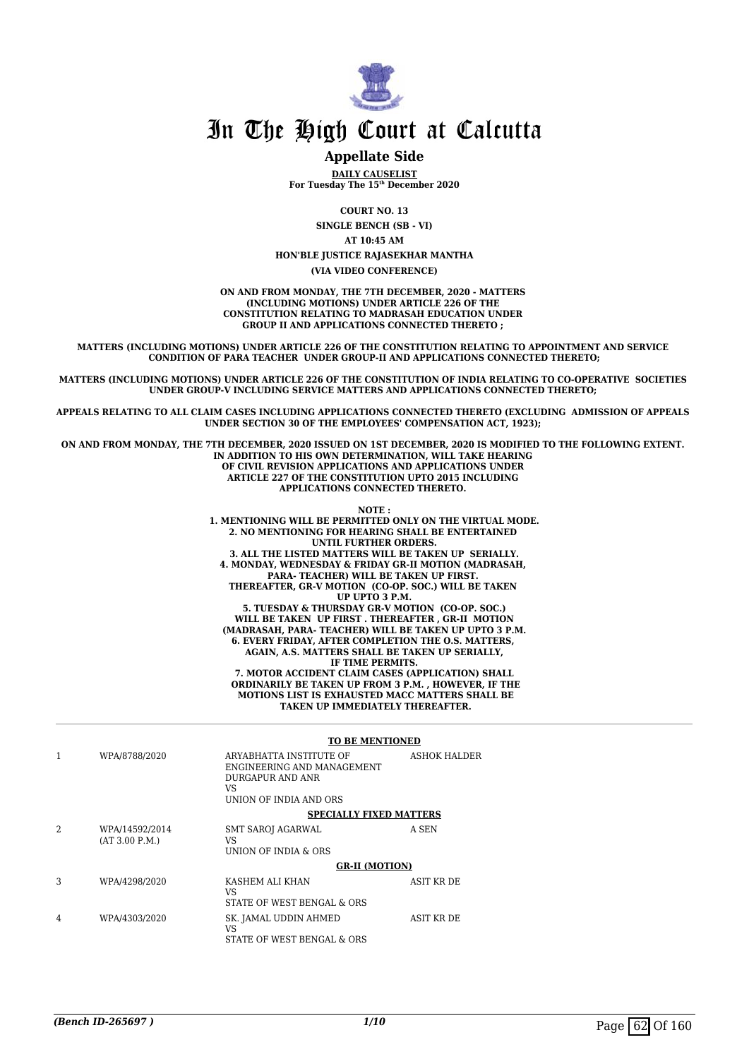

#### **Appellate Side**

**DAILY CAUSELIST For Tuesday The 15th December 2020**

**COURT NO. 13**

**SINGLE BENCH (SB - VI)**

**AT 10:45 AM**

**HON'BLE JUSTICE RAJASEKHAR MANTHA**

**(VIA VIDEO CONFERENCE)**

**ON AND FROM MONDAY, THE 7TH DECEMBER, 2020 - MATTERS (INCLUDING MOTIONS) UNDER ARTICLE 226 OF THE CONSTITUTION RELATING TO MADRASAH EDUCATION UNDER GROUP II AND APPLICATIONS CONNECTED THERETO ;** 

**MATTERS (INCLUDING MOTIONS) UNDER ARTICLE 226 OF THE CONSTITUTION RELATING TO APPOINTMENT AND SERVICE CONDITION OF PARA TEACHER UNDER GROUP-II AND APPLICATIONS CONNECTED THERETO;**

**MATTERS (INCLUDING MOTIONS) UNDER ARTICLE 226 OF THE CONSTITUTION OF INDIA RELATING TO CO-OPERATIVE SOCIETIES UNDER GROUP-V INCLUDING SERVICE MATTERS AND APPLICATIONS CONNECTED THERETO;** 

**APPEALS RELATING TO ALL CLAIM CASES INCLUDING APPLICATIONS CONNECTED THERETO (EXCLUDING ADMISSION OF APPEALS UNDER SECTION 30 OF THE EMPLOYEES' COMPENSATION ACT, 1923);** 

**ON AND FROM MONDAY, THE 7TH DECEMBER, 2020 ISSUED ON 1ST DECEMBER, 2020 IS MODIFIED TO THE FOLLOWING EXTENT. IN ADDITION TO HIS OWN DETERMINATION, WILL TAKE HEARING OF CIVIL REVISION APPLICATIONS AND APPLICATIONS UNDER ARTICLE 227 OF THE CONSTITUTION UPTO 2015 INCLUDING APPLICATIONS CONNECTED THERETO.** 

**NOTE :**

**1. MENTIONING WILL BE PERMITTED ONLY ON THE VIRTUAL MODE. 2. NO MENTIONING FOR HEARING SHALL BE ENTERTAINED UNTIL FURTHER ORDERS. 3. ALL THE LISTED MATTERS WILL BE TAKEN UP SERIALLY. 4. MONDAY, WEDNESDAY & FRIDAY GR-II MOTION (MADRASAH, PARA- TEACHER) WILL BE TAKEN UP FIRST. THEREAFTER, GR-V MOTION (CO-OP. SOC.) WILL BE TAKEN UP UPTO 3 P.M. 5. TUESDAY & THURSDAY GR-V MOTION (CO-OP. SOC.) WILL BE TAKEN UP FIRST . THEREAFTER , GR-II MOTION (MADRASAH, PARA- TEACHER) WILL BE TAKEN UP UPTO 3 P.M. 6. EVERY FRIDAY, AFTER COMPLETION THE O.S. MATTERS, AGAIN, A.S. MATTERS SHALL BE TAKEN UP SERIALLY, IF TIME PERMITS. 7. MOTOR ACCIDENT CLAIM CASES (APPLICATION) SHALL ORDINARILY BE TAKEN UP FROM 3 P.M. , HOWEVER, IF THE MOTIONS LIST IS EXHAUSTED MACC MATTERS SHALL BE**

 **TAKEN UP IMMEDIATELY THEREAFTER.**

|               |                                  | <b>TO BE MENTIONED</b>                                                                                    |                   |
|---------------|----------------------------------|-----------------------------------------------------------------------------------------------------------|-------------------|
|               | WPA/8788/2020                    | ARYABHATTA INSTITUTE OF<br>ENGINEERING AND MANAGEMENT<br>DURGAPUR AND ANR<br>VS<br>UNION OF INDIA AND ORS | ASHOK HALDER      |
|               |                                  | <b>SPECIALLY FIXED MATTERS</b>                                                                            |                   |
| $\mathcal{L}$ | WPA/14592/2014<br>(AT 3.00 P.M.) | <b>SMT SAROJ AGARWAL</b><br>VS<br>UNION OF INDIA & ORS                                                    | A SEN             |
|               |                                  | <b>GR-II (MOTION)</b>                                                                                     |                   |
| 3             | WPA/4298/2020                    | KASHEM ALI KHAN<br>VS<br>STATE OF WEST BENGAL & ORS                                                       | <b>ASIT KR DE</b> |
| 4             | WPA/4303/2020                    | SK. JAMAL UDDIN AHMED<br>VS<br>STATE OF WEST BENGAL & ORS                                                 | ASIT KR DE        |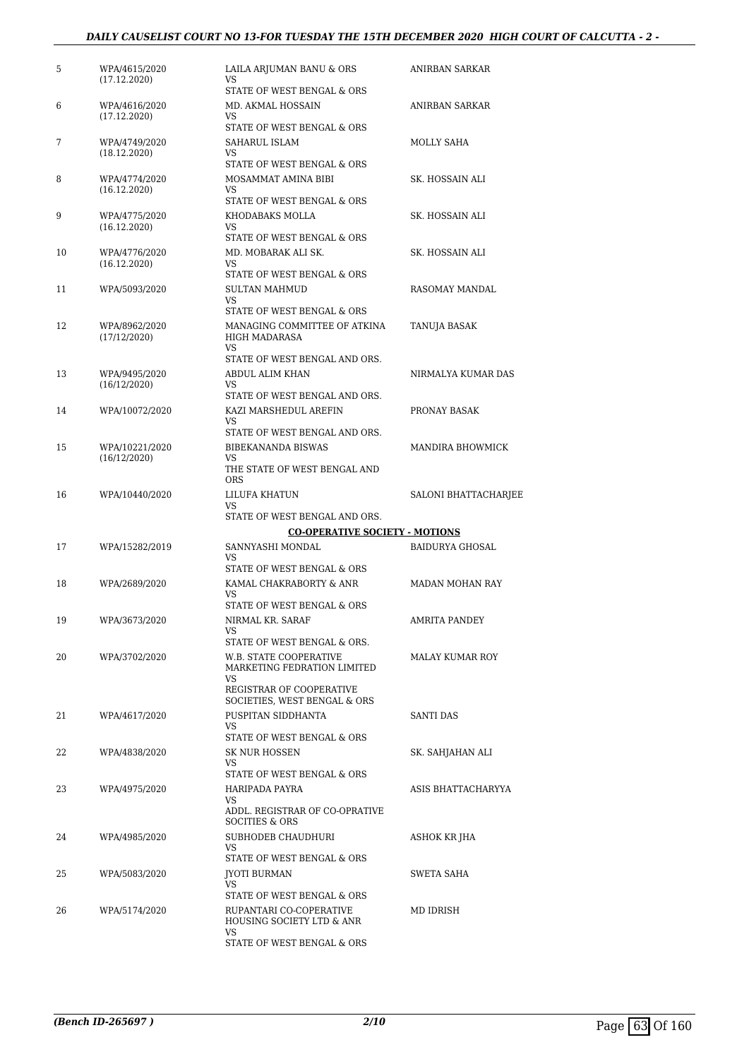#### *DAILY CAUSELIST COURT NO 13-FOR TUESDAY THE 15TH DECEMBER 2020 HIGH COURT OF CALCUTTA - 2 -*

| 5  | WPA/4615/2020<br>(17.12.2020) | LAILA ARJUMAN BANU & ORS<br>VS                                                           | ANIRBAN SARKAR         |
|----|-------------------------------|------------------------------------------------------------------------------------------|------------------------|
|    |                               | STATE OF WEST BENGAL & ORS                                                               |                        |
| 6  | WPA/4616/2020<br>(17.12.2020) | MD. AKMAL HOSSAIN<br>VS                                                                  | ANIRBAN SARKAR         |
|    |                               | STATE OF WEST BENGAL & ORS                                                               |                        |
| 7  | WPA/4749/2020<br>(18.12.2020) | SAHARUL ISLAM<br>VS<br>STATE OF WEST BENGAL & ORS                                        | MOLLY SAHA             |
| 8  | WPA/4774/2020                 | MOSAMMAT AMINA BIBI                                                                      | SK. HOSSAIN ALI        |
|    | (16.12.2020)                  | VS<br>STATE OF WEST BENGAL & ORS                                                         |                        |
| 9  | WPA/4775/2020                 | KHODABAKS MOLLA                                                                          | SK. HOSSAIN ALI        |
|    | (16.12.2020)                  | VS<br>STATE OF WEST BENGAL & ORS                                                         |                        |
| 10 | WPA/4776/2020                 | MD. MOBARAK ALI SK.                                                                      | SK. HOSSAIN ALI        |
|    | (16.12.2020)                  | VS<br>STATE OF WEST BENGAL & ORS                                                         |                        |
| 11 | WPA/5093/2020                 | <b>SULTAN MAHMUD</b>                                                                     | RASOMAY MANDAL         |
|    |                               | VS                                                                                       |                        |
| 12 | WPA/8962/2020<br>(17/12/2020) | STATE OF WEST BENGAL & ORS<br>MANAGING COMMITTEE OF ATKINA<br><b>HIGH MADARASA</b><br>VS | TANUJA BASAK           |
|    |                               | STATE OF WEST BENGAL AND ORS.                                                            |                        |
| 13 | WPA/9495/2020                 | ABDUL ALIM KHAN                                                                          | NIRMALYA KUMAR DAS     |
|    | (16/12/2020)                  | VS<br>STATE OF WEST BENGAL AND ORS.                                                      |                        |
| 14 | WPA/10072/2020                | KAZI MARSHEDUL AREFIN                                                                    | PRONAY BASAK           |
|    |                               | VS                                                                                       |                        |
| 15 | WPA/10221/2020                | STATE OF WEST BENGAL AND ORS.<br><b>BIBEKANANDA BISWAS</b>                               | MANDIRA BHOWMICK       |
|    | (16/12/2020)                  | VS<br>THE STATE OF WEST BENGAL AND<br>ORS                                                |                        |
| 16 | WPA/10440/2020                | LILUFA KHATUN                                                                            | SALONI BHATTACHARJEE   |
|    |                               | VS                                                                                       |                        |
|    |                               | STATE OF WEST BENGAL AND ORS.                                                            |                        |
| 17 | WPA/15282/2019                | <b>CO-OPERATIVE SOCIETY - MOTIONS</b><br>SANNYASHI MONDAL                                | <b>BAIDURYA GHOSAL</b> |
|    |                               | VS                                                                                       |                        |
|    |                               | STATE OF WEST BENGAL & ORS                                                               |                        |
| 18 | WPA/2689/2020                 | KAMAL CHAKRABORTY & ANR<br>VS                                                            | MADAN MOHAN RAY        |
|    |                               | STATE OF WEST BENGAL & ORS                                                               |                        |
| 19 | WPA/3673/2020                 | NIRMAL KR. SARAF<br>VS                                                                   | AMRITA PANDEY          |
|    |                               | STATE OF WEST BENGAL & ORS.                                                              |                        |
| 20 | WPA/3702/2020                 | W.B. STATE COOPERATIVE<br>MARKETING FEDRATION LIMITED<br>VS<br>REGISTRAR OF COOPERATIVE  | MALAY KUMAR ROY        |
|    |                               | SOCIETIES, WEST BENGAL & ORS                                                             |                        |
| 21 | WPA/4617/2020                 | PUSPITAN SIDDHANTA                                                                       | SANTI DAS              |
|    |                               | VS<br>STATE OF WEST BENGAL & ORS                                                         |                        |
| 22 | WPA/4838/2020                 | SK NUR HOSSEN                                                                            | SK. SAHJAHAN ALI       |
|    |                               | VS<br>STATE OF WEST BENGAL & ORS                                                         |                        |
| 23 | WPA/4975/2020                 | HARIPADA PAYRA                                                                           | ASIS BHATTACHARYYA     |
|    |                               | VS<br>ADDL. REGISTRAR OF CO-OPRATIVE                                                     |                        |
|    |                               | <b>SOCITIES &amp; ORS</b>                                                                |                        |
| 24 | WPA/4985/2020                 | SUBHODEB CHAUDHURI<br>VS                                                                 | ASHOK KR JHA           |
| 25 | WPA/5083/2020                 | STATE OF WEST BENGAL & ORS<br>JYOTI BURMAN                                               | SWETA SAHA             |
|    |                               | <b>VS</b>                                                                                |                        |
|    |                               | STATE OF WEST BENGAL & ORS                                                               |                        |
| 26 | WPA/5174/2020                 | RUPANTARI CO-COPERATIVE<br>HOUSING SOCIETY LTD & ANR<br>VS                               | MD IDRISH              |
|    |                               | STATE OF WEST BENGAL & ORS                                                               |                        |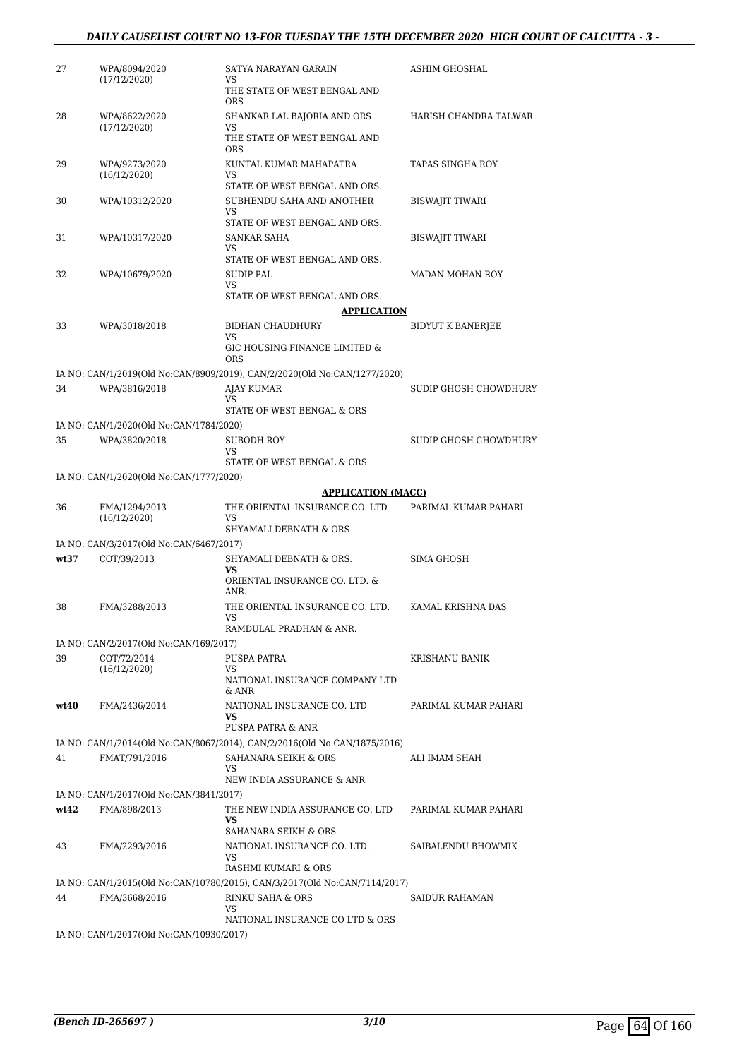#### *DAILY CAUSELIST COURT NO 13-FOR TUESDAY THE 15TH DECEMBER 2020 HIGH COURT OF CALCUTTA - 3 -*

| 27   | WPA/8094/2020<br>(17/12/2020)           | SATYA NARAYAN GARAIN<br>VS                                                 | ASHIM GHOSHAL            |
|------|-----------------------------------------|----------------------------------------------------------------------------|--------------------------|
|      |                                         | THE STATE OF WEST BENGAL AND<br><b>ORS</b>                                 |                          |
| 28   | WPA/8622/2020<br>(17/12/2020)           | SHANKAR LAL BAJORIA AND ORS<br>VS                                          | HARISH CHANDRA TALWAR    |
|      |                                         | THE STATE OF WEST BENGAL AND<br><b>ORS</b>                                 |                          |
| 29   | WPA/9273/2020<br>(16/12/2020)           | KUNTAL KUMAR MAHAPATRA<br>VS<br>STATE OF WEST BENGAL AND ORS.              | TAPAS SINGHA ROY         |
| 30   | WPA/10312/2020                          | SUBHENDU SAHA AND ANOTHER<br>VS<br>STATE OF WEST BENGAL AND ORS.           | <b>BISWAJIT TIWARI</b>   |
| 31   | WPA/10317/2020                          | SANKAR SAHA<br>VS<br>STATE OF WEST BENGAL AND ORS.                         | <b>BISWAJIT TIWARI</b>   |
| 32   | WPA/10679/2020                          | <b>SUDIP PAL</b><br>VS                                                     | <b>MADAN MOHAN ROY</b>   |
|      |                                         | STATE OF WEST BENGAL AND ORS.<br><b>APPLICATION</b>                        |                          |
| 33   | WPA/3018/2018                           | BIDHAN CHAUDHURY<br>VS                                                     | <b>BIDYUT K BANERJEE</b> |
|      |                                         | GIC HOUSING FINANCE LIMITED &<br><b>ORS</b>                                |                          |
|      |                                         | IA NO: CAN/1/2019(Old No:CAN/8909/2019), CAN/2/2020(Old No:CAN/1277/2020)  |                          |
| 34   | WPA/3816/2018                           | <b>AJAY KUMAR</b><br>VS                                                    | SUDIP GHOSH CHOWDHURY    |
|      |                                         | STATE OF WEST BENGAL & ORS                                                 |                          |
|      | IA NO: CAN/1/2020(Old No:CAN/1784/2020) |                                                                            |                          |
| 35   | WPA/3820/2018                           | SUBODH ROY<br>VS                                                           | SUDIP GHOSH CHOWDHURY    |
|      | IA NO: CAN/1/2020(Old No:CAN/1777/2020) | STATE OF WEST BENGAL & ORS                                                 |                          |
|      |                                         | <b>APPLICATION (MACC)</b>                                                  |                          |
| 36   | FMA/1294/2013                           | THE ORIENTAL INSURANCE CO. LTD                                             | PARIMAL KUMAR PAHARI     |
|      | (16/12/2020)                            | VS<br>SHYAMALI DEBNATH & ORS                                               |                          |
|      | IA NO: CAN/3/2017(Old No:CAN/6467/2017) |                                                                            |                          |
| wt37 | COT/39/2013                             | SHYAMALI DEBNATH & ORS.<br>VS                                              | SIMA GHOSH               |
|      |                                         | ORIENTAL INSURANCE CO. LTD. &<br>ANR.                                      |                          |
| 38   | FMA/3288/2013                           | THE ORIENTAL INSURANCE CO. LTD.<br>VS<br>RAMDULAL PRADHAN & ANR.           | KAMAL KRISHNA DAS        |
|      | IA NO: CAN/2/2017(Old No:CAN/169/2017)  |                                                                            |                          |
| 39   | COT/72/2014                             | PUSPA PATRA                                                                | <b>KRISHANU BANIK</b>    |
|      | (16/12/2020)                            | VS<br>NATIONAL INSURANCE COMPANY LTD<br>$&$ ANR                            |                          |
| wt40 | FMA/2436/2014                           |                                                                            | PARIMAL KUMAR PAHARI     |
|      |                                         | NATIONAL INSURANCE CO. LTD<br><b>VS</b>                                    |                          |
| 41   |                                         | PUSPA PATRA & ANR                                                          |                          |
|      |                                         | IA NO: CAN/1/2014(Old No:CAN/8067/2014), CAN/2/2016(Old No:CAN/1875/2016)  |                          |
|      | FMAT/791/2016                           | SAHANARA SEIKH & ORS<br>VS<br>NEW INDIA ASSURANCE & ANR                    | ALI IMAM SHAH            |
|      | IA NO: CAN/1/2017(Old No:CAN/3841/2017) |                                                                            |                          |
| wt42 | FMA/898/2013                            | THE NEW INDIA ASSURANCE CO. LTD<br>VS                                      | PARIMAL KUMAR PAHARI     |
| 43   | FMA/2293/2016                           | SAHANARA SEIKH & ORS<br>NATIONAL INSURANCE CO. LTD.<br>VS                  | SAIBALENDU BHOWMIK       |
|      |                                         | RASHMI KUMARI & ORS                                                        |                          |
|      |                                         | IA NO: CAN/1/2015(Old No:CAN/10780/2015), CAN/3/2017(Old No:CAN/7114/2017) |                          |
| 44   | FMA/3668/2016                           | RINKU SAHA & ORS<br>VS                                                     | SAIDUR RAHAMAN           |
|      |                                         | NATIONAL INSURANCE CO LTD & ORS                                            |                          |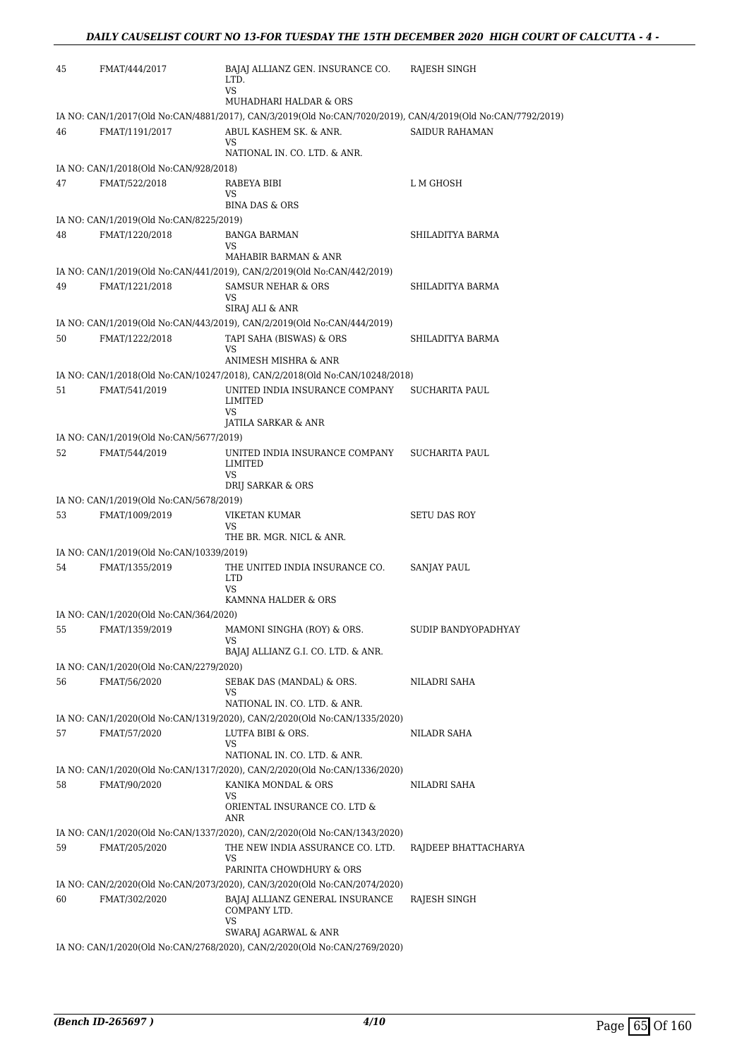| 45 | FMAT/444/2017                                             | BAJAJ ALLIANZ GEN. INSURANCE CO.<br>LTD.<br>VS                                                                 | RAJESH SINGH          |
|----|-----------------------------------------------------------|----------------------------------------------------------------------------------------------------------------|-----------------------|
|    |                                                           | MUHADHARI HALDAR & ORS                                                                                         |                       |
|    |                                                           | IA NO: CAN/1/2017(Old No:CAN/4881/2017), CAN/3/2019(Old No:CAN/7020/2019), CAN/4/2019(Old No:CAN/7792/2019)    |                       |
| 46 | FMAT/1191/2017                                            | ABUL KASHEM SK. & ANR.<br>VS<br>NATIONAL IN. CO. LTD. & ANR.                                                   | <b>SAIDUR RAHAMAN</b> |
|    | IA NO: CAN/1/2018(Old No:CAN/928/2018)                    |                                                                                                                |                       |
| 47 | FMAT/522/2018                                             | RABEYA BIBI<br>VS<br><b>BINA DAS &amp; ORS</b>                                                                 | L M GHOSH             |
|    |                                                           |                                                                                                                |                       |
| 48 | IA NO: CAN/1/2019(Old No:CAN/8225/2019)<br>FMAT/1220/2018 | <b>BANGA BARMAN</b>                                                                                            | SHILADITYA BARMA      |
|    |                                                           | VS                                                                                                             |                       |
|    |                                                           | MAHABIR BARMAN & ANR                                                                                           |                       |
| 49 | FMAT/1221/2018                                            | IA NO: CAN/1/2019(Old No:CAN/441/2019), CAN/2/2019(Old No:CAN/442/2019)<br><b>SAMSUR NEHAR &amp; ORS</b><br>VS | SHILADITYA BARMA      |
|    |                                                           | SIRAJ ALI & ANR<br>IA NO: CAN/1/2019(Old No:CAN/443/2019), CAN/2/2019(Old No:CAN/444/2019)                     |                       |
| 50 | FMAT/1222/2018                                            | TAPI SAHA (BISWAS) & ORS                                                                                       | SHILADITYA BARMA      |
|    |                                                           | VS<br>ANIMESH MISHRA & ANR                                                                                     |                       |
|    |                                                           | IA NO: CAN/1/2018(Old No:CAN/10247/2018), CAN/2/2018(Old No:CAN/10248/2018)                                    |                       |
| 51 | FMAT/541/2019                                             | UNITED INDIA INSURANCE COMPANY<br>LIMITED<br><b>VS</b>                                                         | SUCHARITA PAUL        |
|    |                                                           | JATILA SARKAR & ANR                                                                                            |                       |
|    | IA NO: CAN/1/2019(Old No:CAN/5677/2019)                   |                                                                                                                |                       |
| 52 | FMAT/544/2019                                             | UNITED INDIA INSURANCE COMPANY<br>LIMITED<br>VS                                                                | SUCHARITA PAUL        |
|    |                                                           | DRIJ SARKAR & ORS                                                                                              |                       |
| 53 | IA NO: CAN/1/2019(Old No:CAN/5678/2019)<br>FMAT/1009/2019 | VIKETAN KUMAR                                                                                                  | <b>SETU DAS ROY</b>   |
|    |                                                           | VS<br>THE BR. MGR. NICL & ANR.                                                                                 |                       |
|    | IA NO: CAN/1/2019(Old No:CAN/10339/2019)                  |                                                                                                                |                       |
| 54 | FMAT/1355/2019                                            | THE UNITED INDIA INSURANCE CO.<br><b>LTD</b><br>VS                                                             | SANJAY PAUL           |
|    |                                                           | KAMNNA HALDER & ORS                                                                                            |                       |
| 55 | IA NO: CAN/1/2020(Old No:CAN/364/2020)<br>FMAT/1359/2019  | MAMONI SINGHA (ROY) & ORS.                                                                                     | SUDIP BANDYOPADHYAY   |
|    |                                                           | VS<br>BAJAJ ALLIANZ G.I. CO. LTD. & ANR.                                                                       |                       |
|    | IA NO: CAN/1/2020(Old No:CAN/2279/2020)                   |                                                                                                                |                       |
| 56 | FMAT/56/2020                                              | SEBAK DAS (MANDAL) & ORS.<br>VS                                                                                | NILADRI SAHA          |
|    |                                                           | NATIONAL IN. CO. LTD. & ANR.                                                                                   |                       |
| 57 | FMAT/57/2020                                              | IA NO: CAN/1/2020(Old No:CAN/1319/2020), CAN/2/2020(Old No:CAN/1335/2020)<br>LUTFA BIBI & ORS.<br>VS           | NILADR SAHA           |
|    |                                                           | NATIONAL IN. CO. LTD. & ANR.                                                                                   |                       |
| 58 | FMAT/90/2020                                              | IA NO: CAN/1/2020(Old No:CAN/1317/2020), CAN/2/2020(Old No:CAN/1336/2020)<br>KANIKA MONDAL & ORS               | NILADRI SAHA          |
|    |                                                           | VS<br>ORIENTAL INSURANCE CO. LTD &                                                                             |                       |
|    |                                                           | ANR                                                                                                            |                       |
|    |                                                           | IA NO: CAN/1/2020(Old No:CAN/1337/2020), CAN/2/2020(Old No:CAN/1343/2020)                                      |                       |
| 59 | FMAT/205/2020                                             | THE NEW INDIA ASSURANCE CO. LTD.<br>VS.                                                                        | RAJDEEP BHATTACHARYA  |
|    |                                                           | PARINITA CHOWDHURY & ORS                                                                                       |                       |
|    |                                                           | IA NO: CAN/2/2020(Old No:CAN/2073/2020), CAN/3/2020(Old No:CAN/2074/2020)                                      |                       |
| 60 | FMAT/302/2020                                             | BAJAJ ALLIANZ GENERAL INSURANCE<br>COMPANY LTD.<br>VS                                                          | RAJESH SINGH          |
|    |                                                           | SWARAJ AGARWAL & ANR                                                                                           |                       |
|    |                                                           | IA NO: CAN/1/2020(Old No:CAN/2768/2020), CAN/2/2020(Old No:CAN/2769/2020)                                      |                       |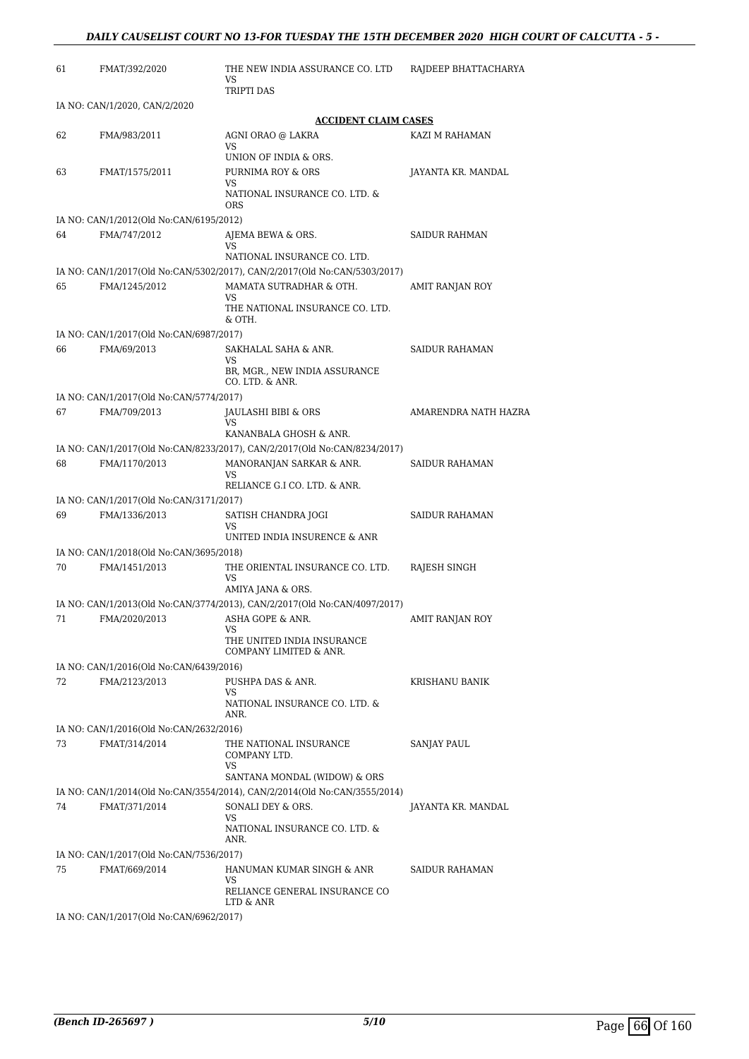| 61 | FMAT/392/2020                           | THE NEW INDIA ASSURANCE CO. LTD<br>VS                                                                 | RAJDEEP BHATTACHARYA |
|----|-----------------------------------------|-------------------------------------------------------------------------------------------------------|----------------------|
|    |                                         | TRIPTI DAS                                                                                            |                      |
|    | IA NO: CAN/1/2020, CAN/2/2020           |                                                                                                       |                      |
|    |                                         | <b>ACCIDENT CLAIM CASES</b>                                                                           |                      |
| 62 | FMA/983/2011                            | AGNI ORAO @ LAKRA<br>VS                                                                               | KAZI M RAHAMAN       |
|    |                                         | UNION OF INDIA & ORS.                                                                                 |                      |
| 63 | FMAT/1575/2011                          | PURNIMA ROY & ORS<br>VS                                                                               | JAYANTA KR. MANDAL   |
|    |                                         | NATIONAL INSURANCE CO. LTD. &<br>ORS                                                                  |                      |
|    | IA NO: CAN/1/2012(Old No:CAN/6195/2012) |                                                                                                       |                      |
| 64 | FMA/747/2012                            | AJEMA BEWA & ORS.                                                                                     | SAIDUR RAHMAN        |
|    |                                         | VS<br>NATIONAL INSURANCE CO. LTD.                                                                     |                      |
|    |                                         | IA NO: CAN/1/2017(Old No:CAN/5302/2017), CAN/2/2017(Old No:CAN/5303/2017)                             |                      |
| 65 | FMA/1245/2012                           | MAMATA SUTRADHAR & OTH.                                                                               | AMIT RANJAN ROY      |
|    |                                         | VS                                                                                                    |                      |
|    |                                         | THE NATIONAL INSURANCE CO. LTD.<br>& OTH.                                                             |                      |
|    | IA NO: CAN/1/2017(Old No:CAN/6987/2017) |                                                                                                       |                      |
| 66 | FMA/69/2013                             | SAKHALAL SAHA & ANR.<br>VS                                                                            | SAIDUR RAHAMAN       |
|    |                                         | BR, MGR., NEW INDIA ASSURANCE<br>CO. LTD. & ANR.                                                      |                      |
|    | IA NO: CAN/1/2017(Old No:CAN/5774/2017) |                                                                                                       |                      |
| 67 | FMA/709/2013                            | JAULASHI BIBI & ORS                                                                                   | AMARENDRA NATH HAZRA |
|    |                                         | VS                                                                                                    |                      |
|    |                                         | KANANBALA GHOSH & ANR.                                                                                |                      |
| 68 | FMA/1170/2013                           | IA NO: CAN/1/2017(Old No:CAN/8233/2017), CAN/2/2017(Old No:CAN/8234/2017)<br>MANORANJAN SARKAR & ANR. | SAIDUR RAHAMAN       |
|    |                                         | VS                                                                                                    |                      |
|    |                                         | RELIANCE G.I CO. LTD. & ANR.                                                                          |                      |
|    | IA NO: CAN/1/2017(Old No:CAN/3171/2017) |                                                                                                       |                      |
| 69 | FMA/1336/2013                           | SATISH CHANDRA JOGI<br>VS                                                                             | SAIDUR RAHAMAN       |
|    |                                         | UNITED INDIA INSURENCE & ANR                                                                          |                      |
|    | IA NO: CAN/1/2018(Old No:CAN/3695/2018) |                                                                                                       |                      |
| 70 | FMA/1451/2013                           | THE ORIENTAL INSURANCE CO. LTD.<br>VS                                                                 | RAJESH SINGH         |
|    |                                         | AMIYA JANA & ORS.                                                                                     |                      |
|    |                                         | IA NO: CAN/1/2013(Old No:CAN/3774/2013), CAN/2/2017(Old No:CAN/4097/2017)                             |                      |
| 71 | FMA/2020/2013                           | ASHA GOPE & ANR.                                                                                      | AMIT RANJAN ROY      |
|    |                                         | vэ<br>THE UNITED INDIA INSURANCE<br>COMPANY LIMITED & ANR.                                            |                      |
|    | IA NO: CAN/1/2016(Old No:CAN/6439/2016) |                                                                                                       |                      |
| 72 | FMA/2123/2013                           | PUSHPA DAS & ANR.                                                                                     | KRISHANU BANIK       |
|    |                                         | VS<br>NATIONAL INSURANCE CO. LTD. &                                                                   |                      |
|    |                                         | ANR.                                                                                                  |                      |
|    | IA NO: CAN/1/2016(Old No:CAN/2632/2016) |                                                                                                       |                      |
| 73 | FMAT/314/2014                           | THE NATIONAL INSURANCE                                                                                | SANJAY PAUL          |
|    |                                         | COMPANY LTD.<br>VS                                                                                    |                      |
|    |                                         | SANTANA MONDAL (WIDOW) & ORS                                                                          |                      |
|    |                                         | IA NO: CAN/1/2014(Old No:CAN/3554/2014), CAN/2/2014(Old No:CAN/3555/2014)                             |                      |
| 74 | FMAT/371/2014                           | SONALI DEY & ORS.                                                                                     | JAYANTA KR. MANDAL   |
|    |                                         | VS<br>NATIONAL INSURANCE CO. LTD. &                                                                   |                      |
|    |                                         | ANR.                                                                                                  |                      |
|    | IA NO: CAN/1/2017(Old No:CAN/7536/2017) |                                                                                                       |                      |
| 75 | FMAT/669/2014                           | HANUMAN KUMAR SINGH & ANR<br>VS                                                                       | SAIDUR RAHAMAN       |
|    |                                         | RELIANCE GENERAL INSURANCE CO                                                                         |                      |
|    | IA NO: CAN/1/2017(Old No:CAN/6962/2017) | LTD & ANR                                                                                             |                      |
|    |                                         |                                                                                                       |                      |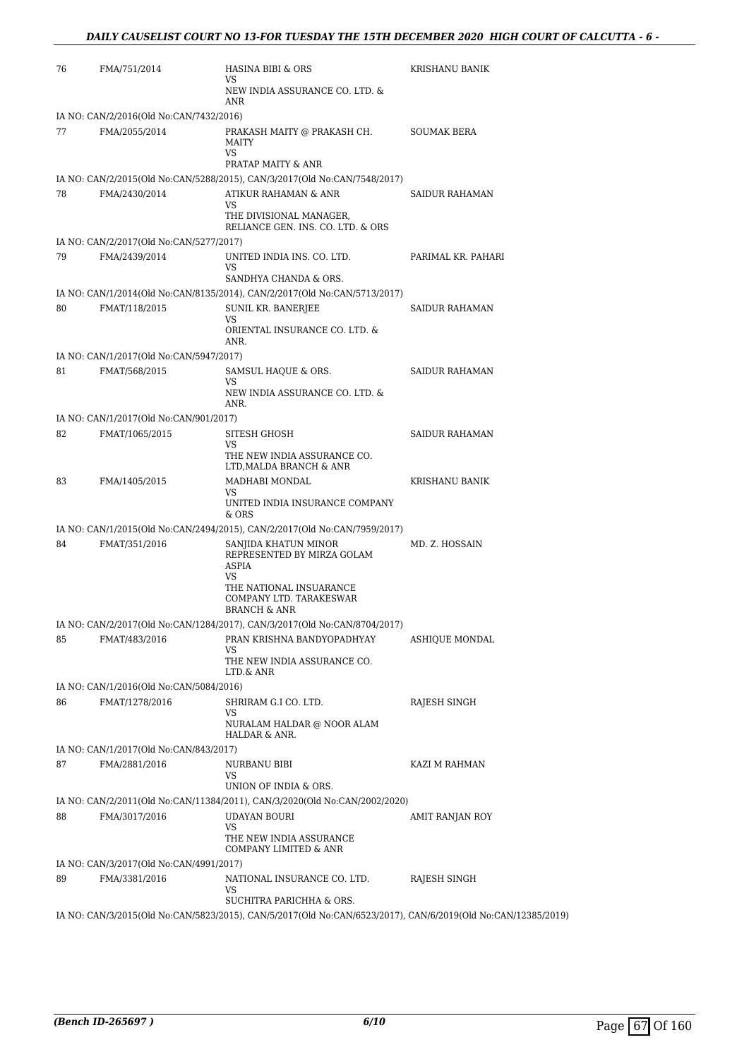| 76 | FMA/751/2014                            | HASINA BIBI & ORS<br>VS                                                                                      | KRISHANU BANIK     |
|----|-----------------------------------------|--------------------------------------------------------------------------------------------------------------|--------------------|
|    |                                         | NEW INDIA ASSURANCE CO. LTD. &<br><b>ANR</b>                                                                 |                    |
|    | IA NO: CAN/2/2016(Old No:CAN/7432/2016) |                                                                                                              |                    |
| 77 | FMA/2055/2014                           | PRAKASH MAITY @ PRAKASH CH.<br><b>MAITY</b><br>VS                                                            | <b>SOUMAK BERA</b> |
|    |                                         | PRATAP MAITY & ANR                                                                                           |                    |
|    |                                         | IA NO: CAN/2/2015(Old No:CAN/5288/2015), CAN/3/2017(Old No:CAN/7548/2017)                                    |                    |
| 78 | FMA/2430/2014                           | ATIKUR RAHAMAN & ANR                                                                                         | SAIDUR RAHAMAN     |
|    |                                         | VS<br>THE DIVISIONAL MANAGER,<br>RELIANCE GEN. INS. CO. LTD. & ORS                                           |                    |
|    | IA NO: CAN/2/2017(Old No:CAN/5277/2017) |                                                                                                              |                    |
| 79 | FMA/2439/2014                           | UNITED INDIA INS. CO. LTD.<br>VS<br>SANDHYA CHANDA & ORS.                                                    | PARIMAL KR. PAHARI |
|    |                                         | IA NO: CAN/1/2014(Old No:CAN/8135/2014), CAN/2/2017(Old No:CAN/5713/2017)                                    |                    |
| 80 | FMAT/118/2015                           | <b>SUNIL KR. BANERJEE</b><br>VS<br>ORIENTAL INSURANCE CO. LTD. &<br>ANR.                                     | SAIDUR RAHAMAN     |
|    | IA NO: CAN/1/2017(Old No:CAN/5947/2017) |                                                                                                              |                    |
| 81 | FMAT/568/2015                           | SAMSUL HAQUE & ORS.<br>VS                                                                                    | SAIDUR RAHAMAN     |
|    |                                         | NEW INDIA ASSURANCE CO. LTD. &<br>ANR.                                                                       |                    |
|    | IA NO: CAN/1/2017(Old No:CAN/901/2017)  |                                                                                                              |                    |
| 82 | FMAT/1065/2015                          | SITESH GHOSH<br>VS.<br>THE NEW INDIA ASSURANCE CO.<br>LTD, MALDA BRANCH & ANR                                | SAIDUR RAHAMAN     |
| 83 | FMA/1405/2015                           | MADHABI MONDAL                                                                                               | KRISHANU BANIK     |
|    |                                         | VS<br>UNITED INDIA INSURANCE COMPANY<br>& ORS                                                                |                    |
|    |                                         | IA NO: CAN/1/2015(Old No:CAN/2494/2015), CAN/2/2017(Old No:CAN/7959/2017)                                    |                    |
| 84 | FMAT/351/2016                           | SANJIDA KHATUN MINOR<br>REPRESENTED BY MIRZA GOLAM<br><b>ASPIA</b><br>VS                                     | MD. Z. HOSSAIN     |
|    |                                         | THE NATIONAL INSUARANCE<br>COMPANY LTD. TARAKESWAR<br><b>BRANCH &amp; ANR</b>                                |                    |
|    |                                         | IA NO: CAN/2/2017(Old No:CAN/1284/2017), CAN/3/2017(Old No:CAN/8704/2017)                                    |                    |
| 85 | FMAT/483/2016                           | PRAN KRISHNA BANDYOPADHYAY<br>VS                                                                             | ASHIQUE MONDAL     |
|    |                                         | THE NEW INDIA ASSURANCE CO.<br>LTD.& ANR                                                                     |                    |
|    | IA NO: CAN/1/2016(Old No:CAN/5084/2016) |                                                                                                              |                    |
| 86 | FMAT/1278/2016                          | SHRIRAM G.I CO. LTD.<br>VS<br>NURALAM HALDAR @ NOOR ALAM<br>HALDAR & ANR.                                    | RAJESH SINGH       |
|    | IA NO: CAN/1/2017(Old No:CAN/843/2017)  |                                                                                                              |                    |
| 87 | FMA/2881/2016                           | <b>NURBANU BIBI</b><br>VS                                                                                    | KAZI M RAHMAN      |
|    |                                         | UNION OF INDIA & ORS.                                                                                        |                    |
|    |                                         | IA NO: CAN/2/2011(Old No:CAN/11384/2011), CAN/3/2020(Old No:CAN/2002/2020)                                   |                    |
| 88 | FMA/3017/2016                           | UDAYAN BOURI<br><b>VS</b><br>THE NEW INDIA ASSURANCE                                                         | AMIT RANJAN ROY    |
|    |                                         | COMPANY LIMITED & ANR                                                                                        |                    |
|    | IA NO: CAN/3/2017(Old No:CAN/4991/2017) |                                                                                                              |                    |
| 89 | FMA/3381/2016                           | NATIONAL INSURANCE CO. LTD.<br>VS<br>SUCHITRA PARICHHA & ORS.                                                | RAJESH SINGH       |
|    |                                         | IA NO: CAN/3/2015(Old No:CAN/5823/2015), CAN/5/2017(Old No:CAN/6523/2017), CAN/6/2019(Old No:CAN/12385/2019) |                    |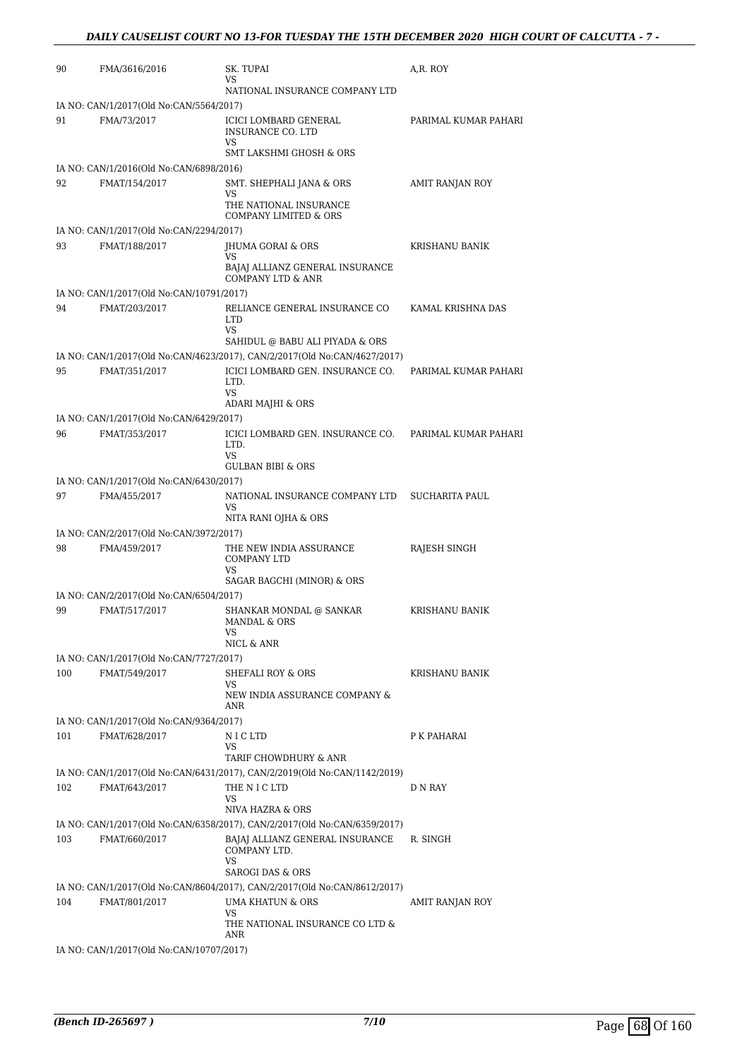| 90                                      | FMA/3616/2016                                            | SK. TUPAI                                                                             | A,R. ROY               |  |
|-----------------------------------------|----------------------------------------------------------|---------------------------------------------------------------------------------------|------------------------|--|
|                                         |                                                          | VS<br>NATIONAL INSURANCE COMPANY LTD                                                  |                        |  |
|                                         | IA NO: CAN/1/2017(Old No:CAN/5564/2017)                  |                                                                                       |                        |  |
| 91                                      | FMA/73/2017                                              | ICICI LOMBARD GENERAL<br>INSURANCE CO. LTD<br>VS                                      | PARIMAL KUMAR PAHARI   |  |
|                                         |                                                          | <b>SMT LAKSHMI GHOSH &amp; ORS</b>                                                    |                        |  |
| 92                                      | IA NO: CAN/1/2016(Old No:CAN/6898/2016)<br>FMAT/154/2017 |                                                                                       | <b>AMIT RANJAN ROY</b> |  |
|                                         |                                                          | SMT. SHEPHALI JANA & ORS<br>VS<br>THE NATIONAL INSURANCE                              |                        |  |
|                                         | IA NO: CAN/1/2017(Old No:CAN/2294/2017)                  | COMPANY LIMITED & ORS                                                                 |                        |  |
| 93                                      | FMAT/188/2017                                            | JHUMA GORAI & ORS                                                                     | KRISHANU BANIK         |  |
|                                         |                                                          | VS<br>BAJAJ ALLIANZ GENERAL INSURANCE<br>COMPANY LTD & ANR                            |                        |  |
|                                         | IA NO: CAN/1/2017(Old No:CAN/10791/2017)                 |                                                                                       |                        |  |
| 94                                      | FMAT/203/2017                                            | RELIANCE GENERAL INSURANCE CO<br><b>LTD</b>                                           | KAMAL KRISHNA DAS      |  |
|                                         |                                                          | VS<br>SAHIDUL @ BABU ALI PIYADA & ORS                                                 |                        |  |
|                                         |                                                          | IA NO: CAN/1/2017(Old No:CAN/4623/2017), CAN/2/2017(Old No:CAN/4627/2017)             |                        |  |
| 95                                      | FMAT/351/2017                                            | ICICI LOMBARD GEN. INSURANCE CO.<br>LTD.<br><b>VS</b>                                 | PARIMAL KUMAR PAHARI   |  |
|                                         |                                                          | ADARI MAJHI & ORS                                                                     |                        |  |
|                                         | IA NO: CAN/1/2017(Old No:CAN/6429/2017)                  |                                                                                       |                        |  |
| 96                                      | FMAT/353/2017                                            | ICICI LOMBARD GEN. INSURANCE CO.<br>LTD.<br><b>VS</b><br><b>GULBAN BIBI &amp; ORS</b> | PARIMAL KUMAR PAHARI   |  |
|                                         | IA NO: CAN/1/2017(Old No:CAN/6430/2017)                  |                                                                                       |                        |  |
| 97                                      | FMA/455/2017                                             | NATIONAL INSURANCE COMPANY LTD                                                        | <b>SUCHARITA PAUL</b>  |  |
|                                         |                                                          | VS<br>NITA RANI OJHA & ORS                                                            |                        |  |
| IA NO: CAN/2/2017(Old No:CAN/3972/2017) |                                                          |                                                                                       |                        |  |
| 98                                      | FMA/459/2017                                             | THE NEW INDIA ASSURANCE<br><b>COMPANY LTD</b><br>VS                                   | RAJESH SINGH           |  |
|                                         |                                                          | SAGAR BAGCHI (MINOR) & ORS                                                            |                        |  |
|                                         | IA NO: CAN/2/2017(Old No:CAN/6504/2017)                  |                                                                                       |                        |  |
| 99                                      | FMAT/517/2017                                            | SHANKAR MONDAL @ SANKAR<br>MANDAL & ORS<br>VS                                         | <b>KRISHANU BANIK</b>  |  |
|                                         |                                                          | NICL & ANR                                                                            |                        |  |
| 100                                     | IA NO: CAN/1/2017(Old No:CAN/7727/2017)<br>FMAT/549/2017 | SHEFALI ROY & ORS                                                                     | KRISHANU BANIK         |  |
|                                         |                                                          | VS<br>NEW INDIA ASSURANCE COMPANY &<br>ANR                                            |                        |  |
|                                         | IA NO: CAN/1/2017(Old No:CAN/9364/2017)                  |                                                                                       |                        |  |
| 101                                     | FMAT/628/2017                                            | N I C LTD                                                                             | P K PAHARAI            |  |
|                                         |                                                          | VS<br>TARIF CHOWDHURY & ANR                                                           |                        |  |
|                                         |                                                          | IA NO: CAN/1/2017(Old No:CAN/6431/2017), CAN/2/2019(Old No:CAN/1142/2019)             |                        |  |
| 102                                     | FMAT/643/2017                                            | THE N I C LTD<br>VS<br>NIVA HAZRA & ORS                                               | D N RAY                |  |
|                                         |                                                          | IA NO: CAN/1/2017(Old No:CAN/6358/2017), CAN/2/2017(Old No:CAN/6359/2017)             |                        |  |
| 103                                     | FMAT/660/2017                                            | BAJAJ ALLIANZ GENERAL INSURANCE<br>COMPANY LTD.<br>VS                                 | R. SINGH               |  |
|                                         |                                                          | <b>SAROGI DAS &amp; ORS</b>                                                           |                        |  |
|                                         |                                                          | IA NO: CAN/1/2017(Old No:CAN/8604/2017), CAN/2/2017(Old No:CAN/8612/2017)             |                        |  |
| 104                                     | FMAT/801/2017                                            | UMA KHATUN & ORS<br>VS<br>THE NATIONAL INSURANCE CO LTD &                             | AMIT RANJAN ROY        |  |
|                                         |                                                          | ANR                                                                                   |                        |  |
|                                         | IA NO: CAN/1/2017(Old No:CAN/10707/2017)                 |                                                                                       |                        |  |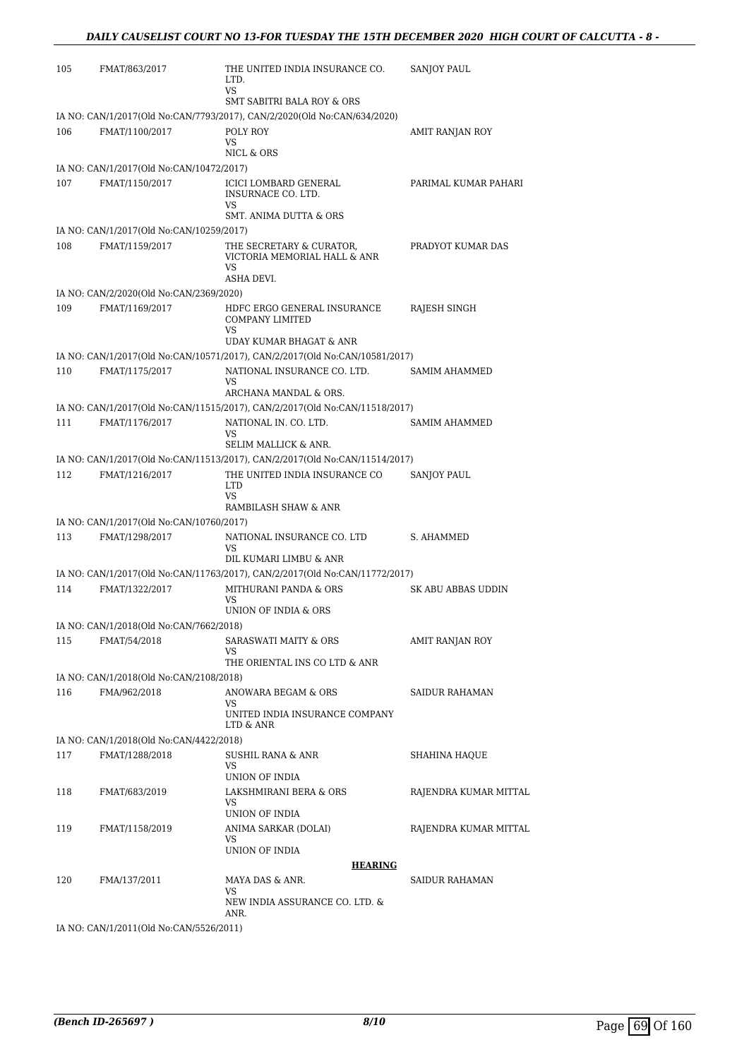| 105 | FMAT/863/2017                                      | THE UNITED INDIA INSURANCE CO.<br>LTD.<br>VS                                                          | <b>SANJOY PAUL</b>     |
|-----|----------------------------------------------------|-------------------------------------------------------------------------------------------------------|------------------------|
|     |                                                    | <b>SMT SABITRI BALA ROY &amp; ORS</b>                                                                 |                        |
|     |                                                    | IA NO: CAN/1/2017(Old No:CAN/7793/2017), CAN/2/2020(Old No:CAN/634/2020)                              |                        |
| 106 | FMAT/1100/2017                                     | POLY ROY<br>VS                                                                                        | AMIT RANJAN ROY        |
|     |                                                    | NICL & ORS                                                                                            |                        |
|     | IA NO: CAN/1/2017(Old No:CAN/10472/2017)           |                                                                                                       |                        |
| 107 | FMAT/1150/2017                                     | ICICI LOMBARD GENERAL<br>INSURNACE CO. LTD.<br>VS                                                     | PARIMAL KUMAR PAHARI   |
|     |                                                    | SMT. ANIMA DUTTA & ORS                                                                                |                        |
|     | IA NO: CAN/1/2017(Old No:CAN/10259/2017)           |                                                                                                       |                        |
| 108 | FMAT/1159/2017                                     | THE SECRETARY & CURATOR,<br>VICTORIA MEMORIAL HALL & ANR<br>VS<br>ASHA DEVI.                          | PRADYOT KUMAR DAS      |
|     | IA NO: CAN/2/2020(Old No:CAN/2369/2020)            |                                                                                                       |                        |
| 109 | FMAT/1169/2017                                     | HDFC ERGO GENERAL INSURANCE<br>COMPANY LIMITED<br>VS                                                  | RAJESH SINGH           |
|     |                                                    | UDAY KUMAR BHAGAT & ANR                                                                               |                        |
|     |                                                    | IA NO: CAN/1/2017(Old No:CAN/10571/2017), CAN/2/2017(Old No:CAN/10581/2017)                           |                        |
| 110 | FMAT/1175/2017                                     | NATIONAL INSURANCE CO. LTD.<br>VS                                                                     | SAMIM AHAMMED          |
|     |                                                    | ARCHANA MANDAL & ORS.                                                                                 |                        |
|     |                                                    | IA NO: CAN/1/2017(Old No:CAN/11515/2017), CAN/2/2017(Old No:CAN/11518/2017)                           |                        |
| 111 | FMAT/1176/2017                                     | NATIONAL IN. CO. LTD.                                                                                 | SAMIM AHAMMED          |
|     |                                                    | VS<br>SELIM MALLICK & ANR.                                                                            |                        |
|     |                                                    | IA NO: CAN/1/2017(Old No:CAN/11513/2017), CAN/2/2017(Old No:CAN/11514/2017)                           |                        |
| 112 | FMAT/1216/2017                                     | THE UNITED INDIA INSURANCE CO                                                                         | SANJOY PAUL            |
|     |                                                    | LTD<br>VS.<br>RAMBILASH SHAW & ANR                                                                    |                        |
|     | IA NO: CAN/1/2017(Old No:CAN/10760/2017)           |                                                                                                       |                        |
| 113 | FMAT/1298/2017                                     | NATIONAL INSURANCE CO. LTD                                                                            | S. AHAMMED             |
|     |                                                    | VS                                                                                                    |                        |
|     |                                                    | DIL KUMARI LIMBU & ANR<br>IA NO: CAN/1/2017(Old No:CAN/11763/2017), CAN/2/2017(Old No:CAN/11772/2017) |                        |
| 114 | FMAT/1322/2017                                     | MITHURANI PANDA & ORS                                                                                 | SK ABU ABBAS UDDIN     |
|     |                                                    | VS                                                                                                    |                        |
|     |                                                    | UNION OF INDIA & ORS                                                                                  |                        |
|     | IA NO: CAN/1/2018(Old No:CAN/7662/2018)            |                                                                                                       |                        |
| 115 | FMAT/54/2018                                       | SARASWATI MAITY & ORS<br>VS<br>THE ORIENTAL INS CO LTD & ANR                                          | <b>AMIT RANJAN ROY</b> |
|     | IA NO: CAN/1/2018(Old No:CAN/2108/2018)            |                                                                                                       |                        |
| 116 | FMA/962/2018                                       | ANOWARA BEGAM & ORS<br>VS.                                                                            | SAIDUR RAHAMAN         |
|     |                                                    | UNITED INDIA INSURANCE COMPANY<br>LTD & ANR                                                           |                        |
|     | IA NO: CAN/1/2018(Old No:CAN/4422/2018)            |                                                                                                       |                        |
| 117 | FMAT/1288/2018                                     | SUSHIL RANA & ANR                                                                                     | SHAHINA HAQUE          |
|     |                                                    | VS<br>UNION OF INDIA                                                                                  |                        |
| 118 | FMAT/683/2019                                      | LAKSHMIRANI BERA & ORS<br>VS                                                                          | RAJENDRA KUMAR MITTAL  |
|     |                                                    | UNION OF INDIA                                                                                        |                        |
| 119 | FMAT/1158/2019                                     | ANIMA SARKAR (DOLAI)<br>VS<br>UNION OF INDIA                                                          | RAJENDRA KUMAR MITTAL  |
|     |                                                    | <b>HEARING</b>                                                                                        |                        |
| 120 | FMA/137/2011                                       | MAYA DAS & ANR.                                                                                       | SAIDUR RAHAMAN         |
|     |                                                    | VS<br>NEW INDIA ASSURANCE CO. LTD. &<br>ANR.                                                          |                        |
|     | $10.006$ $CAN11/2011/01d$ $N_{\odot}CANI5526/2011$ |                                                                                                       |                        |

IA NO: CAN/1/2011(Old No:CAN/5526/2011)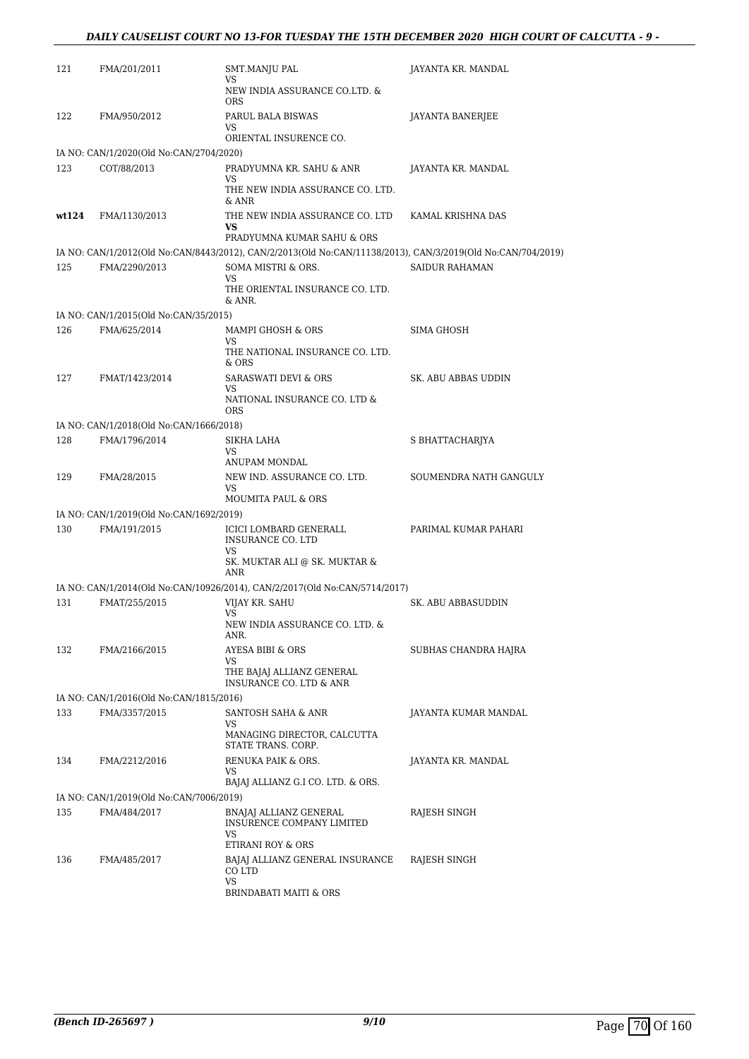#### *DAILY CAUSELIST COURT NO 13-FOR TUESDAY THE 15TH DECEMBER 2020 HIGH COURT OF CALCUTTA - 9 -*

| 121   | FMA/201/2011                            | SMT.MANJU PAL<br>VS                                                                                         | JAYANTA KR. MANDAL        |
|-------|-----------------------------------------|-------------------------------------------------------------------------------------------------------------|---------------------------|
|       |                                         | NEW INDIA ASSURANCE CO.LTD. &<br>ORS                                                                        |                           |
| 122   | FMA/950/2012                            | PARUL BALA BISWAS<br>VS.                                                                                    | JAYANTA BANERJEE          |
|       |                                         | ORIENTAL INSURENCE CO.                                                                                      |                           |
|       | IA NO: CAN/1/2020(Old No:CAN/2704/2020) |                                                                                                             |                           |
| 123   | COT/88/2013                             | PRADYUMNA KR. SAHU & ANR<br>VS                                                                              | JAYANTA KR. MANDAL        |
|       |                                         | THE NEW INDIA ASSURANCE CO. LTD.<br>& ANR                                                                   |                           |
| wt124 | FMA/1130/2013                           | THE NEW INDIA ASSURANCE CO. LTD<br>VS                                                                       | KAMAL KRISHNA DAS         |
|       |                                         | PRADYUMNA KUMAR SAHU & ORS                                                                                  |                           |
|       |                                         | IA NO: CAN/1/2012(Old No:CAN/8443/2012), CAN/2/2013(Old No:CAN/11138/2013), CAN/3/2019(Old No:CAN/704/2019) |                           |
| 125   | FMA/2290/2013                           | SOMA MISTRI & ORS.<br>VS.                                                                                   | <b>SAIDUR RAHAMAN</b>     |
|       |                                         | THE ORIENTAL INSURANCE CO. LTD.<br>& ANR.                                                                   |                           |
|       | IA NO: CAN/1/2015(Old No:CAN/35/2015)   |                                                                                                             |                           |
| 126   | FMA/625/2014                            | MAMPI GHOSH & ORS                                                                                           | SIMA GHOSH                |
|       |                                         | VS.<br>THE NATIONAL INSURANCE CO. LTD.<br>& ORS                                                             |                           |
| 127   | FMAT/1423/2014                          | <b>SARASWATI DEVI &amp; ORS</b>                                                                             | SK. ABU ABBAS UDDIN       |
|       |                                         | VS                                                                                                          |                           |
|       |                                         | NATIONAL INSURANCE CO. LTD &<br>ORS                                                                         |                           |
|       | IA NO: CAN/1/2018(Old No:CAN/1666/2018) |                                                                                                             |                           |
| 128   | FMA/1796/2014                           | SIKHA LAHA<br>VS                                                                                            | S BHATTACHARJYA           |
|       |                                         | ANUPAM MONDAL                                                                                               |                           |
| 129   | FMA/28/2015                             | NEW IND. ASSURANCE CO. LTD.<br>VS<br><b>MOUMITA PAUL &amp; ORS</b>                                          | SOUMENDRA NATH GANGULY    |
|       | IA NO: CAN/1/2019(Old No:CAN/1692/2019) |                                                                                                             |                           |
| 130   | FMA/191/2015                            | ICICI LOMBARD GENERALL<br><b>INSURANCE CO. LTD</b>                                                          | PARIMAL KUMAR PAHARI      |
|       |                                         | VS<br>SK. MUKTAR ALI @ SK. MUKTAR &<br><b>ANR</b>                                                           |                           |
|       |                                         | IA NO: CAN/1/2014(Old No:CAN/10926/2014), CAN/2/2017(Old No:CAN/5714/2017)                                  |                           |
| 131   | FMAT/255/2015                           | VIJAY KR. SAHU                                                                                              | <b>SK. ABU ABBASUDDIN</b> |
|       |                                         | VS                                                                                                          |                           |
|       |                                         | NEW INDIA ASSURANCE CO. LTD. &<br>ANR.                                                                      |                           |
| 132   | FMA/2166/2015                           | AYESA BIBI & ORS<br>VS.                                                                                     | SUBHAS CHANDRA HAJRA      |
|       |                                         | THE BAJAJ ALLIANZ GENERAL<br>INSURANCE CO. LTD & ANR                                                        |                           |
|       | IA NO: CAN/1/2016(Old No:CAN/1815/2016) |                                                                                                             |                           |
| 133   | FMA/3357/2015                           | SANTOSH SAHA & ANR                                                                                          | JAYANTA KUMAR MANDAL      |
|       |                                         | VS<br>MANAGING DIRECTOR, CALCUTTA<br>STATE TRANS, CORP.                                                     |                           |
| 134   | FMA/2212/2016                           | RENUKA PAIK & ORS.<br>VS                                                                                    | JAYANTA KR. MANDAL        |
|       |                                         | BAJAJ ALLIANZ G.I CO. LTD. & ORS.                                                                           |                           |
|       | IA NO: CAN/1/2019(Old No:CAN/7006/2019) |                                                                                                             |                           |
| 135   | FMA/484/2017                            | BNAJAJ ALLIANZ GENERAL<br>INSURENCE COMPANY LIMITED<br>VS                                                   | RAJESH SINGH              |
|       |                                         | ETIRANI ROY & ORS                                                                                           |                           |
| 136   | FMA/485/2017                            | BAJAJ ALLIANZ GENERAL INSURANCE<br>CO LTD<br><b>VS</b>                                                      | RAJESH SINGH              |
|       |                                         | BRINDABATI MAITI & ORS                                                                                      |                           |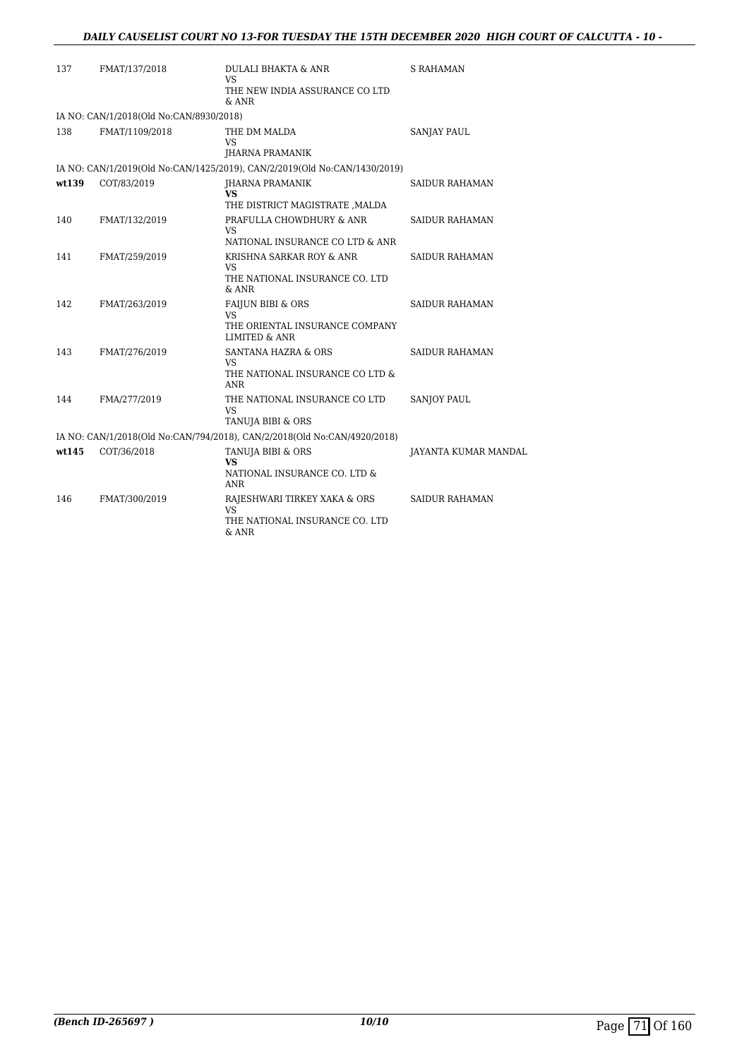| 137   | FMAT/137/2018                           | DULALI BHAKTA & ANR<br><b>VS</b><br>THE NEW INDIA ASSURANCE CO LTD<br>& ANR                             | S RAHAMAN             |
|-------|-----------------------------------------|---------------------------------------------------------------------------------------------------------|-----------------------|
|       | IA NO: CAN/1/2018(Old No:CAN/8930/2018) |                                                                                                         |                       |
| 138   | FMAT/1109/2018                          | THE DM MALDA<br><b>VS</b><br><b>IHARNA PRAMANIK</b>                                                     | <b>SANJAY PAUL</b>    |
|       |                                         | IA NO: CAN/1/2019(Old No:CAN/1425/2019), CAN/2/2019(Old No:CAN/1430/2019)                               |                       |
| wt139 | COT/83/2019                             | JHARNA PRAMANIK<br><b>VS</b><br>THE DISTRICT MAGISTRATE , MALDA                                         | SAIDUR RAHAMAN        |
| 140   | FMAT/132/2019                           | PRAFULLA CHOWDHURY & ANR<br><b>VS</b><br>NATIONAL INSURANCE CO LTD & ANR                                | <b>SAIDUR RAHAMAN</b> |
| 141   | FMAT/259/2019                           | KRISHNA SARKAR ROY & ANR<br>VS<br>THE NATIONAL INSURANCE CO. LTD<br>& ANR                               | <b>SAIDUR RAHAMAN</b> |
| 142   | FMAT/263/2019                           | <b>FAIJUN BIBI &amp; ORS</b><br><b>VS</b><br>THE ORIENTAL INSURANCE COMPANY<br><b>LIMITED &amp; ANR</b> | <b>SAIDUR RAHAMAN</b> |
| 143   | FMAT/276/2019                           | SANTANA HAZRA & ORS<br>VS<br>THE NATIONAL INSURANCE CO LTD &<br>ANR                                     | <b>SAIDUR RAHAMAN</b> |
| 144   | FMA/277/2019                            | THE NATIONAL INSURANCE CO LTD<br><b>VS</b><br>TANUJA BIBI & ORS                                         | <b>SANJOY PAUL</b>    |
|       |                                         | IA NO: CAN/1/2018(Old No:CAN/794/2018), CAN/2/2018(Old No:CAN/4920/2018)                                |                       |
| wt145 | COT/36/2018                             | TANUJA BIBI & ORS<br>VS.<br>NATIONAL INSURANCE CO. LTD &<br>ANR                                         | JAYANTA KUMAR MANDAL  |
| 146   | FMAT/300/2019                           | RAJESHWARI TIRKEY XAKA & ORS<br>VS<br>THE NATIONAL INSURANCE CO. LTD<br>& ANR                           | <b>SAIDUR RAHAMAN</b> |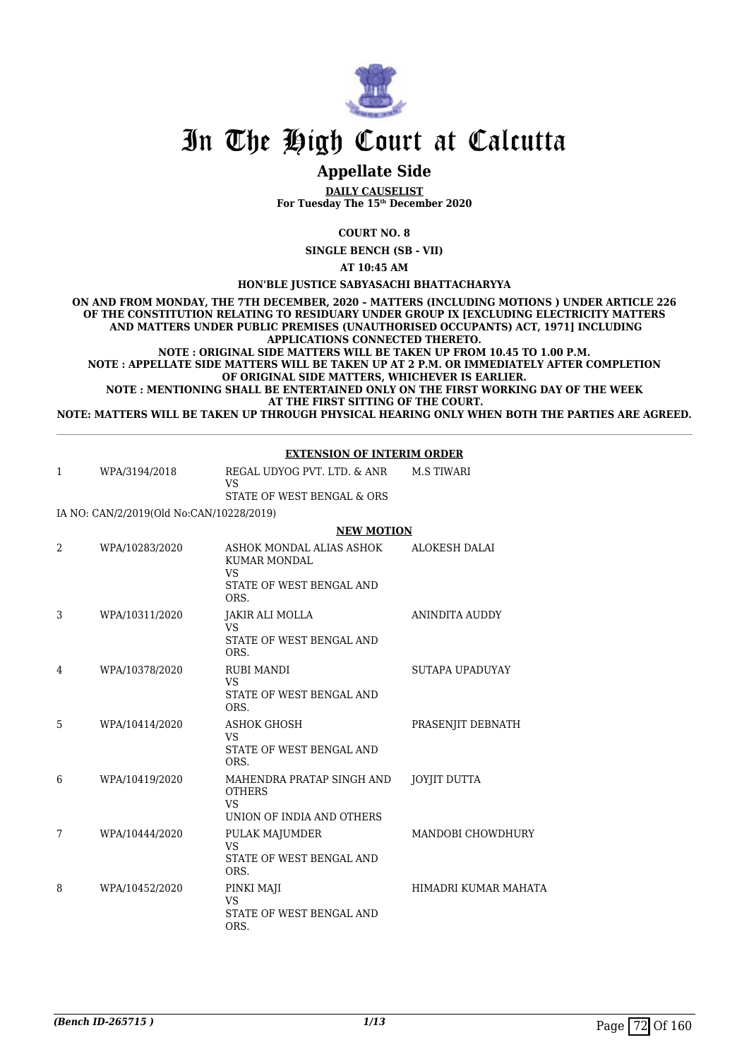

## **Appellate Side**

**DAILY CAUSELIST For Tuesday The 15th December 2020**

**COURT NO. 8**

**SINGLE BENCH (SB - VII)**

**AT 10:45 AM**

**HON'BLE JUSTICE SABYASACHI BHATTACHARYYA**

**ON AND FROM MONDAY, THE 7TH DECEMBER, 2020 – MATTERS (INCLUDING MOTIONS ) UNDER ARTICLE 226 OF THE CONSTITUTION RELATING TO RESIDUARY UNDER GROUP IX [EXCLUDING ELECTRICITY MATTERS AND MATTERS UNDER PUBLIC PREMISES (UNAUTHORISED OCCUPANTS) ACT, 1971] INCLUDING APPLICATIONS CONNECTED THERETO. NOTE : ORIGINAL SIDE MATTERS WILL BE TAKEN UP FROM 10.45 TO 1.00 P.M.**

**NOTE : APPELLATE SIDE MATTERS WILL BE TAKEN UP AT 2 P.M. OR IMMEDIATELY AFTER COMPLETION OF ORIGINAL SIDE MATTERS, WHICHEVER IS EARLIER.**

**NOTE : MENTIONING SHALL BE ENTERTAINED ONLY ON THE FIRST WORKING DAY OF THE WEEK AT THE FIRST SITTING OF THE COURT.**

**NOTE: MATTERS WILL BE TAKEN UP THROUGH PHYSICAL HEARING ONLY WHEN BOTH THE PARTIES ARE AGREED.**

|                |                                          | <b>EXTENSION OF INTERIM ORDER</b>                                                                |                       |  |
|----------------|------------------------------------------|--------------------------------------------------------------------------------------------------|-----------------------|--|
| 1              | WPA/3194/2018                            | REGAL UDYOG PVT, LTD, & ANR<br><b>VS</b>                                                         | <b>M.S TIWARI</b>     |  |
|                |                                          | STATE OF WEST BENGAL & ORS                                                                       |                       |  |
|                | IA NO: CAN/2/2019(Old No:CAN/10228/2019) |                                                                                                  |                       |  |
|                |                                          | <b>NEW MOTION</b>                                                                                |                       |  |
| $\overline{2}$ | WPA/10283/2020                           | ASHOK MONDAL ALIAS ASHOK<br><b>KUMAR MONDAL</b><br><b>VS</b><br>STATE OF WEST BENGAL AND<br>ORS. | <b>ALOKESH DALAI</b>  |  |
| 3              | WPA/10311/2020                           | JAKIR ALI MOLLA<br><b>VS</b><br>STATE OF WEST BENGAL AND<br>ORS.                                 | <b>ANINDITA AUDDY</b> |  |
| 4              | WPA/10378/2020                           | <b>RUBI MANDI</b><br><b>VS</b><br>STATE OF WEST BENGAL AND<br>ORS.                               | SUTAPA UPADUYAY       |  |
| 5              | WPA/10414/2020                           | <b>ASHOK GHOSH</b><br><b>VS</b><br>STATE OF WEST BENGAL AND<br>ORS.                              | PRASENJIT DEBNATH     |  |
| 6              | WPA/10419/2020                           | MAHENDRA PRATAP SINGH AND<br><b>OTHERS</b><br><b>VS</b><br>UNION OF INDIA AND OTHERS             | <b>JOYJIT DUTTA</b>   |  |
| 7              | WPA/10444/2020                           | PULAK MAJUMDER<br><b>VS</b><br>STATE OF WEST BENGAL AND<br>ORS.                                  | MANDOBI CHOWDHURY     |  |
| 8              | WPA/10452/2020                           | PINKI MAJI<br><b>VS</b><br>STATE OF WEST BENGAL AND<br>ORS.                                      | HIMADRI KUMAR MAHATA  |  |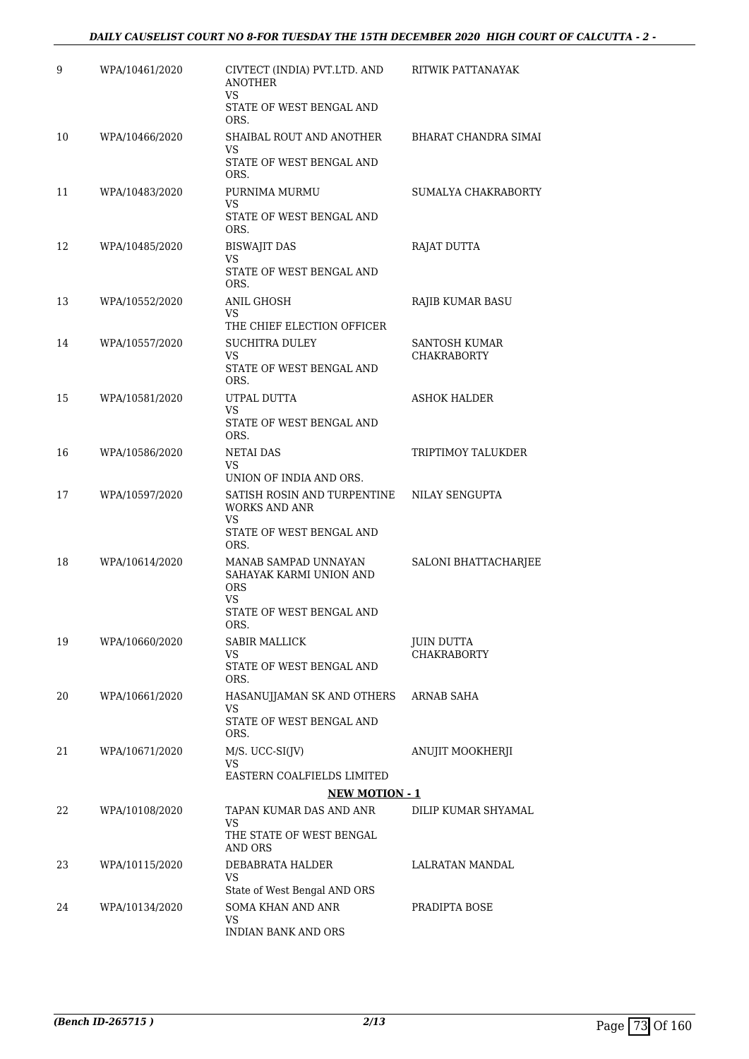| 9  | WPA/10461/2020 | CIVTECT (INDIA) PVT.LTD. AND<br><b>ANOTHER</b>                      | RITWIK PATTANAYAK                       |
|----|----------------|---------------------------------------------------------------------|-----------------------------------------|
|    |                | VS<br>STATE OF WEST BENGAL AND<br>ORS.                              |                                         |
| 10 | WPA/10466/2020 | SHAIBAL ROUT AND ANOTHER                                            | <b>BHARAT CHANDRA SIMAI</b>             |
|    |                | VS<br>STATE OF WEST BENGAL AND<br>ORS.                              |                                         |
| 11 | WPA/10483/2020 | PURNIMA MURMU                                                       | SUMALYA CHAKRABORTY                     |
|    |                | VS<br>STATE OF WEST BENGAL AND<br>ORS.                              |                                         |
| 12 | WPA/10485/2020 | <b>BISWAJIT DAS</b><br>VS                                           | RAJAT DUTTA                             |
|    |                | STATE OF WEST BENGAL AND<br>ORS.                                    |                                         |
| 13 | WPA/10552/2020 | ANIL GHOSH<br>VS                                                    | RAJIB KUMAR BASU                        |
|    |                | THE CHIEF ELECTION OFFICER                                          |                                         |
| 14 | WPA/10557/2020 | <b>SUCHITRA DULEY</b>                                               | SANTOSH KUMAR                           |
|    |                | VS<br>STATE OF WEST BENGAL AND<br>ORS.                              | <b>CHAKRABORTY</b>                      |
| 15 | WPA/10581/2020 | UTPAL DUTTA                                                         | <b>ASHOK HALDER</b>                     |
|    |                | VS<br>STATE OF WEST BENGAL AND<br>ORS.                              |                                         |
| 16 | WPA/10586/2020 | NETAI DAS<br>VS                                                     | TRIPTIMOY TALUKDER                      |
|    |                | UNION OF INDIA AND ORS.                                             |                                         |
| 17 | WPA/10597/2020 | SATISH ROSIN AND TURPENTINE<br><b>WORKS AND ANR</b><br><b>VS</b>    | NILAY SENGUPTA                          |
|    |                | STATE OF WEST BENGAL AND<br>ORS.                                    |                                         |
| 18 | WPA/10614/2020 | MANAB SAMPAD UNNAYAN<br>SAHAYAK KARMI UNION AND<br><b>ORS</b><br>VS | SALONI BHATTACHARJEE                    |
|    |                | STATE OF WEST BENGAL AND<br>ORS.                                    |                                         |
| 19 | WPA/10660/2020 | SABIR MALLICK                                                       | <b>JUIN DUTTA</b><br><b>CHAKRABORTY</b> |
|    |                | VS<br>STATE OF WEST BENGAL AND<br>ORS.                              |                                         |
| 20 | WPA/10661/2020 | HASANUJJAMAN SK AND OTHERS<br>VS                                    | ARNAB SAHA                              |
|    |                | STATE OF WEST BENGAL AND<br>ORS.                                    |                                         |
| 21 | WPA/10671/2020 | $M/S. UCC-SI(IV)$<br>VS                                             | ANUJIT MOOKHERJI                        |
|    |                | EASTERN COALFIELDS LIMITED                                          |                                         |
|    |                | <b>NEW MOTION - 1</b>                                               |                                         |
| 22 | WPA/10108/2020 | TAPAN KUMAR DAS AND ANR<br>VS                                       | DILIP KUMAR SHYAMAL                     |
|    |                | THE STATE OF WEST BENGAL<br>AND ORS                                 |                                         |
| 23 | WPA/10115/2020 | DEBABRATA HALDER<br>VS<br>State of West Bengal AND ORS              | LALRATAN MANDAL                         |
| 24 | WPA/10134/2020 | <b>SOMA KHAN AND ANR</b>                                            | PRADIPTA BOSE                           |
|    |                | VS<br>INDIAN BANK AND ORS                                           |                                         |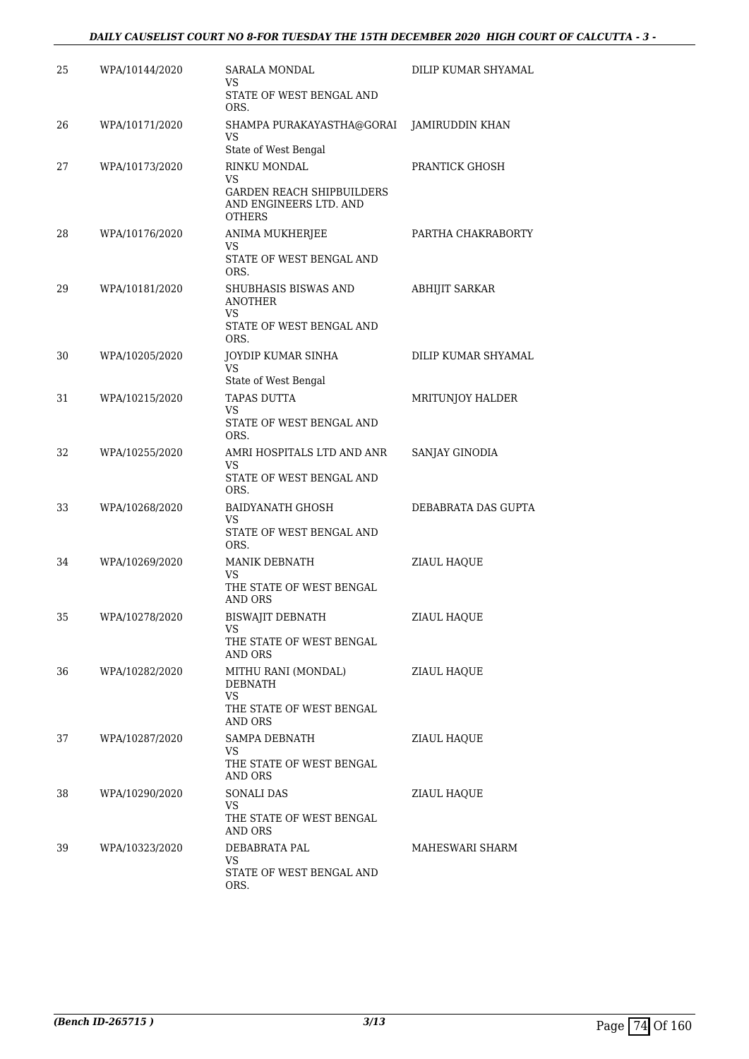| 25 | WPA/10144/2020 | SARALA MONDAL<br>VS                                                               | DILIP KUMAR SHYAMAL   |
|----|----------------|-----------------------------------------------------------------------------------|-----------------------|
|    |                | STATE OF WEST BENGAL AND<br>ORS.                                                  |                       |
| 26 | WPA/10171/2020 | SHAMPA PURAKAYASTHA@GORAI<br>VS<br>State of West Bengal                           | JAMIRUDDIN KHAN       |
| 27 | WPA/10173/2020 | RINKU MONDAL                                                                      | PRANTICK GHOSH        |
|    |                | VS<br><b>GARDEN REACH SHIPBUILDERS</b><br>AND ENGINEERS LTD. AND<br><b>OTHERS</b> |                       |
| 28 | WPA/10176/2020 | <b>ANIMA MUKHERJEE</b>                                                            | PARTHA CHAKRABORTY    |
|    |                | VS<br>STATE OF WEST BENGAL AND<br>ORS.                                            |                       |
| 29 | WPA/10181/2020 | SHUBHASIS BISWAS AND<br><b>ANOTHER</b><br>VS                                      | <b>ABHIJIT SARKAR</b> |
|    |                | STATE OF WEST BENGAL AND<br>ORS.                                                  |                       |
| 30 | WPA/10205/2020 | JOYDIP KUMAR SINHA<br>VS                                                          | DILIP KUMAR SHYAMAL   |
|    |                | State of West Bengal<br><b>TAPAS DUTTA</b>                                        |                       |
| 31 | WPA/10215/2020 | <b>VS</b><br>STATE OF WEST BENGAL AND<br>ORS.                                     | MRITUNJOY HALDER      |
| 32 | WPA/10255/2020 | AMRI HOSPITALS LTD AND ANR<br>VS<br>STATE OF WEST BENGAL AND                      | SANJAY GINODIA        |
|    |                | ORS.                                                                              |                       |
| 33 | WPA/10268/2020 | BAIDYANATH GHOSH<br>VS<br>STATE OF WEST BENGAL AND                                | DEBABRATA DAS GUPTA   |
|    |                | ORS.                                                                              |                       |
| 34 | WPA/10269/2020 | MANIK DEBNATH<br><b>VS</b>                                                        | ZIAUL HAQUE           |
|    |                | THE STATE OF WEST BENGAL<br><b>AND ORS</b>                                        |                       |
| 35 | WPA/10278/2020 | <b>BISWAJIT DEBNATH</b><br>VS                                                     | ZIAUL HAQUE           |
|    |                | THE STATE OF WEST BENGAL<br>AND ORS                                               |                       |
| 36 | WPA/10282/2020 | MITHU RANI (MONDAL)<br>DEBNATH<br>VS                                              | ZIAUL HAQUE           |
|    |                | THE STATE OF WEST BENGAL<br>AND ORS                                               |                       |
| 37 | WPA/10287/2020 | SAMPA DEBNATH<br>VS                                                               | ZIAUL HAQUE           |
|    |                | THE STATE OF WEST BENGAL<br>AND ORS                                               |                       |
| 38 | WPA/10290/2020 | SONALI DAS<br>VS                                                                  | ZIAUL HAQUE           |
|    |                | THE STATE OF WEST BENGAL<br>AND ORS                                               |                       |
| 39 | WPA/10323/2020 | DEBABRATA PAL<br>VS                                                               | MAHESWARI SHARM       |
|    |                | STATE OF WEST BENGAL AND<br>ORS.                                                  |                       |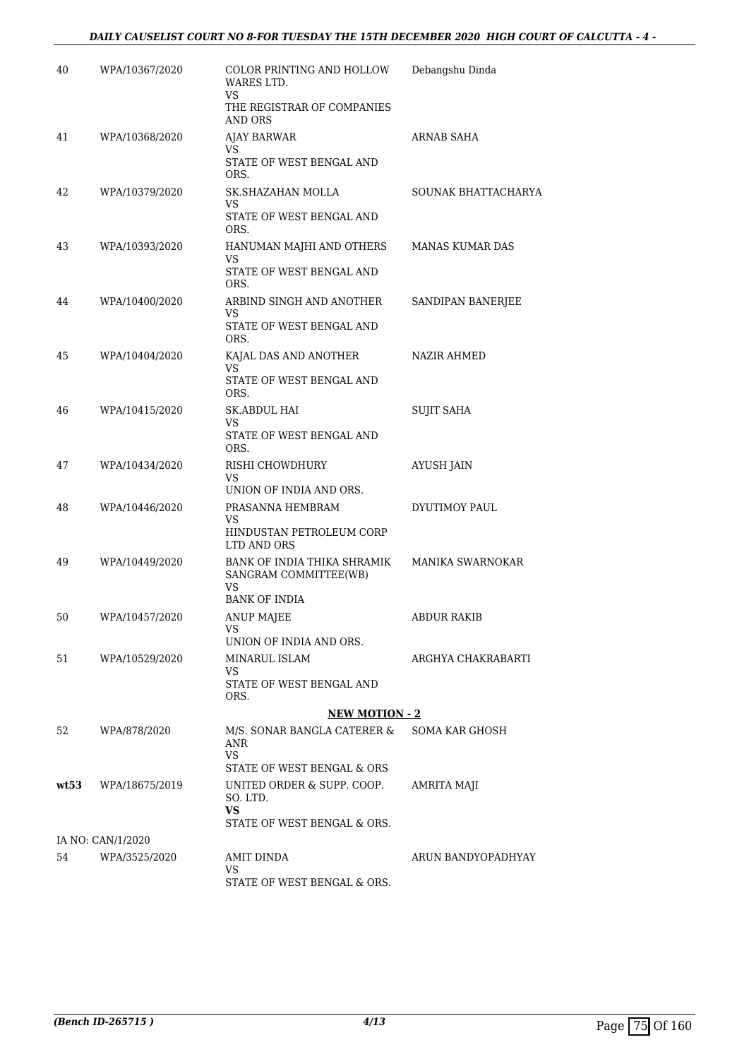### *DAILY CAUSELIST COURT NO 8-FOR TUESDAY THE 15TH DECEMBER 2020 HIGH COURT OF CALCUTTA - 4 -*

| 40   | WPA/10367/2020    | COLOR PRINTING AND HOLLOW<br>WARES LTD.                                            | Debangshu Dinda     |
|------|-------------------|------------------------------------------------------------------------------------|---------------------|
|      |                   | <b>VS</b><br>THE REGISTRAR OF COMPANIES<br>AND ORS                                 |                     |
| 41   | WPA/10368/2020    | AJAY BARWAR                                                                        | ARNAB SAHA          |
|      |                   | VS<br>STATE OF WEST BENGAL AND<br>ORS.                                             |                     |
| 42   | WPA/10379/2020    | SK.SHAZAHAN MOLLA<br>VS                                                            | SOUNAK BHATTACHARYA |
|      |                   | STATE OF WEST BENGAL AND<br>ORS.                                                   |                     |
| 43   | WPA/10393/2020    | HANUMAN MAJHI AND OTHERS<br><b>VS</b>                                              | MANAS KUMAR DAS     |
|      |                   | STATE OF WEST BENGAL AND<br>ORS.                                                   |                     |
| 44   | WPA/10400/2020    | ARBIND SINGH AND ANOTHER<br>VS                                                     | SANDIPAN BANERJEE   |
|      |                   | STATE OF WEST BENGAL AND<br>ORS.                                                   |                     |
| 45   | WPA/10404/2020    | KAJAL DAS AND ANOTHER<br>VS                                                        | NAZIR AHMED         |
|      |                   | STATE OF WEST BENGAL AND<br>ORS.                                                   |                     |
| 46   | WPA/10415/2020    | SK.ABDUL HAI<br>VS                                                                 | SUJIT SAHA          |
|      |                   | STATE OF WEST BENGAL AND<br>ORS.                                                   |                     |
| 47   | WPA/10434/2020    | RISHI CHOWDHURY<br>VS<br>UNION OF INDIA AND ORS.                                   | AYUSH JAIN          |
| 48   | WPA/10446/2020    | PRASANNA HEMBRAM                                                                   | DYUTIMOY PAUL       |
|      |                   | VS<br>HINDUSTAN PETROLEUM CORP<br>LTD AND ORS                                      |                     |
| 49   | WPA/10449/2020    | BANK OF INDIA THIKA SHRAMIK<br>SANGRAM COMMITTEE(WB)<br>VS<br><b>BANK OF INDIA</b> | MANIKA SWARNOKAR    |
| 50   | WPA/10457/2020    | <b>ANUP MAJEE</b>                                                                  | ABDUR RAKIB         |
|      |                   | VS<br>UNION OF INDIA AND ORS.                                                      |                     |
| 51   | WPA/10529/2020    | MINARUL ISLAM                                                                      | ARGHYA CHAKRABARTI  |
|      |                   | VS<br>STATE OF WEST BENGAL AND<br>ORS.                                             |                     |
|      |                   | <b>NEW MOTION - 2</b>                                                              |                     |
| 52   | WPA/878/2020      | M/S. SONAR BANGLA CATERER &<br>ANR<br>VS.                                          | SOMA KAR GHOSH      |
| wt53 | WPA/18675/2019    | STATE OF WEST BENGAL & ORS<br>UNITED ORDER & SUPP. COOP.                           | AMRITA MAJI         |
|      |                   | SO. LTD.<br>VS.<br>STATE OF WEST BENGAL & ORS.                                     |                     |
|      | IA NO: CAN/1/2020 |                                                                                    |                     |
| 54   | WPA/3525/2020     | AMIT DINDA                                                                         | ARUN BANDYOPADHYAY  |
|      |                   | VS.<br>STATE OF WEST BENGAL & ORS.                                                 |                     |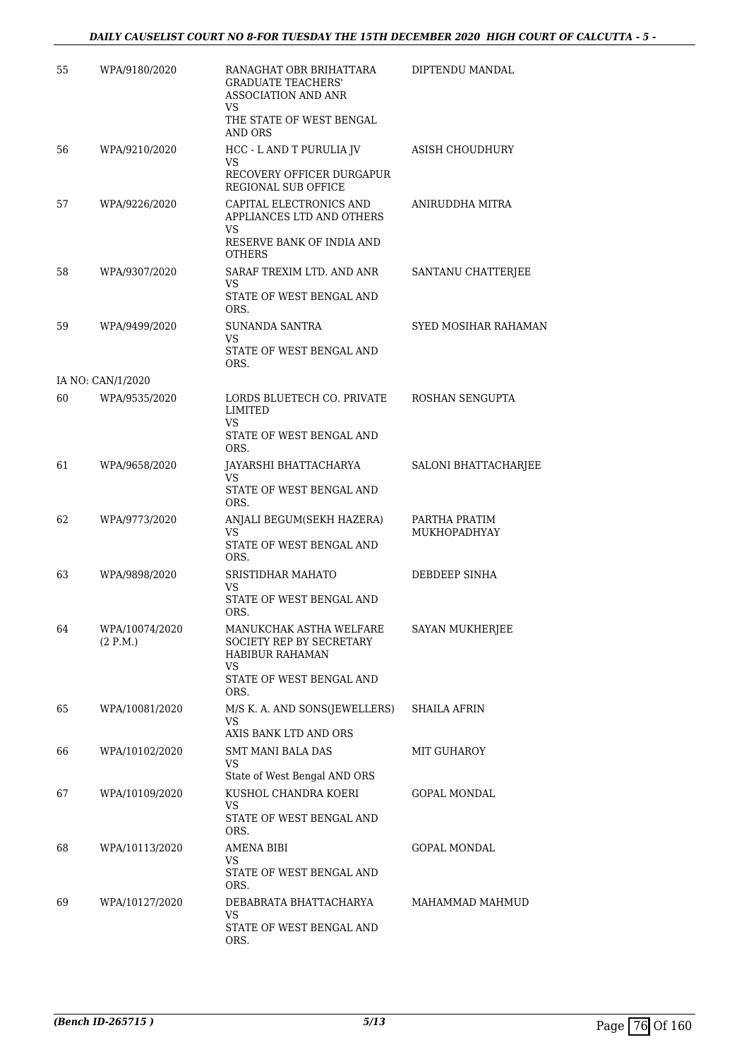| 55 | WPA/9180/2020              | RANAGHAT OBR BRIHATTARA<br><b>GRADUATE TEACHERS'</b><br><b>ASSOCIATION AND ANR</b><br>VS.<br>THE STATE OF WEST BENGAL<br>AND ORS | DIPTENDU MANDAL               |
|----|----------------------------|----------------------------------------------------------------------------------------------------------------------------------|-------------------------------|
| 56 | WPA/9210/2020              | HCC - L AND T PURULIA JV<br>VS.<br>RECOVERY OFFICER DURGAPUR<br>REGIONAL SUB OFFICE                                              | ASISH CHOUDHURY               |
| 57 | WPA/9226/2020              | CAPITAL ELECTRONICS AND<br>APPLIANCES LTD AND OTHERS<br>VS.<br>RESERVE BANK OF INDIA AND<br>OTHERS                               | ANIRUDDHA MITRA               |
| 58 | WPA/9307/2020              | SARAF TREXIM LTD. AND ANR<br>VS.<br>STATE OF WEST BENGAL AND<br>ORS.                                                             | SANTANU CHATTERJEE            |
| 59 | WPA/9499/2020              | <b>SUNANDA SANTRA</b><br>VS.<br>STATE OF WEST BENGAL AND<br>ORS.                                                                 | SYED MOSIHAR RAHAMAN          |
|    | IA NO: CAN/1/2020          |                                                                                                                                  |                               |
| 60 | WPA/9535/2020              | LORDS BLUETECH CO. PRIVATE<br>LIMITED<br>VS                                                                                      | ROSHAN SENGUPTA               |
|    |                            | STATE OF WEST BENGAL AND<br>ORS.                                                                                                 |                               |
| 61 | WPA/9658/2020              | JAYARSHI BHATTACHARYA<br>VS.<br>STATE OF WEST BENGAL AND<br>ORS.                                                                 | SALONI BHATTACHARJEE          |
| 62 | WPA/9773/2020              | ANJALI BEGUM(SEKH HAZERA)<br><b>VS</b><br>STATE OF WEST BENGAL AND<br>ORS.                                                       | PARTHA PRATIM<br>MUKHOPADHYAY |
| 63 | WPA/9898/2020              | SRISTIDHAR MAHATO<br>VS<br>STATE OF WEST BENGAL AND                                                                              | DEBDEEP SINHA                 |
| 64 | WPA/10074/2020<br>(2 P.M.) | ORS.<br>MANUKCHAK ASTHA WELFARE<br>SOCIETY REP BY SECRETARY<br>HABIBUR RAHAMAN<br>VS.<br>STATE OF WEST BENGAL AND<br>ORS.        | SAYAN MUKHERJEE               |
| 65 | WPA/10081/2020             | M/S K. A. AND SONS(JEWELLERS)<br>VS.<br>AXIS BANK LTD AND ORS                                                                    | <b>SHAILA AFRIN</b>           |
| 66 | WPA/10102/2020             | SMT MANI BALA DAS<br>VS<br>State of West Bengal AND ORS                                                                          | MIT GUHAROY                   |
| 67 | WPA/10109/2020             | KUSHOL CHANDRA KOERI<br>VS<br>STATE OF WEST BENGAL AND<br>ORS.                                                                   | <b>GOPAL MONDAL</b>           |
| 68 | WPA/10113/2020             | AMENA BIBI<br>VS.<br>STATE OF WEST BENGAL AND<br>ORS.                                                                            | GOPAL MONDAL                  |
| 69 | WPA/10127/2020             | DEBABRATA BHATTACHARYA<br>VS.<br>STATE OF WEST BENGAL AND<br>ORS.                                                                | MAHAMMAD MAHMUD               |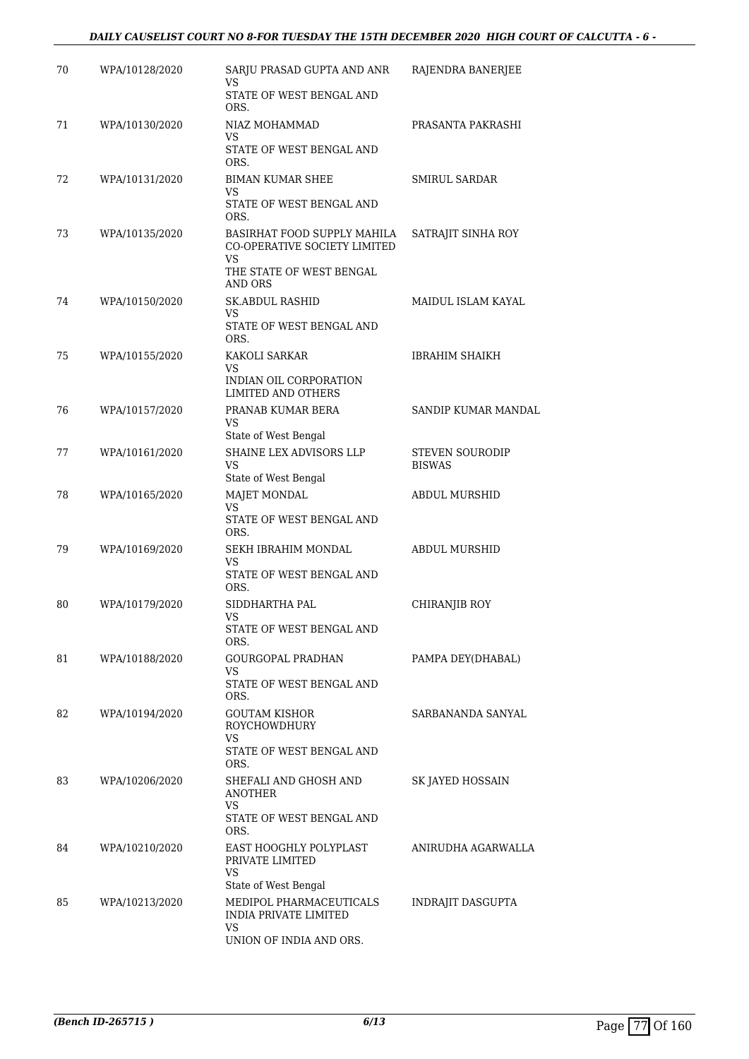| 70 | WPA/10128/2020 | SARJU PRASAD GUPTA AND ANR<br>VS<br>STATE OF WEST BENGAL AND               | RAJENDRA BANERJEE                       |
|----|----------------|----------------------------------------------------------------------------|-----------------------------------------|
|    |                | ORS.                                                                       |                                         |
| 71 | WPA/10130/2020 | NIAZ MOHAMMAD<br>VS<br>STATE OF WEST BENGAL AND                            | PRASANTA PAKRASHI                       |
| 72 | WPA/10131/2020 | ORS.<br><b>BIMAN KUMAR SHEE</b>                                            | <b>SMIRUL SARDAR</b>                    |
|    |                | VS<br>STATE OF WEST BENGAL AND<br>ORS.                                     |                                         |
| 73 | WPA/10135/2020 | BASIRHAT FOOD SUPPLY MAHILA<br>CO-OPERATIVE SOCIETY LIMITED<br>VS          | SATRAJIT SINHA ROY                      |
|    |                | THE STATE OF WEST BENGAL<br>AND ORS                                        |                                         |
| 74 | WPA/10150/2020 | <b>SK.ABDUL RASHID</b>                                                     | MAIDUL ISLAM KAYAL                      |
|    |                | VS<br>STATE OF WEST BENGAL AND<br>ORS.                                     |                                         |
| 75 | WPA/10155/2020 | KAKOLI SARKAR<br>VS                                                        | <b>IBRAHIM SHAIKH</b>                   |
|    |                | INDIAN OIL CORPORATION<br>LIMITED AND OTHERS                               |                                         |
| 76 | WPA/10157/2020 | PRANAB KUMAR BERA<br>VS                                                    | SANDIP KUMAR MANDAL                     |
|    |                | State of West Bengal                                                       |                                         |
| 77 | WPA/10161/2020 | SHAINE LEX ADVISORS LLP<br>VS<br>State of West Bengal                      | <b>STEVEN SOURODIP</b><br><b>BISWAS</b> |
| 78 | WPA/10165/2020 | <b>MAJET MONDAL</b><br>VS<br>STATE OF WEST BENGAL AND                      | <b>ABDUL MURSHID</b>                    |
| 79 | WPA/10169/2020 | ORS.<br>SEKH IBRAHIM MONDAL                                                | ABDUL MURSHID                           |
|    |                | VS<br>STATE OF WEST BENGAL AND<br>ORS.                                     |                                         |
| 80 | WPA/10179/2020 | SIDDHARTHA PAL                                                             | <b>CHIRANJIB ROY</b>                    |
|    |                | VS<br>STATE OF WEST BENGAL AND<br>ORS.                                     |                                         |
| 81 | WPA/10188/2020 | GOURGOPAL PRADHAN                                                          | PAMPA DEY(DHABAL)                       |
|    |                | VS<br>STATE OF WEST BENGAL AND<br>ORS.                                     |                                         |
| 82 | WPA/10194/2020 | GOUTAM KISHOR<br><b>ROYCHOWDHURY</b><br>VS                                 | SARBANANDA SANYAL                       |
|    |                | STATE OF WEST BENGAL AND<br>ORS.                                           |                                         |
| 83 | WPA/10206/2020 | SHEFALI AND GHOSH AND<br><b>ANOTHER</b><br>VS.<br>STATE OF WEST BENGAL AND | SK JAYED HOSSAIN                        |
| 84 | WPA/10210/2020 | ORS.<br>EAST HOOGHLY POLYPLAST                                             | ANIRUDHA AGARWALLA                      |
|    |                | PRIVATE LIMITED<br>VS                                                      |                                         |
| 85 |                | State of West Bengal                                                       |                                         |
|    | WPA/10213/2020 | MEDIPOL PHARMACEUTICALS<br><b>INDIA PRIVATE LIMITED</b><br>VS              | INDRAJIT DASGUPTA                       |
|    |                | UNION OF INDIA AND ORS.                                                    |                                         |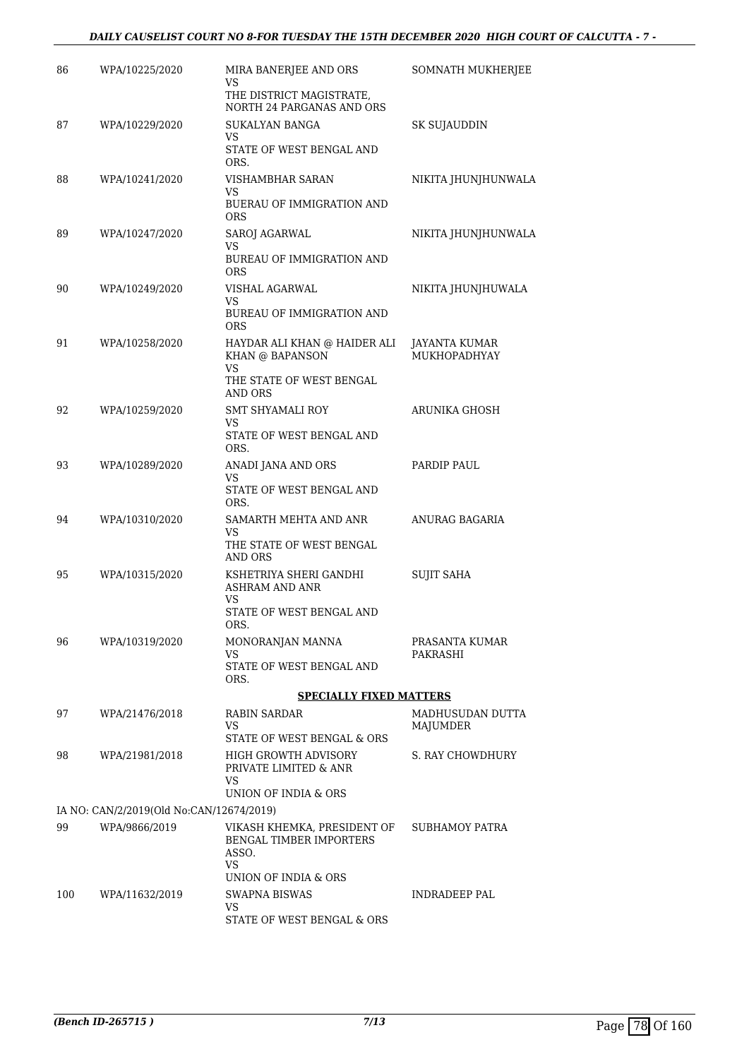### *DAILY CAUSELIST COURT NO 8-FOR TUESDAY THE 15TH DECEMBER 2020 HIGH COURT OF CALCUTTA - 7 -*

| 86  | WPA/10225/2020                           | MIRA BANERJEE AND ORS<br>VS                                           | SOMNATH MUKHERJEE                    |
|-----|------------------------------------------|-----------------------------------------------------------------------|--------------------------------------|
|     |                                          | THE DISTRICT MAGISTRATE,<br>NORTH 24 PARGANAS AND ORS                 |                                      |
| 87  | WPA/10229/2020                           | <b>SUKALYAN BANGA</b><br>VS.                                          | SK SUJAUDDIN                         |
|     |                                          | STATE OF WEST BENGAL AND<br>ORS.                                      |                                      |
| 88  | WPA/10241/2020                           | VISHAMBHAR SARAN<br>VS.                                               | NIKITA JHUNJHUNWALA                  |
|     |                                          | BUERAU OF IMMIGRATION AND<br><b>ORS</b>                               |                                      |
| 89  | WPA/10247/2020                           | SAROJ AGARWAL<br>VS                                                   | NIKITA JHUNJHUNWALA                  |
|     |                                          | BUREAU OF IMMIGRATION AND<br><b>ORS</b>                               |                                      |
| 90  | WPA/10249/2020                           | VISHAL AGARWAL<br>VS                                                  | NIKITA JHUNJHUWALA                   |
|     |                                          | <b>BUREAU OF IMMIGRATION AND</b><br><b>ORS</b>                        |                                      |
| 91  | WPA/10258/2020                           | HAYDAR ALI KHAN @ HAIDER ALI<br>KHAN @ BAPANSON                       | JAYANTA KUMAR<br><b>MUKHOPADHYAY</b> |
|     |                                          | VS<br>THE STATE OF WEST BENGAL<br>AND ORS                             |                                      |
| 92  | WPA/10259/2020                           | SMT SHYAMALI ROY<br>VS                                                | ARUNIKA GHOSH                        |
|     |                                          | STATE OF WEST BENGAL AND<br>ORS.                                      |                                      |
| 93  | WPA/10289/2020                           | ANADI JANA AND ORS<br>VS.                                             | PARDIP PAUL                          |
|     |                                          | STATE OF WEST BENGAL AND<br>ORS.                                      |                                      |
| 94  | WPA/10310/2020                           | SAMARTH MEHTA AND ANR<br>VS                                           | ANURAG BAGARIA                       |
|     |                                          | THE STATE OF WEST BENGAL<br>AND ORS                                   |                                      |
| 95  | WPA/10315/2020                           | KSHETRIYA SHERI GANDHI<br><b>ASHRAM AND ANR</b>                       | <b>SUJIT SAHA</b>                    |
|     |                                          | VS<br>STATE OF WEST BENGAL AND<br>ORS.                                |                                      |
| 96  | WPA/10319/2020                           | MONORANJAN MANNA                                                      | PRASANTA KUMAR                       |
|     |                                          | VS<br>STATE OF WEST BENGAL AND<br>ORS.                                | PAKRASHI                             |
|     |                                          | <b>SPECIALLY FIXED MATTERS</b>                                        |                                      |
| 97  | WPA/21476/2018                           | RABIN SARDAR<br>VS.                                                   | MADHUSUDAN DUTTA<br>MAJUMDER         |
|     |                                          | STATE OF WEST BENGAL & ORS                                            |                                      |
| 98  | WPA/21981/2018                           | HIGH GROWTH ADVISORY<br>PRIVATE LIMITED & ANR                         | S. RAY CHOWDHURY                     |
|     |                                          | VS.<br>UNION OF INDIA & ORS                                           |                                      |
|     | IA NO: CAN/2/2019(Old No:CAN/12674/2019) |                                                                       |                                      |
| 99  | WPA/9866/2019                            | VIKASH KHEMKA, PRESIDENT OF<br>BENGAL TIMBER IMPORTERS<br>ASSO.<br>VS | SUBHAMOY PATRA                       |
|     |                                          | UNION OF INDIA & ORS                                                  |                                      |
| 100 | WPA/11632/2019                           | SWAPNA BISWAS<br>VS.                                                  | INDRADEEP PAL                        |
|     |                                          | STATE OF WEST BENGAL & ORS                                            |                                      |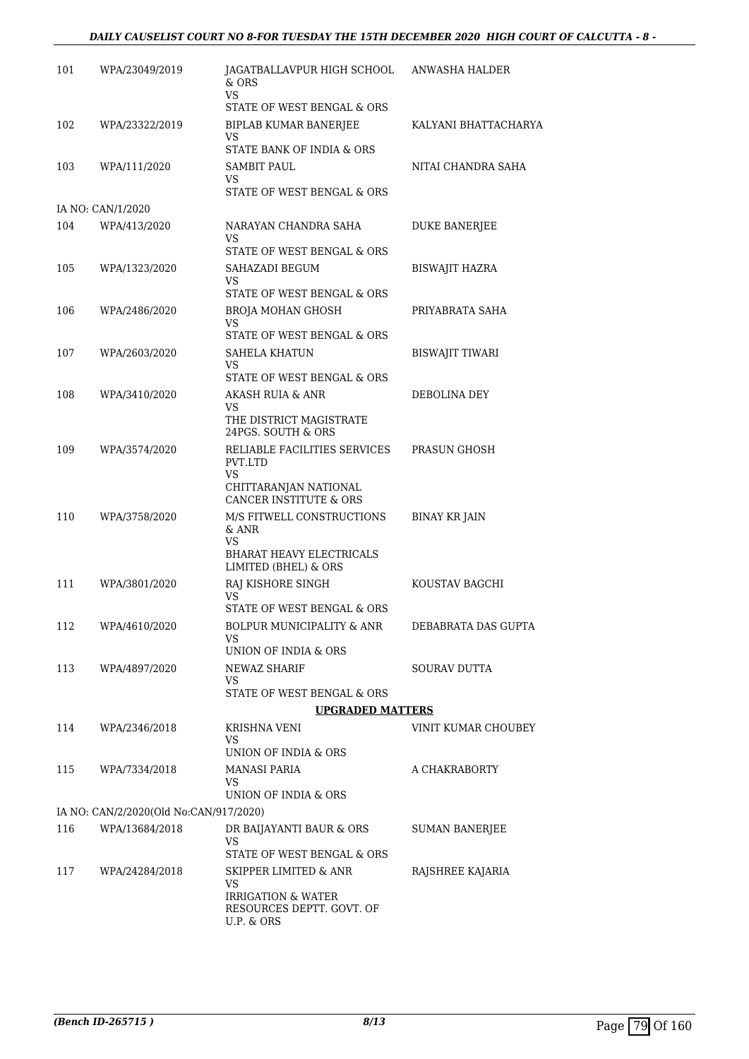| 101 | WPA/23049/2019                         | JAGATBALLAVPUR HIGH SCHOOL ANWASHA HALDER<br>$&$ ORS<br>VS.    |                       |
|-----|----------------------------------------|----------------------------------------------------------------|-----------------------|
|     |                                        | STATE OF WEST BENGAL & ORS                                     |                       |
| 102 | WPA/23322/2019                         | BIPLAB KUMAR BANERJEE<br>VS                                    | KALYANI BHATTACHARYA  |
|     |                                        | STATE BANK OF INDIA & ORS                                      |                       |
| 103 | WPA/111/2020                           | <b>SAMBIT PAUL</b><br>VS                                       | NITAI CHANDRA SAHA    |
|     |                                        | STATE OF WEST BENGAL & ORS                                     |                       |
|     | IA NO: CAN/1/2020                      |                                                                |                       |
| 104 | WPA/413/2020                           | NARAYAN CHANDRA SAHA<br>VS                                     | <b>DUKE BANERJEE</b>  |
|     |                                        | STATE OF WEST BENGAL & ORS                                     |                       |
| 105 | WPA/1323/2020                          | SAHAZADI BEGUM<br>VS                                           | BISWAJIT HAZRA        |
|     |                                        | STATE OF WEST BENGAL & ORS                                     |                       |
| 106 | WPA/2486/2020                          | <b>BROJA MOHAN GHOSH</b><br>VS                                 | PRIYABRATA SAHA       |
|     |                                        | STATE OF WEST BENGAL & ORS                                     |                       |
| 107 | WPA/2603/2020                          | <b>SAHELA KHATUN</b><br><b>VS</b>                              | BISWAJIT TIWARI       |
|     |                                        | STATE OF WEST BENGAL & ORS                                     |                       |
| 108 | WPA/3410/2020                          | <b>AKASH RUIA &amp; ANR</b><br>VS                              | DEBOLINA DEY          |
|     |                                        | THE DISTRICT MAGISTRATE<br>24PGS. SOUTH & ORS                  |                       |
| 109 | WPA/3574/2020                          | RELIABLE FACILITIES SERVICES<br>PVT.LTD                        | PRASUN GHOSH          |
|     |                                        | <b>VS</b><br>CHITTARANJAN NATIONAL                             |                       |
|     |                                        | CANCER INSTITUTE & ORS                                         |                       |
| 110 | WPA/3758/2020                          | M/S FITWELL CONSTRUCTIONS<br>& ANR<br>VS                       | BINAY KR JAIN         |
|     |                                        | <b>BHARAT HEAVY ELECTRICALS</b><br>LIMITED (BHEL) & ORS        |                       |
| 111 | WPA/3801/2020                          | RAJ KISHORE SINGH                                              | KOUSTAV BAGCHI        |
|     |                                        | VS<br>STATE OF WEST BENGAL & ORS                               |                       |
| 112 | WPA/4610/2020                          | BOLPUR MUNICIPALITY & ANR                                      | DEBABRATA DAS GUPTA   |
|     |                                        | VS                                                             |                       |
|     |                                        | UNION OF INDIA & ORS                                           |                       |
| 113 | WPA/4897/2020                          | NEWAZ SHARIF<br>VS                                             | <b>SOURAV DUTTA</b>   |
|     |                                        | STATE OF WEST BENGAL & ORS                                     |                       |
|     |                                        | <b>UPGRADED MATTERS</b>                                        |                       |
| 114 | WPA/2346/2018                          | KRISHNA VENI<br>VS                                             | VINIT KUMAR CHOUBEY   |
|     |                                        | UNION OF INDIA & ORS                                           |                       |
| 115 | WPA/7334/2018                          | MANASI PARIA<br>VS.                                            | A CHAKRABORTY         |
|     |                                        | UNION OF INDIA & ORS                                           |                       |
|     | IA NO: CAN/2/2020(Old No:CAN/917/2020) |                                                                |                       |
| 116 | WPA/13684/2018                         | DR BAIJAYANTI BAUR & ORS<br>VS.                                | <b>SUMAN BANERJEE</b> |
|     |                                        | STATE OF WEST BENGAL & ORS<br><b>SKIPPER LIMITED &amp; ANR</b> |                       |
| 117 | WPA/24284/2018                         | VS<br>IRRIGATION & WATER                                       | RAJSHREE KAJARIA      |
|     |                                        | RESOURCES DEPTT. GOVT. OF<br>U.P. & ORS                        |                       |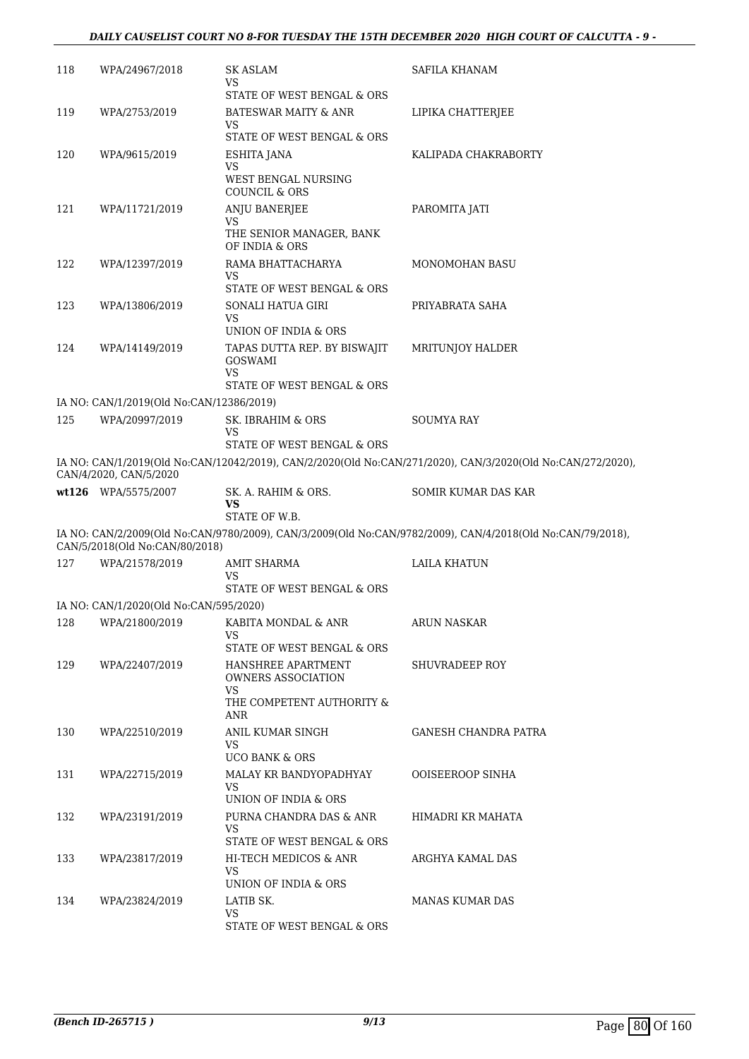### *DAILY CAUSELIST COURT NO 8-FOR TUESDAY THE 15TH DECEMBER 2020 HIGH COURT OF CALCUTTA - 9 -*

| 118 | WPA/24967/2018                           | SK ASLAM<br>VS                                           | SAFILA KHANAM                                                                                               |
|-----|------------------------------------------|----------------------------------------------------------|-------------------------------------------------------------------------------------------------------------|
| 119 | WPA/2753/2019                            | STATE OF WEST BENGAL & ORS<br>BATESWAR MAITY & ANR<br>VS | LIPIKA CHATTERJEE                                                                                           |
|     |                                          | STATE OF WEST BENGAL & ORS                               |                                                                                                             |
| 120 | WPA/9615/2019                            | ESHITA JANA                                              | KALIPADA CHAKRABORTY                                                                                        |
|     |                                          | VS<br>WEST BENGAL NURSING<br><b>COUNCIL &amp; ORS</b>    |                                                                                                             |
| 121 | WPA/11721/2019                           | ANJU BANERJEE                                            | PAROMITA JATI                                                                                               |
|     |                                          | VS<br>THE SENIOR MANAGER, BANK<br>OF INDIA & ORS         |                                                                                                             |
| 122 | WPA/12397/2019                           | RAMA BHATTACHARYA                                        | MONOMOHAN BASU                                                                                              |
|     |                                          | VS<br>STATE OF WEST BENGAL & ORS                         |                                                                                                             |
| 123 | WPA/13806/2019                           | SONALI HATUA GIRI                                        | PRIYABRATA SAHA                                                                                             |
|     |                                          | VS.<br>UNION OF INDIA & ORS                              |                                                                                                             |
| 124 | WPA/14149/2019                           | TAPAS DUTTA REP. BY BISWAJIT                             | MRITUNJOY HALDER                                                                                            |
|     |                                          | <b>GOSWAMI</b><br><b>VS</b>                              |                                                                                                             |
|     |                                          | STATE OF WEST BENGAL & ORS                               |                                                                                                             |
|     | IA NO: CAN/1/2019(Old No:CAN/12386/2019) |                                                          |                                                                                                             |
| 125 | WPA/20997/2019                           | SK. IBRAHIM & ORS<br>VS                                  | <b>SOUMYA RAY</b>                                                                                           |
|     |                                          | STATE OF WEST BENGAL & ORS                               |                                                                                                             |
|     | CAN/4/2020, CAN/5/2020                   |                                                          | IA NO: CAN/1/2019(Old No:CAN/12042/2019), CAN/2/2020(Old No:CAN/271/2020), CAN/3/2020(Old No:CAN/272/2020), |
|     | wt126 WPA/5575/2007                      | SK. A. RAHIM & ORS.<br>VS<br>STATE OF W.B.               | SOMIR KUMAR DAS KAR                                                                                         |
|     |                                          |                                                          | IA NO: CAN/2/2009(Old No:CAN/9780/2009), CAN/3/2009(Old No:CAN/9782/2009), CAN/4/2018(Old No:CAN/79/2018),  |
|     | CAN/5/2018(Old No:CAN/80/2018)           |                                                          |                                                                                                             |
| 127 | WPA/21578/2019                           | AMIT SHARMA<br>VS<br>STATE OF WEST BENGAL & ORS          | <b>LAILA KHATUN</b>                                                                                         |
|     | IA NO: CAN/1/2020(Old No:CAN/595/2020)   |                                                          |                                                                                                             |
| 128 | WPA/21800/2019                           | KABITA MONDAL & ANR                                      | ARUN NASKAR                                                                                                 |
|     |                                          | VS                                                       |                                                                                                             |
|     |                                          | STATE OF WEST BENGAL & ORS                               |                                                                                                             |
| 129 | WPA/22407/2019                           | HANSHREE APARTMENT<br>OWNERS ASSOCIATION<br><b>VS</b>    | <b>SHUVRADEEP ROY</b>                                                                                       |
|     |                                          | THE COMPETENT AUTHORITY &<br>ANR                         |                                                                                                             |
| 130 | WPA/22510/2019                           | ANIL KUMAR SINGH<br>VS                                   | GANESH CHANDRA PATRA                                                                                        |
|     |                                          | UCO BANK & ORS                                           |                                                                                                             |
| 131 | WPA/22715/2019                           | MALAY KR BANDYOPADHYAY                                   | <b>OOISEEROOP SINHA</b>                                                                                     |
|     |                                          | VS.<br>UNION OF INDIA & ORS                              |                                                                                                             |
| 132 | WPA/23191/2019                           | PURNA CHANDRA DAS & ANR                                  | HIMADRI KR MAHATA                                                                                           |
|     |                                          | VS.<br>STATE OF WEST BENGAL & ORS                        |                                                                                                             |
| 133 | WPA/23817/2019                           | HI-TECH MEDICOS & ANR                                    | ARGHYA KAMAL DAS                                                                                            |
|     |                                          | <b>VS</b>                                                |                                                                                                             |
|     |                                          | UNION OF INDIA & ORS                                     |                                                                                                             |
| 134 | WPA/23824/2019                           | LATIB SK.<br><b>VS</b>                                   | MANAS KUMAR DAS                                                                                             |
|     |                                          | STATE OF WEST BENGAL & ORS                               |                                                                                                             |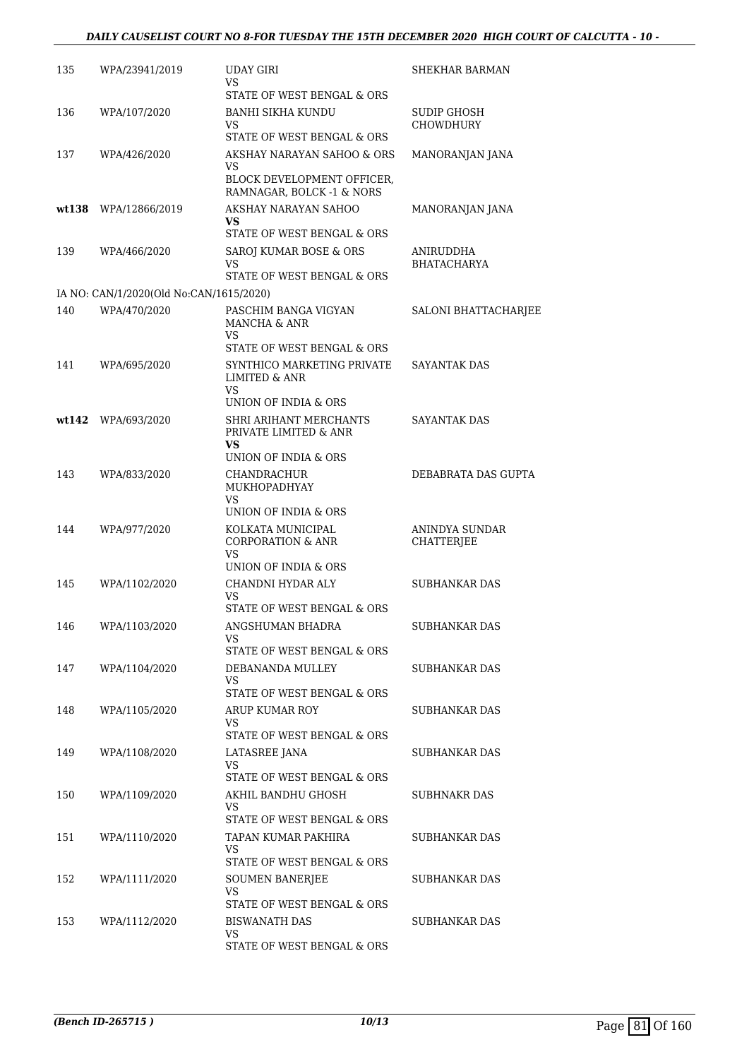| 135   | WPA/23941/2019                          | <b>UDAY GIRI</b><br>VS                                                                     | SHEKHAR BARMAN                  |
|-------|-----------------------------------------|--------------------------------------------------------------------------------------------|---------------------------------|
| 136   | WPA/107/2020                            | STATE OF WEST BENGAL & ORS<br><b>BANHI SIKHA KUNDU</b><br>VS<br>STATE OF WEST BENGAL & ORS | SUDIP GHOSH<br><b>CHOWDHURY</b> |
| 137   | WPA/426/2020                            | AKSHAY NARAYAN SAHOO & ORS<br>VS                                                           | MANORANJAN JANA                 |
|       |                                         | BLOCK DEVELOPMENT OFFICER,<br>RAMNAGAR, BOLCK -1 & NORS                                    |                                 |
| wt138 | WPA/12866/2019                          | AKSHAY NARAYAN SAHOO<br>VS<br>STATE OF WEST BENGAL & ORS                                   | MANORANJAN JANA                 |
| 139   | WPA/466/2020                            | SAROJ KUMAR BOSE & ORS                                                                     | ANIRUDDHA                       |
|       |                                         | VS<br>STATE OF WEST BENGAL & ORS                                                           | <b>BHATACHARYA</b>              |
|       | IA NO: CAN/1/2020(Old No:CAN/1615/2020) |                                                                                            |                                 |
| 140   | WPA/470/2020                            | PASCHIM BANGA VIGYAN<br>MANCHA & ANR<br>VS                                                 | SALONI BHATTACHARJEE            |
|       |                                         | STATE OF WEST BENGAL & ORS                                                                 |                                 |
| 141   | WPA/695/2020                            | SYNTHICO MARKETING PRIVATE<br><b>LIMITED &amp; ANR</b><br>VS                               | <b>SAYANTAK DAS</b>             |
|       |                                         | UNION OF INDIA & ORS                                                                       |                                 |
| wt142 | WPA/693/2020                            | SHRI ARIHANT MERCHANTS<br>PRIVATE LIMITED & ANR<br>VS                                      | <b>SAYANTAK DAS</b>             |
|       |                                         | UNION OF INDIA & ORS                                                                       |                                 |
| 143   | WPA/833/2020                            | CHANDRACHUR<br>MUKHOPADHYAY<br>VS<br>UNION OF INDIA & ORS                                  | DEBABRATA DAS GUPTA             |
| 144   | WPA/977/2020                            | KOLKATA MUNICIPAL<br><b>CORPORATION &amp; ANR</b><br>VS                                    | ANINDYA SUNDAR<br>CHATTERJEE    |
|       |                                         | UNION OF INDIA & ORS                                                                       |                                 |
| 145   | WPA/1102/2020                           | CHANDNI HYDAR ALY<br>VS<br>STATE OF WEST BENGAL & ORS                                      | SUBHANKAR DAS                   |
| 146   | WPA/1103/2020                           | ANGSHUMAN BHADRA                                                                           | SUBHANKAR DAS                   |
|       |                                         | VS.<br>STATE OF WEST BENGAL & ORS                                                          |                                 |
| 147   | WPA/1104/2020                           | DEBANANDA MULLEY<br>VS.                                                                    | SUBHANKAR DAS                   |
|       |                                         | STATE OF WEST BENGAL & ORS                                                                 |                                 |
| 148   | WPA/1105/2020                           | ARUP KUMAR ROY<br>VS<br>STATE OF WEST BENGAL & ORS                                         | SUBHANKAR DAS                   |
| 149   | WPA/1108/2020                           | LATASREE JANA                                                                              | SUBHANKAR DAS                   |
|       |                                         | VS.<br>STATE OF WEST BENGAL & ORS                                                          |                                 |
| 150   | WPA/1109/2020                           | AKHIL BANDHU GHOSH                                                                         | SUBHNAKR DAS                    |
|       |                                         | VS.<br>STATE OF WEST BENGAL & ORS                                                          |                                 |
| 151   | WPA/1110/2020                           | TAPAN KUMAR PAKHIRA<br>VS.<br>STATE OF WEST BENGAL & ORS                                   | SUBHANKAR DAS                   |
| 152   | WPA/1111/2020                           | SOUMEN BANERJEE                                                                            | SUBHANKAR DAS                   |
|       |                                         | VS<br>STATE OF WEST BENGAL & ORS                                                           |                                 |
| 153   | WPA/1112/2020                           | <b>BISWANATH DAS</b><br>VS.<br>STATE OF WEST BENGAL & ORS                                  | SUBHANKAR DAS                   |
|       |                                         |                                                                                            |                                 |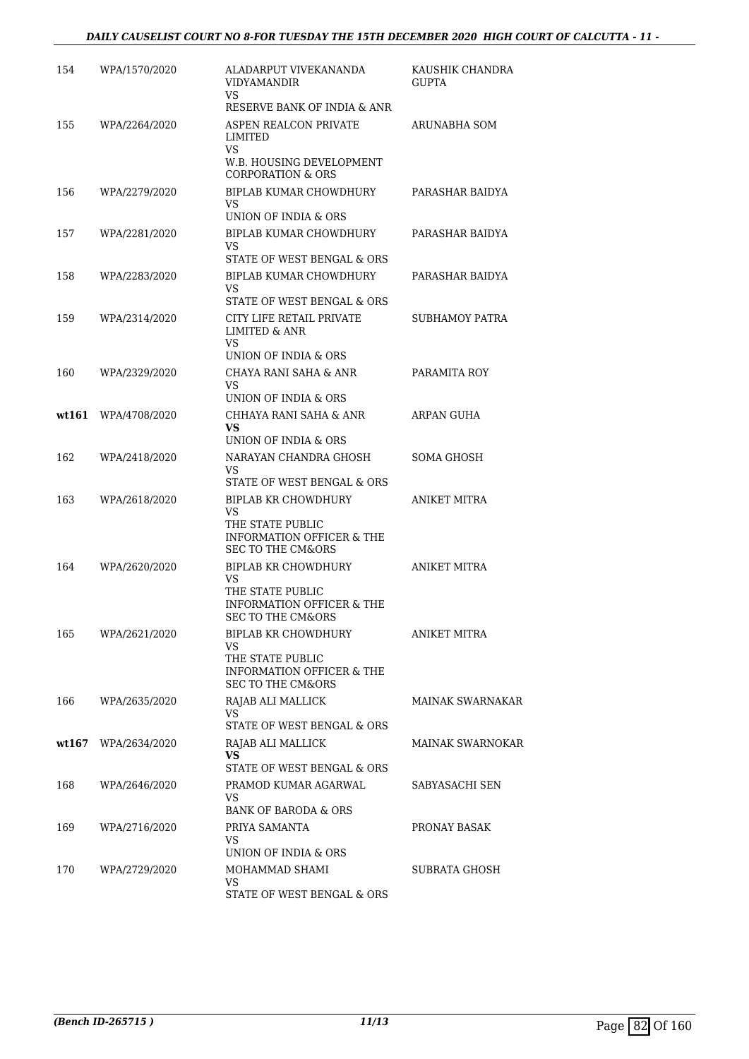| 154   | WPA/1570/2020 | ALADARPUT VIVEKANANDA<br><b>VIDYAMANDIR</b><br>VS.                                                                | KAUSHIK CHANDRA<br><b>GUPTA</b> |
|-------|---------------|-------------------------------------------------------------------------------------------------------------------|---------------------------------|
|       |               | RESERVE BANK OF INDIA & ANR                                                                                       |                                 |
| 155   | WPA/2264/2020 | ASPEN REALCON PRIVATE<br>LIMITED<br>VS.<br>W.B. HOUSING DEVELOPMENT<br><b>CORPORATION &amp; ORS</b>               | ARUNABHA SOM                    |
| 156   | WPA/2279/2020 | BIPLAB KUMAR CHOWDHURY<br>VS<br>UNION OF INDIA & ORS                                                              | PARASHAR BAIDYA                 |
| 157   | WPA/2281/2020 | BIPLAB KUMAR CHOWDHURY<br>VS                                                                                      | PARASHAR BAIDYA                 |
|       |               | STATE OF WEST BENGAL & ORS                                                                                        |                                 |
| 158   | WPA/2283/2020 | BIPLAB KUMAR CHOWDHURY<br>VS<br>STATE OF WEST BENGAL & ORS                                                        | PARASHAR BAIDYA                 |
| 159   | WPA/2314/2020 | CITY LIFE RETAIL PRIVATE<br>LIMITED & ANR<br>VS                                                                   | <b>SUBHAMOY PATRA</b>           |
|       |               | UNION OF INDIA & ORS                                                                                              |                                 |
| 160   | WPA/2329/2020 | CHAYA RANI SAHA & ANR<br>VS<br>UNION OF INDIA & ORS                                                               | PARAMITA ROY                    |
| wt161 | WPA/4708/2020 | CHHAYA RANI SAHA & ANR                                                                                            | ARPAN GUHA                      |
|       |               | VS.<br>UNION OF INDIA & ORS                                                                                       |                                 |
| 162   | WPA/2418/2020 | NARAYAN CHANDRA GHOSH<br>VS<br>STATE OF WEST BENGAL & ORS                                                         | SOMA GHOSH                      |
| 163   | WPA/2618/2020 | BIPLAB KR CHOWDHURY<br>VS                                                                                         | <b>ANIKET MITRA</b>             |
|       |               | THE STATE PUBLIC<br>INFORMATION OFFICER & THE<br><b>SEC TO THE CM&amp;ORS</b>                                     |                                 |
| 164   | WPA/2620/2020 | <b>BIPLAB KR CHOWDHURY</b><br>VS<br>THE STATE PUBLIC<br>INFORMATION OFFICER & THE<br><b>SEC TO THE CM&amp;ORS</b> | <b>ANIKET MITRA</b>             |
| 165   | WPA/2621/2020 | <b>BIPLAB KR CHOWDHURY</b><br>VS<br>THE STATE PUBLIC<br><b>INFORMATION OFFICER &amp; THE</b>                      | <b>ANIKET MITRA</b>             |
|       |               | <b>SEC TO THE CM&amp;ORS</b>                                                                                      |                                 |
| 166   | WPA/2635/2020 | RAJAB ALI MALLICK<br>VS<br>STATE OF WEST BENGAL & ORS                                                             | <b>MAINAK SWARNAKAR</b>         |
| wt167 | WPA/2634/2020 | RAJAB ALI MALLICK                                                                                                 | MAINAK SWARNOKAR                |
|       |               | VS.<br>STATE OF WEST BENGAL & ORS                                                                                 |                                 |
| 168   | WPA/2646/2020 | PRAMOD KUMAR AGARWAL<br>VS                                                                                        | SABYASACHI SEN                  |
|       |               | BANK OF BARODA & ORS                                                                                              |                                 |
| 169   | WPA/2716/2020 | PRIYA SAMANTA<br>VS.<br>UNION OF INDIA & ORS                                                                      | PRONAY BASAK                    |
| 170   | WPA/2729/2020 | MOHAMMAD SHAMI                                                                                                    | SUBRATA GHOSH                   |
|       |               | VS<br>STATE OF WEST BENGAL & ORS                                                                                  |                                 |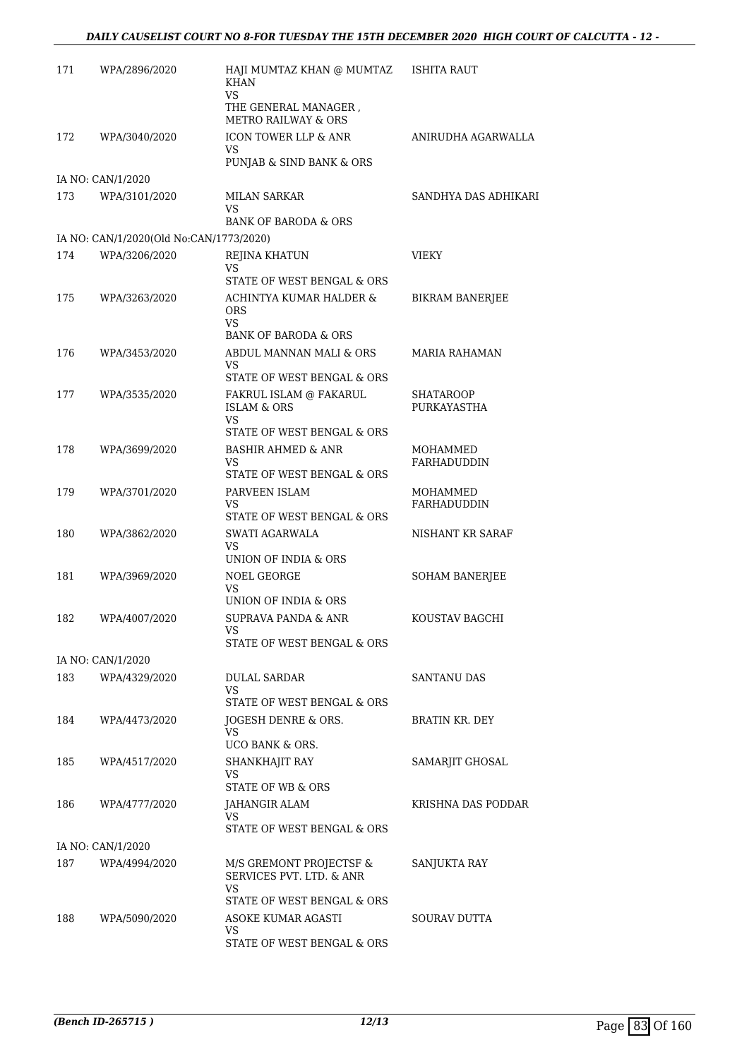| 171 | WPA/2896/2020                           | HAJI MUMTAZ KHAN @ MUMTAZ<br><b>KHAN</b><br><b>VS</b>             | ISHITA RAUT             |
|-----|-----------------------------------------|-------------------------------------------------------------------|-------------------------|
|     |                                         | THE GENERAL MANAGER,<br>METRO RAILWAY & ORS                       |                         |
| 172 | WPA/3040/2020                           | ICON TOWER LLP & ANR<br>VS.                                       | ANIRUDHA AGARWALLA      |
|     |                                         | PUNJAB & SIND BANK & ORS                                          |                         |
|     | IA NO: CAN/1/2020                       |                                                                   |                         |
| 173 | WPA/3101/2020                           | MILAN SARKAR<br>VS                                                | SANDHYA DAS ADHIKARI    |
|     |                                         | <b>BANK OF BARODA &amp; ORS</b>                                   |                         |
|     | IA NO: CAN/1/2020(Old No:CAN/1773/2020) |                                                                   |                         |
| 174 | WPA/3206/2020                           | REJINA KHATUN<br>VS<br>STATE OF WEST BENGAL & ORS                 | VIEKY                   |
| 175 | WPA/3263/2020                           | ACHINTYA KUMAR HALDER &<br><b>ORS</b>                             | <b>BIKRAM BANERJEE</b>  |
|     |                                         | VS.<br><b>BANK OF BARODA &amp; ORS</b>                            |                         |
| 176 | WPA/3453/2020                           | ABDUL MANNAN MALI & ORS                                           | <b>MARIA RAHAMAN</b>    |
|     |                                         | VS.                                                               |                         |
| 177 | WPA/3535/2020                           | STATE OF WEST BENGAL & ORS<br>FAKRUL ISLAM @ FAKARUL              | <b>SHATAROOP</b>        |
|     |                                         | <b>ISLAM &amp; ORS</b><br><b>VS</b>                               | PURKAYASTHA             |
|     |                                         | STATE OF WEST BENGAL & ORS                                        |                         |
| 178 | WPA/3699/2020                           | <b>BASHIR AHMED &amp; ANR</b><br>VS<br>STATE OF WEST BENGAL & ORS | MOHAMMED<br>FARHADUDDIN |
| 179 | WPA/3701/2020                           | PARVEEN ISLAM                                                     | MOHAMMED                |
|     |                                         | VS.<br>STATE OF WEST BENGAL & ORS                                 | FARHADUDDIN             |
| 180 | WPA/3862/2020                           | SWATI AGARWALA<br>VS                                              | NISHANT KR SARAF        |
| 181 | WPA/3969/2020                           | UNION OF INDIA & ORS<br>NOEL GEORGE                               | <b>SOHAM BANERJEE</b>   |
|     |                                         | VS.<br>UNION OF INDIA & ORS                                       |                         |
| 182 | WPA/4007/2020                           | SUPRAVA PANDA & ANR                                               | KOUSTAV BAGCHI          |
|     |                                         | VS<br>STATE OF WEST BENGAL & ORS                                  |                         |
|     | IA NO: CAN/1/2020                       |                                                                   |                         |
| 183 | WPA/4329/2020                           | DULAL SARDAR                                                      | SANTANU DAS             |
|     |                                         | VS<br>STATE OF WEST BENGAL & ORS                                  |                         |
| 184 | WPA/4473/2020                           | JOGESH DENRE & ORS.                                               | <b>BRATIN KR. DEY</b>   |
|     |                                         | VS.<br><b>UCO BANK &amp; ORS.</b>                                 |                         |
| 185 | WPA/4517/2020                           | SHANKHAJIT RAY                                                    | SAMARJIT GHOSAL         |
|     |                                         | VS.<br>STATE OF WB & ORS                                          |                         |
| 186 | WPA/4777/2020                           | JAHANGIR ALAM                                                     | KRISHNA DAS PODDAR      |
|     |                                         | VS<br>STATE OF WEST BENGAL & ORS                                  |                         |
|     | IA NO: CAN/1/2020                       |                                                                   |                         |
| 187 | WPA/4994/2020                           | M/S GREMONT PROJECTSF &<br>SERVICES PVT. LTD. & ANR               | SANJUKTA RAY            |
|     |                                         | VS.                                                               |                         |
| 188 | WPA/5090/2020                           | STATE OF WEST BENGAL & ORS<br>ASOKE KUMAR AGASTI                  | <b>SOURAV DUTTA</b>     |
|     |                                         | VS<br>STATE OF WEST BENGAL & ORS                                  |                         |
|     |                                         |                                                                   |                         |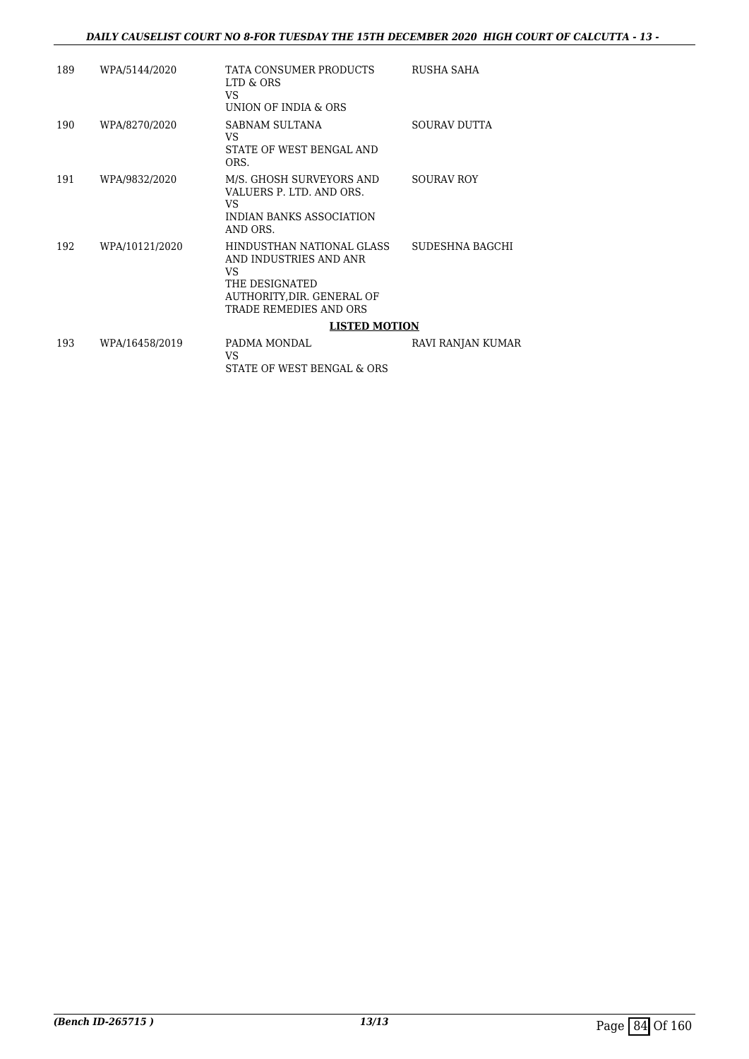| 189 | WPA/5144/2020  | TATA CONSUMER PRODUCTS<br>LTD & ORS<br>VS<br>UNION OF INDIA & ORS                                                                   | RUSHA SAHA        |
|-----|----------------|-------------------------------------------------------------------------------------------------------------------------------------|-------------------|
| 190 | WPA/8270/2020  | SABNAM SULTANA<br>VS<br>STATE OF WEST BENGAL AND<br>ORS.                                                                            | SOURAV DUTTA      |
| 191 | WPA/9832/2020  | M/S. GHOSH SURVEYORS AND<br>VALUERS P. LTD. AND ORS.<br>VS<br>INDIAN BANKS ASSOCIATION<br>AND ORS.                                  | <b>SOURAV ROY</b> |
| 192 | WPA/10121/2020 | HINDUSTHAN NATIONAL GLASS<br>AND INDUSTRIES AND ANR<br>VS<br>THE DESIGNATED<br>AUTHORITY, DIR. GENERAL OF<br>TRADE REMEDIES AND ORS | SUDESHNA BAGCHI   |
|     |                | <b>LISTED MOTION</b>                                                                                                                |                   |
| 193 | WPA/16458/2019 | PADMA MONDAL<br>VS<br>STATE OF WEST BENGAL & ORS                                                                                    | RAVI RANJAN KUMAR |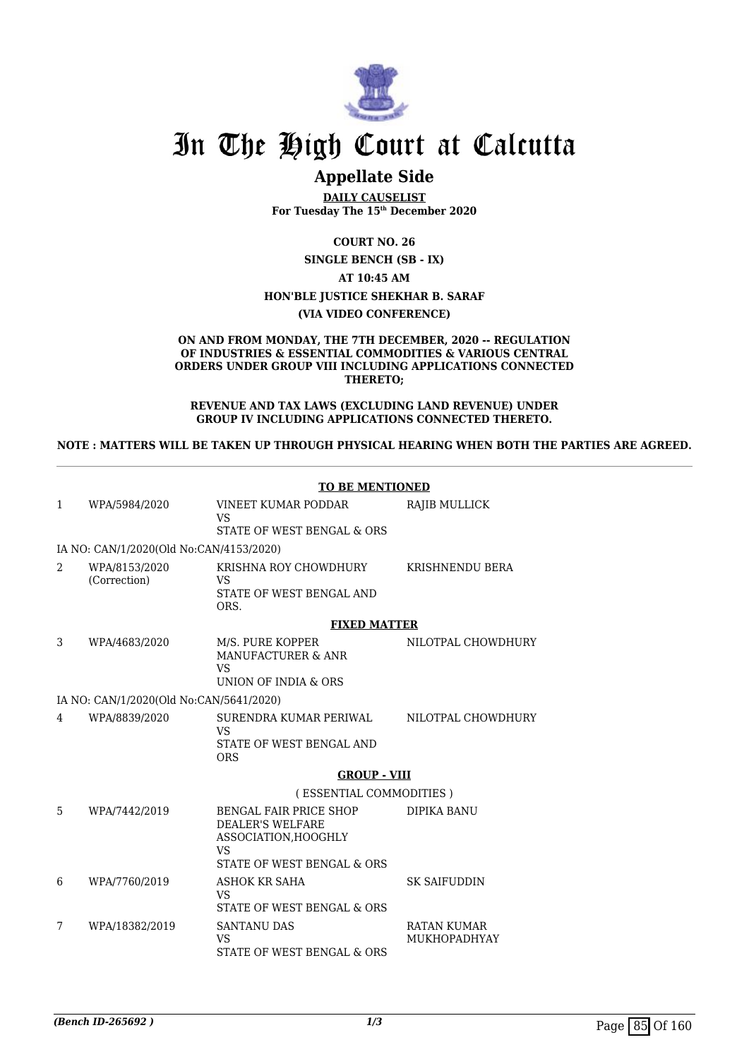

## **Appellate Side**

**DAILY CAUSELIST For Tuesday The 15th December 2020**

**COURT NO. 26**

**SINGLE BENCH (SB - IX)**

**AT 10:45 AM**

#### **HON'BLE JUSTICE SHEKHAR B. SARAF**

#### **(VIA VIDEO CONFERENCE)**

#### **ON AND FROM MONDAY, THE 7TH DECEMBER, 2020 -- REGULATION OF INDUSTRIES & ESSENTIAL COMMODITIES & VARIOUS CENTRAL ORDERS UNDER GROUP VIII INCLUDING APPLICATIONS CONNECTED THERETO;**

**REVENUE AND TAX LAWS (EXCLUDING LAND REVENUE) UNDER GROUP IV INCLUDING APPLICATIONS CONNECTED THERETO.**

**NOTE : MATTERS WILL BE TAKEN UP THROUGH PHYSICAL HEARING WHEN BOTH THE PARTIES ARE AGREED.**

|                |                                         | <b>TO BE MENTIONED</b>                                                                                        |                                           |  |
|----------------|-----------------------------------------|---------------------------------------------------------------------------------------------------------------|-------------------------------------------|--|
| $\mathbf{1}$   | WPA/5984/2020                           | <b>VINEET KUMAR PODDAR</b><br><b>VS</b>                                                                       | <b>RAJIB MULLICK</b>                      |  |
|                |                                         | STATE OF WEST BENGAL & ORS                                                                                    |                                           |  |
|                | IA NO: CAN/1/2020(Old No:CAN/4153/2020) |                                                                                                               |                                           |  |
| $\mathfrak{D}$ | WPA/8153/2020<br>(Correction)           | KRISHNA ROY CHOWDHURY<br>VS<br>STATE OF WEST BENGAL AND<br>ORS.                                               | KRISHNENDU BERA                           |  |
|                |                                         | <b>FIXED MATTER</b>                                                                                           |                                           |  |
| 3              | WPA/4683/2020                           | M/S. PURE KOPPER<br>MANUFACTURER & ANR<br><b>VS</b><br>UNION OF INDIA & ORS                                   | NILOTPAL CHOWDHURY                        |  |
|                | IA NO: CAN/1/2020(Old No:CAN/5641/2020) |                                                                                                               |                                           |  |
| 4              | WPA/8839/2020                           | SURENDRA KUMAR PERIWAL<br><b>VS</b>                                                                           | NILOTPAL CHOWDHURY                        |  |
|                |                                         | STATE OF WEST BENGAL AND<br><b>ORS</b>                                                                        |                                           |  |
|                |                                         | <b>GROUP - VIII</b>                                                                                           |                                           |  |
|                |                                         | (ESSENTIAL COMMODITIES)                                                                                       |                                           |  |
| 5              | WPA/7442/2019                           | BENGAL FAIR PRICE SHOP<br><b>DEALER'S WELFARE</b><br>ASSOCIATION, HOOGHLY<br>VS<br>STATE OF WEST BENGAL & ORS | <b>DIPIKA BANU</b>                        |  |
| 6              | WPA/7760/2019                           | <b>ASHOK KR SAHA</b><br>VS<br>STATE OF WEST BENGAL & ORS                                                      | <b>SK SAIFUDDIN</b>                       |  |
| 7              | WPA/18382/2019                          | <b>SANTANU DAS</b><br><b>VS</b><br>STATE OF WEST BENGAL & ORS                                                 | <b>RATAN KUMAR</b><br><b>MUKHOPADHYAY</b> |  |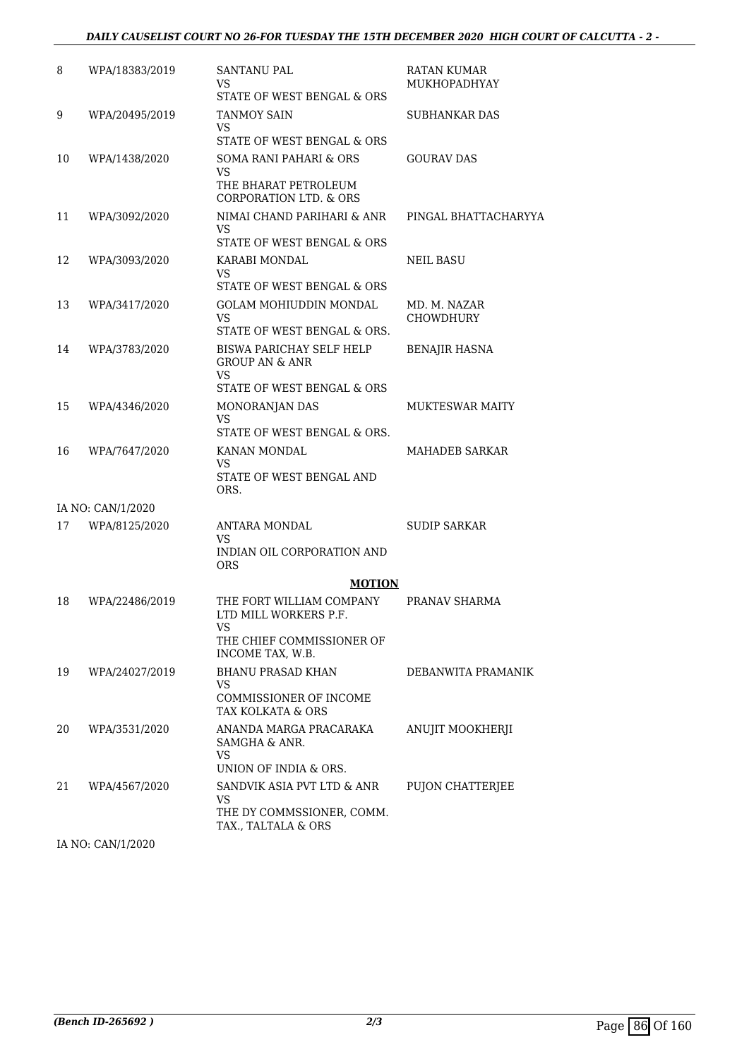### *DAILY CAUSELIST COURT NO 26-FOR TUESDAY THE 15TH DECEMBER 2020 HIGH COURT OF CALCUTTA - 2 -*

| 8  | WPA/18383/2019    | <b>SANTANU PAL</b><br>VS<br>STATE OF WEST BENGAL & ORS                                     | <b>RATAN KUMAR</b><br><b>MUKHOPADHYAY</b> |
|----|-------------------|--------------------------------------------------------------------------------------------|-------------------------------------------|
| 9  | WPA/20495/2019    | <b>TANMOY SAIN</b><br>VS<br>STATE OF WEST BENGAL & ORS                                     | <b>SUBHANKAR DAS</b>                      |
| 10 | WPA/1438/2020     | SOMA RANI PAHARI & ORS<br>VS<br>THE BHARAT PETROLEUM<br><b>CORPORATION LTD. &amp; ORS</b>  | <b>GOURAV DAS</b>                         |
| 11 | WPA/3092/2020     | NIMAI CHAND PARIHARI & ANR<br><b>VS</b><br>STATE OF WEST BENGAL & ORS                      | PINGAL BHATTACHARYYA                      |
| 12 | WPA/3093/2020     | KARABI MONDAL<br>VS<br>STATE OF WEST BENGAL & ORS                                          | <b>NEIL BASU</b>                          |
| 13 | WPA/3417/2020     | <b>GOLAM MOHIUDDIN MONDAL</b><br>VS<br>STATE OF WEST BENGAL & ORS.                         | MD. M. NAZAR<br><b>CHOWDHURY</b>          |
| 14 | WPA/3783/2020     | BISWA PARICHAY SELF HELP<br><b>GROUP AN &amp; ANR</b><br>VS.<br>STATE OF WEST BENGAL & ORS | <b>BENAJIR HASNA</b>                      |
| 15 | WPA/4346/2020     | MONORANJAN DAS<br><b>VS</b><br>STATE OF WEST BENGAL & ORS.                                 | <b>MUKTESWAR MAITY</b>                    |
| 16 | WPA/7647/2020     | KANAN MONDAL<br>VS<br>STATE OF WEST BENGAL AND<br>ORS.                                     | MAHADEB SARKAR                            |
|    | IA NO: CAN/1/2020 |                                                                                            |                                           |
| 17 | WPA/8125/2020     | ANTARA MONDAL<br>VS<br>INDIAN OIL CORPORATION AND<br>ORS                                   | <b>SUDIP SARKAR</b>                       |
|    |                   | <b>MOTION</b>                                                                              |                                           |
| 18 | WPA/22486/2019    | THE FORT WILLIAM COMPANY<br>LTD MILL WORKERS P.F.<br>VS                                    | PRANAV SHARMA                             |
|    |                   | THE CHIEF COMMISSIONER OF<br>INCOME TAX, W.B.                                              |                                           |
| 19 | WPA/24027/2019    | <b>BHANU PRASAD KHAN</b><br>VS<br>COMMISSIONER OF INCOME                                   | DEBANWITA PRAMANIK                        |
| 20 | WPA/3531/2020     | TAX KOLKATA & ORS<br>ANANDA MARGA PRACARAKA<br>SAMGHA & ANR.                               | ANUJIT MOOKHERJI                          |
|    |                   | VS<br>UNION OF INDIA & ORS.                                                                |                                           |
| 21 | WPA/4567/2020     | SANDVIK ASIA PVT LTD & ANR<br>VS<br>THE DY COMMSSIONER, COMM.<br>TAX., TALTALA & ORS       | PUJON CHATTERJEE                          |

IA NO: CAN/1/2020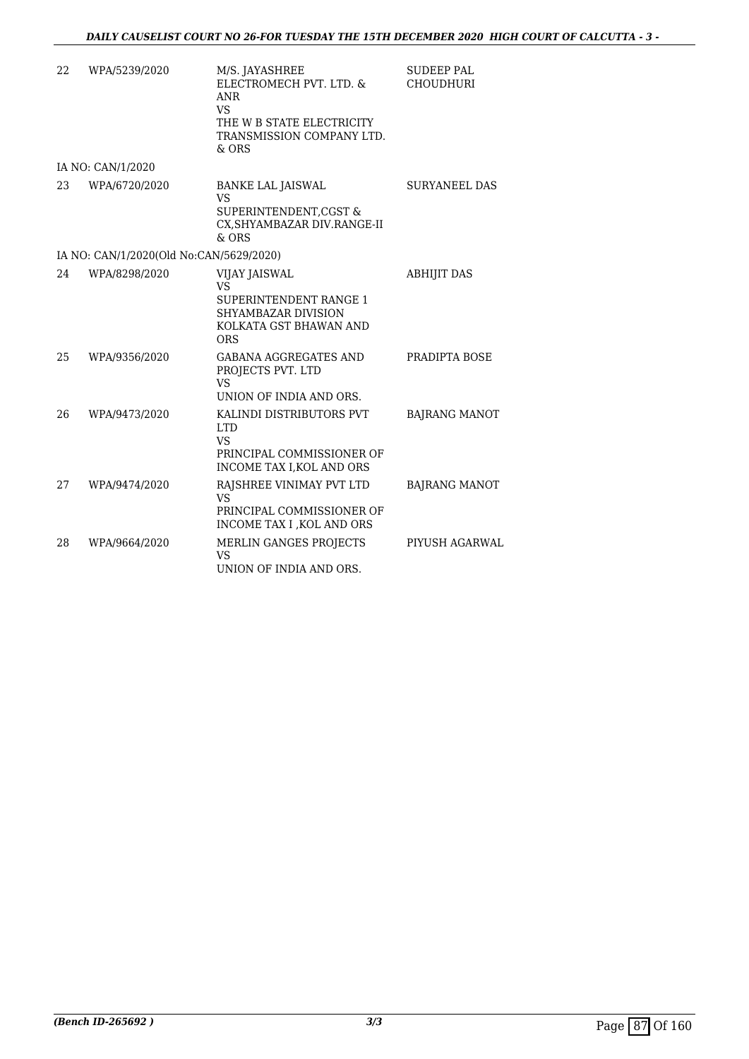| 22 | WPA/5239/2020                           | M/S. JAYASHREE<br>ELECTROMECH PVT. LTD. &<br><b>ANR</b><br><b>VS</b><br>THE W B STATE ELECTRICITY<br>TRANSMISSION COMPANY LTD.<br>$&$ ORS | <b>SUDEEP PAL</b><br><b>CHOUDHURI</b> |
|----|-----------------------------------------|-------------------------------------------------------------------------------------------------------------------------------------------|---------------------------------------|
|    | IA NO: CAN/1/2020                       |                                                                                                                                           |                                       |
| 23 | WPA/6720/2020                           | <b>BANKE LAL JAISWAL</b><br><b>VS</b><br>SUPERINTENDENT, CGST &<br>CX, SHYAMBAZAR DIV.RANGE-II<br>$&$ ORS                                 | <b>SURYANEEL DAS</b>                  |
|    | IA NO: CAN/1/2020(Old No:CAN/5629/2020) |                                                                                                                                           |                                       |
| 24 | WPA/8298/2020                           | VIJAY JAISWAL<br><b>VS</b><br><b>SUPERINTENDENT RANGE 1</b><br>SHYAMBAZAR DIVISION<br>KOLKATA GST BHAWAN AND<br><b>ORS</b>                | <b>ABHIJIT DAS</b>                    |
| 25 | WPA/9356/2020                           | <b>GABANA AGGREGATES AND</b><br>PROJECTS PVT. LTD<br><b>VS</b><br>UNION OF INDIA AND ORS.                                                 | PRADIPTA BOSE                         |
| 26 | WPA/9473/2020                           | KALINDI DISTRIBUTORS PVT<br><b>LTD</b><br><b>VS</b><br>PRINCIPAL COMMISSIONER OF<br>INCOME TAX I, KOL AND ORS                             | <b>BAJRANG MANOT</b>                  |
| 27 | WPA/9474/2020                           | RAJSHREE VINIMAY PVT LTD<br><b>VS</b><br>PRINCIPAL COMMISSIONER OF<br>INCOME TAX I , KOL AND ORS                                          | <b>BAJRANG MANOT</b>                  |
| 28 | WPA/9664/2020                           | MERLIN GANGES PROJECTS<br>VS<br>UNION OF INDIA AND ORS.                                                                                   | PIYUSH AGARWAL                        |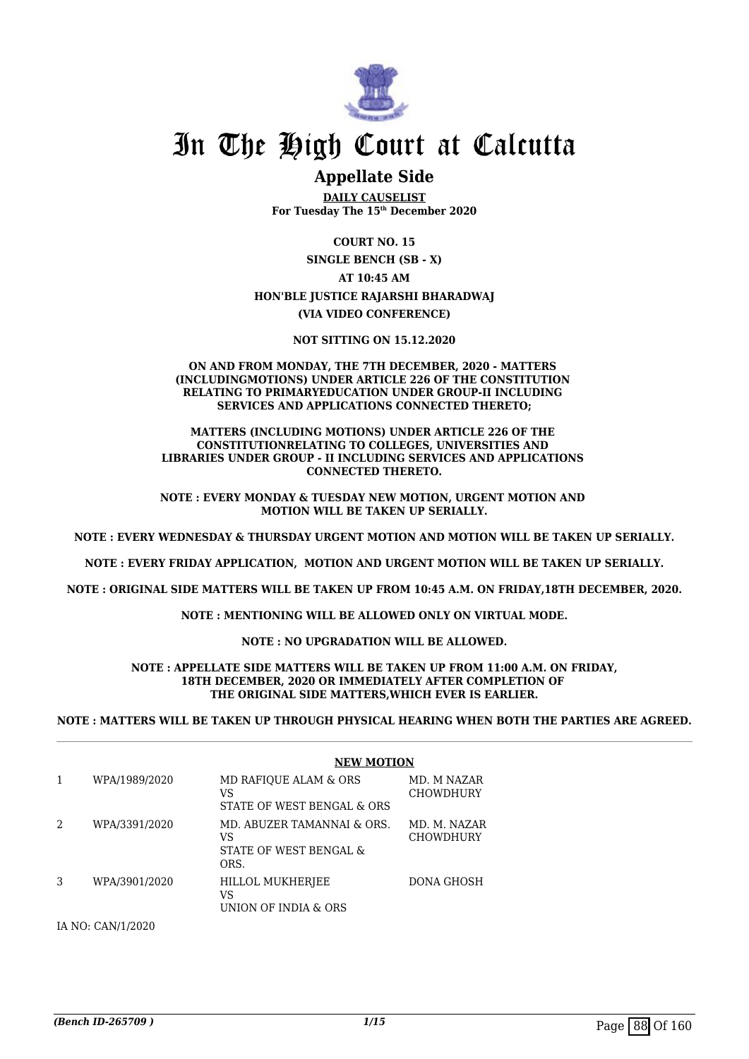

### **Appellate Side**

**DAILY CAUSELIST For Tuesday The 15th December 2020**

**COURT NO. 15**

**SINGLE BENCH (SB - X) AT 10:45 AM HON'BLE JUSTICE RAJARSHI BHARADWAJ (VIA VIDEO CONFERENCE)**

**NOT SITTING ON 15.12.2020**

#### **ON AND FROM MONDAY, THE 7TH DECEMBER, 2020 - MATTERS (INCLUDINGMOTIONS) UNDER ARTICLE 226 OF THE CONSTITUTION RELATING TO PRIMARYEDUCATION UNDER GROUP-II INCLUDING SERVICES AND APPLICATIONS CONNECTED THERETO;**

#### **MATTERS (INCLUDING MOTIONS) UNDER ARTICLE 226 OF THE CONSTITUTIONRELATING TO COLLEGES, UNIVERSITIES AND LIBRARIES UNDER GROUP - II INCLUDING SERVICES AND APPLICATIONS CONNECTED THERETO.**

**NOTE : EVERY MONDAY & TUESDAY NEW MOTION, URGENT MOTION AND MOTION WILL BE TAKEN UP SERIALLY.**

**NOTE : EVERY WEDNESDAY & THURSDAY URGENT MOTION AND MOTION WILL BE TAKEN UP SERIALLY.**

**NOTE : EVERY FRIDAY APPLICATION, MOTION AND URGENT MOTION WILL BE TAKEN UP SERIALLY.**

**NOTE : ORIGINAL SIDE MATTERS WILL BE TAKEN UP FROM 10:45 A.M. ON FRIDAY,18TH DECEMBER, 2020.**

**NOTE : MENTIONING WILL BE ALLOWED ONLY ON VIRTUAL MODE.**

**NOTE : NO UPGRADATION WILL BE ALLOWED.**

#### **NOTE : APPELLATE SIDE MATTERS WILL BE TAKEN UP FROM 11:00 A.M. ON FRIDAY, 18TH DECEMBER, 2020 OR IMMEDIATELY AFTER COMPLETION OF THE ORIGINAL SIDE MATTERS,WHICH EVER IS EARLIER.**

**NOTE : MATTERS WILL BE TAKEN UP THROUGH PHYSICAL HEARING WHEN BOTH THE PARTIES ARE AGREED.**

|   |               | <b>NEW MOTION</b>                                                  |                                  |
|---|---------------|--------------------------------------------------------------------|----------------------------------|
|   | WPA/1989/2020 | MD RAFIOUE ALAM & ORS<br>VS<br>STATE OF WEST BENGAL & ORS          | MD. M NAZAR<br><b>CHOWDHURY</b>  |
|   | WPA/3391/2020 | MD. ABUZER TAMANNAI & ORS.<br>VS<br>STATE OF WEST BENGAL &<br>ORS. | MD. M. NAZAR<br><b>CHOWDHURY</b> |
| 3 | WPA/3901/2020 | HILLOL MUKHERJEE<br>VS<br>UNION OF INDIA & ORS                     | DONA GHOSH                       |

IA NO: CAN/1/2020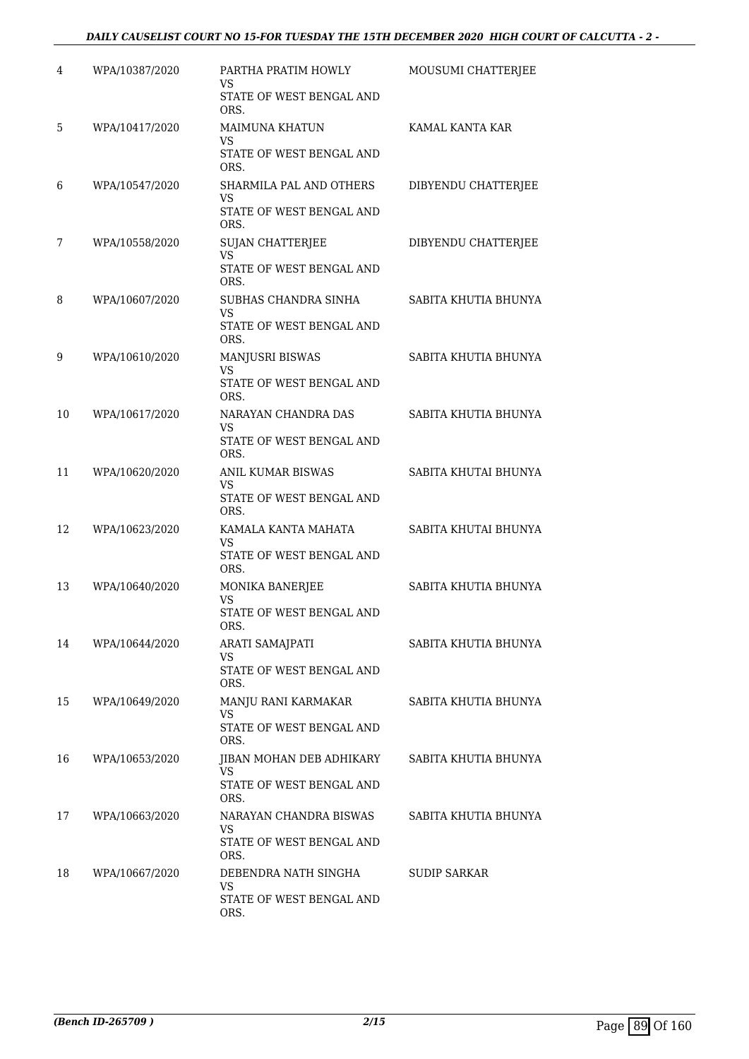### *DAILY CAUSELIST COURT NO 15-FOR TUESDAY THE 15TH DECEMBER 2020 HIGH COURT OF CALCUTTA - 2 -*

| 4  | WPA/10387/2020 | PARTHA PRATIM HOWLY<br>VS                                                     | MOUSUMI CHATTERJEE   |
|----|----------------|-------------------------------------------------------------------------------|----------------------|
|    |                | STATE OF WEST BENGAL AND<br>ORS.                                              |                      |
| 5  | WPA/10417/2020 | <b>MAIMUNA KHATUN</b><br>VS<br>STATE OF WEST BENGAL AND                       | KAMAL KANTA KAR      |
| 6  | WPA/10547/2020 | ORS.<br>SHARMILA PAL AND OTHERS<br>VS                                         | DIBYENDU CHATTERJEE  |
|    |                | STATE OF WEST BENGAL AND<br>ORS.                                              |                      |
| 7  | WPA/10558/2020 | <b>SUJAN CHATTERJEE</b><br><b>VS</b><br>STATE OF WEST BENGAL AND<br>ORS.      | DIBYENDU CHATTERJEE  |
| 8  | WPA/10607/2020 | SUBHAS CHANDRA SINHA<br>VS<br>STATE OF WEST BENGAL AND<br>ORS.                | SABITA KHUTIA BHUNYA |
| 9  | WPA/10610/2020 | MANJUSRI BISWAS<br>VS<br>STATE OF WEST BENGAL AND<br>ORS.                     | SABITA KHUTIA BHUNYA |
| 10 | WPA/10617/2020 | NARAYAN CHANDRA DAS<br>VS<br>STATE OF WEST BENGAL AND<br>ORS.                 | SABITA KHUTIA BHUNYA |
| 11 | WPA/10620/2020 | ANIL KUMAR BISWAS<br>VS<br>STATE OF WEST BENGAL AND                           | SABITA KHUTAI BHUNYA |
| 12 | WPA/10623/2020 | ORS.<br>KAMALA KANTA MAHATA                                                   | SABITA KHUTAI BHUNYA |
|    |                | <b>VS</b><br>STATE OF WEST BENGAL AND<br>ORS.                                 |                      |
| 13 | WPA/10640/2020 | MONIKA BANERJEE<br>VS<br>STATE OF WEST BENGAL AND<br>ORS.                     | SABITA KHUTIA BHUNYA |
| 14 | WPA/10644/2020 | ARATI SAMAJPATI<br><b>VS</b><br>STATE OF WEST BENGAL AND<br>ORS.              | SABITA KHUTIA BHUNYA |
| 15 | WPA/10649/2020 | MANJU RANI KARMAKAR<br>VS<br>STATE OF WEST BENGAL AND<br>ORS.                 | SABITA KHUTIA BHUNYA |
| 16 | WPA/10653/2020 | JIBAN MOHAN DEB ADHIKARY<br>VS<br>STATE OF WEST BENGAL AND                    | SABITA KHUTIA BHUNYA |
| 17 | WPA/10663/2020 | ORS.<br>NARAYAN CHANDRA BISWAS<br>VS<br>STATE OF WEST BENGAL AND              | SABITA KHUTIA BHUNYA |
| 18 | WPA/10667/2020 | ORS.<br>DEBENDRA NATH SINGHA<br><b>VS</b><br>STATE OF WEST BENGAL AND<br>ORS. | <b>SUDIP SARKAR</b>  |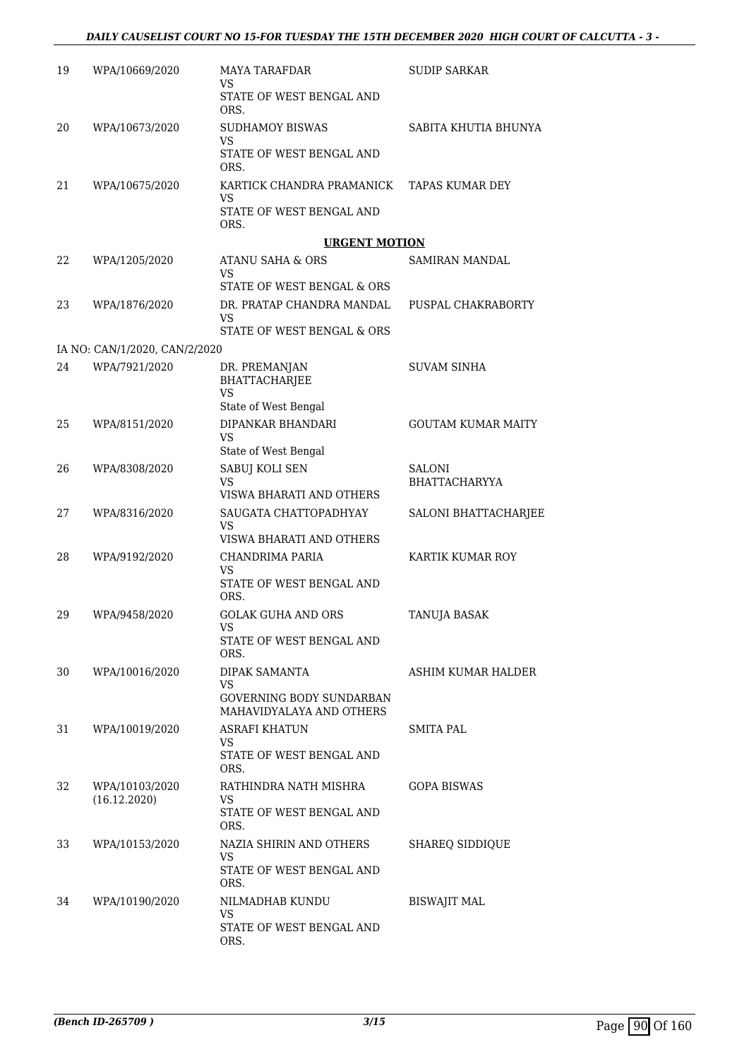| 19 | WPA/10669/2020                | <b>MAYA TARAFDAR</b><br>VS                                  | <b>SUDIP SARKAR</b>       |
|----|-------------------------------|-------------------------------------------------------------|---------------------------|
|    |                               | STATE OF WEST BENGAL AND<br>ORS.                            |                           |
| 20 | WPA/10673/2020                | <b>SUDHAMOY BISWAS</b><br><b>VS</b>                         | SABITA KHUTIA BHUNYA      |
|    |                               | STATE OF WEST BENGAL AND<br>ORS.                            |                           |
| 21 | WPA/10675/2020                | KARTICK CHANDRA PRAMANICK<br><b>VS</b>                      | <b>TAPAS KUMAR DEY</b>    |
|    |                               | STATE OF WEST BENGAL AND<br>ORS.                            |                           |
|    |                               | <b>URGENT MOTION</b>                                        |                           |
| 22 | WPA/1205/2020                 | <b>ATANU SAHA &amp; ORS</b><br>VS                           | SAMIRAN MANDAL            |
| 23 | WPA/1876/2020                 | STATE OF WEST BENGAL & ORS<br>DR. PRATAP CHANDRA MANDAL     | PUSPAL CHAKRABORTY        |
|    |                               | <b>VS</b><br>STATE OF WEST BENGAL & ORS                     |                           |
|    | IA NO: CAN/1/2020, CAN/2/2020 |                                                             |                           |
| 24 | WPA/7921/2020                 | DR. PREMANJAN<br><b>BHATTACHARJEE</b><br><b>VS</b>          | <b>SUVAM SINHA</b>        |
|    |                               | State of West Bengal                                        |                           |
| 25 | WPA/8151/2020                 | DIPANKAR BHANDARI<br><b>VS</b>                              | <b>GOUTAM KUMAR MAITY</b> |
| 26 | WPA/8308/2020                 | State of West Bengal<br>SABUJ KOLI SEN                      | SALONI                    |
|    |                               | VS<br>VISWA BHARATI AND OTHERS                              | BHATTACHARYYA             |
| 27 | WPA/8316/2020                 | SAUGATA CHATTOPADHYAY<br>VS                                 | SALONI BHATTACHARJEE      |
| 28 | WPA/9192/2020                 | VISWA BHARATI AND OTHERS<br>CHANDRIMA PARIA                 | KARTIK KUMAR ROY          |
|    |                               | VS<br>STATE OF WEST BENGAL AND<br>ORS.                      |                           |
| 29 | WPA/9458/2020                 | <b>GOLAK GUHA AND ORS</b>                                   | TANUJA BASAK              |
|    |                               | VS<br>STATE OF WEST BENGAL AND                              |                           |
| 30 | WPA/10016/2020                | ORS.<br>DIPAK SAMANTA                                       | ASHIM KUMAR HALDER        |
|    |                               | VS.                                                         |                           |
|    |                               | <b>GOVERNING BODY SUNDARBAN</b><br>MAHAVIDYALAYA AND OTHERS |                           |
| 31 | WPA/10019/2020                | <b>ASRAFI KHATUN</b><br>VS.                                 | SMITA PAL                 |
|    |                               | STATE OF WEST BENGAL AND<br>ORS.                            |                           |
| 32 | WPA/10103/2020                | RATHINDRA NATH MISHRA                                       | GOPA BISWAS               |
|    | (16.12.2020)                  | VS<br>STATE OF WEST BENGAL AND<br>ORS.                      |                           |
| 33 | WPA/10153/2020                | NAZIA SHIRIN AND OTHERS<br>VS                               | <b>SHAREQ SIDDIQUE</b>    |
|    |                               | STATE OF WEST BENGAL AND<br>ORS.                            |                           |
| 34 | WPA/10190/2020                | NILMADHAB KUNDU<br><b>VS</b>                                | <b>BISWAJIT MAL</b>       |
|    |                               | STATE OF WEST BENGAL AND<br>ORS.                            |                           |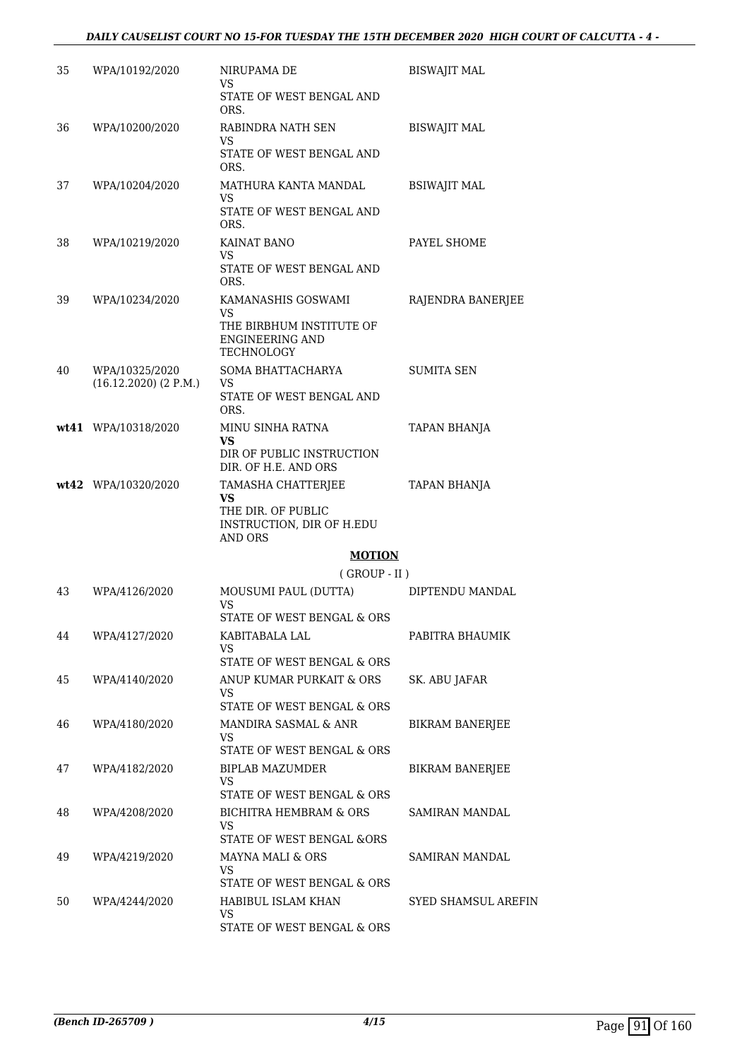### *DAILY CAUSELIST COURT NO 15-FOR TUESDAY THE 15TH DECEMBER 2020 HIGH COURT OF CALCUTTA - 4 -*

| 35 | WPA/10192/2020            | NIRUPAMA DE<br>VS<br>STATE OF WEST BENGAL AND                                                        | <b>BISWAJIT MAL</b>        |
|----|---------------------------|------------------------------------------------------------------------------------------------------|----------------------------|
|    |                           | ORS.                                                                                                 |                            |
| 36 | WPA/10200/2020            | RABINDRA NATH SEN<br>VS                                                                              | <b>BISWAJIT MAL</b>        |
|    |                           | STATE OF WEST BENGAL AND<br>ORS.                                                                     |                            |
| 37 | WPA/10204/2020            | MATHURA KANTA MANDAL<br><b>VS</b><br>STATE OF WEST BENGAL AND                                        | <b>BSIWAJIT MAL</b>        |
|    |                           | ORS.                                                                                                 |                            |
| 38 | WPA/10219/2020            | KAINAT BANO<br>VS                                                                                    | PAYEL SHOME                |
|    |                           | STATE OF WEST BENGAL AND<br>ORS.                                                                     |                            |
| 39 | WPA/10234/2020            | KAMANASHIS GOSWAMI                                                                                   | RAJENDRA BANERJEE          |
|    |                           | VS<br>THE BIRBHUM INSTITUTE OF<br><b>ENGINEERING AND</b><br>TECHNOLOGY                               |                            |
| 40 | WPA/10325/2020            | SOMA BHATTACHARYA                                                                                    | <b>SUMITA SEN</b>          |
|    | $(16.12.2020)$ $(2 P.M.)$ | VS<br>STATE OF WEST BENGAL AND<br>ORS.                                                               |                            |
|    | wt41 WPA/10318/2020       | MINU SINHA RATNA                                                                                     | TAPAN BHANJA               |
|    |                           | VS<br>DIR OF PUBLIC INSTRUCTION<br>DIR. OF H.E. AND ORS                                              |                            |
|    | wt42 WPA/10320/2020       | TAMASHA CHATTERJEE<br><b>VS</b><br>THE DIR. OF PUBLIC<br>INSTRUCTION, DIR OF H.EDU<br><b>AND ORS</b> | TAPAN BHANJA               |
|    |                           | <b>MOTION</b>                                                                                        |                            |
|    |                           | $($ GROUP - II $)$                                                                                   |                            |
| 43 | WPA/4126/2020             | MOUSUMI PAUL (DUTTA)<br>VS                                                                           | DIPTENDU MANDAL            |
|    |                           | STATE OF WEST BENGAL & ORS                                                                           |                            |
| 44 | WPA/4127/2020             | KABITABALA LAL<br>VS                                                                                 | PABITRA BHAUMIK            |
|    |                           | STATE OF WEST BENGAL & ORS                                                                           |                            |
| 45 | WPA/4140/2020             | ANUP KUMAR PURKAIT & ORS<br>VS                                                                       | SK. ABU JAFAR              |
|    |                           | STATE OF WEST BENGAL & ORS                                                                           |                            |
| 46 | WPA/4180/2020             | MANDIRA SASMAL & ANR<br><b>VS</b><br>STATE OF WEST BENGAL & ORS                                      | <b>BIKRAM BANERJEE</b>     |
| 47 | WPA/4182/2020             | BIPLAB MAZUMDER                                                                                      | <b>BIKRAM BANERJEE</b>     |
|    |                           | <b>VS</b><br>STATE OF WEST BENGAL & ORS                                                              |                            |
| 48 | WPA/4208/2020             | <b>BICHITRA HEMBRAM &amp; ORS</b><br>VS                                                              | SAMIRAN MANDAL             |
|    |                           | <b>STATE OF WEST BENGAL &amp;ORS</b>                                                                 |                            |
| 49 | WPA/4219/2020             | MAYNA MALI & ORS<br>VS<br>STATE OF WEST BENGAL & ORS                                                 | SAMIRAN MANDAL             |
| 50 | WPA/4244/2020             | HABIBUL ISLAM KHAN                                                                                   | <b>SYED SHAMSUL AREFIN</b> |
|    |                           | VS<br>STATE OF WEST BENGAL & ORS                                                                     |                            |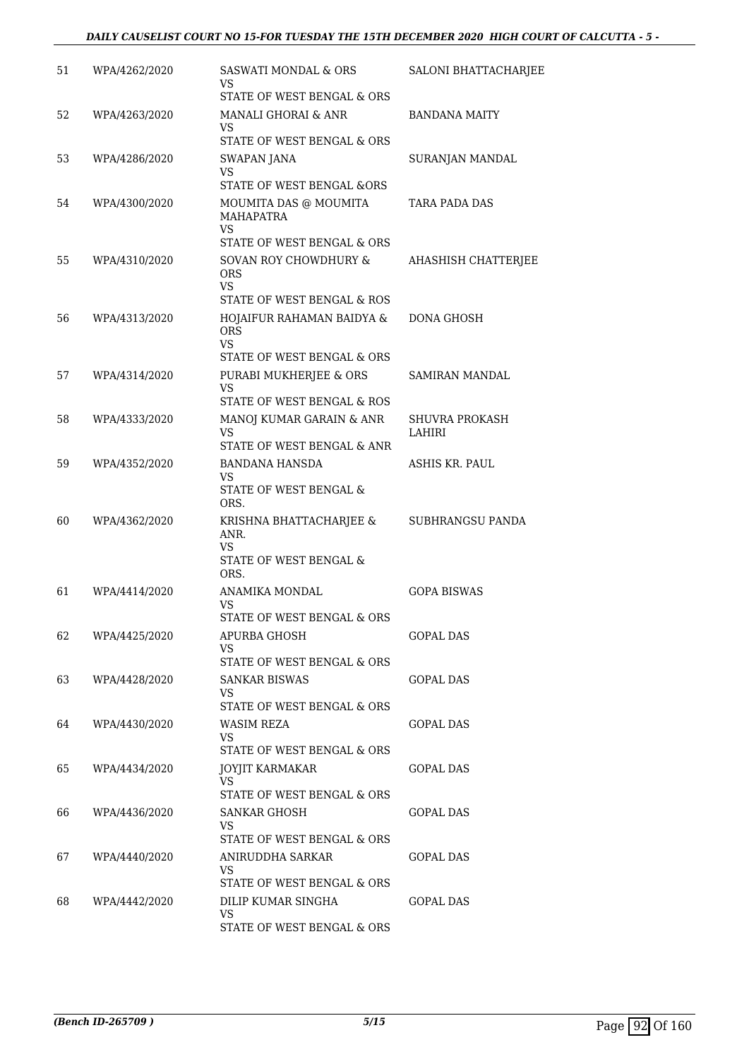### *DAILY CAUSELIST COURT NO 15-FOR TUESDAY THE 15TH DECEMBER 2020 HIGH COURT OF CALCUTTA - 5 -*

| 51 | WPA/4262/2020 | <b>SASWATI MONDAL &amp; ORS</b><br>VS<br>STATE OF WEST BENGAL & ORS                      | <b>SALONI BHATTACHARJEE</b>     |
|----|---------------|------------------------------------------------------------------------------------------|---------------------------------|
| 52 | WPA/4263/2020 | MANALI GHORAI & ANR<br>VS<br>STATE OF WEST BENGAL & ORS                                  | <b>BANDANA MAITY</b>            |
| 53 | WPA/4286/2020 | SWAPAN JANA<br><b>VS</b><br><b>STATE OF WEST BENGAL &amp;ORS</b>                         | SURANJAN MANDAL                 |
| 54 | WPA/4300/2020 | MOUMITA DAS @ MOUMITA<br>MAHAPATRA<br>VS                                                 | TARA PADA DAS                   |
| 55 | WPA/4310/2020 | STATE OF WEST BENGAL & ORS<br>SOVAN ROY CHOWDHURY &<br>ORS<br><b>VS</b>                  | AHASHISH CHATTERJEE             |
| 56 | WPA/4313/2020 | STATE OF WEST BENGAL & ROS<br>HOJAIFUR RAHAMAN BAIDYA &<br><b>ORS</b><br>VS              | DONA GHOSH                      |
| 57 | WPA/4314/2020 | STATE OF WEST BENGAL & ORS<br>PURABI MUKHERJEE & ORS<br>VS<br>STATE OF WEST BENGAL & ROS | SAMIRAN MANDAL                  |
| 58 | WPA/4333/2020 | MANOJ KUMAR GARAIN & ANR<br>VS<br>STATE OF WEST BENGAL & ANR                             | <b>SHUVRA PROKASH</b><br>LAHIRI |
| 59 | WPA/4352/2020 | <b>BANDANA HANSDA</b><br><b>VS</b><br>STATE OF WEST BENGAL &<br>ORS.                     | ASHIS KR. PAUL                  |
| 60 | WPA/4362/2020 | KRISHNA BHATTACHARJEE &<br>ANR.<br>VS<br>STATE OF WEST BENGAL &<br>ORS.                  | SUBHRANGSU PANDA                |
| 61 | WPA/4414/2020 | ANAMIKA MONDAL<br>VS<br>STATE OF WEST BENGAL & ORS                                       | <b>GOPA BISWAS</b>              |
| 62 | WPA/4425/2020 | APURBA GHOSH<br>VS.<br>STATE OF WEST BENGAL & ORS                                        | GOPAL DAS                       |
| 63 | WPA/4428/2020 | <b>SANKAR BISWAS</b><br>VS<br>STATE OF WEST BENGAL & ORS                                 | <b>GOPAL DAS</b>                |
| 64 | WPA/4430/2020 | WASIM REZA<br>VS<br>STATE OF WEST BENGAL & ORS                                           | GOPAL DAS                       |
| 65 | WPA/4434/2020 | <b>JOYJIT KARMAKAR</b><br>VS<br>STATE OF WEST BENGAL & ORS                               | GOPAL DAS                       |
| 66 | WPA/4436/2020 | SANKAR GHOSH<br>VS<br>STATE OF WEST BENGAL & ORS                                         | GOPAL DAS                       |
| 67 | WPA/4440/2020 | ANIRUDDHA SARKAR<br>VS.<br>STATE OF WEST BENGAL & ORS                                    | GOPAL DAS                       |
| 68 | WPA/4442/2020 | DILIP KUMAR SINGHA<br><b>VS</b><br>STATE OF WEST BENGAL & ORS                            | <b>GOPAL DAS</b>                |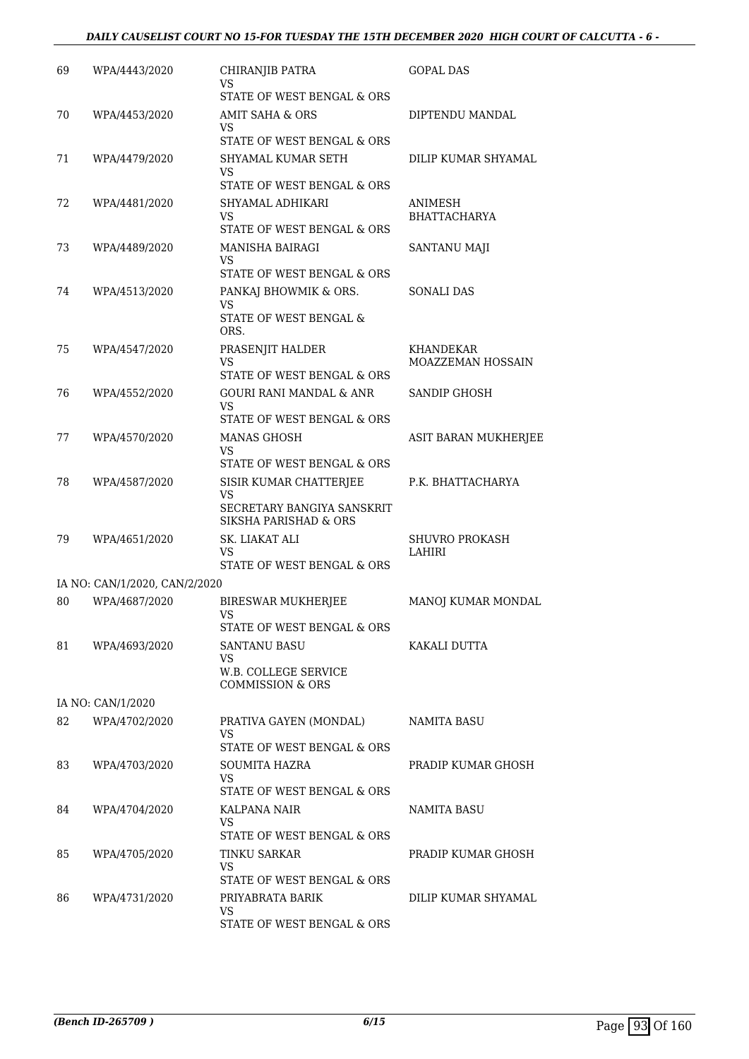### *DAILY CAUSELIST COURT NO 15-FOR TUESDAY THE 15TH DECEMBER 2020 HIGH COURT OF CALCUTTA - 6 -*

| 69 | WPA/4443/2020                 | CHIRANJIB PATRA<br>VS                                            | <b>GOPAL DAS</b>      |
|----|-------------------------------|------------------------------------------------------------------|-----------------------|
|    |                               | STATE OF WEST BENGAL & ORS                                       |                       |
| 70 | WPA/4453/2020                 | AMIT SAHA & ORS<br>VS                                            | DIPTENDU MANDAL       |
|    |                               | STATE OF WEST BENGAL & ORS                                       |                       |
| 71 | WPA/4479/2020                 | SHYAMAL KUMAR SETH<br>VS<br>STATE OF WEST BENGAL & ORS           | DILIP KUMAR SHYAMAL   |
| 72 |                               | SHYAMAL ADHIKARI                                                 | ANIMESH               |
|    | WPA/4481/2020                 | VS<br>STATE OF WEST BENGAL & ORS                                 | <b>BHATTACHARYA</b>   |
| 73 | WPA/4489/2020                 | <b>MANISHA BAIRAGI</b>                                           | SANTANU MAJI          |
|    |                               | VS<br>STATE OF WEST BENGAL & ORS                                 |                       |
| 74 | WPA/4513/2020                 | PANKAJ BHOWMIK & ORS.                                            | <b>SONALI DAS</b>     |
|    |                               | VS<br>STATE OF WEST BENGAL &<br>ORS.                             |                       |
| 75 | WPA/4547/2020                 | PRASENJIT HALDER                                                 | KHANDEKAR             |
|    |                               | VS                                                               | MOAZZEMAN HOSSAIN     |
|    |                               | STATE OF WEST BENGAL & ORS                                       |                       |
| 76 | WPA/4552/2020                 | GOURI RANI MANDAL & ANR<br>VS                                    | <b>SANDIP GHOSH</b>   |
|    |                               | STATE OF WEST BENGAL & ORS                                       |                       |
| 77 | WPA/4570/2020                 | <b>MANAS GHOSH</b><br>VS                                         | ASIT BARAN MUKHERJEE  |
|    |                               | STATE OF WEST BENGAL & ORS                                       |                       |
| 78 | WPA/4587/2020                 | SISIR KUMAR CHATTERJEE                                           | P.K. BHATTACHARYA     |
|    |                               | <b>VS</b><br>SECRETARY BANGIYA SANSKRIT<br>SIKSHA PARISHAD & ORS |                       |
| 79 | WPA/4651/2020                 | SK. LIAKAT ALI                                                   | <b>SHUVRO PROKASH</b> |
|    |                               | VS<br>STATE OF WEST BENGAL & ORS                                 | LAHIRI                |
|    | IA NO: CAN/1/2020, CAN/2/2020 |                                                                  |                       |
| 80 | WPA/4687/2020                 | <b>BIRESWAR MUKHERJEE</b><br><b>VS</b>                           | MANOJ KUMAR MONDAL    |
|    |                               | STATE OF WEST BENGAL & ORS                                       |                       |
| 81 | WPA/4693/2020                 | SANTANU BASU<br><b>VS</b>                                        | KAKALI DUTTA          |
|    |                               | W.B. COLLEGE SERVICE<br><b>COMMISSION &amp; ORS</b>              |                       |
|    | IA NO: CAN/1/2020             |                                                                  |                       |
| 82 | WPA/4702/2020                 | PRATIVA GAYEN (MONDAL)                                           | NAMITA BASU           |
|    |                               | VS<br>STATE OF WEST BENGAL & ORS                                 |                       |
| 83 | WPA/4703/2020                 | SOUMITA HAZRA                                                    | PRADIP KUMAR GHOSH    |
|    |                               | <b>VS</b><br>STATE OF WEST BENGAL & ORS                          |                       |
| 84 | WPA/4704/2020                 | KALPANA NAIR                                                     | NAMITA BASU           |
|    |                               | VS<br>STATE OF WEST BENGAL & ORS                                 |                       |
| 85 | WPA/4705/2020                 | TINKU SARKAR                                                     | PRADIP KUMAR GHOSH    |
|    |                               | VS<br>STATE OF WEST BENGAL & ORS                                 |                       |
|    |                               |                                                                  |                       |
| 86 | WPA/4731/2020                 | PRIYABRATA BARIK<br>VS                                           | DILIP KUMAR SHYAMAL   |
|    |                               | STATE OF WEST BENGAL & ORS                                       |                       |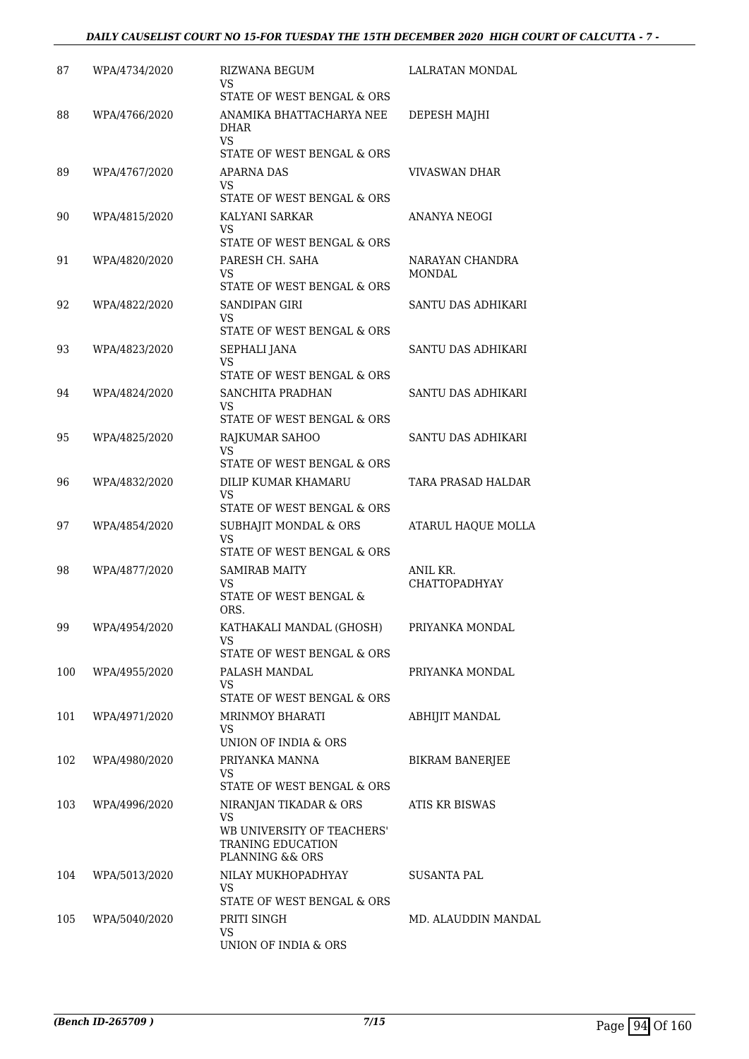| 87  | WPA/4734/2020 | <b>RIZWANA BEGUM</b><br>VS<br>STATE OF WEST BENGAL & ORS                                           | LALRATAN MONDAL           |
|-----|---------------|----------------------------------------------------------------------------------------------------|---------------------------|
| 88  | WPA/4766/2020 | ANAMIKA BHATTACHARYA NEE<br><b>DHAR</b><br>VS<br>STATE OF WEST BENGAL & ORS                        | DEPESH MAJHI              |
| 89  | WPA/4767/2020 | APARNA DAS<br>VS<br>STATE OF WEST BENGAL & ORS                                                     | VIVASWAN DHAR             |
| 90  | WPA/4815/2020 | KALYANI SARKAR<br>VS<br>STATE OF WEST BENGAL & ORS                                                 | ANANYA NEOGI              |
| 91  | WPA/4820/2020 | PARESH CH. SAHA<br>VS<br>STATE OF WEST BENGAL & ORS                                                | NARAYAN CHANDRA<br>MONDAL |
| 92  | WPA/4822/2020 | SANDIPAN GIRI<br>VS                                                                                | SANTU DAS ADHIKARI        |
| 93  | WPA/4823/2020 | STATE OF WEST BENGAL & ORS<br>SEPHALI JANA<br>VS<br>STATE OF WEST BENGAL & ORS                     | SANTU DAS ADHIKARI        |
| 94  | WPA/4824/2020 | SANCHITA PRADHAN<br>VS<br>STATE OF WEST BENGAL & ORS                                               | SANTU DAS ADHIKARI        |
| 95  | WPA/4825/2020 | RAJKUMAR SAHOO<br><b>VS</b><br>STATE OF WEST BENGAL & ORS                                          | SANTU DAS ADHIKARI        |
| 96  | WPA/4832/2020 | DILIP KUMAR KHAMARU<br>VS<br>STATE OF WEST BENGAL & ORS                                            | TARA PRASAD HALDAR        |
| 97  | WPA/4854/2020 | SUBHAJIT MONDAL & ORS<br><b>VS</b><br>STATE OF WEST BENGAL & ORS                                   | ATARUL HAQUE MOLLA        |
| 98  | WPA/4877/2020 | <b>SAMIRAB MAITY</b><br>VS<br>STATE OF WEST BENGAL &<br>ORS.                                       | ANIL KR.<br>CHATTOPADHYAY |
| 99  | WPA/4954/2020 | KATHAKALI MANDAL (GHOSH)<br>VS<br>STATE OF WEST BENGAL & ORS                                       | PRIYANKA MONDAL           |
| 100 | WPA/4955/2020 | PALASH MANDAL<br>VS<br>STATE OF WEST BENGAL & ORS                                                  | PRIYANKA MONDAL           |
| 101 | WPA/4971/2020 | <b>MRINMOY BHARATI</b><br>VS<br>UNION OF INDIA & ORS                                               | ABHIJIT MANDAL            |
| 102 | WPA/4980/2020 | PRIYANKA MANNA<br>VS<br>STATE OF WEST BENGAL & ORS                                                 | BIKRAM BANERJEE           |
| 103 | WPA/4996/2020 | NIRANJAN TIKADAR & ORS<br>VS<br>WB UNIVERSITY OF TEACHERS'<br>TRANING EDUCATION<br>PLANNING && ORS | ATIS KR BISWAS            |
| 104 | WPA/5013/2020 | NILAY MUKHOPADHYAY<br><b>VS</b><br>STATE OF WEST BENGAL & ORS                                      | SUSANTA PAL               |
| 105 | WPA/5040/2020 | PRITI SINGH<br>VS<br>UNION OF INDIA & ORS                                                          | MD. ALAUDDIN MANDAL       |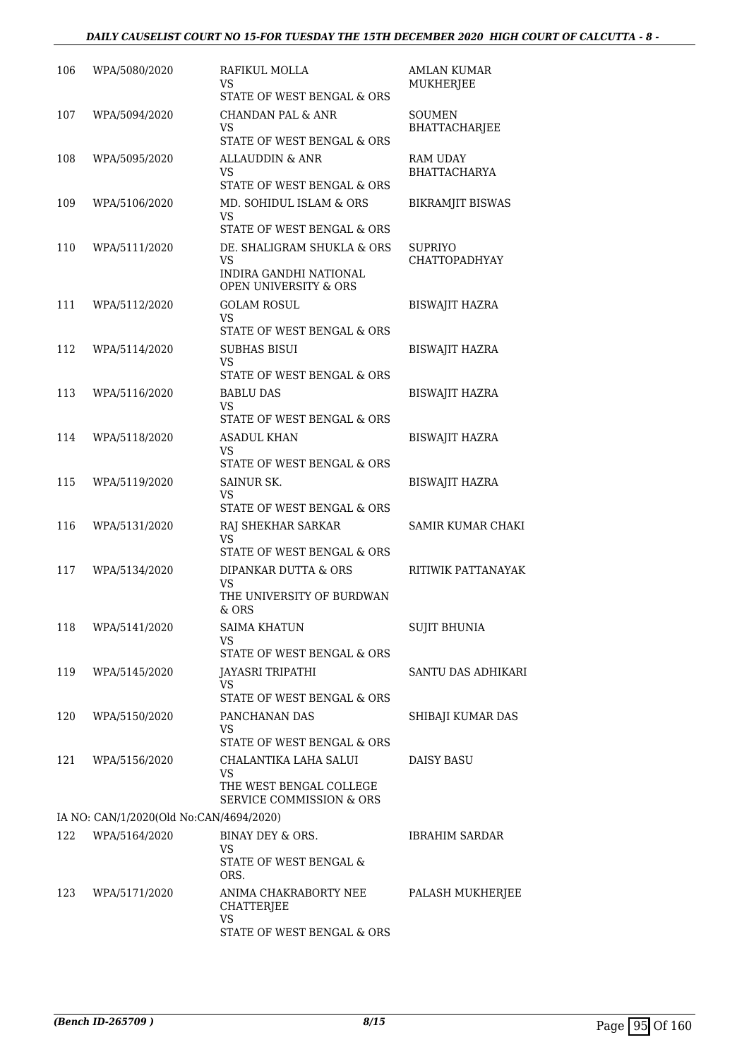### *DAILY CAUSELIST COURT NO 15-FOR TUESDAY THE 15TH DECEMBER 2020 HIGH COURT OF CALCUTTA - 8 -*

| 106 | WPA/5080/2020                           | RAFIKUL MOLLA<br>VS<br>STATE OF WEST BENGAL & ORS                                                                            | <b>AMLAN KUMAR</b><br>MUKHERJEE       |
|-----|-----------------------------------------|------------------------------------------------------------------------------------------------------------------------------|---------------------------------------|
| 107 | WPA/5094/2020                           | CHANDAN PAL & ANR<br>VS<br>STATE OF WEST BENGAL & ORS                                                                        | <b>SOUMEN</b><br><b>BHATTACHARJEE</b> |
| 108 | WPA/5095/2020                           | ALLAUDDIN & ANR<br>VS<br>STATE OF WEST BENGAL & ORS                                                                          | RAM UDAY<br><b>BHATTACHARYA</b>       |
| 109 | WPA/5106/2020                           | MD. SOHIDUL ISLAM & ORS<br>VS                                                                                                | <b>BIKRAMJIT BISWAS</b>               |
| 110 | WPA/5111/2020                           | STATE OF WEST BENGAL & ORS<br>DE. SHALIGRAM SHUKLA & ORS<br>VS<br>INDIRA GANDHI NATIONAL<br><b>OPEN UNIVERSITY &amp; ORS</b> | <b>SUPRIYO</b><br>CHATTOPADHYAY       |
| 111 | WPA/5112/2020                           | <b>GOLAM ROSUL</b><br>VS.<br>STATE OF WEST BENGAL & ORS                                                                      | <b>BISWAJIT HAZRA</b>                 |
| 112 | WPA/5114/2020                           | SUBHAS BISUI<br>VS<br>STATE OF WEST BENGAL & ORS                                                                             | <b>BISWAJIT HAZRA</b>                 |
| 113 | WPA/5116/2020                           | <b>BABLU DAS</b><br>VS<br>STATE OF WEST BENGAL & ORS                                                                         | <b>BISWAJIT HAZRA</b>                 |
| 114 | WPA/5118/2020                           | ASADUL KHAN<br>VS<br>STATE OF WEST BENGAL & ORS                                                                              | <b>BISWAJIT HAZRA</b>                 |
| 115 | WPA/5119/2020                           | SAINUR SK.<br>VS<br>STATE OF WEST BENGAL & ORS                                                                               | <b>BISWAJIT HAZRA</b>                 |
| 116 | WPA/5131/2020                           | RAJ SHEKHAR SARKAR<br>VS<br>STATE OF WEST BENGAL & ORS                                                                       | <b>SAMIR KUMAR CHAKI</b>              |
| 117 | WPA/5134/2020                           | DIPANKAR DUTTA & ORS<br><b>VS</b><br>THE UNIVERSITY OF BURDWAN<br>$&$ ORS                                                    | RITIWIK PATTANAYAK                    |
| 118 | WPA/5141/2020                           | <b>SAIMA KHATUN</b><br>VS<br>STATE OF WEST BENGAL & ORS                                                                      | <b>SUJIT BHUNIA</b>                   |
| 119 | WPA/5145/2020                           | <b>JAYASRI TRIPATHI</b><br>VS.<br>STATE OF WEST BENGAL & ORS                                                                 | <b>SANTU DAS ADHIKARI</b>             |
| 120 | WPA/5150/2020                           | PANCHANAN DAS<br>VS                                                                                                          | SHIBAJI KUMAR DAS                     |
| 121 | WPA/5156/2020                           | STATE OF WEST BENGAL & ORS<br>CHALANTIKA LAHA SALUI<br>VS                                                                    | <b>DAISY BASU</b>                     |
|     | IA NO: CAN/1/2020(Old No:CAN/4694/2020) | THE WEST BENGAL COLLEGE<br>SERVICE COMMISSION & ORS                                                                          |                                       |
|     |                                         |                                                                                                                              |                                       |
| 122 | WPA/5164/2020                           | BINAY DEY & ORS.<br>VS<br>STATE OF WEST BENGAL &<br>ORS.                                                                     | <b>IBRAHIM SARDAR</b>                 |
| 123 | WPA/5171/2020                           | ANIMA CHAKRABORTY NEE<br>CHATTERJEE<br><b>VS</b>                                                                             | PALASH MUKHERJEE                      |
|     |                                         | STATE OF WEST BENGAL & ORS                                                                                                   |                                       |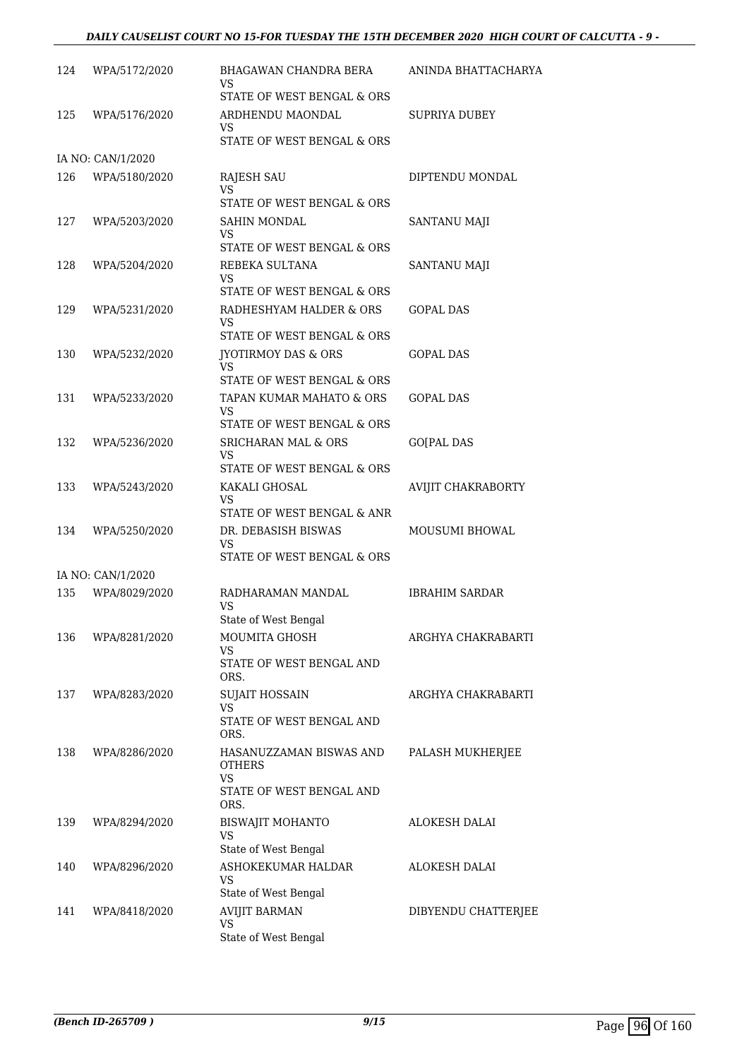### *DAILY CAUSELIST COURT NO 15-FOR TUESDAY THE 15TH DECEMBER 2020 HIGH COURT OF CALCUTTA - 9 -*

| 124 | WPA/5172/2020     | BHAGAWAN CHANDRA BERA<br>VS<br>STATE OF WEST BENGAL & ORS                                 | ANINDA BHATTACHARYA   |
|-----|-------------------|-------------------------------------------------------------------------------------------|-----------------------|
| 125 | WPA/5176/2020     | ARDHENDU MAONDAL<br>VS<br>STATE OF WEST BENGAL & ORS                                      | <b>SUPRIYA DUBEY</b>  |
|     | IA NO: CAN/1/2020 |                                                                                           |                       |
| 126 | WPA/5180/2020     | RAJESH SAU<br>VS<br>STATE OF WEST BENGAL & ORS                                            | DIPTENDU MONDAL       |
| 127 | WPA/5203/2020     | <b>SAHIN MONDAL</b><br>VS<br>STATE OF WEST BENGAL & ORS                                   | SANTANU MAJI          |
| 128 | WPA/5204/2020     | REBEKA SULTANA<br><b>VS</b><br>STATE OF WEST BENGAL & ORS                                 | SANTANU MAJI          |
| 129 | WPA/5231/2020     | RADHESHYAM HALDER & ORS<br>VS<br>STATE OF WEST BENGAL & ORS                               | <b>GOPAL DAS</b>      |
| 130 | WPA/5232/2020     | <b>JYOTIRMOY DAS &amp; ORS</b><br>VS<br>STATE OF WEST BENGAL & ORS                        | <b>GOPAL DAS</b>      |
| 131 | WPA/5233/2020     | TAPAN KUMAR MAHATO & ORS<br>VS                                                            | <b>GOPAL DAS</b>      |
| 132 | WPA/5236/2020     | STATE OF WEST BENGAL & ORS<br>SRICHARAN MAL & ORS<br>VS<br>STATE OF WEST BENGAL & ORS     | <b>GO[PAL DAS</b>     |
| 133 | WPA/5243/2020     | KAKALI GHOSAL<br>VS<br>STATE OF WEST BENGAL & ANR                                         | AVIJIT CHAKRABORTY    |
| 134 | WPA/5250/2020     | DR. DEBASISH BISWAS<br>VS<br>STATE OF WEST BENGAL & ORS                                   | MOUSUMI BHOWAL        |
|     | IA NO: CAN/1/2020 |                                                                                           |                       |
| 135 | WPA/8029/2020     | RADHARAMAN MANDAL<br>VS<br>State of West Bengal                                           | <b>IBRAHIM SARDAR</b> |
| 136 | WPA/8281/2020     | MOUMITA GHOSH<br>VS<br>STATE OF WEST BENGAL AND                                           | ARGHYA CHAKRABARTI    |
| 137 | WPA/8283/2020     | ORS.<br><b>SUJAIT HOSSAIN</b><br>VS<br>STATE OF WEST BENGAL AND                           | ARGHYA CHAKRABARTI    |
| 138 | WPA/8286/2020     | ORS.<br>HASANUZZAMAN BISWAS AND<br><b>OTHERS</b><br><b>VS</b><br>STATE OF WEST BENGAL AND | PALASH MUKHERJEE      |
| 139 | WPA/8294/2020     | ORS.<br><b>BISWAJIT MOHANTO</b><br>VS                                                     | <b>ALOKESH DALAI</b>  |
| 140 | WPA/8296/2020     | State of West Bengal<br>ASHOKEKUMAR HALDAR<br>VS<br>State of West Bengal                  | <b>ALOKESH DALAI</b>  |
| 141 | WPA/8418/2020     | <b>AVIJIT BARMAN</b><br>VS<br>State of West Bengal                                        | DIBYENDU CHATTERJEE   |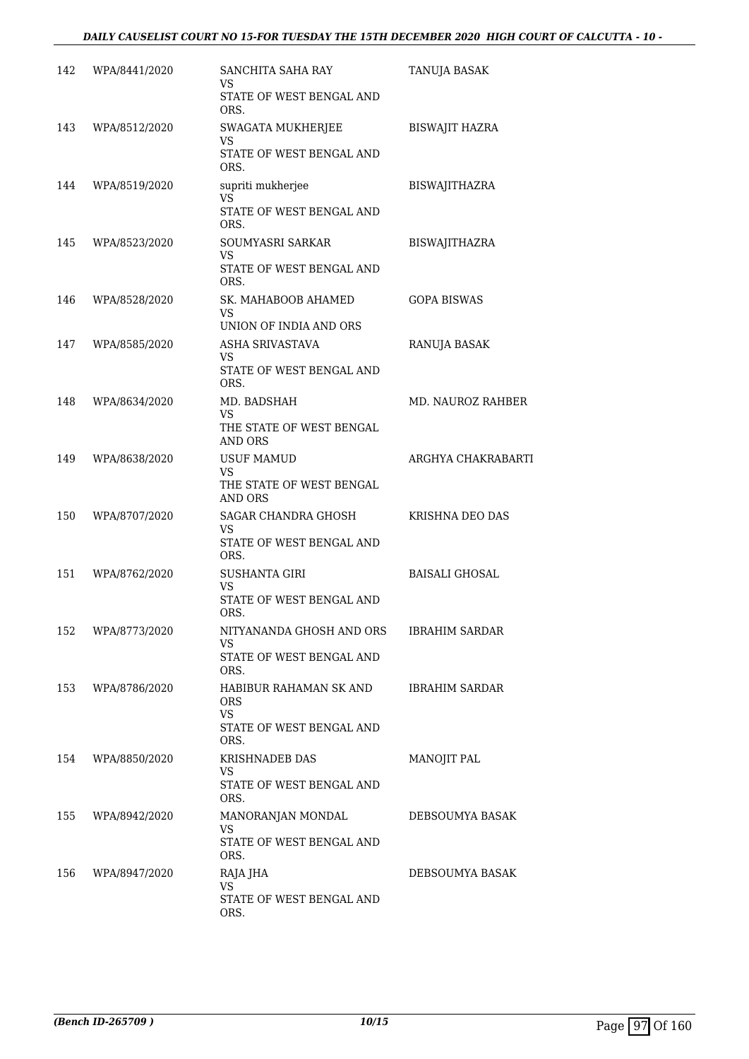### *DAILY CAUSELIST COURT NO 15-FOR TUESDAY THE 15TH DECEMBER 2020 HIGH COURT OF CALCUTTA - 10 -*

| 142 | WPA/8441/2020 | SANCHITA SAHA RAY                                 | TANUJA BASAK          |
|-----|---------------|---------------------------------------------------|-----------------------|
|     |               | VS.<br>STATE OF WEST BENGAL AND<br>ORS.           |                       |
| 143 | WPA/8512/2020 | SWAGATA MUKHERJEE<br>VS                           | BISWAJIT HAZRA        |
|     |               | STATE OF WEST BENGAL AND<br>ORS.                  |                       |
| 144 | WPA/8519/2020 | supriti mukherjee<br>VS                           | <b>BISWAJITHAZRA</b>  |
|     |               | STATE OF WEST BENGAL AND<br>ORS.                  |                       |
| 145 | WPA/8523/2020 | SOUMYASRI SARKAR<br>VS                            | <b>BISWAJITHAZRA</b>  |
|     |               | STATE OF WEST BENGAL AND<br>ORS.                  |                       |
| 146 | WPA/8528/2020 | SK. MAHABOOB AHAMED<br>VS                         | <b>GOPA BISWAS</b>    |
|     |               | UNION OF INDIA AND ORS                            |                       |
| 147 | WPA/8585/2020 | ASHA SRIVASTAVA<br>VS                             | RANUJA BASAK          |
|     |               | STATE OF WEST BENGAL AND<br>ORS.                  |                       |
| 148 | WPA/8634/2020 | MD. BADSHAH<br>VS                                 | MD. NAUROZ RAHBER     |
|     |               | THE STATE OF WEST BENGAL<br>AND ORS               |                       |
| 149 | WPA/8638/2020 | <b>USUF MAMUD</b><br>VS.                          | ARGHYA CHAKRABARTI    |
|     |               | THE STATE OF WEST BENGAL<br><b>AND ORS</b>        |                       |
| 150 | WPA/8707/2020 | SAGAR CHANDRA GHOSH<br>VS                         | KRISHNA DEO DAS       |
|     |               | STATE OF WEST BENGAL AND<br>ORS.                  |                       |
| 151 | WPA/8762/2020 | <b>SUSHANTA GIRI</b><br><b>VS</b>                 | <b>BAISALI GHOSAL</b> |
|     |               | STATE OF WEST BENGAL AND<br>ORS.                  |                       |
| 152 | WPA/8773/2020 | NITYANANDA GHOSH AND ORS<br>VS                    | <b>IBRAHIM SARDAR</b> |
|     |               | STATE OF WEST BENGAL AND<br>ORS.                  |                       |
| 153 | WPA/8786/2020 | HABIBUR RAHAMAN SK AND<br><b>ORS</b><br><b>VS</b> | <b>IBRAHIM SARDAR</b> |
|     |               | STATE OF WEST BENGAL AND<br>ORS.                  |                       |
| 154 | WPA/8850/2020 | <b>KRISHNADEB DAS</b><br>VS.                      | MANOJIT PAL           |
|     |               | STATE OF WEST BENGAL AND<br>ORS.                  |                       |
| 155 | WPA/8942/2020 | MANORANJAN MONDAL<br>VS                           | DEBSOUMYA BASAK       |
|     |               | STATE OF WEST BENGAL AND<br>ORS.                  |                       |
| 156 | WPA/8947/2020 | RAJA JHA<br>VS                                    | DEBSOUMYA BASAK       |
|     |               | STATE OF WEST BENGAL AND<br>ORS.                  |                       |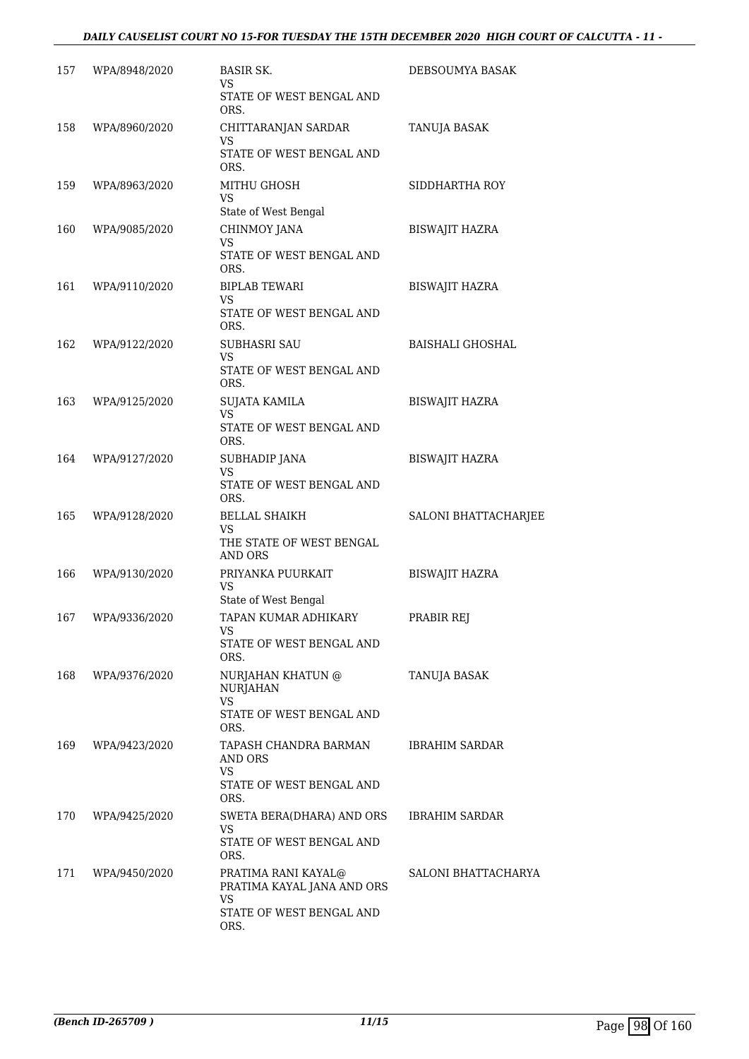| 157 | WPA/8948/2020 | <b>BASIR SK.</b><br>VS.<br>STATE OF WEST BENGAL AND<br>ORS.                                        | DEBSOUMYA BASAK         |
|-----|---------------|----------------------------------------------------------------------------------------------------|-------------------------|
| 158 | WPA/8960/2020 | CHITTARANJAN SARDAR<br>VS<br>STATE OF WEST BENGAL AND<br>ORS.                                      | TANUJA BASAK            |
| 159 | WPA/8963/2020 | MITHU GHOSH<br><b>VS</b><br>State of West Bengal                                                   | SIDDHARTHA ROY          |
| 160 | WPA/9085/2020 | CHINMOY JANA<br><b>VS</b><br>STATE OF WEST BENGAL AND<br>ORS.                                      | <b>BISWAJIT HAZRA</b>   |
| 161 | WPA/9110/2020 | <b>BIPLAB TEWARI</b><br>VS<br>STATE OF WEST BENGAL AND<br>ORS.                                     | <b>BISWAJIT HAZRA</b>   |
| 162 | WPA/9122/2020 | <b>SUBHASRI SAU</b><br><b>VS</b><br>STATE OF WEST BENGAL AND<br>ORS.                               | <b>BAISHALI GHOSHAL</b> |
| 163 | WPA/9125/2020 | <b>SUJATA KAMILA</b><br><b>VS</b><br>STATE OF WEST BENGAL AND<br>ORS.                              | <b>BISWAJIT HAZRA</b>   |
| 164 | WPA/9127/2020 | SUBHADIP JANA<br><b>VS</b><br>STATE OF WEST BENGAL AND<br>ORS.                                     | <b>BISWAJIT HAZRA</b>   |
| 165 | WPA/9128/2020 | <b>BELLAL SHAIKH</b><br><b>VS</b><br>THE STATE OF WEST BENGAL<br>AND ORS                           | SALONI BHATTACHARJEE    |
| 166 | WPA/9130/2020 | PRIYANKA PUURKAIT<br>VS<br>State of West Bengal                                                    | <b>BISWAJIT HAZRA</b>   |
| 167 | WPA/9336/2020 | TAPAN KUMAR ADHIKARY<br>VS<br>STATE OF WEST BENGAL AND<br>ORS.                                     | PRABIR REJ              |
| 168 | WPA/9376/2020 | NURJAHAN KHATUN @<br><b>NURJAHAN</b><br>VS<br>STATE OF WEST BENGAL AND<br>ORS.                     | TANUJA BASAK            |
| 169 | WPA/9423/2020 | TAPASH CHANDRA BARMAN<br>AND ORS<br><b>VS</b><br>STATE OF WEST BENGAL AND<br>ORS.                  | IBRAHIM SARDAR          |
| 170 | WPA/9425/2020 | SWETA BERA(DHARA) AND ORS<br><b>VS</b><br>STATE OF WEST BENGAL AND<br>ORS.                         | IBRAHIM SARDAR          |
| 171 | WPA/9450/2020 | PRATIMA RANI KAYAL@<br>PRATIMA KAYAL JANA AND ORS<br><b>VS</b><br>STATE OF WEST BENGAL AND<br>ORS. | SALONI BHATTACHARYA     |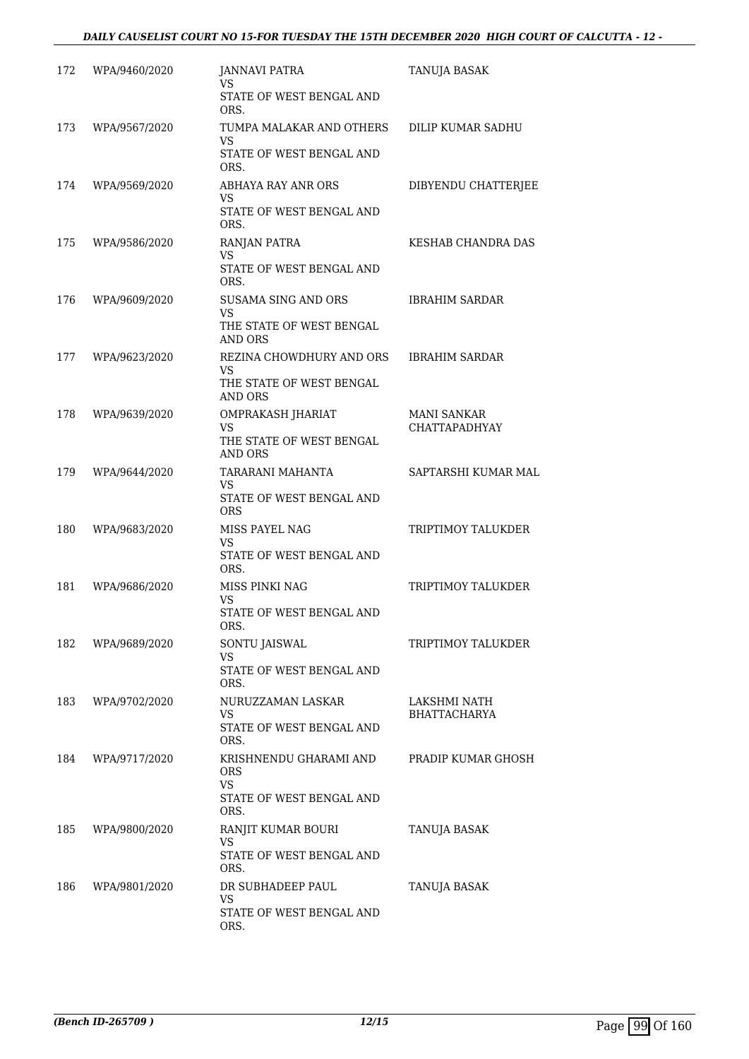| 172 | WPA/9460/2020 | JANNAVI PATRA<br>VS                           | TANUJA BASAK                               |
|-----|---------------|-----------------------------------------------|--------------------------------------------|
|     |               | STATE OF WEST BENGAL AND<br>ORS.              |                                            |
| 173 | WPA/9567/2020 | TUMPA MALAKAR AND OTHERS<br><b>VS</b>         | DILIP KUMAR SADHU                          |
|     |               | STATE OF WEST BENGAL AND<br>ORS.              |                                            |
| 174 | WPA/9569/2020 | ABHAYA RAY ANR ORS<br>VS                      | DIBYENDU CHATTERJEE                        |
|     |               | STATE OF WEST BENGAL AND<br>ORS.              |                                            |
| 175 | WPA/9586/2020 | RANJAN PATRA<br><b>VS</b>                     | KESHAB CHANDRA DAS                         |
|     |               | STATE OF WEST BENGAL AND<br>ORS.              |                                            |
| 176 | WPA/9609/2020 | SUSAMA SING AND ORS<br><b>VS</b>              | <b>IBRAHIM SARDAR</b>                      |
|     |               | THE STATE OF WEST BENGAL<br>AND ORS           |                                            |
| 177 | WPA/9623/2020 | REZINA CHOWDHURY AND ORS<br>VS                | <b>IBRAHIM SARDAR</b>                      |
|     |               | THE STATE OF WEST BENGAL<br>AND ORS           |                                            |
| 178 | WPA/9639/2020 | OMPRAKASH JHARIAT<br>VS                       | <b>MANI SANKAR</b><br><b>CHATTAPADHYAY</b> |
|     |               | THE STATE OF WEST BENGAL<br><b>AND ORS</b>    |                                            |
| 179 | WPA/9644/2020 | TARARANI MAHANTA<br>VS                        | SAPTARSHI KUMAR MAL                        |
|     |               | STATE OF WEST BENGAL AND<br><b>ORS</b>        |                                            |
| 180 | WPA/9683/2020 | MISS PAYEL NAG<br><b>VS</b>                   | TRIPTIMOY TALUKDER                         |
|     |               | STATE OF WEST BENGAL AND<br>ORS.              |                                            |
| 181 | WPA/9686/2020 | MISS PINKI NAG<br><b>VS</b>                   | TRIPTIMOY TALUKDER                         |
|     |               | STATE OF WEST BENGAL AND<br>ORS.              |                                            |
| 182 | WPA/9689/2020 | SONTU JAISWAL<br>VS                           | TRIPTIMOY TALUKDER                         |
|     |               | STATE OF WEST BENGAL AND<br>ORS.              |                                            |
| 183 | WPA/9702/2020 | NURUZZAMAN LASKAR<br>VS                       | LAKSHMI NATH<br><b>BHATTACHARYA</b>        |
|     |               | STATE OF WEST BENGAL AND<br>ORS.              |                                            |
| 184 | WPA/9717/2020 | KRISHNENDU GHARAMI AND<br><b>ORS</b>          | PRADIP KUMAR GHOSH                         |
|     |               | VS<br>STATE OF WEST BENGAL AND<br>ORS.        |                                            |
| 185 | WPA/9800/2020 | RANJIT KUMAR BOURI                            | TANUJA BASAK                               |
|     |               | <b>VS</b><br>STATE OF WEST BENGAL AND<br>ORS. |                                            |
| 186 | WPA/9801/2020 | DR SUBHADEEP PAUL<br>VS                       | TANUJA BASAK                               |
|     |               | STATE OF WEST BENGAL AND<br>ORS.              |                                            |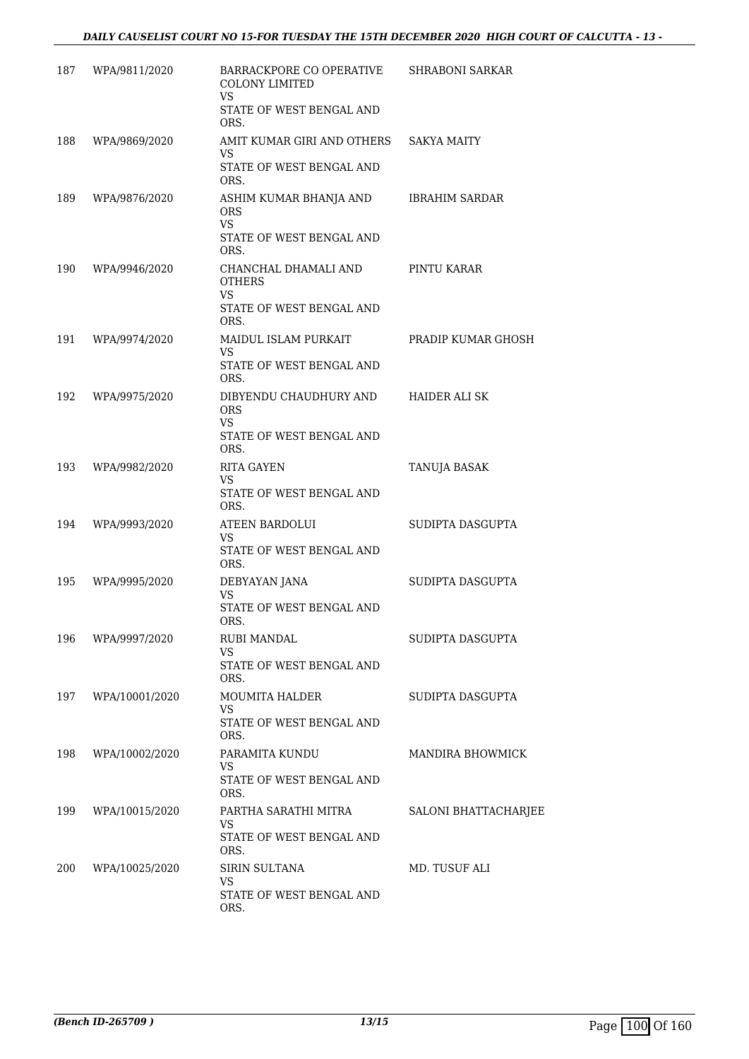| 187 | WPA/9811/2020  | BARRACKPORE CO OPERATIVE<br><b>COLONY LIMITED</b><br>VS.                                      | <b>SHRABONI SARKAR</b>  |
|-----|----------------|-----------------------------------------------------------------------------------------------|-------------------------|
|     |                | STATE OF WEST BENGAL AND<br>ORS.                                                              |                         |
| 188 | WPA/9869/2020  | AMIT KUMAR GIRI AND OTHERS<br><b>VS</b><br>STATE OF WEST BENGAL AND                           | <b>SAKYA MAITY</b>      |
| 189 | WPA/9876/2020  | ORS.<br>ASHIM KUMAR BHANJA AND<br><b>ORS</b><br><b>VS</b><br>STATE OF WEST BENGAL AND<br>ORS. | <b>IBRAHIM SARDAR</b>   |
| 190 | WPA/9946/2020  | CHANCHAL DHAMALI AND<br><b>OTHERS</b><br><b>VS</b><br>STATE OF WEST BENGAL AND<br>ORS.        | PINTU KARAR             |
| 191 | WPA/9974/2020  | MAIDUL ISLAM PURKAIT<br>VS<br>STATE OF WEST BENGAL AND<br>ORS.                                | PRADIP KUMAR GHOSH      |
| 192 | WPA/9975/2020  | DIBYENDU CHAUDHURY AND<br><b>ORS</b><br><b>VS</b><br>STATE OF WEST BENGAL AND<br>ORS.         | HAIDER ALI SK           |
| 193 | WPA/9982/2020  | <b>RITA GAYEN</b><br>VS<br>STATE OF WEST BENGAL AND<br>ORS.                                   | TANUJA BASAK            |
| 194 | WPA/9993/2020  | <b>ATEEN BARDOLUI</b><br>VS<br>STATE OF WEST BENGAL AND<br>ORS.                               | SUDIPTA DASGUPTA        |
| 195 | WPA/9995/2020  | DEBYAYAN JANA<br>VS<br>STATE OF WEST BENGAL AND<br>ORS.                                       | SUDIPTA DASGUPTA        |
| 196 | WPA/9997/2020  | RUBI MANDAL<br>VS<br>STATE OF WEST BENGAL AND<br>ORS.                                         | SUDIPTA DASGUPTA        |
| 197 | WPA/10001/2020 | <b>MOUMITA HALDER</b><br><b>VS</b><br>STATE OF WEST BENGAL AND<br>ORS.                        | SUDIPTA DASGUPTA        |
| 198 | WPA/10002/2020 | PARAMITA KUNDU<br>VS.<br>STATE OF WEST BENGAL AND<br>ORS.                                     | <b>MANDIRA BHOWMICK</b> |
| 199 | WPA/10015/2020 | PARTHA SARATHI MITRA<br>VS<br>STATE OF WEST BENGAL AND<br>ORS.                                | SALONI BHATTACHARJEE    |
| 200 | WPA/10025/2020 | <b>SIRIN SULTANA</b><br>VS<br>STATE OF WEST BENGAL AND<br>ORS.                                | MD. TUSUF ALI           |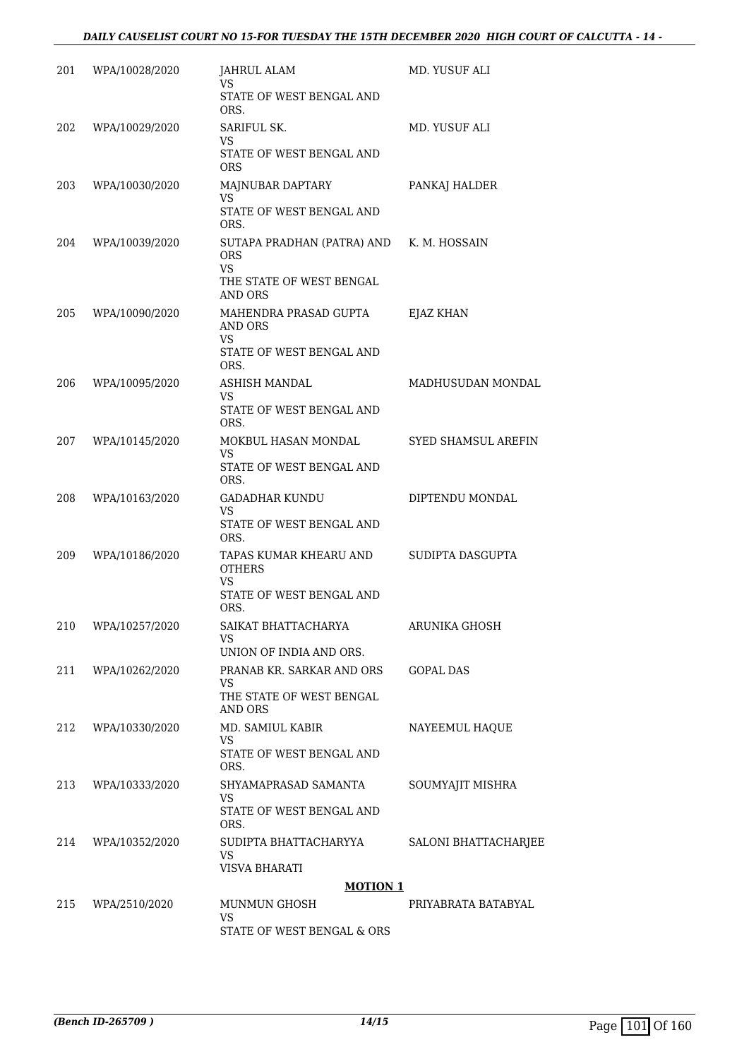| 201 | WPA/10028/2020     | JAHRUL ALAM<br>VS<br>STATE OF WEST BENGAL AND<br>ORS.                                               | MD. YUSUF ALI        |
|-----|--------------------|-----------------------------------------------------------------------------------------------------|----------------------|
| 202 | WPA/10029/2020     | SARIFUL SK.<br>VS<br>STATE OF WEST BENGAL AND<br>ORS                                                | MD. YUSUF ALI        |
| 203 | WPA/10030/2020     | MAJNUBAR DAPTARY<br><b>VS</b><br>STATE OF WEST BENGAL AND<br>ORS.                                   | PANKAJ HALDER        |
| 204 | WPA/10039/2020     | SUTAPA PRADHAN (PATRA) AND K. M. HOSSAIN<br>ORS<br><b>VS</b><br>THE STATE OF WEST BENGAL<br>AND ORS |                      |
| 205 | WPA/10090/2020     | MAHENDRA PRASAD GUPTA<br><b>AND ORS</b><br>VS<br>STATE OF WEST BENGAL AND<br>ORS.                   | EJAZ KHAN            |
| 206 | WPA/10095/2020     | ASHISH MANDAL<br>VS<br>STATE OF WEST BENGAL AND<br>ORS.                                             | MADHUSUDAN MONDAL    |
| 207 | WPA/10145/2020     | MOKBUL HASAN MONDAL<br>VS<br>STATE OF WEST BENGAL AND<br>ORS.                                       | SYED SHAMSUL AREFIN  |
| 208 | WPA/10163/2020     | <b>GADADHAR KUNDU</b><br>VS<br>STATE OF WEST BENGAL AND<br>ORS.                                     | DIPTENDU MONDAL      |
| 209 | WPA/10186/2020     | TAPAS KUMAR KHEARU AND<br><b>OTHERS</b><br>VS<br>STATE OF WEST BENGAL AND<br>ORS.                   | SUDIPTA DASGUPTA     |
|     | 210 WPA/10257/2020 | SAIKAT BHATTACHARYA<br>VS<br>UNION OF INDIA AND ORS.                                                | ARUNIKA GHOSH        |
| 211 | WPA/10262/2020     | PRANAB KR. SARKAR AND ORS<br>VS.<br>THE STATE OF WEST BENGAL<br><b>AND ORS</b>                      | <b>GOPAL DAS</b>     |
| 212 | WPA/10330/2020     | MD. SAMIUL KABIR<br>VS<br>STATE OF WEST BENGAL AND<br>ORS.                                          | NAYEEMUL HAQUE       |
| 213 | WPA/10333/2020     | SHYAMAPRASAD SAMANTA<br><b>VS</b><br>STATE OF WEST BENGAL AND<br>ORS.                               | SOUMYAJIT MISHRA     |
| 214 | WPA/10352/2020     | SUDIPTA BHATTACHARYYA<br><b>VS</b><br>VISVA BHARATI                                                 | SALONI BHATTACHARJEE |
|     |                    | <b>MOTION 1</b>                                                                                     |                      |
| 215 | WPA/2510/2020      | MUNMUN GHOSH<br><b>VS</b>                                                                           | PRIYABRATA BATABYAL  |
|     |                    | STATE OF WEST BENGAL & ORS                                                                          |                      |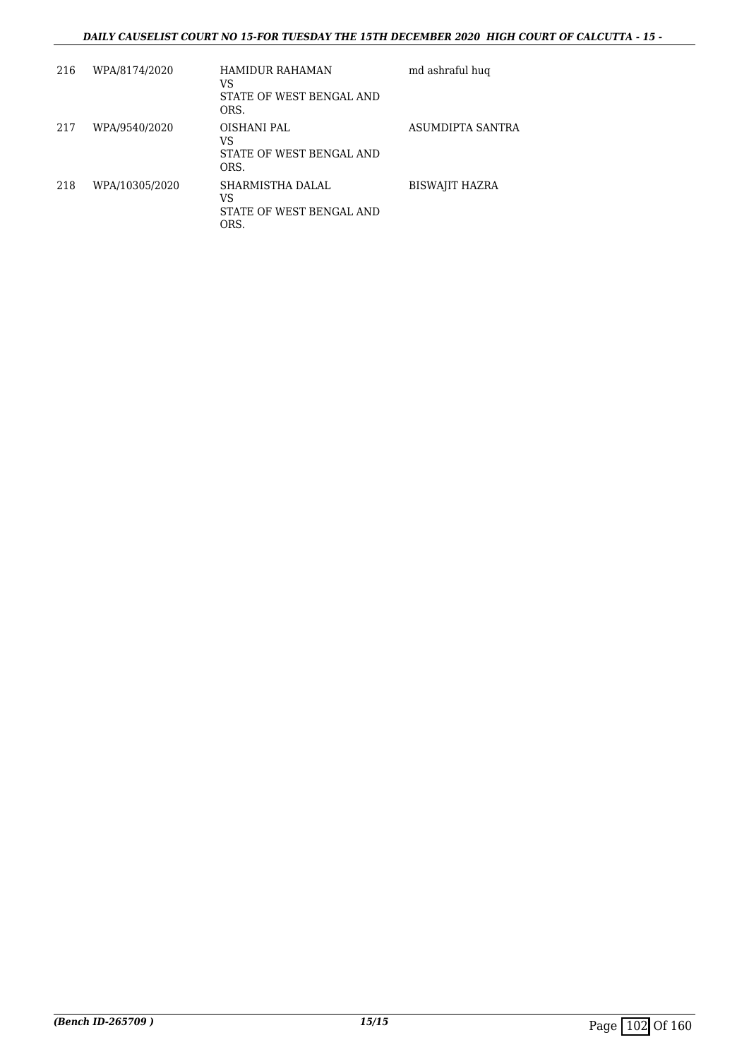### *DAILY CAUSELIST COURT NO 15-FOR TUESDAY THE 15TH DECEMBER 2020 HIGH COURT OF CALCUTTA - 15 -*

| 216 | WPA/8174/2020  | HAMIDUR RAHAMAN<br>VS<br>STATE OF WEST BENGAL AND<br>ORS.  | md ashraful hug       |
|-----|----------------|------------------------------------------------------------|-----------------------|
| 217 | WPA/9540/2020  | OISHANI PAL<br>VS<br>STATE OF WEST BENGAL AND<br>ORS.      | ASUMDIPTA SANTRA      |
| 218 | WPA/10305/2020 | SHARMISTHA DALAL<br>VS<br>STATE OF WEST BENGAL AND<br>ORS. | <b>BISWAJIT HAZRA</b> |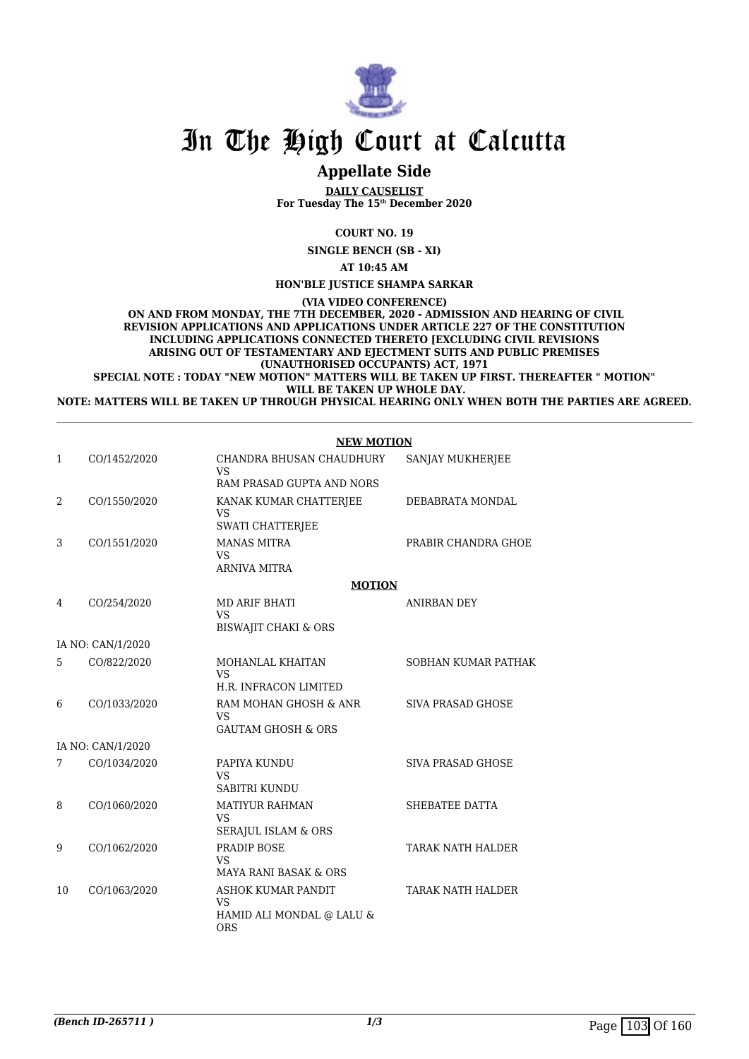

## **Appellate Side**

**DAILY CAUSELIST For Tuesday The 15th December 2020**

**COURT NO. 19**

**SINGLE BENCH (SB - XI)**

**AT 10:45 AM**

**HON'BLE JUSTICE SHAMPA SARKAR**

**(VIA VIDEO CONFERENCE)**

 **ON AND FROM MONDAY, THE 7TH DECEMBER, 2020 - ADMISSION AND HEARING OF CIVIL REVISION APPLICATIONS AND APPLICATIONS UNDER ARTICLE 227 OF THE CONSTITUTION INCLUDING APPLICATIONS CONNECTED THERETO [EXCLUDING CIVIL REVISIONS ARISING OUT OF TESTAMENTARY AND EJECTMENT SUITS AND PUBLIC PREMISES (UNAUTHORISED OCCUPANTS) ACT, 1971**

**SPECIAL NOTE : TODAY "NEW MOTION" MATTERS WILL BE TAKEN UP FIRST. THEREAFTER " MOTION" WILL BE TAKEN UP WHOLE DAY.**

**NOTE: MATTERS WILL BE TAKEN UP THROUGH PHYSICAL HEARING ONLY WHEN BOTH THE PARTIES ARE AGREED.**

**NEW MOTION**

| 1  | CO/1452/2020      | CHANDRA BHUSAN CHAUDHURY<br><b>VS</b>                               | SANJAY MUKHERJEE         |
|----|-------------------|---------------------------------------------------------------------|--------------------------|
|    |                   | RAM PRASAD GUPTA AND NORS                                           |                          |
| 2  | CO/1550/2020      | KANAK KUMAR CHATTERJEE<br><b>VS</b>                                 | DEBABRATA MONDAL         |
|    |                   | SWATI CHATTERJEE                                                    |                          |
| 3  | CO/1551/2020      | <b>MANAS MITRA</b><br><b>VS</b>                                     | PRABIR CHANDRA GHOE      |
|    |                   | <b>ARNIVA MITRA</b>                                                 |                          |
|    |                   | <b>MOTION</b>                                                       |                          |
| 4  | CO/254/2020       | <b>MD ARIF BHATI</b><br><b>VS</b>                                   | <b>ANIRBAN DEY</b>       |
|    |                   | <b>BISWAJIT CHAKI &amp; ORS</b>                                     |                          |
|    | IA NO: CAN/1/2020 |                                                                     |                          |
| 5  | CO/822/2020       | MOHANLAL KHAITAN<br><b>VS</b>                                       | SOBHAN KUMAR PATHAK      |
|    |                   | H.R. INFRACON LIMITED                                               |                          |
| 6  | CO/1033/2020      | RAM MOHAN GHOSH & ANR<br><b>VS</b><br><b>GAUTAM GHOSH &amp; ORS</b> | <b>SIVA PRASAD GHOSE</b> |
|    |                   |                                                                     |                          |
|    | IA NO: CAN/1/2020 |                                                                     |                          |
| 7  | CO/1034/2020      | PAPIYA KUNDU<br><b>VS</b>                                           | SIVA PRASAD GHOSE        |
|    |                   | SABITRI KUNDU                                                       |                          |
| 8  | CO/1060/2020      | <b>MATIYUR RAHMAN</b><br><b>VS</b>                                  | SHEBATEE DATTA           |
|    |                   | <b>SERAJUL ISLAM &amp; ORS</b>                                      |                          |
| 9  | CO/1062/2020      | PRADIP BOSE<br><b>VS</b><br><b>MAYA RANI BASAK &amp; ORS</b>        | <b>TARAK NATH HALDER</b> |
|    |                   |                                                                     |                          |
| 10 | CO/1063/2020      | ASHOK KUMAR PANDIT<br><b>VS</b>                                     | <b>TARAK NATH HALDER</b> |
|    |                   | HAMID ALI MONDAL @ LALU &<br><b>ORS</b>                             |                          |
|    |                   |                                                                     |                          |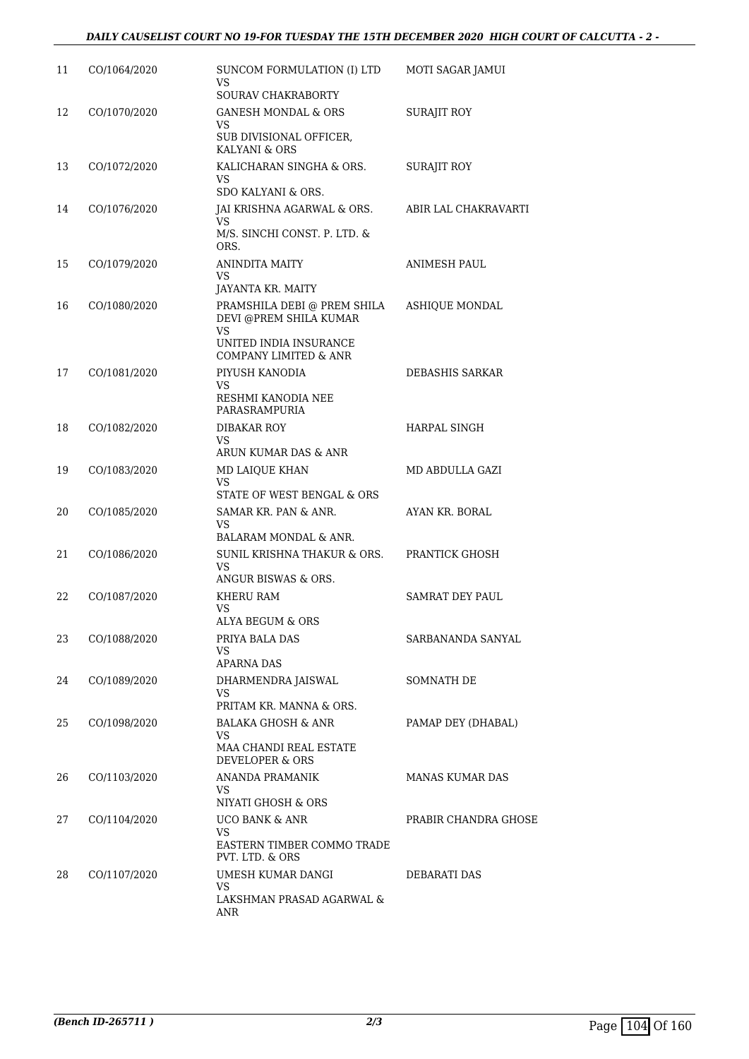| 11 | CO/1064/2020 | SUNCOM FORMULATION (I) LTD<br>VS.<br>SOURAV CHAKRABORTY                                                               | MOTI SAGAR JAMUI       |
|----|--------------|-----------------------------------------------------------------------------------------------------------------------|------------------------|
| 12 | CO/1070/2020 | <b>GANESH MONDAL &amp; ORS</b><br>VS.<br>SUB DIVISIONAL OFFICER,<br>KALYANI & ORS                                     | SURAJIT ROY            |
| 13 | CO/1072/2020 | KALICHARAN SINGHA & ORS.<br>VS.<br>SDO KALYANI & ORS.                                                                 | <b>SURAJIT ROY</b>     |
| 14 | CO/1076/2020 | JAI KRISHNA AGARWAL & ORS.<br>VS<br>M/S. SINCHI CONST. P. LTD. &<br>ORS.                                              | ABIR LAL CHAKRAVARTI   |
| 15 | CO/1079/2020 | ANINDITA MAITY<br>VS<br>JAYANTA KR. MAITY                                                                             | ANIMESH PAUL           |
| 16 | CO/1080/2020 | PRAMSHILA DEBI @ PREM SHILA<br>DEVI @PREM SHILA KUMAR<br><b>VS</b><br>UNITED INDIA INSURANCE<br>COMPANY LIMITED & ANR | <b>ASHIQUE MONDAL</b>  |
| 17 | CO/1081/2020 | PIYUSH KANODIA<br>VS<br>RESHMI KANODIA NEE<br>PARASRAMPURIA                                                           | DEBASHIS SARKAR        |
| 18 | CO/1082/2020 | <b>DIBAKAR ROY</b><br>VS<br>ARUN KUMAR DAS & ANR                                                                      | HARPAL SINGH           |
| 19 | CO/1083/2020 | MD LAIQUE KHAN<br>VS.<br>STATE OF WEST BENGAL & ORS                                                                   | MD ABDULLA GAZI        |
| 20 | CO/1085/2020 | SAMAR KR. PAN & ANR.<br><b>VS</b><br>BALARAM MONDAL & ANR.                                                            | AYAN KR. BORAL         |
| 21 | CO/1086/2020 | SUNIL KRISHNA THAKUR & ORS.<br>VS<br>ANGUR BISWAS & ORS.                                                              | PRANTICK GHOSH         |
| 22 | CO/1087/2020 | KHERU RAM<br>VS<br>ALYA BEGUM & ORS                                                                                   | <b>SAMRAT DEY PAUL</b> |
| 23 | CO/1088/2020 | PRIYA BALA DAS<br>VS.<br><b>APARNA DAS</b>                                                                            | SARBANANDA SANYAL      |
| 24 | CO/1089/2020 | DHARMENDRA JAISWAL<br><b>VS</b><br>PRITAM KR. MANNA & ORS.                                                            | SOMNATH DE             |
| 25 | CO/1098/2020 | BALAKA GHOSH & ANR<br><b>VS</b><br>MAA CHANDI REAL ESTATE<br><b>DEVELOPER &amp; ORS</b>                               | PAMAP DEY (DHABAL)     |
| 26 | CO/1103/2020 | <b>ANANDA PRAMANIK</b><br>VS.<br>NIYATI GHOSH & ORS                                                                   | <b>MANAS KUMAR DAS</b> |
| 27 | CO/1104/2020 | <b>UCO BANK &amp; ANR</b><br>VS.<br>EASTERN TIMBER COMMO TRADE<br>PVT. LTD. & ORS                                     | PRABIR CHANDRA GHOSE   |
| 28 | CO/1107/2020 | UMESH KUMAR DANGI<br>VS.<br>LAKSHMAN PRASAD AGARWAL &<br>ANR                                                          | DEBARATI DAS           |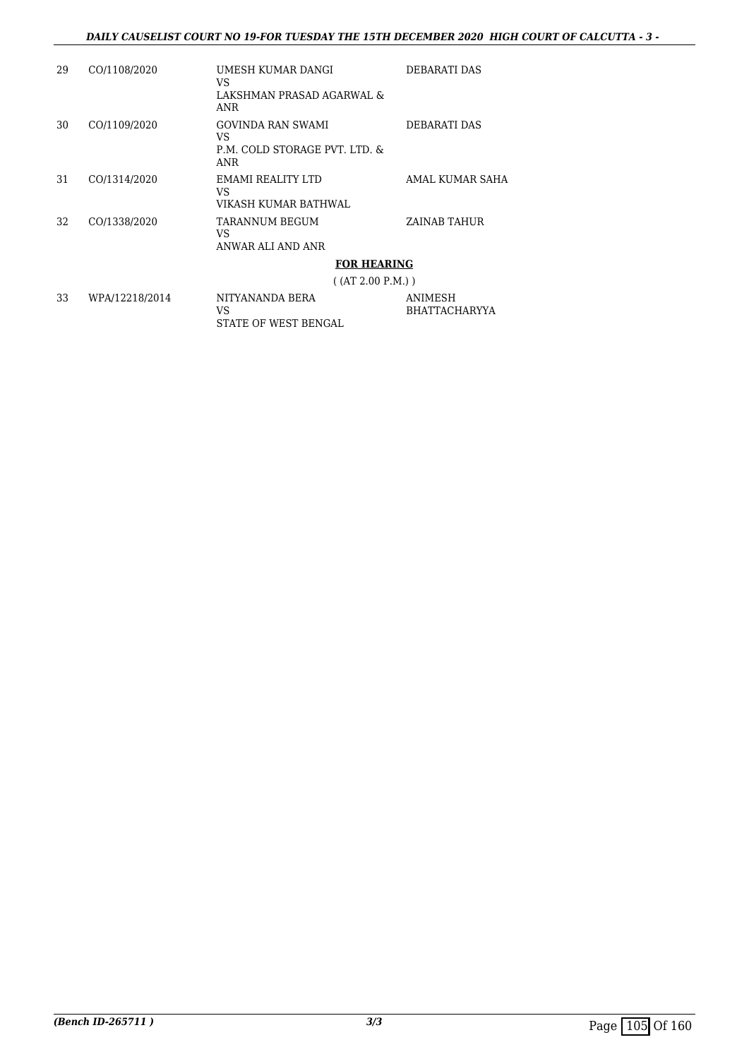#### *DAILY CAUSELIST COURT NO 19-FOR TUESDAY THE 15TH DECEMBER 2020 HIGH COURT OF CALCUTTA - 3 -*

BHATTACHARYYA

| 29 | CO/1108/2020   | UMESH KUMAR DANGI<br>VS.<br>LAKSHMAN PRASAD AGARWAL &<br>ANR     | DEBARATI DAS                    |
|----|----------------|------------------------------------------------------------------|---------------------------------|
| 30 | CO/1109/2020   | GOVINDA RAN SWAMI<br>VS.<br>P.M. COLD STORAGE PVT. LTD. &<br>ANR | DEBARATI DAS                    |
| 31 | CO/1314/2020   | EMAMI REALITY LTD<br>VS<br>VIKASH KUMAR BATHWAL                  | AMAL KUMAR SAHA                 |
| 32 | CO/1338/2020   | TARANNUM BEGUM<br>VS<br>ANWAR ALI AND ANR                        | ZAINAB TAHUR                    |
|    |                | <b>FOR HEARING</b>                                               |                                 |
|    |                | ( (AT 2.00 P.M.) )                                               |                                 |
| 33 | WPA/12218/2014 | NITYANANDA BERA<br>VS                                            | <b>ANIMESH</b><br>BHATTACHARYYA |

STATE OF WEST BENGAL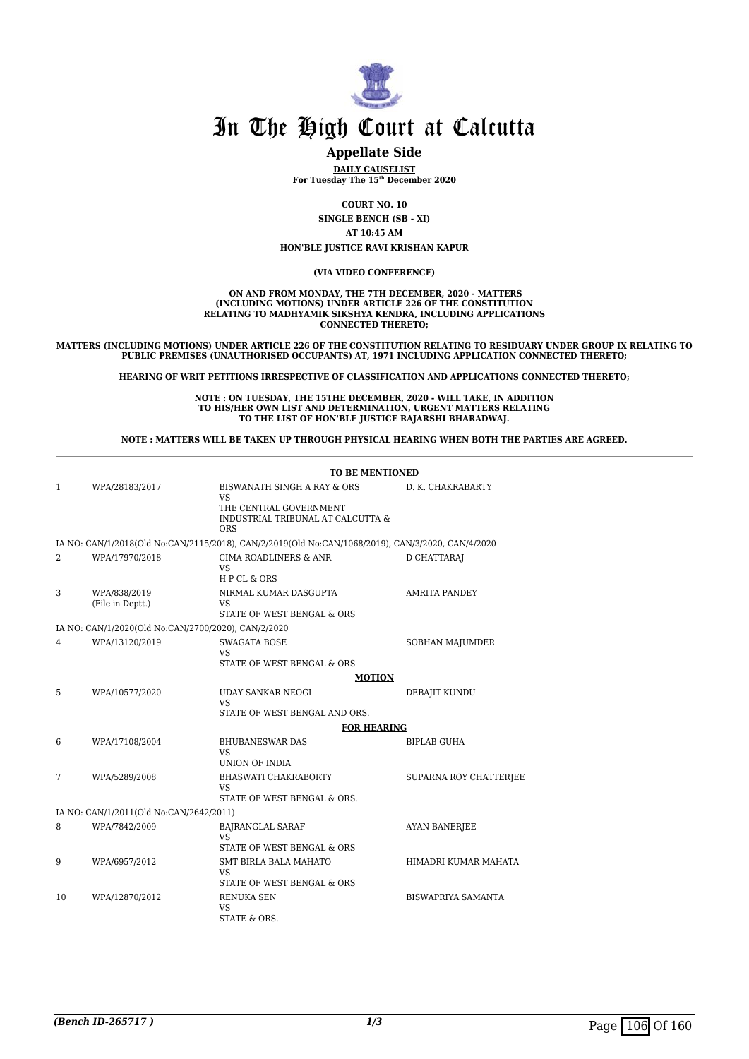

## **Appellate Side**

**DAILY CAUSELIST For Tuesday The 15th December 2020**

**COURT NO. 10**

**SINGLE BENCH (SB - XI)**

**AT 10:45 AM**

**HON'BLE JUSTICE RAVI KRISHAN KAPUR**

#### **(VIA VIDEO CONFERENCE)**

 **ON AND FROM MONDAY, THE 7TH DECEMBER, 2020 - MATTERS (INCLUDING MOTIONS) UNDER ARTICLE 226 OF THE CONSTITUTION RELATING TO MADHYAMIK SIKSHYA KENDRA, INCLUDING APPLICATIONS CONNECTED THERETO;**

**MATTERS (INCLUDING MOTIONS) UNDER ARTICLE 226 OF THE CONSTITUTION RELATING TO RESIDUARY UNDER GROUP IX RELATING TO PUBLIC PREMISES (UNAUTHORISED OCCUPANTS) AT, 1971 INCLUDING APPLICATION CONNECTED THERETO;**

**HEARING OF WRIT PETITIONS IRRESPECTIVE OF CLASSIFICATION AND APPLICATIONS CONNECTED THERETO;**

**NOTE : ON TUESDAY, THE 15THE DECEMBER, 2020 - WILL TAKE, IN ADDITION TO HIS/HER OWN LIST AND DETERMINATION, URGENT MATTERS RELATING TO THE LIST OF HON'BLE JUSTICE RAJARSHI BHARADWAJ.**

**NOTE : MATTERS WILL BE TAKEN UP THROUGH PHYSICAL HEARING WHEN BOTH THE PARTIES ARE AGREED.**

|    |                                                     | <b>TO BE MENTIONED</b>                                                                            |                           |
|----|-----------------------------------------------------|---------------------------------------------------------------------------------------------------|---------------------------|
| 1  | WPA/28183/2017                                      | BISWANATH SINGH A RAY & ORS<br>VS                                                                 | D. K. CHAKRABARTY         |
|    |                                                     | THE CENTRAL GOVERNMENT<br>INDUSTRIAL TRIBUNAL AT CALCUTTA &<br><b>ORS</b>                         |                           |
|    |                                                     | IA NO: CAN/1/2018(Old No:CAN/2115/2018), CAN/2/2019(Old No:CAN/1068/2019), CAN/3/2020, CAN/4/2020 |                           |
| 2  | WPA/17970/2018                                      | <b>CIMA ROADLINERS &amp; ANR</b><br>VS<br>HPCL & ORS                                              | D CHATTARAI               |
| 3  | WPA/838/2019<br>(File in Deptt.)                    | NIRMAL KUMAR DASGUPTA<br><b>VS</b><br>STATE OF WEST BENGAL & ORS                                  | <b>AMRITA PANDEY</b>      |
|    | IA NO: CAN/1/2020(Old No:CAN/2700/2020), CAN/2/2020 |                                                                                                   |                           |
| 4  | WPA/13120/2019                                      | <b>SWAGATA BOSE</b><br><b>VS</b>                                                                  | <b>SOBHAN MAJUMDER</b>    |
|    |                                                     | STATE OF WEST BENGAL & ORS                                                                        |                           |
| 5  | WPA/10577/2020                                      | <b>MOTION</b><br><b>UDAY SANKAR NEOGI</b>                                                         | DEBAJIT KUNDU             |
|    |                                                     | VS <sub>1</sub><br>STATE OF WEST BENGAL AND ORS.                                                  |                           |
|    |                                                     | <b>FOR HEARING</b>                                                                                |                           |
| 6  | WPA/17108/2004                                      | <b>BHUBANESWAR DAS</b><br>VS<br><b>UNION OF INDIA</b>                                             | <b>BIPLAB GUHA</b>        |
| 7  | WPA/5289/2008                                       | <b>BHASWATI CHAKRABORTY</b><br>VS                                                                 | SUPARNA ROY CHATTERJEE    |
|    |                                                     | STATE OF WEST BENGAL & ORS.                                                                       |                           |
|    | IA NO: CAN/1/2011(Old No:CAN/2642/2011)             |                                                                                                   |                           |
| 8  | WPA/7842/2009                                       | <b>BAJRANGLAL SARAF</b><br>VS<br>STATE OF WEST BENGAL & ORS                                       | <b>AYAN BANERJEE</b>      |
| 9  | WPA/6957/2012                                       | <b>SMT BIRLA BALA MAHATO</b><br>VS <sub>1</sub><br>STATE OF WEST BENGAL & ORS                     | HIMADRI KUMAR MAHATA      |
| 10 | WPA/12870/2012                                      | <b>RENUKA SEN</b><br>VS<br><b>STATE &amp; ORS.</b>                                                | <b>BISWAPRIYA SAMANTA</b> |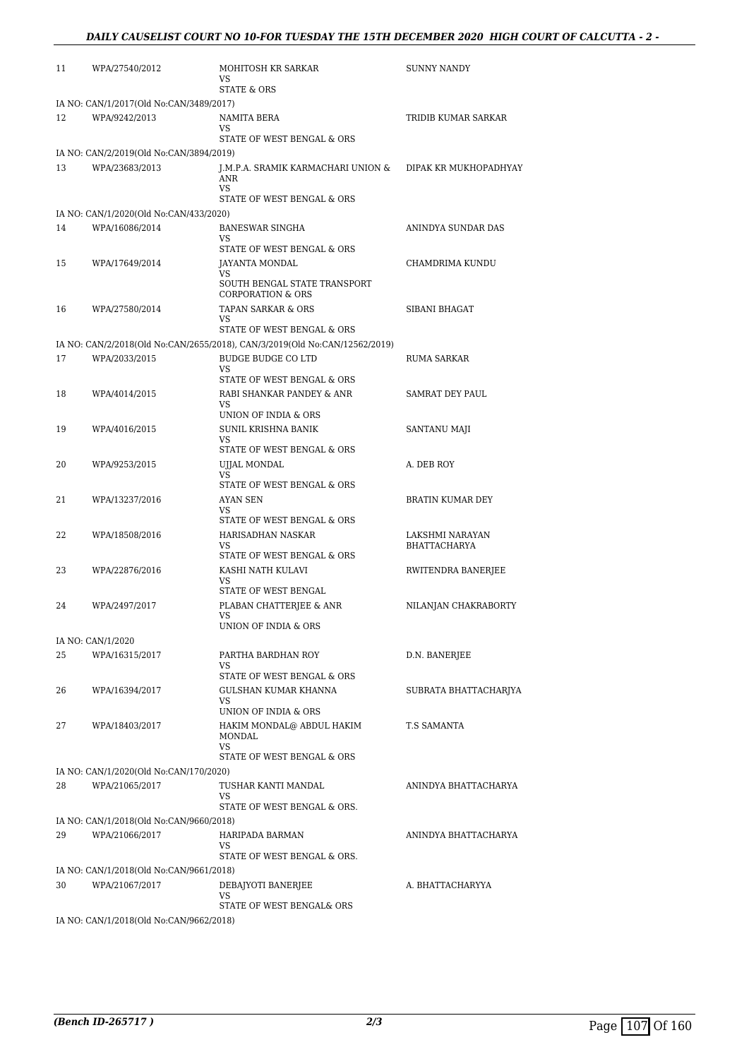| 11 | WPA/27540/2012                          | MOHITOSH KR SARKAR<br>VS                                                   | <b>SUNNY NANDY</b>     |  |  |
|----|-----------------------------------------|----------------------------------------------------------------------------|------------------------|--|--|
|    |                                         | STATE & ORS                                                                |                        |  |  |
|    | IA NO: CAN/1/2017(Old No:CAN/3489/2017) |                                                                            |                        |  |  |
| 12 | WPA/9242/2013                           | NAMITA BERA<br>VS                                                          | TRIDIB KUMAR SARKAR    |  |  |
|    |                                         | STATE OF WEST BENGAL & ORS                                                 |                        |  |  |
|    | IA NO: CAN/2/2019(Old No:CAN/3894/2019) |                                                                            |                        |  |  |
| 13 | WPA/23683/2013                          | J.M.P.A. SRAMIK KARMACHARI UNION &<br><b>ANR</b><br><b>VS</b>              | DIPAK KR MUKHOPADHYAY  |  |  |
|    |                                         | STATE OF WEST BENGAL & ORS                                                 |                        |  |  |
|    | IA NO: CAN/1/2020(Old No:CAN/433/2020)  |                                                                            |                        |  |  |
| 14 | WPA/16086/2014                          | <b>BANESWAR SINGHA</b><br>VS                                               | ANINDYA SUNDAR DAS     |  |  |
|    |                                         | STATE OF WEST BENGAL & ORS                                                 |                        |  |  |
| 15 | WPA/17649/2014                          | JAYANTA MONDAL<br>VS                                                       | CHAMDRIMA KUNDU        |  |  |
|    |                                         | SOUTH BENGAL STATE TRANSPORT<br><b>CORPORATION &amp; ORS</b>               |                        |  |  |
| 16 | WPA/27580/2014                          | TAPAN SARKAR & ORS                                                         | SIBANI BHAGAT          |  |  |
|    |                                         | VS<br>STATE OF WEST BENGAL & ORS                                           |                        |  |  |
|    |                                         | IA NO: CAN/2/2018(Old No:CAN/2655/2018), CAN/3/2019(Old No:CAN/12562/2019) |                        |  |  |
| 17 | WPA/2033/2015                           | <b>BUDGE BUDGE CO LTD</b>                                                  | RUMA SARKAR            |  |  |
|    |                                         | VS<br>STATE OF WEST BENGAL & ORS                                           |                        |  |  |
| 18 | WPA/4014/2015                           | RABI SHANKAR PANDEY & ANR                                                  | <b>SAMRAT DEY PAUL</b> |  |  |
|    |                                         | VS                                                                         |                        |  |  |
|    |                                         | UNION OF INDIA & ORS<br>SUNIL KRISHNA BANIK                                |                        |  |  |
| 19 | WPA/4016/2015                           | <b>VS</b>                                                                  | SANTANU MAJI           |  |  |
|    |                                         | STATE OF WEST BENGAL & ORS                                                 |                        |  |  |
| 20 | WPA/9253/2015                           | UJJAL MONDAL<br>VS                                                         | A. DEB ROY             |  |  |
|    |                                         | STATE OF WEST BENGAL & ORS                                                 |                        |  |  |
| 21 | WPA/13237/2016                          | AYAN SEN                                                                   | BRATIN KUMAR DEY       |  |  |
|    |                                         | VS<br>STATE OF WEST BENGAL & ORS                                           |                        |  |  |
| 22 | WPA/18508/2016                          | HARISADHAN NASKAR                                                          | LAKSHMI NARAYAN        |  |  |
|    |                                         | VS<br>STATE OF WEST BENGAL & ORS                                           | <b>BHATTACHARYA</b>    |  |  |
| 23 | WPA/22876/2016                          | KASHI NATH KULAVI                                                          | RWITENDRA BANERJEE     |  |  |
|    |                                         | VS<br>STATE OF WEST BENGAL                                                 |                        |  |  |
| 24 | WPA/2497/2017                           | PLABAN CHATTERJEE & ANR                                                    | NILANJAN CHAKRABORTY   |  |  |
|    |                                         | VS                                                                         |                        |  |  |
|    |                                         | UNION OF INDIA & ORS                                                       |                        |  |  |
| 25 | IA NO: CAN/1/2020<br>WPA/16315/2017     | PARTHA BARDHAN ROY                                                         | D.N. BANERJEE          |  |  |
|    |                                         | VS                                                                         |                        |  |  |
|    |                                         | STATE OF WEST BENGAL & ORS                                                 |                        |  |  |
| 26 | WPA/16394/2017                          | GULSHAN KUMAR KHANNA<br>VS                                                 | SUBRATA BHATTACHARIYA  |  |  |
|    |                                         | UNION OF INDIA & ORS                                                       |                        |  |  |
| 27 | WPA/18403/2017                          | HAKIM MONDAL@ ABDUL HAKIM<br>MONDAL<br>VS                                  | T.S SAMANTA            |  |  |
|    |                                         | STATE OF WEST BENGAL & ORS                                                 |                        |  |  |
|    | IA NO: CAN/1/2020(Old No:CAN/170/2020)  |                                                                            |                        |  |  |
| 28 | WPA/21065/2017                          | TUSHAR KANTI MANDAL<br><b>VS</b>                                           | ANINDYA BHATTACHARYA   |  |  |
|    |                                         | STATE OF WEST BENGAL & ORS.                                                |                        |  |  |
|    | IA NO: CAN/1/2018(Old No:CAN/9660/2018) |                                                                            |                        |  |  |
| 29 | WPA/21066/2017                          | HARIPADA BARMAN<br>VS                                                      | ANINDYA BHATTACHARYA   |  |  |
|    |                                         | STATE OF WEST BENGAL & ORS.                                                |                        |  |  |
|    | IA NO: CAN/1/2018(Old No:CAN/9661/2018) |                                                                            |                        |  |  |
| 30 | WPA/21067/2017                          | DEBAJYOTI BANERJEE<br>VS                                                   | A. BHATTACHARYYA       |  |  |
|    |                                         | STATE OF WEST BENGAL& ORS                                                  |                        |  |  |
|    | IA NO: CAN/1/2018(Old No:CAN/9662/2018) |                                                                            |                        |  |  |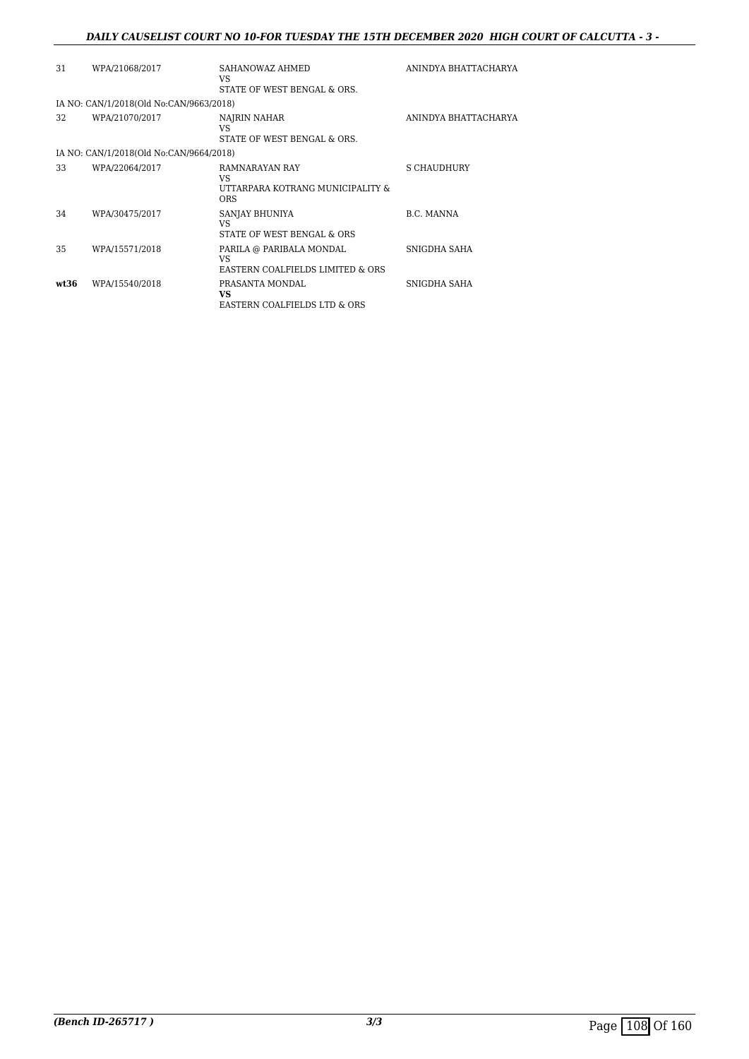### *DAILY CAUSELIST COURT NO 10-FOR TUESDAY THE 15TH DECEMBER 2020 HIGH COURT OF CALCUTTA - 3 -*

| 31   | WPA/21068/2017                          | SAHANOWAZ AHMED<br>VS.<br>STATE OF WEST BENGAL & ORS.                     | ANINDYA BHATTACHARYA |
|------|-----------------------------------------|---------------------------------------------------------------------------|----------------------|
|      | IA NO: CAN/1/2018(Old No:CAN/9663/2018) |                                                                           |                      |
| 32   | WPA/21070/2017                          | NAJRIN NAHAR<br>VS<br>STATE OF WEST BENGAL & ORS.                         | ANINDYA BHATTACHARYA |
|      | IA NO: CAN/1/2018(Old No:CAN/9664/2018) |                                                                           |                      |
| 33   | WPA/22064/2017                          | RAMNARAYAN RAY<br>VS.<br>UTTARPARA KOTRANG MUNICIPALITY &<br><b>ORS</b>   | S CHAUDHURY          |
| 34   | WPA/30475/2017                          | SANJAY BHUNIYA<br>VS<br>STATE OF WEST BENGAL & ORS                        | B.C. MANNA           |
| 35   | WPA/15571/2018                          | PARILA @ PARIBALA MONDAL<br><b>VS</b><br>EASTERN COALFIELDS LIMITED & ORS | SNIGDHA SAHA         |
| wt36 | WPA/15540/2018                          | PRASANTA MONDAL<br><b>VS</b><br>EASTERN COALFIELDS LTD & ORS              | SNIGDHA SAHA         |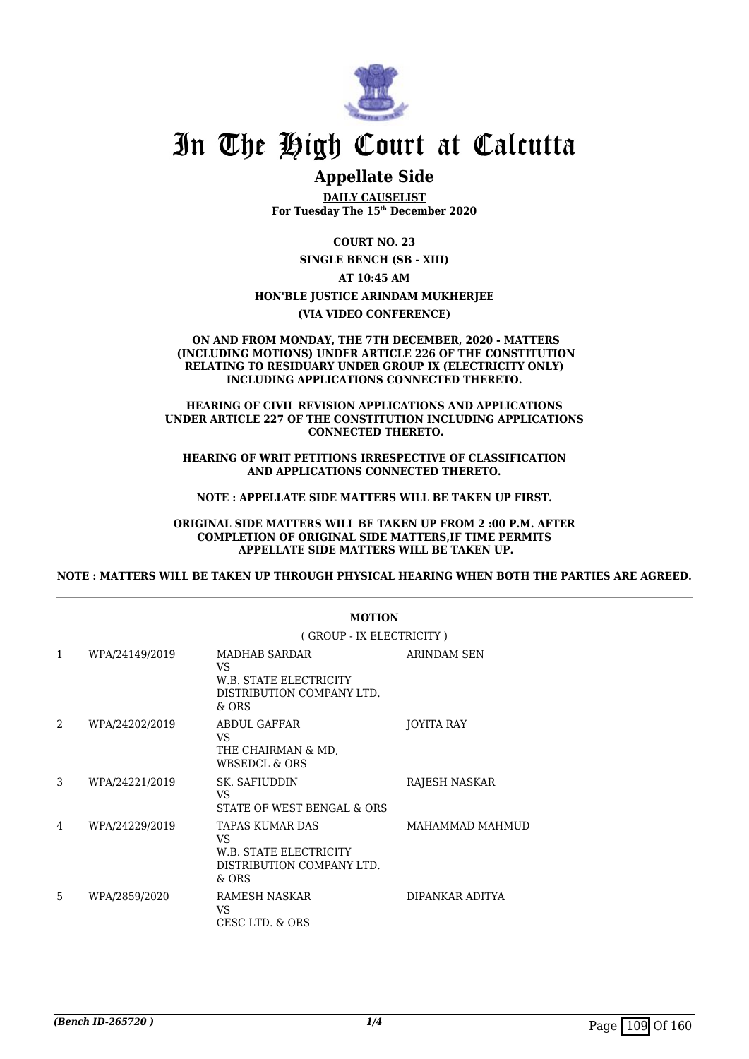

## **Appellate Side**

**DAILY CAUSELIST For Tuesday The 15th December 2020**

**COURT NO. 23**

**SINGLE BENCH (SB - XIII)**

**AT 10:45 AM**

**HON'BLE JUSTICE ARINDAM MUKHERJEE**

**(VIA VIDEO CONFERENCE)**

### **ON AND FROM MONDAY, THE 7TH DECEMBER, 2020 - MATTERS (INCLUDING MOTIONS) UNDER ARTICLE 226 OF THE CONSTITUTION RELATING TO RESIDUARY UNDER GROUP IX (ELECTRICITY ONLY) INCLUDING APPLICATIONS CONNECTED THERETO.**

### **HEARING OF CIVIL REVISION APPLICATIONS AND APPLICATIONS UNDER ARTICLE 227 OF THE CONSTITUTION INCLUDING APPLICATIONS CONNECTED THERETO.**

**HEARING OF WRIT PETITIONS IRRESPECTIVE OF CLASSIFICATION AND APPLICATIONS CONNECTED THERETO.**

**NOTE : APPELLATE SIDE MATTERS WILL BE TAKEN UP FIRST.**

**ORIGINAL SIDE MATTERS WILL BE TAKEN UP FROM 2 :00 P.M. AFTER COMPLETION OF ORIGINAL SIDE MATTERS,IF TIME PERMITS APPELLATE SIDE MATTERS WILL BE TAKEN UP.**

**NOTE : MATTERS WILL BE TAKEN UP THROUGH PHYSICAL HEARING WHEN BOTH THE PARTIES ARE AGREED.**

|   |                | (GROUP - IX ELECTRICITY)                                                              |                   |  |
|---|----------------|---------------------------------------------------------------------------------------|-------------------|--|
| 1 | WPA/24149/2019 | MADHAB SARDAR<br>VS<br>W.B. STATE ELECTRICITY<br>DISTRIBUTION COMPANY LTD.<br>& ORS   | ARINDAM SEN       |  |
| 2 | WPA/24202/2019 | ABDUL GAFFAR<br>VS<br>THE CHAIRMAN & MD.<br>WBSEDCL & ORS                             | <b>JOYITA RAY</b> |  |
| 3 | WPA/24221/2019 | SK. SAFIUDDIN<br>VS<br>STATE OF WEST BENGAL & ORS                                     | RAJESH NASKAR     |  |
| 4 | WPA/24229/2019 | TAPAS KUMAR DAS<br>VS<br>W.B. STATE ELECTRICITY<br>DISTRIBUTION COMPANY LTD.<br>& ORS | MAHAMMAD MAHMUD   |  |
| 5 | WPA/2859/2020  | RAMESH NASKAR<br>VS<br>CESC LTD. & ORS                                                | DIPANKAR ADITYA   |  |

### **MOTION**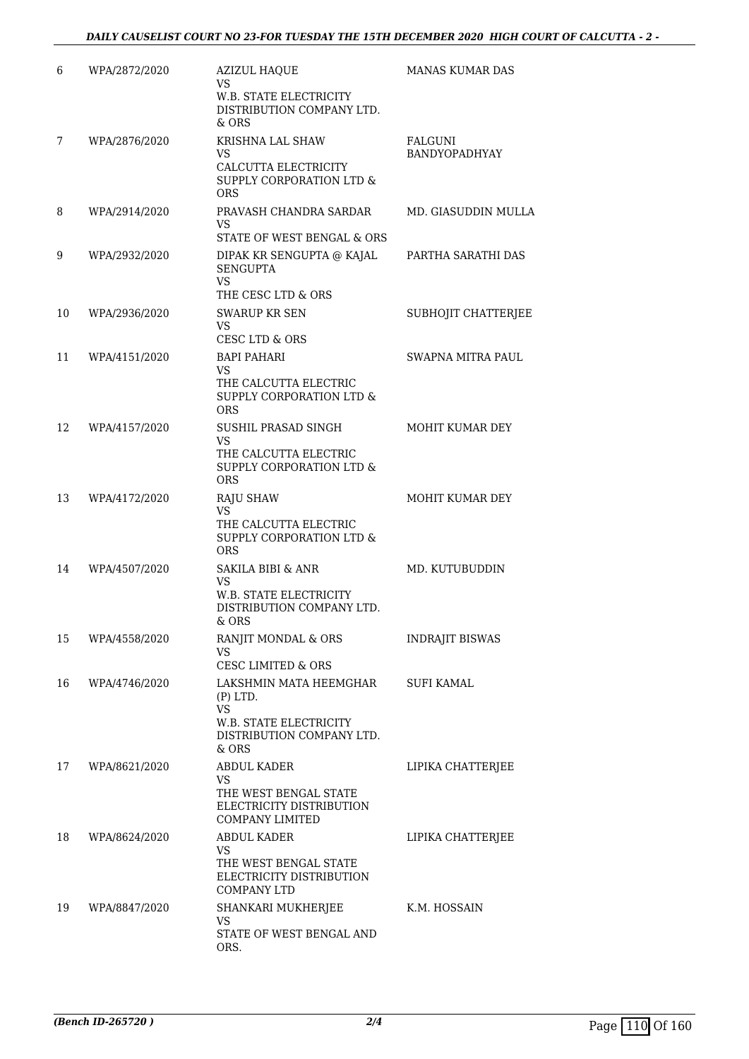| 6  | WPA/2872/2020 | <b>AZIZUL HAQUE</b><br>VS<br>W.B. STATE ELECTRICITY                         | <b>MANAS KUMAR DAS</b>                 |
|----|---------------|-----------------------------------------------------------------------------|----------------------------------------|
|    |               | DISTRIBUTION COMPANY LTD.<br>& ORS                                          |                                        |
| 7  | WPA/2876/2020 | <b>KRISHNA LAL SHAW</b><br><b>VS</b>                                        | <b>FALGUNI</b><br><b>BANDYOPADHYAY</b> |
|    |               | CALCUTTA ELECTRICITY<br>SUPPLY CORPORATION LTD &<br><b>ORS</b>              |                                        |
| 8  | WPA/2914/2020 | PRAVASH CHANDRA SARDAR<br>VS                                                | MD. GIASUDDIN MULLA                    |
|    |               | STATE OF WEST BENGAL & ORS                                                  |                                        |
| 9  | WPA/2932/2020 | DIPAK KR SENGUPTA @ KAJAL<br><b>SENGUPTA</b><br>VS                          | PARTHA SARATHI DAS                     |
|    |               | THE CESC LTD & ORS                                                          |                                        |
| 10 | WPA/2936/2020 | <b>SWARUP KR SEN</b><br><b>VS</b><br>CESC LTD & ORS                         | SUBHOJIT CHATTERJEE                    |
| 11 | WPA/4151/2020 | <b>BAPI PAHARI</b>                                                          | SWAPNA MITRA PAUL                      |
|    |               | VS                                                                          |                                        |
|    |               | THE CALCUTTA ELECTRIC<br>SUPPLY CORPORATION LTD &<br><b>ORS</b>             |                                        |
| 12 | WPA/4157/2020 | SUSHIL PRASAD SINGH                                                         | MOHIT KUMAR DEY                        |
|    |               | VS<br>THE CALCUTTA ELECTRIC                                                 |                                        |
|    |               | SUPPLY CORPORATION LTD &<br><b>ORS</b>                                      |                                        |
| 13 | WPA/4172/2020 | <b>RAJU SHAW</b>                                                            | MOHIT KUMAR DEY                        |
|    |               | <b>VS</b><br>THE CALCUTTA ELECTRIC                                          |                                        |
|    |               | SUPPLY CORPORATION LTD &<br>ORS                                             |                                        |
| 14 | WPA/4507/2020 | <b>SAKILA BIBI &amp; ANR</b>                                                | MD. KUTUBUDDIN                         |
|    |               | VS<br><b>W.B. STATE ELECTRICITY</b>                                         |                                        |
|    |               | DISTRIBUTION COMPANY LTD.<br>$&$ ORS                                        |                                        |
| 15 | WPA/4558/2020 | RANJIT MONDAL & ORS                                                         | <b>INDRAJIT BISWAS</b>                 |
|    |               | VS<br><b>CESC LIMITED &amp; ORS</b>                                         |                                        |
| 16 | WPA/4746/2020 | LAKSHMIN MATA HEEMGHAR                                                      | <b>SUFI KAMAL</b>                      |
|    |               | $(P)$ LTD.<br><b>VS</b>                                                     |                                        |
|    |               | <b>W.B. STATE ELECTRICITY</b><br>DISTRIBUTION COMPANY LTD.<br>& ORS         |                                        |
| 17 | WPA/8621/2020 | <b>ABDUL KADER</b>                                                          | LIPIKA CHATTERJEE                      |
|    |               | <b>VS</b>                                                                   |                                        |
|    |               | THE WEST BENGAL STATE<br>ELECTRICITY DISTRIBUTION<br><b>COMPANY LIMITED</b> |                                        |
| 18 | WPA/8624/2020 | <b>ABDUL KADER</b>                                                          | LIPIKA CHATTERJEE                      |
|    |               | VS<br>THE WEST BENGAL STATE                                                 |                                        |
|    |               | ELECTRICITY DISTRIBUTION<br><b>COMPANY LTD</b>                              |                                        |
| 19 | WPA/8847/2020 | SHANKARI MUKHERJEE                                                          | K.M. HOSSAIN                           |
|    |               | VS<br>STATE OF WEST BENGAL AND<br>ORS.                                      |                                        |
|    |               |                                                                             |                                        |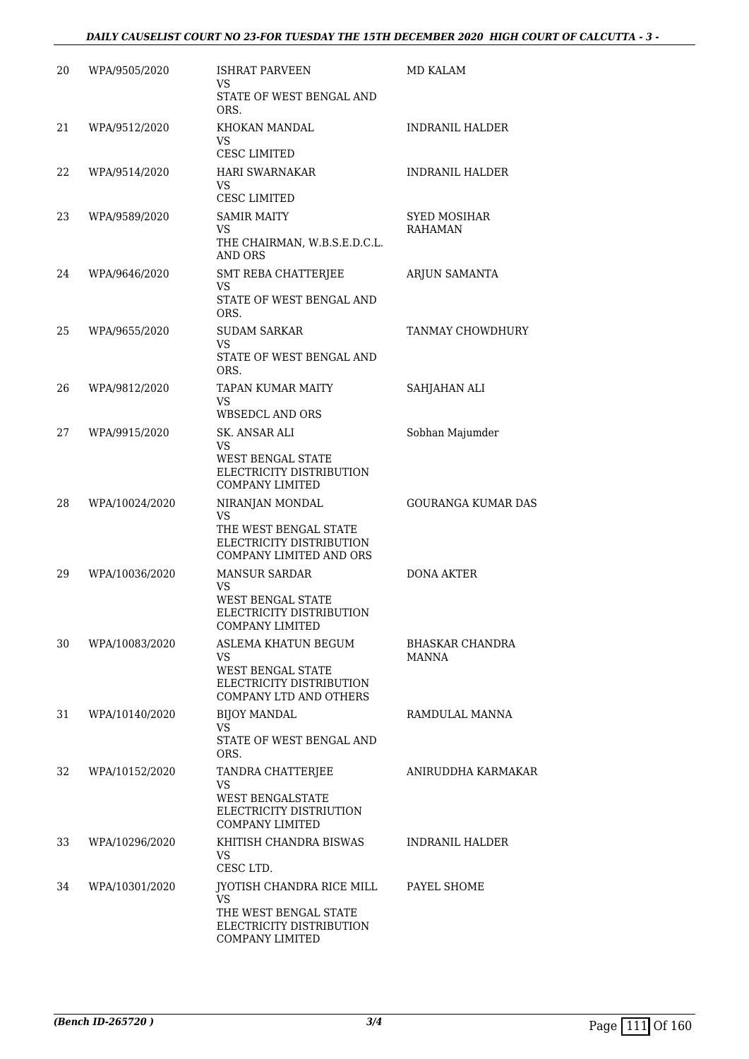### *DAILY CAUSELIST COURT NO 23-FOR TUESDAY THE 15TH DECEMBER 2020 HIGH COURT OF CALCUTTA - 3 -*

| 20 | WPA/9505/2020  | <b>ISHRAT PARVEEN</b><br>VS                                                                                               | MD KALAM                              |
|----|----------------|---------------------------------------------------------------------------------------------------------------------------|---------------------------------------|
|    |                | STATE OF WEST BENGAL AND<br>ORS.                                                                                          |                                       |
| 21 | WPA/9512/2020  | KHOKAN MANDAL<br>VS<br><b>CESC LIMITED</b>                                                                                | <b>INDRANIL HALDER</b>                |
| 22 | WPA/9514/2020  | <b>HARI SWARNAKAR</b><br>VS                                                                                               | <b>INDRANIL HALDER</b>                |
| 23 | WPA/9589/2020  | <b>CESC LIMITED</b><br><b>SAMIR MAITY</b><br><b>VS</b><br>THE CHAIRMAN, W.B.S.E.D.C.L.<br>AND ORS                         | <b>SYED MOSIHAR</b><br><b>RAHAMAN</b> |
| 24 | WPA/9646/2020  | SMT REBA CHATTERJEE<br>VS<br>STATE OF WEST BENGAL AND<br>ORS.                                                             | ARJUN SAMANTA                         |
| 25 | WPA/9655/2020  | <b>SUDAM SARKAR</b><br><b>VS</b><br>STATE OF WEST BENGAL AND<br>ORS.                                                      | <b>TANMAY CHOWDHURY</b>               |
| 26 | WPA/9812/2020  | <b>TAPAN KUMAR MAITY</b><br>VS<br><b>WBSEDCL AND ORS</b>                                                                  | SAHJAHAN ALI                          |
| 27 | WPA/9915/2020  | SK. ANSAR ALI<br><b>VS</b><br><b>WEST BENGAL STATE</b>                                                                    | Sobhan Majumder                       |
|    |                | ELECTRICITY DISTRIBUTION<br><b>COMPANY LIMITED</b>                                                                        |                                       |
| 28 | WPA/10024/2020 | NIRANJAN MONDAL<br>VS<br>THE WEST BENGAL STATE<br>ELECTRICITY DISTRIBUTION<br>COMPANY LIMITED AND ORS                     | <b>GOURANGA KUMAR DAS</b>             |
| 29 | WPA/10036/2020 | <b>MANSUR SARDAR</b><br><b>VS</b><br><b>WEST BENGAL STATE</b><br>ELECTRICITY DISTRIBUTION<br><b>COMPANY LIMITED</b>       | DONA AKTER                            |
| 30 | WPA/10083/2020 | ASLEMA KHATUN BEGUM<br><b>VS</b><br><b>WEST BENGAL STATE</b><br>ELECTRICITY DISTRIBUTION<br><b>COMPANY LTD AND OTHERS</b> | <b>BHASKAR CHANDRA</b><br>MANNA       |
| 31 | WPA/10140/2020 | <b>BIJOY MANDAL</b><br>VS.<br>STATE OF WEST BENGAL AND<br>ORS.                                                            | RAMDULAL MANNA                        |
| 32 | WPA/10152/2020 | TANDRA CHATTERJEE<br>VS<br>WEST BENGALSTATE<br>ELECTRICITY DISTRIUTION<br><b>COMPANY LIMITED</b>                          | ANIRUDDHA KARMAKAR                    |
| 33 | WPA/10296/2020 | KHITISH CHANDRA BISWAS<br>VS.<br>CESC LTD.                                                                                | INDRANIL HALDER                       |
| 34 | WPA/10301/2020 | IYOTISH CHANDRA RICE MILL<br><b>VS</b><br>THE WEST BENGAL STATE<br>ELECTRICITY DISTRIBUTION<br><b>COMPANY LIMITED</b>     | PAYEL SHOME                           |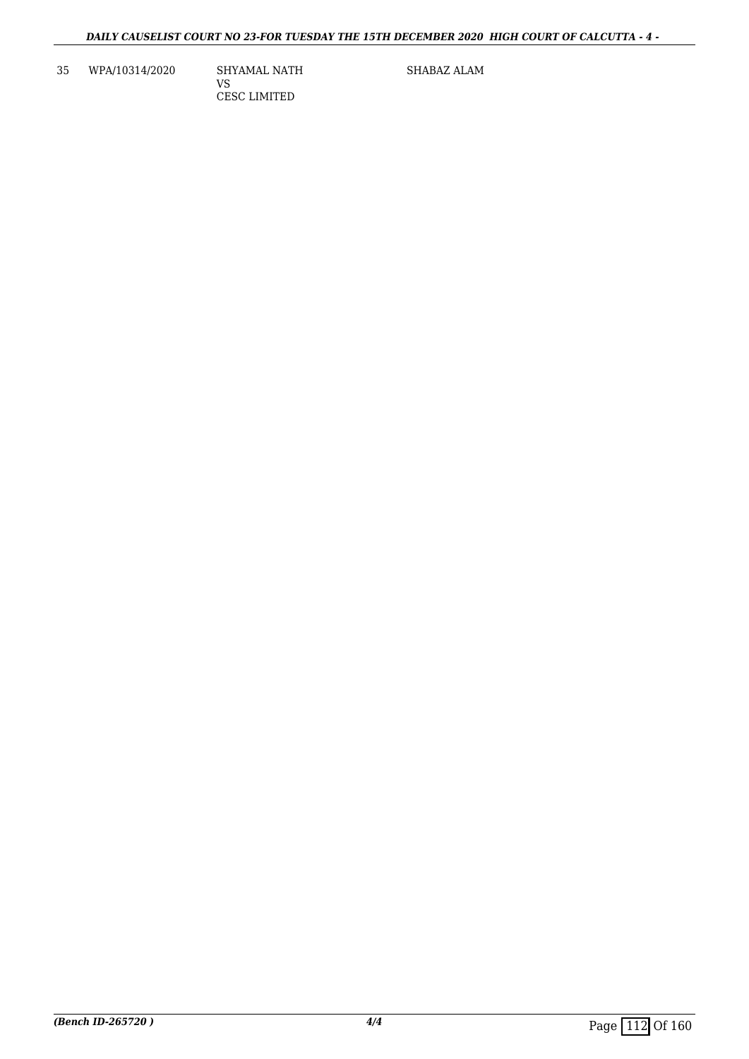35 WPA/10314/2020 SHYAMAL NATH

VS CESC LIMITED SHABAZ ALAM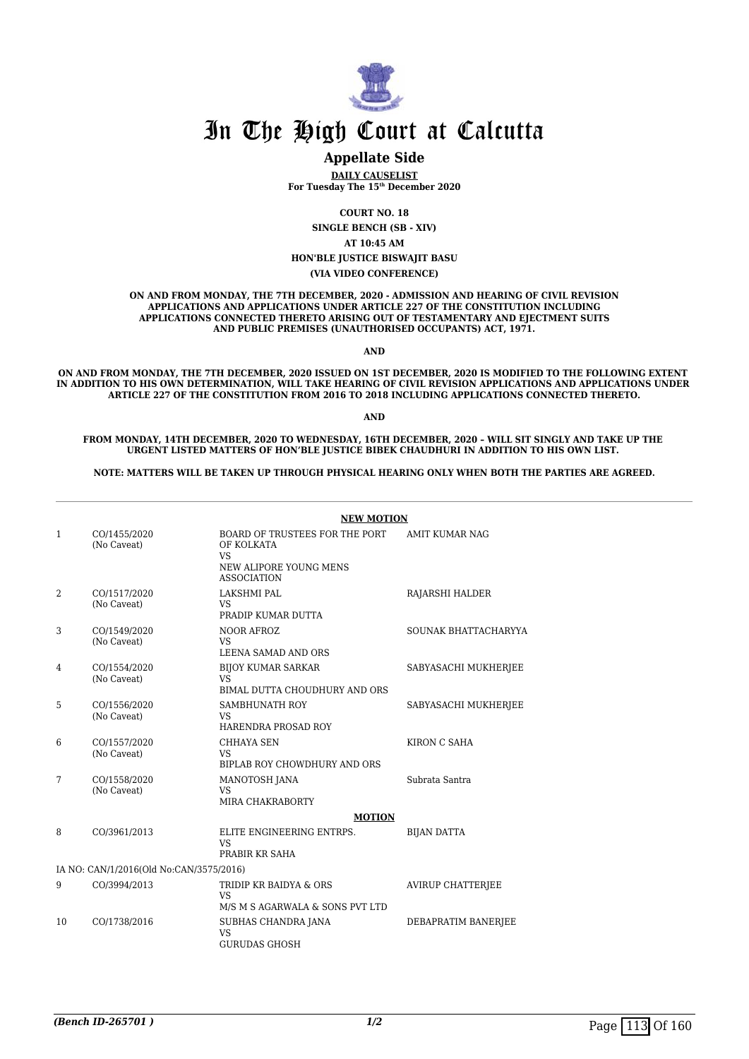

### **Appellate Side**

**DAILY CAUSELIST For Tuesday The 15th December 2020**

**COURT NO. 18**

**SINGLE BENCH (SB - XIV)**

**AT 10:45 AM**

**HON'BLE JUSTICE BISWAJIT BASU**

**(VIA VIDEO CONFERENCE)**

**ON AND FROM MONDAY, THE 7TH DECEMBER, 2020 - ADMISSION AND HEARING OF CIVIL REVISION APPLICATIONS AND APPLICATIONS UNDER ARTICLE 227 OF THE CONSTITUTION INCLUDING APPLICATIONS CONNECTED THERETO ARISING OUT OF TESTAMENTARY AND EJECTMENT SUITS AND PUBLIC PREMISES (UNAUTHORISED OCCUPANTS) ACT, 1971.**

**AND**

**ON AND FROM MONDAY, THE 7TH DECEMBER, 2020 ISSUED ON 1ST DECEMBER, 2020 IS MODIFIED TO THE FOLLOWING EXTENT IN ADDITION TO HIS OWN DETERMINATION, WILL TAKE HEARING OF CIVIL REVISION APPLICATIONS AND APPLICATIONS UNDER ARTICLE 227 OF THE CONSTITUTION FROM 2016 TO 2018 INCLUDING APPLICATIONS CONNECTED THERETO.**

**AND**

**FROM MONDAY, 14TH DECEMBER, 2020 TO WEDNESDAY, 16TH DECEMBER, 2020 – WILL SIT SINGLY AND TAKE UP THE URGENT LISTED MATTERS OF HON'BLE JUSTICE BIBEK CHAUDHURI IN ADDITION TO HIS OWN LIST.** 

**NOTE: MATTERS WILL BE TAKEN UP THROUGH PHYSICAL HEARING ONLY WHEN BOTH THE PARTIES ARE AGREED.**

|    |                                         | <b>NEW MOTION</b>                                                                                         |                          |  |  |
|----|-----------------------------------------|-----------------------------------------------------------------------------------------------------------|--------------------------|--|--|
| 1  | CO/1455/2020<br>(No Caveat)             | BOARD OF TRUSTEES FOR THE PORT<br>OF KOLKATA<br><b>VS</b><br>NEW ALIPORE YOUNG MENS<br><b>ASSOCIATION</b> | AMIT KUMAR NAG           |  |  |
| 2  | CO/1517/2020<br>(No Caveat)             | <b>LAKSHMI PAL</b><br>VS.<br>PRADIP KUMAR DUTTA                                                           | RAJARSHI HALDER          |  |  |
| 3  | CO/1549/2020<br>(No Caveat)             | NOOR AFROZ<br><b>VS</b><br>LEENA SAMAD AND ORS                                                            | SOUNAK BHATTACHARYYA     |  |  |
| 4  | CO/1554/2020<br>(No Caveat)             | <b>BIJOY KUMAR SARKAR</b><br><b>VS</b><br>BIMAL DUTTA CHOUDHURY AND ORS                                   | SABYASACHI MUKHERJEE     |  |  |
| 5  | CO/1556/2020<br>(No Caveat)             | SAMBHUNATH ROY<br><b>VS</b><br>HARENDRA PROSAD ROY                                                        | SABYASACHI MUKHERJEE     |  |  |
| 6  | CO/1557/2020<br>(No Caveat)             | <b>CHHAYA SEN</b><br>VS.<br>BIPLAB ROY CHOWDHURY AND ORS                                                  | KIRON C SAHA             |  |  |
| 7  | CO/1558/2020<br>(No Caveat)             | MANOTOSH JANA<br><b>VS</b><br>MIRA CHAKRABORTY                                                            | Subrata Santra           |  |  |
| 8  | CO/3961/2013                            | <b>MOTION</b><br>ELITE ENGINEERING ENTRPS.<br>VS <sub>1</sub><br>PRABIR KR SAHA                           | <b>BIJAN DATTA</b>       |  |  |
|    | IA NO: CAN/1/2016(Old No:CAN/3575/2016) |                                                                                                           |                          |  |  |
| 9  | CO/3994/2013                            | TRIDIP KR BAIDYA & ORS<br>VS.<br>M/S M S AGARWALA & SONS PVT LTD                                          | <b>AVIRUP CHATTERIEE</b> |  |  |
| 10 | CO/1738/2016                            | SUBHAS CHANDRA JANA<br><b>VS</b><br><b>GURUDAS GHOSH</b>                                                  | DEBAPRATIM BANERJEE      |  |  |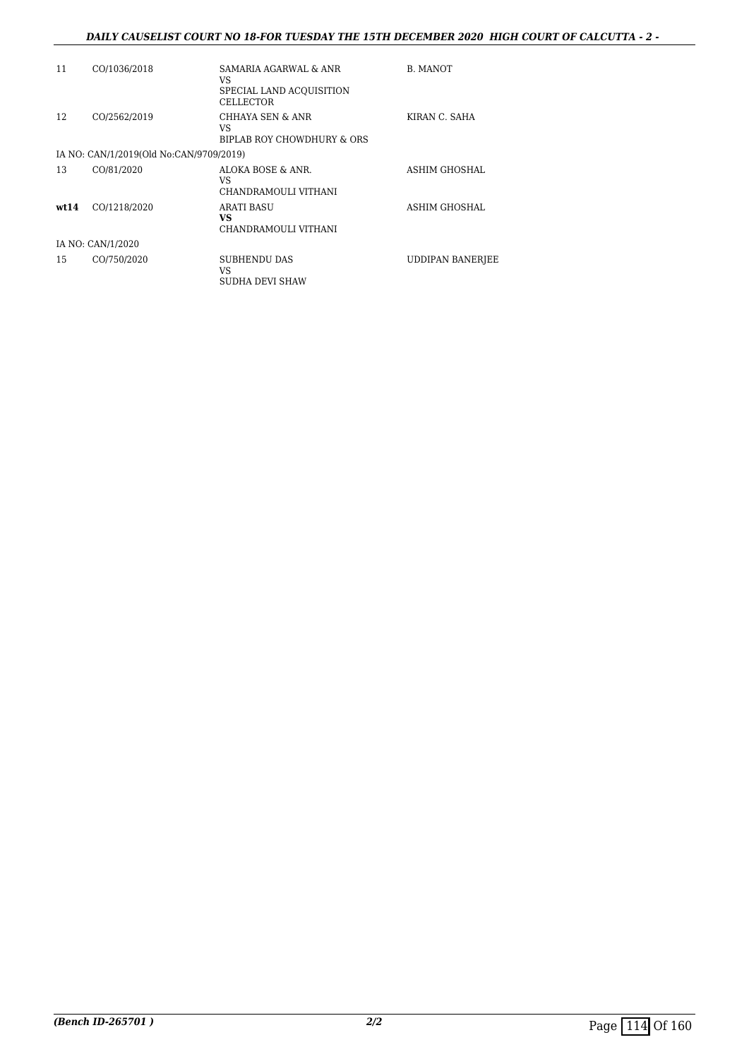### *DAILY CAUSELIST COURT NO 18-FOR TUESDAY THE 15TH DECEMBER 2020 HIGH COURT OF CALCUTTA - 2 -*

| 11   | CO/1036/2018                            | SAMARIA AGARWAL & ANR<br>VS.<br>SPECIAL LAND ACQUISITION<br><b>CELLECTOR</b> | <b>B. MANOT</b>         |
|------|-----------------------------------------|------------------------------------------------------------------------------|-------------------------|
| 12   | CO/2562/2019                            | CHHAYA SEN & ANR<br>VS<br>BIPLAB ROY CHOWDHURY & ORS                         | KIRAN C. SAHA           |
|      | IA NO: CAN/1/2019(Old No:CAN/9709/2019) |                                                                              |                         |
| 13   | CO/81/2020                              | ALOKA BOSE & ANR.<br>VS.<br>CHANDRAMOULI VITHANI                             | ASHIM GHOSHAL           |
| wt14 | CO/1218/2020                            | <b>ARATI BASU</b><br><b>VS</b><br>CHANDRAMOULI VITHANI                       | ASHIM GHOSHAL           |
|      | IA NO: CAN/1/2020                       |                                                                              |                         |
| 15   | CO/750/2020                             | <b>SUBHENDU DAS</b><br>VS<br>SUDHA DEVI SHAW                                 | <b>UDDIPAN BANERIEE</b> |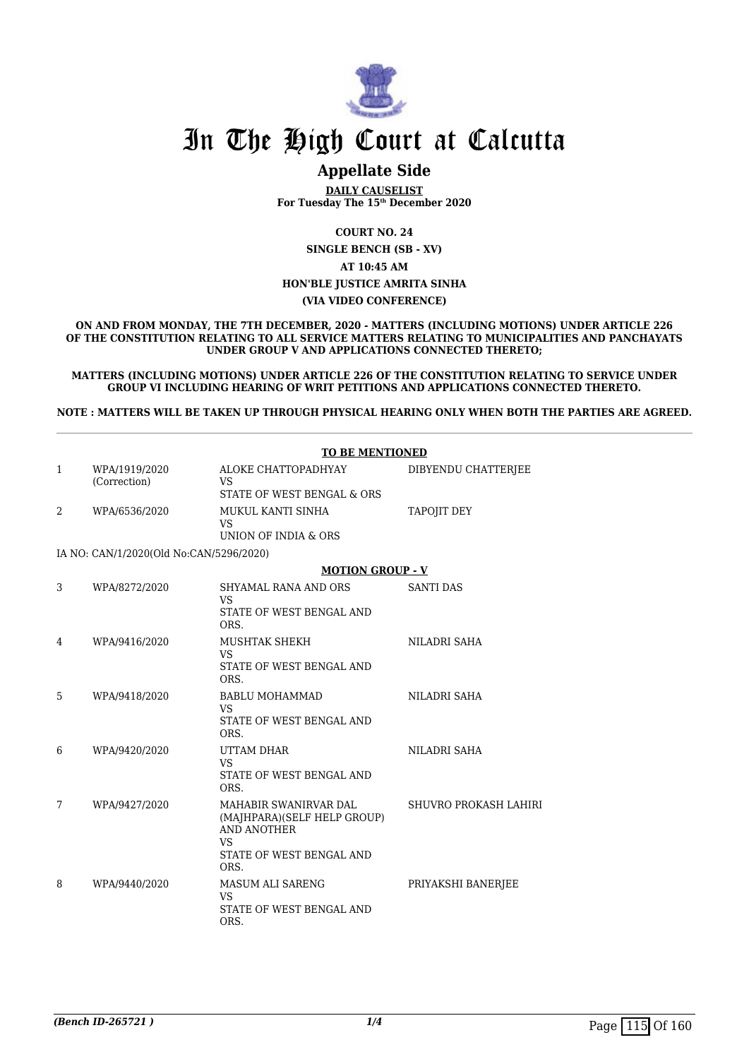

## **Appellate Side**

**DAILY CAUSELIST For Tuesday The 15th December 2020**

**COURT NO. 24**

**SINGLE BENCH (SB - XV) AT 10:45 AM**

### **HON'BLE JUSTICE AMRITA SINHA**

### **(VIA VIDEO CONFERENCE)**

**ON AND FROM MONDAY, THE 7TH DECEMBER, 2020 - MATTERS (INCLUDING MOTIONS) UNDER ARTICLE 226 OF THE CONSTITUTION RELATING TO ALL SERVICE MATTERS RELATING TO MUNICIPALITIES AND PANCHAYATS UNDER GROUP V AND APPLICATIONS CONNECTED THERETO;**

**MATTERS (INCLUDING MOTIONS) UNDER ARTICLE 226 OF THE CONSTITUTION RELATING TO SERVICE UNDER GROUP VI INCLUDING HEARING OF WRIT PETITIONS AND APPLICATIONS CONNECTED THERETO.**

**NOTE : MATTERS WILL BE TAKEN UP THROUGH PHYSICAL HEARING ONLY WHEN BOTH THE PARTIES ARE AGREED.**

|              |                                         | <b>TO BE MENTIONED</b>                                                                                               |                       |  |
|--------------|-----------------------------------------|----------------------------------------------------------------------------------------------------------------------|-----------------------|--|
| $\mathbf{1}$ | WPA/1919/2020<br>(Correction)           | ALOKE CHATTOPADHYAY<br><b>VS</b><br>STATE OF WEST BENGAL & ORS                                                       | DIBYENDU CHATTERJEE   |  |
| 2            | WPA/6536/2020                           | MUKUL KANTI SINHA<br><b>VS</b><br>UNION OF INDIA & ORS                                                               | <b>TAPOJIT DEY</b>    |  |
|              | IA NO: CAN/1/2020(Old No:CAN/5296/2020) |                                                                                                                      |                       |  |
|              |                                         | <b>MOTION GROUP - V</b>                                                                                              |                       |  |
| 3            | WPA/8272/2020                           | SHYAMAL RANA AND ORS<br>VS<br>STATE OF WEST BENGAL AND<br>ORS.                                                       | <b>SANTI DAS</b>      |  |
| 4            | WPA/9416/2020                           | MUSHTAK SHEKH<br><b>VS</b><br>STATE OF WEST BENGAL AND<br>ORS.                                                       | <b>NILADRI SAHA</b>   |  |
| 5            | WPA/9418/2020                           | <b>BABLU MOHAMMAD</b><br><b>VS</b><br>STATE OF WEST BENGAL AND<br>ORS.                                               | NILADRI SAHA          |  |
| 6            | WPA/9420/2020                           | UTTAM DHAR<br><b>VS</b><br>STATE OF WEST BENGAL AND<br>ORS.                                                          | NILADRI SAHA          |  |
| 7            | WPA/9427/2020                           | MAHABIR SWANIRVAR DAL<br>(MAJHPARA)(SELF HELP GROUP)<br>AND ANOTHER<br><b>VS</b><br>STATE OF WEST BENGAL AND<br>ORS. | SHUVRO PROKASH LAHIRI |  |
| 8            | WPA/9440/2020                           | <b>MASUM ALI SARENG</b><br><b>VS</b><br>STATE OF WEST BENGAL AND<br>ORS.                                             | PRIYAKSHI BANERJEE    |  |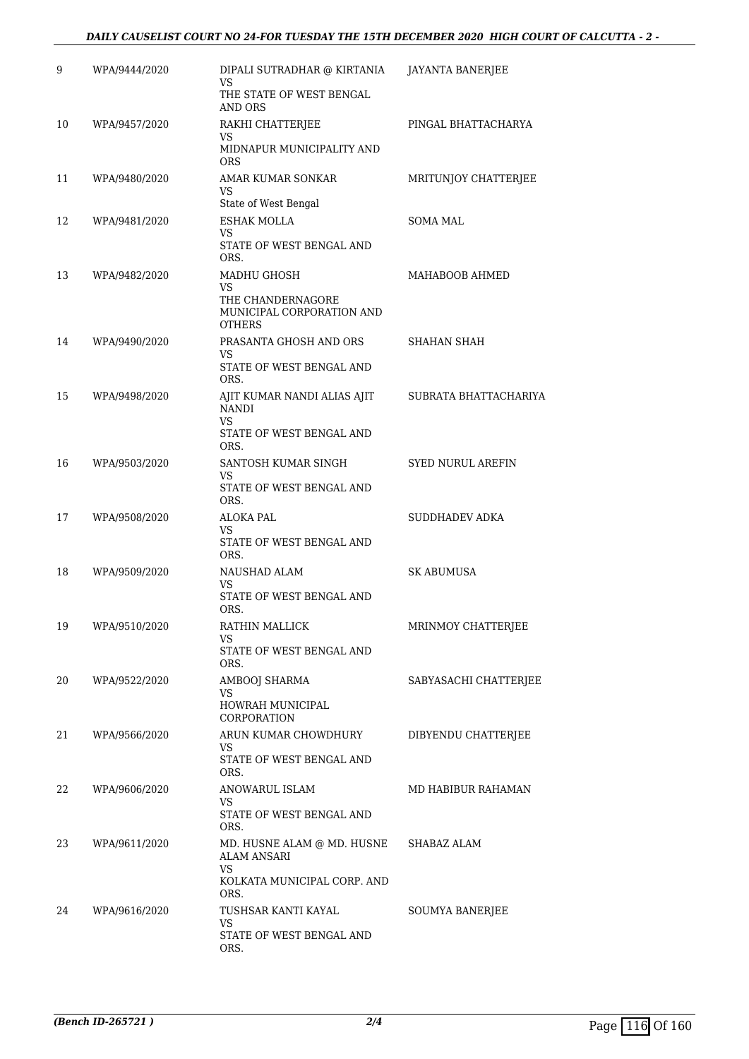### *DAILY CAUSELIST COURT NO 24-FOR TUESDAY THE 15TH DECEMBER 2020 HIGH COURT OF CALCUTTA - 2 -*

| 9  | WPA/9444/2020 | DIPALI SUTRADHAR @ KIRTANIA<br>VS<br>THE STATE OF WEST BENGAL<br>AND ORS                             | JAYANTA BANERJEE         |
|----|---------------|------------------------------------------------------------------------------------------------------|--------------------------|
| 10 | WPA/9457/2020 | RAKHI CHATTERJEE<br>VS<br>MIDNAPUR MUNICIPALITY AND<br><b>ORS</b>                                    | PINGAL BHATTACHARYA      |
| 11 | WPA/9480/2020 | AMAR KUMAR SONKAR<br>VS<br>State of West Bengal                                                      | MRITUNJOY CHATTERJEE     |
| 12 | WPA/9481/2020 | <b>ESHAK MOLLA</b><br><b>VS</b><br>STATE OF WEST BENGAL AND<br>ORS.                                  | SOMA MAL                 |
| 13 | WPA/9482/2020 | MADHU GHOSH<br>VS<br>THE CHANDERNAGORE<br>MUNICIPAL CORPORATION AND<br><b>OTHERS</b>                 | MAHABOOB AHMED           |
| 14 | WPA/9490/2020 | PRASANTA GHOSH AND ORS<br>VS<br>STATE OF WEST BENGAL AND<br>ORS.                                     | SHAHAN SHAH              |
| 15 | WPA/9498/2020 | AJIT KUMAR NANDI ALIAS AJIT<br><b>NANDI</b><br>VS<br>STATE OF WEST BENGAL AND<br>ORS.                | SUBRATA BHATTACHARIYA    |
| 16 | WPA/9503/2020 | SANTOSH KUMAR SINGH<br>VS<br>STATE OF WEST BENGAL AND<br>ORS.                                        | <b>SYED NURUL AREFIN</b> |
| 17 | WPA/9508/2020 | <b>ALOKA PAL</b><br>VS<br>STATE OF WEST BENGAL AND<br>ORS.                                           | SUDDHADEV ADKA           |
| 18 | WPA/9509/2020 | NAUSHAD ALAM<br>VS<br>STATE OF WEST BENGAL AND<br>ORS.                                               | SK ABUMUSA               |
| 19 | WPA/9510/2020 | RATHIN MALLICK<br>VS<br>STATE OF WEST BENGAL AND<br>ORS.                                             | MRINMOY CHATTERJEE       |
| 20 | WPA/9522/2020 | AMBOOJ SHARMA<br>VS<br>HOWRAH MUNICIPAL<br>CORPORATION                                               | SABYASACHI CHATTERJEE    |
| 21 | WPA/9566/2020 | ARUN KUMAR CHOWDHURY<br>VS.<br>STATE OF WEST BENGAL AND<br>ORS.                                      | DIBYENDU CHATTERJEE      |
| 22 | WPA/9606/2020 | ANOWARUL ISLAM<br>VS<br>STATE OF WEST BENGAL AND<br>ORS.                                             | MD HABIBUR RAHAMAN       |
| 23 | WPA/9611/2020 | MD. HUSNE ALAM @ MD. HUSNE<br><b>ALAM ANSARI</b><br><b>VS</b><br>KOLKATA MUNICIPAL CORP. AND<br>ORS. | SHABAZ ALAM              |
| 24 | WPA/9616/2020 | TUSHSAR KANTI KAYAL<br>VS.<br>STATE OF WEST BENGAL AND<br>ORS.                                       | <b>SOUMYA BANERJEE</b>   |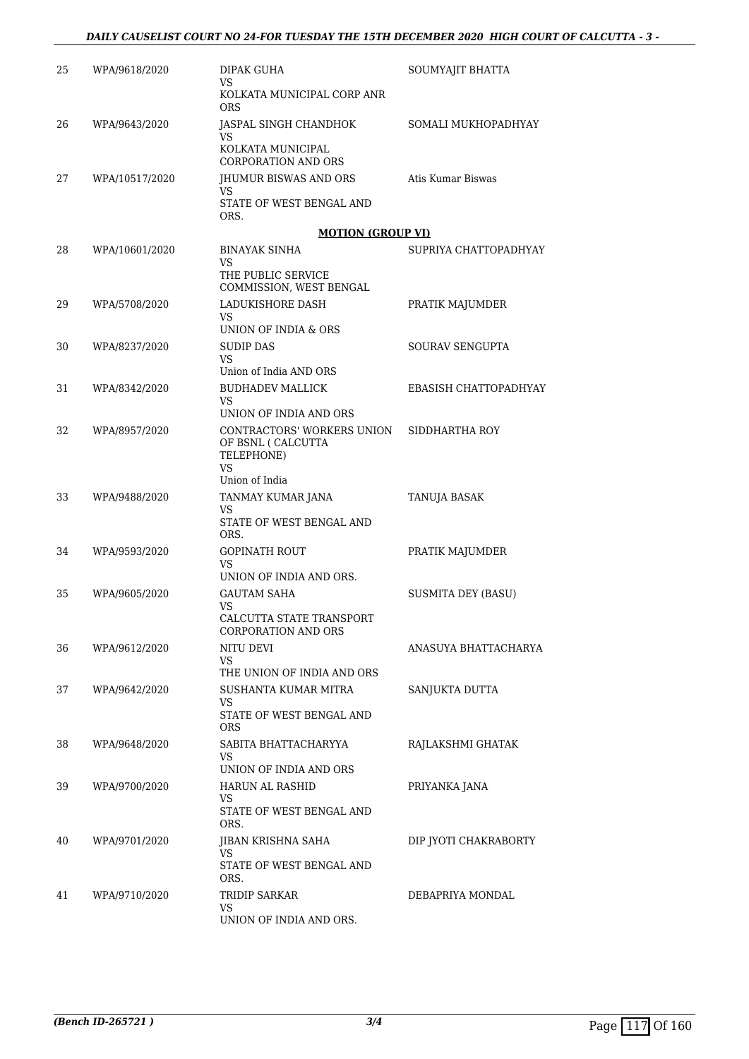| 25 | WPA/9618/2020  | DIPAK GUHA<br>VS.                                                           | SOUMYAJIT BHATTA          |
|----|----------------|-----------------------------------------------------------------------------|---------------------------|
|    |                | KOLKATA MUNICIPAL CORP ANR<br>ORS                                           |                           |
| 26 | WPA/9643/2020  | JASPAL SINGH CHANDHOK<br>VS.                                                | SOMALI MUKHOPADHYAY       |
|    |                | KOLKATA MUNICIPAL<br>CORPORATION AND ORS                                    |                           |
| 27 | WPA/10517/2020 | JHUMUR BISWAS AND ORS<br>VS                                                 | Atis Kumar Biswas         |
|    |                | STATE OF WEST BENGAL AND<br>ORS.                                            |                           |
|    |                | <b>MOTION (GROUP VI)</b>                                                    |                           |
| 28 | WPA/10601/2020 | <b>BINAYAK SINHA</b><br>VS.                                                 | SUPRIYA CHATTOPADHYAY     |
|    |                | THE PUBLIC SERVICE<br>COMMISSION, WEST BENGAL                               |                           |
| 29 | WPA/5708/2020  | LADUKISHORE DASH<br>VS                                                      | PRATIK MAJUMDER           |
|    |                | UNION OF INDIA & ORS                                                        |                           |
| 30 | WPA/8237/2020  | <b>SUDIP DAS</b><br>VS<br>Union of India AND ORS                            | SOURAV SENGUPTA           |
| 31 | WPA/8342/2020  | <b>BUDHADEV MALLICK</b>                                                     | EBASISH CHATTOPADHYAY     |
|    |                | <b>VS</b><br>UNION OF INDIA AND ORS                                         |                           |
| 32 | WPA/8957/2020  | CONTRACTORS' WORKERS UNION<br>OF BSNL ( CALCUTTA<br>TELEPHONE)<br><b>VS</b> | SIDDHARTHA ROY            |
|    |                | Union of India                                                              |                           |
| 33 | WPA/9488/2020  | TANMAY KUMAR JANA<br>VS                                                     | TANUJA BASAK              |
|    |                | STATE OF WEST BENGAL AND<br>ORS.                                            |                           |
| 34 | WPA/9593/2020  | <b>GOPINATH ROUT</b><br>VS<br>UNION OF INDIA AND ORS.                       | PRATIK MAJUMDER           |
| 35 | WPA/9605/2020  | <b>GAUTAM SAHA</b>                                                          | <b>SUSMITA DEY (BASU)</b> |
|    |                | VS<br>CALCUTTA STATE TRANSPORT                                              |                           |
|    |                | CORPORATION AND ORS                                                         |                           |
| 36 | WPA/9612/2020  | NITU DEVI<br>VS<br>THE UNION OF INDIA AND ORS                               | ANASUYA BHATTACHARYA      |
| 37 | WPA/9642/2020  | <b>SUSHANTA KUMAR MITRA</b>                                                 | SANJUKTA DUTTA            |
|    |                | VS<br>STATE OF WEST BENGAL AND<br>ORS                                       |                           |
| 38 | WPA/9648/2020  | SABITA BHATTACHARYYA<br>VS                                                  | RAJLAKSHMI GHATAK         |
|    |                | UNION OF INDIA AND ORS                                                      |                           |
| 39 | WPA/9700/2020  | HARUN AL RASHID<br>VS<br>STATE OF WEST BENGAL AND                           | PRIYANKA JANA             |
|    |                | ORS.                                                                        |                           |
| 40 | WPA/9701/2020  | JIBAN KRISHNA SAHA<br>VS                                                    | DIP JYOTI CHAKRABORTY     |
|    |                | STATE OF WEST BENGAL AND<br>ORS.                                            |                           |
| 41 | WPA/9710/2020  | TRIDIP SARKAR<br>VS                                                         | DEBAPRIYA MONDAL          |
|    |                | UNION OF INDIA AND ORS.                                                     |                           |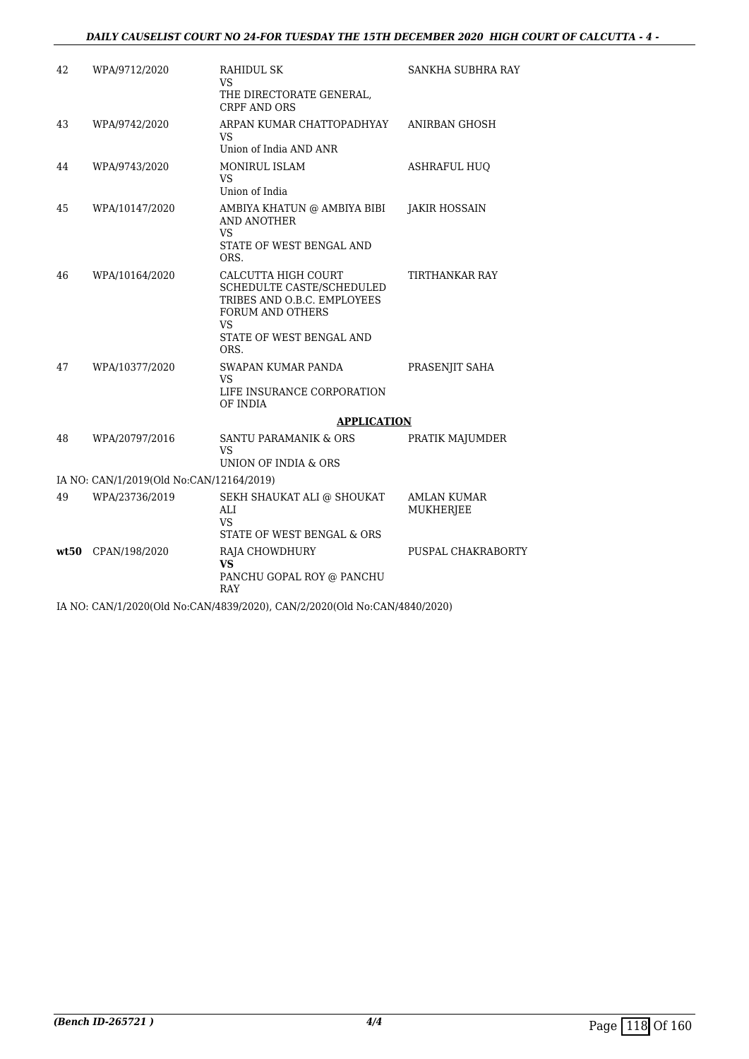### *DAILY CAUSELIST COURT NO 24-FOR TUESDAY THE 15TH DECEMBER 2020 HIGH COURT OF CALCUTTA - 4 -*

| 42   | WPA/9712/2020                            | RAHIDUL SK<br>VS<br>THE DIRECTORATE GENERAL,<br><b>CRPF AND ORS</b>                                                                                  | SANKHA SUBHRA RAY               |
|------|------------------------------------------|------------------------------------------------------------------------------------------------------------------------------------------------------|---------------------------------|
| 43   | WPA/9742/2020                            | ARPAN KUMAR CHATTOPADHYAY<br>VS.<br>Union of India AND ANR                                                                                           | ANIRBAN GHOSH                   |
| 44   | WPA/9743/2020                            | <b>MONIRUL ISLAM</b><br><b>VS</b><br>Union of India                                                                                                  | <b>ASHRAFUL HUO</b>             |
| 45   | WPA/10147/2020                           | AMBIYA KHATUN @ AMBIYA BIBI<br>AND ANOTHER<br>VS<br>STATE OF WEST BENGAL AND<br>ORS.                                                                 | <b>JAKIR HOSSAIN</b>            |
| 46   | WPA/10164/2020                           | CALCUTTA HIGH COURT<br>SCHEDULTE CASTE/SCHEDULED<br>TRIBES AND O.B.C. EMPLOYEES<br><b>FORUM AND OTHERS</b><br>VS<br>STATE OF WEST BENGAL AND<br>ORS. | TIRTHANKAR RAY                  |
| 47   | WPA/10377/2020                           | SWAPAN KUMAR PANDA<br>VS<br>LIFE INSURANCE CORPORATION<br>OF INDIA                                                                                   | PRASENJIT SAHA                  |
|      |                                          | <b>APPLICATION</b>                                                                                                                                   |                                 |
| 48   | WPA/20797/2016                           | <b>SANTU PARAMANIK &amp; ORS</b><br>VS<br>UNION OF INDIA & ORS                                                                                       | PRATIK MAJUMDER                 |
|      | IA NO: CAN/1/2019(Old No:CAN/12164/2019) |                                                                                                                                                      |                                 |
| 49   | WPA/23736/2019                           | SEKH SHAUKAT ALI @ SHOUKAT<br>ALI<br><b>VS</b><br>STATE OF WEST BENGAL & ORS                                                                         | <b>AMLAN KUMAR</b><br>MUKHERJEE |
| wt50 | CPAN/198/2020                            | RAJA CHOWDHURY<br><b>VS</b><br>PANCHU GOPAL ROY @ PANCHU<br>RAY                                                                                      | PUSPAL CHAKRABORTY              |
|      |                                          | IA NO: CAN/1/2020(Old No:CAN/4839/2020), CAN/2/2020(Old No:CAN/4840/2020)                                                                            |                                 |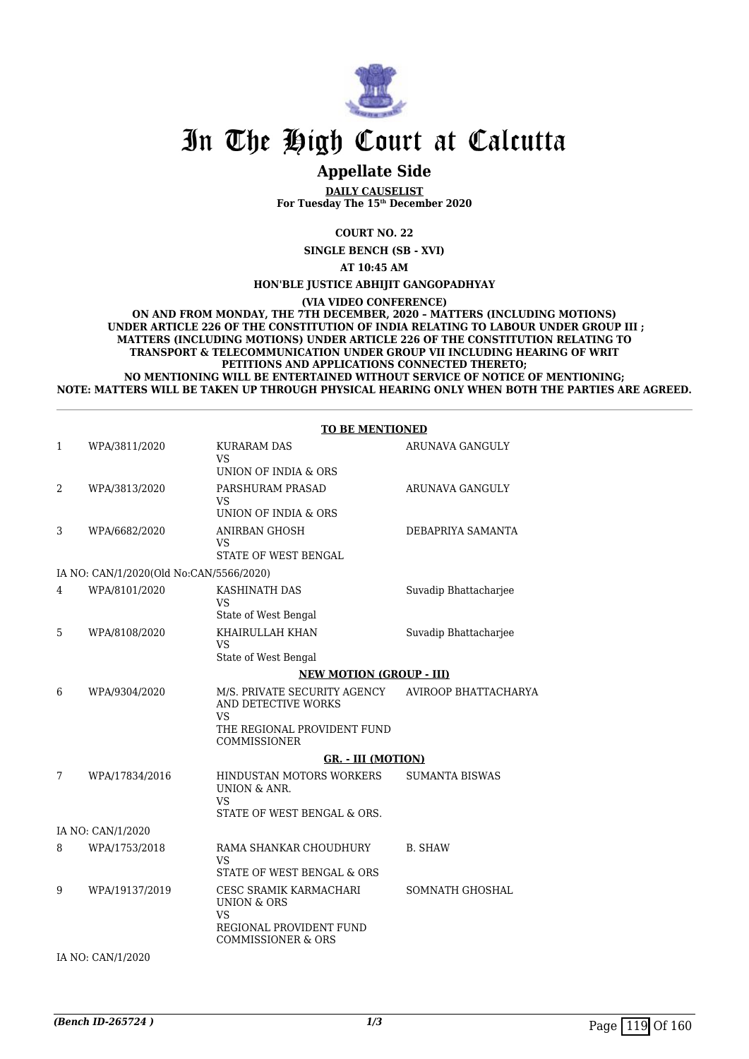

## **Appellate Side**

**DAILY CAUSELIST For Tuesday The 15th December 2020**

**COURT NO. 22**

**SINGLE BENCH (SB - XVI)**

**AT 10:45 AM**

**HON'BLE JUSTICE ABHIJIT GANGOPADHYAY**

**(VIA VIDEO CONFERENCE)**

**ON AND FROM MONDAY, THE 7TH DECEMBER, 2020 – MATTERS (INCLUDING MOTIONS) UNDER ARTICLE 226 OF THE CONSTITUTION OF INDIA RELATING TO LABOUR UNDER GROUP III ; MATTERS (INCLUDING MOTIONS) UNDER ARTICLE 226 OF THE CONSTITUTION RELATING TO TRANSPORT & TELECOMMUNICATION UNDER GROUP VII INCLUDING HEARING OF WRIT PETITIONS AND APPLICATIONS CONNECTED THERETO; NO MENTIONING WILL BE ENTERTAINED WITHOUT SERVICE OF NOTICE OF MENTIONING; NOTE: MATTERS WILL BE TAKEN UP THROUGH PHYSICAL HEARING ONLY WHEN BOTH THE PARTIES ARE AGREED.**

### **TO BE MENTIONED**

| $\mathbf{1}$ | WPA/3811/2020                           | <b>KURARAM DAS</b><br>VS                                                                                                  | ARUNAVA GANGULY       |
|--------------|-----------------------------------------|---------------------------------------------------------------------------------------------------------------------------|-----------------------|
|              |                                         | UNION OF INDIA & ORS                                                                                                      |                       |
| 2            | WPA/3813/2020                           | PARSHURAM PRASAD<br><b>VS</b><br>UNION OF INDIA & ORS                                                                     | ARUNAVA GANGULY       |
|              |                                         |                                                                                                                           |                       |
| 3            | WPA/6682/2020                           | <b>ANIRBAN GHOSH</b><br>VS<br>STATE OF WEST BENGAL                                                                        | DEBAPRIYA SAMANTA     |
|              |                                         |                                                                                                                           |                       |
|              | IA NO: CAN/1/2020(Old No:CAN/5566/2020) |                                                                                                                           |                       |
| 4            | WPA/8101/2020                           | KASHINATH DAS<br><b>VS</b>                                                                                                | Suvadip Bhattacharjee |
|              |                                         | State of West Bengal                                                                                                      |                       |
| 5            | WPA/8108/2020                           | KHAIRULLAH KHAN<br><b>VS</b>                                                                                              | Suvadip Bhattacharjee |
|              |                                         | State of West Bengal                                                                                                      |                       |
|              |                                         | <b>NEW MOTION (GROUP - III)</b>                                                                                           |                       |
| 6            | WPA/9304/2020                           | M/S. PRIVATE SECURITY AGENCY<br>AND DETECTIVE WORKS<br><b>VS</b>                                                          | AVIROOP BHATTACHARYA  |
|              |                                         | THE REGIONAL PROVIDENT FUND<br><b>COMMISSIONER</b>                                                                        |                       |
|              |                                         | <b>GR. - III (MOTION)</b>                                                                                                 |                       |
| 7            | WPA/17834/2016                          | HINDUSTAN MOTORS WORKERS<br><b>UNION &amp; ANR.</b><br><b>VS</b><br>STATE OF WEST BENGAL & ORS.                           | <b>SUMANTA BISWAS</b> |
|              | IA NO: CAN/1/2020                       |                                                                                                                           |                       |
| 8            | WPA/1753/2018                           | RAMA SHANKAR CHOUDHURY                                                                                                    | <b>B. SHAW</b>        |
|              |                                         | VS<br>STATE OF WEST BENGAL & ORS                                                                                          |                       |
| 9            | WPA/19137/2019                          | CESC SRAMIK KARMACHARI<br><b>UNION &amp; ORS</b><br><b>VS</b><br>REGIONAL PROVIDENT FUND<br><b>COMMISSIONER &amp; ORS</b> | SOMNATH GHOSHAL       |
|              | IA NO: CAN/1/2020                       |                                                                                                                           |                       |
|              |                                         |                                                                                                                           |                       |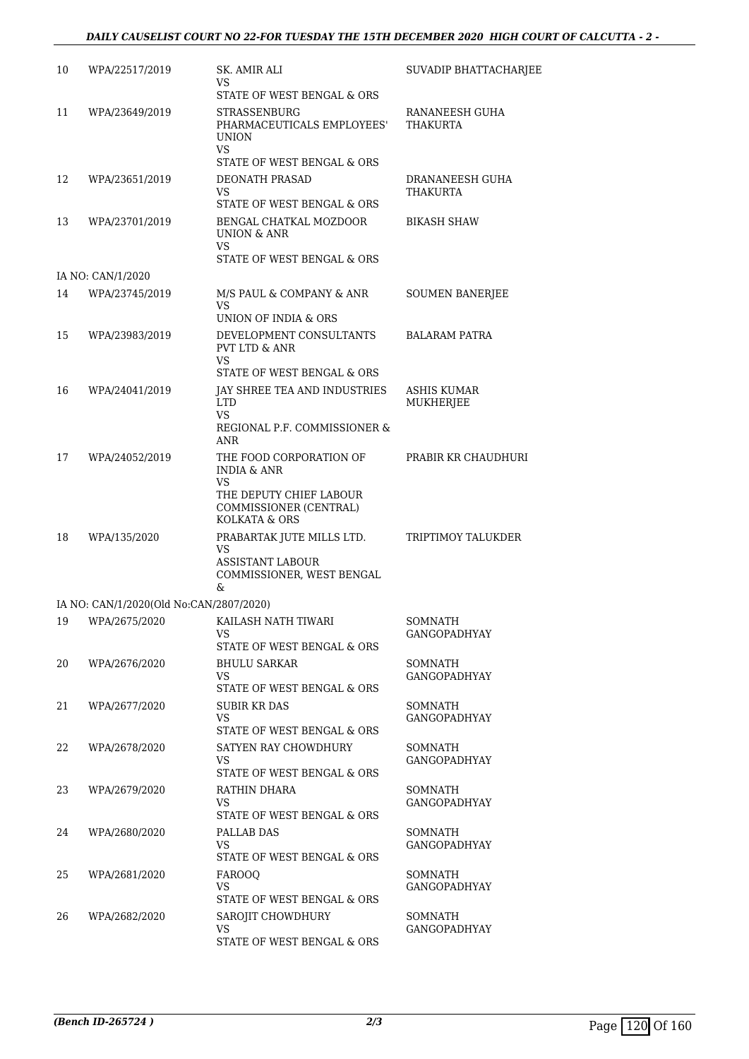### *DAILY CAUSELIST COURT NO 22-FOR TUESDAY THE 15TH DECEMBER 2020 HIGH COURT OF CALCUTTA - 2 -*

| 10 | WPA/22517/2019                          | SK. AMIR ALI<br>VS<br>STATE OF WEST BENGAL & ORS                                             | SUVADIP BHATTACHARJEE                 |
|----|-----------------------------------------|----------------------------------------------------------------------------------------------|---------------------------------------|
| 11 | WPA/23649/2019                          | STRASSENBURG<br>PHARMACEUTICALS EMPLOYEES'<br><b>UNION</b><br><b>VS</b>                      | RANANEESH GUHA<br>THAKURTA            |
|    |                                         | STATE OF WEST BENGAL & ORS                                                                   |                                       |
| 12 | WPA/23651/2019                          | DEONATH PRASAD<br>VS<br>STATE OF WEST BENGAL & ORS                                           | DRANANEESH GUHA<br>THAKURTA           |
| 13 | WPA/23701/2019                          | BENGAL CHATKAL MOZDOOR<br><b>UNION &amp; ANR</b><br><b>VS</b>                                | BIKASH SHAW                           |
|    |                                         | STATE OF WEST BENGAL & ORS                                                                   |                                       |
|    | IA NO: CAN/1/2020                       |                                                                                              |                                       |
| 14 | WPA/23745/2019                          | M/S PAUL & COMPANY & ANR<br>VS.<br>UNION OF INDIA & ORS                                      | <b>SOUMEN BANERJEE</b>                |
| 15 | WPA/23983/2019                          | DEVELOPMENT CONSULTANTS<br><b>PVT LTD &amp; ANR</b><br><b>VS</b>                             | <b>BALARAM PATRA</b>                  |
|    |                                         | STATE OF WEST BENGAL & ORS                                                                   |                                       |
| 16 | WPA/24041/2019                          | JAY SHREE TEA AND INDUSTRIES<br><b>LTD</b><br><b>VS</b><br>REGIONAL P.F. COMMISSIONER &      | ASHIS KUMAR<br>MUKHERJEE              |
|    |                                         | ANR                                                                                          |                                       |
| 17 | WPA/24052/2019                          | THE FOOD CORPORATION OF<br><b>INDIA &amp; ANR</b><br>VS                                      | PRABIR KR CHAUDHURI                   |
|    |                                         | THE DEPUTY CHIEF LABOUR<br>COMMISSIONER (CENTRAL)<br>KOLKATA & ORS                           |                                       |
| 18 | WPA/135/2020                            | PRABARTAK JUTE MILLS LTD.<br>VS<br><b>ASSISTANT LABOUR</b><br>COMMISSIONER, WEST BENGAL<br>& | TRIPTIMOY TALUKDER                    |
|    | IA NO: CAN/1/2020(Old No:CAN/2807/2020) |                                                                                              |                                       |
|    |                                         | 19 WPA/2675/2020 KAILASH NATH TIWARI<br>VS<br>STATE OF WEST BENGAL & ORS                     | <b>SOMNATH</b><br>GANGOPADHYAY        |
| 20 | WPA/2676/2020                           | <b>BHULU SARKAR</b><br>VS                                                                    | <b>SOMNATH</b><br><b>GANGOPADHYAY</b> |
|    |                                         | STATE OF WEST BENGAL & ORS                                                                   |                                       |
| 21 | WPA/2677/2020                           | <b>SUBIR KR DAS</b><br>VS<br>STATE OF WEST BENGAL & ORS                                      | <b>SOMNATH</b><br><b>GANGOPADHYAY</b> |
| 22 | WPA/2678/2020                           | SATYEN RAY CHOWDHURY<br><b>VS</b><br>STATE OF WEST BENGAL & ORS                              | SOMNATH<br><b>GANGOPADHYAY</b>        |
| 23 | WPA/2679/2020                           | RATHIN DHARA<br>VS.                                                                          | <b>SOMNATH</b><br>GANGOPADHYAY        |
|    |                                         | STATE OF WEST BENGAL & ORS                                                                   |                                       |
| 24 | WPA/2680/2020                           | PALLAB DAS<br>VS<br>STATE OF WEST BENGAL & ORS                                               | SOMNATH<br><b>GANGOPADHYAY</b>        |
| 25 | WPA/2681/2020                           | <b>FAROOQ</b><br>VS<br>STATE OF WEST BENGAL & ORS                                            | SOMNATH<br><b>GANGOPADHYAY</b>        |
| 26 | WPA/2682/2020                           | SAROJIT CHOWDHURY<br>VS.<br>STATE OF WEST BENGAL & ORS                                       | <b>SOMNATH</b><br><b>GANGOPADHYAY</b> |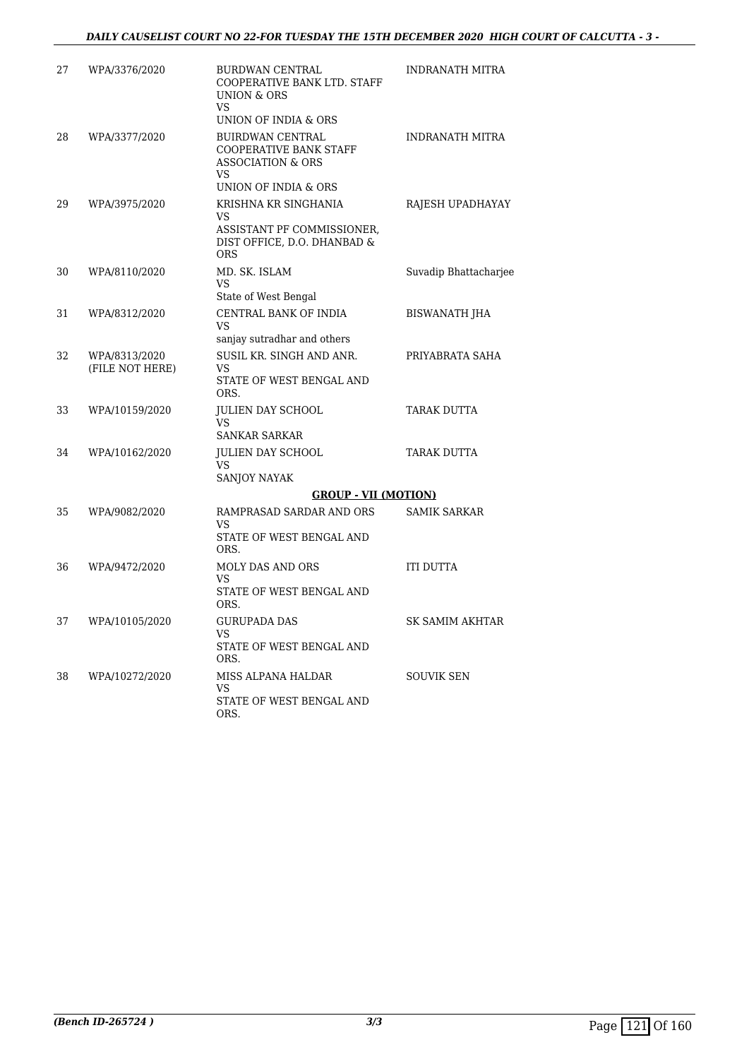| 27 | WPA/3376/2020                    | <b>BURDWAN CENTRAL</b><br>COOPERATIVE BANK LTD. STAFF<br><b>UNION &amp; ORS</b><br>VS.                                        | INDRANATH MITRA        |
|----|----------------------------------|-------------------------------------------------------------------------------------------------------------------------------|------------------------|
| 28 | WPA/3377/2020                    | UNION OF INDIA & ORS<br><b>BUIRDWAN CENTRAL</b><br>COOPERATIVE BANK STAFF<br><b>ASSOCIATION &amp; ORS</b><br>VS.              | <b>INDRANATH MITRA</b> |
| 29 | WPA/3975/2020                    | UNION OF INDIA & ORS<br>KRISHNA KR SINGHANIA<br>VS<br>ASSISTANT PF COMMISSIONER,<br>DIST OFFICE, D.O. DHANBAD &<br><b>ORS</b> | RAJESH UPADHAYAY       |
| 30 | WPA/8110/2020                    | MD. SK. ISLAM<br>VS<br>State of West Bengal                                                                                   | Suvadip Bhattacharjee  |
| 31 | WPA/8312/2020                    | CENTRAL BANK OF INDIA<br>VS<br>sanjay sutradhar and others                                                                    | <b>BISWANATH JHA</b>   |
| 32 | WPA/8313/2020<br>(FILE NOT HERE) | SUSIL KR. SINGH AND ANR.<br>VS<br>STATE OF WEST BENGAL AND<br>ORS.                                                            | PRIYABRATA SAHA        |
| 33 | WPA/10159/2020                   | <b>JULIEN DAY SCHOOL</b><br>VS.<br><b>SANKAR SARKAR</b>                                                                       | TARAK DUTTA            |
| 34 | WPA/10162/2020                   | <b>JULIEN DAY SCHOOL</b><br>VS.<br>SANJOY NAYAK                                                                               | TARAK DUTTA            |
|    |                                  | <b>GROUP - VII (MOTION)</b>                                                                                                   |                        |
| 35 | WPA/9082/2020                    | RAMPRASAD SARDAR AND ORS<br>VS<br>STATE OF WEST BENGAL AND<br>ORS.                                                            | <b>SAMIK SARKAR</b>    |
| 36 | WPA/9472/2020                    | MOLY DAS AND ORS<br>VS.<br>STATE OF WEST BENGAL AND<br>ORS.                                                                   | ITI DUTTA              |
| 37 | WPA/10105/2020                   | <b>GURUPADA DAS</b><br>VS.<br>STATE OF WEST BENGAL AND<br>ORS.                                                                | SK SAMIM AKHTAR        |
| 38 | WPA/10272/2020                   | MISS ALPANA HALDAR<br>VS.<br>STATE OF WEST BENGAL AND<br>ORS.                                                                 | SOUVIK SEN             |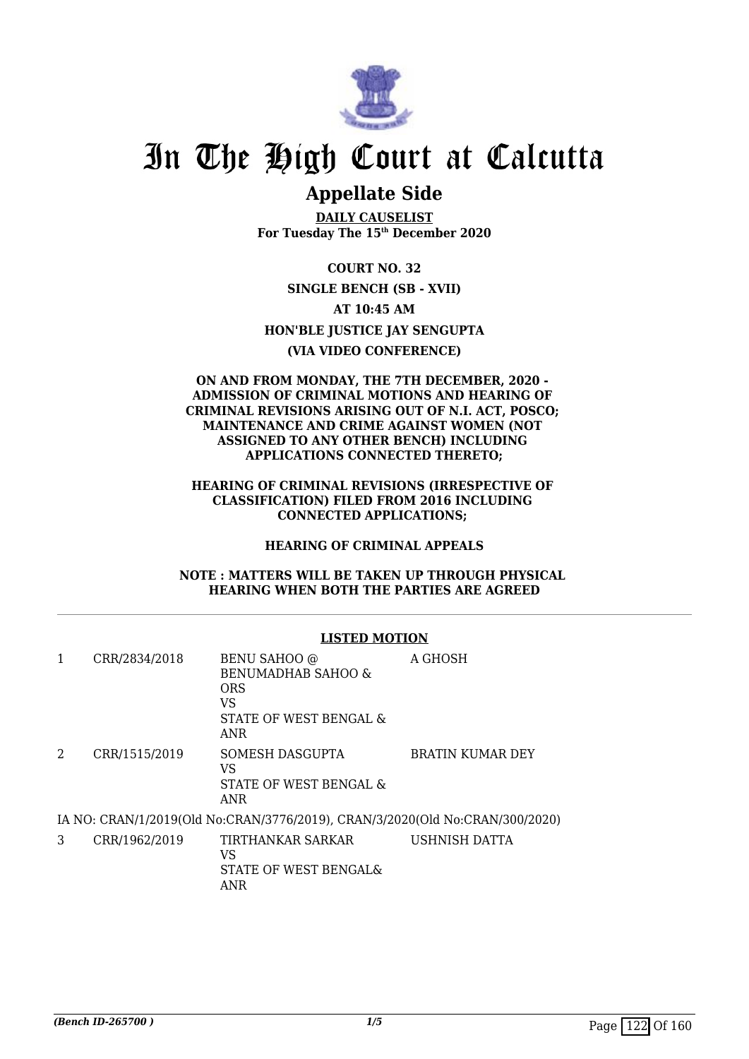

## **Appellate Side**

**DAILY CAUSELIST For Tuesday The 15th December 2020**

**COURT NO. 32 SINGLE BENCH (SB - XVII) AT 10:45 AM HON'BLE JUSTICE JAY SENGUPTA (VIA VIDEO CONFERENCE)**

### **ON AND FROM MONDAY, THE 7TH DECEMBER, 2020 - ADMISSION OF CRIMINAL MOTIONS AND HEARING OF CRIMINAL REVISIONS ARISING OUT OF N.I. ACT, POSCO; MAINTENANCE AND CRIME AGAINST WOMEN (NOT ASSIGNED TO ANY OTHER BENCH) INCLUDING APPLICATIONS CONNECTED THERETO;**

**HEARING OF CRIMINAL REVISIONS (IRRESPECTIVE OF CLASSIFICATION) FILED FROM 2016 INCLUDING CONNECTED APPLICATIONS;** 

### **HEARING OF CRIMINAL APPEALS**

**NOTE : MATTERS WILL BE TAKEN UP THROUGH PHYSICAL HEARING WHEN BOTH THE PARTIES ARE AGREED**

### **LISTED MOTION**

| 1 | CRR/2834/2018 | BENU SAHOO @<br>BENUMADHAB SAHOO &<br><b>ORS</b><br>VS<br>STATE OF WEST BENGAL &<br>ANR | A GHOSH                 |
|---|---------------|-----------------------------------------------------------------------------------------|-------------------------|
| 2 | CRR/1515/2019 | SOMESH DASGUPTA<br>VS<br>STATE OF WEST BENGAL &<br>ANR                                  | <b>BRATIN KUMAR DEY</b> |
|   |               | IA NO: CRAN/1/2019(Old No:CRAN/3776/2019), CRAN/3/2020(Old No:CRAN/300/2020)            |                         |
| 3 | CRR/1962/2019 | TIRTHANKAR SARKAR<br>17 C                                                               | USHNISH DATTA           |

## VS STATE OF WEST BENGAL&

ANR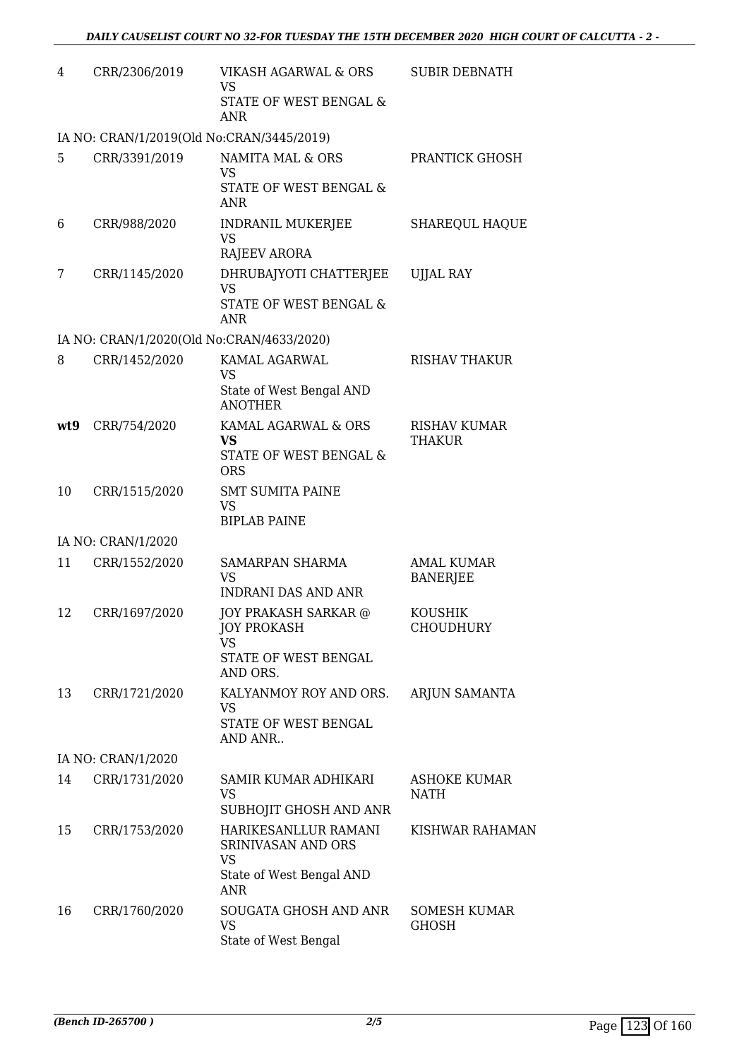| 4   | CRR/2306/2019                             | VIKASH AGARWAL & ORS<br><b>VS</b><br>STATE OF WEST BENGAL &<br><b>ANR</b>                         | <b>SUBIR DEBNATH</b>                 |
|-----|-------------------------------------------|---------------------------------------------------------------------------------------------------|--------------------------------------|
|     | IA NO: CRAN/1/2019(Old No:CRAN/3445/2019) |                                                                                                   |                                      |
| 5   | CRR/3391/2019                             | NAMITA MAL & ORS<br><b>VS</b><br>STATE OF WEST BENGAL &<br><b>ANR</b>                             | PRANTICK GHOSH                       |
| 6   | CRR/988/2020                              | <b>INDRANIL MUKERJEE</b><br><b>VS</b><br><b>RAJEEV ARORA</b>                                      | <b>SHAREQUL HAQUE</b>                |
| 7   | CRR/1145/2020                             | DHRUBAJYOTI CHATTERJEE<br><b>VS</b><br>STATE OF WEST BENGAL &<br>ANR                              | <b>UJJAL RAY</b>                     |
|     | IA NO: CRAN/1/2020(Old No:CRAN/4633/2020) |                                                                                                   |                                      |
| 8   | CRR/1452/2020                             | KAMAL AGARWAL<br><b>VS</b><br>State of West Bengal AND<br><b>ANOTHER</b>                          | RISHAV THAKUR                        |
| wt9 | CRR/754/2020                              | KAMAL AGARWAL & ORS<br><b>VS</b><br>STATE OF WEST BENGAL &<br><b>ORS</b>                          | <b>RISHAV KUMAR</b><br><b>THAKUR</b> |
| 10  | CRR/1515/2020                             | <b>SMT SUMITA PAINE</b><br>VS<br><b>BIPLAB PAINE</b>                                              |                                      |
|     | IA NO: CRAN/1/2020                        |                                                                                                   |                                      |
| 11  | CRR/1552/2020                             | SAMARPAN SHARMA<br><b>VS</b><br><b>INDRANI DAS AND ANR</b>                                        | <b>AMAL KUMAR</b><br><b>BANERJEE</b> |
| 12  | CRR/1697/2020                             | JOY PRAKASH SARKAR @<br>JOY PROKASH<br>VS<br>STATE OF WEST BENGAL<br>AND ORS.                     | <b>KOUSHIK</b><br>CHOUDHURY          |
| 13  | CRR/1721/2020                             | KALYANMOY ROY AND ORS.<br><b>VS</b><br>STATE OF WEST BENGAL<br>AND ANR                            | ARJUN SAMANTA                        |
|     | IA NO: CRAN/1/2020                        |                                                                                                   |                                      |
| 14  | CRR/1731/2020                             | SAMIR KUMAR ADHIKARI<br><b>VS</b><br>SUBHOJIT GHOSH AND ANR                                       | <b>ASHOKE KUMAR</b><br>NATH          |
| 15  | CRR/1753/2020                             | HARIKESANLLUR RAMANI<br>SRINIVASAN AND ORS<br><b>VS</b><br>State of West Bengal AND<br><b>ANR</b> | KISHWAR RAHAMAN                      |
| 16  | CRR/1760/2020                             | SOUGATA GHOSH AND ANR<br>VS<br>State of West Bengal                                               | <b>SOMESH KUMAR</b><br><b>GHOSH</b>  |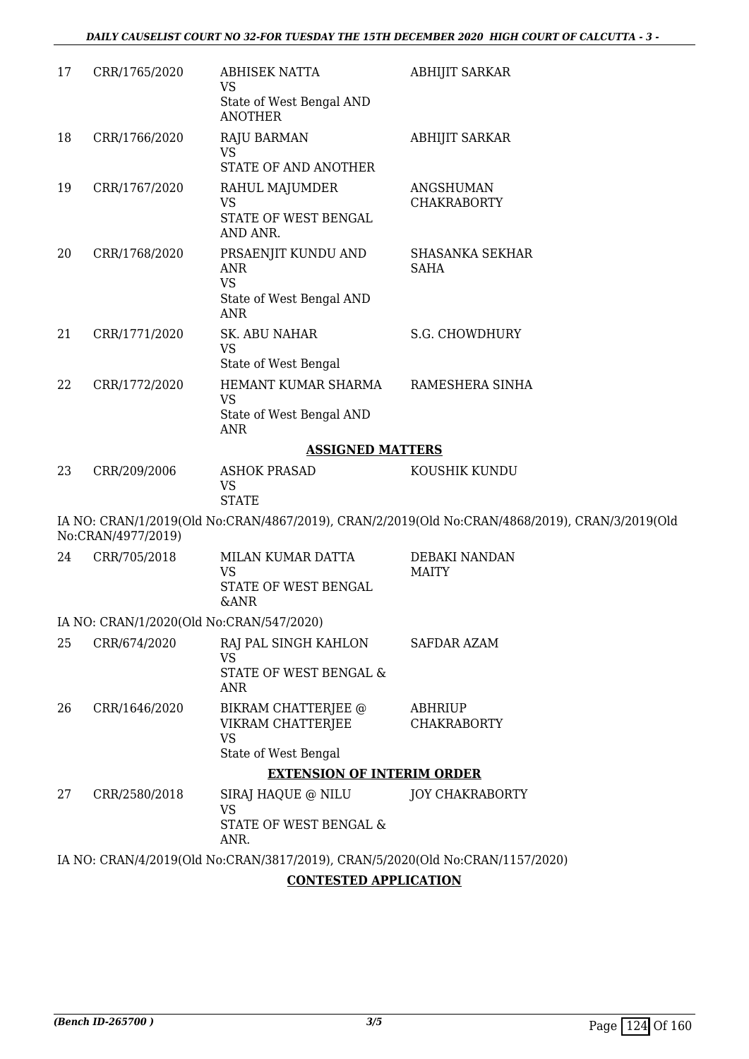| 17 | CRR/1765/2020      | <b>ABHISEK NATTA</b><br><b>VS</b>                                             | <b>ABHIJIT SARKAR</b>                                                                          |
|----|--------------------|-------------------------------------------------------------------------------|------------------------------------------------------------------------------------------------|
|    |                    | State of West Bengal AND<br><b>ANOTHER</b>                                    |                                                                                                |
| 18 | CRR/1766/2020      | <b>RAJU BARMAN</b>                                                            | <b>ABHIJIT SARKAR</b>                                                                          |
|    |                    | <b>VS</b><br>STATE OF AND ANOTHER                                             |                                                                                                |
| 19 | CRR/1767/2020      | RAHUL MAJUMDER                                                                | ANGSHUMAN                                                                                      |
|    |                    | <b>VS</b><br>STATE OF WEST BENGAL                                             | <b>CHAKRABORTY</b>                                                                             |
|    |                    | AND ANR.                                                                      |                                                                                                |
| 20 | CRR/1768/2020      | PRSAENJIT KUNDU AND<br><b>ANR</b>                                             | <b>SHASANKA SEKHAR</b><br><b>SAHA</b>                                                          |
|    |                    | <b>VS</b>                                                                     |                                                                                                |
|    |                    | State of West Bengal AND<br><b>ANR</b>                                        |                                                                                                |
| 21 | CRR/1771/2020      | SK. ABU NAHAR                                                                 | S.G. CHOWDHURY                                                                                 |
|    |                    | <b>VS</b><br>State of West Bengal                                             |                                                                                                |
| 22 | CRR/1772/2020      | HEMANT KUMAR SHARMA                                                           | RAMESHERA SINHA                                                                                |
|    |                    | <b>VS</b><br>State of West Bengal AND<br><b>ANR</b>                           |                                                                                                |
|    |                    | <b>ASSIGNED MATTERS</b>                                                       |                                                                                                |
| 23 | CRR/209/2006       | <b>ASHOK PRASAD</b><br><b>VS</b><br><b>STATE</b>                              | KOUSHIK KUNDU                                                                                  |
|    | No:CRAN/4977/2019) |                                                                               | IA NO: CRAN/1/2019(Old No:CRAN/4867/2019), CRAN/2/2019(Old No:CRAN/4868/2019), CRAN/3/2019(Old |
| 24 | CRR/705/2018       | MILAN KUMAR DATTA                                                             | DEBAKI NANDAN                                                                                  |
|    |                    | <b>VS</b><br>STATE OF WEST BENGAL<br><b>&amp;ANR</b>                          | <b>MAITY</b>                                                                                   |
|    |                    | IA NO: CRAN/1/2020(Old No:CRAN/547/2020)                                      |                                                                                                |
| 25 | CRR/674/2020       | RAJ PAL SINGH KAHLON                                                          | <b>SAFDAR AZAM</b>                                                                             |
|    |                    | <b>VS</b><br>STATE OF WEST BENGAL &                                           |                                                                                                |
|    |                    | <b>ANR</b>                                                                    |                                                                                                |
| 26 | CRR/1646/2020      | BIKRAM CHATTERJEE @<br>VIKRAM CHATTERJEE                                      | <b>ABHRIUP</b><br><b>CHAKRABORTY</b>                                                           |
|    |                    | <b>VS</b>                                                                     |                                                                                                |
|    |                    | State of West Bengal                                                          |                                                                                                |
|    |                    | <b>EXTENSION OF INTERIM ORDER</b>                                             |                                                                                                |
| 27 | CRR/2580/2018      | SIRAJ HAQUE @ NILU<br><b>VS</b><br>STATE OF WEST BENGAL &<br>ANR.             | <b>JOY CHAKRABORTY</b>                                                                         |
|    |                    | IA NO: CRAN/4/2019(Old No:CRAN/3817/2019), CRAN/5/2020(Old No:CRAN/1157/2020) |                                                                                                |
|    |                    |                                                                               |                                                                                                |

### **CONTESTED APPLICATION**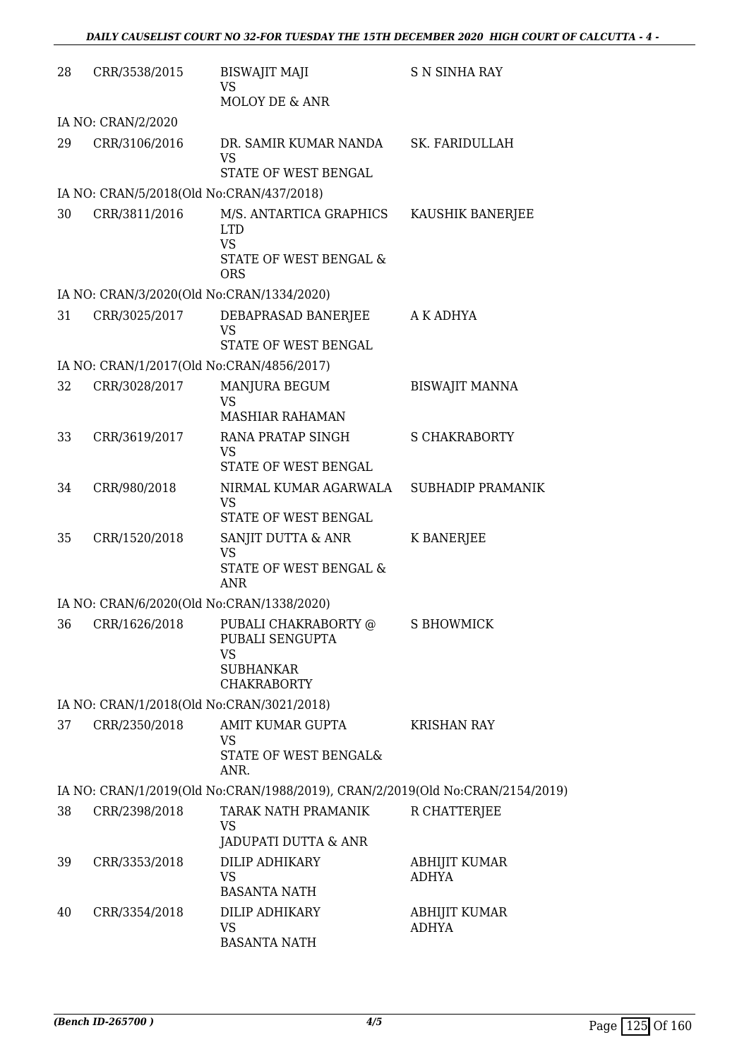| 28 | CRR/3538/2015                                              | <b>BISWAJIT MAJI</b><br><b>VS</b><br><b>MOLOY DE &amp; ANR</b>                                       | <b>S N SINHA RAY</b>          |
|----|------------------------------------------------------------|------------------------------------------------------------------------------------------------------|-------------------------------|
|    | IA NO: CRAN/2/2020                                         |                                                                                                      |                               |
| 29 | CRR/3106/2016                                              | DR. SAMIR KUMAR NANDA SK. FARIDULLAH<br><b>VS</b><br>STATE OF WEST BENGAL                            |                               |
|    | IA NO: CRAN/5/2018(Old No:CRAN/437/2018)                   |                                                                                                      |                               |
| 30 | CRR/3811/2016                                              | M/S. ANTARTICA GRAPHICS<br><b>LTD</b><br><b>VS</b><br>STATE OF WEST BENGAL &                         | KAUSHIK BANERJEE              |
|    |                                                            | <b>ORS</b>                                                                                           |                               |
|    | IA NO: CRAN/3/2020(Old No:CRAN/1334/2020)                  |                                                                                                      |                               |
| 31 | CRR/3025/2017                                              | DEBAPRASAD BANERJEE<br>VS<br>STATE OF WEST BENGAL                                                    | A K ADHYA                     |
|    | IA NO: CRAN/1/2017(Old No:CRAN/4856/2017)                  |                                                                                                      |                               |
| 32 | CRR/3028/2017                                              | MANJURA BEGUM<br><b>VS</b><br><b>MASHIAR RAHAMAN</b>                                                 | <b>BISWAJIT MANNA</b>         |
| 33 | CRR/3619/2017                                              | RANA PRATAP SINGH<br><b>VS</b>                                                                       | <b>S CHAKRABORTY</b>          |
| 34 | CRR/980/2018                                               | STATE OF WEST BENGAL<br>NIRMAL KUMAR AGARWALA<br><b>VS</b><br>STATE OF WEST BENGAL                   | SUBHADIP PRAMANIK             |
| 35 | CRR/1520/2018                                              | SANJIT DUTTA & ANR<br><b>VS</b><br>STATE OF WEST BENGAL &<br>ANR                                     | <b>K BANERJEE</b>             |
|    | IA NO: CRAN/6/2020(Old No:CRAN/1338/2020)                  |                                                                                                      |                               |
|    |                                                            | 36 CRR/1626/2018 PUBALI CHAKRABORTY @ S BHOWMICK<br>PUBALI SENGUPTA<br><b>VS</b><br><b>SUBHANKAR</b> |                               |
|    |                                                            | <b>CHAKRABORTY</b>                                                                                   |                               |
| 37 | IA NO: CRAN/1/2018(Old No:CRAN/3021/2018)<br>CRR/2350/2018 | AMIT KUMAR GUPTA                                                                                     | <b>KRISHAN RAY</b>            |
|    |                                                            | <b>VS</b><br>STATE OF WEST BENGAL&<br>ANR.                                                           |                               |
|    |                                                            | IA NO: CRAN/1/2019(Old No:CRAN/1988/2019), CRAN/2/2019(Old No:CRAN/2154/2019)                        |                               |
| 38 | CRR/2398/2018                                              | TARAK NATH PRAMANIK<br><b>VS</b><br>JADUPATI DUTTA & ANR                                             | R CHATTERJEE                  |
| 39 | CRR/3353/2018                                              | DILIP ADHIKARY<br><b>VS</b><br><b>BASANTA NATH</b>                                                   | ABHIJIT KUMAR<br><b>ADHYA</b> |
| 40 | CRR/3354/2018                                              | DILIP ADHIKARY<br><b>VS</b><br><b>BASANTA NATH</b>                                                   | ABHIJIT KUMAR<br><b>ADHYA</b> |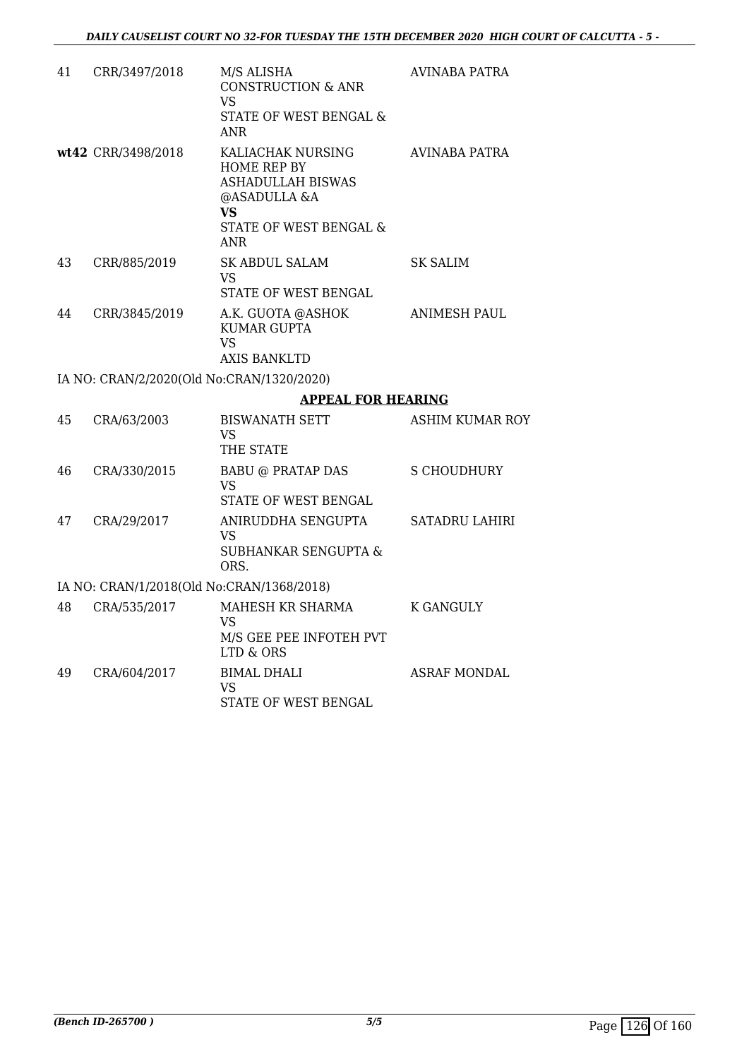| 41 | CRR/3497/2018                             | M/S ALISHA<br><b>CONSTRUCTION &amp; ANR</b><br><b>VS</b><br>STATE OF WEST BENGAL &<br>ANR.                                 | AVINABA PATRA         |
|----|-------------------------------------------|----------------------------------------------------------------------------------------------------------------------------|-----------------------|
|    | wt42 CRR/3498/2018                        | KALIACHAK NURSING<br>HOME REP BY<br><b>ASHADULLAH BISWAS</b><br>@ASADULLA &A<br>VS<br>STATE OF WEST BENGAL &<br><b>ANR</b> | AVINABA PATRA         |
| 43 | CRR/885/2019                              | SK ABDUL SALAM<br><b>VS</b><br>STATE OF WEST BENGAL                                                                        | SK SALIM              |
| 44 | CRR/3845/2019                             | A.K. GUOTA @ASHOK<br><b>KUMAR GUPTA</b><br><b>VS</b><br><b>AXIS BANKLTD</b>                                                | ANIMESH PAUL          |
|    | IA NO: CRAN/2/2020(Old No:CRAN/1320/2020) |                                                                                                                            |                       |
|    |                                           | <b>APPEAL FOR HEARING</b>                                                                                                  |                       |
| 45 | CRA/63/2003                               | <b>BISWANATH SETT</b><br><b>VS</b><br>THE STATE                                                                            | ASHIM KUMAR ROY       |
| 46 | CRA/330/2015                              | <b>BABU @ PRATAP DAS</b><br><b>VS</b><br>STATE OF WEST BENGAL                                                              | S CHOUDHURY           |
| 47 | CRA/29/2017                               | ANIRUDDHA SENGUPTA<br>VS<br>SUBHANKAR SENGUPTA &<br>ORS.                                                                   | <b>SATADRU LAHIRI</b> |
|    | IA NO: CRAN/1/2018(Old No:CRAN/1368/2018) |                                                                                                                            |                       |
| 48 | CRA/535/2017                              | MAHESH KR SHARMA<br><b>VS</b><br>M/S GEE PEE INFOTEH PVT<br>LTD & ORS                                                      | K GANGULY             |
| 49 | CRA/604/2017                              | <b>BIMAL DHALI</b><br><b>VS</b>                                                                                            | <b>ASRAF MONDAL</b>   |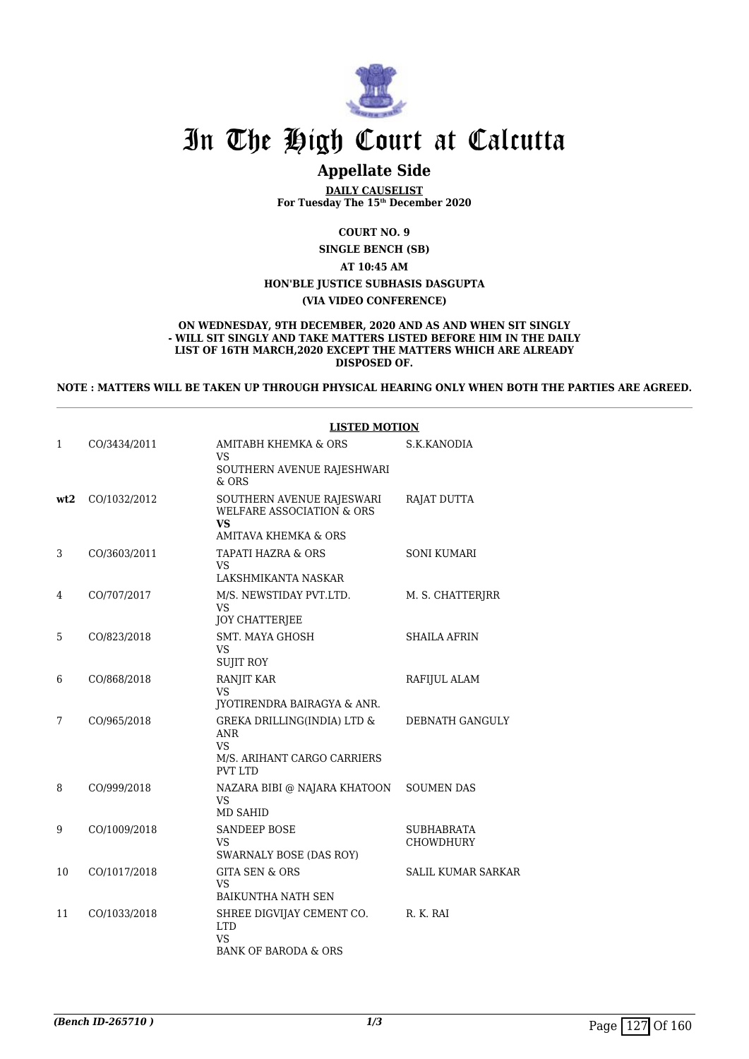

## **Appellate Side**

**DAILY CAUSELIST For Tuesday The 15th December 2020**

**COURT NO. 9**

**SINGLE BENCH (SB)**

**AT 10:45 AM**

**HON'BLE JUSTICE SUBHASIS DASGUPTA**

**(VIA VIDEO CONFERENCE)**

#### **ON WEDNESDAY, 9TH DECEMBER, 2020 AND AS AND WHEN SIT SINGLY - WILL SIT SINGLY AND TAKE MATTERS LISTED BEFORE HIM IN THE DAILY LIST OF 16TH MARCH,2020 EXCEPT THE MATTERS WHICH ARE ALREADY DISPOSED OF.**

**NOTE : MATTERS WILL BE TAKEN UP THROUGH PHYSICAL HEARING ONLY WHEN BOTH THE PARTIES ARE AGREED.**

|     |              | <b>LISTED MOTION</b>                                                                                         |                                |  |
|-----|--------------|--------------------------------------------------------------------------------------------------------------|--------------------------------|--|
| 1   | CO/3434/2011 | <b>AMITABH KHEMKA &amp; ORS</b><br><b>VS</b><br>SOUTHERN AVENUE RAJESHWARI<br>$&$ ORS                        | S.K.KANODIA                    |  |
| wt2 | CO/1032/2012 | SOUTHERN AVENUE RAJESWARI<br><b>WELFARE ASSOCIATION &amp; ORS</b><br>VS<br><b>AMITAVA KHEMKA &amp; ORS</b>   | RAJAT DUTTA                    |  |
| 3   | CO/3603/2011 | TAPATI HAZRA & ORS<br>VS<br>LAKSHMIKANTA NASKAR                                                              | <b>SONI KUMARI</b>             |  |
| 4   | CO/707/2017  | M/S. NEWSTIDAY PVT.LTD.<br>VS.<br><b>JOY CHATTERJEE</b>                                                      | M. S. CHATTERJRR               |  |
| 5   | CO/823/2018  | <b>SMT. MAYA GHOSH</b><br><b>VS</b><br><b>SUJIT ROY</b>                                                      | <b>SHAILA AFRIN</b>            |  |
| 6   | CO/868/2018  | RANJIT KAR<br>VS.<br>JYOTIRENDRA BAIRAGYA & ANR.                                                             | RAFIJUL ALAM                   |  |
| 7   | CO/965/2018  | <b>GREKA DRILLING(INDIA) LTD &amp;</b><br><b>ANR</b><br>VS.<br>M/S. ARIHANT CARGO CARRIERS<br><b>PVT LTD</b> | DEBNATH GANGULY                |  |
| 8   | CO/999/2018  | NAZARA BIBI @ NAJARA KHATOON<br><b>VS</b><br><b>MD SAHID</b>                                                 | <b>SOUMEN DAS</b>              |  |
| 9   | CO/1009/2018 | <b>SANDEEP BOSE</b><br><b>VS</b><br>SWARNALY BOSE (DAS ROY)                                                  | <b>SUBHABRATA</b><br>CHOWDHURY |  |
| 10  | CO/1017/2018 | <b>GITA SEN &amp; ORS</b><br><b>VS</b><br><b>BAIKUNTHA NATH SEN</b>                                          | <b>SALIL KUMAR SARKAR</b>      |  |
| 11  | CO/1033/2018 | SHREE DIGVIJAY CEMENT CO.<br><b>LTD</b><br><b>VS</b><br><b>BANK OF BARODA &amp; ORS</b>                      | R. K. RAI                      |  |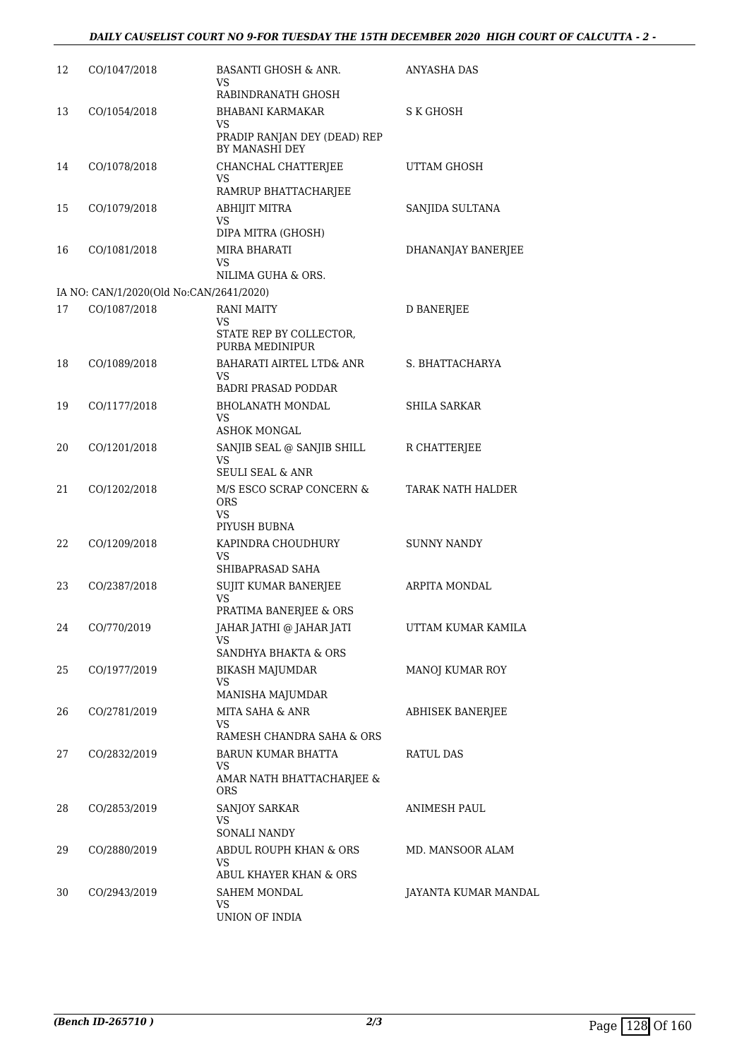| 12 | CO/1047/2018                                            | <b>BASANTI GHOSH &amp; ANR.</b><br>VS                        | <b>ANYASHA DAS</b>   |
|----|---------------------------------------------------------|--------------------------------------------------------------|----------------------|
| 13 | CO/1054/2018                                            | RABINDRANATH GHOSH<br><b>BHABANI KARMAKAR</b><br>VS          | S K GHOSH            |
|    |                                                         | PRADIP RANJAN DEY (DEAD) REP<br>BY MANASHI DEY               |                      |
| 14 | CO/1078/2018                                            | CHANCHAL CHATTERJEE<br>VS<br>RAMRUP BHATTACHARJEE            | UTTAM GHOSH          |
| 15 | CO/1079/2018                                            | ABHIJIT MITRA<br><b>VS</b>                                   | SANJIDA SULTANA      |
| 16 | CO/1081/2018                                            | DIPA MITRA (GHOSH)<br>MIRA BHARATI<br>VS                     | DHANANJAY BANERJEE   |
|    |                                                         | NILIMA GUHA & ORS.                                           |                      |
| 17 | IA NO: CAN/1/2020(Old No:CAN/2641/2020)<br>CO/1087/2018 | <b>RANI MAITY</b>                                            | <b>D BANERJEE</b>    |
|    |                                                         | VS<br>STATE REP BY COLLECTOR,<br>PURBA MEDINIPUR             |                      |
| 18 | CO/1089/2018                                            | BAHARATI AIRTEL LTD& ANR<br>VS.                              | S. BHATTACHARYA      |
|    |                                                         | <b>BADRI PRASAD PODDAR</b>                                   |                      |
| 19 | CO/1177/2018                                            | BHOLANATH MONDAL<br>VS<br><b>ASHOK MONGAL</b>                | SHILA SARKAR         |
| 20 | CO/1201/2018                                            | SANJIB SEAL @ SANJIB SHILL<br>VS                             | R CHATTERJEE         |
|    |                                                         | <b>SEULI SEAL &amp; ANR</b>                                  |                      |
| 21 | CO/1202/2018                                            | M/S ESCO SCRAP CONCERN &<br><b>ORS</b><br>VS<br>PIYUSH BUBNA | TARAK NATH HALDER    |
| 22 | CO/1209/2018                                            | KAPINDRA CHOUDHURY<br>VS<br>SHIBAPRASAD SAHA                 | SUNNY NANDY          |
| 23 | CO/2387/2018                                            | <b>SUJIT KUMAR BANERJEE</b><br>VS                            | ARPITA MONDAL        |
|    |                                                         | PRATIMA BANERJEE & ORS                                       |                      |
| 24 | CO/770/2019                                             | JAHAR JATHI @ JAHAR JATI<br>VS<br>SANDHYA BHAKTA & ORS       | UTTAM KUMAR KAMILA   |
| 25 | CO/1977/2019                                            | BIKASH MAJUMDAR                                              | MANOJ KUMAR ROY      |
|    |                                                         | VS.<br>MANISHA MAJUMDAR                                      |                      |
| 26 | CO/2781/2019                                            | MITA SAHA & ANR<br>VS.                                       | ABHISEK BANERJEE     |
| 27 | CO/2832/2019                                            | RAMESH CHANDRA SAHA & ORS<br><b>BARUN KUMAR BHATTA</b>       | RATUL DAS            |
|    |                                                         | VS.<br>AMAR NATH BHATTACHARJEE &                             |                      |
|    |                                                         | ORS.                                                         |                      |
| 28 | CO/2853/2019                                            | <b>SANJOY SARKAR</b><br>VS.<br>SONALI NANDY                  | ANIMESH PAUL         |
| 29 | CO/2880/2019                                            | ABDUL ROUPH KHAN & ORS<br>VS.                                | MD. MANSOOR ALAM     |
| 30 | CO/2943/2019                                            | ABUL KHAYER KHAN & ORS<br>SAHEM MONDAL                       |                      |
|    |                                                         | VS.<br>UNION OF INDIA                                        | JAYANTA KUMAR MANDAL |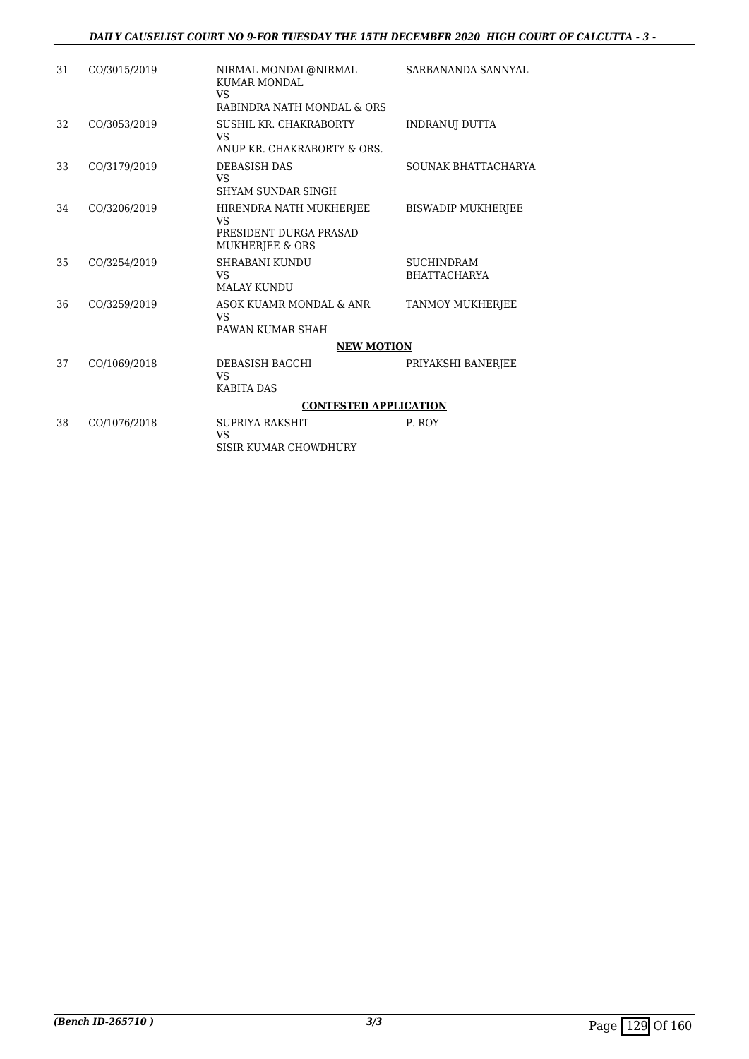| 31 | CO/3015/2019 | NIRMAL MONDAL@NIRMAL<br><b>KUMAR MONDAL</b><br><b>VS</b> | SARBANANDA SANNYAL        |
|----|--------------|----------------------------------------------------------|---------------------------|
|    |              | RABINDRA NATH MONDAL & ORS                               |                           |
| 32 | CO/3053/2019 | SUSHIL KR. CHAKRABORTY<br><b>VS</b>                      | <b>INDRANUI DUTTA</b>     |
|    |              | ANUP KR. CHAKRABORTY & ORS.                              |                           |
| 33 | CO/3179/2019 | <b>DEBASISH DAS</b><br><b>VS</b>                         | SOUNAK BHATTACHARYA       |
|    |              | SHYAM SUNDAR SINGH                                       |                           |
| 34 | CO/3206/2019 | HIRENDRA NATH MUKHERJEE<br>VS                            | <b>BISWADIP MUKHERJEE</b> |
|    |              | PRESIDENT DURGA PRASAD<br><b>MUKHERJEE &amp; ORS</b>     |                           |
| 35 | CO/3254/2019 | <b>SHRABANI KUNDU</b>                                    | <b>SUCHINDRAM</b>         |
|    |              | <b>VS</b>                                                | <b>BHATTACHARYA</b>       |
|    |              | <b>MALAY KUNDU</b>                                       |                           |
| 36 | CO/3259/2019 | ASOK KUAMR MONDAL & ANR<br><b>VS</b>                     | <b>TANMOY MUKHERJEE</b>   |
|    |              | PAWAN KUMAR SHAH                                         |                           |
|    |              | <b>NEW MOTION</b>                                        |                           |
| 37 | CO/1069/2018 | DEBASISH BAGCHI<br><b>VS</b>                             | PRIYAKSHI BANERJEE        |
|    |              | <b>KABITA DAS</b>                                        |                           |
|    |              | <b>CONTESTED APPLICATION</b>                             |                           |
| 38 | CO/1076/2018 | SUPRIYA RAKSHIT<br>VS                                    | P. ROY                    |
|    |              | SISIR KUMAR CHOWDHURY                                    |                           |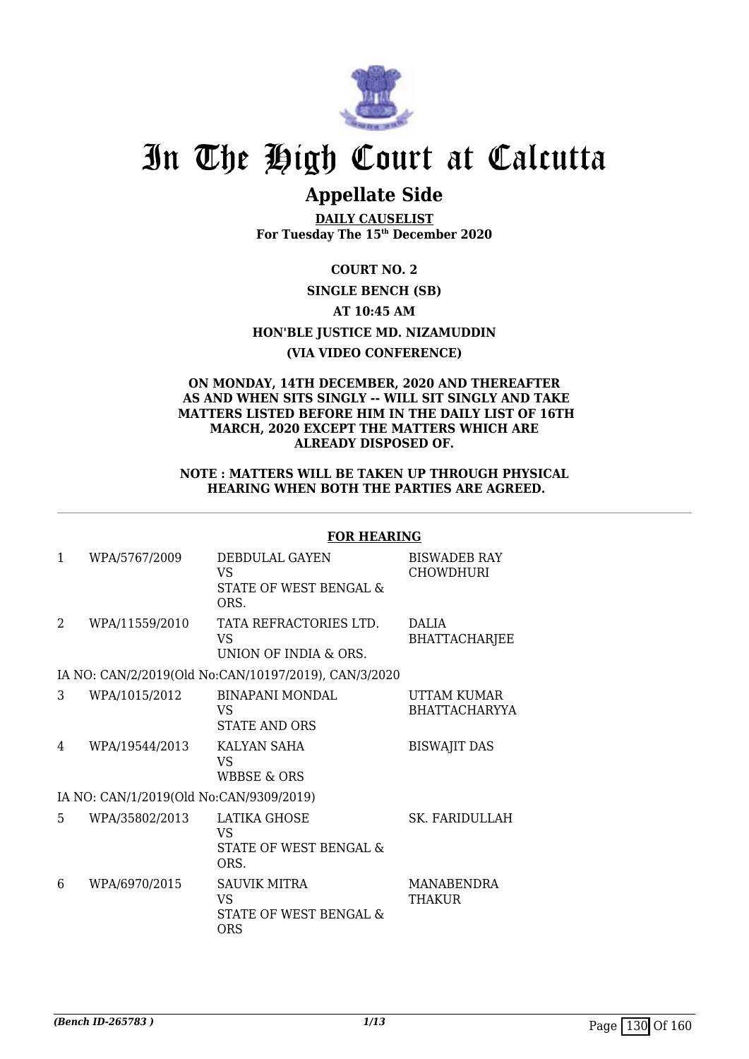

## **Appellate Side**

**DAILY CAUSELIST For Tuesday The 15th December 2020**

**COURT NO. 2**

### **SINGLE BENCH (SB)**

**AT 10:45 AM**

**HON'BLE JUSTICE MD. NIZAMUDDIN**

### **(VIA VIDEO CONFERENCE)**

### **ON MONDAY, 14TH DECEMBER, 2020 AND THEREAFTER AS AND WHEN SITS SINGLY -- WILL SIT SINGLY AND TAKE MATTERS LISTED BEFORE HIM IN THE DAILY LIST OF 16TH MARCH, 2020 EXCEPT THE MATTERS WHICH ARE ALREADY DISPOSED OF.**

### **NOTE : MATTERS WILL BE TAKEN UP THROUGH PHYSICAL HEARING WHEN BOTH THE PARTIES ARE AGREED.**

#### **FOR HEARING** 1 WPA/5767/2009 DEBDULAL GAYEN VS STATE OF WEST BENGAL & ORS. BISWADEB RAY CHOWDHURI 2 WPA/11559/2010 TATA REFRACTORIES LTD. VS UNION OF INDIA & ORS. DALIA **BHATTACHARIEE** IA NO: CAN/2/2019(Old No:CAN/10197/2019), CAN/3/2020 3 WPA/1015/2012 BINAPANI MONDAL VS STATE AND ORS UTTAM KUMAR BHATTACHARYYA 4 WPA/19544/2013 KALYAN SAHA VS WBBSE & ORS BISWAJIT DAS IA NO: CAN/1/2019(Old No:CAN/9309/2019) 5 WPA/35802/2013 LATIKA GHOSE VS STATE OF WEST BENGAL & ORS. SK. FARIDULLAH 6 WPA/6970/2015 SAUVIK MITRA VS STATE OF WEST BENGAL & **ORS** MANABENDRA THAKUR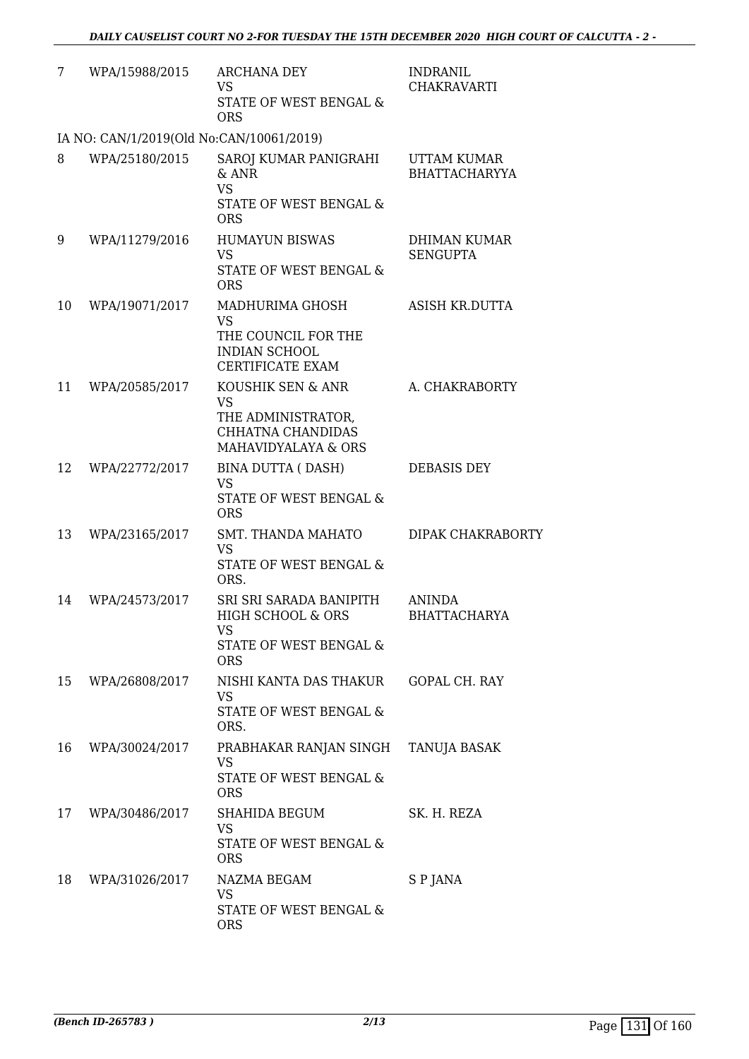| 7  | WPA/15988/2015                           | ARCHANA DEY<br><b>VS</b><br>STATE OF WEST BENGAL &<br><b>ORS</b>                                        | <b>INDRANIL</b><br><b>CHAKRAVARTI</b> |
|----|------------------------------------------|---------------------------------------------------------------------------------------------------------|---------------------------------------|
|    | IA NO: CAN/1/2019(Old No:CAN/10061/2019) |                                                                                                         |                                       |
| 8  | WPA/25180/2015                           | SAROJ KUMAR PANIGRAHI<br>$&$ ANR<br><b>VS</b><br>STATE OF WEST BENGAL &<br><b>ORS</b>                   | UTTAM KUMAR<br><b>BHATTACHARYYA</b>   |
| 9  | WPA/11279/2016                           | <b>HUMAYUN BISWAS</b><br><b>VS</b><br>STATE OF WEST BENGAL &<br><b>ORS</b>                              | DHIMAN KUMAR<br><b>SENGUPTA</b>       |
| 10 | WPA/19071/2017                           | MADHURIMA GHOSH<br><b>VS</b><br>THE COUNCIL FOR THE<br><b>INDIAN SCHOOL</b><br>CERTIFICATE EXAM         | ASISH KR.DUTTA                        |
| 11 | WPA/20585/2017                           | KOUSHIK SEN & ANR<br><b>VS</b><br>THE ADMINISTRATOR,<br><b>CHHATNA CHANDIDAS</b><br>MAHAVIDYALAYA & ORS | A. CHAKRABORTY                        |
| 12 | WPA/22772/2017                           | BINA DUTTA (DASH)<br><b>VS</b><br>STATE OF WEST BENGAL &<br><b>ORS</b>                                  | <b>DEBASIS DEY</b>                    |
| 13 | WPA/23165/2017                           | <b>SMT. THANDA MAHATO</b><br><b>VS</b><br>STATE OF WEST BENGAL &<br>ORS.                                | DIPAK CHAKRABORTY                     |
| 14 | WPA/24573/2017                           | SRI SRI SARADA BANIPITH<br>HIGH SCHOOL & ORS<br>VS<br>STATE OF WEST BENGAL &<br><b>ORS</b>              | <b>ANINDA</b><br><b>BHATTACHARYA</b>  |
| 15 | WPA/26808/2017                           | NISHI KANTA DAS THAKUR<br><b>VS</b><br>STATE OF WEST BENGAL &<br>ORS.                                   | GOPAL CH. RAY                         |
| 16 | WPA/30024/2017                           | PRABHAKAR RANJAN SINGH<br>VS<br><b>STATE OF WEST BENGAL &amp;</b><br><b>ORS</b>                         | TANUJA BASAK                          |
| 17 | WPA/30486/2017                           | SHAHIDA BEGUM<br><b>VS</b><br>STATE OF WEST BENGAL &<br><b>ORS</b>                                      | SK. H. REZA                           |
| 18 | WPA/31026/2017                           | NAZMA BEGAM<br>VS<br>STATE OF WEST BENGAL &<br><b>ORS</b>                                               | S P JANA                              |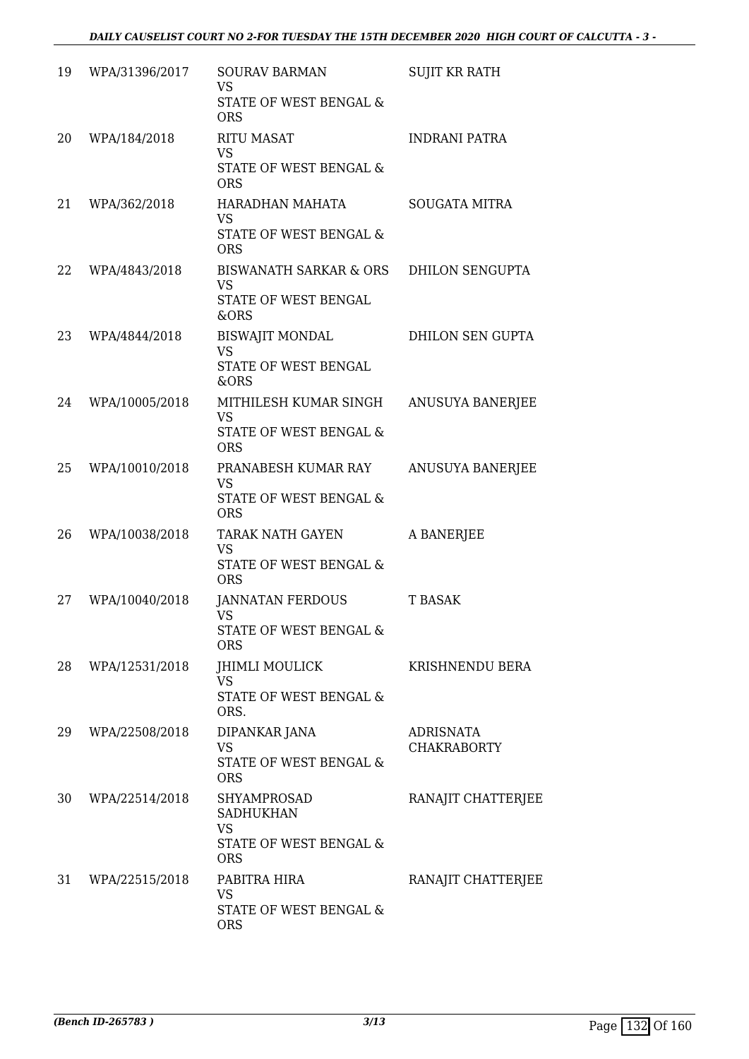| 19 | WPA/31396/2017 | <b>SOURAV BARMAN</b><br><b>VS</b><br>STATE OF WEST BENGAL &<br><b>ORS</b>            | <b>SUJIT KR RATH</b>                   |
|----|----------------|--------------------------------------------------------------------------------------|----------------------------------------|
| 20 | WPA/184/2018   | <b>RITU MASAT</b><br><b>VS</b><br>STATE OF WEST BENGAL &<br><b>ORS</b>               | <b>INDRANI PATRA</b>                   |
| 21 | WPA/362/2018   | HARADHAN MAHATA<br><b>VS</b><br>STATE OF WEST BENGAL &<br><b>ORS</b>                 | <b>SOUGATA MITRA</b>                   |
| 22 | WPA/4843/2018  | BISWANATH SARKAR & ORS<br><b>VS</b><br>STATE OF WEST BENGAL<br>&ORS                  | <b>DHILON SENGUPTA</b>                 |
| 23 | WPA/4844/2018  | <b>BISWAJIT MONDAL</b><br><b>VS</b><br>STATE OF WEST BENGAL<br>&ORS                  | DHILON SEN GUPTA                       |
| 24 | WPA/10005/2018 | MITHILESH KUMAR SINGH<br><b>VS</b><br>STATE OF WEST BENGAL &<br><b>ORS</b>           | ANUSUYA BANERJEE                       |
| 25 | WPA/10010/2018 | PRANABESH KUMAR RAY<br><b>VS</b><br>STATE OF WEST BENGAL &<br><b>ORS</b>             | ANUSUYA BANERJEE                       |
| 26 | WPA/10038/2018 | <b>TARAK NATH GAYEN</b><br><b>VS</b><br>STATE OF WEST BENGAL &<br><b>ORS</b>         | A BANERJEE                             |
| 27 | WPA/10040/2018 | <b>JANNATAN FERDOUS</b><br><b>VS</b><br>STATE OF WEST BENGAL &<br><b>ORS</b>         | T BASAK                                |
| 28 | WPA/12531/2018 | <b>JHIMLI MOULICK</b><br><b>VS</b><br>STATE OF WEST BENGAL &<br>ORS.                 | KRISHNENDU BERA                        |
| 29 | WPA/22508/2018 | DIPANKAR JANA<br><b>VS</b><br>STATE OF WEST BENGAL &<br><b>ORS</b>                   | <b>ADRISNATA</b><br><b>CHAKRABORTY</b> |
| 30 | WPA/22514/2018 | SHYAMPROSAD<br><b>SADHUKHAN</b><br><b>VS</b><br>STATE OF WEST BENGAL &<br><b>ORS</b> | RANAJIT CHATTERJEE                     |
| 31 | WPA/22515/2018 | PABITRA HIRA<br><b>VS</b><br>STATE OF WEST BENGAL &<br><b>ORS</b>                    | RANAJIT CHATTERJEE                     |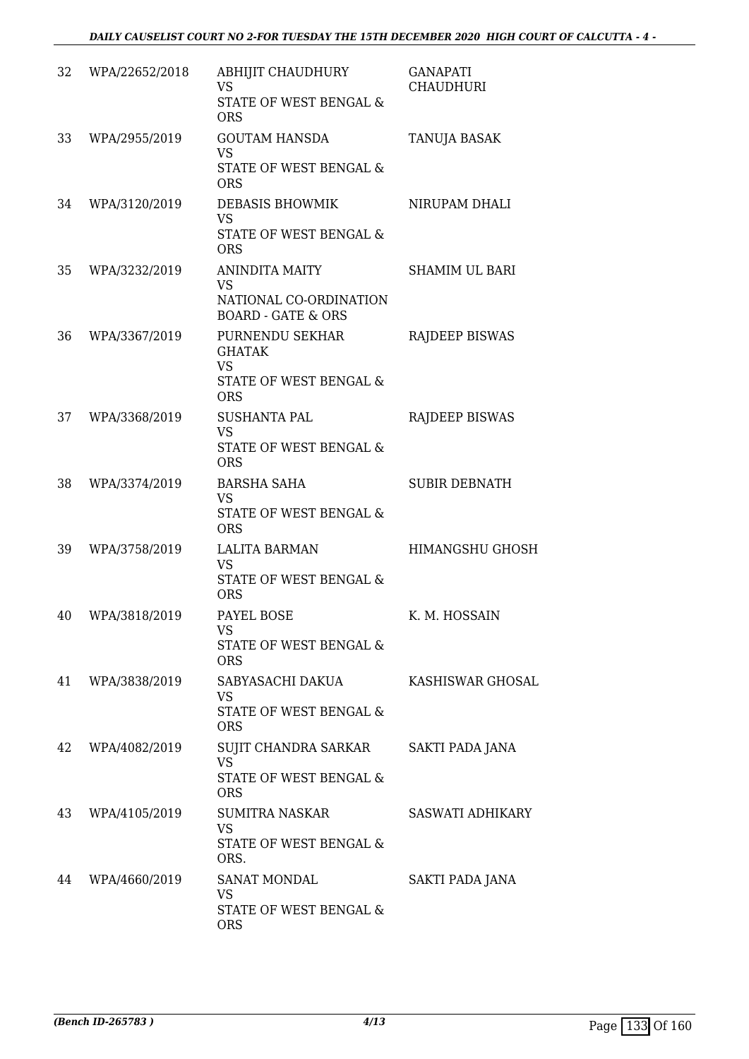| 32 | WPA/22652/2018 | ABHIJIT CHAUDHURY<br><b>VS</b><br>STATE OF WEST BENGAL &<br><b>ORS</b>                 | <b>GANAPATI</b><br>CHAUDHURI |
|----|----------------|----------------------------------------------------------------------------------------|------------------------------|
| 33 | WPA/2955/2019  | <b>GOUTAM HANSDA</b><br><b>VS</b><br>STATE OF WEST BENGAL &<br><b>ORS</b>              | TANUJA BASAK                 |
| 34 | WPA/3120/2019  | <b>DEBASIS BHOWMIK</b><br><b>VS</b><br>STATE OF WEST BENGAL &<br><b>ORS</b>            | NIRUPAM DHALI                |
| 35 | WPA/3232/2019  | ANINDITA MAITY<br><b>VS</b><br>NATIONAL CO-ORDINATION<br><b>BOARD - GATE &amp; ORS</b> | <b>SHAMIM UL BARI</b>        |
| 36 | WPA/3367/2019  | PURNENDU SEKHAR<br><b>GHATAK</b><br><b>VS</b><br>STATE OF WEST BENGAL &<br><b>ORS</b>  | RAJDEEP BISWAS               |
| 37 | WPA/3368/2019  | <b>SUSHANTA PAL</b><br><b>VS</b><br>STATE OF WEST BENGAL &<br><b>ORS</b>               | RAJDEEP BISWAS               |
| 38 | WPA/3374/2019  | <b>BARSHA SAHA</b><br><b>VS</b><br>STATE OF WEST BENGAL &<br><b>ORS</b>                | <b>SUBIR DEBNATH</b>         |
| 39 | WPA/3758/2019  | LALITA BARMAN<br><b>VS</b><br>STATE OF WEST BENGAL &<br><b>ORS</b>                     | <b>HIMANGSHU GHOSH</b>       |
| 40 | WPA/3818/2019  | PAYEL BOSE<br><b>VS</b><br>STATE OF WEST BENGAL &<br><b>ORS</b>                        | K. M. HOSSAIN                |
| 41 | WPA/3838/2019  | SABYASACHI DAKUA<br>VS<br>STATE OF WEST BENGAL &<br><b>ORS</b>                         | <b>KASHISWAR GHOSAL</b>      |
| 42 | WPA/4082/2019  | SUJIT CHANDRA SARKAR<br><b>VS</b><br><b>STATE OF WEST BENGAL &amp;</b><br><b>ORS</b>   | SAKTI PADA JANA              |
| 43 | WPA/4105/2019  | <b>SUMITRA NASKAR</b><br><b>VS</b><br>STATE OF WEST BENGAL &<br>ORS.                   | SASWATI ADHIKARY             |
| 44 | WPA/4660/2019  | <b>SANAT MONDAL</b><br>VS<br>STATE OF WEST BENGAL &<br><b>ORS</b>                      | SAKTI PADA JANA              |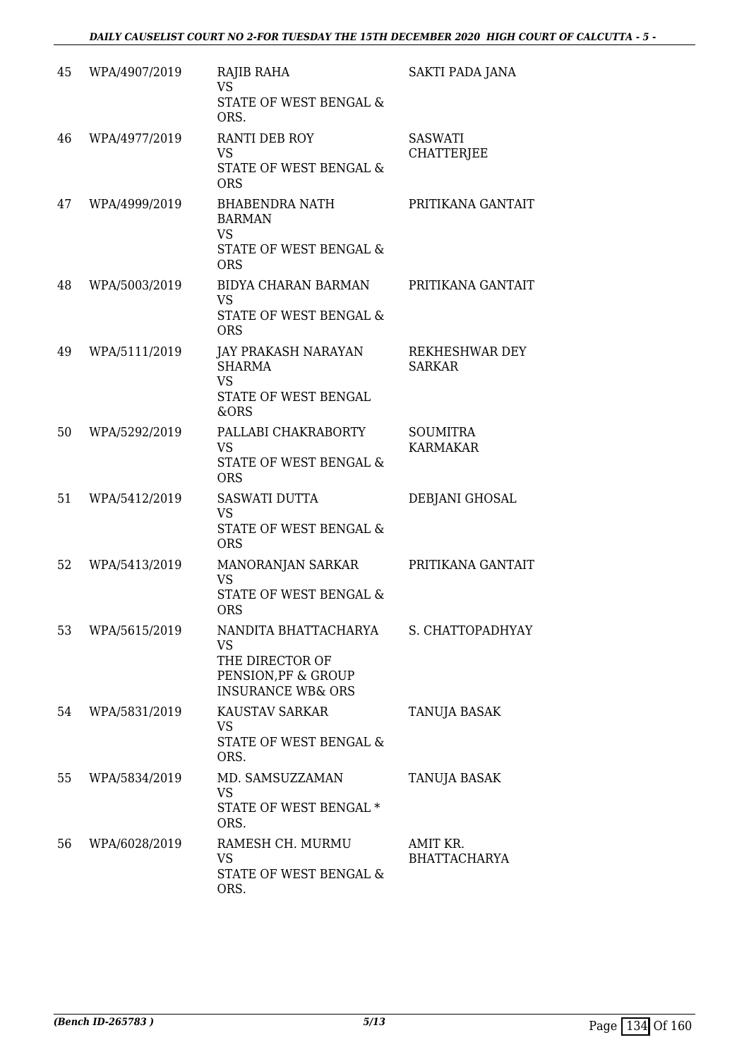| 45 | WPA/4907/2019 | RAJIB RAHA<br><b>VS</b><br>STATE OF WEST BENGAL &<br>ORS.                                                   | SAKTI PADA JANA                     |
|----|---------------|-------------------------------------------------------------------------------------------------------------|-------------------------------------|
| 46 | WPA/4977/2019 | RANTI DEB ROY<br><b>VS</b><br>STATE OF WEST BENGAL &<br><b>ORS</b>                                          | <b>SASWATI</b><br><b>CHATTERJEE</b> |
| 47 | WPA/4999/2019 | BHABENDRA NATH<br><b>BARMAN</b><br><b>VS</b><br>STATE OF WEST BENGAL &<br><b>ORS</b>                        | PRITIKANA GANTAIT                   |
| 48 | WPA/5003/2019 | BIDYA CHARAN BARMAN<br>VS<br><b>STATE OF WEST BENGAL &amp;</b><br><b>ORS</b>                                | PRITIKANA GANTAIT                   |
| 49 | WPA/5111/2019 | <b>JAY PRAKASH NARAYAN</b><br><b>SHARMA</b><br><b>VS</b><br>STATE OF WEST BENGAL<br>&ORS                    | REKHESHWAR DEY<br><b>SARKAR</b>     |
| 50 | WPA/5292/2019 | PALLABI CHAKRABORTY<br><b>VS</b><br>STATE OF WEST BENGAL &<br><b>ORS</b>                                    | <b>SOUMITRA</b><br><b>KARMAKAR</b>  |
| 51 | WPA/5412/2019 | SASWATI DUTTA<br><b>VS</b><br><b>STATE OF WEST BENGAL &amp;</b><br><b>ORS</b>                               | DEBJANI GHOSAL                      |
| 52 | WPA/5413/2019 | MANORANJAN SARKAR<br>VS<br>STATE OF WEST BENGAL &<br><b>ORS</b>                                             | PRITIKANA GANTAIT                   |
| 53 | WPA/5615/2019 | NANDITA BHATTACHARYA<br><b>VS</b><br>THE DIRECTOR OF<br>PENSION, PF & GROUP<br><b>INSURANCE WB&amp; ORS</b> | S. CHATTOPADHYAY                    |
| 54 | WPA/5831/2019 | <b>KAUSTAV SARKAR</b><br><b>VS</b><br>STATE OF WEST BENGAL &<br>ORS.                                        | TANUJA BASAK                        |
| 55 | WPA/5834/2019 | MD. SAMSUZZAMAN<br><b>VS</b><br>STATE OF WEST BENGAL *<br>ORS.                                              | TANUJA BASAK                        |
| 56 | WPA/6028/2019 | RAMESH CH. MURMU<br><b>VS</b><br>STATE OF WEST BENGAL &<br>ORS.                                             | AMIT KR.<br><b>BHATTACHARYA</b>     |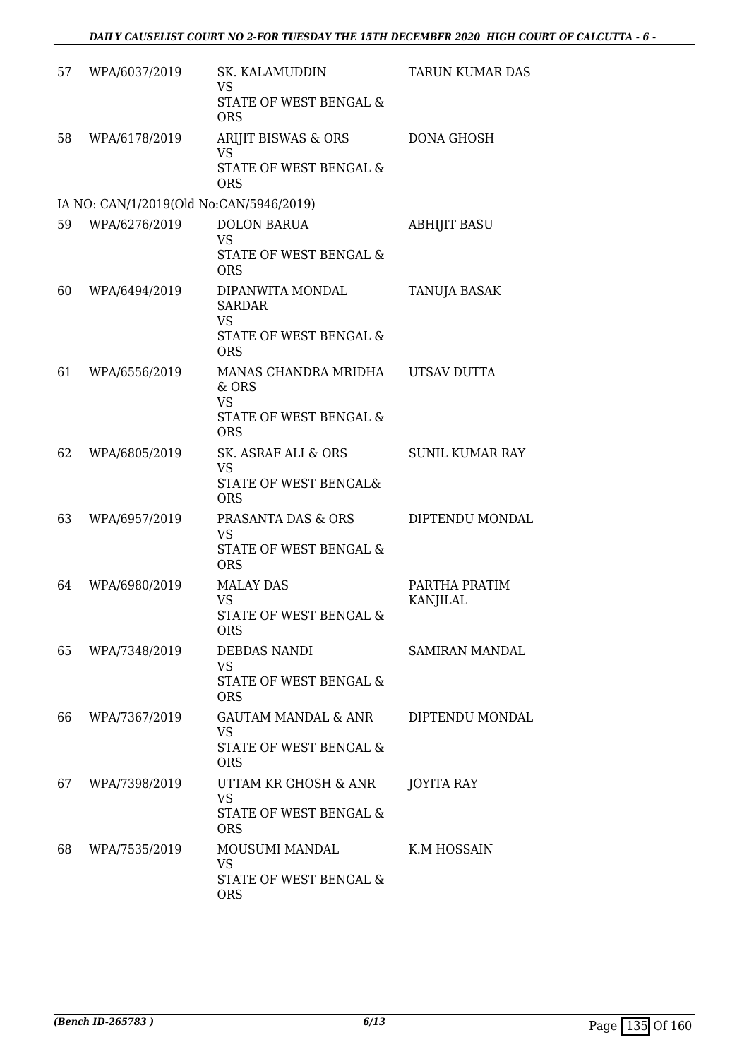| 57 | WPA/6037/2019                           | SK. KALAMUDDIN<br><b>VS</b><br>STATE OF WEST BENGAL &                                            | TARUN KUMAR DAS           |
|----|-----------------------------------------|--------------------------------------------------------------------------------------------------|---------------------------|
| 58 | WPA/6178/2019                           | <b>ORS</b><br>ARIJIT BISWAS & ORS<br>VS<br>STATE OF WEST BENGAL &<br><b>ORS</b>                  | <b>DONA GHOSH</b>         |
|    | IA NO: CAN/1/2019(Old No:CAN/5946/2019) |                                                                                                  |                           |
| 59 | WPA/6276/2019                           | <b>DOLON BARUA</b><br>VS<br>STATE OF WEST BENGAL &<br><b>ORS</b>                                 | <b>ABHIJIT BASU</b>       |
| 60 | WPA/6494/2019                           | DIPANWITA MONDAL<br><b>SARDAR</b><br><b>VS</b><br>STATE OF WEST BENGAL &                         | TANUJA BASAK              |
| 61 | WPA/6556/2019                           | <b>ORS</b><br>MANAS CHANDRA MRIDHA<br>& ORS<br><b>VS</b><br>STATE OF WEST BENGAL &<br><b>ORS</b> | UTSAV DUTTA               |
| 62 | WPA/6805/2019                           | SK. ASRAF ALI & ORS<br>VS<br>STATE OF WEST BENGAL&<br><b>ORS</b>                                 | <b>SUNIL KUMAR RAY</b>    |
| 63 | WPA/6957/2019                           | PRASANTA DAS & ORS<br><b>VS</b><br>STATE OF WEST BENGAL &<br><b>ORS</b>                          | DIPTENDU MONDAL           |
| 64 | WPA/6980/2019                           | <b>MALAY DAS</b><br><b>VS</b><br>STATE OF WEST BENGAL &<br><b>ORS</b>                            | PARTHA PRATIM<br>KANJILAL |
| 65 | WPA/7348/2019                           | DEBDAS NANDI<br>VS<br>STATE OF WEST BENGAL &<br><b>ORS</b>                                       | SAMIRAN MANDAL            |
| 66 | WPA/7367/2019                           | GAUTAM MANDAL & ANR<br>VS<br>STATE OF WEST BENGAL &<br><b>ORS</b>                                | DIPTENDU MONDAL           |
| 67 | WPA/7398/2019                           | UTTAM KR GHOSH & ANR<br><b>VS</b><br>STATE OF WEST BENGAL &<br><b>ORS</b>                        | <b>JOYITA RAY</b>         |
| 68 | WPA/7535/2019                           | MOUSUMI MANDAL<br>VS<br>STATE OF WEST BENGAL &<br><b>ORS</b>                                     | K.M HOSSAIN               |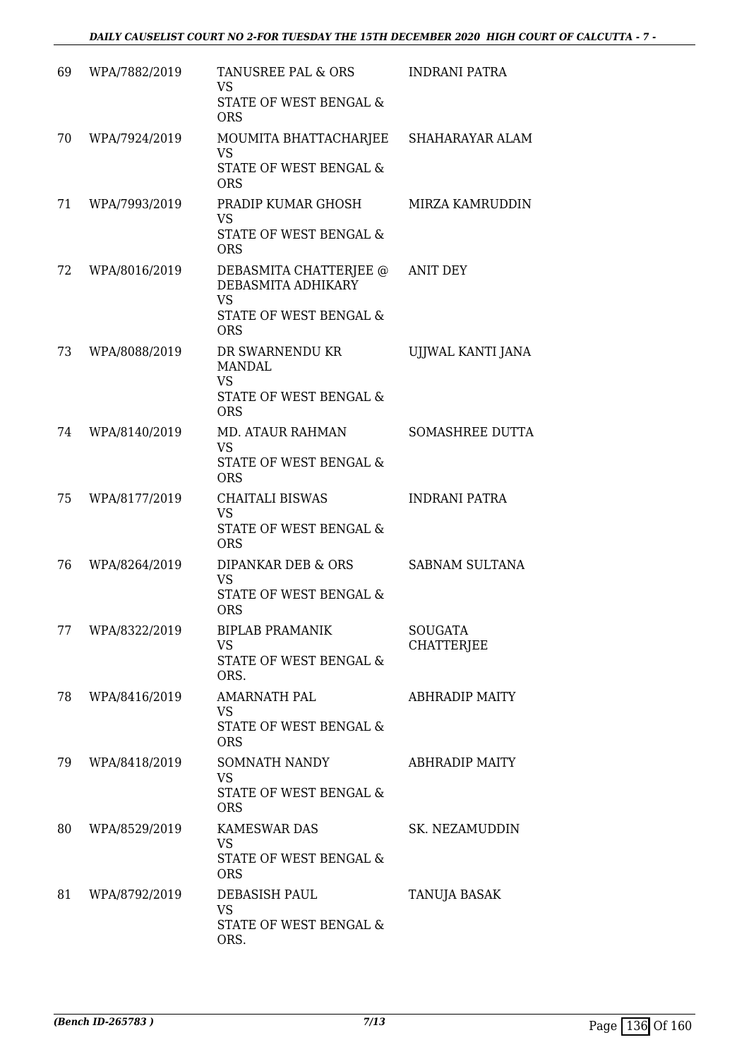| 69 | WPA/7882/2019 | TANUSREE PAL & ORS<br><b>VS</b><br>STATE OF WEST BENGAL &<br><b>ORS</b>                          | INDRANI PATRA                |
|----|---------------|--------------------------------------------------------------------------------------------------|------------------------------|
| 70 | WPA/7924/2019 | MOUMITA BHATTACHARJEE SHAHARAYAR ALAM<br><b>VS</b><br>STATE OF WEST BENGAL &<br><b>ORS</b>       |                              |
| 71 | WPA/7993/2019 | PRADIP KUMAR GHOSH<br><b>VS</b><br><b>STATE OF WEST BENGAL &amp;</b><br><b>ORS</b>               | MIRZA KAMRUDDIN              |
| 72 | WPA/8016/2019 | DEBASMITA CHATTERJEE @<br>DEBASMITA ADHIKARY<br>VS<br>STATE OF WEST BENGAL &<br><b>ORS</b>       | <b>ANIT DEY</b>              |
| 73 | WPA/8088/2019 | DR SWARNENDU KR<br><b>MANDAL</b><br><b>VS</b><br><b>STATE OF WEST BENGAL &amp;</b><br><b>ORS</b> | UJJWAL KANTI JANA            |
| 74 | WPA/8140/2019 | MD. ATAUR RAHMAN<br><b>VS</b><br>STATE OF WEST BENGAL &<br><b>ORS</b>                            | <b>SOMASHREE DUTTA</b>       |
| 75 | WPA/8177/2019 | <b>CHAITALI BISWAS</b><br><b>VS</b><br>STATE OF WEST BENGAL &<br><b>ORS</b>                      | <b>INDRANI PATRA</b>         |
| 76 | WPA/8264/2019 | DIPANKAR DEB & ORS<br><b>VS</b><br>STATE OF WEST BENGAL &<br><b>ORS</b>                          | <b>SABNAM SULTANA</b>        |
| 77 | WPA/8322/2019 | <b>BIPLAB PRAMANIK</b><br>VS.<br>STATE OF WEST BENGAL &<br>ORS.                                  | <b>SOUGATA</b><br>CHATTERJEE |
| 78 | WPA/8416/2019 | AMARNATH PAL<br><b>VS</b><br>STATE OF WEST BENGAL &<br><b>ORS</b>                                | <b>ABHRADIP MAITY</b>        |
| 79 | WPA/8418/2019 | SOMNATH NANDY<br>VS.<br>STATE OF WEST BENGAL &<br><b>ORS</b>                                     | <b>ABHRADIP MAITY</b>        |
| 80 | WPA/8529/2019 | <b>KAMESWAR DAS</b><br><b>VS</b><br>STATE OF WEST BENGAL &<br><b>ORS</b>                         | SK. NEZAMUDDIN               |
| 81 | WPA/8792/2019 | DEBASISH PAUL<br><b>VS</b><br>STATE OF WEST BENGAL &<br>ORS.                                     | TANUJA BASAK                 |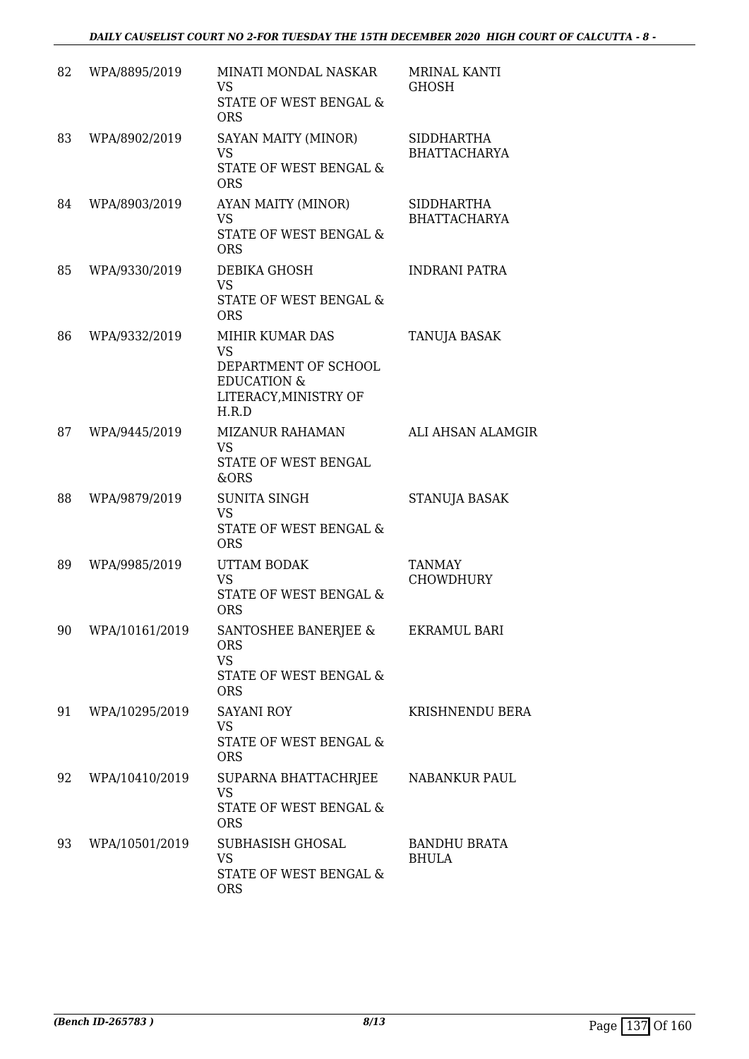| 82 | WPA/8895/2019  | MINATI MONDAL NASKAR<br>VS<br>STATE OF WEST BENGAL &<br><b>ORS</b>                                               | <b>MRINAL KANTI</b><br>GHOSH             |
|----|----------------|------------------------------------------------------------------------------------------------------------------|------------------------------------------|
| 83 | WPA/8902/2019  | SAYAN MAITY (MINOR)<br><b>VS</b><br>STATE OF WEST BENGAL &<br><b>ORS</b>                                         | SIDDHARTHA<br><b>BHATTACHARYA</b>        |
| 84 | WPA/8903/2019  | AYAN MAITY (MINOR)<br><b>VS</b><br>STATE OF WEST BENGAL &<br><b>ORS</b>                                          | <b>SIDDHARTHA</b><br><b>BHATTACHARYA</b> |
| 85 | WPA/9330/2019  | DEBIKA GHOSH<br><b>VS</b><br>STATE OF WEST BENGAL &<br><b>ORS</b>                                                | <b>INDRANI PATRA</b>                     |
| 86 | WPA/9332/2019  | MIHIR KUMAR DAS<br><b>VS</b><br>DEPARTMENT OF SCHOOL<br><b>EDUCATION &amp;</b><br>LITERACY, MINISTRY OF<br>H.R.D | TANUJA BASAK                             |
| 87 | WPA/9445/2019  | <b>MIZANUR RAHAMAN</b><br><b>VS</b><br>STATE OF WEST BENGAL<br>&ORS                                              | <b>ALI AHSAN ALAMGIR</b>                 |
| 88 | WPA/9879/2019  | <b>SUNITA SINGH</b><br><b>VS</b><br>STATE OF WEST BENGAL &<br><b>ORS</b>                                         | STANUJA BASAK                            |
| 89 | WPA/9985/2019  | UTTAM BODAK<br><b>VS</b><br><b>STATE OF WEST BENGAL &amp;</b><br><b>ORS</b>                                      | TANMAY<br><b>CHOWDHURY</b>               |
| 90 | WPA/10161/2019 | SANTOSHEE BANERJEE &<br><b>ORS</b><br><b>VS</b><br>STATE OF WEST BENGAL &<br><b>ORS</b>                          | <b>EKRAMUL BARI</b>                      |
| 91 | WPA/10295/2019 | <b>SAYANI ROY</b><br><b>VS</b><br>STATE OF WEST BENGAL &<br><b>ORS</b>                                           | KRISHNENDU BERA                          |
| 92 | WPA/10410/2019 | SUPARNA BHATTACHRJEE<br><b>VS</b><br>STATE OF WEST BENGAL &<br><b>ORS</b>                                        | NABANKUR PAUL                            |
| 93 | WPA/10501/2019 | SUBHASISH GHOSAL<br><b>VS</b><br>STATE OF WEST BENGAL &<br><b>ORS</b>                                            | <b>BANDHU BRATA</b><br><b>BHULA</b>      |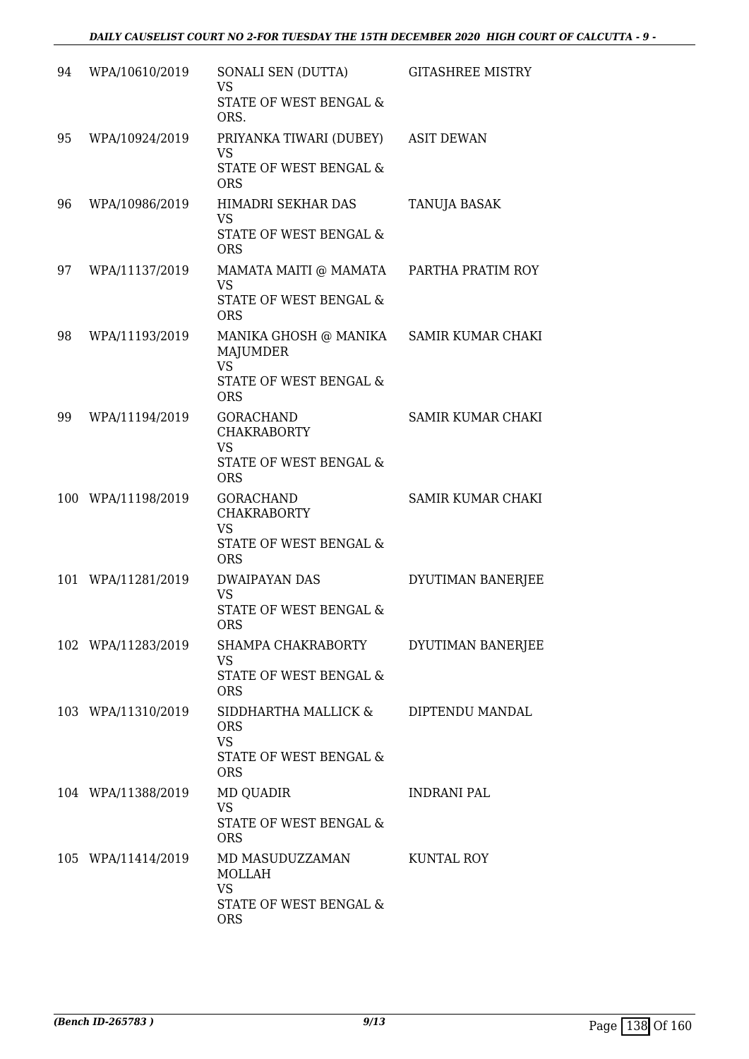| 94 | WPA/10610/2019     | SONALI SEN (DUTTA)<br><b>VS</b><br>STATE OF WEST BENGAL &<br>ORS.                             | <b>GITASHREE MISTRY</b>  |
|----|--------------------|-----------------------------------------------------------------------------------------------|--------------------------|
| 95 | WPA/10924/2019     | PRIYANKA TIWARI (DUBEY)<br><b>VS</b><br>STATE OF WEST BENGAL &<br><b>ORS</b>                  | <b>ASIT DEWAN</b>        |
| 96 | WPA/10986/2019     | HIMADRI SEKHAR DAS<br><b>VS</b><br>STATE OF WEST BENGAL &<br><b>ORS</b>                       | <b>TANUJA BASAK</b>      |
| 97 | WPA/11137/2019     | MAMATA MAITI @ MAMATA<br><b>VS</b><br>STATE OF WEST BENGAL &<br><b>ORS</b>                    | PARTHA PRATIM ROY        |
| 98 | WPA/11193/2019     | MANIKA GHOSH @ MANIKA<br><b>MAJUMDER</b><br><b>VS</b><br>STATE OF WEST BENGAL &<br><b>ORS</b> | SAMIR KUMAR CHAKI        |
| 99 | WPA/11194/2019     | <b>GORACHAND</b><br><b>CHAKRABORTY</b><br><b>VS</b><br>STATE OF WEST BENGAL &<br><b>ORS</b>   | <b>SAMIR KUMAR CHAKI</b> |
|    | 100 WPA/11198/2019 | <b>GORACHAND</b><br><b>CHAKRABORTY</b><br><b>VS</b><br>STATE OF WEST BENGAL &<br><b>ORS</b>   | SAMIR KUMAR CHAKI        |
|    | 101 WPA/11281/2019 | DWAIPAYAN DAS<br><b>VS</b><br>STATE OF WEST BENGAL &<br>ORS                                   | DYUTIMAN BANERJEE        |
|    | 102 WPA/11283/2019 | SHAMPA CHAKRABORTY<br><b>VS</b><br>STATE OF WEST BENGAL &<br><b>ORS</b>                       | DYUTIMAN BANERJEE        |
|    | 103 WPA/11310/2019 | SIDDHARTHA MALLICK &<br><b>ORS</b><br><b>VS</b><br>STATE OF WEST BENGAL &<br><b>ORS</b>       | DIPTENDU MANDAL          |
|    | 104 WPA/11388/2019 | MD QUADIR<br><b>VS</b><br>STATE OF WEST BENGAL &<br><b>ORS</b>                                | <b>INDRANI PAL</b>       |
|    | 105 WPA/11414/2019 | MD MASUDUZZAMAN<br>MOLLAH<br><b>VS</b><br>STATE OF WEST BENGAL &<br><b>ORS</b>                | KUNTAL ROY               |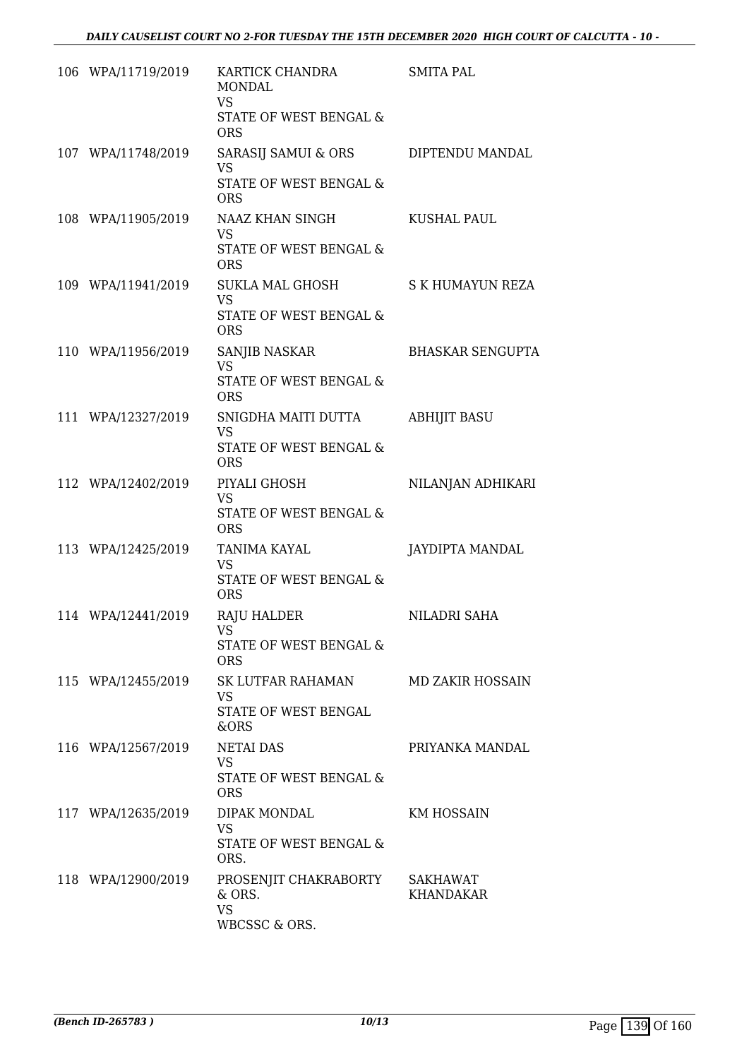| 106 WPA/11719/2019 | KARTICK CHANDRA<br><b>MONDAL</b><br><b>VS</b>   | <b>SMITA PAL</b>        |
|--------------------|-------------------------------------------------|-------------------------|
|                    | STATE OF WEST BENGAL &<br><b>ORS</b>            |                         |
| 107 WPA/11748/2019 | SARASIJ SAMUI & ORS<br><b>VS</b>                | DIPTENDU MANDAL         |
|                    | STATE OF WEST BENGAL &<br><b>ORS</b>            |                         |
| 108 WPA/11905/2019 | NAAZ KHAN SINGH<br><b>VS</b>                    | <b>KUSHAL PAUL</b>      |
|                    | STATE OF WEST BENGAL &<br><b>ORS</b>            |                         |
| 109 WPA/11941/2019 | SUKLA MAL GHOSH<br><b>VS</b>                    | S K HUMAYUN REZA        |
|                    | <b>STATE OF WEST BENGAL &amp;</b><br><b>ORS</b> |                         |
| 110 WPA/11956/2019 | SANJIB NASKAR<br><b>VS</b>                      | <b>BHASKAR SENGUPTA</b> |
|                    | <b>STATE OF WEST BENGAL &amp;</b><br><b>ORS</b> |                         |
| 111 WPA/12327/2019 | SNIGDHA MAITI DUTTA<br><b>VS</b>                | <b>ABHIJIT BASU</b>     |
|                    | <b>STATE OF WEST BENGAL &amp;</b><br><b>ORS</b> |                         |
| 112 WPA/12402/2019 | PIYALI GHOSH<br><b>VS</b>                       | NILANJAN ADHIKARI       |
|                    | <b>STATE OF WEST BENGAL &amp;</b><br><b>ORS</b> |                         |
| 113 WPA/12425/2019 | TANIMA KAYAL<br><b>VS</b>                       | JAYDIPTA MANDAL         |
|                    | <b>STATE OF WEST BENGAL &amp;</b><br><b>ORS</b> |                         |
| 114 WPA/12441/2019 | <b>RAJU HALDER</b><br><b>VS</b>                 | NILADRI SAHA            |
|                    | STATE OF WEST BENGAL &<br><b>ORS</b>            |                         |
| 115 WPA/12455/2019 | SK LUTFAR RAHAMAN<br><b>VS</b>                  | MD ZAKIR HOSSAIN        |
|                    | STATE OF WEST BENGAL<br>&ORS                    |                         |
| 116 WPA/12567/2019 | <b>NETAI DAS</b><br><b>VS</b>                   | PRIYANKA MANDAL         |
|                    | <b>STATE OF WEST BENGAL &amp;</b><br><b>ORS</b> |                         |
| 117 WPA/12635/2019 | DIPAK MONDAL<br><b>VS</b>                       | KM HOSSAIN              |
|                    | STATE OF WEST BENGAL &<br>ORS.                  |                         |
| 118 WPA/12900/2019 | PROSENJIT CHAKRABORTY<br>& ORS.                 | SAKHAWAT<br>KHANDAKAR   |
|                    | <b>VS</b><br>WBCSSC & ORS.                      |                         |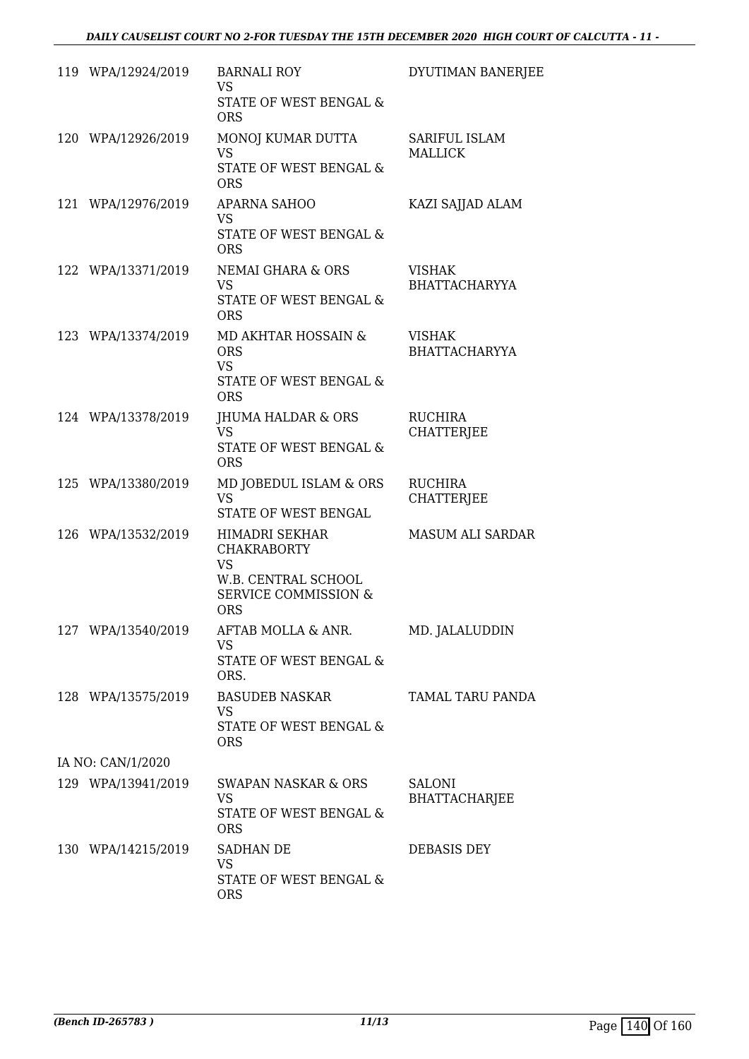| 119 WPA/12924/2019 | <b>BARNALI ROY</b><br><b>VS</b><br>STATE OF WEST BENGAL &<br><b>ORS</b>                                                   | DYUTIMAN BANERJEE                     |
|--------------------|---------------------------------------------------------------------------------------------------------------------------|---------------------------------------|
| 120 WPA/12926/2019 | MONOJ KUMAR DUTTA<br><b>VS</b><br>STATE OF WEST BENGAL &<br><b>ORS</b>                                                    | SARIFUL ISLAM<br><b>MALLICK</b>       |
| 121 WPA/12976/2019 | <b>APARNA SAHOO</b><br><b>VS</b><br><b>STATE OF WEST BENGAL &amp;</b><br><b>ORS</b>                                       | KAZI SAJJAD ALAM                      |
| 122 WPA/13371/2019 | <b>NEMAI GHARA &amp; ORS</b><br><b>VS</b><br>STATE OF WEST BENGAL &<br><b>ORS</b>                                         | <b>VISHAK</b><br>BHATTACHARYYA        |
| 123 WPA/13374/2019 | MD AKHTAR HOSSAIN &<br><b>ORS</b><br><b>VS</b><br>STATE OF WEST BENGAL &<br><b>ORS</b>                                    | <b>VISHAK</b><br><b>BHATTACHARYYA</b> |
| 124 WPA/13378/2019 | JHUMA HALDAR & ORS<br><b>VS</b><br>STATE OF WEST BENGAL &<br><b>ORS</b>                                                   | <b>RUCHIRA</b><br><b>CHATTERJEE</b>   |
| 125 WPA/13380/2019 | MD JOBEDUL ISLAM & ORS<br><b>VS</b><br>STATE OF WEST BENGAL                                                               | <b>RUCHIRA</b><br><b>CHATTERJEE</b>   |
| 126 WPA/13532/2019 | HIMADRI SEKHAR<br><b>CHAKRABORTY</b><br><b>VS</b><br>W.B. CENTRAL SCHOOL<br><b>SERVICE COMMISSION &amp;</b><br><b>ORS</b> | <b>MASUM ALI SARDAR</b>               |
| 127 WPA/13540/2019 | AFTAB MOLLA & ANR.<br><b>VS</b><br>STATE OF WEST BENGAL &<br>ORS.                                                         | MD. JALALUDDIN                        |
| 128 WPA/13575/2019 | <b>BASUDEB NASKAR</b><br><b>VS</b><br>STATE OF WEST BENGAL &<br><b>ORS</b>                                                | TAMAL TARU PANDA                      |
| IA NO: CAN/1/2020  |                                                                                                                           |                                       |
| 129 WPA/13941/2019 | SWAPAN NASKAR & ORS<br><b>VS</b><br>STATE OF WEST BENGAL &<br><b>ORS</b>                                                  | <b>SALONI</b><br><b>BHATTACHARJEE</b> |
| 130 WPA/14215/2019 | SADHAN DE<br><b>VS</b><br>STATE OF WEST BENGAL &<br><b>ORS</b>                                                            | DEBASIS DEY                           |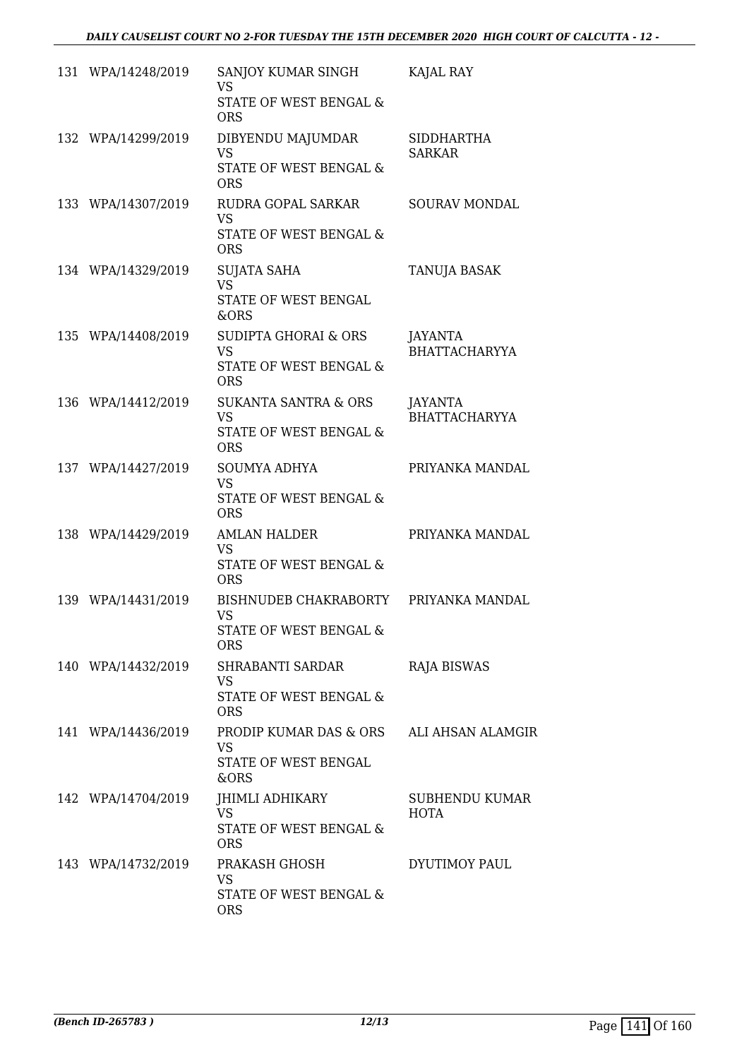| 131 WPA/14248/2019 | SANJOY KUMAR SINGH<br><b>VS</b><br>STATE OF WEST BENGAL &<br><b>ORS</b>                           | KAJAL RAY                          |
|--------------------|---------------------------------------------------------------------------------------------------|------------------------------------|
| 132 WPA/14299/2019 | DIBYENDU MAJUMDAR<br><b>VS</b><br>STATE OF WEST BENGAL &<br><b>ORS</b>                            | <b>SIDDHARTHA</b><br><b>SARKAR</b> |
| 133 WPA/14307/2019 | RUDRA GOPAL SARKAR<br><b>VS</b><br>STATE OF WEST BENGAL &                                         | <b>SOURAV MONDAL</b>               |
| 134 WPA/14329/2019 | <b>ORS</b><br><b>SUJATA SAHA</b><br><b>VS</b><br>STATE OF WEST BENGAL<br>&ORS                     | TANUJA BASAK                       |
| 135 WPA/14408/2019 | <b>SUDIPTA GHORAI &amp; ORS</b><br><b>VS</b><br><b>STATE OF WEST BENGAL &amp;</b><br><b>ORS</b>   | JAYANTA<br><b>BHATTACHARYYA</b>    |
| 136 WPA/14412/2019 | <b>SUKANTA SANTRA &amp; ORS</b><br><b>VS</b><br>STATE OF WEST BENGAL &<br><b>ORS</b>              | JAYANTA<br><b>BHATTACHARYYA</b>    |
| 137 WPA/14427/2019 | <b>SOUMYA ADHYA</b><br><b>VS</b><br>STATE OF WEST BENGAL &                                        | PRIYANKA MANDAL                    |
| 138 WPA/14429/2019 | <b>ORS</b><br><b>AMLAN HALDER</b><br><b>VS</b><br><b>STATE OF WEST BENGAL &amp;</b><br><b>ORS</b> | PRIYANKA MANDAL                    |
| 139 WPA/14431/2019 | BISHNUDEB CHAKRABORTY<br><b>VS</b><br>STATE OF WEST BENGAL &<br><b>ORS</b>                        | PRIYANKA MANDAL                    |
| 140 WPA/14432/2019 | SHRABANTI SARDAR<br>VS.<br>STATE OF WEST BENGAL &<br><b>ORS</b>                                   | <b>RAJA BISWAS</b>                 |
| 141 WPA/14436/2019 | PRODIP KUMAR DAS & ORS<br><b>VS</b><br>STATE OF WEST BENGAL<br>&ORS                               | ALI AHSAN ALAMGIR                  |
| 142 WPA/14704/2019 | JHIMLI ADHIKARY<br><b>VS</b><br>STATE OF WEST BENGAL &<br><b>ORS</b>                              | SUBHENDU KUMAR<br><b>HOTA</b>      |
| 143 WPA/14732/2019 | PRAKASH GHOSH<br><b>VS</b><br>STATE OF WEST BENGAL &<br><b>ORS</b>                                | DYUTIMOY PAUL                      |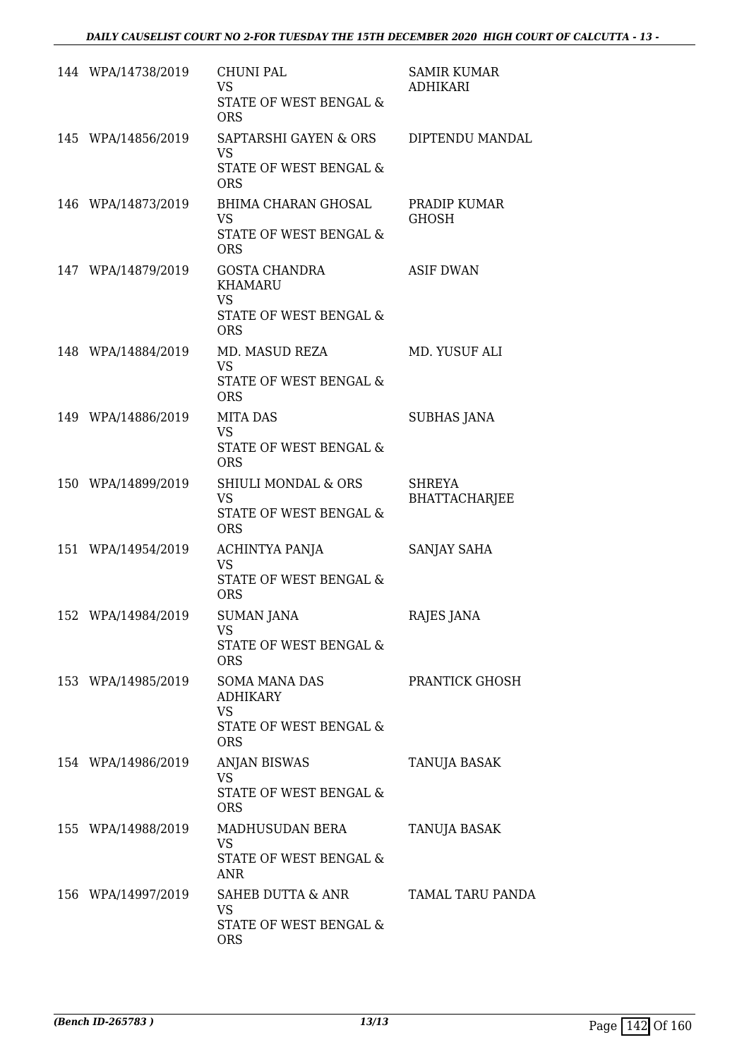| 144 WPA/14738/2019 | <b>CHUNI PAL</b><br><b>VS</b><br>STATE OF WEST BENGAL &<br><b>ORS</b>                           | <b>SAMIR KUMAR</b><br><b>ADHIKARI</b> |
|--------------------|-------------------------------------------------------------------------------------------------|---------------------------------------|
| 145 WPA/14856/2019 | SAPTARSHI GAYEN & ORS<br><b>VS</b><br>STATE OF WEST BENGAL &<br><b>ORS</b>                      | DIPTENDU MANDAL                       |
| 146 WPA/14873/2019 | BHIMA CHARAN GHOSAL<br><b>VS</b><br>STATE OF WEST BENGAL &<br><b>ORS</b>                        | PRADIP KUMAR<br><b>GHOSH</b>          |
| 147 WPA/14879/2019 | GOSTA CHANDRA<br><b>KHAMARU</b><br><b>VS</b><br><b>STATE OF WEST BENGAL &amp;</b><br><b>ORS</b> | <b>ASIF DWAN</b>                      |
| 148 WPA/14884/2019 | MD. MASUD REZA<br><b>VS</b><br><b>STATE OF WEST BENGAL &amp;</b><br><b>ORS</b>                  | MD. YUSUF ALI                         |
| 149 WPA/14886/2019 | <b>MITA DAS</b><br><b>VS</b><br>STATE OF WEST BENGAL &<br><b>ORS</b>                            | <b>SUBHAS JANA</b>                    |
| 150 WPA/14899/2019 | SHIULI MONDAL & ORS<br><b>VS</b><br>STATE OF WEST BENGAL &<br><b>ORS</b>                        | <b>SHREYA</b><br><b>BHATTACHARJEE</b> |
| 151 WPA/14954/2019 | ACHINTYA PANJA<br><b>VS</b><br><b>STATE OF WEST BENGAL &amp;</b><br><b>ORS</b>                  | SANJAY SAHA                           |
| 152 WPA/14984/2019 | <b>SUMAN JANA</b><br><b>VS</b><br>STATE OF WEST BENGAL &<br><b>ORS</b>                          | RAJES JANA                            |
| 153 WPA/14985/2019 | SOMA MANA DAS<br><b>ADHIKARY</b><br><b>VS</b><br>STATE OF WEST BENGAL &<br><b>ORS</b>           | PRANTICK GHOSH                        |
| 154 WPA/14986/2019 | <b>ANJAN BISWAS</b><br><b>VS</b><br>STATE OF WEST BENGAL &<br><b>ORS</b>                        | <b>TANUJA BASAK</b>                   |
| 155 WPA/14988/2019 | MADHUSUDAN BERA<br><b>VS</b><br>STATE OF WEST BENGAL &<br><b>ANR</b>                            | TANUJA BASAK                          |
| 156 WPA/14997/2019 | SAHEB DUTTA & ANR<br><b>VS</b><br>STATE OF WEST BENGAL &<br><b>ORS</b>                          | TAMAL TARU PANDA                      |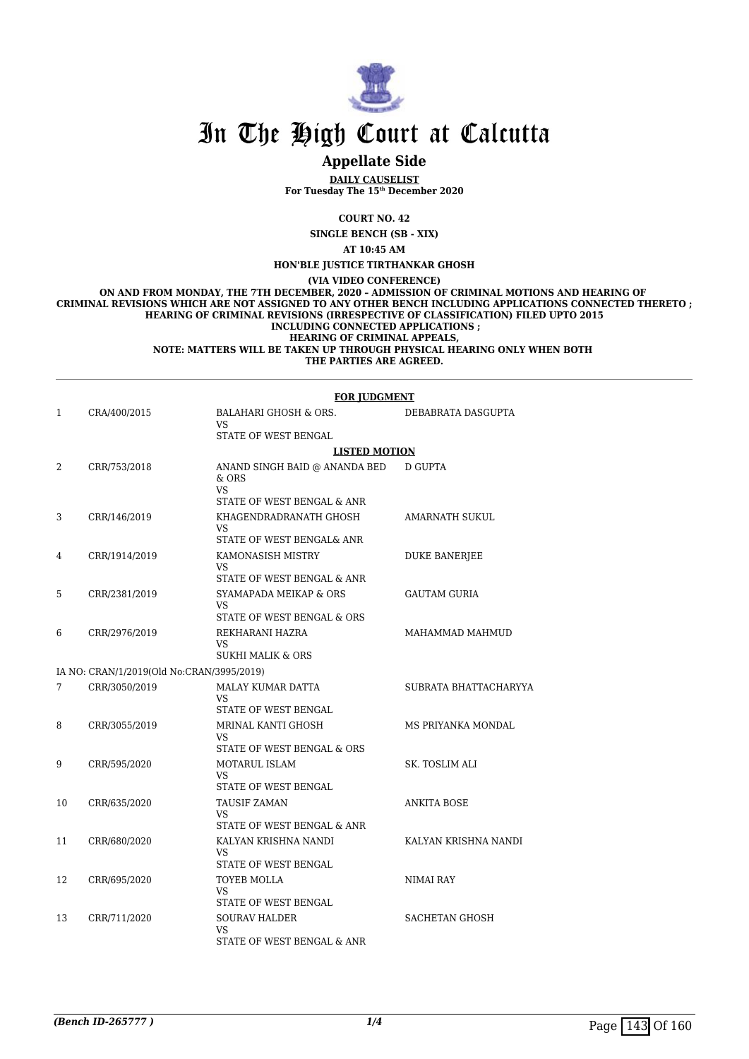

# In The High Court at Calcutta

# **Appellate Side**

**DAILY CAUSELIST For Tuesday The 15th December 2020**

#### **COURT NO. 42**

**SINGLE BENCH (SB - XIX)**

**AT 10:45 AM**

**HON'BLE JUSTICE TIRTHANKAR GHOSH**

**(VIA VIDEO CONFERENCE)**

**ON AND FROM MONDAY, THE 7TH DECEMBER, 2020 – ADMISSION OF CRIMINAL MOTIONS AND HEARING OF CRIMINAL REVISIONS WHICH ARE NOT ASSIGNED TO ANY OTHER BENCH INCLUDING APPLICATIONS CONNECTED THERETO ; HEARING OF CRIMINAL REVISIONS (IRRESPECTIVE OF CLASSIFICATION) FILED UPTO 2015 INCLUDING CONNECTED APPLICATIONS ; HEARING OF CRIMINAL APPEALS, NOTE: MATTERS WILL BE TAKEN UP THROUGH PHYSICAL HEARING ONLY WHEN BOTH** 

**THE PARTIES ARE AGREED.**

#### **FOR JUDGMENT**

| $\mathbf{1}$ | CRA/400/2015                              | <b>BALAHARI GHOSH &amp; ORS.</b><br>VS<br>STATE OF WEST BENGAL                | DEBABRATA DASGUPTA    |
|--------------|-------------------------------------------|-------------------------------------------------------------------------------|-----------------------|
|              |                                           | <b>LISTED MOTION</b>                                                          |                       |
| 2            | CRR/753/2018                              | ANAND SINGH BAID @ ANANDA BED<br>$&$ ORS<br>VS.<br>STATE OF WEST BENGAL & ANR | D GUPTA               |
| 3            | CRR/146/2019                              | KHAGENDRADRANATH GHOSH<br>VS.<br>STATE OF WEST BENGAL& ANR                    | <b>AMARNATH SUKUL</b> |
| 4            | CRR/1914/2019                             | KAMONASISH MISTRY<br>VS.<br>STATE OF WEST BENGAL & ANR                        | <b>DUKE BANERJEE</b>  |
| 5            | CRR/2381/2019                             | SYAMAPADA MEIKAP & ORS<br>VS.<br>STATE OF WEST BENGAL & ORS                   | <b>GAUTAM GURIA</b>   |
| 6            | CRR/2976/2019                             | REKHARANI HAZRA<br>VS.<br><b>SUKHI MALIK &amp; ORS</b>                        | MAHAMMAD MAHMUD       |
|              | IA NO: CRAN/1/2019(Old No:CRAN/3995/2019) |                                                                               |                       |
| 7            | CRR/3050/2019                             | MALAY KUMAR DATTA<br>VS.<br>STATE OF WEST BENGAL                              | SUBRATA BHATTACHARYYA |
| 8            | CRR/3055/2019                             | MRINAL KANTI GHOSH<br>VS.<br>STATE OF WEST BENGAL & ORS                       | MS PRIYANKA MONDAL    |
| 9            | CRR/595/2020                              | <b>MOTARUL ISLAM</b><br>VS.<br>STATE OF WEST BENGAL                           | SK. TOSLIM ALI        |
| 10           | CRR/635/2020                              | <b>TAUSIF ZAMAN</b><br>VS.<br>STATE OF WEST BENGAL & ANR                      | <b>ANKITA BOSE</b>    |
| 11           | CRR/680/2020                              | KALYAN KRISHNA NANDI<br>VS.<br>STATE OF WEST BENGAL                           | KALYAN KRISHNA NANDI  |
| 12           | CRR/695/2020                              | <b>TOYEB MOLLA</b><br>VS<br>STATE OF WEST BENGAL                              | NIMAI RAY             |
| 13           | CRR/711/2020                              | <b>SOURAV HALDER</b><br>VS<br>STATE OF WEST BENGAL & ANR                      | <b>SACHETAN GHOSH</b> |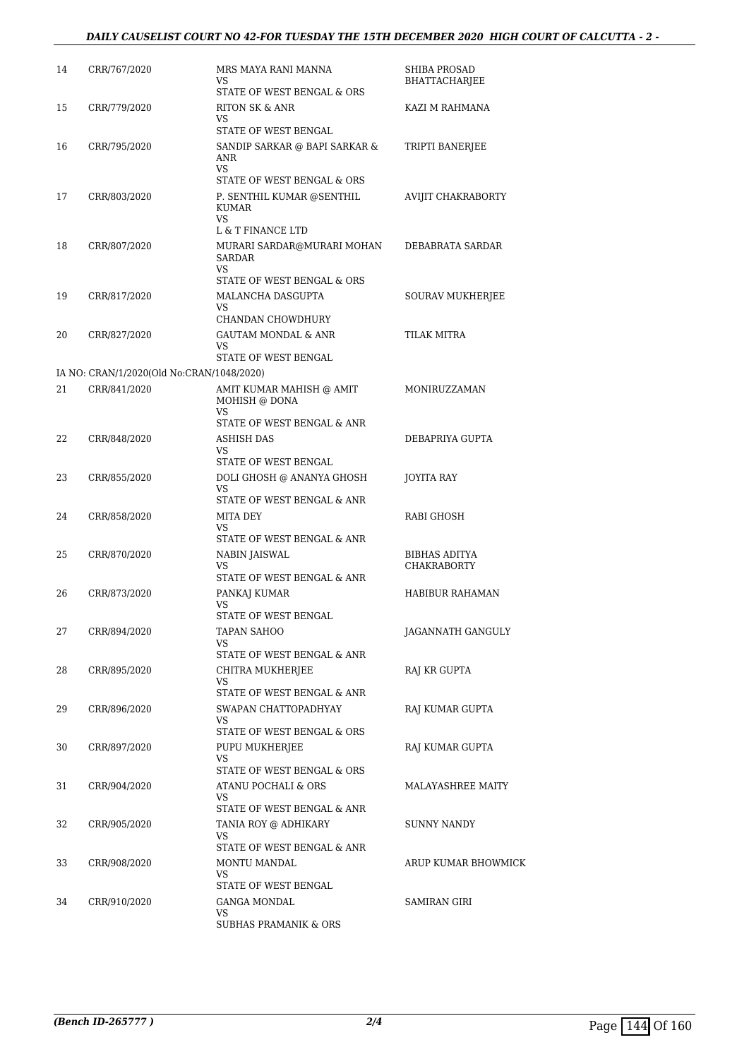| 14 | CRR/767/2020                              | MRS MAYA RANI MANNA<br>VS                                        | SHIBA PROSAD<br>BHATTACHARJEE       |
|----|-------------------------------------------|------------------------------------------------------------------|-------------------------------------|
| 15 | CRR/779/2020                              | STATE OF WEST BENGAL & ORS<br>RITON SK & ANR<br>VS               | KAZI M RAHMANA                      |
|    |                                           | STATE OF WEST BENGAL                                             |                                     |
| 16 | CRR/795/2020                              | SANDIP SARKAR @ BAPI SARKAR &<br>ANR<br><b>VS</b>                | TRIPTI BANERJEE                     |
| 17 | CRR/803/2020                              | STATE OF WEST BENGAL & ORS<br>P. SENTHIL KUMAR @SENTHIL<br>KUMAR | <b>AVIJIT CHAKRABORTY</b>           |
|    |                                           | <b>VS</b><br>L & T FINANCE LTD                                   |                                     |
| 18 | CRR/807/2020                              | MURARI SARDAR@MURARI MOHAN<br>SARDAR<br>VS.                      | DEBABRATA SARDAR                    |
|    |                                           | STATE OF WEST BENGAL & ORS                                       |                                     |
| 19 | CRR/817/2020                              | MALANCHA DASGUPTA<br>VS.<br>CHANDAN CHOWDHURY                    | SOURAV MUKHERJEE                    |
| 20 | CRR/827/2020                              | <b>GAUTAM MONDAL &amp; ANR</b>                                   | <b>TILAK MITRA</b>                  |
|    |                                           | VS                                                               |                                     |
|    |                                           | STATE OF WEST BENGAL                                             |                                     |
|    | IA NO: CRAN/1/2020(Old No:CRAN/1048/2020) |                                                                  |                                     |
| 21 | CRR/841/2020                              | AMIT KUMAR MAHISH @ AMIT<br>MOHISH @ DONA<br><b>VS</b>           | MONIRUZZAMAN                        |
|    |                                           | STATE OF WEST BENGAL & ANR                                       |                                     |
| 22 | CRR/848/2020                              | ASHISH DAS<br>VS<br>STATE OF WEST BENGAL                         | DEBAPRIYA GUPTA                     |
| 23 | CRR/855/2020                              | DOLI GHOSH @ ANANYA GHOSH                                        | JOYITA RAY                          |
|    |                                           | VS.<br>STATE OF WEST BENGAL & ANR                                |                                     |
| 24 | CRR/858/2020                              | MITA DEY                                                         | RABI GHOSH                          |
|    |                                           | VS                                                               |                                     |
|    |                                           | STATE OF WEST BENGAL & ANR                                       |                                     |
| 25 | CRR/870/2020                              | NABIN JAISWAL<br>VS                                              | BIBHAS ADITYA<br><b>CHAKRABORTY</b> |
|    |                                           | STATE OF WEST BENGAL & ANR                                       |                                     |
| 26 | CRR/873/2020                              | PANKAJ KUMAR<br>VS                                               | <b>HABIBUR RAHAMAN</b>              |
|    |                                           | STATE OF WEST BENGAL                                             |                                     |
| 27 | CRR/894/2020                              | TAPAN SAHOO<br>VS                                                | JAGANNATH GANGULY                   |
|    |                                           | STATE OF WEST BENGAL & ANR                                       |                                     |
| 28 | CRR/895/2020                              | CHITRA MUKHERJEE<br>VS<br>STATE OF WEST BENGAL & ANR             | <b>RAJ KR GUPTA</b>                 |
| 29 |                                           | SWAPAN CHATTOPADHYAY                                             | RAJ KUMAR GUPTA                     |
|    | CRR/896/2020                              | VS<br>STATE OF WEST BENGAL & ORS                                 |                                     |
| 30 | CRR/897/2020                              | PUPU MUKHERJEE<br>VS.                                            | RAJ KUMAR GUPTA                     |
|    |                                           | STATE OF WEST BENGAL & ORS                                       |                                     |
| 31 | CRR/904/2020                              | ATANU POCHALI & ORS<br>VS                                        | <b>MALAYASHREE MAITY</b>            |
|    |                                           | STATE OF WEST BENGAL & ANR                                       |                                     |
| 32 | CRR/905/2020                              | TANIA ROY @ ADHIKARY<br>VS                                       | SUNNY NANDY                         |
|    |                                           | STATE OF WEST BENGAL & ANR                                       |                                     |
| 33 | CRR/908/2020                              | MONTU MANDAL<br>VS                                               | ARUP KUMAR BHOWMICK                 |
|    |                                           | STATE OF WEST BENGAL                                             |                                     |
| 34 | CRR/910/2020                              | GANGA MONDAL<br>VS<br><b>SUBHAS PRAMANIK &amp; ORS</b>           | SAMIRAN GIRI                        |
|    |                                           |                                                                  |                                     |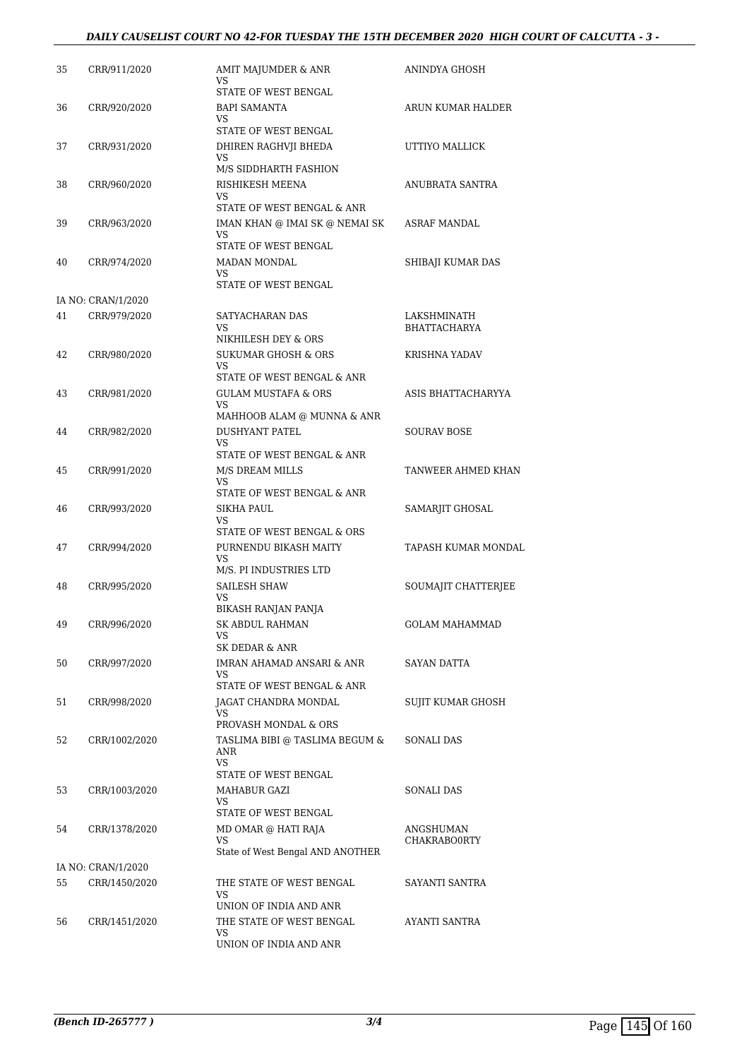#### *DAILY CAUSELIST COURT NO 42-FOR TUESDAY THE 15TH DECEMBER 2020 HIGH COURT OF CALCUTTA - 3 -*

| 35 | CRR/911/2020       | AMIT MAJUMDER & ANR<br>VS<br>STATE OF WEST BENGAL                                                | ANINDYA GHOSH                      |
|----|--------------------|--------------------------------------------------------------------------------------------------|------------------------------------|
| 36 | CRR/920/2020       | <b>BAPI SAMANTA</b><br>VS                                                                        | ARUN KUMAR HALDER                  |
| 37 | CRR/931/2020       | STATE OF WEST BENGAL<br>DHIREN RAGHVJI BHEDA<br>VS                                               | UTTIYO MALLICK                     |
| 38 | CRR/960/2020       | M/S SIDDHARTH FASHION<br>RISHIKESH MEENA<br>VS.                                                  | ANUBRATA SANTRA                    |
| 39 | CRR/963/2020       | STATE OF WEST BENGAL & ANR<br>IMAN KHAN @ IMAI SK @ NEMAI SK<br>VS                               | ASRAF MANDAL                       |
| 40 | CRR/974/2020       | STATE OF WEST BENGAL<br>MADAN MONDAL<br>VS<br>STATE OF WEST BENGAL                               | SHIBAJI KUMAR DAS                  |
|    | IA NO: CRAN/1/2020 |                                                                                                  |                                    |
| 41 | CRR/979/2020       | SATYACHARAN DAS<br>VS                                                                            | LAKSHMINATH<br><b>BHATTACHARYA</b> |
| 42 | CRR/980/2020       | NIKHILESH DEY & ORS<br><b>SUKUMAR GHOSH &amp; ORS</b><br>VS.                                     | <b>KRISHNA YADAV</b>               |
| 43 | CRR/981/2020       | STATE OF WEST BENGAL & ANR<br><b>GULAM MUSTAFA &amp; ORS</b><br>VS<br>MAHHOOB ALAM @ MUNNA & ANR | ASIS BHATTACHARYYA                 |
| 44 | CRR/982/2020       | <b>DUSHYANT PATEL</b><br>VS.<br>STATE OF WEST BENGAL & ANR                                       | SOURAV BOSE                        |
| 45 | CRR/991/2020       | M/S DREAM MILLS<br>VS                                                                            | TANWEER AHMED KHAN                 |
| 46 | CRR/993/2020       | STATE OF WEST BENGAL & ANR<br>SIKHA PAUL<br>VS                                                   | SAMARJIT GHOSAL                    |
| 47 | CRR/994/2020       | STATE OF WEST BENGAL & ORS<br>PURNENDU BIKASH MAITY<br>VS                                        | TAPASH KUMAR MONDAL                |
| 48 | CRR/995/2020       | M/S. PI INDUSTRIES LTD<br>SAILESH SHAW<br>VS                                                     | SOUMAJIT CHATTERJEE                |
| 49 | CRR/996/2020       | <b>BIKASH RANJAN PANJA</b><br>SK ABDUL RAHMAN<br>VS                                              | <b>GOLAM MAHAMMAD</b>              |
| 50 | CRR/997/2020       | SK DEDAR & ANR<br>IMRAN AHAMAD ANSARI & ANR<br>VS<br>STATE OF WEST BENGAL & ANR                  | SAYAN DATTA                        |
| 51 | CRR/998/2020       | JAGAT CHANDRA MONDAL<br>VS<br>PROVASH MONDAL & ORS                                               | SUJIT KUMAR GHOSH                  |
| 52 | CRR/1002/2020      | TASLIMA BIBI @ TASLIMA BEGUM &<br>ANR<br><b>VS</b><br>STATE OF WEST BENGAL                       | SONALI DAS                         |
| 53 | CRR/1003/2020      | MAHABUR GAZI<br>VS.                                                                              | SONALI DAS                         |
| 54 | CRR/1378/2020      | STATE OF WEST BENGAL<br>MD OMAR @ HATI RAJA<br>VS<br>State of West Bengal AND ANOTHER            | ANGSHUMAN<br>CHAKRABO0RTY          |
|    | IA NO: CRAN/1/2020 |                                                                                                  |                                    |
| 55 | CRR/1450/2020      | THE STATE OF WEST BENGAL<br>VS                                                                   | SAYANTI SANTRA                     |
| 56 | CRR/1451/2020      | UNION OF INDIA AND ANR<br>THE STATE OF WEST BENGAL<br>VS<br>UNION OF INDIA AND ANR               | AYANTI SANTRA                      |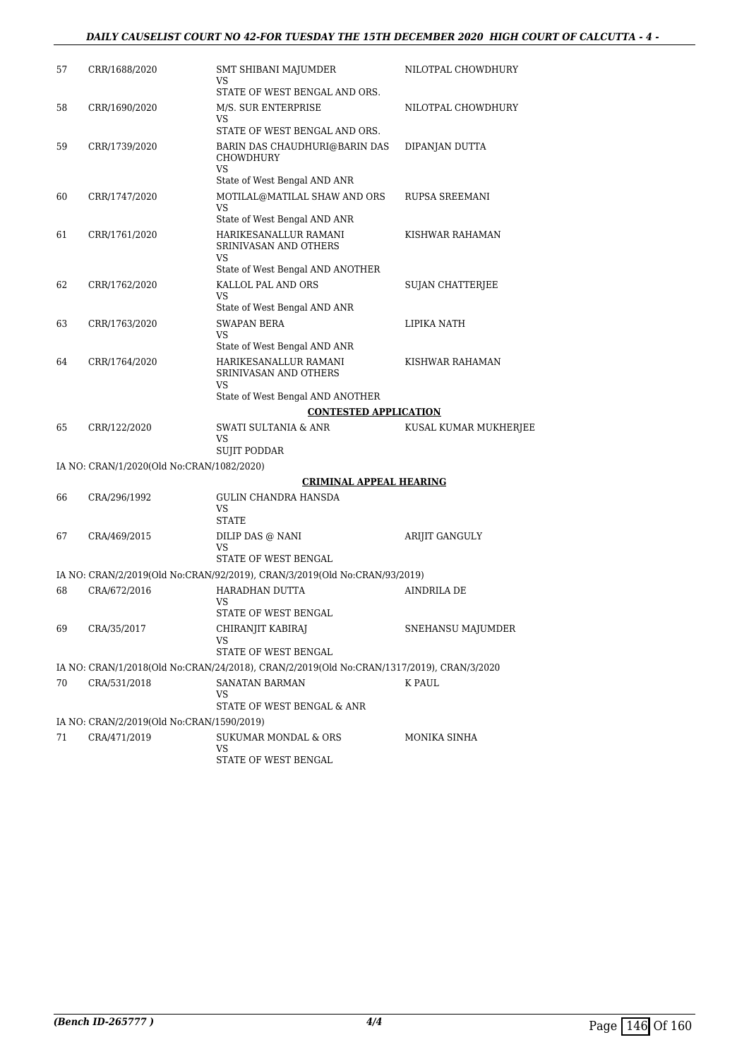### *DAILY CAUSELIST COURT NO 42-FOR TUESDAY THE 15TH DECEMBER 2020 HIGH COURT OF CALCUTTA - 4 -*

| 57 | CRR/1688/2020                             | SMT SHIBANI MAJUMDER<br>VS                                                               | NILOTPAL CHOWDHURY    |
|----|-------------------------------------------|------------------------------------------------------------------------------------------|-----------------------|
| 58 | CRR/1690/2020                             | STATE OF WEST BENGAL AND ORS.<br>M/S. SUR ENTERPRISE<br>VS                               | NILOTPAL CHOWDHURY    |
|    |                                           | STATE OF WEST BENGAL AND ORS.                                                            |                       |
| 59 | CRR/1739/2020                             | BARIN DAS CHAUDHURI@BARIN DAS<br><b>CHOWDHURY</b><br><b>VS</b>                           | DIPANJAN DUTTA        |
|    |                                           | State of West Bengal AND ANR                                                             |                       |
| 60 | CRR/1747/2020                             | MOTILAL@MATILAL SHAW AND ORS<br>VS<br>State of West Bengal AND ANR                       | <b>RUPSA SREEMANI</b> |
| 61 | CRR/1761/2020                             | HARIKESANALLUR RAMANI<br>SRINIVASAN AND OTHERS<br>VS<br>State of West Bengal AND ANOTHER | KISHWAR RAHAMAN       |
|    |                                           |                                                                                          |                       |
| 62 | CRR/1762/2020                             | KALLOL PAL AND ORS<br>VS<br>State of West Bengal AND ANR                                 | SUJAN CHATTERJEE      |
| 63 | CRR/1763/2020                             | <b>SWAPAN BERA</b>                                                                       | LIPIKA NATH           |
|    |                                           | VS                                                                                       |                       |
|    |                                           | State of West Bengal AND ANR                                                             |                       |
| 64 | CRR/1764/2020                             | HARIKESANALLUR RAMANI<br>SRINIVASAN AND OTHERS<br>VS                                     | KISHWAR RAHAMAN       |
|    |                                           | State of West Bengal AND ANOTHER                                                         |                       |
|    |                                           | <b>CONTESTED APPLICATION</b>                                                             |                       |
| 65 | CRR/122/2020                              | SWATI SULTANIA & ANR<br>VS<br>SUJIT PODDAR                                               | KUSAL KUMAR MUKHERJEE |
|    | IA NO: CRAN/1/2020(Old No:CRAN/1082/2020) |                                                                                          |                       |
|    |                                           |                                                                                          |                       |
| 66 | CRA/296/1992                              | <b>CRIMINAL APPEAL HEARING</b><br>GULIN CHANDRA HANSDA<br>VS                             |                       |
|    |                                           | <b>STATE</b>                                                                             |                       |
| 67 | CRA/469/2015                              | DILIP DAS @ NANI<br>VS<br>STATE OF WEST BENGAL                                           | <b>ARIJIT GANGULY</b> |
|    |                                           | IA NO: CRAN/2/2019(Old No:CRAN/92/2019), CRAN/3/2019(Old No:CRAN/93/2019)                |                       |
| 68 | CRA/672/2016                              | HARADHAN DUTTA                                                                           | <b>AINDRILA DE</b>    |
|    |                                           | VS                                                                                       |                       |
|    |                                           | STATE OF WEST BENGAL                                                                     |                       |
| 69 | CRA/35/2017                               | CHIRANJIT KABIRAJ<br>VS<br>STATE OF WEST BENGAL                                          | SNEHANSU MAJUMDER     |
|    |                                           | IA NO: CRAN/1/2018(Old No:CRAN/24/2018), CRAN/2/2019(Old No:CRAN/1317/2019), CRAN/3/2020 |                       |
|    |                                           |                                                                                          |                       |
| 70 | CRA/531/2018                              | SANATAN BARMAN<br>VS<br>STATE OF WEST BENGAL & ANR                                       | K PAUL                |
|    | IA NO: CRAN/2/2019(Old No:CRAN/1590/2019) |                                                                                          |                       |
| 71 | CRA/471/2019                              | SUKUMAR MONDAL & ORS<br>VS<br>STATE OF WEST BENGAL                                       | MONIKA SINHA          |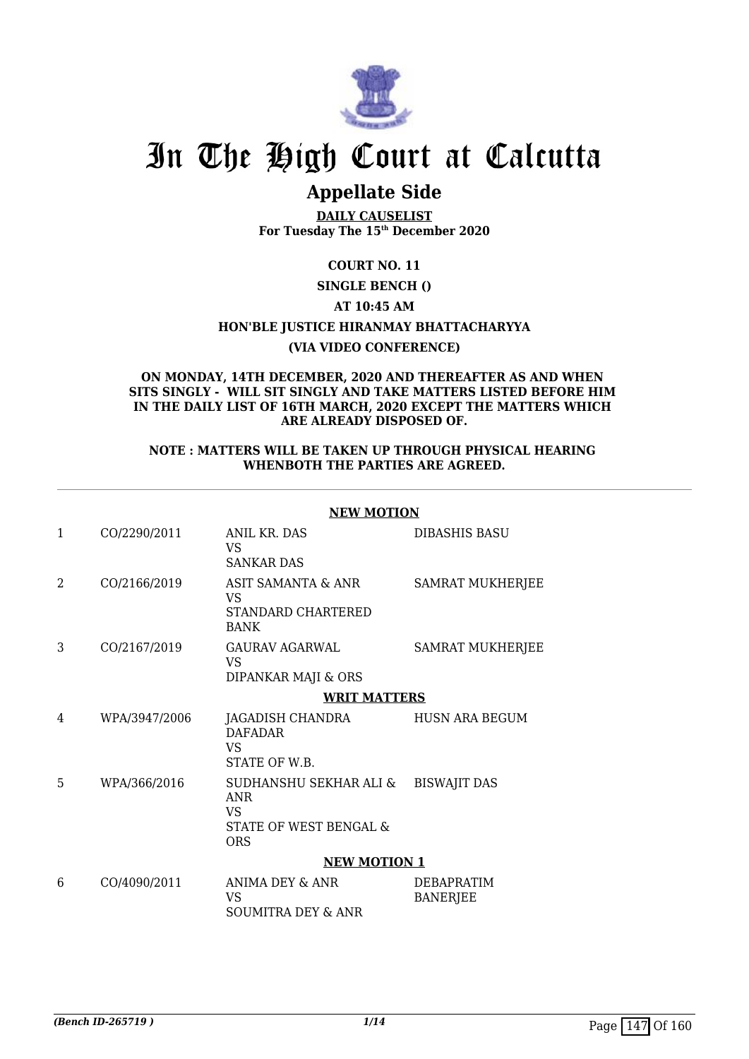

# In The High Court at Calcutta

# **Appellate Side**

**DAILY CAUSELIST For Tuesday The 15th December 2020**

# **COURT NO. 11**

### **SINGLE BENCH ()**

### **AT 10:45 AM**

#### **HON'BLE JUSTICE HIRANMAY BHATTACHARYYA**

#### **(VIA VIDEO CONFERENCE)**

#### **ON MONDAY, 14TH DECEMBER, 2020 AND THEREAFTER AS AND WHEN SITS SINGLY - WILL SIT SINGLY AND TAKE MATTERS LISTED BEFORE HIM IN THE DAILY LIST OF 16TH MARCH, 2020 EXCEPT THE MATTERS WHICH ARE ALREADY DISPOSED OF.**

#### **NOTE : MATTERS WILL BE TAKEN UP THROUGH PHYSICAL HEARING WHENBOTH THE PARTIES ARE AGREED.**

|              |               | <b>NEW MOTION</b>                                                                         |                                      |  |  |
|--------------|---------------|-------------------------------------------------------------------------------------------|--------------------------------------|--|--|
| $\mathbf{1}$ | CO/2290/2011  | ANIL KR. DAS<br>VS<br><b>SANKAR DAS</b>                                                   | <b>DIBASHIS BASU</b>                 |  |  |
| 2            | CO/2166/2019  | ASIT SAMANTA & ANR<br><b>VS</b><br>STANDARD CHARTERED<br><b>BANK</b>                      | <b>SAMRAT MUKHERJEE</b>              |  |  |
| 3            | CO/2167/2019  | GAURAV AGARWAL<br>VS<br>DIPANKAR MAJI & ORS                                               | <b>SAMRAT MUKHERJEE</b>              |  |  |
|              |               | <b>WRIT MATTERS</b>                                                                       |                                      |  |  |
| 4            | WPA/3947/2006 | JAGADISH CHANDRA<br><b>DAFADAR</b><br><b>VS</b><br>STATE OF W.B.                          | HUSN ARA BEGUM                       |  |  |
| 5            | WPA/366/2016  | SUDHANSHU SEKHAR ALI &<br><b>ANR</b><br><b>VS</b><br>STATE OF WEST BENGAL &<br><b>ORS</b> | <b>BISWAJIT DAS</b>                  |  |  |
|              |               | <b>NEW MOTION 1</b>                                                                       |                                      |  |  |
| 6            | CO/4090/2011  | ANIMA DEY & ANR<br><b>VS</b><br><b>SOUMITRA DEY &amp; ANR</b>                             | <b>DEBAPRATIM</b><br><b>BANERJEE</b> |  |  |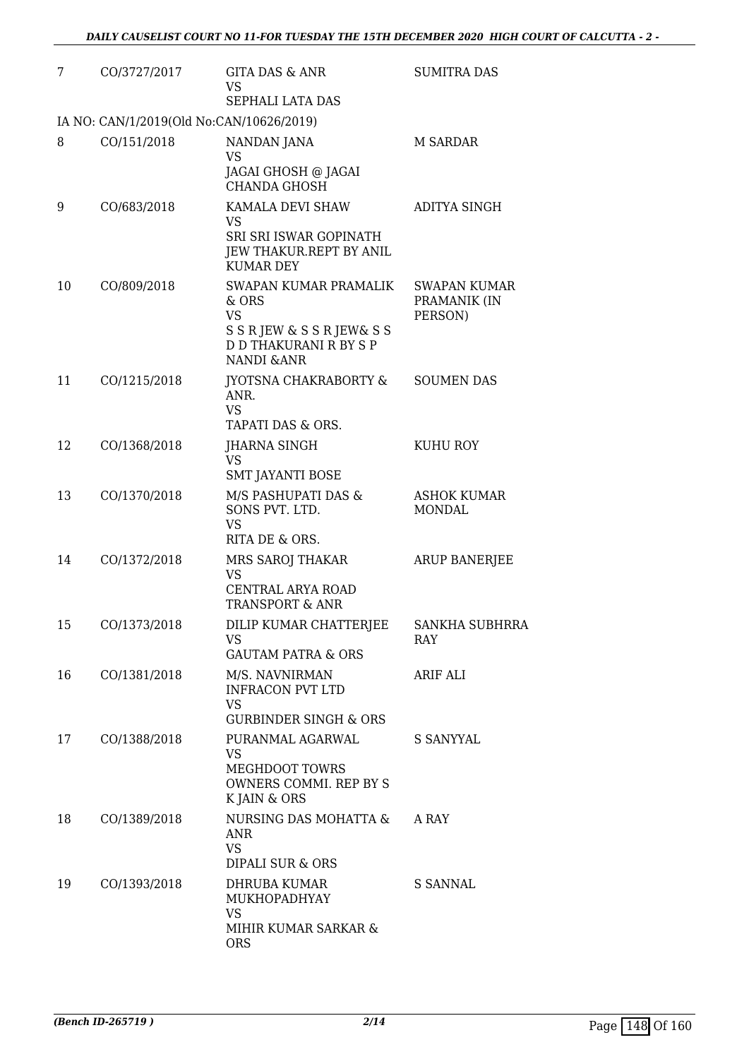| 7  | CO/3727/2017                             | <b>GITA DAS &amp; ANR</b><br><b>VS</b>                                                                                                | <b>SUMITRA DAS</b>                             |
|----|------------------------------------------|---------------------------------------------------------------------------------------------------------------------------------------|------------------------------------------------|
|    |                                          | SEPHALI LATA DAS                                                                                                                      |                                                |
|    | IA NO: CAN/1/2019(Old No:CAN/10626/2019) |                                                                                                                                       |                                                |
| 8  | CO/151/2018                              | NANDAN JANA<br><b>VS</b><br>JAGAI GHOSH @ JAGAI<br><b>CHANDA GHOSH</b>                                                                | M SARDAR                                       |
| 9  | CO/683/2018                              | KAMALA DEVI SHAW<br>VS<br>SRI SRI ISWAR GOPINATH<br>JEW THAKUR.REPT BY ANIL<br><b>KUMAR DEY</b>                                       | <b>ADITYA SINGH</b>                            |
| 10 | CO/809/2018                              | SWAPAN KUMAR PRAMALIK<br>& ORS<br><b>VS</b><br>S S R JEW & S S R JEW & S S<br><b>D D THAKURANI R BY S P</b><br><b>NANDI &amp; ANR</b> | <b>SWAPAN KUMAR</b><br>PRAMANIK (IN<br>PERSON) |
| 11 | CO/1215/2018                             | <b>JYOTSNA CHAKRABORTY &amp;</b><br>ANR.<br><b>VS</b><br>TAPATI DAS & ORS.                                                            | <b>SOUMEN DAS</b>                              |
| 12 | CO/1368/2018                             | JHARNA SINGH<br><b>VS</b><br><b>SMT JAYANTI BOSE</b>                                                                                  | KUHU ROY                                       |
| 13 | CO/1370/2018                             | M/S PASHUPATI DAS &<br>SONS PVT. LTD.<br><b>VS</b><br>RITA DE & ORS.                                                                  | <b>ASHOK KUMAR</b><br>MONDAL                   |
| 14 | CO/1372/2018                             | MRS SAROJ THAKAR<br><b>VS</b><br>CENTRAL ARYA ROAD<br><b>TRANSPORT &amp; ANR</b>                                                      | <b>ARUP BANERJEE</b>                           |
| 15 | CO/1373/2018                             | DILIP KUMAR CHATTERJEE<br>VS<br><b>GAUTAM PATRA &amp; ORS</b>                                                                         | SANKHA SUBHRRA<br><b>RAY</b>                   |
| 16 | CO/1381/2018                             | M/S. NAVNIRMAN<br><b>INFRACON PVT LTD</b><br><b>VS</b><br><b>GURBINDER SINGH &amp; ORS</b>                                            | <b>ARIF ALI</b>                                |
| 17 | CO/1388/2018                             | PURANMAL AGARWAL<br><b>VS</b><br>MEGHDOOT TOWRS<br>OWNERS COMMI. REP BY S<br>K JAIN & ORS                                             | <b>S SANYYAL</b>                               |
| 18 | CO/1389/2018                             | NURSING DAS MOHATTA &<br><b>ANR</b><br><b>VS</b><br>DIPALI SUR & ORS                                                                  | A RAY                                          |
| 19 | CO/1393/2018                             | DHRUBA KUMAR<br>MUKHOPADHYAY<br><b>VS</b><br>MIHIR KUMAR SARKAR &<br><b>ORS</b>                                                       | S SANNAL                                       |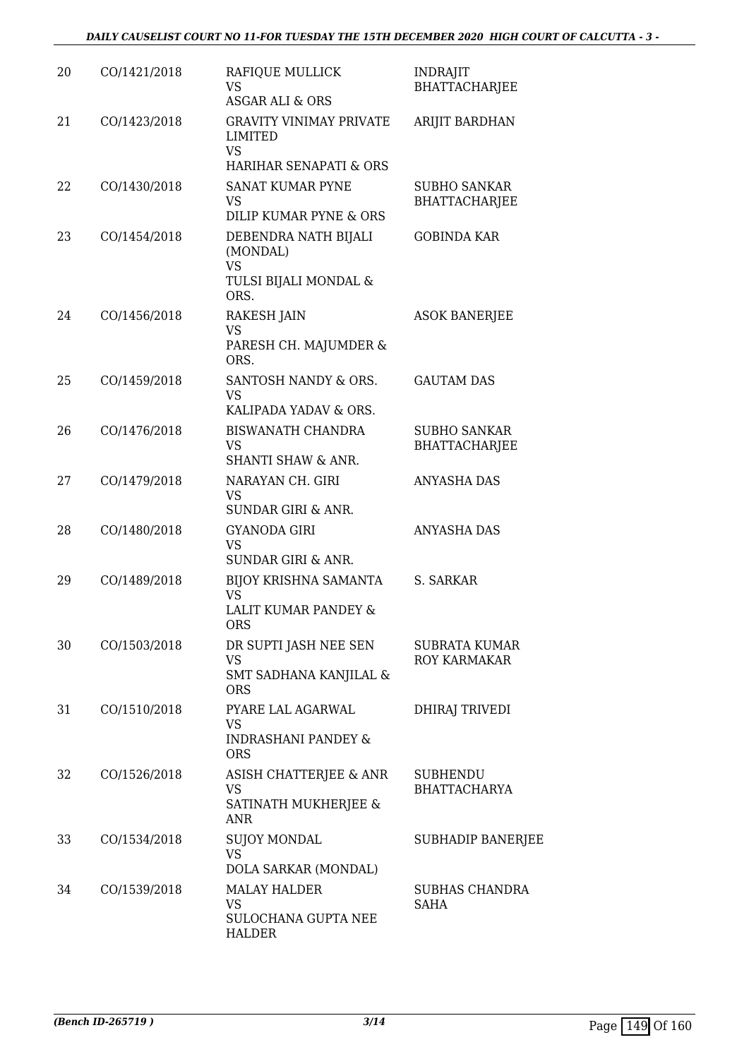| 20 | CO/1421/2018 | RAFIQUE MULLICK<br>VS<br><b>ASGAR ALI &amp; ORS</b>                                         | <b>INDRAJIT</b><br><b>BHATTACHARJEE</b>     |
|----|--------------|---------------------------------------------------------------------------------------------|---------------------------------------------|
| 21 | CO/1423/2018 | <b>GRAVITY VINIMAY PRIVATE</b><br><b>LIMITED</b><br>VS<br><b>HARIHAR SENAPATI &amp; ORS</b> | ARIJIT BARDHAN                              |
| 22 | CO/1430/2018 | <b>SANAT KUMAR PYNE</b><br><b>VS</b><br>DILIP KUMAR PYNE & ORS                              | <b>SUBHO SANKAR</b><br><b>BHATTACHARJEE</b> |
| 23 | CO/1454/2018 | DEBENDRA NATH BIJALI<br>(MONDAL)<br><b>VS</b><br>TULSI BIJALI MONDAL &<br>ORS.              | <b>GOBINDA KAR</b>                          |
| 24 | CO/1456/2018 | <b>RAKESH JAIN</b><br><b>VS</b><br>PARESH CH. MAJUMDER &<br>ORS.                            | <b>ASOK BANERJEE</b>                        |
| 25 | CO/1459/2018 | SANTOSH NANDY & ORS.<br><b>VS</b><br>KALIPADA YADAV & ORS.                                  | <b>GAUTAM DAS</b>                           |
| 26 | CO/1476/2018 | BISWANATH CHANDRA<br>VS<br><b>SHANTI SHAW &amp; ANR.</b>                                    | <b>SUBHO SANKAR</b><br><b>BHATTACHARJEE</b> |
| 27 | CO/1479/2018 | NARAYAN CH. GIRI<br><b>VS</b><br><b>SUNDAR GIRI &amp; ANR.</b>                              | <b>ANYASHA DAS</b>                          |
| 28 | CO/1480/2018 | <b>GYANODA GIRI</b><br><b>VS</b><br><b>SUNDAR GIRI &amp; ANR.</b>                           | <b>ANYASHA DAS</b>                          |
| 29 | CO/1489/2018 | BIJOY KRISHNA SAMANTA<br>VS<br>LALIT KUMAR PANDEY &<br><b>ORS</b>                           | S. SARKAR                                   |
| 30 | CO/1503/2018 | DR SUPTI JASH NEE SEN<br><b>VS</b><br>SMT SADHANA KANJILAL &<br><b>ORS</b>                  | <b>SUBRATA KUMAR</b><br><b>ROY KARMAKAR</b> |
| 31 | CO/1510/2018 | PYARE LAL AGARWAL<br>VS<br><b>INDRASHANI PANDEY &amp;</b><br><b>ORS</b>                     | <b>DHIRAJ TRIVEDI</b>                       |
| 32 | CO/1526/2018 | ASISH CHATTERJEE & ANR<br>VS<br>SATINATH MUKHERJEE &<br>ANR                                 | <b>SUBHENDU</b><br><b>BHATTACHARYA</b>      |
| 33 | CO/1534/2018 | <b>SUJOY MONDAL</b><br><b>VS</b><br>DOLA SARKAR (MONDAL)                                    | <b>SUBHADIP BANERJEE</b>                    |
| 34 | CO/1539/2018 | <b>MALAY HALDER</b><br>VS<br>SULOCHANA GUPTA NEE<br><b>HALDER</b>                           | <b>SUBHAS CHANDRA</b><br><b>SAHA</b>        |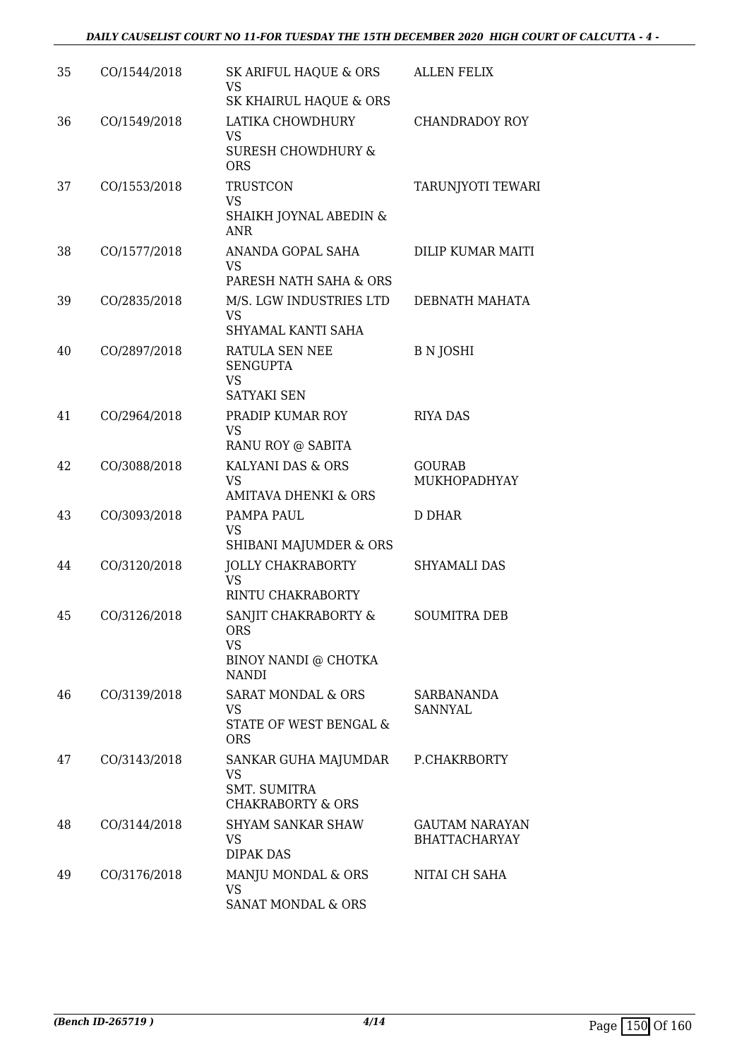| 35 | CO/1544/2018 | SK ARIFUL HAQUE & ORS<br><b>VS</b><br>SK KHAIRUL HAQUE & ORS                            | <b>ALLEN FELIX</b>                            |
|----|--------------|-----------------------------------------------------------------------------------------|-----------------------------------------------|
| 36 | CO/1549/2018 | LATIKA CHOWDHURY<br><b>VS</b><br><b>SURESH CHOWDHURY &amp;</b><br><b>ORS</b>            | <b>CHANDRADOY ROY</b>                         |
| 37 | CO/1553/2018 | <b>TRUSTCON</b><br><b>VS</b><br>SHAIKH JOYNAL ABEDIN &<br>ANR                           | TARUNJYOTI TEWARI                             |
| 38 | CO/1577/2018 | ANANDA GOPAL SAHA<br>VS<br>PARESH NATH SAHA & ORS                                       | DILIP KUMAR MAITI                             |
| 39 | CO/2835/2018 | M/S. LGW INDUSTRIES LTD<br><b>VS</b><br>SHYAMAL KANTI SAHA                              | DEBNATH MAHATA                                |
| 40 | CO/2897/2018 | RATULA SEN NEE<br><b>SENGUPTA</b><br><b>VS</b><br><b>SATYAKI SEN</b>                    | <b>B</b> N JOSHI                              |
| 41 | CO/2964/2018 | PRADIP KUMAR ROY<br>VS<br>RANU ROY @ SABITA                                             | <b>RIYA DAS</b>                               |
| 42 | CO/3088/2018 | KALYANI DAS & ORS<br><b>VS</b><br><b>AMITAVA DHENKI &amp; ORS</b>                       | <b>GOURAB</b><br>MUKHOPADHYAY                 |
| 43 | CO/3093/2018 | PAMPA PAUL<br><b>VS</b><br>SHIBANI MAJUMDER & ORS                                       | D DHAR                                        |
| 44 | CO/3120/2018 | <b>JOLLY CHAKRABORTY</b><br><b>VS</b><br>RINTU CHAKRABORTY                              | <b>SHYAMALI DAS</b>                           |
| 45 | CO/3126/2018 | SANJIT CHAKRABORTY &<br><b>ORS</b><br><b>VS</b><br>BINOY NANDI @ CHOTKA<br><b>NANDI</b> | SOUMITRA DEB                                  |
| 46 | CO/3139/2018 | SARAT MONDAL & ORS<br>VS<br>STATE OF WEST BENGAL &<br><b>ORS</b>                        | SARBANANDA<br><b>SANNYAL</b>                  |
| 47 | CO/3143/2018 | SANKAR GUHA MAJUMDAR<br>VS<br><b>SMT. SUMITRA</b><br><b>CHAKRABORTY &amp; ORS</b>       | P.CHAKRBORTY                                  |
| 48 | CO/3144/2018 | <b>SHYAM SANKAR SHAW</b><br>VS.<br><b>DIPAK DAS</b>                                     | <b>GAUTAM NARAYAN</b><br><b>BHATTACHARYAY</b> |
| 49 | CO/3176/2018 | MANJU MONDAL & ORS<br>VS.<br>SANAT MONDAL & ORS                                         | NITAI CH SAHA                                 |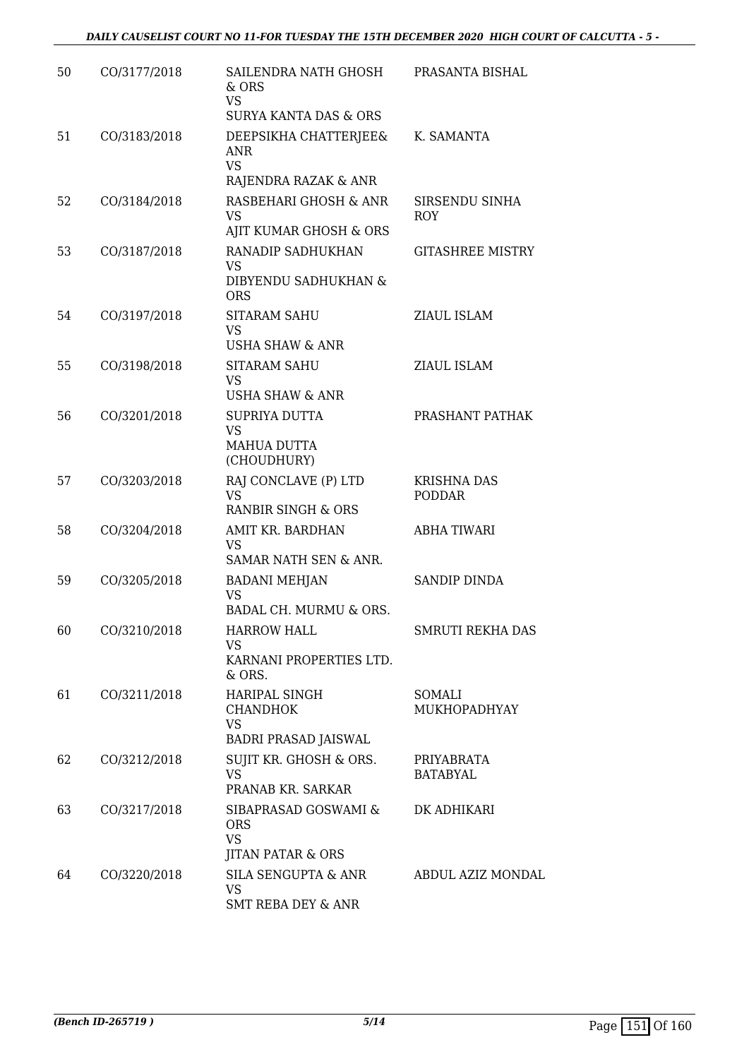| 50 | CO/3177/2018 | SAILENDRA NATH GHOSH<br>& ORS<br><b>VS</b><br><b>SURYA KANTA DAS &amp; ORS</b>  | PRASANTA BISHAL                     |
|----|--------------|---------------------------------------------------------------------------------|-------------------------------------|
| 51 | CO/3183/2018 | DEEPSIKHA CHATTERJEE&<br><b>ANR</b><br><b>VS</b><br>RAJENDRA RAZAK & ANR        | K. SAMANTA                          |
| 52 | CO/3184/2018 | RASBEHARI GHOSH & ANR<br><b>VS</b><br>AJIT KUMAR GHOSH & ORS                    | SIRSENDU SINHA<br>ROY               |
| 53 | CO/3187/2018 | RANADIP SADHUKHAN<br><b>VS</b><br>DIBYENDU SADHUKHAN &<br><b>ORS</b>            | <b>GITASHREE MISTRY</b>             |
| 54 | CO/3197/2018 | <b>SITARAM SAHU</b><br><b>VS</b><br>USHA SHAW & ANR                             | ZIAUL ISLAM                         |
| 55 | CO/3198/2018 | <b>SITARAM SAHU</b><br>VS<br><b>USHA SHAW &amp; ANR</b>                         | ZIAUL ISLAM                         |
| 56 | CO/3201/2018 | SUPRIYA DUTTA<br><b>VS</b><br><b>MAHUA DUTTA</b><br>(CHOUDHURY)                 | PRASHANT PATHAK                     |
| 57 | CO/3203/2018 | RAJ CONCLAVE (P) LTD<br><b>VS</b><br>RANBIR SINGH & ORS                         | <b>KRISHNA DAS</b><br><b>PODDAR</b> |
| 58 | CO/3204/2018 | AMIT KR. BARDHAN<br><b>VS</b><br>SAMAR NATH SEN & ANR.                          | <b>ABHA TIWARI</b>                  |
| 59 | CO/3205/2018 | <b>BADANI MEHJAN</b><br>VS<br>BADAL CH. MURMU & ORS.                            | SANDIP DINDA                        |
| 60 | CO/3210/2018 | <b>HARROW HALL</b><br><b>VS</b><br>KARNANI PROPERTIES LTD.<br>& ORS.            | <b>SMRUTI REKHA DAS</b>             |
| 61 | CO/3211/2018 | HARIPAL SINGH<br><b>CHANDHOK</b><br><b>VS</b><br>BADRI PRASAD JAISWAL           | SOMALI<br>MUKHOPADHYAY              |
| 62 | CO/3212/2018 | SUJIT KR. GHOSH & ORS.<br><b>VS</b><br>PRANAB KR. SARKAR                        | PRIYABRATA<br><b>BATABYAL</b>       |
| 63 | CO/3217/2018 | SIBAPRASAD GOSWAMI &<br><b>ORS</b><br><b>VS</b><br><b>JITAN PATAR &amp; ORS</b> | DK ADHIKARI                         |
| 64 | CO/3220/2018 | SILA SENGUPTA & ANR<br><b>VS</b><br><b>SMT REBA DEY &amp; ANR</b>               | ABDUL AZIZ MONDAL                   |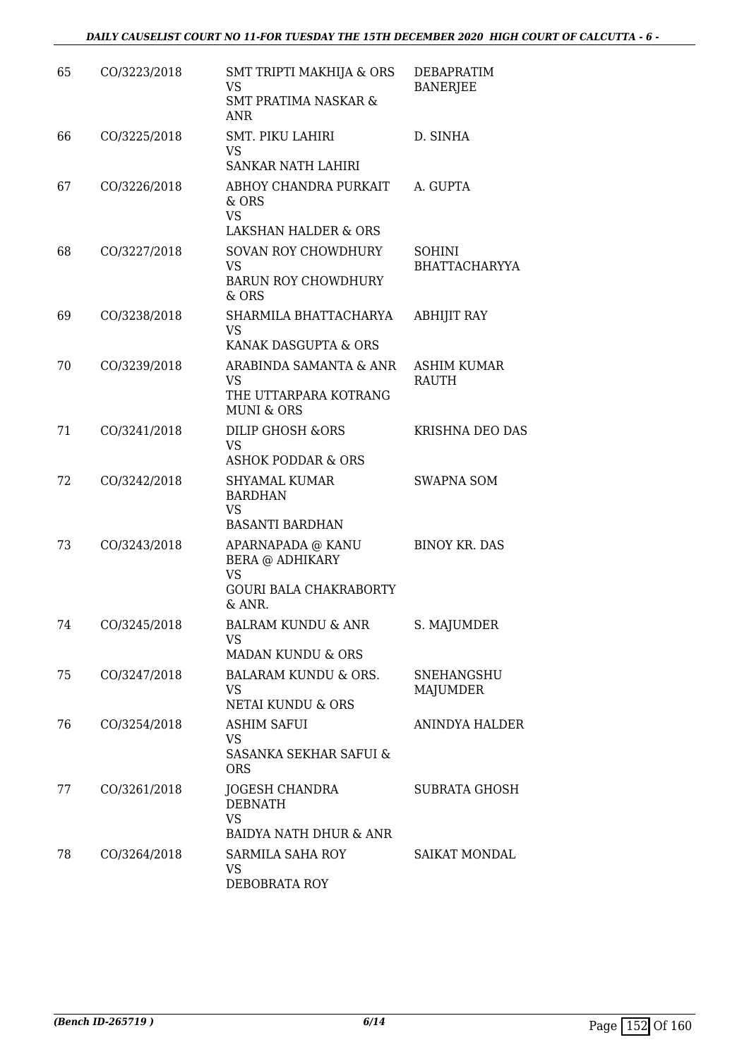| 65 | CO/3223/2018 | SMT TRIPTI MAKHIJA & ORS<br><b>VS</b><br><b>SMT PRATIMA NASKAR &amp;</b><br>ANR                     | <b>DEBAPRATIM</b><br><b>BANERJEE</b> |
|----|--------------|-----------------------------------------------------------------------------------------------------|--------------------------------------|
| 66 | CO/3225/2018 | SMT. PIKU LAHIRI<br><b>VS</b><br>SANKAR NATH LAHIRI                                                 | D. SINHA                             |
| 67 | CO/3226/2018 | ABHOY CHANDRA PURKAIT<br>& ORS<br><b>VS</b><br>LAKSHAN HALDER & ORS                                 | A. GUPTA                             |
| 68 | CO/3227/2018 | <b>SOVAN ROY CHOWDHURY</b><br><b>VS</b><br><b>BARUN ROY CHOWDHURY</b><br>& ORS                      | <b>SOHINI</b><br>BHATTACHARYYA       |
| 69 | CO/3238/2018 | SHARMILA BHATTACHARYA<br><b>VS</b><br>KANAK DASGUPTA & ORS                                          | <b>ABHIJIT RAY</b>                   |
| 70 | CO/3239/2018 | ARABINDA SAMANTA & ANR<br><b>VS</b><br>THE UTTARPARA KOTRANG<br><b>MUNI &amp; ORS</b>               | <b>ASHIM KUMAR</b><br>RAUTH          |
| 71 | CO/3241/2018 | <b>DILIP GHOSH &amp;ORS</b><br><b>VS</b><br><b>ASHOK PODDAR &amp; ORS</b>                           | KRISHNA DEO DAS                      |
| 72 | CO/3242/2018 | <b>SHYAMAL KUMAR</b><br><b>BARDHAN</b><br><b>VS</b><br><b>BASANTI BARDHAN</b>                       | <b>SWAPNA SOM</b>                    |
| 73 | CO/3243/2018 | APARNAPADA @ KANU<br><b>BERA @ ADHIKARY</b><br><b>VS</b><br><b>GOURI BALA CHAKRABORTY</b><br>& ANR. | <b>BINOY KR. DAS</b>                 |
| 74 | CO/3245/2018 | BALRAM KUNDU & ANR<br>VS<br><b>MADAN KUNDU &amp; ORS</b>                                            | S. MAJUMDER                          |
| 75 | CO/3247/2018 | BALARAM KUNDU & ORS.<br><b>VS</b><br>NETAI KUNDU & ORS                                              | SNEHANGSHU<br>MAJUMDER               |
| 76 | CO/3254/2018 | <b>ASHIM SAFUI</b><br><b>VS</b><br>SASANKA SEKHAR SAFUI &<br><b>ORS</b>                             | ANINDYA HALDER                       |
| 77 | CO/3261/2018 | JOGESH CHANDRA<br><b>DEBNATH</b><br><b>VS</b><br>BAIDYA NATH DHUR & ANR                             | SUBRATA GHOSH                        |
| 78 | CO/3264/2018 | SARMILA SAHA ROY<br><b>VS</b><br>DEBOBRATA ROY                                                      | <b>SAIKAT MONDAL</b>                 |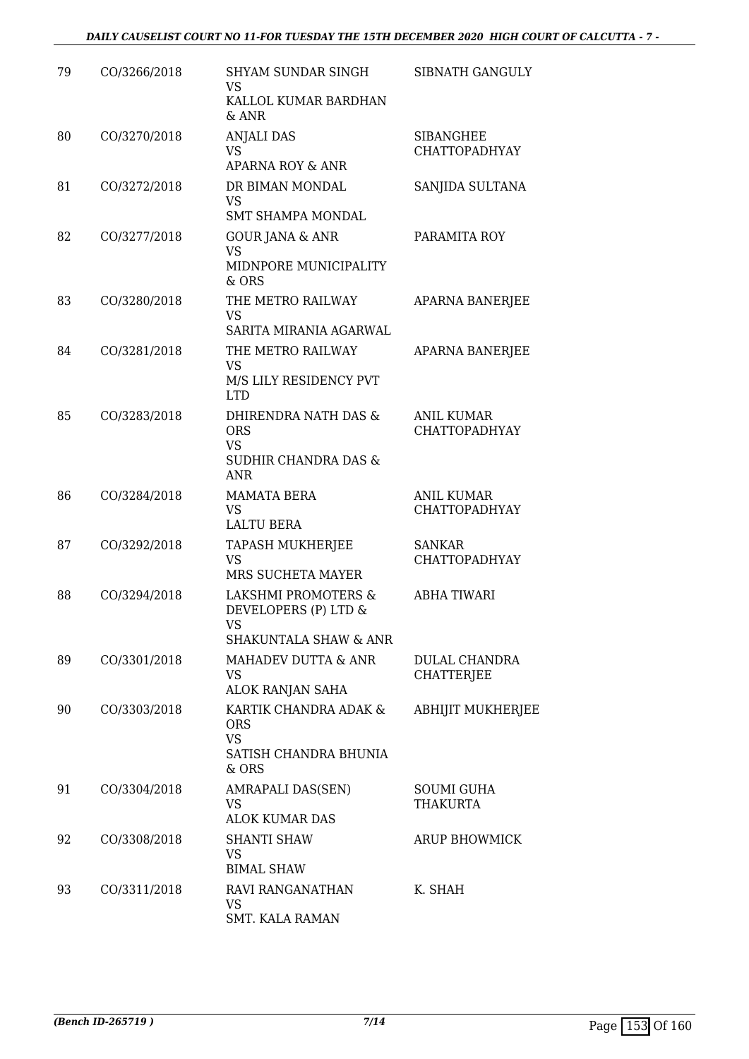| 79 | CO/3266/2018 | SHYAM SUNDAR SINGH<br><b>VS</b><br>KALLOL KUMAR BARDHAN                               | SIBNATH GANGULY                           |
|----|--------------|---------------------------------------------------------------------------------------|-------------------------------------------|
|    |              | & ANR                                                                                 |                                           |
| 80 | CO/3270/2018 | <b>ANJALI DAS</b><br>VS<br>APARNA ROY & ANR                                           | <b>SIBANGHEE</b><br><b>CHATTOPADHYAY</b>  |
| 81 | CO/3272/2018 | DR BIMAN MONDAL<br><b>VS</b>                                                          | SANJIDA SULTANA                           |
|    |              | <b>SMT SHAMPA MONDAL</b>                                                              |                                           |
| 82 | CO/3277/2018 | <b>GOUR JANA &amp; ANR</b><br><b>VS</b><br>MIDNPORE MUNICIPALITY<br>& ORS             | PARAMITA ROY                              |
| 83 | CO/3280/2018 | THE METRO RAILWAY<br><b>VS</b><br>SARITA MIRANIA AGARWAL                              | APARNA BANERJEE                           |
| 84 | CO/3281/2018 | THE METRO RAILWAY<br><b>VS</b>                                                        | APARNA BANERJEE                           |
|    |              | M/S LILY RESIDENCY PVT<br><b>LTD</b>                                                  |                                           |
| 85 | CO/3283/2018 | DHIRENDRA NATH DAS &<br><b>ORS</b><br><b>VS</b>                                       | <b>ANIL KUMAR</b><br><b>CHATTOPADHYAY</b> |
|    |              | <b>SUDHIR CHANDRA DAS &amp;</b><br><b>ANR</b>                                         |                                           |
| 86 | CO/3284/2018 | <b>MAMATA BERA</b><br><b>VS</b>                                                       | ANIL KUMAR<br><b>CHATTOPADHYAY</b>        |
| 87 | CO/3292/2018 | LALTU BERA<br><b>TAPASH MUKHERJEE</b><br><b>VS</b>                                    | <b>SANKAR</b><br><b>CHATTOPADHYAY</b>     |
|    |              | MRS SUCHETA MAYER                                                                     |                                           |
| 88 | CO/3294/2018 | LAKSHMI PROMOTERS &<br>DEVELOPERS (P) LTD &<br>VS<br><b>SHAKUNTALA SHAW &amp; ANR</b> | <b>ABHA TIWARI</b>                        |
| 89 | CO/3301/2018 | MAHADEV DUTTA & ANR<br><b>VS</b>                                                      | <b>DULAL CHANDRA</b><br><b>CHATTERJEE</b> |
| 90 | CO/3303/2018 | ALOK RANJAN SAHA<br>KARTIK CHANDRA ADAK &                                             | <b>ABHIJIT MUKHERJEE</b>                  |
|    |              | <b>ORS</b><br><b>VS</b><br>SATISH CHANDRA BHUNIA                                      |                                           |
|    |              | & ORS                                                                                 |                                           |
| 91 | CO/3304/2018 | AMRAPALI DAS(SEN)<br>VS<br><b>ALOK KUMAR DAS</b>                                      | <b>SOUMI GUHA</b><br>THAKURTA             |
| 92 | CO/3308/2018 | <b>SHANTI SHAW</b><br><b>VS</b>                                                       | <b>ARUP BHOWMICK</b>                      |
| 93 | CO/3311/2018 | <b>BIMAL SHAW</b><br>RAVI RANGANATHAN                                                 | K. SHAH                                   |
|    |              | VS<br><b>SMT. KALA RAMAN</b>                                                          |                                           |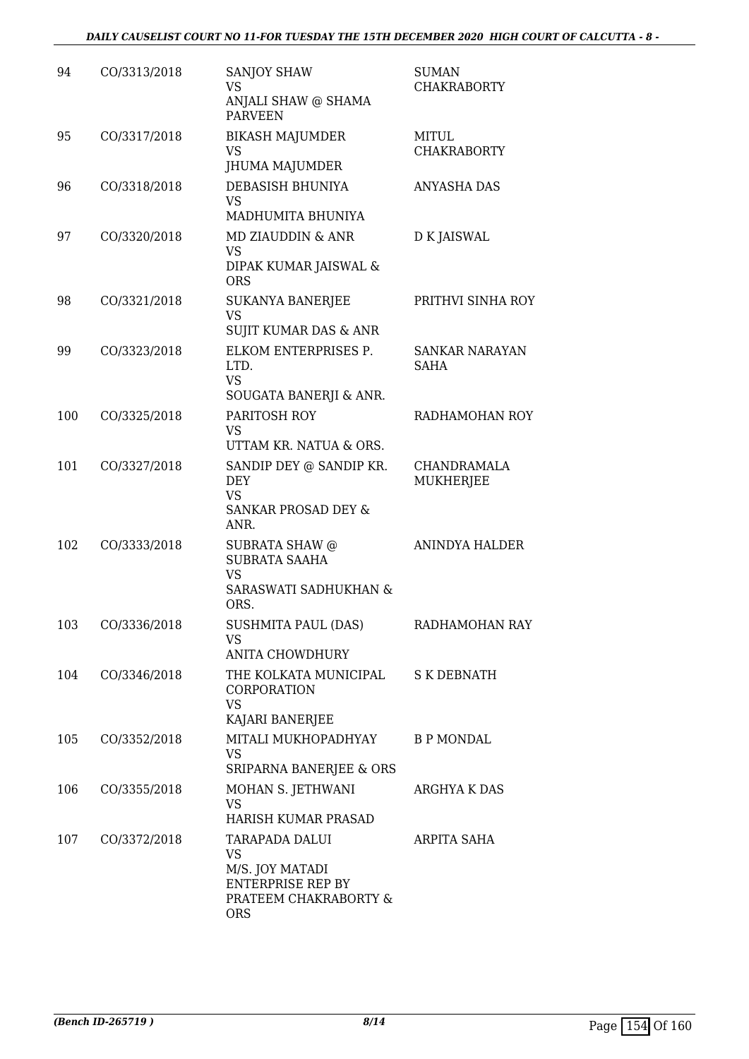| 94  | CO/3313/2018 | <b>SANJOY SHAW</b><br>VS<br>ANJALI SHAW @ SHAMA<br><b>PARVEEN</b>                                                 | <b>SUMAN</b><br><b>CHAKRABORTY</b>   |
|-----|--------------|-------------------------------------------------------------------------------------------------------------------|--------------------------------------|
| 95  | CO/3317/2018 | <b>BIKASH MAJUMDER</b><br><b>VS</b><br>JHUMA MAJUMDER                                                             | <b>MITUL</b><br><b>CHAKRABORTY</b>   |
| 96  | CO/3318/2018 | DEBASISH BHUNIYA<br><b>VS</b>                                                                                     | <b>ANYASHA DAS</b>                   |
| 97  | CO/3320/2018 | MADHUMITA BHUNIYA<br>MD ZIAUDDIN & ANR<br><b>VS</b><br>DIPAK KUMAR JAISWAL &<br><b>ORS</b>                        | D K JAISWAL                          |
| 98  | CO/3321/2018 | <b>SUKANYA BANERJEE</b><br><b>VS</b><br><b>SUJIT KUMAR DAS &amp; ANR</b>                                          | PRITHVI SINHA ROY                    |
| 99  | CO/3323/2018 | ELKOM ENTERPRISES P.<br>LTD.<br><b>VS</b><br>SOUGATA BANERJI & ANR.                                               | <b>SANKAR NARAYAN</b><br><b>SAHA</b> |
| 100 | CO/3325/2018 | PARITOSH ROY<br><b>VS</b><br>UTTAM KR. NATUA & ORS.                                                               | RADHAMOHAN ROY                       |
| 101 | CO/3327/2018 | SANDIP DEY @ SANDIP KR.<br><b>DEY</b><br><b>VS</b><br>SANKAR PROSAD DEY &<br>ANR.                                 | CHANDRAMALA<br>MUKHERJEE             |
| 102 | CO/3333/2018 | SUBRATA SHAW @<br><b>SUBRATA SAAHA</b><br>VS<br>SARASWATI SADHUKHAN &<br>ORS.                                     | ANINDYA HALDER                       |
| 103 | CO/3336/2018 | SUSHMITA PAUL (DAS)<br>VS<br><b>ANITA CHOWDHURY</b>                                                               | RADHAMOHAN RAY                       |
| 104 | CO/3346/2018 | THE KOLKATA MUNICIPAL<br>CORPORATION<br><b>VS</b><br>KAJARI BANERJEE                                              | <b>S K DEBNATH</b>                   |
| 105 | CO/3352/2018 | MITALI MUKHOPADHYAY<br><b>VS</b><br>SRIPARNA BANERJEE & ORS                                                       | <b>B P MONDAL</b>                    |
| 106 | CO/3355/2018 | MOHAN S. JETHWANI<br><b>VS</b><br>HARISH KUMAR PRASAD                                                             | ARGHYA K DAS                         |
| 107 | CO/3372/2018 | TARAPADA DALUI<br><b>VS</b><br>M/S. JOY MATADI<br><b>ENTERPRISE REP BY</b><br>PRATEEM CHAKRABORTY &<br><b>ORS</b> | ARPITA SAHA                          |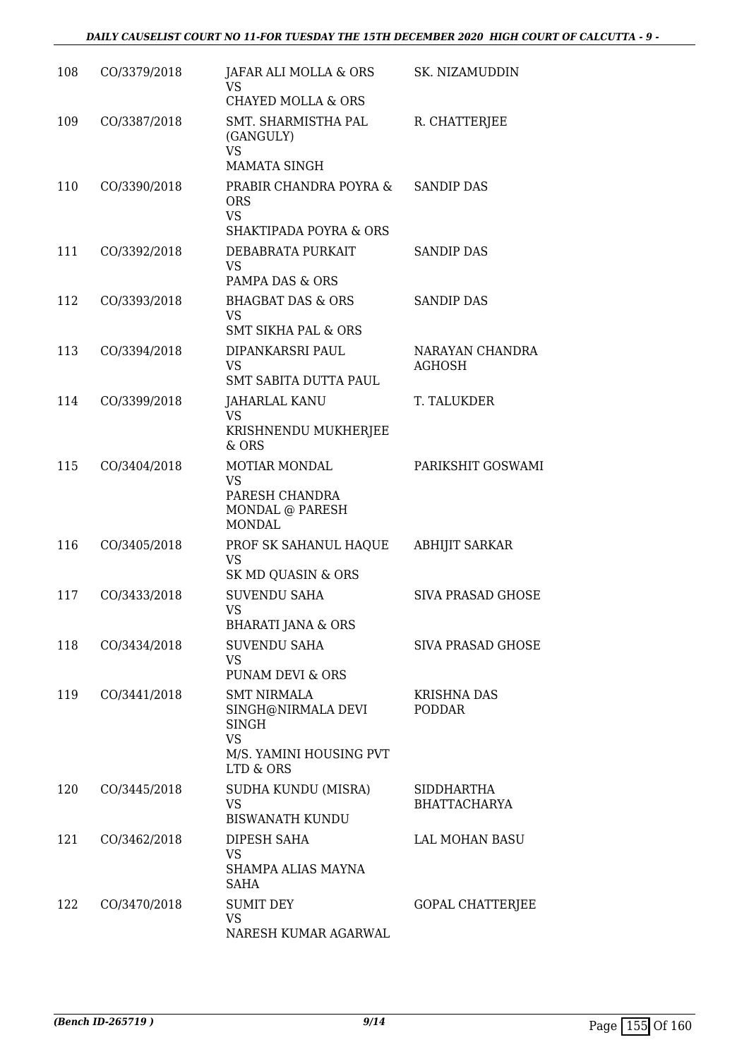| 108 | CO/3379/2018 | JAFAR ALI MOLLA & ORS<br>VS<br><b>CHAYED MOLLA &amp; ORS</b>                                                  | SK. NIZAMUDDIN                      |
|-----|--------------|---------------------------------------------------------------------------------------------------------------|-------------------------------------|
| 109 | CO/3387/2018 | SMT. SHARMISTHA PAL<br>(GANGULY)                                                                              | R. CHATTERJEE                       |
|     |              | <b>VS</b><br><b>MAMATA SINGH</b>                                                                              |                                     |
| 110 | CO/3390/2018 | PRABIR CHANDRA POYRA &<br><b>ORS</b><br><b>VS</b><br><b>SHAKTIPADA POYRA &amp; ORS</b>                        | <b>SANDIP DAS</b>                   |
| 111 | CO/3392/2018 | DEBABRATA PURKAIT<br><b>VS</b><br>PAMPA DAS & ORS                                                             | <b>SANDIP DAS</b>                   |
| 112 | CO/3393/2018 | <b>BHAGBAT DAS &amp; ORS</b><br><b>VS</b>                                                                     | <b>SANDIP DAS</b>                   |
| 113 | CO/3394/2018 | <b>SMT SIKHA PAL &amp; ORS</b><br>DIPANKARSRI PAUL<br><b>VS</b><br>SMT SABITA DUTTA PAUL                      | NARAYAN CHANDRA<br><b>AGHOSH</b>    |
| 114 | CO/3399/2018 | <b>JAHARLAL KANU</b><br><b>VS</b><br>KRISHNENDU MUKHERJEE                                                     | T. TALUKDER                         |
| 115 | CO/3404/2018 | $&$ ORS<br><b>MOTIAR MONDAL</b><br><b>VS</b><br>PARESH CHANDRA<br>MONDAL @ PARESH<br><b>MONDAL</b>            | PARIKSHIT GOSWAMI                   |
| 116 | CO/3405/2018 | PROF SK SAHANUL HAQUE<br><b>VS</b><br>SK MD QUASIN & ORS                                                      | <b>ABHIJIT SARKAR</b>               |
| 117 | CO/3433/2018 | <b>SUVENDU SAHA</b><br><b>VS</b><br><b>BHARATI JANA &amp; ORS</b>                                             | <b>SIVA PRASAD GHOSE</b>            |
| 118 | CO/3434/2018 | <b>SUVENDU SAHA</b><br><b>VS</b><br><b>PUNAM DEVI &amp; ORS</b>                                               | <b>SIVA PRASAD GHOSE</b>            |
| 119 | CO/3441/2018 | <b>SMT NIRMALA</b><br>SINGH@NIRMALA DEVI<br><b>SINGH</b><br><b>VS</b><br>M/S. YAMINI HOUSING PVT<br>LTD & ORS | <b>KRISHNA DAS</b><br><b>PODDAR</b> |
| 120 | CO/3445/2018 | SUDHA KUNDU (MISRA)<br><b>VS</b><br><b>BISWANATH KUNDU</b>                                                    | SIDDHARTHA<br><b>BHATTACHARYA</b>   |
| 121 | CO/3462/2018 | DIPESH SAHA<br>VS<br>SHAMPA ALIAS MAYNA<br><b>SAHA</b>                                                        | LAL MOHAN BASU                      |
| 122 | CO/3470/2018 | <b>SUMIT DEY</b><br><b>VS</b><br>NARESH KUMAR AGARWAL                                                         | <b>GOPAL CHATTERJEE</b>             |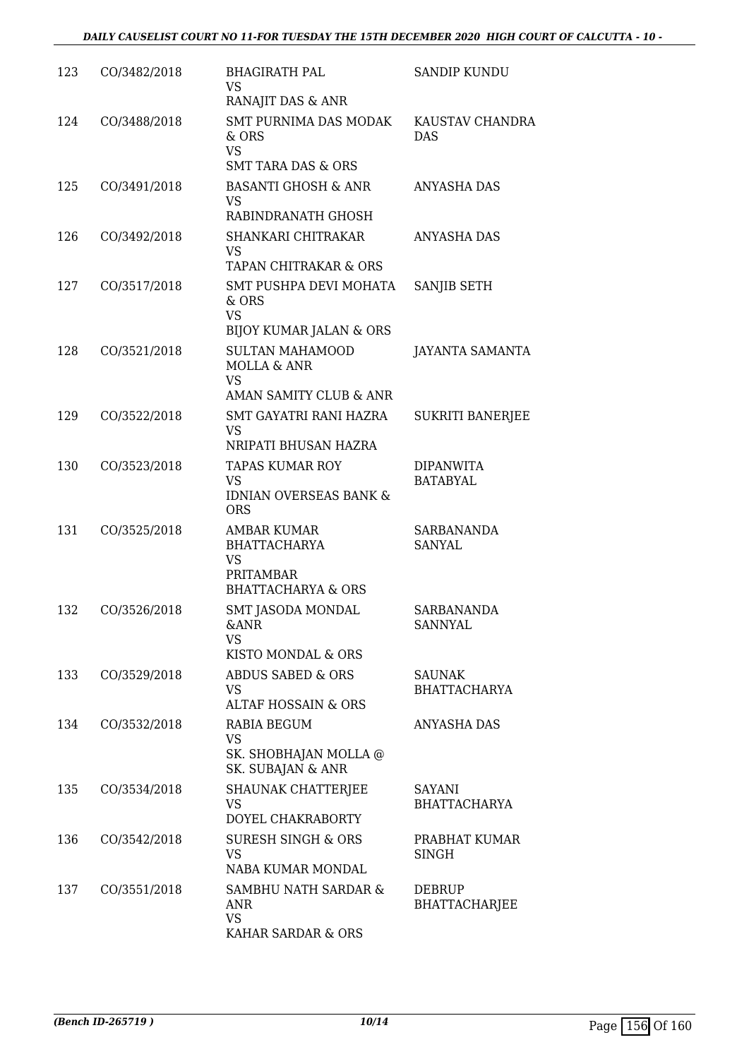| 123 | CO/3482/2018 | <b>BHAGIRATH PAL</b><br><b>VS</b><br>RANAJIT DAS & ANR                                        | <b>SANDIP KUNDU</b>                  |
|-----|--------------|-----------------------------------------------------------------------------------------------|--------------------------------------|
| 124 | CO/3488/2018 | SMT PURNIMA DAS MODAK<br>& ORS<br><b>VS</b>                                                   | KAUSTAV CHANDRA<br><b>DAS</b>        |
|     |              | <b>SMT TARA DAS &amp; ORS</b>                                                                 |                                      |
| 125 | CO/3491/2018 | <b>BASANTI GHOSH &amp; ANR</b><br>VS                                                          | <b>ANYASHA DAS</b>                   |
|     |              | RABINDRANATH GHOSH                                                                            |                                      |
| 126 | CO/3492/2018 | SHANKARI CHITRAKAR<br>VS<br>TAPAN CHITRAKAR & ORS                                             | <b>ANYASHA DAS</b>                   |
| 127 | CO/3517/2018 | SMT PUSHPA DEVI MOHATA<br>& ORS                                                               | SANJIB SETH                          |
|     |              | <b>VS</b><br><b>BIJOY KUMAR JALAN &amp; ORS</b>                                               |                                      |
| 128 | CO/3521/2018 | <b>SULTAN MAHAMOOD</b><br><b>MOLLA &amp; ANR</b><br><b>VS</b>                                 | <b>JAYANTA SAMANTA</b>               |
|     |              | AMAN SAMITY CLUB & ANR                                                                        |                                      |
| 129 | CO/3522/2018 | SMT GAYATRI RANI HAZRA<br>VS<br>NRIPATI BHUSAN HAZRA                                          | <b>SUKRITI BANERJEE</b>              |
| 130 | CO/3523/2018 | <b>TAPAS KUMAR ROY</b>                                                                        | <b>DIPANWITA</b>                     |
|     |              | <b>VS</b><br><b>IDNIAN OVERSEAS BANK &amp;</b><br><b>ORS</b>                                  | <b>BATABYAL</b>                      |
| 131 | CO/3525/2018 | AMBAR KUMAR<br><b>BHATTACHARYA</b><br>VS<br><b>PRITAMBAR</b><br><b>BHATTACHARYA &amp; ORS</b> | SARBANANDA<br><b>SANYAL</b>          |
| 132 | CO/3526/2018 | SMT JASODA MONDAL<br>&ANR<br>VS<br>KISTO MONDAL & ORS                                         | SARBANANDA<br><b>SANNYAL</b>         |
| 133 | CO/3529/2018 | <b>ABDUS SABED &amp; ORS</b><br>VS.<br>ALTAF HOSSAIN & ORS                                    | <b>SAUNAK</b><br><b>BHATTACHARYA</b> |
| 134 | CO/3532/2018 | RABIA BEGUM                                                                                   | ANYASHA DAS                          |
|     |              | <b>VS</b><br>SK. SHOBHAJAN MOLLA @<br>SK. SUBAJAN & ANR                                       |                                      |
| 135 | CO/3534/2018 | <b>SHAUNAK CHATTERJEE</b><br>VS<br>DOYEL CHAKRABORTY                                          | SAYANI<br><b>BHATTACHARYA</b>        |
| 136 | CO/3542/2018 | <b>SURESH SINGH &amp; ORS</b><br>VS<br>NABA KUMAR MONDAL                                      | PRABHAT KUMAR<br>SINGH               |
| 137 | CO/3551/2018 | SAMBHU NATH SARDAR &<br>ANR<br><b>VS</b><br>KAHAR SARDAR & ORS                                | DEBRUP<br><b>BHATTACHARJEE</b>       |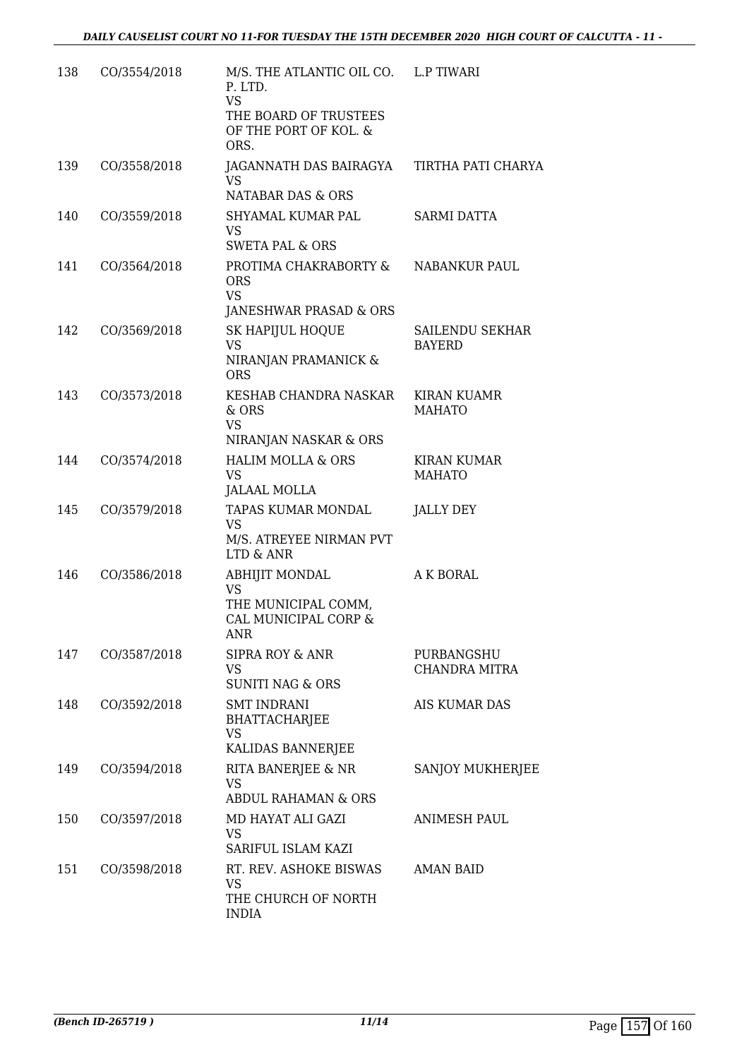| 138 | CO/3554/2018 | M/S. THE ATLANTIC OIL CO. L.P TIWARI<br>P. LTD.<br><b>VS</b><br>THE BOARD OF TRUSTEES<br>OF THE PORT OF KOL. &<br>ORS. |                                     |
|-----|--------------|------------------------------------------------------------------------------------------------------------------------|-------------------------------------|
| 139 | CO/3558/2018 | JAGANNATH DAS BAIRAGYA<br>VS.<br>NATABAR DAS & ORS                                                                     | TIRTHA PATI CHARYA                  |
| 140 | CO/3559/2018 | SHYAMAL KUMAR PAL<br>VS<br><b>SWETA PAL &amp; ORS</b>                                                                  | SARMI DATTA                         |
| 141 | CO/3564/2018 | PROTIMA CHAKRABORTY & NABANKUR PAUL<br><b>ORS</b><br><b>VS</b><br>JANESHWAR PRASAD & ORS                               |                                     |
| 142 | CO/3569/2018 | SK HAPIJUL HOQUE<br><b>VS</b><br>NIRANJAN PRAMANICK &<br><b>ORS</b>                                                    | SAILENDU SEKHAR<br><b>BAYERD</b>    |
| 143 | CO/3573/2018 | KESHAB CHANDRA NASKAR<br>& ORS<br><b>VS</b><br>NIRANJAN NASKAR & ORS                                                   | <b>KIRAN KUAMR</b><br><b>MAHATO</b> |
| 144 | CO/3574/2018 | <b>HALIM MOLLA &amp; ORS</b><br><b>VS</b><br><b>JALAAL MOLLA</b>                                                       | <b>KIRAN KUMAR</b><br><b>MAHATO</b> |
| 145 | CO/3579/2018 | TAPAS KUMAR MONDAL<br>VS<br>M/S. ATREYEE NIRMAN PVT<br>LTD & ANR                                                       | <b>JALLY DEY</b>                    |
| 146 | CO/3586/2018 | ABHIJIT MONDAL<br>VS<br>THE MUNICIPAL COMM,<br>CAL MUNICIPAL CORP &<br><b>ANR</b>                                      | A K BORAL                           |
| 147 | CO/3587/2018 | SIPRA ROY & ANR<br>VS<br><b>SUNITI NAG &amp; ORS</b>                                                                   | PURBANGSHU<br><b>CHANDRA MITRA</b>  |
| 148 | CO/3592/2018 | <b>SMT INDRANI</b><br><b>BHATTACHARJEE</b><br>VS<br>KALIDAS BANNERJEE                                                  | AIS KUMAR DAS                       |
| 149 | CO/3594/2018 | RITA BANERJEE & NR<br><b>VS</b><br><b>ABDUL RAHAMAN &amp; ORS</b>                                                      | SANJOY MUKHERJEE                    |
| 150 | CO/3597/2018 | MD HAYAT ALI GAZI<br>VS<br>SARIFUL ISLAM KAZI                                                                          | <b>ANIMESH PAUL</b>                 |
| 151 | CO/3598/2018 | RT. REV. ASHOKE BISWAS<br>VS<br>THE CHURCH OF NORTH<br><b>INDIA</b>                                                    | AMAN BAID                           |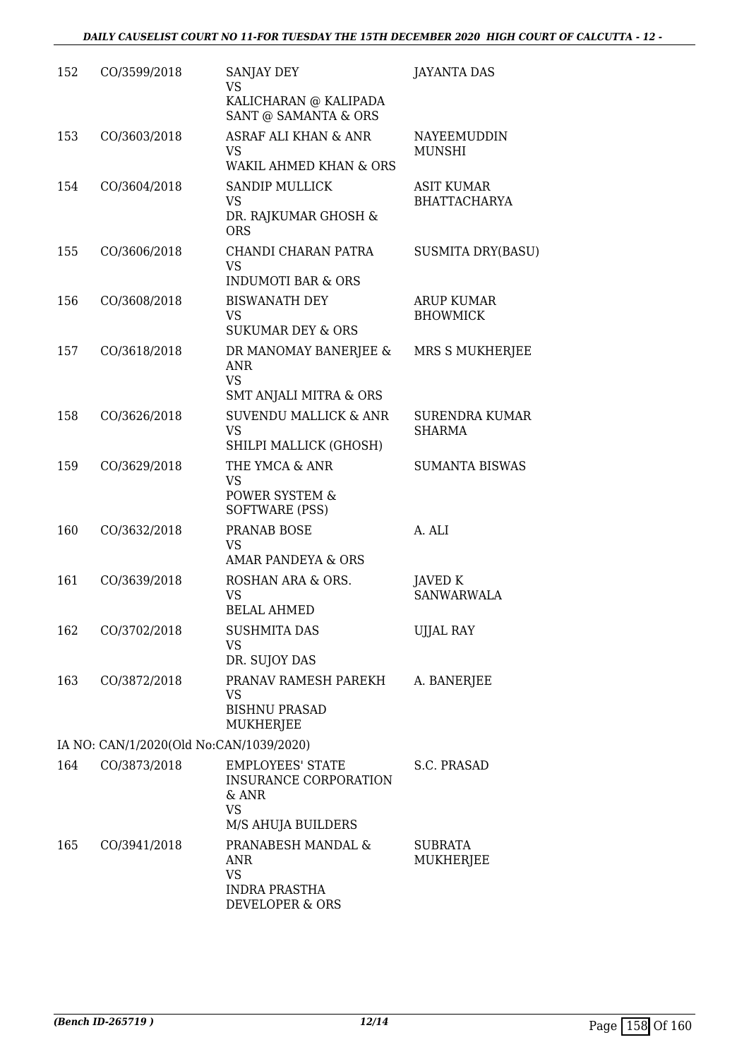| 152 | CO/3599/2018                            | SANJAY DEY<br>VS                                                                                    | <b>JAYANTA DAS</b>                       |
|-----|-----------------------------------------|-----------------------------------------------------------------------------------------------------|------------------------------------------|
|     |                                         | KALICHARAN @ KALIPADA<br>SANT @ SAMANTA & ORS                                                       |                                          |
| 153 | CO/3603/2018                            | <b>ASRAF ALI KHAN &amp; ANR</b><br><b>VS</b><br><b>WAKIL AHMED KHAN &amp; ORS</b>                   | NAYEEMUDDIN<br><b>MUNSHI</b>             |
| 154 | CO/3604/2018                            | <b>SANDIP MULLICK</b><br>VS<br>DR. RAJKUMAR GHOSH &<br><b>ORS</b>                                   | <b>ASIT KUMAR</b><br><b>BHATTACHARYA</b> |
| 155 | CO/3606/2018                            | CHANDI CHARAN PATRA<br><b>VS</b><br><b>INDUMOTI BAR &amp; ORS</b>                                   | <b>SUSMITA DRY(BASU)</b>                 |
| 156 | CO/3608/2018                            | <b>BISWANATH DEY</b><br><b>VS</b><br><b>SUKUMAR DEY &amp; ORS</b>                                   | ARUP KUMAR<br><b>BHOWMICK</b>            |
| 157 | CO/3618/2018                            | DR MANOMAY BANERJEE &<br><b>ANR</b><br><b>VS</b><br><b>SMT ANJALI MITRA &amp; ORS</b>               | MRS S MUKHERJEE                          |
| 158 | CO/3626/2018                            | <b>SUVENDU MALLICK &amp; ANR</b><br><b>VS</b><br>SHILPI MALLICK (GHOSH)                             | SURENDRA KUMAR<br><b>SHARMA</b>          |
| 159 | CO/3629/2018                            | THE YMCA & ANR<br>VS<br>POWER SYSTEM &<br>SOFTWARE (PSS)                                            | <b>SUMANTA BISWAS</b>                    |
| 160 | CO/3632/2018                            | PRANAB BOSE<br>VS<br><b>AMAR PANDEYA &amp; ORS</b>                                                  | A. ALI                                   |
| 161 | CO/3639/2018                            | ROSHAN ARA & ORS.<br>VS<br><b>BELAL AHMED</b>                                                       | JAVED K<br><b>SANWARWALA</b>             |
| 162 | CO/3702/2018                            | <b>SUSHMITA DAS</b><br><b>VS</b><br>DR. SUJOY DAS                                                   | <b>UJJAL RAY</b>                         |
| 163 | CO/3872/2018                            | PRANAV RAMESH PAREKH<br>VS<br><b>BISHNU PRASAD</b><br>MUKHERJEE                                     | A. BANERJEE                              |
|     | IA NO: CAN/1/2020(Old No:CAN/1039/2020) |                                                                                                     |                                          |
| 164 | CO/3873/2018                            | <b>EMPLOYEES' STATE</b><br><b>INSURANCE CORPORATION</b><br>& ANR<br><b>VS</b><br>M/S AHUJA BUILDERS | S.C. PRASAD                              |
| 165 | CO/3941/2018                            | PRANABESH MANDAL &<br>ANR<br><b>VS</b><br><b>INDRA PRASTHA</b><br>DEVELOPER & ORS                   | <b>SUBRATA</b><br>MUKHERJEE              |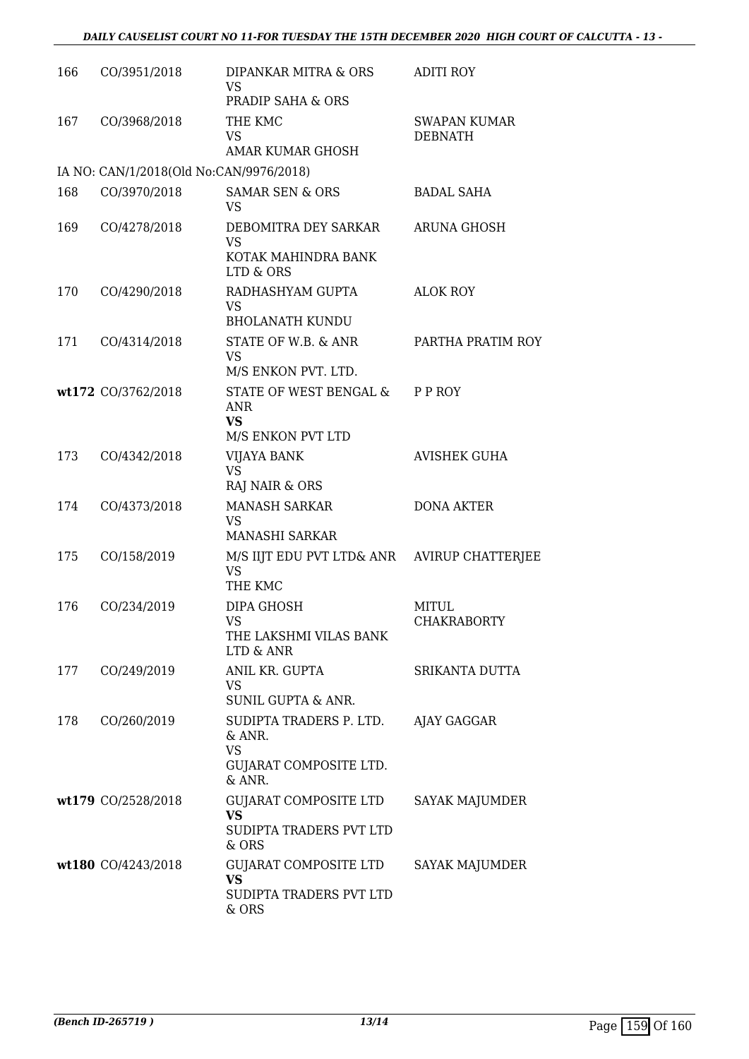| 166 | CO/3951/2018                            | DIPANKAR MITRA & ORS<br>VS<br><b>PRADIP SAHA &amp; ORS</b>                              | <b>ADITI ROY</b>                      |
|-----|-----------------------------------------|-----------------------------------------------------------------------------------------|---------------------------------------|
| 167 | CO/3968/2018                            | THE KMC<br><b>VS</b><br><b>AMAR KUMAR GHOSH</b>                                         | <b>SWAPAN KUMAR</b><br><b>DEBNATH</b> |
|     | IA NO: CAN/1/2018(Old No:CAN/9976/2018) |                                                                                         |                                       |
| 168 | CO/3970/2018                            | <b>SAMAR SEN &amp; ORS</b><br>VS                                                        | <b>BADAL SAHA</b>                     |
| 169 | CO/4278/2018                            | DEBOMITRA DEY SARKAR<br><b>VS</b><br>KOTAK MAHINDRA BANK<br>LTD & ORS                   | ARUNA GHOSH                           |
| 170 | CO/4290/2018                            | RADHASHYAM GUPTA<br>VS.<br><b>BHOLANATH KUNDU</b>                                       | <b>ALOK ROY</b>                       |
| 171 | CO/4314/2018                            | STATE OF W.B. & ANR<br><b>VS</b><br>M/S ENKON PVT. LTD.                                 | PARTHA PRATIM ROY                     |
|     | wt172 CO/3762/2018                      | STATE OF WEST BENGAL &<br>ANR<br><b>VS</b><br>M/S ENKON PVT LTD                         | P P ROY                               |
| 173 | CO/4342/2018                            | VIJAYA BANK<br><b>VS</b><br>RAJ NAIR & ORS                                              | <b>AVISHEK GUHA</b>                   |
| 174 | CO/4373/2018                            | <b>MANASH SARKAR</b><br><b>VS</b><br><b>MANASHI SARKAR</b>                              | <b>DONA AKTER</b>                     |
| 175 | CO/158/2019                             | M/S IIJT EDU PVT LTD& ANR AVIRUP CHATTERJEE<br><b>VS</b><br>THE KMC                     |                                       |
| 176 | CO/234/2019                             | DIPA GHOSH<br><b>VS</b><br>THE LAKSHMI VILAS BANK<br>LTD & ANR                          | MITUL<br><b>CHAKRABORTY</b>           |
| 177 | CO/249/2019                             | ANIL KR. GUPTA<br>VS<br><b>SUNIL GUPTA &amp; ANR.</b>                                   | SRIKANTA DUTTA                        |
| 178 | CO/260/2019                             | SUDIPTA TRADERS P. LTD. AJAY GAGGAR<br>& ANR.<br>VS<br>GUJARAT COMPOSITE LTD.<br>& ANR. |                                       |
|     | wt179 CO/2528/2018                      | GUJARAT COMPOSITE LTD<br><b>VS</b><br>SUDIPTA TRADERS PVT LTD<br>& ORS                  | SAYAK MAJUMDER                        |
|     | wt180 CO/4243/2018                      | GUJARAT COMPOSITE LTD<br><b>VS</b><br>SUDIPTA TRADERS PVT LTD<br>& ORS                  | SAYAK MAJUMDER                        |